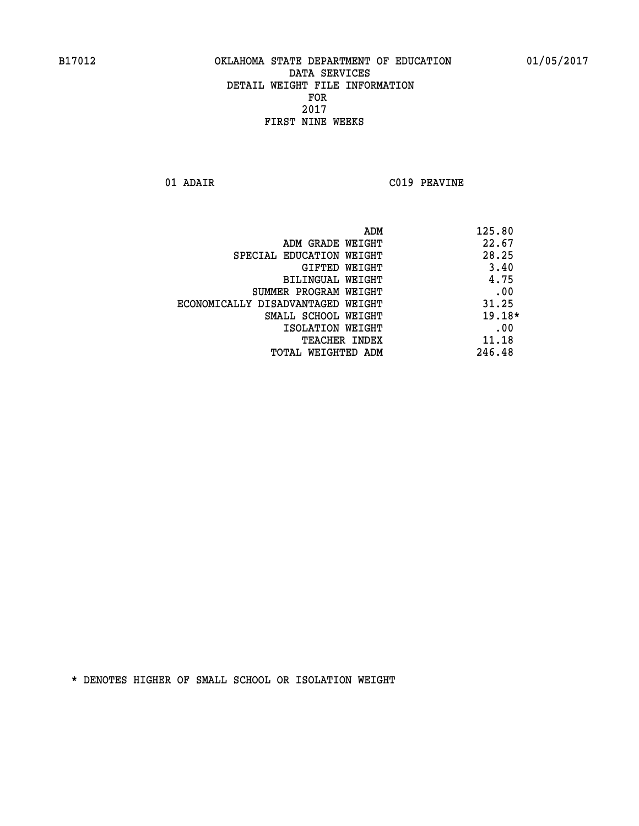**01 ADAIR C019 PEAVINE**

| ADM                               | 125.80   |
|-----------------------------------|----------|
| ADM GRADE WEIGHT                  | 22.67    |
| SPECIAL EDUCATION WEIGHT          | 28.25    |
| GIFTED WEIGHT                     | 3.40     |
| BILINGUAL WEIGHT                  | 4.75     |
| SUMMER PROGRAM WEIGHT             | .00      |
| ECONOMICALLY DISADVANTAGED WEIGHT | 31.25    |
| SMALL SCHOOL WEIGHT               | $19.18*$ |
| ISOLATION WEIGHT                  | .00      |
| TEACHER INDEX                     | 11.18    |
| TOTAL WEIGHTED ADM                | 246.48   |
|                                   |          |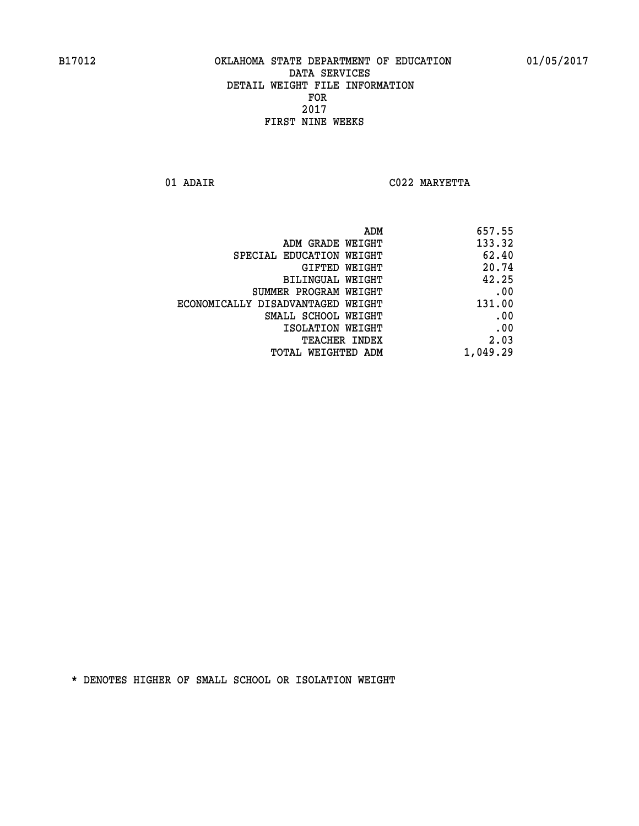**01 ADAIR C022 MARYETTA** 

| ADM                               | 657.55   |
|-----------------------------------|----------|
| ADM GRADE WEIGHT                  | 133.32   |
| SPECIAL EDUCATION WEIGHT          | 62.40    |
| GIFTED WEIGHT                     | 20.74    |
| BILINGUAL WEIGHT                  | 42.25    |
| SUMMER PROGRAM WEIGHT             | .00      |
| ECONOMICALLY DISADVANTAGED WEIGHT | 131.00   |
| SMALL SCHOOL WEIGHT               | .00      |
| ISOLATION WEIGHT                  | .00      |
| TEACHER INDEX                     | 2.03     |
| TOTAL WEIGHTED ADM                | 1,049.29 |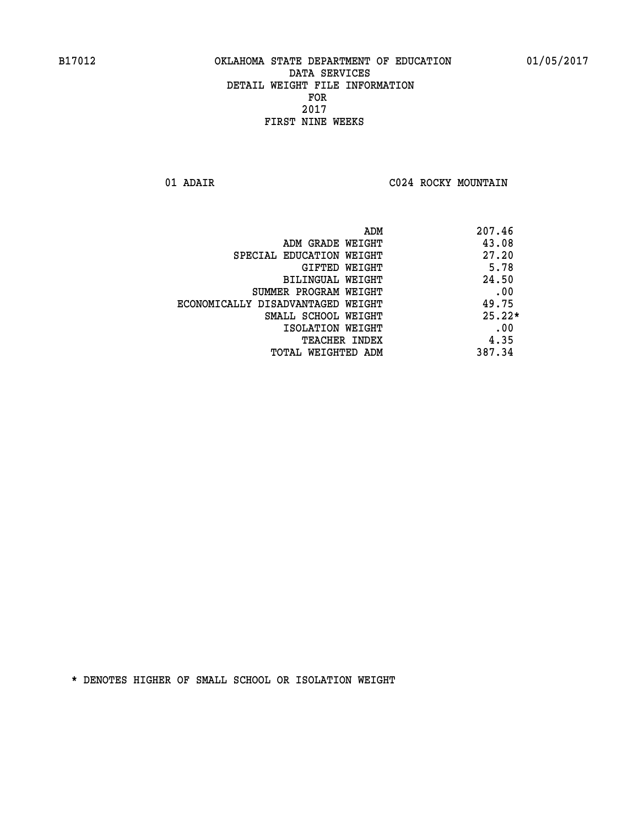**01 ADAIR C024 ROCKY MOUNTAIN** 

| ADM                               | 207.46   |
|-----------------------------------|----------|
| ADM GRADE WEIGHT                  | 43.08    |
| SPECIAL EDUCATION WEIGHT          | 27.20    |
| GIFTED WEIGHT                     | 5.78     |
| BILINGUAL WEIGHT                  | 24.50    |
| SUMMER PROGRAM WEIGHT             | .00      |
| ECONOMICALLY DISADVANTAGED WEIGHT | 49.75    |
| SMALL SCHOOL WEIGHT               | $25.22*$ |
| ISOLATION WEIGHT                  | .00      |
| <b>TEACHER INDEX</b>              | 4.35     |
| TOTAL WEIGHTED ADM                | 387.34   |
|                                   |          |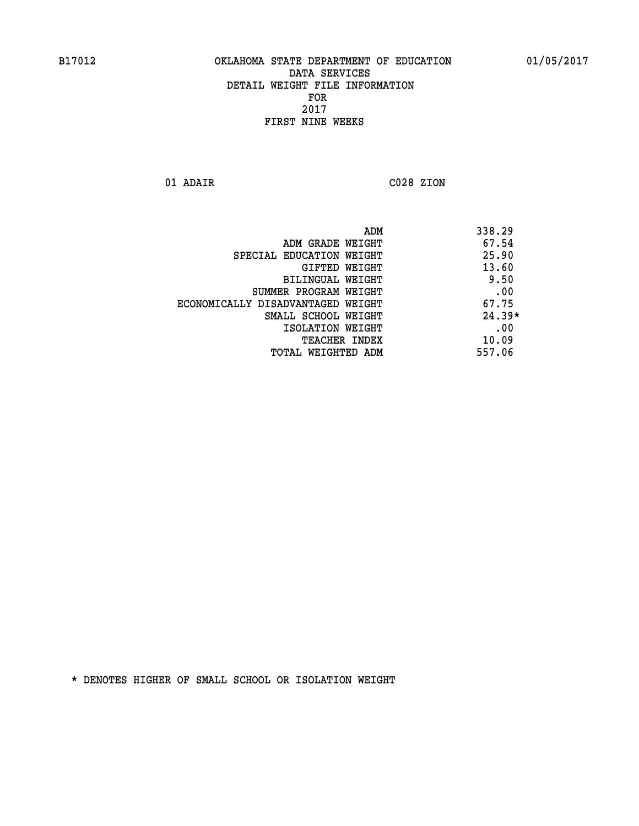**01 ADAIR C028 ZION** 

 **ADM 338.29 ADM GRADE WEIGHT 67.54 SPECIAL EDUCATION WEIGHT 25.90 GIFTED WEIGHT 43.60 BILINGUAL WEIGHT 9.50 SUMMER PROGRAM WEIGHT .00 ECONOMICALLY DISADVANTAGED WEIGHT 67.75 SMALL SCHOOL WEIGHT 24.39\* 1SOLATION WEIGHT .00 TEACHER INDEX** 10.09  **TOTAL WEIGHTED ADM 557.06**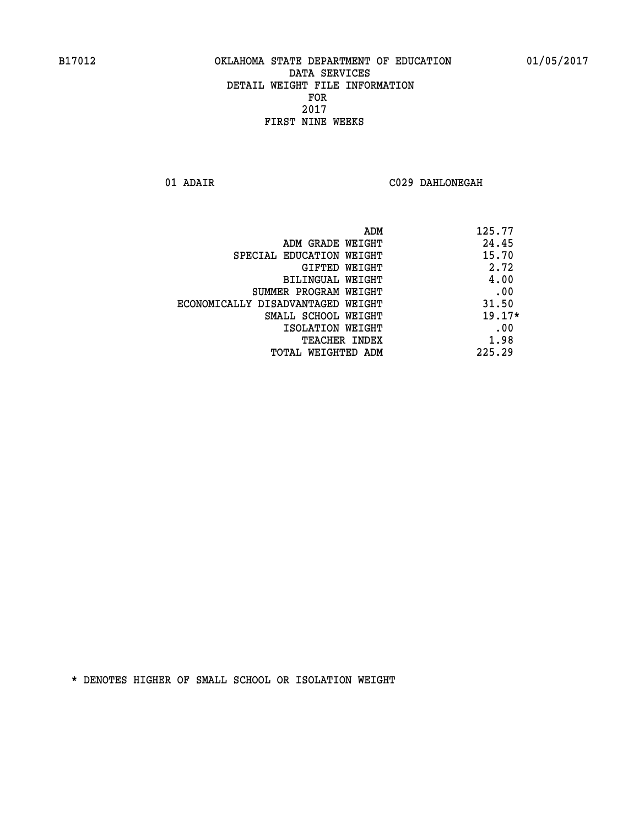**01 ADAIR C029 DAHLONEGAH** 

| ADM                               | 125.77   |
|-----------------------------------|----------|
| ADM GRADE WEIGHT                  | 24.45    |
| SPECIAL EDUCATION WEIGHT          | 15.70    |
| GIFTED WEIGHT                     | 2.72     |
| BILINGUAL WEIGHT                  | 4.00     |
| SUMMER PROGRAM WEIGHT             | .00      |
| ECONOMICALLY DISADVANTAGED WEIGHT | 31.50    |
| SMALL SCHOOL WEIGHT               | $19.17*$ |
| ISOLATION WEIGHT                  | .00      |
| <b>TEACHER INDEX</b>              | 1.98     |
| TOTAL WEIGHTED ADM                | 225.29   |
|                                   |          |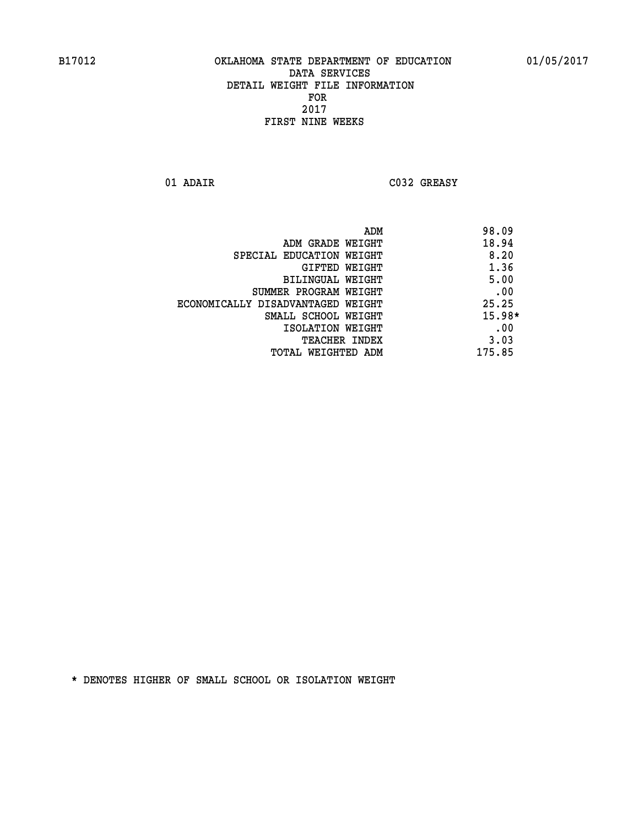**01 ADAIR C032 GREASY** 

|                                   | 98.09<br>ADM |
|-----------------------------------|--------------|
| ADM GRADE WEIGHT                  | 18.94        |
| SPECIAL EDUCATION WEIGHT          | 8.20         |
| GIFTED WEIGHT                     | 1.36         |
| BILINGUAL WEIGHT                  | 5.00         |
| SUMMER PROGRAM WEIGHT             | .00          |
| ECONOMICALLY DISADVANTAGED WEIGHT | 25.25        |
| SMALL SCHOOL WEIGHT               | $15.98*$     |
| ISOLATION WEIGHT                  | .00          |
| <b>TEACHER INDEX</b>              | 3.03         |
| TOTAL WEIGHTED ADM                | 175.85       |
|                                   |              |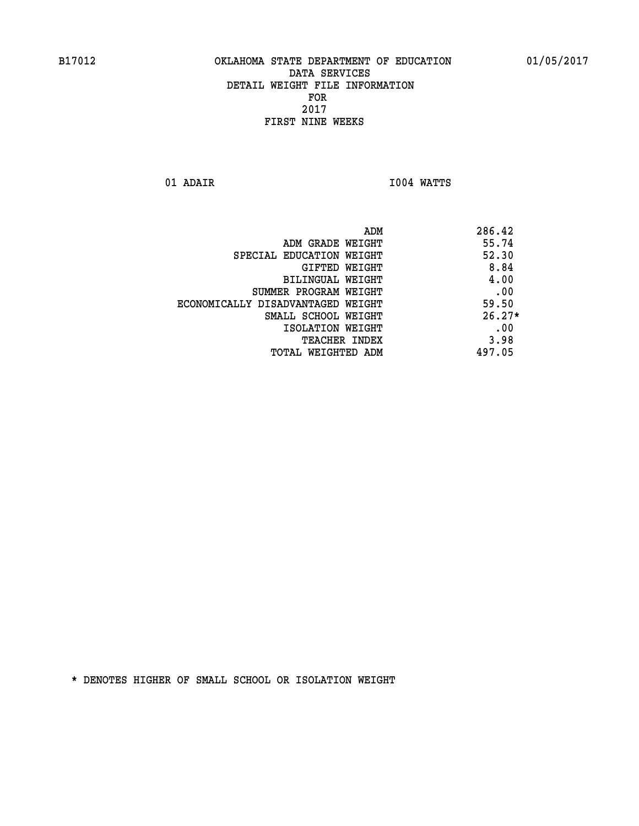**01 ADAIR I004 WATTS** 

 **ADM 286.42**

| ADM GRADE WEIGHT                  | 55.74    |
|-----------------------------------|----------|
| SPECIAL EDUCATION WEIGHT          | 52.30    |
| GIFTED WEIGHT                     | 8.84     |
| BILINGUAL WEIGHT                  | 4.00     |
| SUMMER PROGRAM WEIGHT             | .00      |
| ECONOMICALLY DISADVANTAGED WEIGHT | 59.50    |
| SMALL SCHOOL WEIGHT               | $26.27*$ |
| ISOLATION WEIGHT                  | .00      |
| <b>TEACHER INDEX</b>              | 3.98     |
| TOTAL WEIGHTED ADM                | 497.05   |
|                                   |          |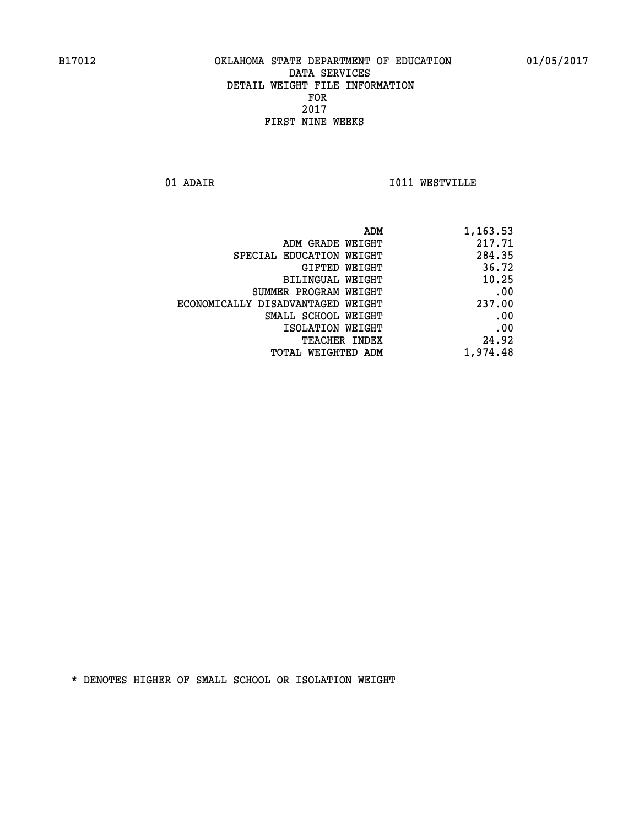**01 ADAIR I011 WESTVILLE** 

| ADM                               | 1,163.53 |
|-----------------------------------|----------|
| ADM GRADE WEIGHT                  | 217.71   |
| SPECIAL EDUCATION WEIGHT          | 284.35   |
| GIFTED WEIGHT                     | 36.72    |
| <b>BILINGUAL WEIGHT</b>           | 10.25    |
| SUMMER PROGRAM WEIGHT             | .00      |
| ECONOMICALLY DISADVANTAGED WEIGHT | 237.00   |
| SMALL SCHOOL WEIGHT               | .00      |
| ISOLATION WEIGHT                  | .00      |
| TEACHER INDEX                     | 24.92    |
| TOTAL WEIGHTED ADM                | 1,974.48 |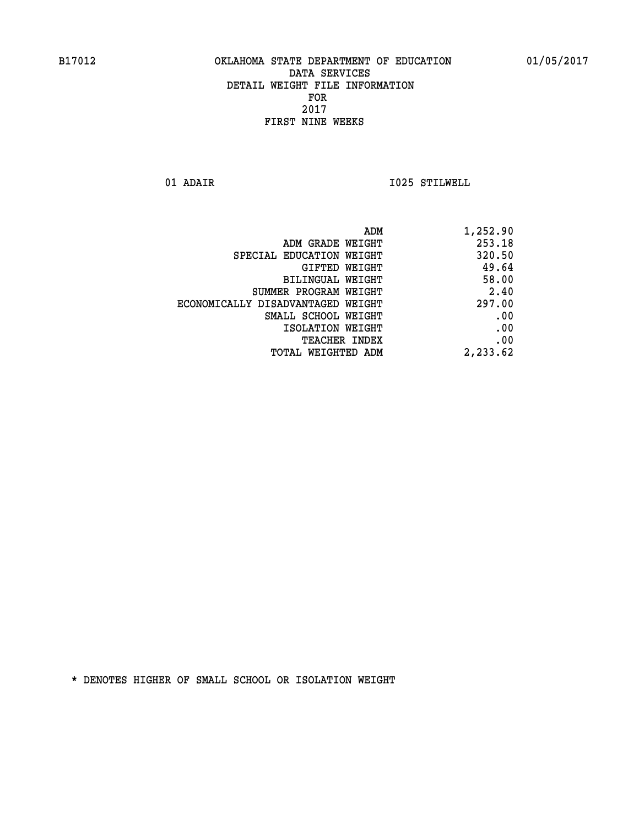**01 ADAIR I025 STILWELL** 

| 1,252.90 |
|----------|
| 253.18   |
| 320.50   |
| 49.64    |
| 58.00    |
| 2.40     |
| 297.00   |
| .00      |
| .00      |
| .00      |
| 2,233.62 |
|          |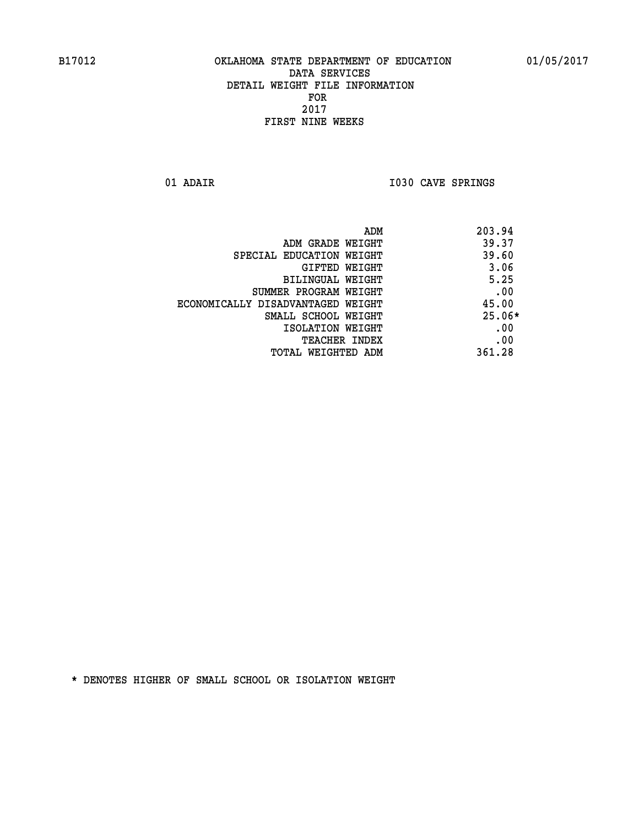01 ADAIR **I030 CAVE SPRINGS** 

|                                   | 203.94<br>ADM |
|-----------------------------------|---------------|
| ADM GRADE WEIGHT                  | 39.37         |
| SPECIAL EDUCATION WEIGHT          | 39.60         |
| GIFTED WEIGHT                     | 3.06          |
| BILINGUAL WEIGHT                  | 5.25          |
| SUMMER PROGRAM WEIGHT             | .00           |
| ECONOMICALLY DISADVANTAGED WEIGHT | 45.00         |
| SMALL SCHOOL WEIGHT               | $25.06*$      |
| ISOLATION WEIGHT                  | .00           |
| <b>TEACHER INDEX</b>              | .00           |
| TOTAL WEIGHTED ADM                | 361.28        |
|                                   |               |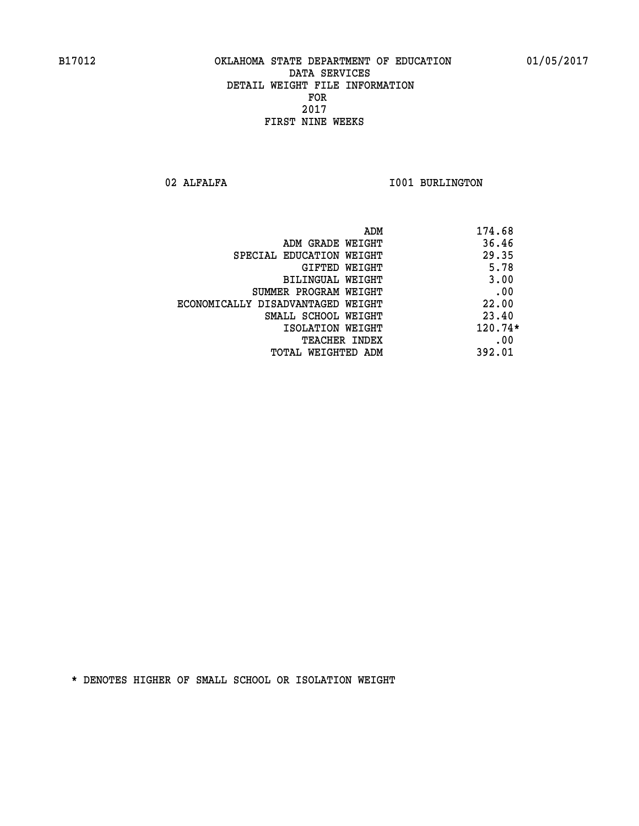02 ALFALFA **I001 BURLINGTON** 

|                                   | ADM<br>174.68 |
|-----------------------------------|---------------|
| ADM GRADE WEIGHT                  | 36.46         |
| SPECIAL EDUCATION WEIGHT          | 29.35         |
| GIFTED WEIGHT                     | 5.78          |
| BILINGUAL WEIGHT                  | 3.00          |
| SUMMER PROGRAM WEIGHT             | .00           |
| ECONOMICALLY DISADVANTAGED WEIGHT | 22.00         |
| SMALL SCHOOL WEIGHT               | 23.40         |
| ISOLATION WEIGHT                  | $120.74*$     |
| <b>TEACHER INDEX</b>              | .00           |
| TOTAL WEIGHTED ADM                | 392.01        |
|                                   |               |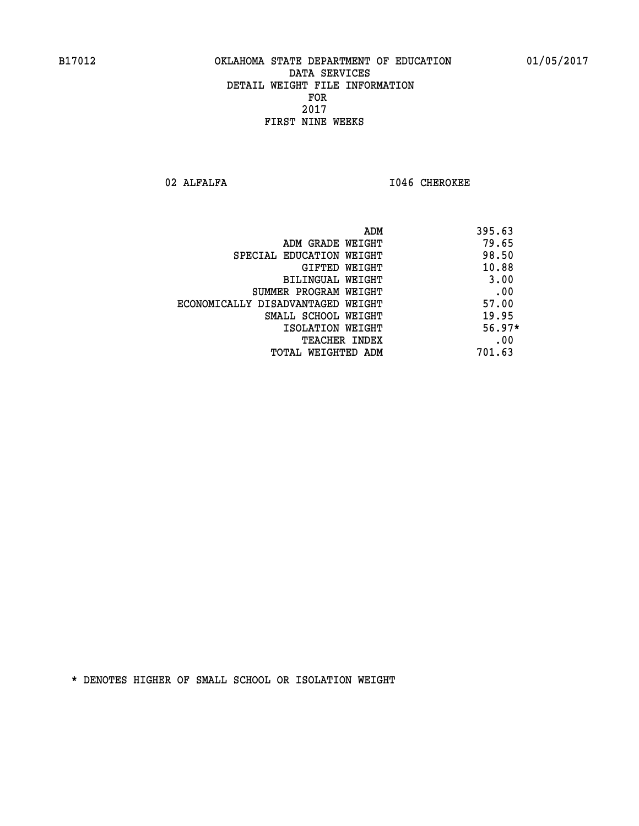02 ALFALFA **I046 CHEROKEE** 

|                                   | ADM<br>395.63 |          |
|-----------------------------------|---------------|----------|
| ADM GRADE WEIGHT                  |               | 79.65    |
| SPECIAL EDUCATION WEIGHT          |               | 98.50    |
| GIFTED WEIGHT                     |               | 10.88    |
| BILINGUAL WEIGHT                  |               | 3.00     |
| SUMMER PROGRAM WEIGHT             |               | .00      |
| ECONOMICALLY DISADVANTAGED WEIGHT |               | 57.00    |
| SMALL SCHOOL WEIGHT               |               | 19.95    |
| ISOLATION WEIGHT                  |               | $56.97*$ |
| <b>TEACHER INDEX</b>              |               | .00      |
| TOTAL WEIGHTED ADM                | 701.63        |          |
|                                   |               |          |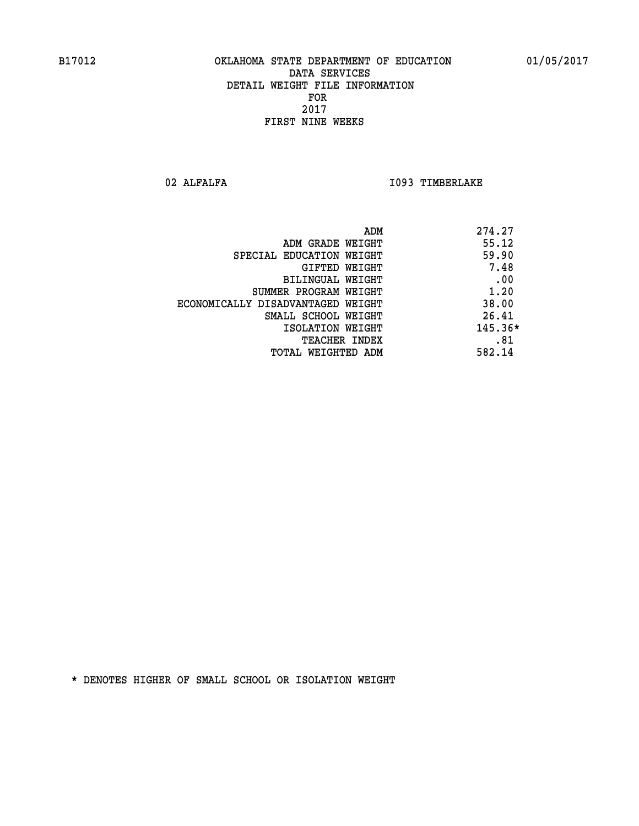02 ALFALFA **I093 TIMBERLAKE** 

| 274.27<br>ADM |                                   |
|---------------|-----------------------------------|
| 55.12         | ADM GRADE WEIGHT                  |
| 59.90         | SPECIAL EDUCATION WEIGHT          |
| 7.48          | GIFTED WEIGHT                     |
| .00           | BILINGUAL WEIGHT                  |
| 1.20          | SUMMER PROGRAM WEIGHT             |
| 38.00         | ECONOMICALLY DISADVANTAGED WEIGHT |
| 26.41         | SMALL SCHOOL WEIGHT               |
| $145.36*$     | ISOLATION WEIGHT                  |
| .81           | <b>TEACHER INDEX</b>              |
| 582.14        | TOTAL WEIGHTED ADM                |
|               |                                   |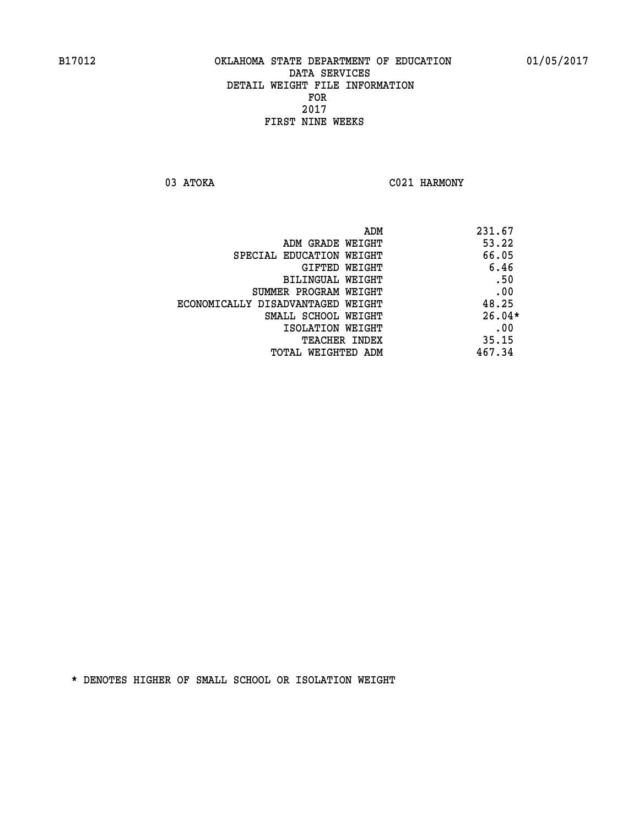03 ATOKA C021 HARMONY

|                                   | 231.67<br>ADM |
|-----------------------------------|---------------|
| ADM GRADE WEIGHT                  | 53.22         |
| SPECIAL EDUCATION WEIGHT          | 66.05         |
| GIFTED WEIGHT                     | 6.46          |
| BILINGUAL WEIGHT                  | .50           |
| SUMMER PROGRAM WEIGHT             | .00           |
| ECONOMICALLY DISADVANTAGED WEIGHT | 48.25         |
| SMALL SCHOOL WEIGHT               | $26.04*$      |
| ISOLATION WEIGHT                  | .00           |
| <b>TEACHER INDEX</b>              | 35.15         |
| TOTAL WEIGHTED ADM                | 467.34        |
|                                   |               |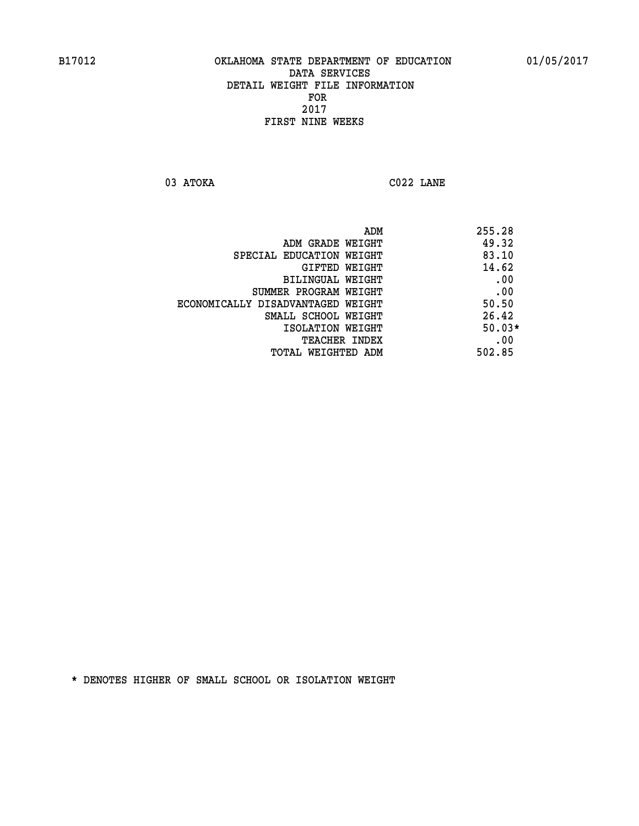**03 ATOKA C022 LANE** 

| ADM                               | 255.28   |
|-----------------------------------|----------|
| ADM GRADE WEIGHT                  | 49.32    |
| SPECIAL EDUCATION WEIGHT          | 83.10    |
| GIFTED WEIGHT                     | 14.62    |
| BILINGUAL WEIGHT                  | .00      |
| SUMMER PROGRAM WEIGHT             | .00      |
| ECONOMICALLY DISADVANTAGED WEIGHT | 50.50    |
| SMALL SCHOOL WEIGHT               | 26.42    |
| ISOLATION WEIGHT                  | $50.03*$ |
| <b>TEACHER INDEX</b>              | .00      |
| TOTAL WEIGHTED ADM                | 502.85   |
|                                   |          |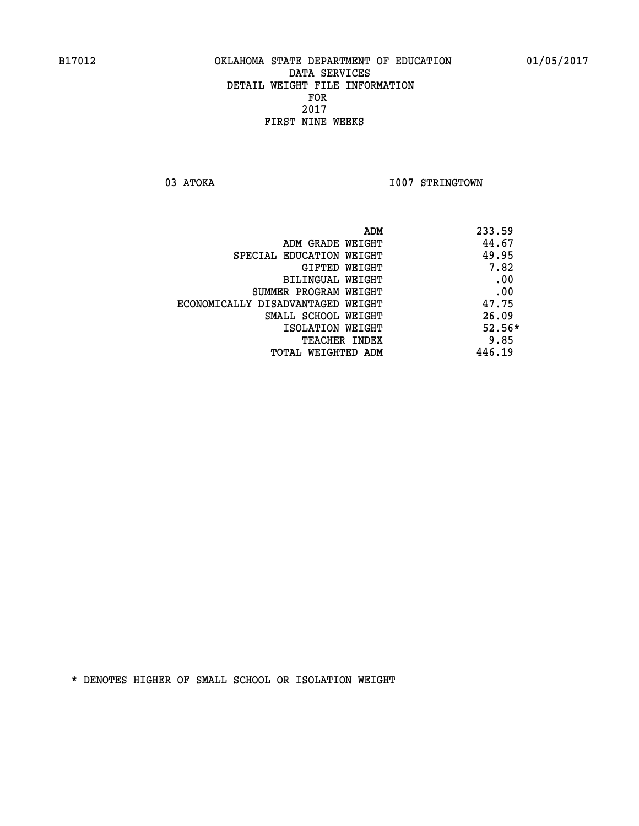03 ATOKA **I007 STRINGTOWN** 

| ADM                               | 233.59   |
|-----------------------------------|----------|
| ADM GRADE WEIGHT                  | 44.67    |
| SPECIAL EDUCATION WEIGHT          | 49.95    |
| GIFTED WEIGHT                     | 7.82     |
| BILINGUAL WEIGHT                  | .00      |
| SUMMER PROGRAM WEIGHT             | .00      |
| ECONOMICALLY DISADVANTAGED WEIGHT | 47.75    |
| SMALL SCHOOL WEIGHT               | 26.09    |
| ISOLATION WEIGHT                  | $52.56*$ |
| <b>TEACHER INDEX</b>              | 9.85     |
| TOTAL WEIGHTED ADM                | 446.19   |
|                                   |          |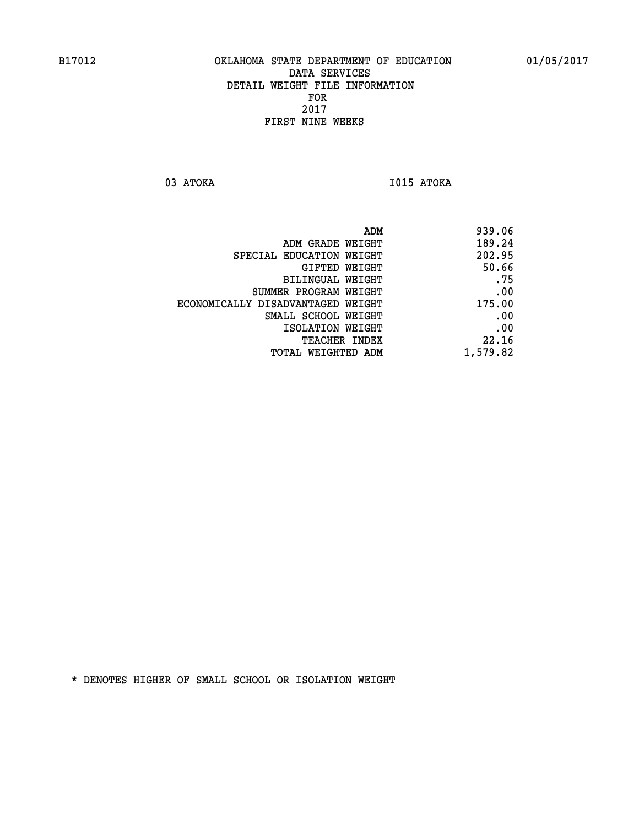**03 ATOKA I015 ATOKA** 

| ADM                               | 939.06   |
|-----------------------------------|----------|
| ADM GRADE WEIGHT                  | 189.24   |
| SPECIAL EDUCATION WEIGHT          | 202.95   |
| GIFTED WEIGHT                     | 50.66    |
| BILINGUAL WEIGHT                  | .75      |
| SUMMER PROGRAM WEIGHT             | .00      |
| ECONOMICALLY DISADVANTAGED WEIGHT | 175.00   |
| SMALL SCHOOL WEIGHT               | .00      |
| ISOLATION WEIGHT                  | .00      |
| <b>TEACHER INDEX</b>              | 22.16    |
| TOTAL WEIGHTED ADM                | 1,579.82 |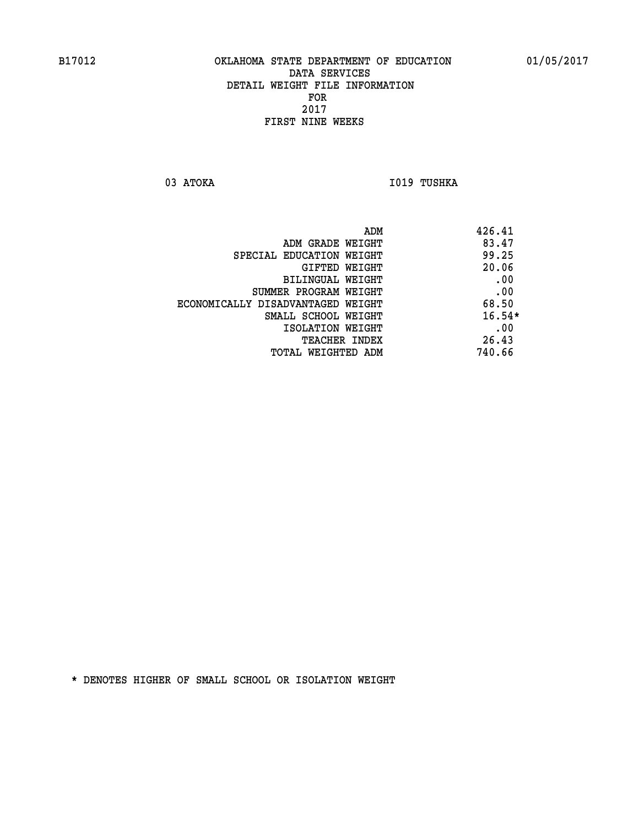03 ATOKA **I019 TUSHKA** 

| 426.41   | ADM                               |
|----------|-----------------------------------|
| 83.47    | ADM GRADE WEIGHT                  |
| 99.25    | SPECIAL EDUCATION WEIGHT          |
| 20.06    | <b>GIFTED WEIGHT</b>              |
| .00      | BILINGUAL WEIGHT                  |
| .00      | SUMMER PROGRAM WEIGHT             |
| 68.50    | ECONOMICALLY DISADVANTAGED WEIGHT |
| $16.54*$ | SMALL SCHOOL WEIGHT               |
| .00      | ISOLATION WEIGHT                  |
| 26.43    | <b>TEACHER INDEX</b>              |
| 740.66   | TOTAL WEIGHTED ADM                |
|          |                                   |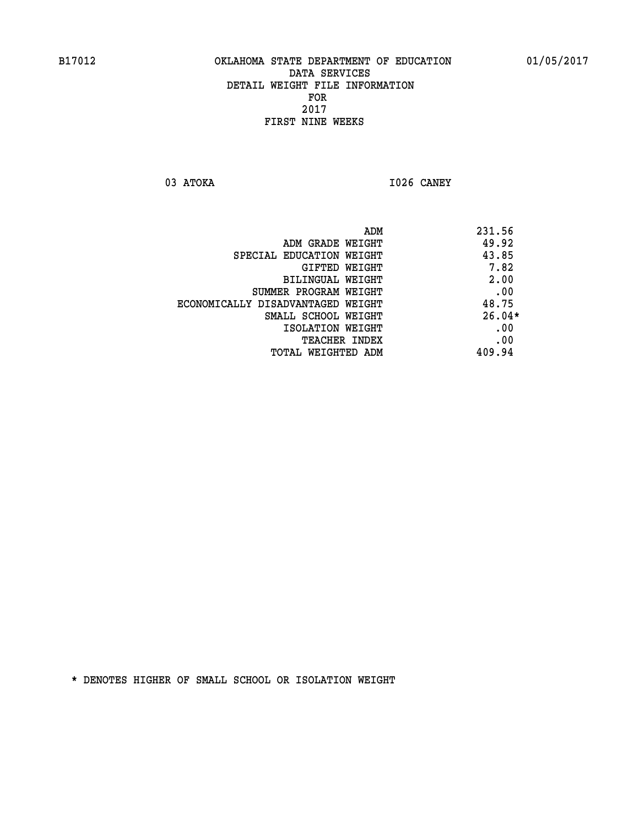**03 ATOKA I026 CANEY** 

 **ADM 231.56 ADM GRADE WEIGHT 49.92 SPECIAL EDUCATION WEIGHT 43.85 GIFTED WEIGHT 7.82 BILINGUAL WEIGHT 2.00 SUMMER PROGRAM WEIGHT .00 ECONOMICALLY DISADVANTAGED WEIGHT 48.75 SMALL SCHOOL WEIGHT 26.04\* EXECUTED ISOLATION WEIGHT AND RESOLATION WEIGHT TEACHER INDEX** .00  **TOTAL WEIGHTED ADM 409.94**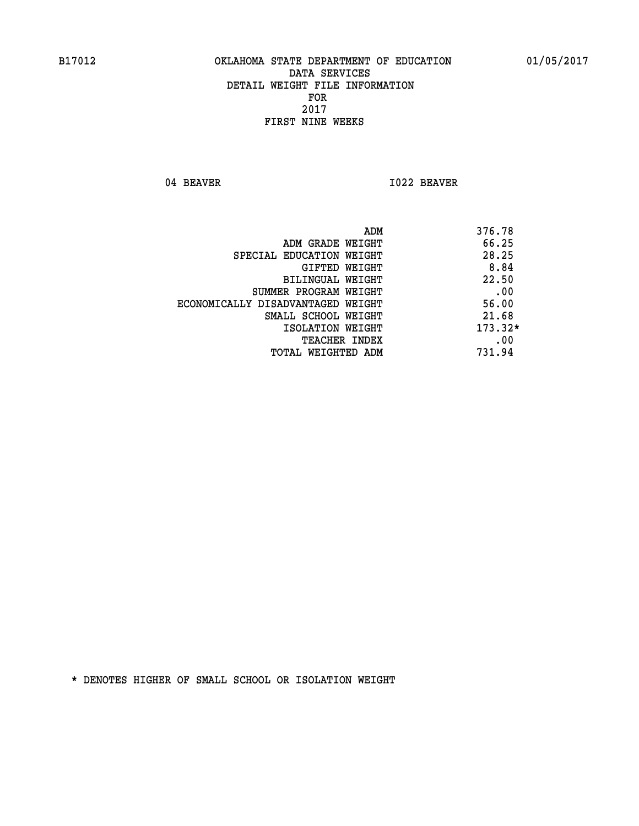04 BEAVER 1022 BEAVER

|                                   | ADM | 376.78    |
|-----------------------------------|-----|-----------|
| ADM GRADE WEIGHT                  |     | 66.25     |
| SPECIAL EDUCATION WEIGHT          |     | 28.25     |
| GIFTED WEIGHT                     |     | 8.84      |
| BILINGUAL WEIGHT                  |     | 22.50     |
| SUMMER PROGRAM WEIGHT             |     | .00       |
| ECONOMICALLY DISADVANTAGED WEIGHT |     | 56.00     |
| SMALL SCHOOL WEIGHT               |     | 21.68     |
| ISOLATION WEIGHT                  |     | $173.32*$ |
| TEACHER INDEX                     |     | .00       |
| TOTAL WEIGHTED ADM                |     | 731.94    |
|                                   |     |           |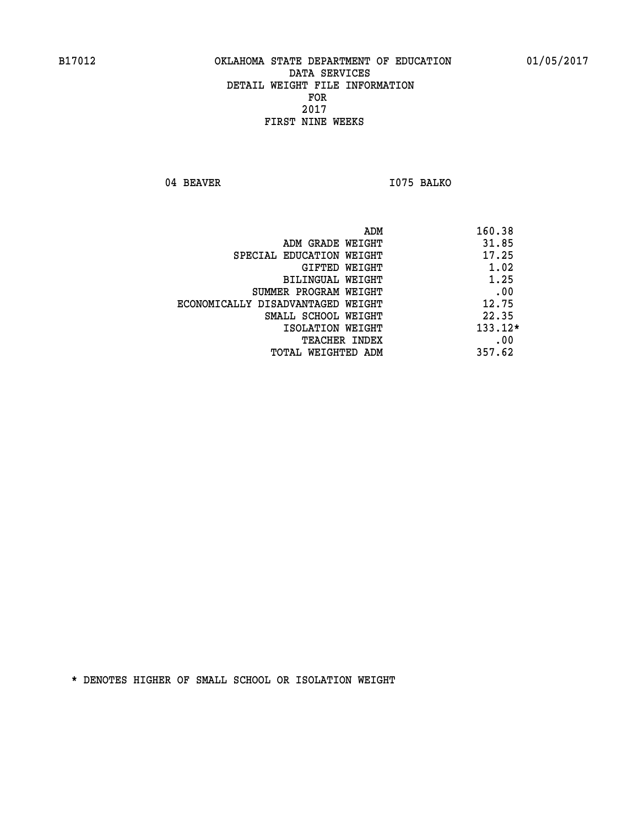04 BEAVER 1075 BALKO

| ADM                               | 160.38    |
|-----------------------------------|-----------|
| ADM GRADE WEIGHT                  | 31.85     |
| SPECIAL EDUCATION WEIGHT          | 17.25     |
| GIFTED WEIGHT                     | 1.02      |
| BILINGUAL WEIGHT                  | 1.25      |
| SUMMER PROGRAM WEIGHT             | .00       |
| ECONOMICALLY DISADVANTAGED WEIGHT | 12.75     |
| SMALL SCHOOL WEIGHT               | 22.35     |
| ISOLATION WEIGHT                  | $133.12*$ |
| <b>TEACHER INDEX</b>              | .00       |
| TOTAL WEIGHTED ADM                | 357.62    |
|                                   |           |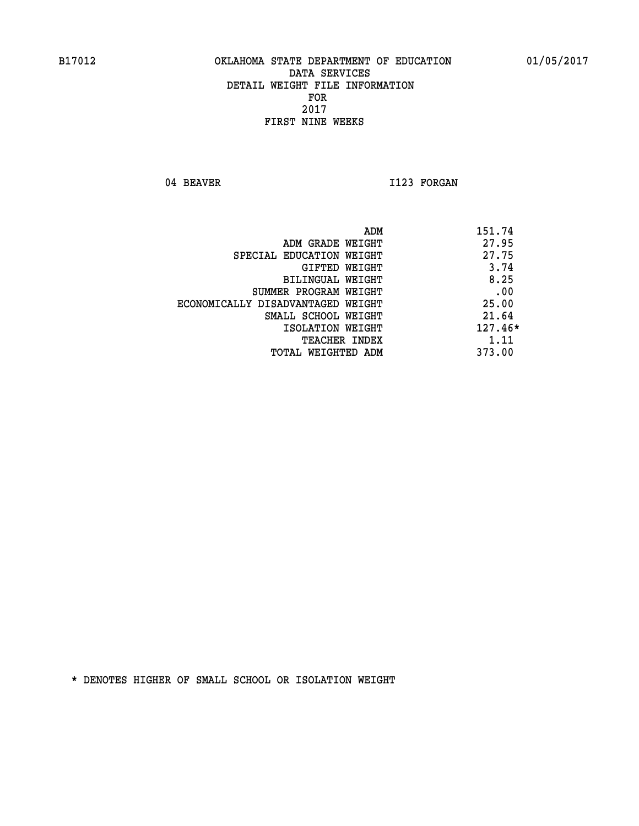04 BEAVER 1123 FORGAN

|                                   | 151.74<br>ADM |
|-----------------------------------|---------------|
| ADM GRADE WEIGHT                  | 27.95         |
| SPECIAL EDUCATION WEIGHT          | 27.75         |
| GIFTED WEIGHT                     | 3.74          |
| BILINGUAL WEIGHT                  | 8.25          |
| SUMMER PROGRAM WEIGHT             | .00           |
| ECONOMICALLY DISADVANTAGED WEIGHT | 25.00         |
| SMALL SCHOOL WEIGHT               | 21.64         |
| ISOLATION WEIGHT                  | $127.46*$     |
| TEACHER INDEX                     | 1.11          |
| TOTAL WEIGHTED ADM                | 373.00        |
|                                   |               |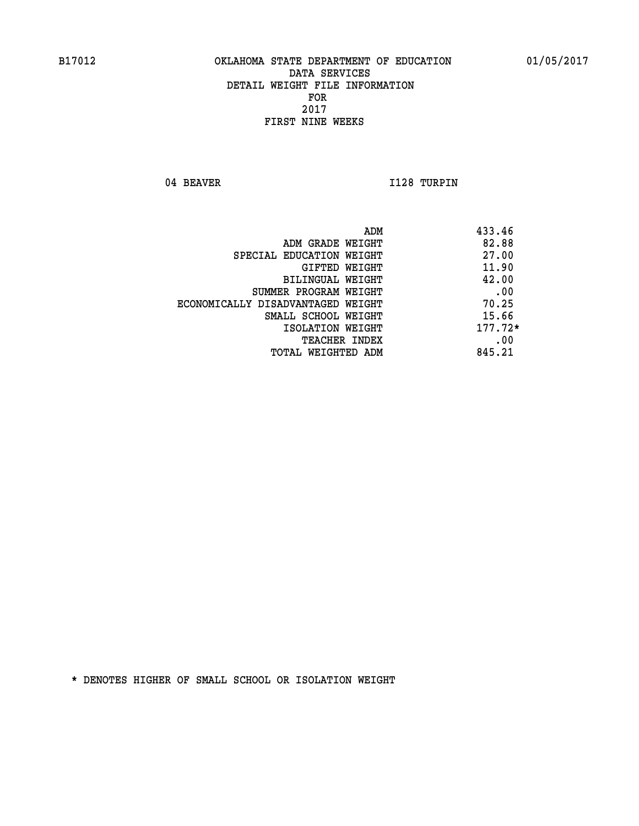04 BEAVER 1128 TURPIN

| ADM                               | 433.46    |
|-----------------------------------|-----------|
| ADM GRADE WEIGHT                  | 82.88     |
| SPECIAL EDUCATION WEIGHT          | 27.00     |
| GIFTED WEIGHT                     | 11.90     |
| BILINGUAL WEIGHT                  | 42.00     |
| SUMMER PROGRAM WEIGHT             | .00       |
| ECONOMICALLY DISADVANTAGED WEIGHT | 70.25     |
| SMALL SCHOOL WEIGHT               | 15.66     |
| ISOLATION WEIGHT                  | $177.72*$ |
| TEACHER INDEX                     | .00       |
| TOTAL WEIGHTED ADM                | 845.21    |
|                                   |           |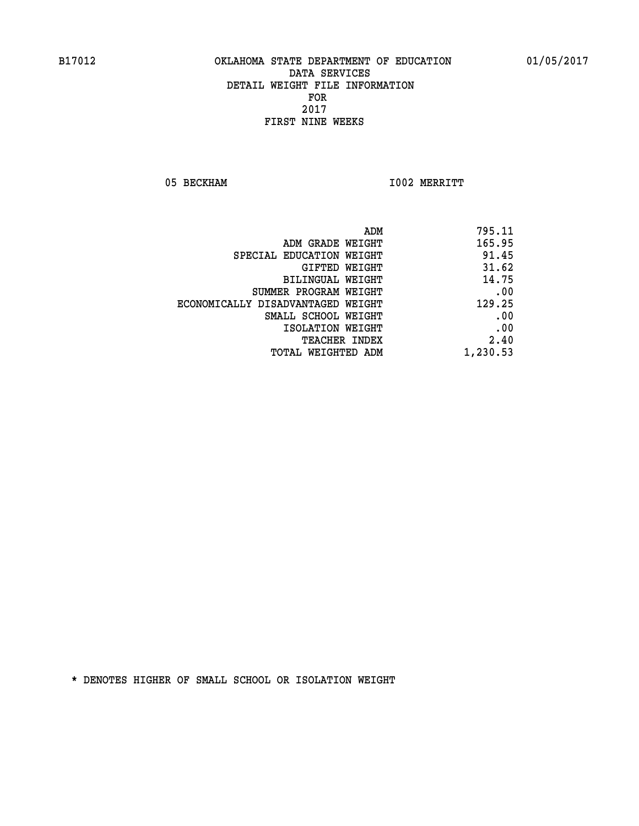05 BECKHAM 1002 MERRITT

| 795.11   |
|----------|
| 165.95   |
| 91.45    |
| 31.62    |
| 14.75    |
| .00      |
| 129.25   |
| .00      |
| .00      |
| 2.40     |
| 1,230.53 |
|          |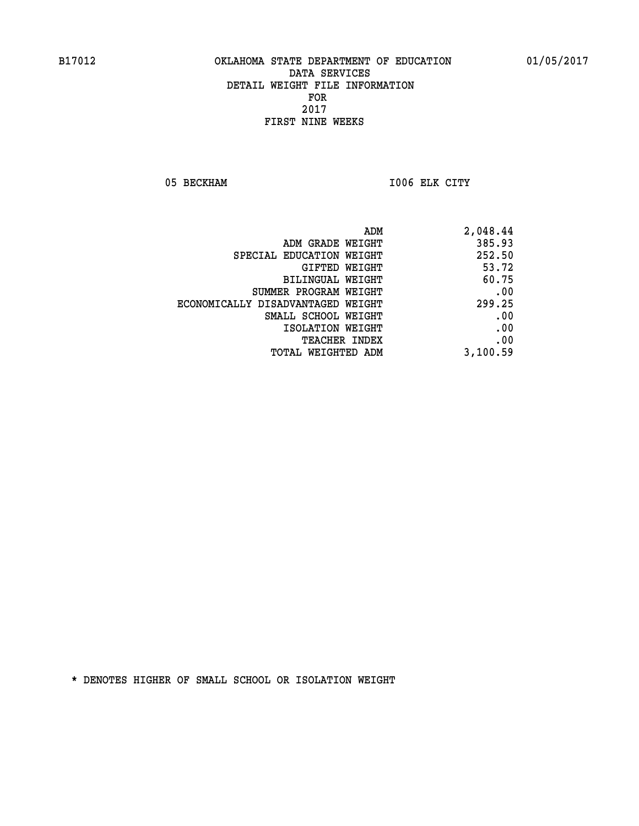05 BECKHAM 1006 ELK CITY

|                                   | ADM<br>2,048.44 |
|-----------------------------------|-----------------|
| ADM GRADE WEIGHT                  | 385.93          |
| SPECIAL EDUCATION WEIGHT          | 252.50          |
| GIFTED WEIGHT                     | 53.72           |
| <b>BILINGUAL WEIGHT</b>           | 60.75           |
| SUMMER PROGRAM WEIGHT             | .00             |
| ECONOMICALLY DISADVANTAGED WEIGHT | 299.25          |
| SMALL SCHOOL WEIGHT               | .00             |
| ISOLATION WEIGHT                  | .00             |
| TEACHER INDEX                     | .00             |
| TOTAL WEIGHTED ADM                | 3,100.59        |
|                                   |                 |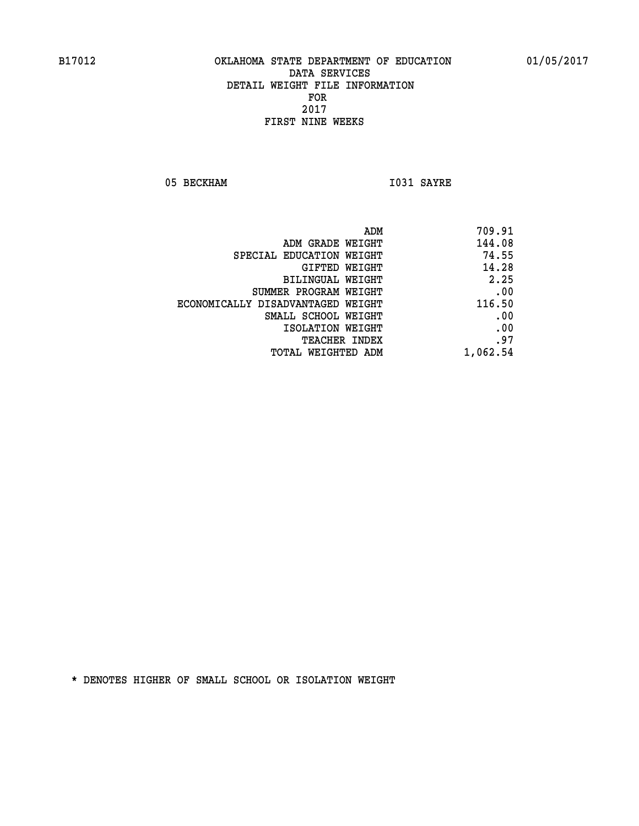05 BECKHAM 1031 SAYRE

| 709.91   |
|----------|
| 144.08   |
| 74.55    |
| 14.28    |
| 2.25     |
| .00      |
| 116.50   |
| .00      |
| .00      |
| .97      |
| 1,062.54 |
|          |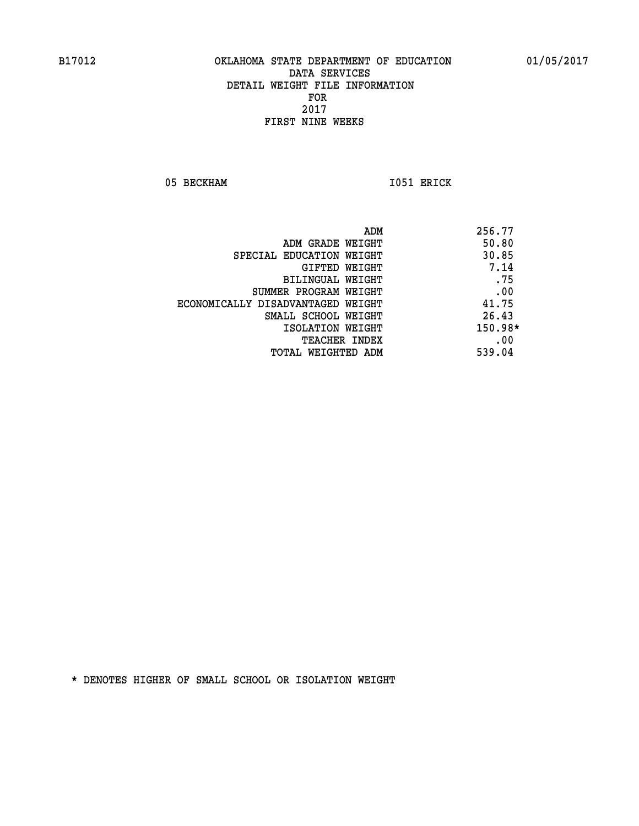05 BECKHAM 1051 ERICK

|                                   | ADM | 256.77    |
|-----------------------------------|-----|-----------|
| ADM GRADE WEIGHT                  |     | 50.80     |
| SPECIAL EDUCATION WEIGHT          |     | 30.85     |
| GIFTED WEIGHT                     |     | 7.14      |
| BILINGUAL WEIGHT                  |     | .75       |
| SUMMER PROGRAM WEIGHT             |     | .00       |
| ECONOMICALLY DISADVANTAGED WEIGHT |     | 41.75     |
| SMALL SCHOOL WEIGHT               |     | 26.43     |
| ISOLATION WEIGHT                  |     | $150.98*$ |
| <b>TEACHER INDEX</b>              |     | .00       |
| TOTAL WEIGHTED ADM                |     | 539.04    |
|                                   |     |           |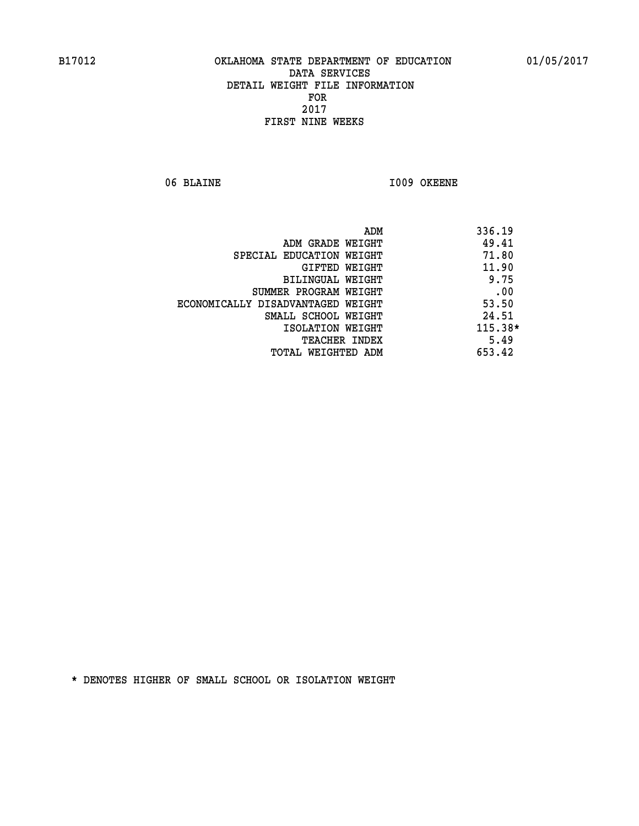06 BLAINE 1009 OKEENE

|                                   | ADM<br>336.19 |
|-----------------------------------|---------------|
| ADM GRADE WEIGHT                  | 49.41         |
| SPECIAL EDUCATION WEIGHT          | 71.80         |
| GIFTED WEIGHT                     | 11.90         |
| BILINGUAL WEIGHT                  | 9.75          |
| SUMMER PROGRAM WEIGHT             | .00           |
| ECONOMICALLY DISADVANTAGED WEIGHT | 53.50         |
| SMALL SCHOOL WEIGHT               | 24.51         |
| ISOLATION WEIGHT                  | $115.38*$     |
| TEACHER INDEX                     | 5.49          |
| TOTAL WEIGHTED ADM                | 653.42        |
|                                   |               |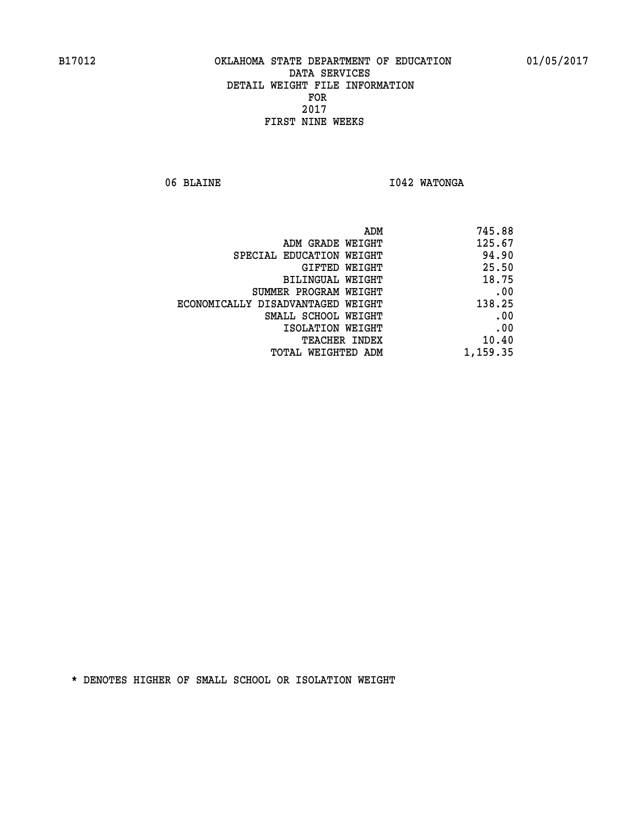06 BLAINE **I042 WATONGA** 

| 745.88   |
|----------|
| 125.67   |
| 94.90    |
| 25.50    |
| 18.75    |
| .00      |
| 138.25   |
| .00      |
| .00      |
| 10.40    |
| 1,159.35 |
|          |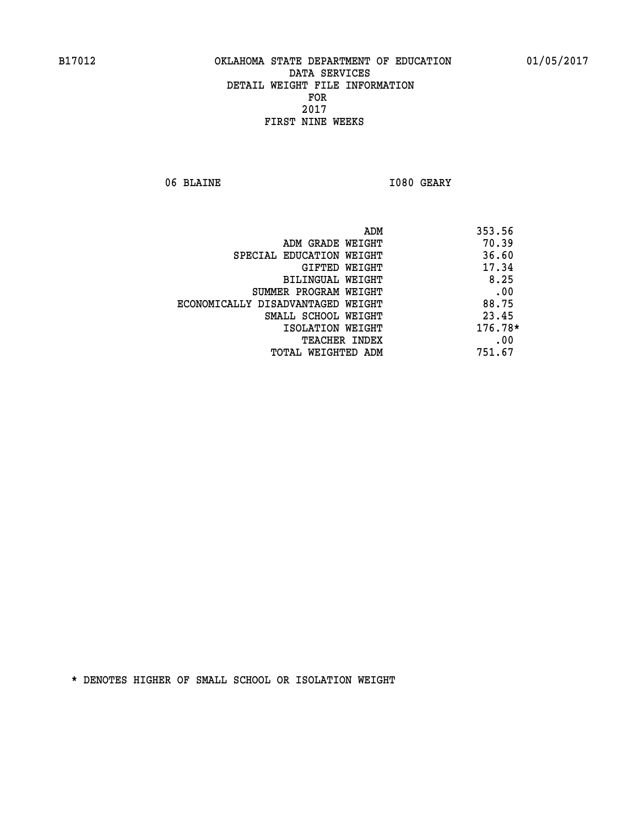06 BLAINE **I080 GEARY** 

| ADM                               | 353.56  |
|-----------------------------------|---------|
| ADM GRADE WEIGHT                  | 70.39   |
| SPECIAL EDUCATION WEIGHT          | 36.60   |
| GIFTED WEIGHT                     | 17.34   |
| BILINGUAL WEIGHT                  | 8.25    |
| SUMMER PROGRAM WEIGHT             | .00     |
| ECONOMICALLY DISADVANTAGED WEIGHT | 88.75   |
| SMALL SCHOOL WEIGHT               | 23.45   |
| ISOLATION WEIGHT                  | 176.78* |
| TEACHER INDEX                     | .00     |
| TOTAL WEIGHTED ADM                | 751.67  |
|                                   |         |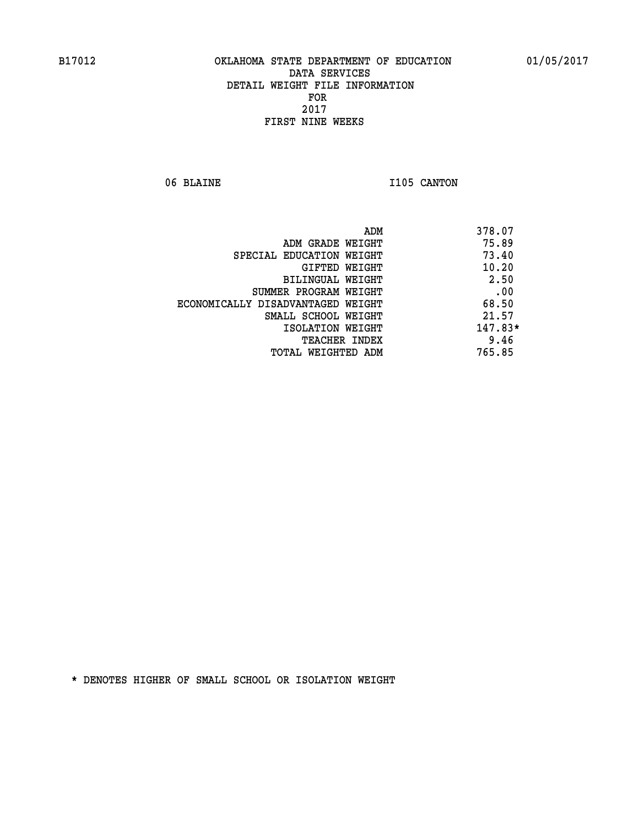06 BLAINE **I105 CANTON** 

| ADM                               | 378.07    |
|-----------------------------------|-----------|
| ADM GRADE WEIGHT                  | 75.89     |
| SPECIAL EDUCATION WEIGHT          | 73.40     |
| GIFTED WEIGHT                     | 10.20     |
| BILINGUAL WEIGHT                  | 2.50      |
| SUMMER PROGRAM WEIGHT             | .00       |
| ECONOMICALLY DISADVANTAGED WEIGHT | 68.50     |
| SMALL SCHOOL WEIGHT               | 21.57     |
| ISOLATION WEIGHT                  | $147.83*$ |
| <b>TEACHER INDEX</b>              | 9.46      |
| TOTAL WEIGHTED ADM                | 765.85    |
|                                   |           |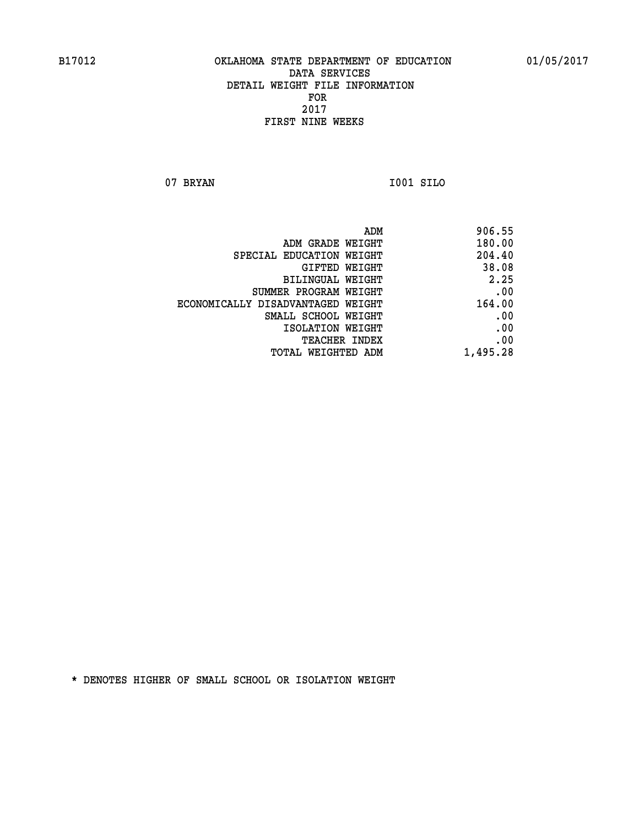**07 BRYAN I001 SILO** 

 **ADM 906.55 ADM GRADE WEIGHT 180.00 SPECIAL EDUCATION WEIGHT 204.40 GIFTED WEIGHT 38.08 BILINGUAL WEIGHT 2.25 SUMMER PROGRAM WEIGHT .00 ECONOMICALLY DISADVANTAGED WEIGHT 164.00 SMALL SCHOOL WEIGHT .00 EXECUTED ISOLATION WEIGHT AND RESOLATION WEIGHT TEACHER INDEX** .00

 **TOTAL WEIGHTED ADM 1,495.28**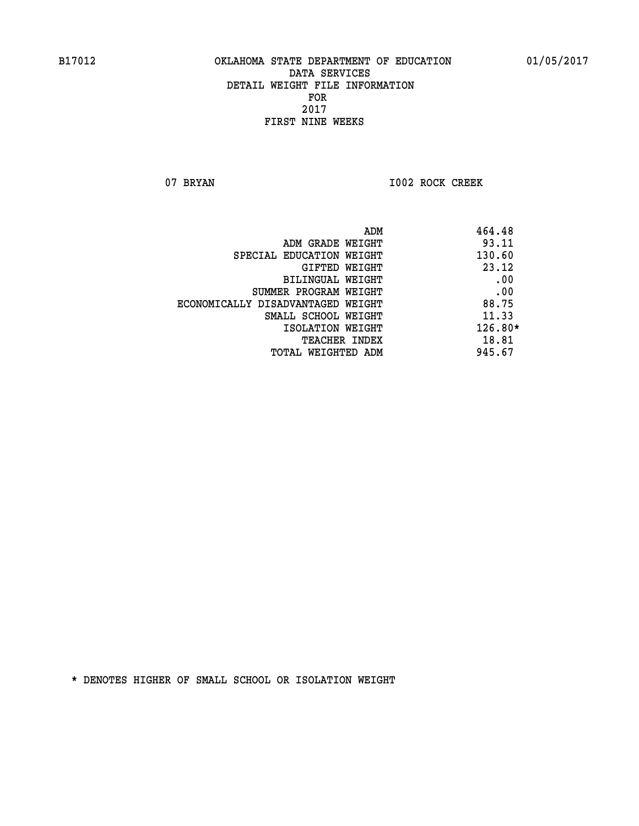07 BRYAN 1002 ROCK CREEK

| 464.48<br>ADM                              |  |
|--------------------------------------------|--|
| 93.11<br>ADM GRADE WEIGHT                  |  |
| 130.60<br>SPECIAL EDUCATION WEIGHT         |  |
| 23.12<br>GIFTED WEIGHT                     |  |
| .00<br>BILINGUAL WEIGHT                    |  |
| .00<br>SUMMER PROGRAM WEIGHT               |  |
| 88.75<br>ECONOMICALLY DISADVANTAGED WEIGHT |  |
| 11.33<br>SMALL SCHOOL WEIGHT               |  |
| $126.80*$<br>ISOLATION WEIGHT              |  |
| 18.81<br><b>TEACHER INDEX</b>              |  |
| 945.67<br>TOTAL WEIGHTED ADM               |  |
|                                            |  |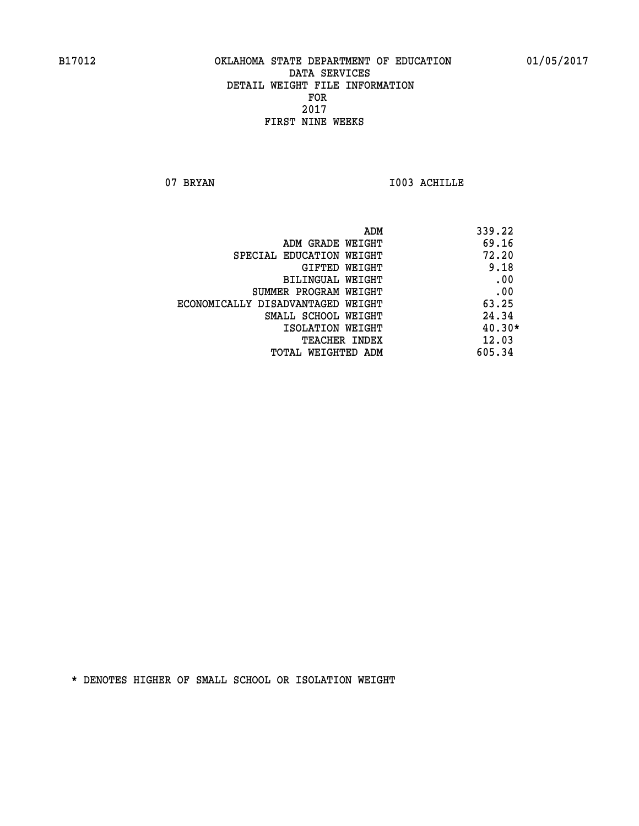07 BRYAN 1003 ACHILLE

|                                   | ADM | 339.22   |
|-----------------------------------|-----|----------|
| ADM GRADE WEIGHT                  |     | 69.16    |
| SPECIAL EDUCATION WEIGHT          |     | 72.20    |
| GIFTED WEIGHT                     |     | 9.18     |
| BILINGUAL WEIGHT                  |     | .00      |
| SUMMER PROGRAM WEIGHT             |     | .00      |
| ECONOMICALLY DISADVANTAGED WEIGHT |     | 63.25    |
| SMALL SCHOOL WEIGHT               |     | 24.34    |
| ISOLATION WEIGHT                  |     | $40.30*$ |
| <b>TEACHER INDEX</b>              |     | 12.03    |
| TOTAL WEIGHTED ADM                |     | 605.34   |
|                                   |     |          |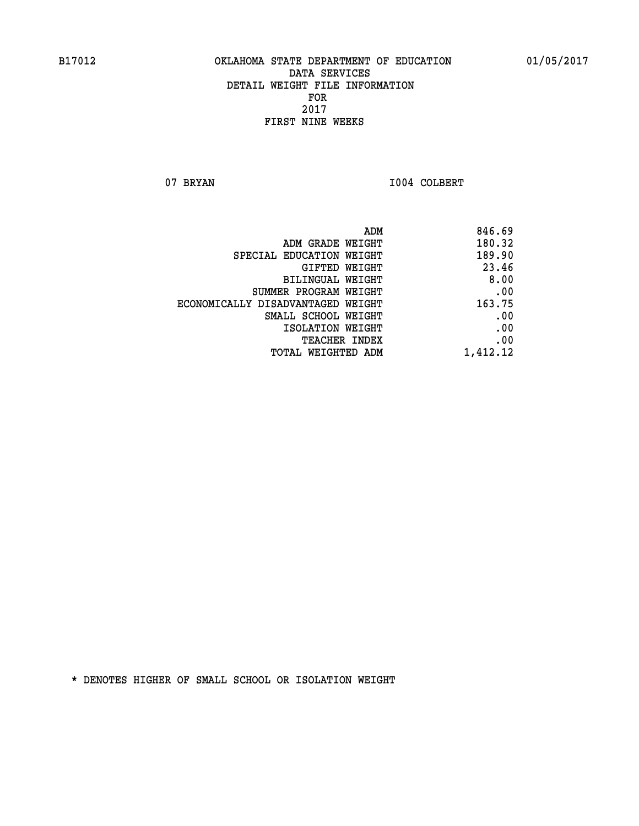07 BRYAN 1004 COLBERT

|                                   | ADM<br>846.69 |
|-----------------------------------|---------------|
| ADM GRADE WEIGHT                  | 180.32        |
| SPECIAL EDUCATION WEIGHT          | 189.90        |
| GIFTED WEIGHT                     | 23.46         |
| BILINGUAL WEIGHT                  | 8.00          |
| SUMMER PROGRAM WEIGHT             | .00           |
| ECONOMICALLY DISADVANTAGED WEIGHT | 163.75        |
| SMALL SCHOOL WEIGHT               | .00           |
| ISOLATION WEIGHT                  | .00           |
| TEACHER INDEX                     | .00           |
| TOTAL WEIGHTED ADM                | 1,412.12      |
|                                   |               |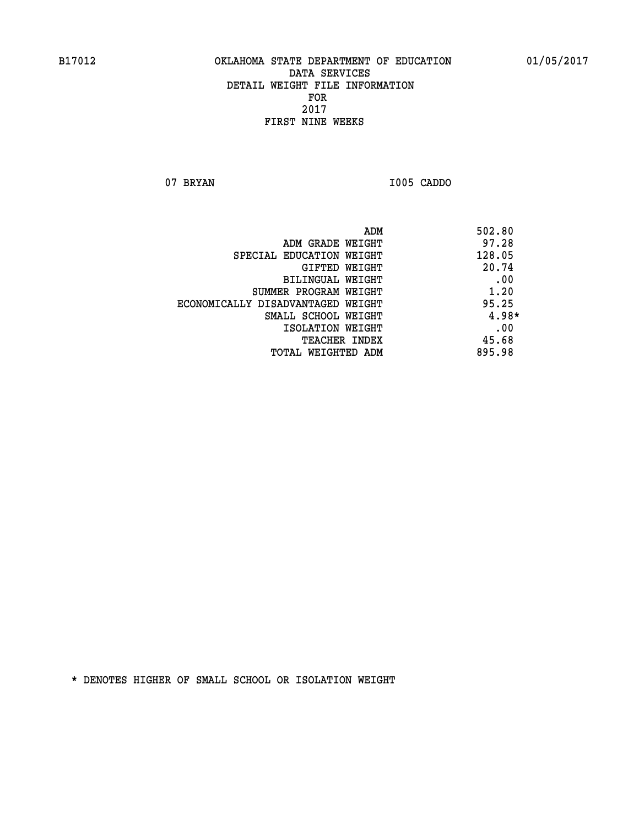**07 BRYAN I005 CADDO** 

|                                   | 502.80<br>ADM |
|-----------------------------------|---------------|
| ADM GRADE WEIGHT                  | 97.28         |
| SPECIAL EDUCATION WEIGHT          | 128.05        |
| GIFTED WEIGHT                     | 20.74         |
| BILINGUAL WEIGHT                  | .00           |
| SUMMER PROGRAM WEIGHT             | 1.20          |
| ECONOMICALLY DISADVANTAGED WEIGHT | 95.25         |
| SMALL SCHOOL WEIGHT               | $4.98*$       |
| ISOLATION WEIGHT                  | .00           |
| <b>TEACHER INDEX</b>              | 45.68         |
| TOTAL WEIGHTED ADM                | 895.98        |
|                                   |               |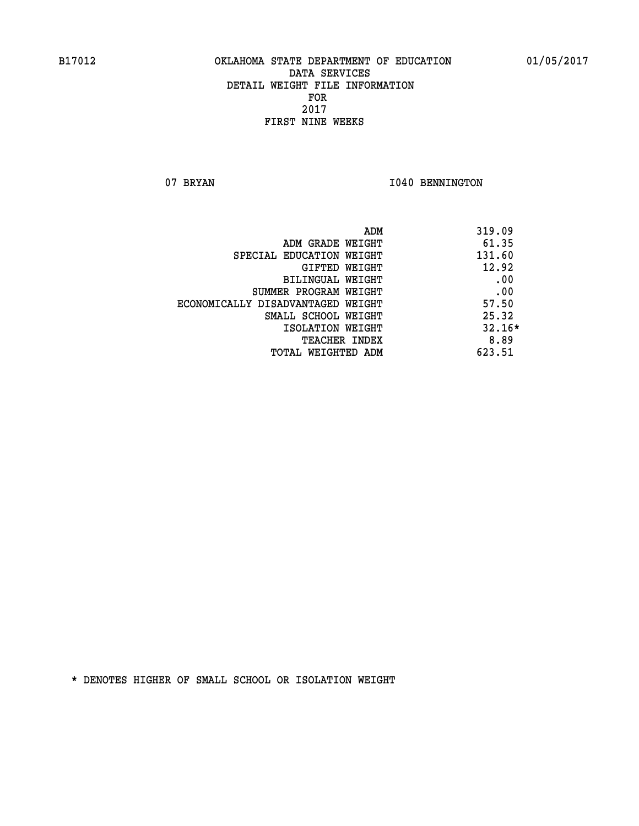07 BRYAN 1040 BENNINGTON

| 319.09<br>ADM                      |          |
|------------------------------------|----------|
| 61.35<br>ADM GRADE WEIGHT          |          |
| 131.60<br>SPECIAL EDUCATION WEIGHT |          |
| GIFTED WEIGHT                      | 12.92    |
| BILINGUAL WEIGHT                   | .00      |
| SUMMER PROGRAM WEIGHT              | .00      |
| ECONOMICALLY DISADVANTAGED WEIGHT  | 57.50    |
| SMALL SCHOOL WEIGHT                | 25.32    |
| ISOLATION WEIGHT                   | $32.16*$ |
| <b>TEACHER INDEX</b>               | 8.89     |
| 623.51<br>TOTAL WEIGHTED ADM       |          |
|                                    |          |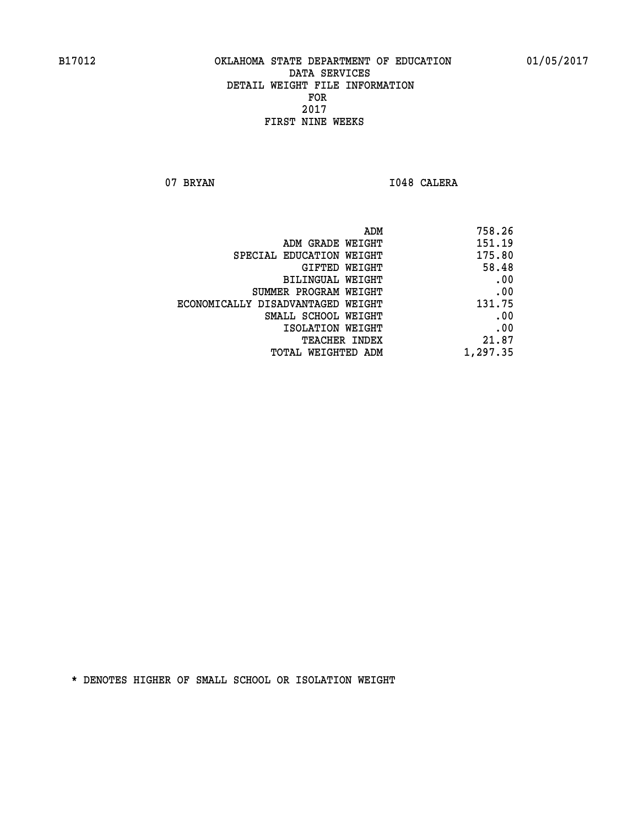07 BRYAN 1048 CALERA

| 758.26   |
|----------|
| 151.19   |
| 175.80   |
| 58.48    |
| .00      |
| .00      |
| 131.75   |
| .00      |
| .00      |
| 21.87    |
| 1,297.35 |
|          |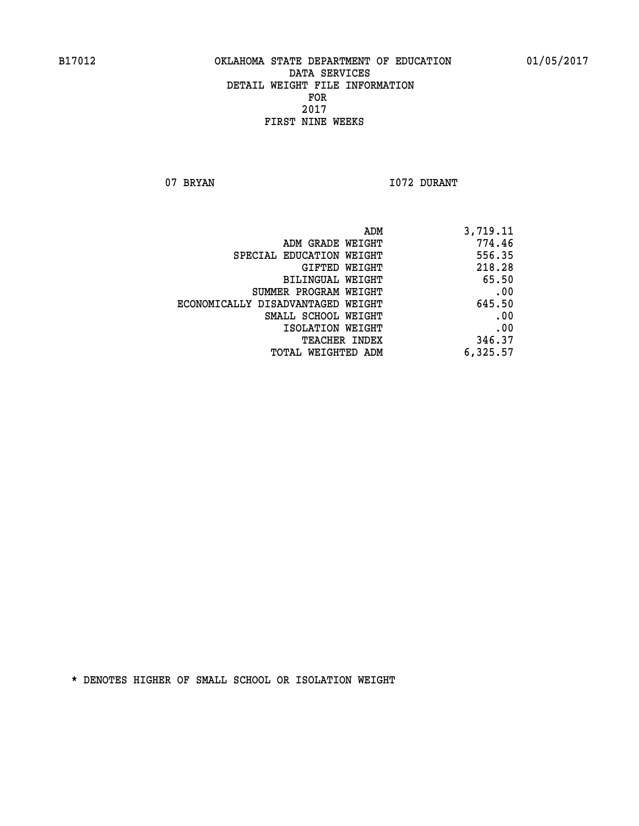07 BRYAN 1072 DURANT

| ADM                               | 3,719.11 |
|-----------------------------------|----------|
| ADM GRADE WEIGHT                  | 774.46   |
| SPECIAL EDUCATION WEIGHT          | 556.35   |
| GIFTED WEIGHT                     | 218.28   |
| BILINGUAL WEIGHT                  | 65.50    |
| SUMMER PROGRAM WEIGHT             | .00      |
| ECONOMICALLY DISADVANTAGED WEIGHT | 645.50   |
| SMALL SCHOOL WEIGHT               | .00      |
| ISOLATION WEIGHT                  | .00      |
| TEACHER INDEX                     | 346.37   |
| TOTAL WEIGHTED ADM                | 6,325.57 |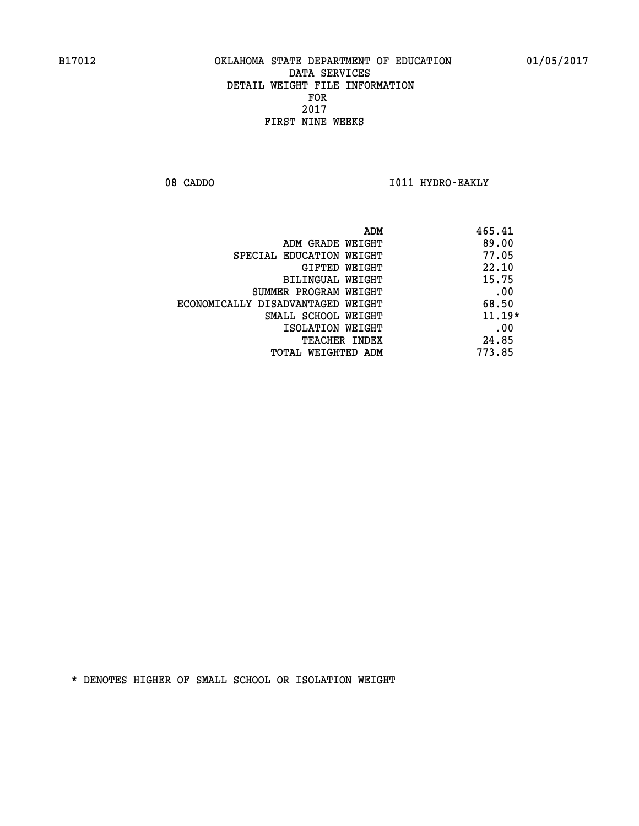08 CADDO **I011 HYDRO-EAKLY** 

| ADM                               | 465.41   |
|-----------------------------------|----------|
| ADM GRADE WEIGHT                  | 89.00    |
| SPECIAL EDUCATION WEIGHT          | 77.05    |
| GIFTED WEIGHT                     | 22.10    |
| BILINGUAL WEIGHT                  | 15.75    |
| SUMMER PROGRAM WEIGHT             | .00      |
| ECONOMICALLY DISADVANTAGED WEIGHT | 68.50    |
| SMALL SCHOOL WEIGHT               | $11.19*$ |
| ISOLATION WEIGHT                  | .00      |
| <b>TEACHER INDEX</b>              | 24.85    |
| TOTAL WEIGHTED ADM                | 773.85   |
|                                   |          |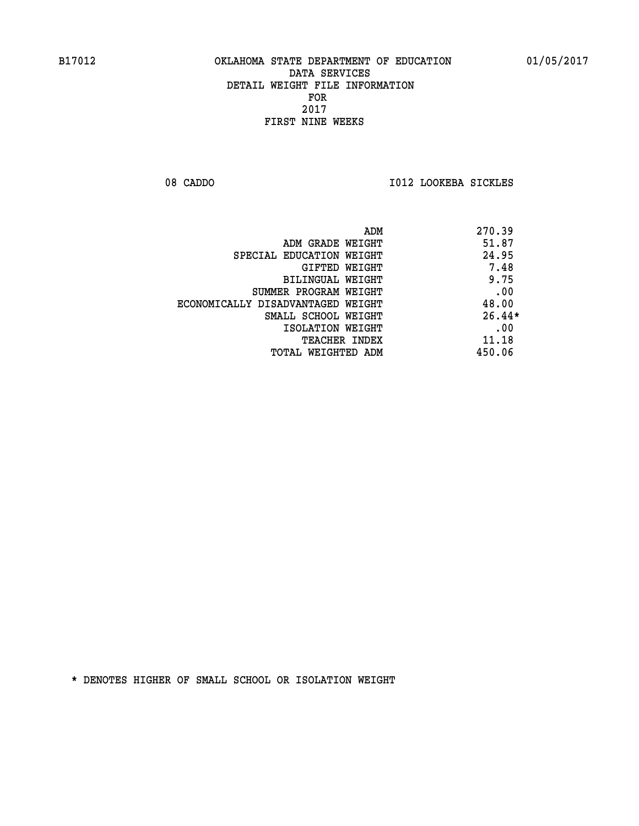08 CADDO **I012 LOOKEBA SICKLES** 

|                                   | 270.39<br>ADM |  |
|-----------------------------------|---------------|--|
| ADM GRADE WEIGHT                  | 51.87         |  |
| SPECIAL EDUCATION WEIGHT          | 24.95         |  |
| GIFTED WEIGHT                     | 7.48          |  |
| BILINGUAL WEIGHT                  | 9.75          |  |
| SUMMER PROGRAM WEIGHT             | .00           |  |
| ECONOMICALLY DISADVANTAGED WEIGHT | 48.00         |  |
| SMALL SCHOOL WEIGHT               | $26.44*$      |  |
| ISOLATION WEIGHT                  | .00           |  |
| TEACHER INDEX                     | 11.18         |  |
| TOTAL WEIGHTED ADM                | 450.06        |  |
|                                   |               |  |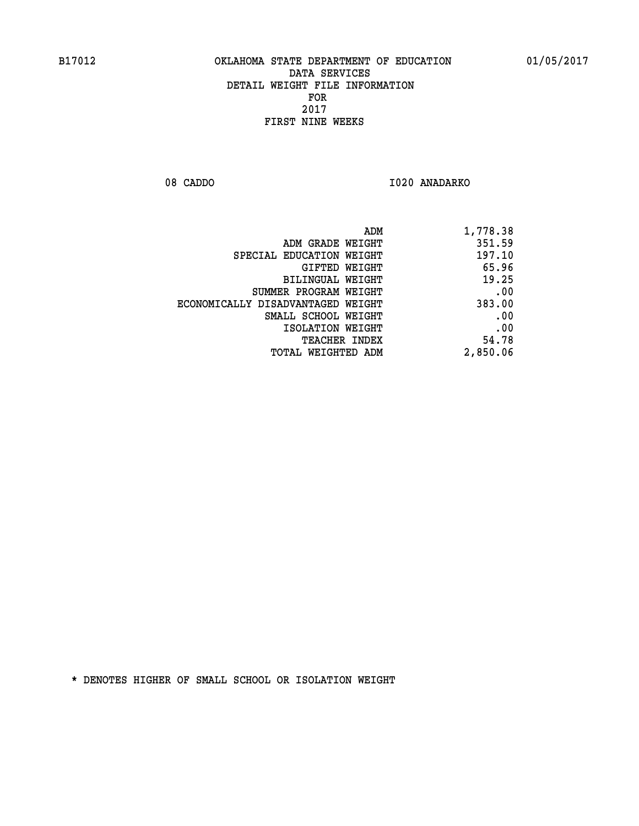08 CADDO 1020 ANADARKO

| ADM                               | 1,778.38 |
|-----------------------------------|----------|
| ADM GRADE WEIGHT                  | 351.59   |
| SPECIAL EDUCATION WEIGHT          | 197.10   |
| <b>GIFTED WEIGHT</b>              | 65.96    |
| BILINGUAL WEIGHT                  | 19.25    |
| SUMMER PROGRAM WEIGHT             | .00      |
| ECONOMICALLY DISADVANTAGED WEIGHT | 383.00   |
| SMALL SCHOOL WEIGHT               | .00      |
| ISOLATION WEIGHT                  | .00      |
| <b>TEACHER INDEX</b>              | 54.78    |
| <b>TOTAL WEIGHTED ADM</b>         | 2,850.06 |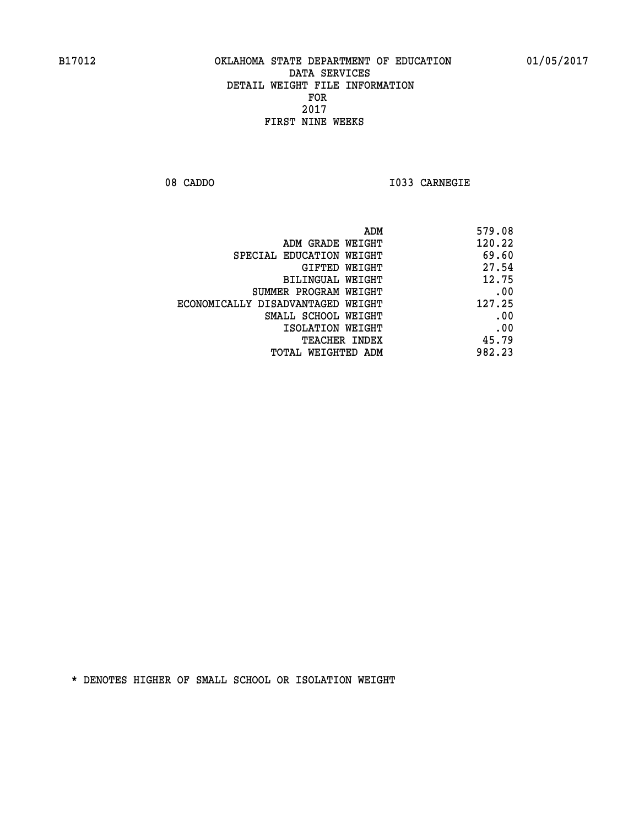**08 CADDO I033 CARNEGIE** 

| 579.08 |
|--------|
| 120.22 |
| 69.60  |
| 27.54  |
| 12.75  |
| .00    |
| 127.25 |
| .00    |
| .00    |
| 45.79  |
| 982.23 |
|        |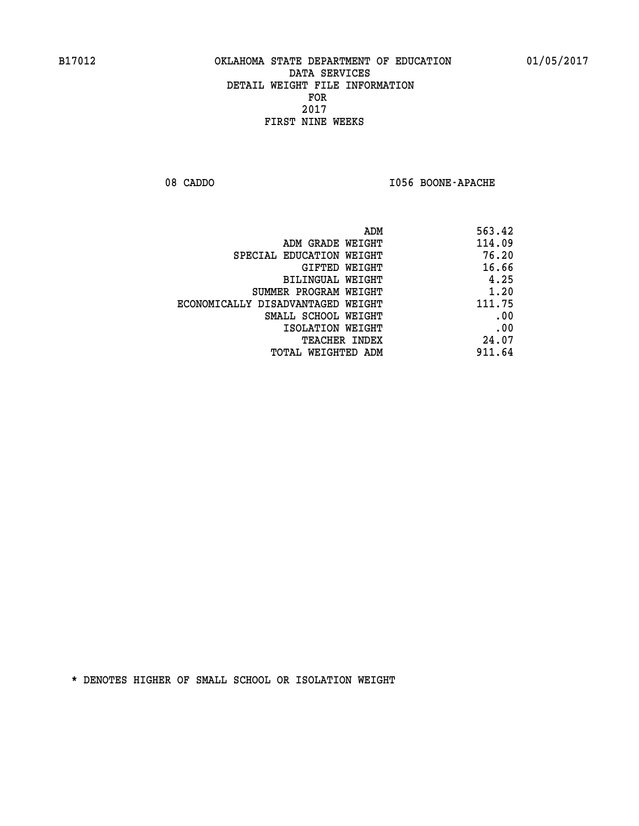08 CADDO **I056 BOONE-APACHE** 

| ADM                               | 563.42 |
|-----------------------------------|--------|
| ADM GRADE WEIGHT                  | 114.09 |
| SPECIAL EDUCATION WEIGHT          | 76.20  |
| GIFTED WEIGHT                     | 16.66  |
| BILINGUAL WEIGHT                  | 4.25   |
| SUMMER PROGRAM WEIGHT             | 1.20   |
| ECONOMICALLY DISADVANTAGED WEIGHT | 111.75 |
| SMALL SCHOOL WEIGHT               | .00    |
| ISOLATION WEIGHT                  | .00    |
| <b>TEACHER INDEX</b>              | 24.07  |
| TOTAL WEIGHTED ADM                | 911.64 |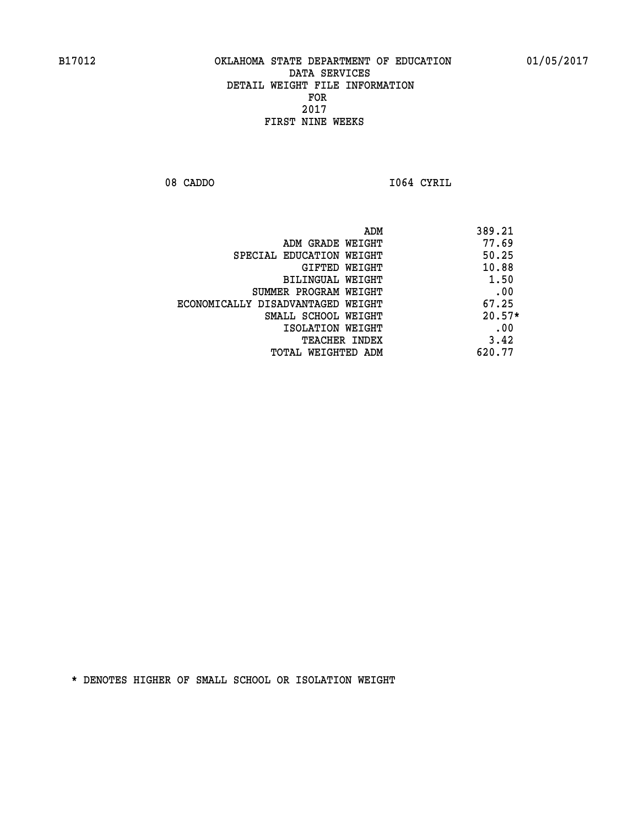08 CADDO **I064 CYRIL** 

| ADM                               | 389.21   |
|-----------------------------------|----------|
| ADM GRADE WEIGHT                  | 77.69    |
| SPECIAL EDUCATION WEIGHT          | 50.25    |
| GIFTED WEIGHT                     | 10.88    |
| BILINGUAL WEIGHT                  | 1.50     |
| SUMMER PROGRAM WEIGHT             | .00      |
| ECONOMICALLY DISADVANTAGED WEIGHT | 67.25    |
| SMALL SCHOOL WEIGHT               | $20.57*$ |
| ISOLATION WEIGHT                  | .00      |
| <b>TEACHER INDEX</b>              | 3.42     |
| TOTAL WEIGHTED ADM                | 620.77   |
|                                   |          |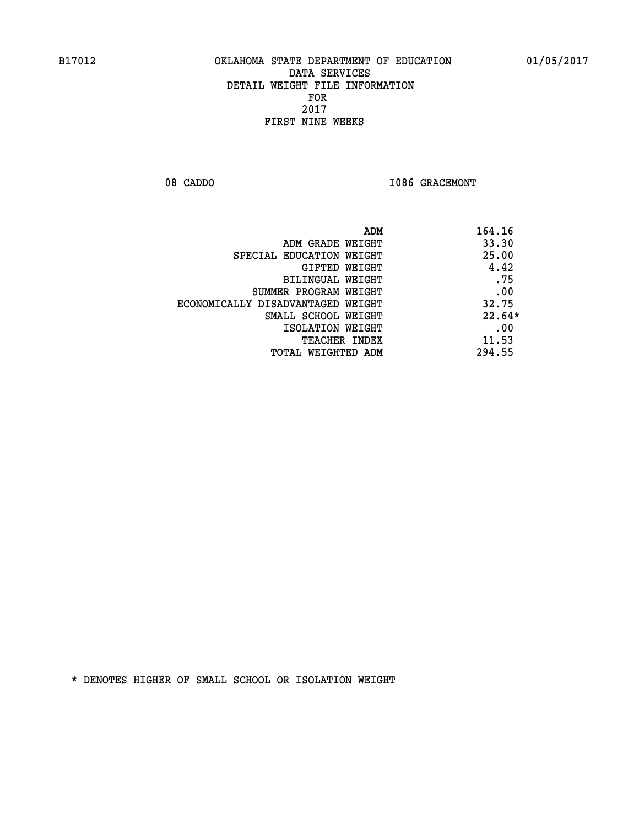08 CADDO **I086 GRACEMONT** 

| 164.16<br>ADM                 |                                   |
|-------------------------------|-----------------------------------|
| 33.30                         | ADM GRADE WEIGHT                  |
| 25.00                         | SPECIAL EDUCATION WEIGHT          |
| 4.42<br>GIFTED WEIGHT         |                                   |
| .75                           | BILINGUAL WEIGHT                  |
| .00                           | SUMMER PROGRAM WEIGHT             |
| 32.75                         | ECONOMICALLY DISADVANTAGED WEIGHT |
| $22.64*$                      | SMALL SCHOOL WEIGHT               |
| .00                           | ISOLATION WEIGHT                  |
| 11.53<br><b>TEACHER INDEX</b> |                                   |
| 294.55                        | TOTAL WEIGHTED ADM                |
|                               |                                   |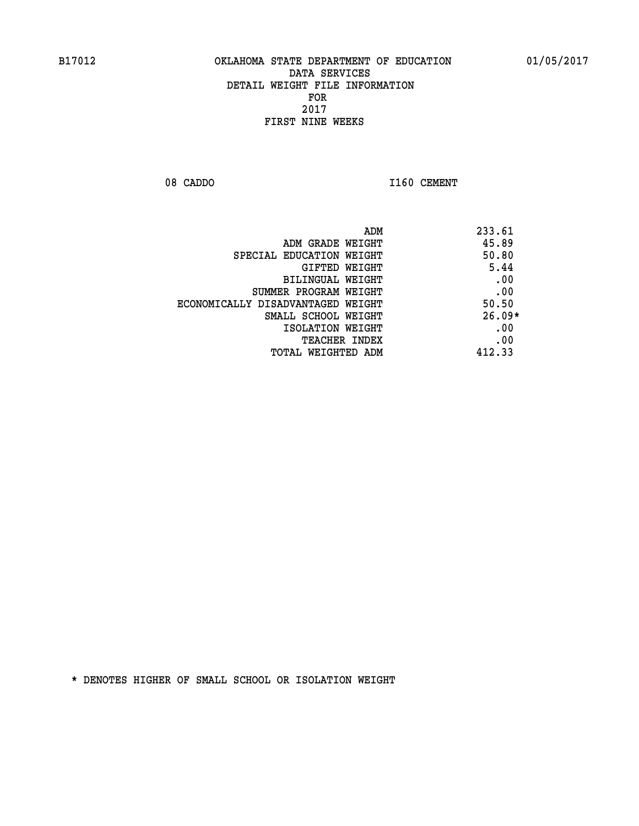08 CADDO 1160 CEMENT

| ADM                               | 233.61   |
|-----------------------------------|----------|
| ADM GRADE WEIGHT                  | 45.89    |
| SPECIAL EDUCATION WEIGHT          | 50.80    |
| GIFTED WEIGHT                     | 5.44     |
| BILINGUAL WEIGHT                  | .00      |
| SUMMER PROGRAM WEIGHT             | .00      |
| ECONOMICALLY DISADVANTAGED WEIGHT | 50.50    |
| SMALL SCHOOL WEIGHT               | $26.09*$ |
| ISOLATION WEIGHT                  | .00      |
| <b>TEACHER INDEX</b>              | .00      |
| TOTAL WEIGHTED ADM                | 412.33   |
|                                   |          |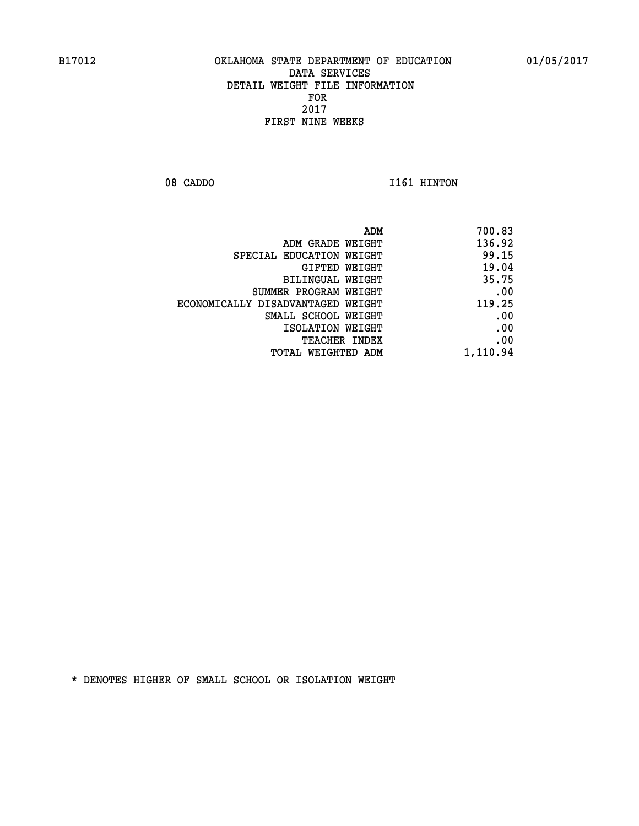08 CADDO 1161 HINTON

| ADM                               | 700.83   |
|-----------------------------------|----------|
| ADM GRADE WEIGHT                  | 136.92   |
| SPECIAL EDUCATION WEIGHT          | 99.15    |
| GIFTED WEIGHT                     | 19.04    |
| BILINGUAL WEIGHT                  | 35.75    |
| SUMMER PROGRAM WEIGHT             | .00      |
| ECONOMICALLY DISADVANTAGED WEIGHT | 119.25   |
| SMALL SCHOOL WEIGHT               | .00      |
| ISOLATION WEIGHT                  | .00      |
| TEACHER INDEX                     | .00      |
| TOTAL WEIGHTED ADM                | 1,110.94 |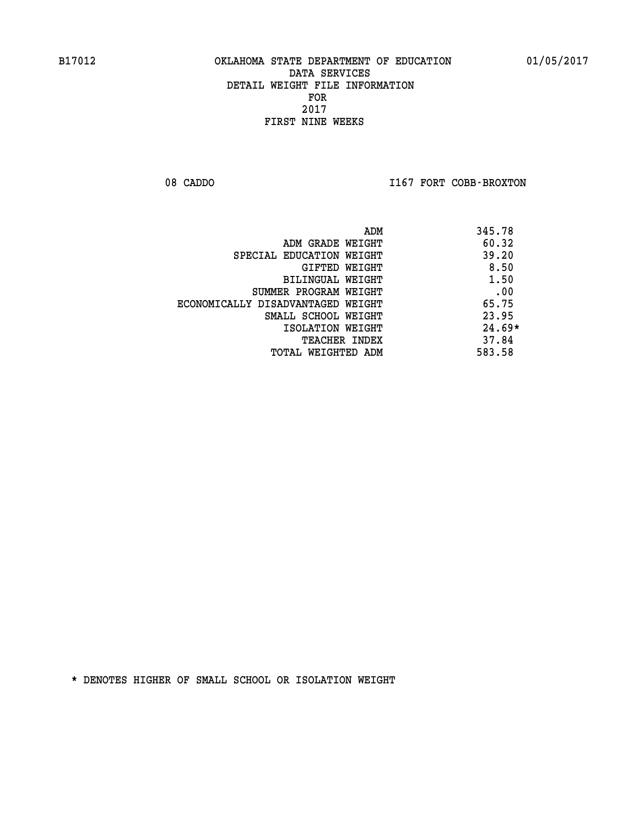08 CADDO **I167 FORT COBB-BROXTON** 

| ADM                               | 345.78   |
|-----------------------------------|----------|
| ADM GRADE WEIGHT                  | 60.32    |
| SPECIAL EDUCATION WEIGHT          | 39.20    |
| GIFTED WEIGHT                     | 8.50     |
| BILINGUAL WEIGHT                  | 1.50     |
| SUMMER PROGRAM WEIGHT             | .00      |
| ECONOMICALLY DISADVANTAGED WEIGHT | 65.75    |
| SMALL SCHOOL WEIGHT               | 23.95    |
| ISOLATION WEIGHT                  | $24.69*$ |
| <b>TEACHER INDEX</b>              | 37.84    |
| TOTAL WEIGHTED ADM                | 583.58   |
|                                   |          |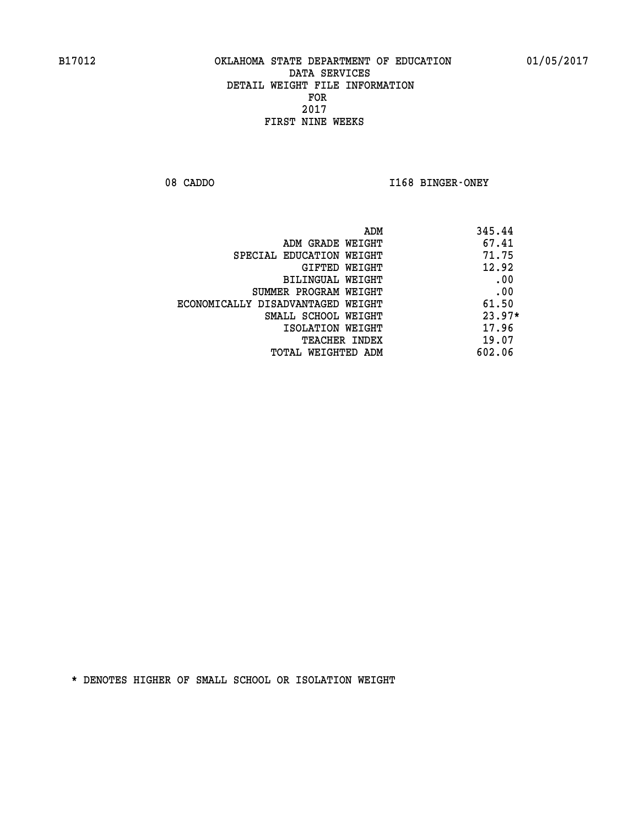08 CADDO **I168 BINGER-ONEY** 

| 345.44<br>ADM                              |  |
|--------------------------------------------|--|
| 67.41<br>ADM GRADE WEIGHT                  |  |
| 71.75<br>SPECIAL EDUCATION WEIGHT          |  |
| 12.92<br>GIFTED WEIGHT                     |  |
| .00<br>BILINGUAL WEIGHT                    |  |
| .00<br>SUMMER PROGRAM WEIGHT               |  |
| 61.50<br>ECONOMICALLY DISADVANTAGED WEIGHT |  |
| $23.97*$<br>SMALL SCHOOL WEIGHT            |  |
| 17.96<br>ISOLATION WEIGHT                  |  |
| 19.07<br><b>TEACHER INDEX</b>              |  |
| 602.06<br>TOTAL WEIGHTED ADM               |  |
|                                            |  |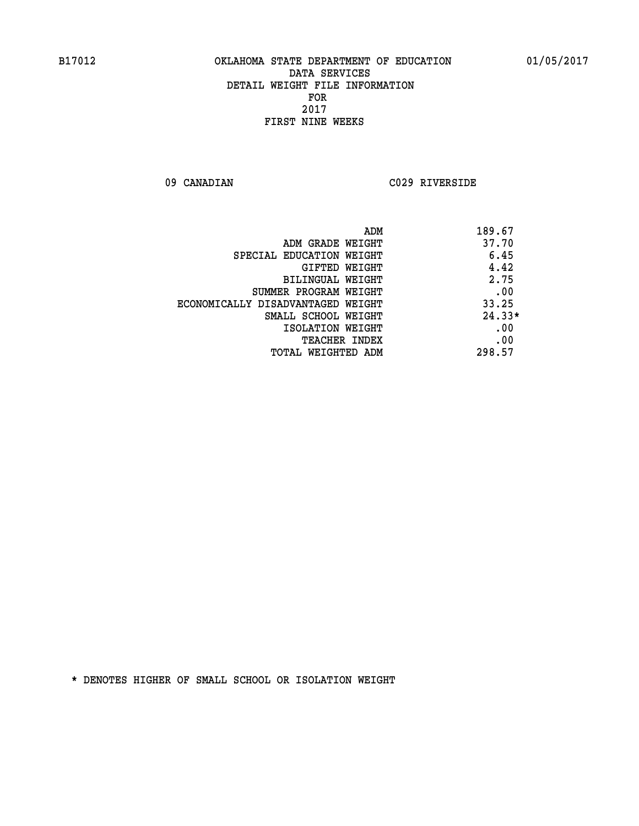**09 CANADIAN C029 RIVERSIDE** 

|                                   | 189.67<br>ADM |
|-----------------------------------|---------------|
| ADM GRADE WEIGHT                  | 37.70         |
| SPECIAL EDUCATION WEIGHT          | 6.45          |
| <b>GIFTED WEIGHT</b>              | 4.42          |
| BILINGUAL WEIGHT                  | 2.75          |
| SUMMER PROGRAM WEIGHT             | .00           |
| ECONOMICALLY DISADVANTAGED WEIGHT | 33.25         |
| SMALL SCHOOL WEIGHT               | $24.33*$      |
| ISOLATION WEIGHT                  | .00           |
| <b>TEACHER INDEX</b>              | .00           |
| TOTAL WEIGHTED ADM                | 298.57        |
|                                   |               |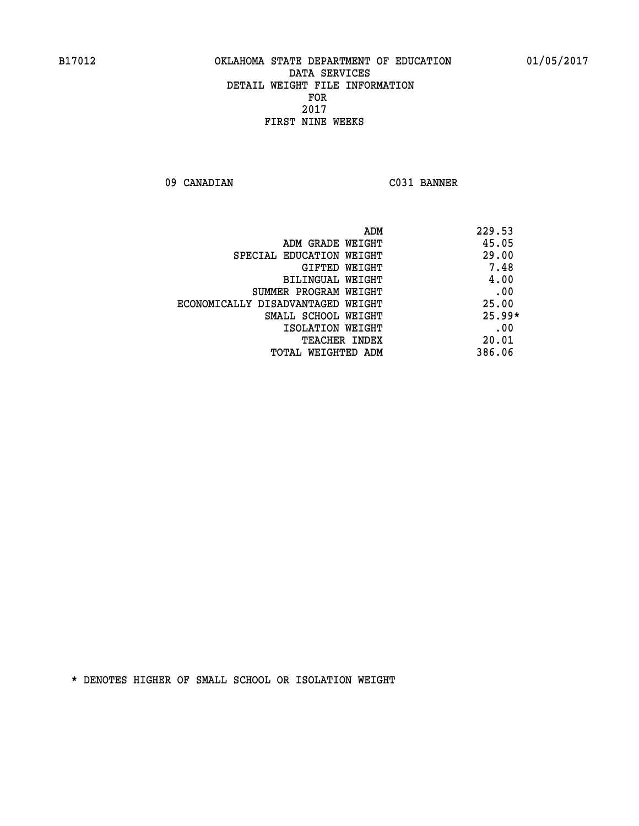**09 CANADIAN C031 BANNER** 

| ADM                               | 229.53   |
|-----------------------------------|----------|
| ADM GRADE WEIGHT                  | 45.05    |
| SPECIAL EDUCATION WEIGHT          | 29.00    |
| <b>GIFTED WEIGHT</b>              | 7.48     |
| BILINGUAL WEIGHT                  | 4.00     |
| SUMMER PROGRAM WEIGHT             | .00      |
| ECONOMICALLY DISADVANTAGED WEIGHT | 25.00    |
| SMALL SCHOOL WEIGHT               | $25.99*$ |
| ISOLATION WEIGHT                  | .00      |
| <b>TEACHER INDEX</b>              | 20.01    |
| TOTAL WEIGHTED ADM                | 386.06   |
|                                   |          |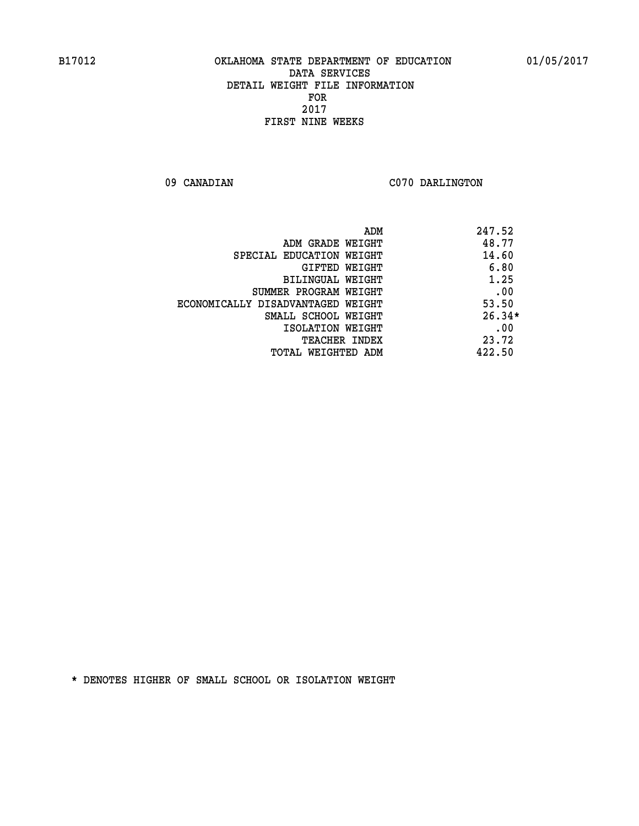09 CANADIAN C070 DARLINGTON

|                                   | 247.52<br>ADM |
|-----------------------------------|---------------|
| ADM GRADE WEIGHT                  | 48.77         |
| SPECIAL EDUCATION WEIGHT          | 14.60         |
| <b>GIFTED WEIGHT</b>              | 6.80          |
| BILINGUAL WEIGHT                  | 1.25          |
| SUMMER PROGRAM WEIGHT             | .00           |
| ECONOMICALLY DISADVANTAGED WEIGHT | 53.50         |
| SMALL SCHOOL WEIGHT               | $26.34*$      |
| ISOLATION WEIGHT                  | .00           |
| <b>TEACHER INDEX</b>              | 23.72         |
| TOTAL WEIGHTED ADM                | 422.50        |
|                                   |               |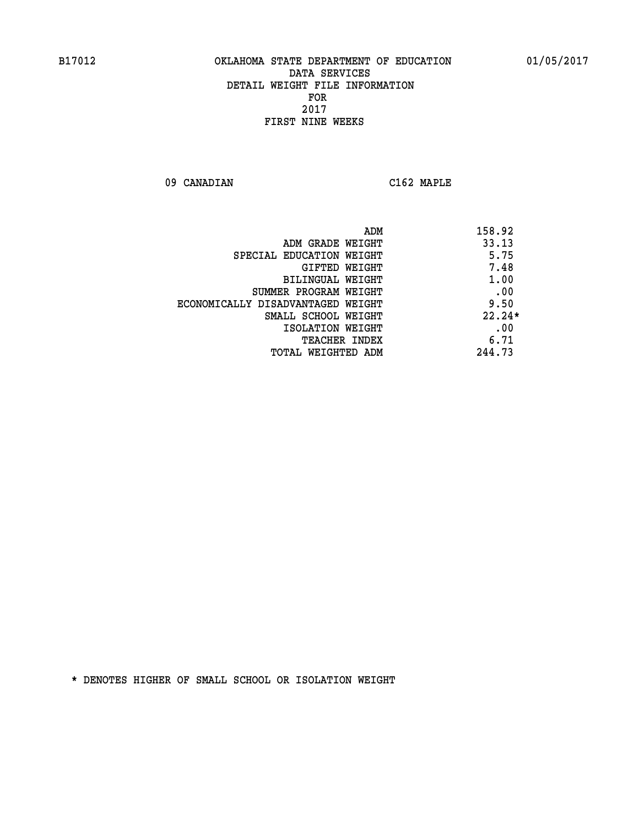**09 CANADIAN C162 MAPLE** 

| 158.92   |
|----------|
| 33.13    |
| 5.75     |
| 7.48     |
| 1.00     |
| .00      |
| 9.50     |
| $22.24*$ |
| .00      |
| 6.71     |
| 244.73   |
|          |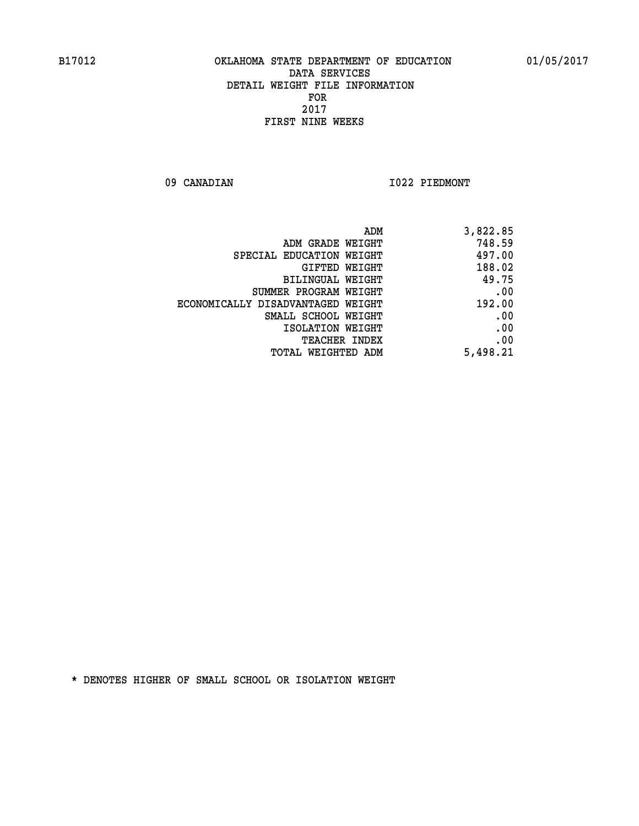**09 CANADIAN I022 PIEDMONT** 

| ADM                               | 3,822.85 |
|-----------------------------------|----------|
| ADM GRADE WEIGHT                  | 748.59   |
| SPECIAL EDUCATION WEIGHT          | 497.00   |
| GIFTED WEIGHT                     | 188.02   |
| BILINGUAL WEIGHT                  | 49.75    |
| SUMMER PROGRAM WEIGHT             | .00      |
| ECONOMICALLY DISADVANTAGED WEIGHT | 192.00   |
| SMALL SCHOOL WEIGHT               | .00      |
| ISOLATION WEIGHT                  | .00      |
| <b>TEACHER INDEX</b>              | .00      |
| <b>TOTAL WEIGHTED ADM</b>         | 5,498.21 |
|                                   |          |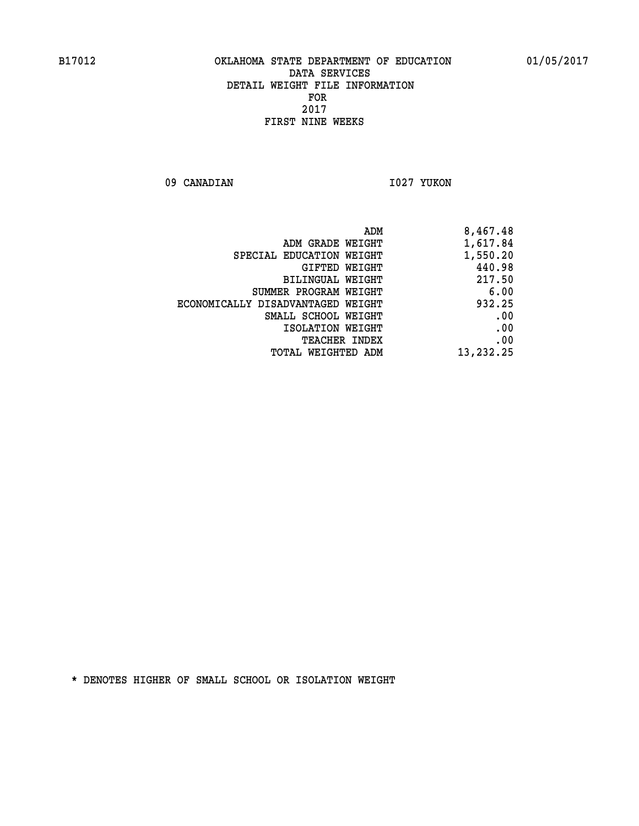09 CANADIAN 1027 YUKON

| 8,467.48  |
|-----------|
| 1,617.84  |
| 1,550.20  |
| 440.98    |
| 217.50    |
| 6.00      |
| 932.25    |
| .00       |
| .00       |
| .00       |
| 13,232.25 |
|           |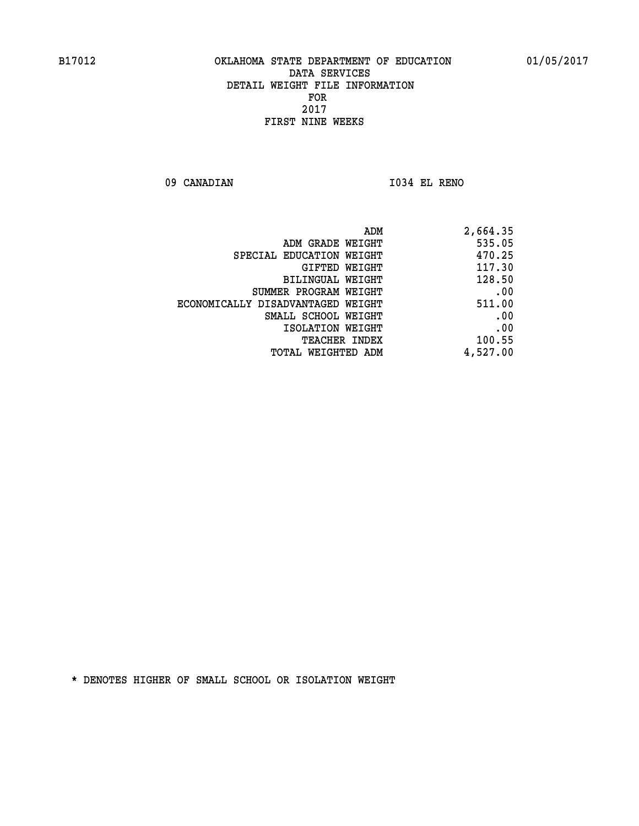09 CANADIAN 1034 EL RENO

| ADM                               | 2,664.35 |
|-----------------------------------|----------|
| ADM GRADE WEIGHT                  | 535.05   |
| SPECIAL EDUCATION WEIGHT          | 470.25   |
| GIFTED WEIGHT                     | 117.30   |
| BILINGUAL WEIGHT                  | 128.50   |
| SUMMER PROGRAM WEIGHT             | .00      |
| ECONOMICALLY DISADVANTAGED WEIGHT | 511.00   |
| SMALL SCHOOL WEIGHT               | .00      |
| ISOLATION WEIGHT                  | .00      |
| <b>TEACHER INDEX</b>              | 100.55   |
| TOTAL WEIGHTED ADM                | 4,527.00 |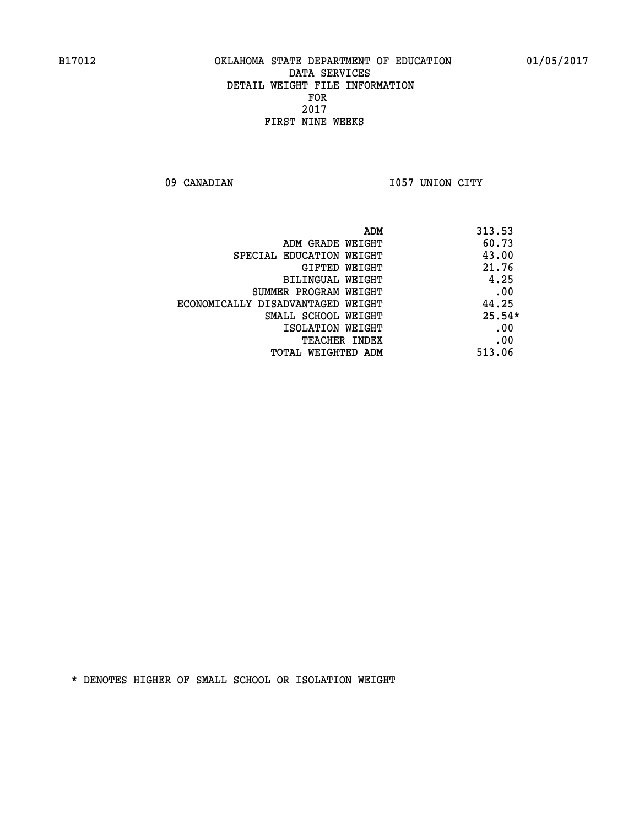09 CANADIAN 1057 UNION CITY

|                                   | 313.53<br>ADM |
|-----------------------------------|---------------|
| ADM GRADE WEIGHT                  | 60.73         |
| SPECIAL EDUCATION WEIGHT          | 43.00         |
| <b>GIFTED WEIGHT</b>              | 21.76         |
| BILINGUAL WEIGHT                  | 4.25          |
| SUMMER PROGRAM WEIGHT             | .00           |
| ECONOMICALLY DISADVANTAGED WEIGHT | 44.25         |
| SMALL SCHOOL WEIGHT               | $25.54*$      |
| ISOLATION WEIGHT                  | .00           |
| <b>TEACHER INDEX</b>              | .00           |
| TOTAL WEIGHTED ADM                | 513.06        |
|                                   |               |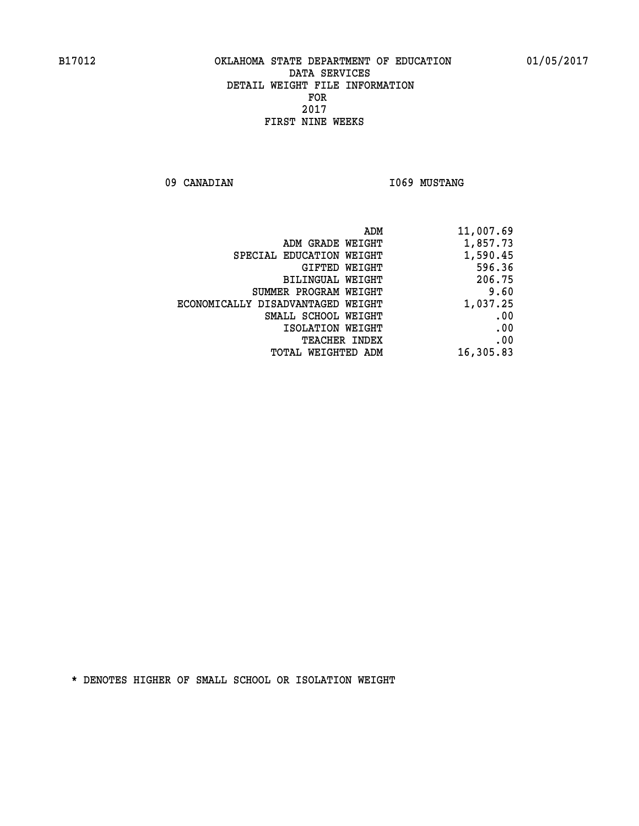09 CANADIAN 1069 MUSTANG

| 11,007.69 |
|-----------|
| 1,857.73  |
| 1,590.45  |
| 596.36    |
| 206.75    |
| 9.60      |
| 1,037.25  |
| .00       |
| .00       |
| .00       |
| 16,305.83 |
|           |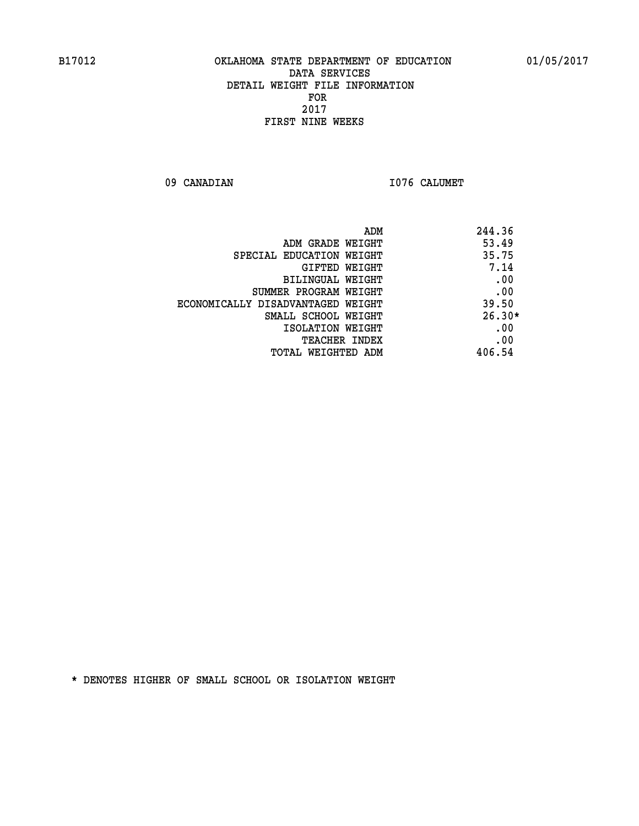09 CANADIAN 1076 CALUMET

| ADM                               | 244.36   |
|-----------------------------------|----------|
| ADM GRADE WEIGHT                  | 53.49    |
| SPECIAL EDUCATION WEIGHT          | 35.75    |
| <b>GIFTED WEIGHT</b>              | 7.14     |
| BILINGUAL WEIGHT                  | .00      |
| SUMMER PROGRAM WEIGHT             | .00      |
| ECONOMICALLY DISADVANTAGED WEIGHT | 39.50    |
| SMALL SCHOOL WEIGHT               | $26.30*$ |
| ISOLATION WEIGHT                  | .00      |
| <b>TEACHER INDEX</b>              | .00      |
| TOTAL WEIGHTED ADM                | 406.54   |
|                                   |          |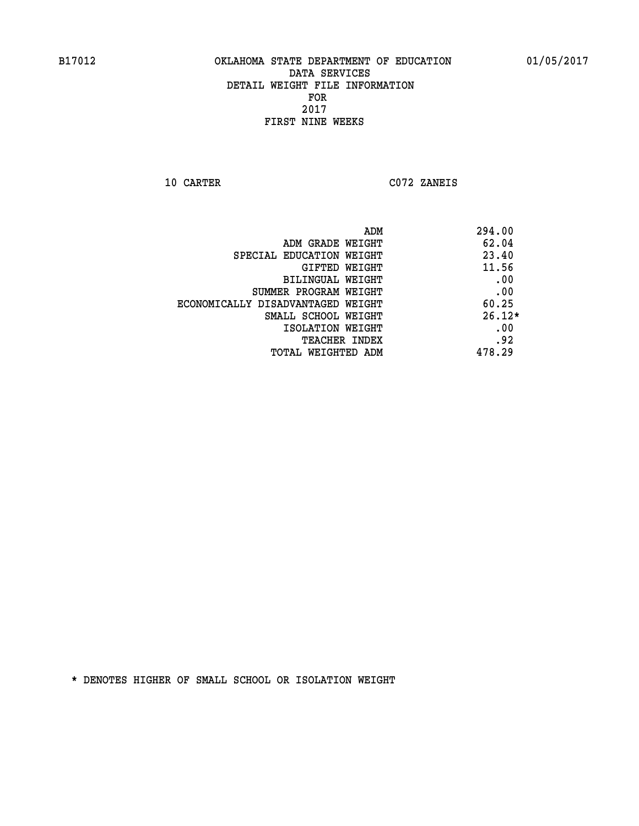**10 CARTER C072 ZANEIS** 

| 294.00   |
|----------|
| 62.04    |
| 23.40    |
| 11.56    |
| .00      |
| .00      |
| 60.25    |
| $26.12*$ |
| .00      |
| .92      |
| 478.29   |
|          |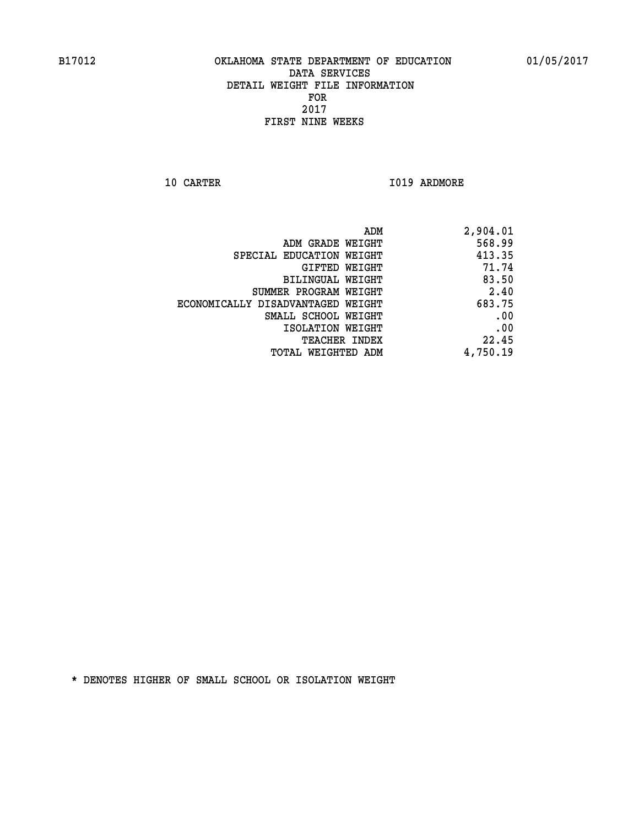**10 CARTER 1019 ARDMORE** 

| 2,904.01 |
|----------|
| 568.99   |
| 413.35   |
| 71.74    |
| 83.50    |
| 2.40     |
| 683.75   |
| .00      |
| .00      |
| 22.45    |
| 4,750.19 |
|          |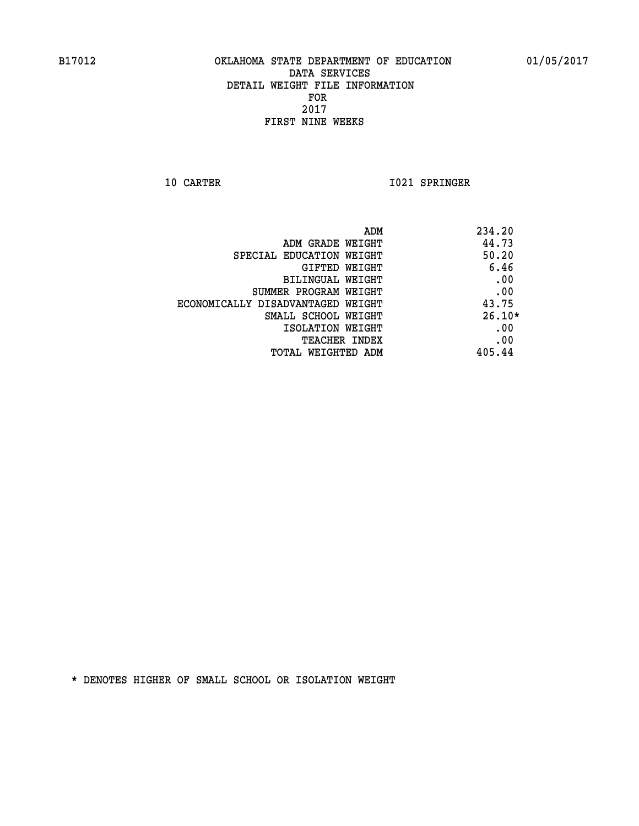**10 CARTER 1021 SPRINGER** 

| ADM                               | 234.20   |
|-----------------------------------|----------|
| ADM GRADE WEIGHT                  | 44.73    |
| SPECIAL EDUCATION WEIGHT          | 50.20    |
| GIFTED WEIGHT                     | 6.46     |
| BILINGUAL WEIGHT                  | .00      |
| SUMMER PROGRAM WEIGHT             | .00      |
| ECONOMICALLY DISADVANTAGED WEIGHT | 43.75    |
| SMALL SCHOOL WEIGHT               | $26.10*$ |
| ISOLATION WEIGHT                  | .00      |
| <b>TEACHER INDEX</b>              | .00      |
| TOTAL WEIGHTED ADM                | 405.44   |
|                                   |          |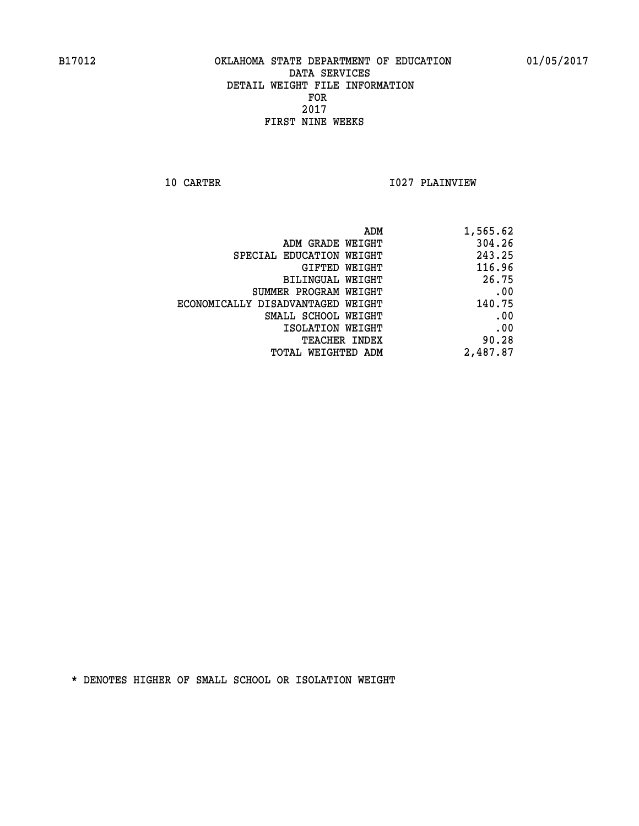**10 CARTER 1027 PLAINVIEW** 

| 1,565.62 |
|----------|
| 304.26   |
| 243.25   |
| 116.96   |
| 26.75    |
| .00      |
| 140.75   |
| .00      |
| .00      |
| 90.28    |
| 2,487.87 |
|          |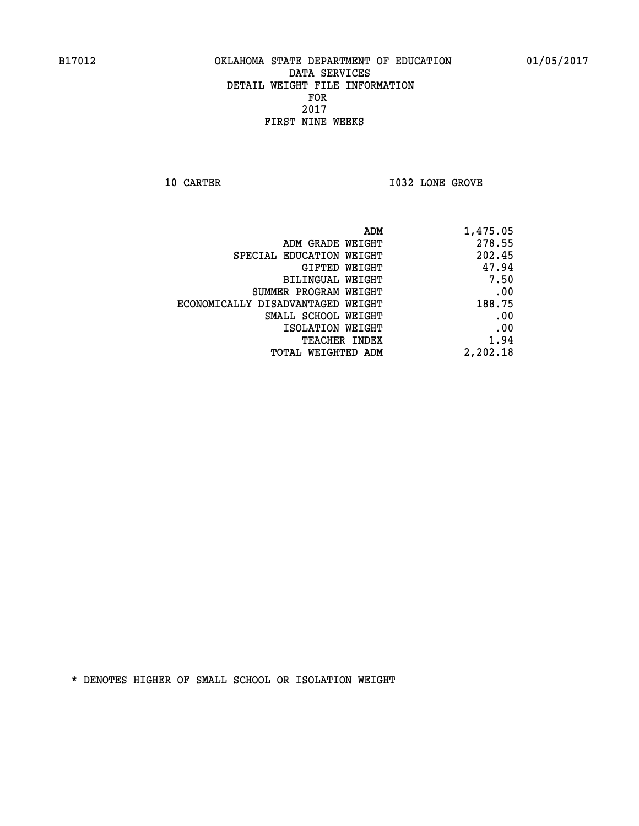**10 CARTER 10 CARTER 1032 LONE GROVE** 

| 1,475.05 |
|----------|
| 278.55   |
| 202.45   |
| 47.94    |
| 7.50     |
| .00      |
| 188.75   |
| .00      |
| .00      |
| 1.94     |
| 2,202.18 |
|          |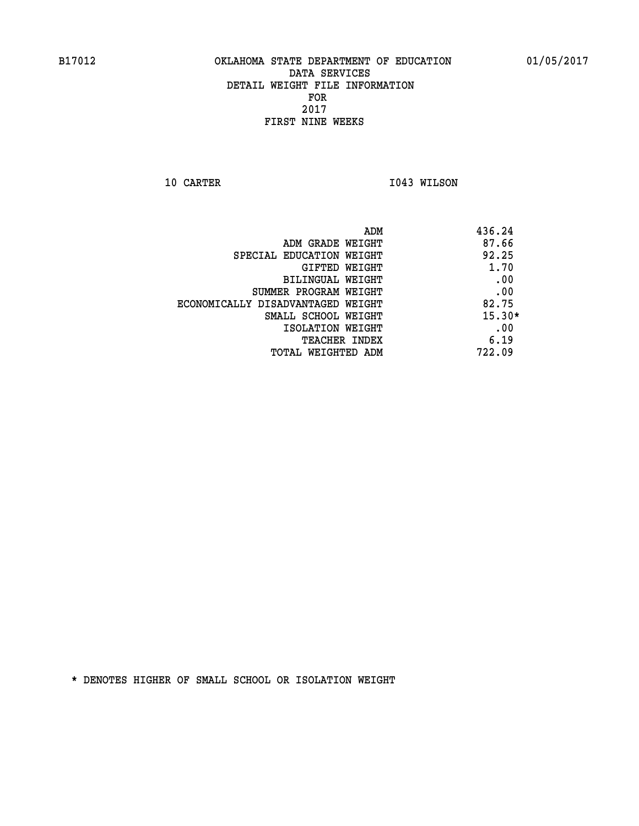**10 CARTER 1043 WILSON** 

|                                   | 436.24<br>ADM |
|-----------------------------------|---------------|
| ADM GRADE WEIGHT                  | 87.66         |
| SPECIAL EDUCATION WEIGHT          | 92.25         |
| GIFTED WEIGHT                     | 1.70          |
| BILINGUAL WEIGHT                  | .00           |
| SUMMER PROGRAM WEIGHT             | .00           |
| ECONOMICALLY DISADVANTAGED WEIGHT | 82.75         |
| SMALL SCHOOL WEIGHT               | $15.30*$      |
| ISOLATION WEIGHT                  | .00           |
| <b>TEACHER INDEX</b>              | 6.19          |
| TOTAL WEIGHTED ADM                | 722.09        |
|                                   |               |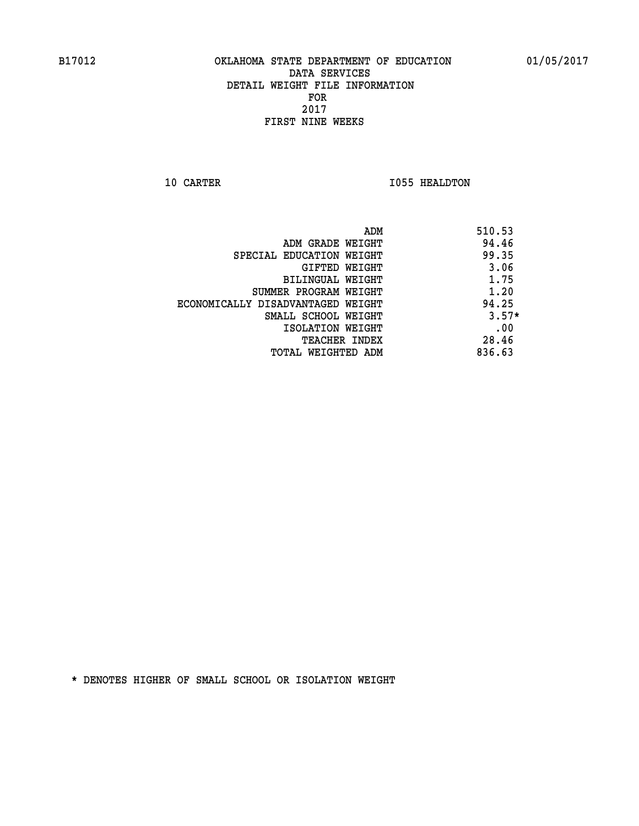**10 CARTER 1055 HEALDTON** 

| ADM                               | 510.53  |
|-----------------------------------|---------|
| ADM GRADE WEIGHT                  | 94.46   |
| SPECIAL EDUCATION WEIGHT          | 99.35   |
| GIFTED WEIGHT                     | 3.06    |
| BILINGUAL WEIGHT                  | 1.75    |
| SUMMER PROGRAM WEIGHT             | 1.20    |
| ECONOMICALLY DISADVANTAGED WEIGHT | 94.25   |
| SMALL SCHOOL WEIGHT               | $3.57*$ |
| ISOLATION WEIGHT                  | .00     |
| <b>TEACHER INDEX</b>              | 28.46   |
| TOTAL WEIGHTED ADM                | 836.63  |
|                                   |         |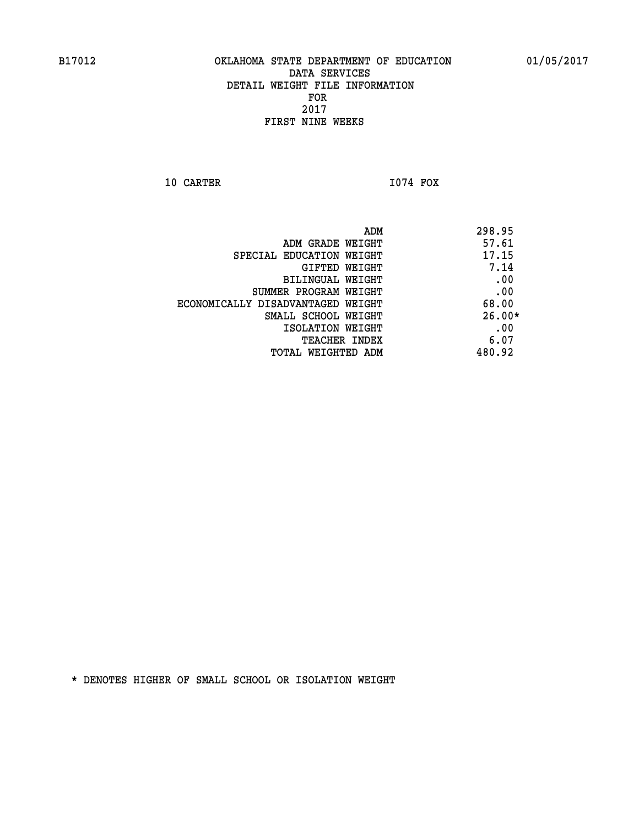**10 CARTER I074 FOX** 

 **ADM 298.95 ADM GRADE WEIGHT 57.61 SPECIAL EDUCATION WEIGHT 47.15 GIFTED WEIGHT 7.14 BILINGUAL WEIGHT .00 SUMMER PROGRAM WEIGHT .00 ECONOMICALLY DISADVANTAGED WEIGHT 68.00 SMALL SCHOOL WEIGHT 26.00\* EXECUTED ISOLATION WEIGHT AND RESOLATION WEIGHT TEACHER INDEX** 6.07  **TOTAL WEIGHTED ADM 480.92**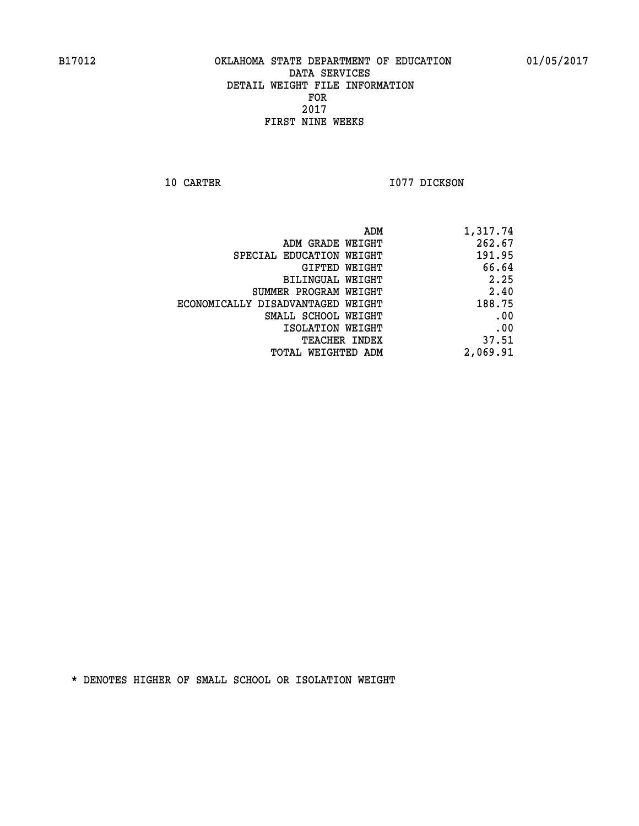**10 CARTER 1077 DICKSON** 

| 1,317.74 |
|----------|
| 262.67   |
| 191.95   |
| 66.64    |
| 2.25     |
| 2.40     |
| 188.75   |
| .00      |
| .00      |
| 37.51    |
| 2,069.91 |
|          |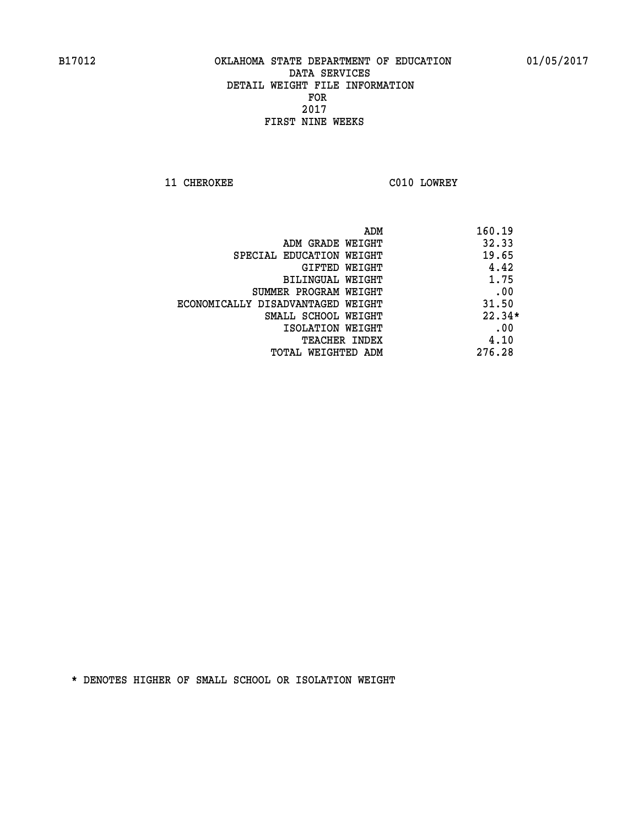**11 CHEROKEE C010 LOWREY** 

| ADM                               | 160.19   |
|-----------------------------------|----------|
| ADM GRADE WEIGHT                  | 32.33    |
| SPECIAL EDUCATION WEIGHT          | 19.65    |
| <b>GIFTED WEIGHT</b>              | 4.42     |
| BILINGUAL WEIGHT                  | 1.75     |
| SUMMER PROGRAM WEIGHT             | .00      |
| ECONOMICALLY DISADVANTAGED WEIGHT | 31.50    |
| SMALL SCHOOL WEIGHT               | $22.34*$ |
| ISOLATION WEIGHT                  | .00      |
| <b>TEACHER INDEX</b>              | 4.10     |
| TOTAL WEIGHTED ADM                | 276.28   |
|                                   |          |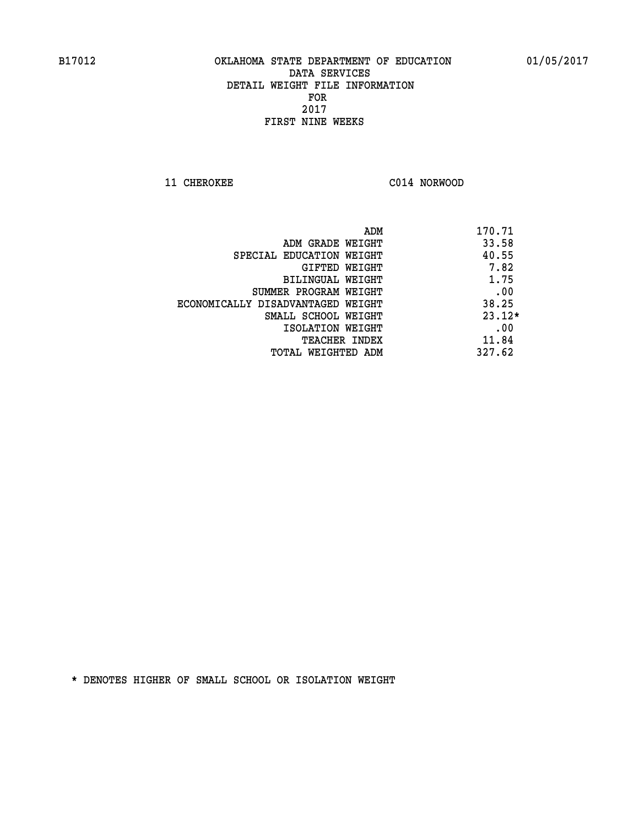**11 CHEROKEE C014 NORWOOD** 

| ADM                               | 170.71   |
|-----------------------------------|----------|
| ADM GRADE WEIGHT                  | 33.58    |
| SPECIAL EDUCATION WEIGHT          | 40.55    |
| GIFTED WEIGHT                     | 7.82     |
| BILINGUAL WEIGHT                  | 1.75     |
| SUMMER PROGRAM WEIGHT             | .00      |
| ECONOMICALLY DISADVANTAGED WEIGHT | 38.25    |
| SMALL SCHOOL WEIGHT               | $23.12*$ |
| ISOLATION WEIGHT                  | .00      |
| <b>TEACHER INDEX</b>              | 11.84    |
| TOTAL WEIGHTED ADM                | 327.62   |
|                                   |          |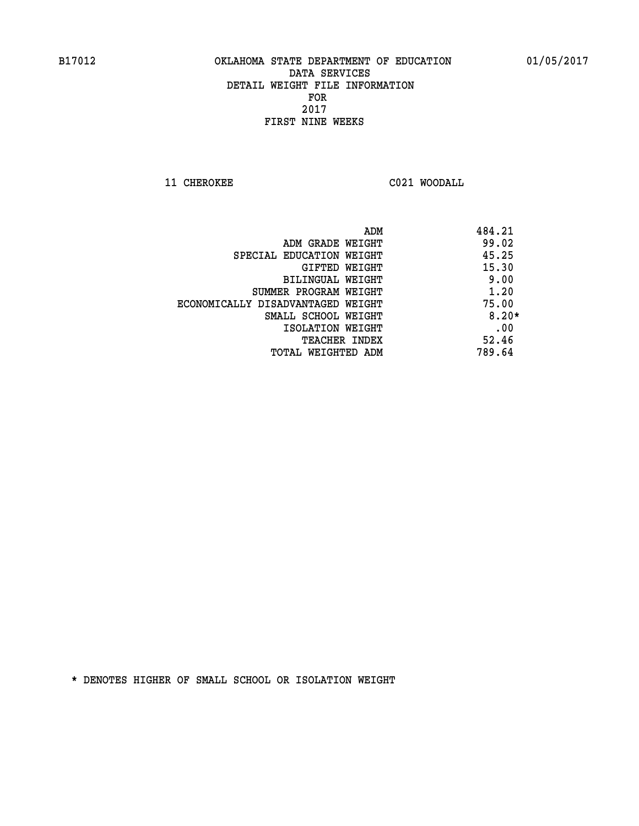**11 CHEROKEE C021 WOODALL** 

| ADM                               | 484.21  |
|-----------------------------------|---------|
| ADM GRADE WEIGHT                  | 99.02   |
| SPECIAL EDUCATION WEIGHT          | 45.25   |
| GIFTED WEIGHT                     | 15.30   |
| BILINGUAL WEIGHT                  | 9.00    |
| SUMMER PROGRAM WEIGHT             | 1.20    |
| ECONOMICALLY DISADVANTAGED WEIGHT | 75.00   |
| SMALL SCHOOL WEIGHT               | $8.20*$ |
| ISOLATION WEIGHT                  | .00     |
| <b>TEACHER INDEX</b>              | 52.46   |
| TOTAL WEIGHTED ADM                | 789.64  |
|                                   |         |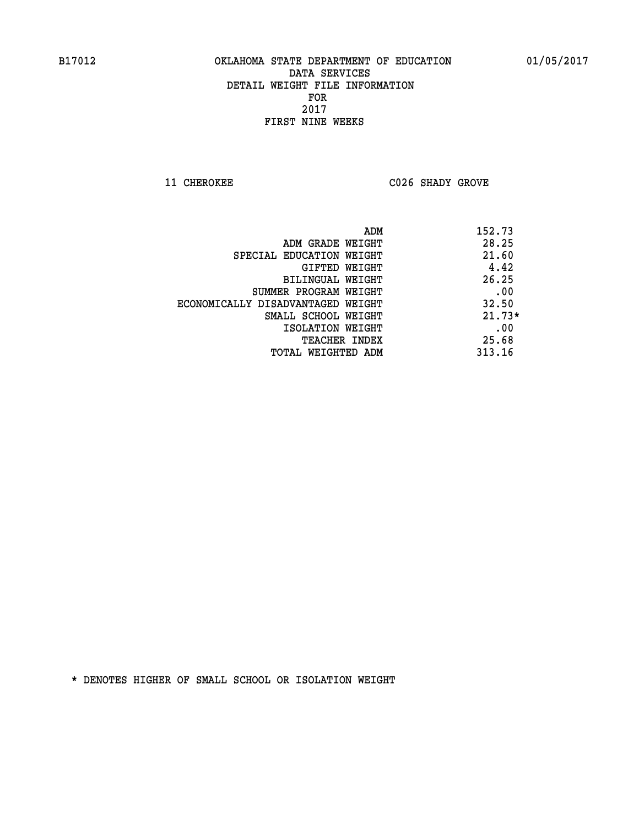**11 CHEROKEE C026 SHADY GROVE** 

| ADM                               | 152.73   |
|-----------------------------------|----------|
| ADM GRADE WEIGHT                  | 28.25    |
| SPECIAL EDUCATION WEIGHT          | 21.60    |
| GIFTED WEIGHT                     | 4.42     |
| BILINGUAL WEIGHT                  | 26.25    |
| SUMMER PROGRAM WEIGHT             | .00      |
| ECONOMICALLY DISADVANTAGED WEIGHT | 32.50    |
| SMALL SCHOOL WEIGHT               | $21.73*$ |
| ISOLATION WEIGHT                  | .00      |
| <b>TEACHER INDEX</b>              | 25.68    |
| TOTAL WEIGHTED ADM                | 313.16   |
|                                   |          |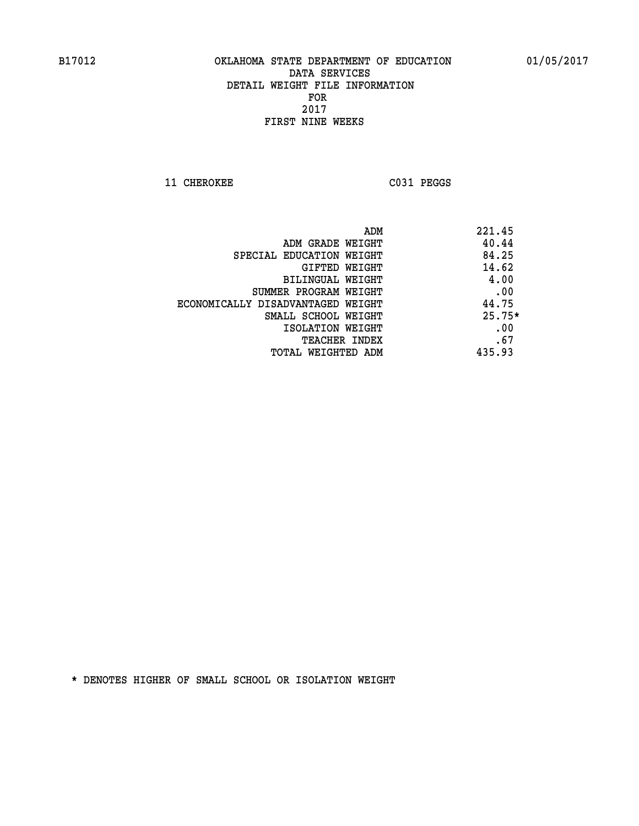11 CHEROKEE C031 PEGGS

| ADM                               | 221.45   |
|-----------------------------------|----------|
| ADM GRADE WEIGHT                  | 40.44    |
| SPECIAL EDUCATION WEIGHT          | 84.25    |
| <b>GIFTED WEIGHT</b>              | 14.62    |
| BILINGUAL WEIGHT                  | 4.00     |
| SUMMER PROGRAM WEIGHT             | .00      |
| ECONOMICALLY DISADVANTAGED WEIGHT | 44.75    |
| SMALL SCHOOL WEIGHT               | $25.75*$ |
| ISOLATION WEIGHT                  | .00      |
| <b>TEACHER INDEX</b>              | .67      |
| TOTAL WEIGHTED ADM                | 435.93   |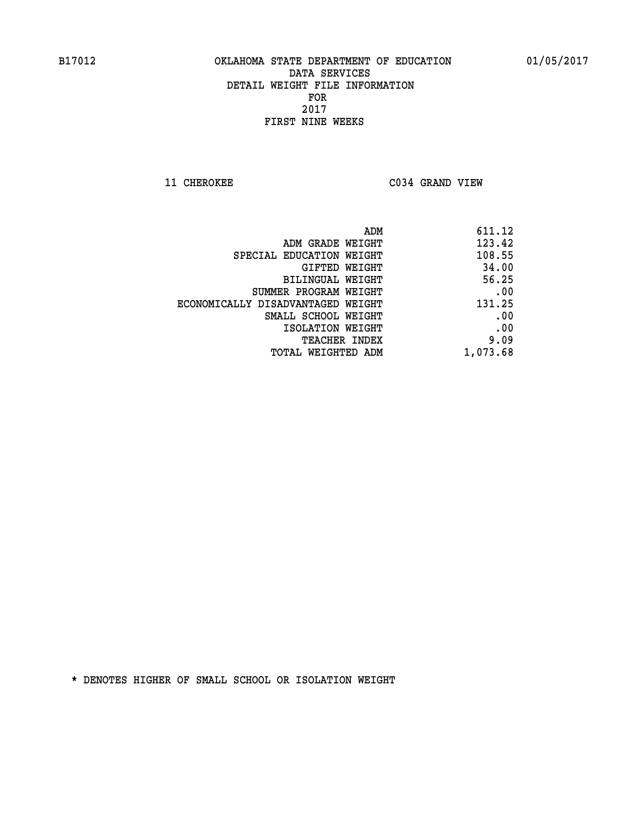**11 CHEROKEE C034 GRAND VIEW** 

| ADM                               | 611.12   |
|-----------------------------------|----------|
| ADM GRADE WEIGHT                  | 123.42   |
| SPECIAL EDUCATION WEIGHT          | 108.55   |
| GIFTED WEIGHT                     | 34.00    |
| BILINGUAL WEIGHT                  | 56.25    |
| SUMMER PROGRAM WEIGHT             | .00      |
| ECONOMICALLY DISADVANTAGED WEIGHT | 131.25   |
| SMALL SCHOOL WEIGHT               | .00      |
| ISOLATION WEIGHT                  | .00      |
| TEACHER INDEX                     | 9.09     |
| TOTAL WEIGHTED ADM                | 1,073.68 |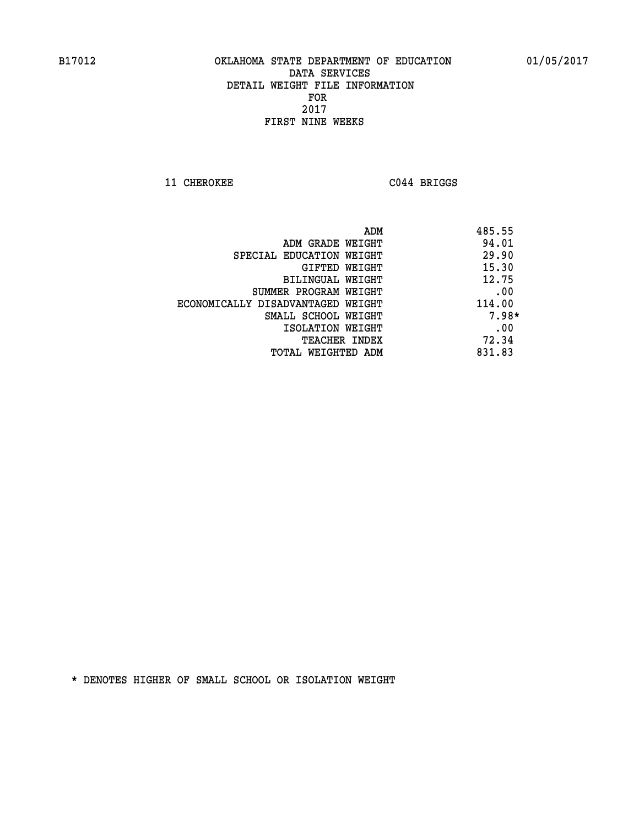**11 CHEROKEE C044 BRIGGS** 

| ADM                               | 485.55  |
|-----------------------------------|---------|
| ADM GRADE WEIGHT                  | 94.01   |
| SPECIAL EDUCATION WEIGHT          | 29.90   |
| GIFTED WEIGHT                     | 15.30   |
| BILINGUAL WEIGHT                  | 12.75   |
| SUMMER PROGRAM WEIGHT             | .00     |
| ECONOMICALLY DISADVANTAGED WEIGHT | 114.00  |
| SMALL SCHOOL WEIGHT               | $7.98*$ |
| ISOLATION WEIGHT                  | .00     |
| <b>TEACHER INDEX</b>              | 72.34   |
| TOTAL WEIGHTED ADM                | 831.83  |
|                                   |         |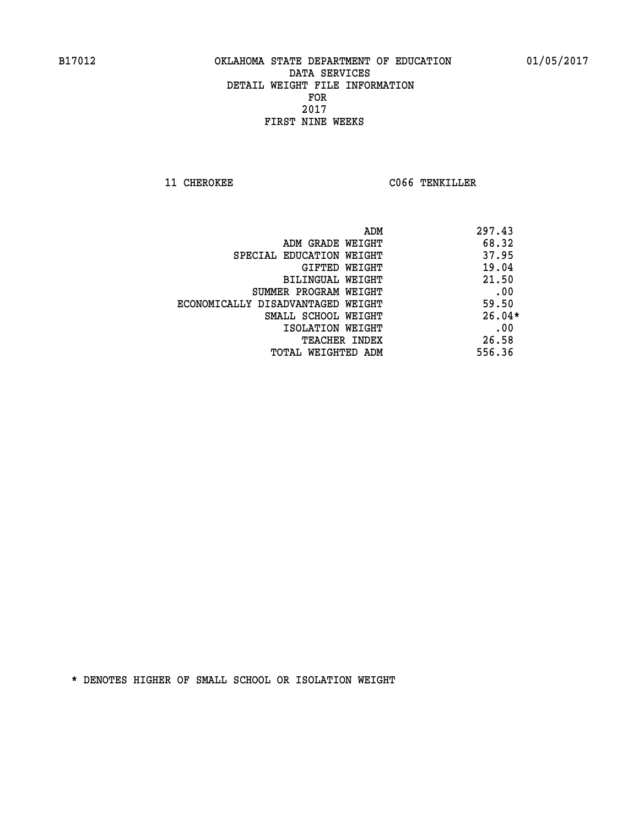**11 CHEROKEE CO66 TENKILLER** 

| ADM                               | 297.43   |
|-----------------------------------|----------|
| ADM GRADE WEIGHT                  | 68.32    |
| SPECIAL EDUCATION WEIGHT          | 37.95    |
| GIFTED WEIGHT                     | 19.04    |
| BILINGUAL WEIGHT                  | 21.50    |
| SUMMER PROGRAM WEIGHT             | .00      |
| ECONOMICALLY DISADVANTAGED WEIGHT | 59.50    |
| SMALL SCHOOL WEIGHT               | $26.04*$ |
| ISOLATION WEIGHT                  | .00      |
| <b>TEACHER INDEX</b>              | 26.58    |
| TOTAL WEIGHTED ADM                | 556.36   |
|                                   |          |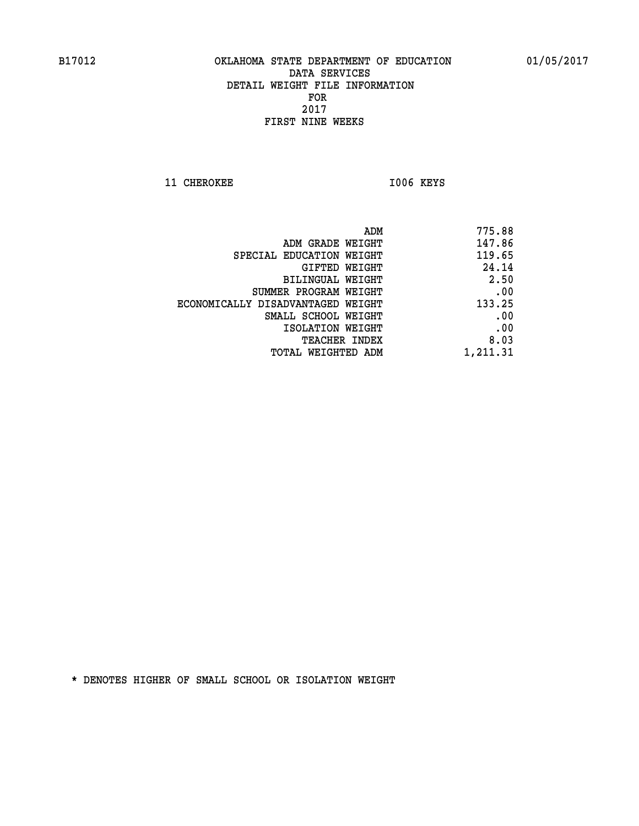**11 CHEROKEE 1006 KEYS** 

| ADM                               | 775.88   |
|-----------------------------------|----------|
| ADM GRADE WEIGHT                  | 147.86   |
| SPECIAL EDUCATION WEIGHT          | 119.65   |
| <b>GIFTED WEIGHT</b>              | 24.14    |
| BILINGUAL WEIGHT                  | 2.50     |
| SUMMER PROGRAM WEIGHT             | .00      |
| ECONOMICALLY DISADVANTAGED WEIGHT | 133.25   |
| SMALL SCHOOL WEIGHT               | .00      |
| ISOLATION WEIGHT                  | .00      |
| <b>TEACHER INDEX</b>              | 8.03     |
| TOTAL WEIGHTED ADM                | 1,211.31 |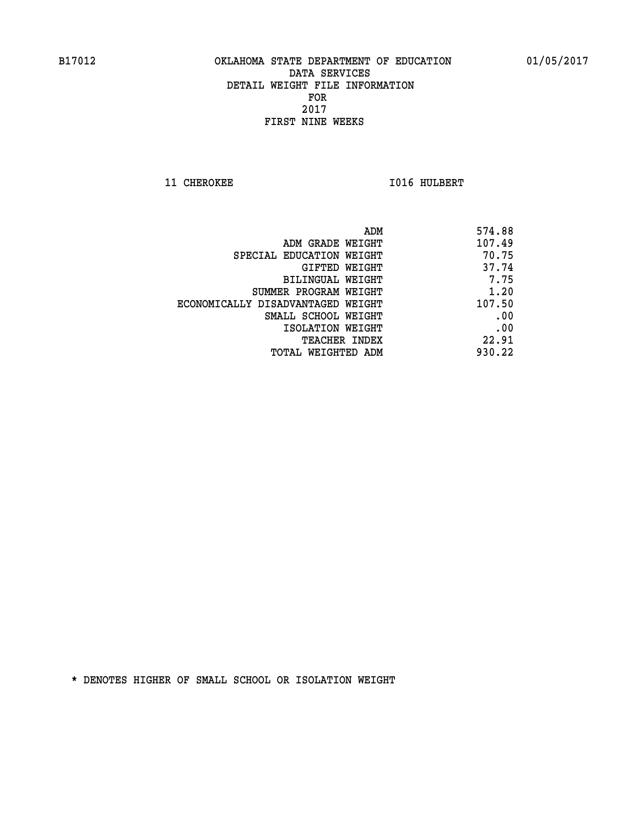**11 CHEROKEE 1016 HULBERT** 

| ADM                               | 574.88 |
|-----------------------------------|--------|
| ADM GRADE WEIGHT                  | 107.49 |
| SPECIAL EDUCATION WEIGHT          | 70.75  |
| GIFTED WEIGHT                     | 37.74  |
| BILINGUAL WEIGHT                  | 7.75   |
| SUMMER PROGRAM WEIGHT             | 1.20   |
| ECONOMICALLY DISADVANTAGED WEIGHT | 107.50 |
| SMALL SCHOOL WEIGHT               | .00    |
| ISOLATION WEIGHT                  | .00    |
| <b>TEACHER INDEX</b>              | 22.91  |
| TOTAL WEIGHTED ADM                | 930.22 |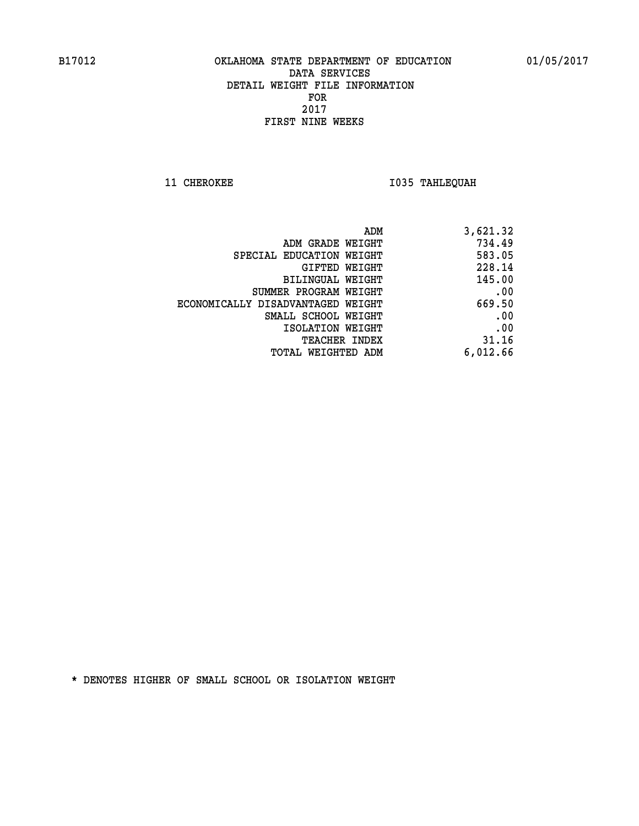**11 CHEROKEE 1035 TAHLEQUAH** 

| ADM                               | 3,621.32 |
|-----------------------------------|----------|
| ADM GRADE WEIGHT                  | 734.49   |
| SPECIAL EDUCATION WEIGHT          | 583.05   |
| GIFTED WEIGHT                     | 228.14   |
| BILINGUAL WEIGHT                  | 145.00   |
| SUMMER PROGRAM WEIGHT             | .00      |
| ECONOMICALLY DISADVANTAGED WEIGHT | 669.50   |
| SMALL SCHOOL WEIGHT               | .00      |
| ISOLATION WEIGHT                  | .00      |
| TEACHER INDEX                     | 31.16    |
| TOTAL WEIGHTED ADM                | 6,012.66 |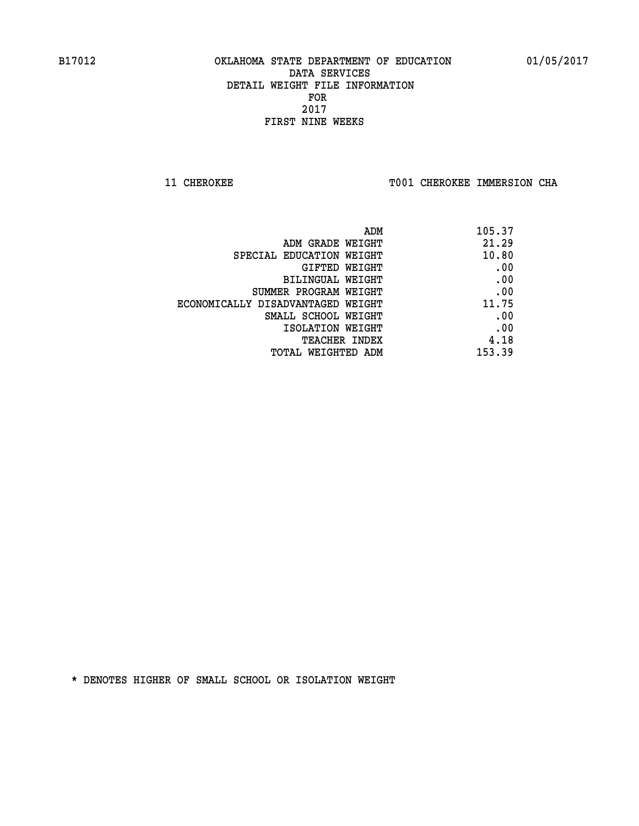**11 CHEROKEE TOO1 CHEROKEE IMMERSION CHA** 

| 105.37 |
|--------|
| 21.29  |
| 10.80  |
| .00    |
| .00    |
| .00    |
| 11.75  |
| .00    |
| .00    |
| 4.18   |
| 153.39 |
|        |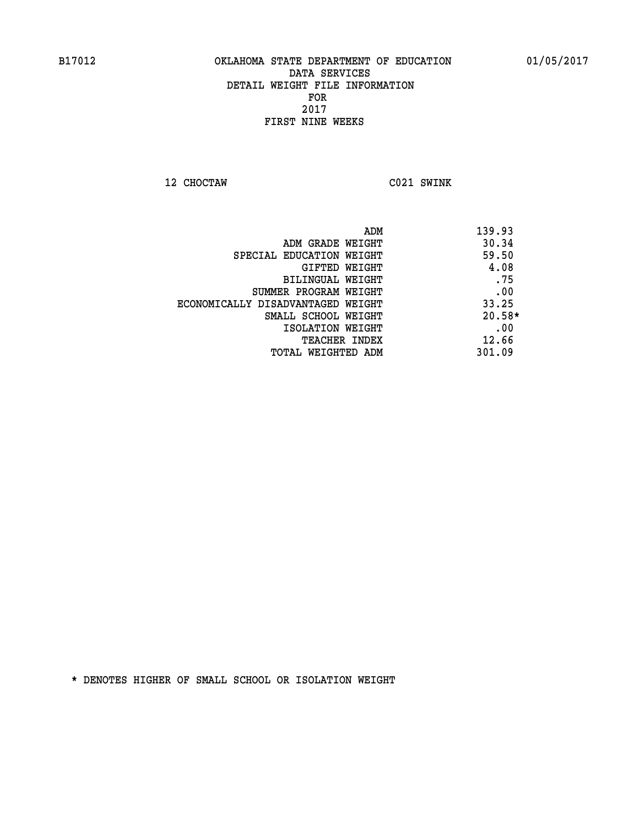**12 CHOCTAW C021 SWINK** 

 **ADM 139.93 ADM GRADE WEIGHT 30.34 SPECIAL EDUCATION WEIGHT 59.50 GIFTED WEIGHT 4.08 BILINGUAL WEIGHT .75 SUMMER PROGRAM WEIGHT .00 ECONOMICALLY DISADVANTAGED WEIGHT 33.25 SMALL SCHOOL WEIGHT 20.58\* EXECUTED ISOLATION WEIGHT AND RESOLATION WEIGHT TEACHER INDEX** 12.66  **TOTAL WEIGHTED ADM 301.09**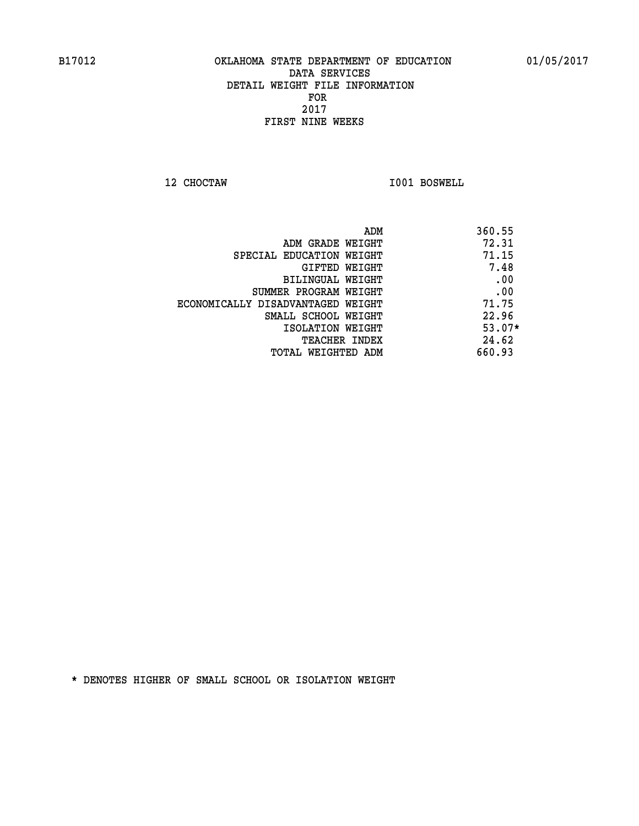**12 CHOCTAW I001 BOSWELL** 

| ADM                               | 360.55   |
|-----------------------------------|----------|
| ADM GRADE WEIGHT                  | 72.31    |
| SPECIAL EDUCATION WEIGHT          | 71.15    |
| GIFTED WEIGHT                     | 7.48     |
| BILINGUAL WEIGHT                  | .00      |
| SUMMER PROGRAM WEIGHT             | .00      |
| ECONOMICALLY DISADVANTAGED WEIGHT | 71.75    |
| SMALL SCHOOL WEIGHT               | 22.96    |
| ISOLATION WEIGHT                  | $53.07*$ |
| <b>TEACHER INDEX</b>              | 24.62    |
| TOTAL WEIGHTED ADM                | 660.93   |
|                                   |          |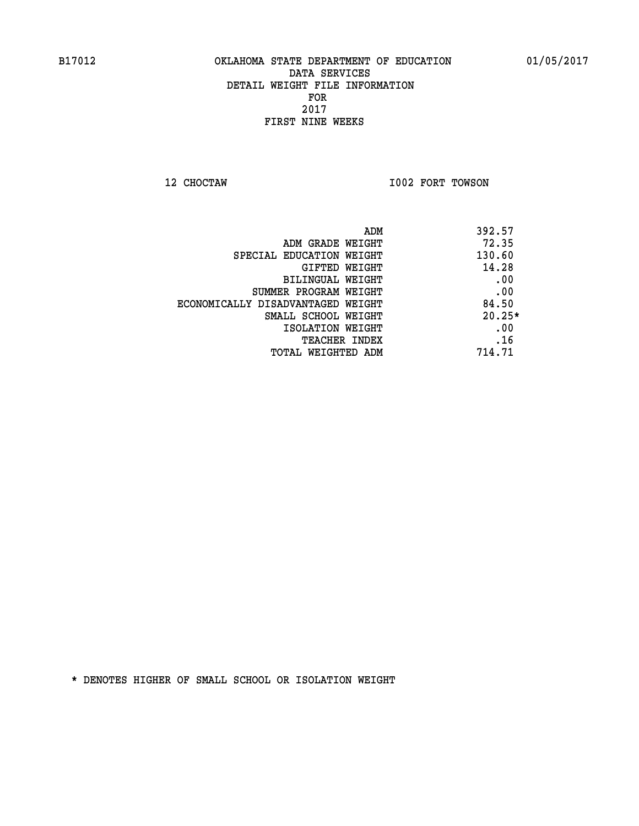**12 CHOCTAW I002 FORT TOWSON** 

|                                   | 392.57<br>ADM |
|-----------------------------------|---------------|
| ADM GRADE WEIGHT                  | 72.35         |
| SPECIAL EDUCATION WEIGHT          | 130.60        |
| GIFTED WEIGHT                     | 14.28         |
| BILINGUAL WEIGHT                  | .00           |
| SUMMER PROGRAM WEIGHT             | .00           |
| ECONOMICALLY DISADVANTAGED WEIGHT | 84.50         |
| SMALL SCHOOL WEIGHT               | $20.25*$      |
| ISOLATION WEIGHT                  | .00           |
| <b>TEACHER INDEX</b>              | .16           |
| TOTAL WEIGHTED ADM                | 714.71        |
|                                   |               |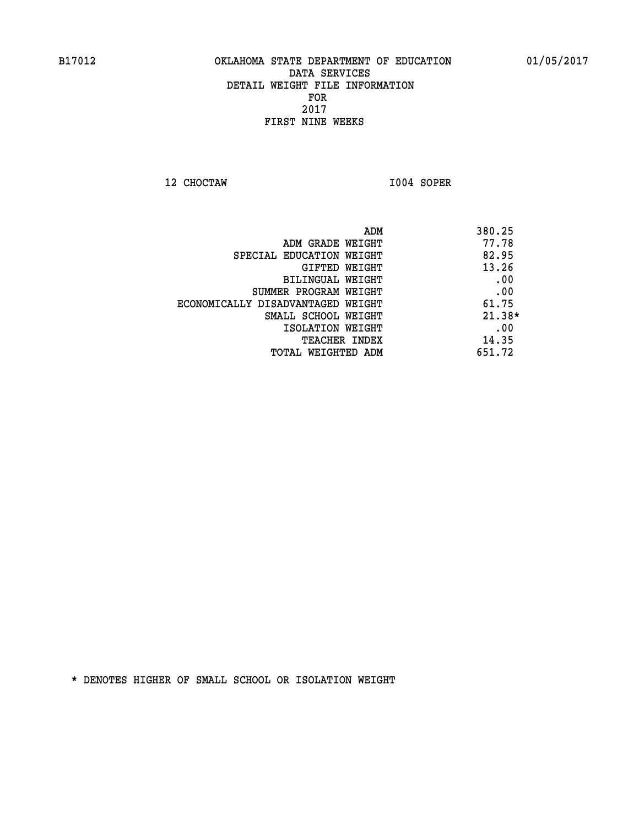**12 CHOCTAW I004 SOPER** 

|                                   | ADM | 380.25   |
|-----------------------------------|-----|----------|
| ADM GRADE WEIGHT                  |     | 77.78    |
| SPECIAL EDUCATION WEIGHT          |     | 82.95    |
| GIFTED WEIGHT                     |     | 13.26    |
| BILINGUAL WEIGHT                  |     | .00      |
| SUMMER PROGRAM WEIGHT             |     | .00      |
| ECONOMICALLY DISADVANTAGED WEIGHT |     | 61.75    |
| SMALL SCHOOL WEIGHT               |     | $21.38*$ |
| ISOLATION WEIGHT                  |     | .00      |
| <b>TEACHER INDEX</b>              |     | 14.35    |
| TOTAL WEIGHTED ADM                |     | 651.72   |
|                                   |     |          |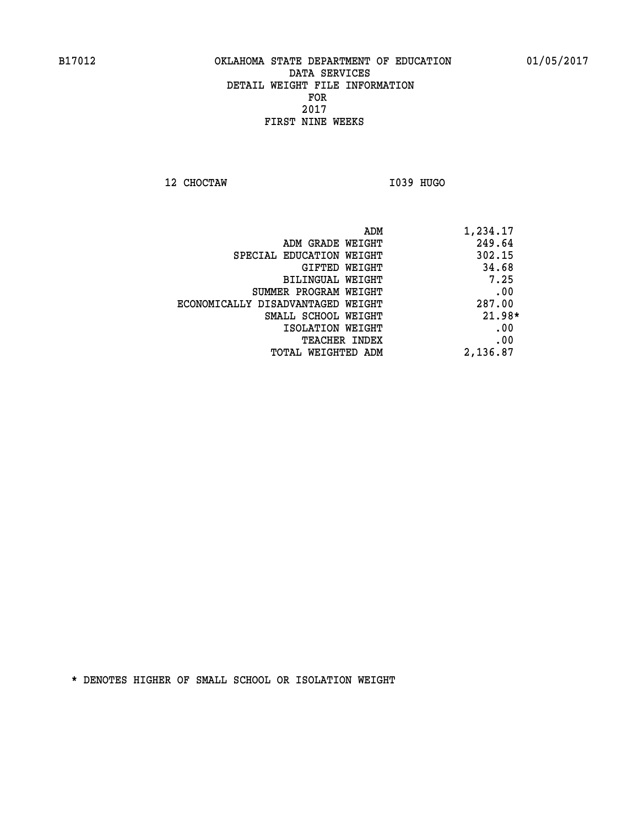**12 CHOCTAW I039 HUGO** 

| 1,234.17 |
|----------|
| 249.64   |
| 302.15   |
| 34.68    |
| 7.25     |
| .00      |
| 287.00   |
| $21.98*$ |
| .00      |
| .00      |
| 2,136.87 |
|          |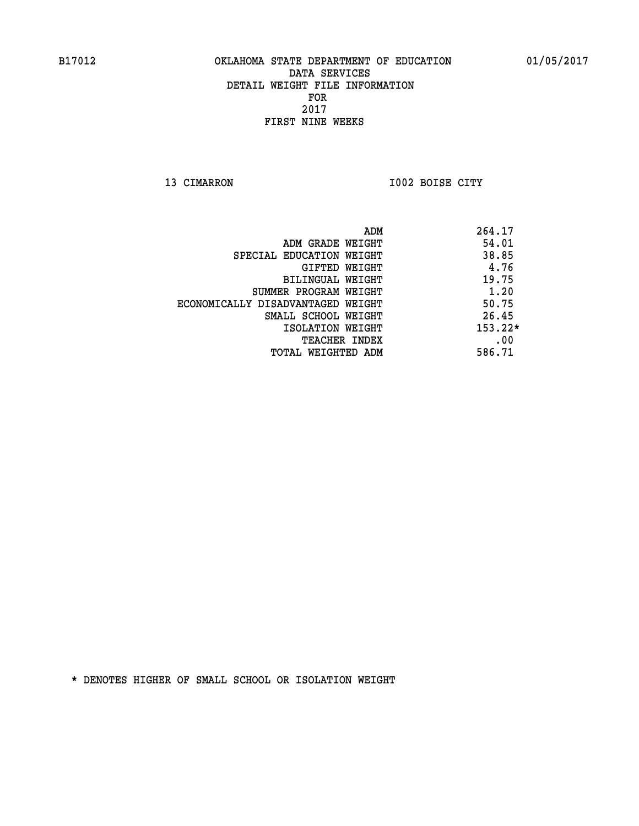**13 CIMARRON I002 BOISE CITY** 

|                                   | ADM | 264.17    |
|-----------------------------------|-----|-----------|
| ADM GRADE WEIGHT                  |     | 54.01     |
| SPECIAL EDUCATION WEIGHT          |     | 38.85     |
| GIFTED WEIGHT                     |     | 4.76      |
| BILINGUAL WEIGHT                  |     | 19.75     |
| SUMMER PROGRAM WEIGHT             |     | 1.20      |
| ECONOMICALLY DISADVANTAGED WEIGHT |     | 50.75     |
| SMALL SCHOOL WEIGHT               |     | 26.45     |
| ISOLATION WEIGHT                  |     | $153.22*$ |
| <b>TEACHER INDEX</b>              |     | .00       |
| TOTAL WEIGHTED ADM                |     | 586.71    |
|                                   |     |           |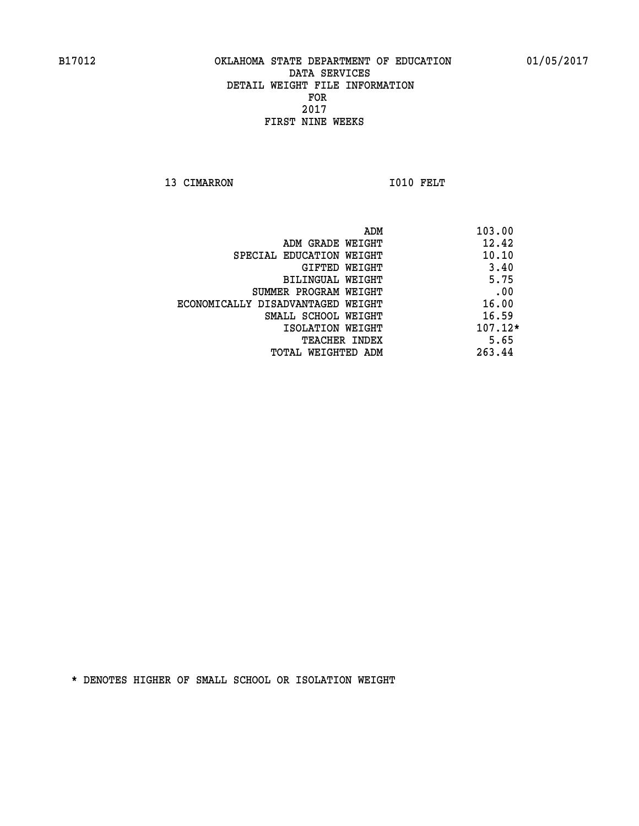13 CIMARRON 1010 FELT

 **ADM 103.00 ADM GRADE WEIGHT 12.42 SPECIAL EDUCATION WEIGHT 40.10 GIFTED WEIGHT** 3.40 **BILINGUAL WEIGHT 5.75 SUMMER PROGRAM WEIGHT .00 ECONOMICALLY DISADVANTAGED WEIGHT 16.00 SMALL SCHOOL WEIGHT** 16.59  **ISOLATION WEIGHT 107.12\* TEACHER INDEX** 5.65  **TOTAL WEIGHTED ADM 263.44**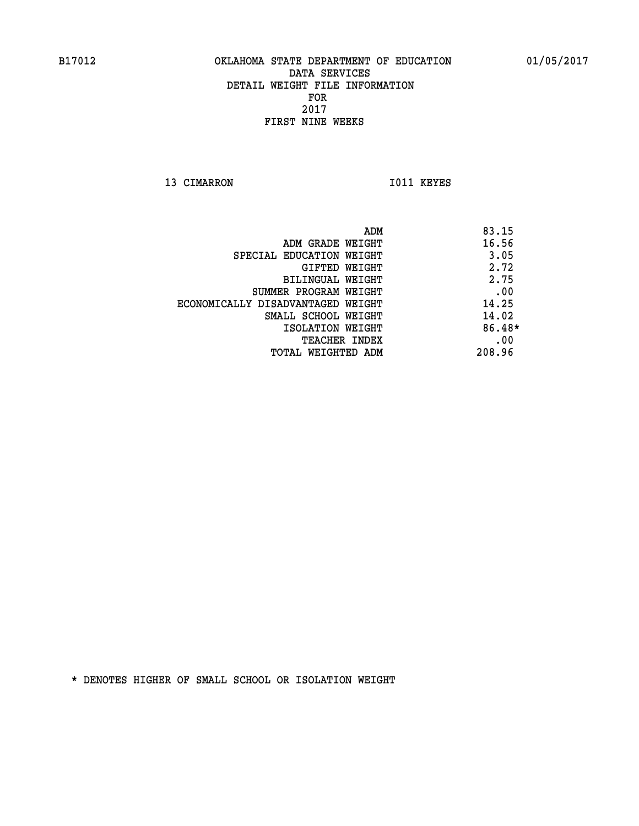13 CIMARRON 1011 KEYES

|                                   | 83.15<br>ADM |
|-----------------------------------|--------------|
| ADM GRADE WEIGHT                  | 16.56        |
| SPECIAL EDUCATION WEIGHT          | 3.05         |
| GIFTED WEIGHT                     | 2.72         |
| BILINGUAL WEIGHT                  | 2.75         |
| SUMMER PROGRAM WEIGHT             | .00          |
| ECONOMICALLY DISADVANTAGED WEIGHT | 14.25        |
| SMALL SCHOOL WEIGHT               | 14.02        |
| ISOLATION WEIGHT                  | 86.48*       |
| TEACHER INDEX                     | .00          |
| TOTAL WEIGHTED ADM                | 208.96       |
|                                   |              |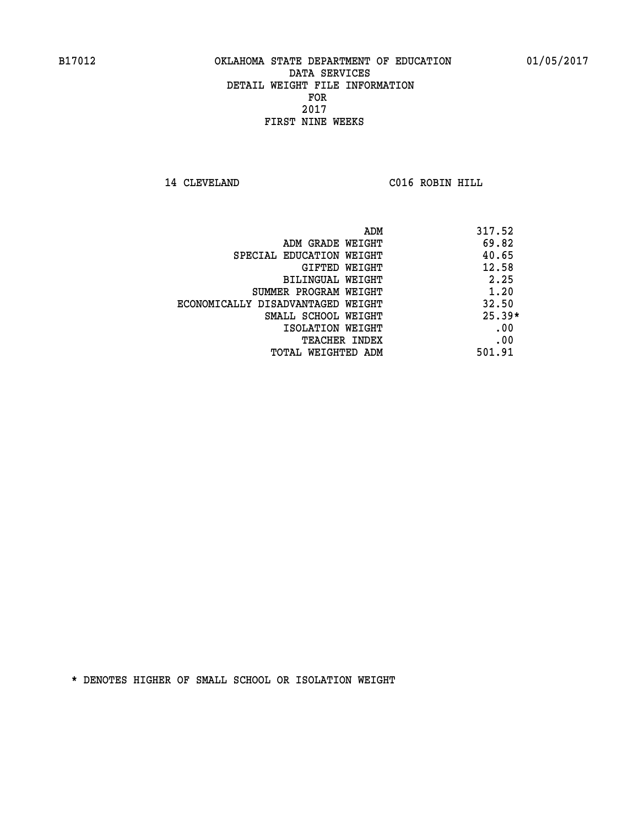**14 CLEVELAND C016 ROBIN HILL** 

|                                   | ADM | 317.52   |
|-----------------------------------|-----|----------|
| ADM GRADE WEIGHT                  |     | 69.82    |
| SPECIAL EDUCATION WEIGHT          |     | 40.65    |
| GIFTED WEIGHT                     |     | 12.58    |
| BILINGUAL WEIGHT                  |     | 2.25     |
| SUMMER PROGRAM WEIGHT             |     | 1.20     |
| ECONOMICALLY DISADVANTAGED WEIGHT |     | 32.50    |
| SMALL SCHOOL WEIGHT               |     | $25.39*$ |
| ISOLATION WEIGHT                  |     | .00      |
| <b>TEACHER INDEX</b>              |     | .00      |
| TOTAL WEIGHTED ADM                |     | 501.91   |
|                                   |     |          |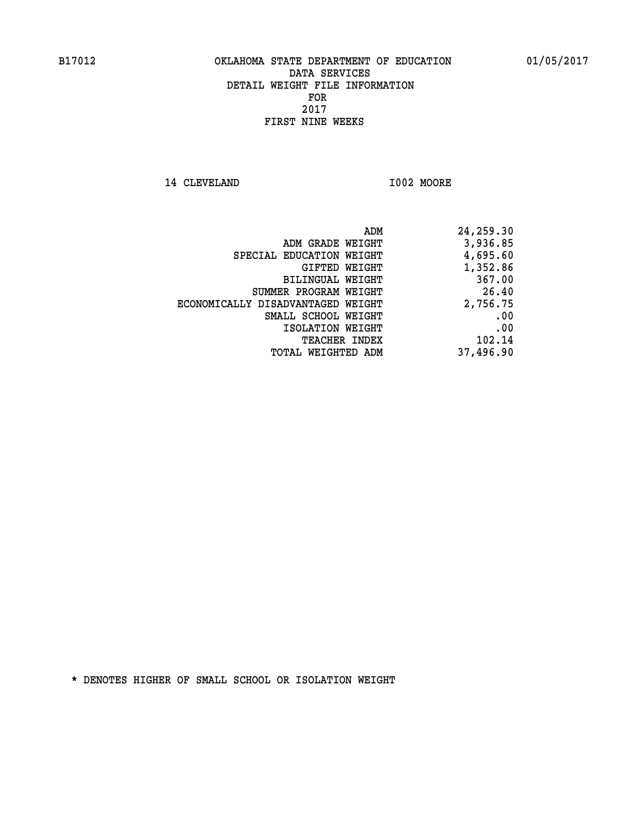**14 CLEVELAND I002 MOORE** 

| 24,259.30 |
|-----------|
| 3,936.85  |
| 4,695.60  |
| 1,352.86  |
| 367.00    |
| 26.40     |
| 2,756.75  |
| .00       |
| .00       |
| 102.14    |
| 37,496.90 |
|           |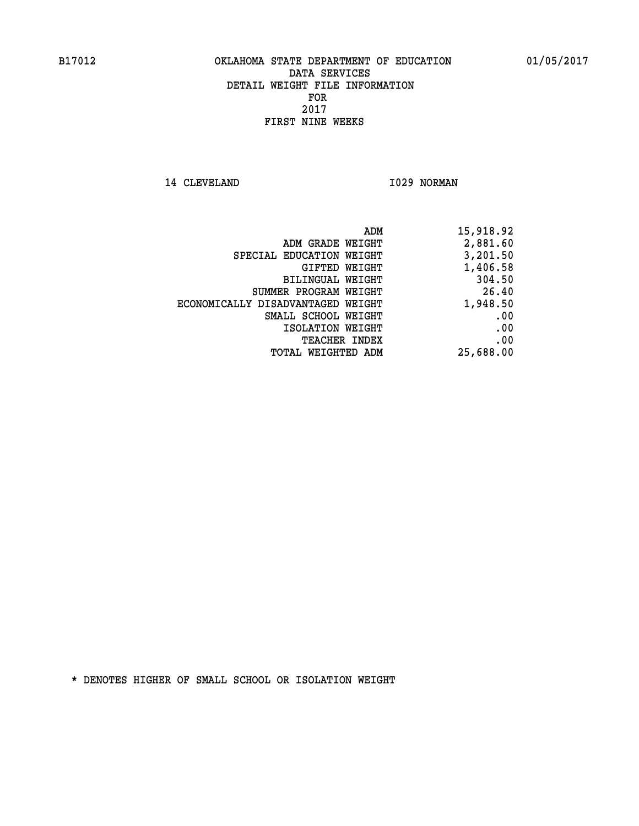14 CLEVELAND 1029 NORMAN

| ADM                               | 15,918.92 |
|-----------------------------------|-----------|
| ADM GRADE WEIGHT                  | 2,881.60  |
| SPECIAL EDUCATION WEIGHT          | 3,201.50  |
| GIFTED WEIGHT                     | 1,406.58  |
| BILINGUAL WEIGHT                  | 304.50    |
| SUMMER PROGRAM WEIGHT             | 26.40     |
| ECONOMICALLY DISADVANTAGED WEIGHT | 1,948.50  |
| SMALL SCHOOL WEIGHT               | .00       |
| ISOLATION WEIGHT                  | .00       |
| <b>TEACHER INDEX</b>              | .00       |
| TOTAL WEIGHTED ADM                | 25,688.00 |
|                                   |           |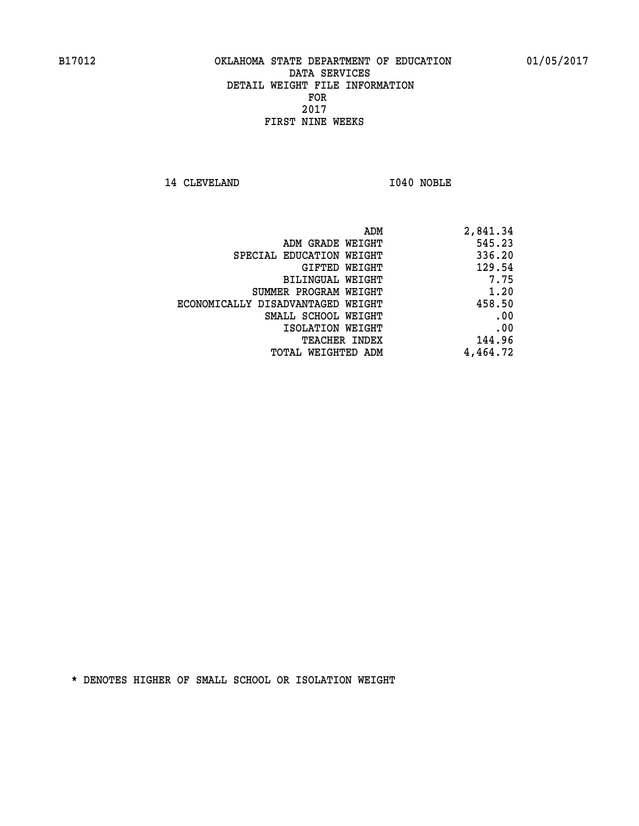**14 CLEVELAND I040 NOBLE** 

| 2,841.34 |
|----------|
| 545.23   |
| 336.20   |
| 129.54   |
| 7.75     |
| 1.20     |
| 458.50   |
| .00      |
| .00      |
| 144.96   |
| 4,464.72 |
|          |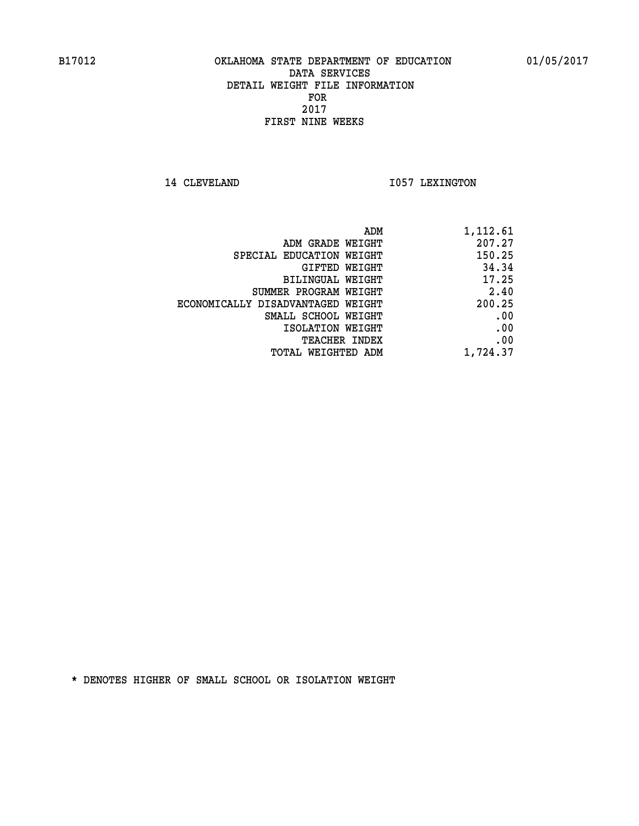14 CLEVELAND 1057 LEXINGTON

| 1,112.61 |
|----------|
| 207.27   |
| 150.25   |
| 34.34    |
| 17.25    |
| 2.40     |
| 200.25   |
| .00      |
| .00      |
| .00      |
| 1,724.37 |
|          |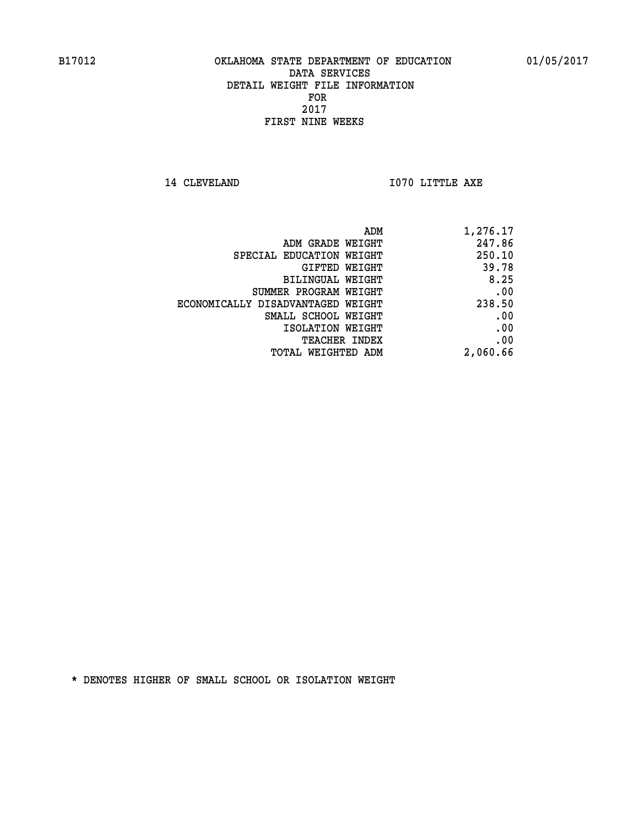**14 CLEVELAND 1070 LITTLE AXE** 

| 1,276.17 | ADM                               |
|----------|-----------------------------------|
| 247.86   | ADM GRADE WEIGHT                  |
| 250.10   | SPECIAL EDUCATION WEIGHT          |
| 39.78    | <b>GIFTED WEIGHT</b>              |
| 8.25     | BILINGUAL WEIGHT                  |
| .00      | SUMMER PROGRAM WEIGHT             |
| 238.50   | ECONOMICALLY DISADVANTAGED WEIGHT |
| .00      | SMALL SCHOOL WEIGHT               |
| .00      | ISOLATION WEIGHT                  |
| .00      | <b>TEACHER INDEX</b>              |
| 2,060.66 | TOTAL WEIGHTED ADM                |
|          |                                   |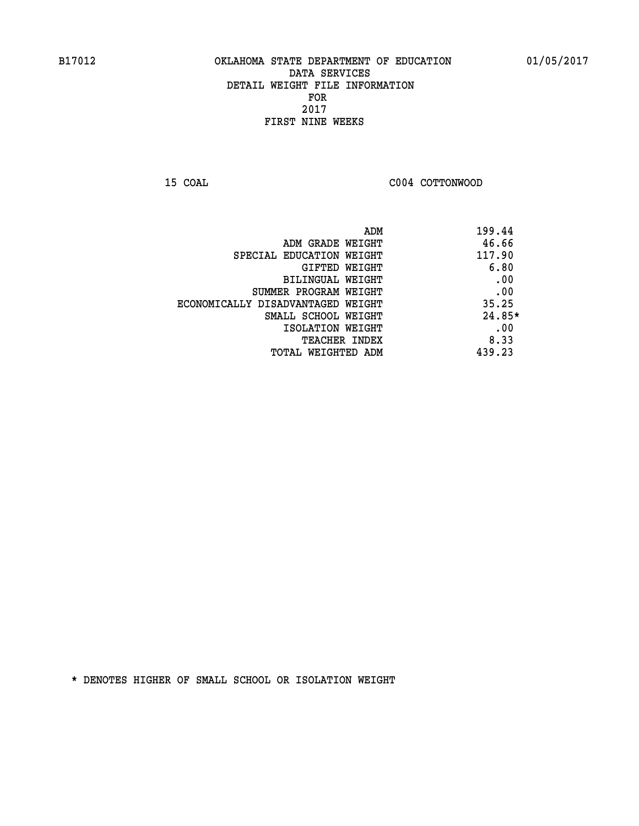**15 COAL COAL COAL COAL COAL COTTONWOOD** 

| 199.44<br>ADM |                                   |
|---------------|-----------------------------------|
| 46.66         | ADM GRADE WEIGHT                  |
| 117.90        | SPECIAL EDUCATION WEIGHT          |
| 6.80          | GIFTED WEIGHT                     |
| .00           | BILINGUAL WEIGHT                  |
| .00           | SUMMER PROGRAM WEIGHT             |
| 35.25         | ECONOMICALLY DISADVANTAGED WEIGHT |
| 24.85*        | SMALL SCHOOL WEIGHT               |
| .00           | ISOLATION WEIGHT                  |
| 8.33          | <b>TEACHER INDEX</b>              |
| 439.23        | TOTAL WEIGHTED ADM                |
|               |                                   |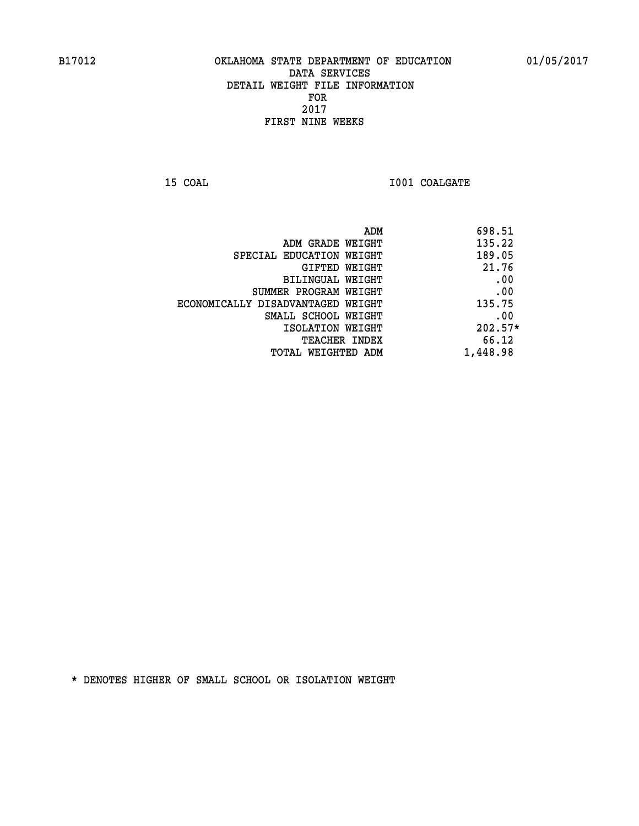**15 COAL 15 COAL I001 COALGATE** 

| 698.51<br>ADM                               |           |
|---------------------------------------------|-----------|
| 135.22<br>ADM GRADE WEIGHT                  |           |
| 189.05<br>SPECIAL EDUCATION WEIGHT          |           |
| GIFTED WEIGHT                               | 21.76     |
| BILINGUAL WEIGHT                            | .00       |
| SUMMER PROGRAM WEIGHT                       | .00       |
| 135.75<br>ECONOMICALLY DISADVANTAGED WEIGHT |           |
| SMALL SCHOOL WEIGHT                         | .00       |
| ISOLATION WEIGHT                            | $202.57*$ |
| TEACHER INDEX                               | 66.12     |
| 1,448.98<br>TOTAL WEIGHTED ADM              |           |
|                                             |           |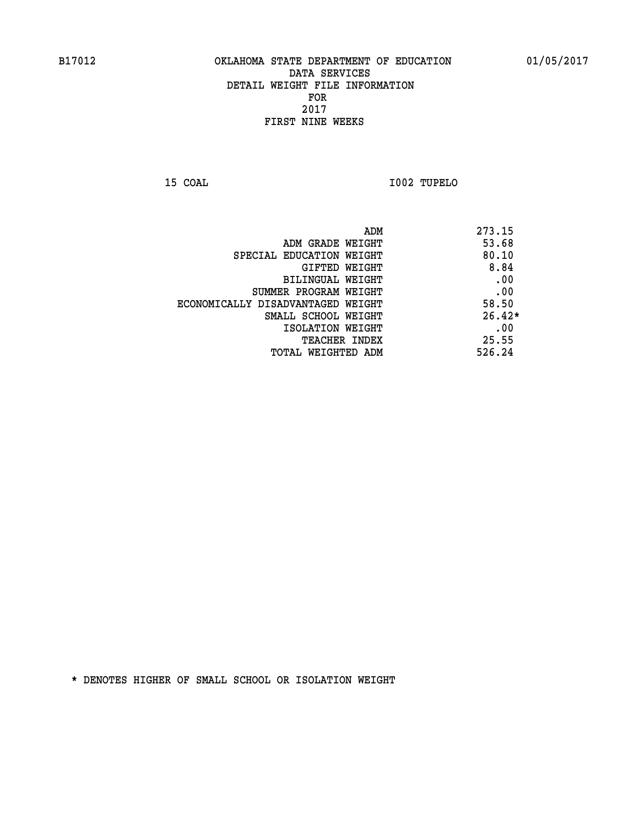**15 COAL I002 TUPELO** 

|                                   | ADM | 273.15   |
|-----------------------------------|-----|----------|
| ADM GRADE WEIGHT                  |     | 53.68    |
| SPECIAL EDUCATION WEIGHT          |     | 80.10    |
| GIFTED WEIGHT                     |     | 8.84     |
| BILINGUAL WEIGHT                  |     | .00      |
| SUMMER PROGRAM WEIGHT             |     | .00      |
| ECONOMICALLY DISADVANTAGED WEIGHT |     | 58.50    |
| SMALL SCHOOL WEIGHT               |     | $26.42*$ |
| ISOLATION WEIGHT                  |     | .00      |
| TEACHER INDEX                     |     | 25.55    |
| TOTAL WEIGHTED ADM                |     | 526.24   |
|                                   |     |          |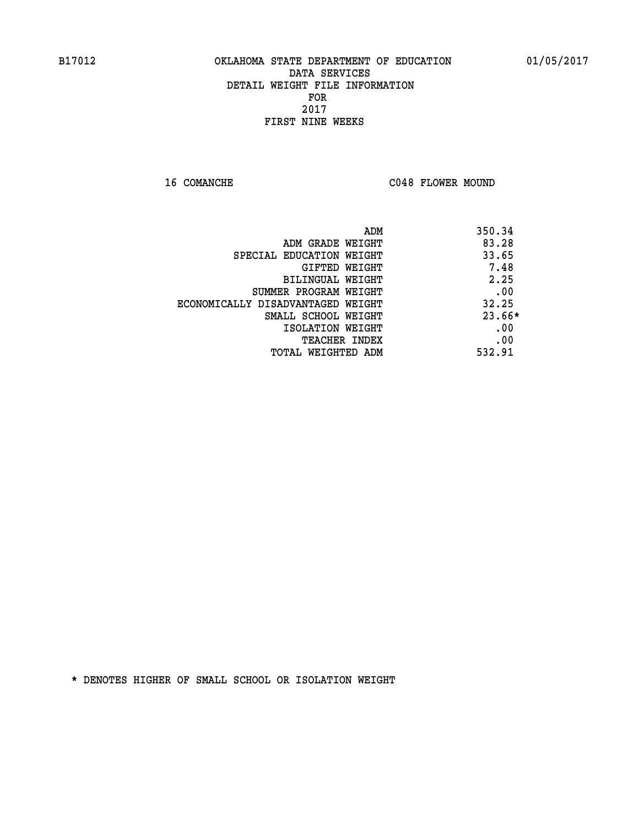16 COMANCHE C048 FLOWER MOUND

|                                   | 350.34<br>ADM |
|-----------------------------------|---------------|
| ADM GRADE WEIGHT                  | 83.28         |
| SPECIAL EDUCATION WEIGHT          | 33.65         |
| GIFTED WEIGHT                     | 7.48          |
| BILINGUAL WEIGHT                  | 2.25          |
| SUMMER PROGRAM WEIGHT             | .00           |
| ECONOMICALLY DISADVANTAGED WEIGHT | 32.25         |
| SMALL SCHOOL WEIGHT               | 23.66*        |
| ISOLATION WEIGHT                  | .00           |
| <b>TEACHER INDEX</b>              | .00           |
| TOTAL WEIGHTED ADM                | 532.91        |
|                                   |               |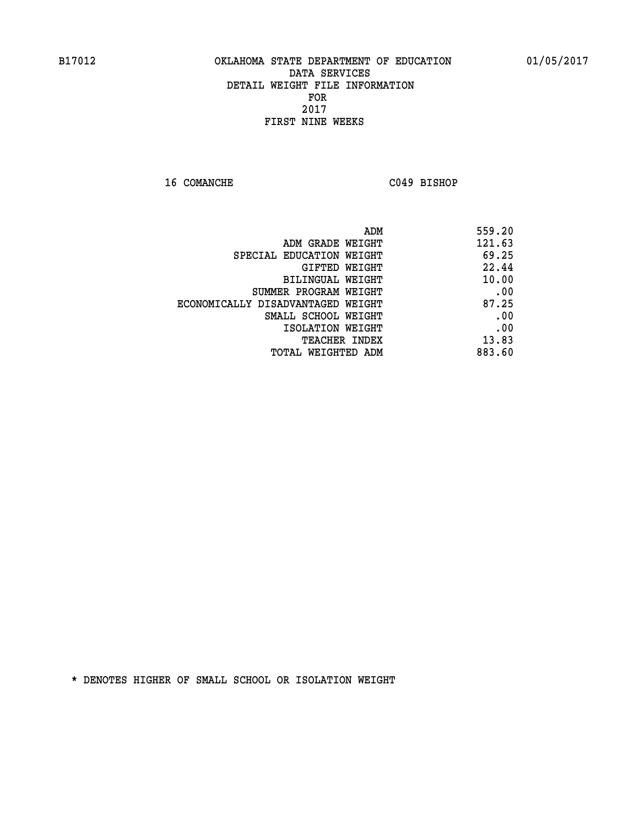**16 COMANCHE C049 BISHOP** 

| 559.20 |
|--------|
| 121.63 |
| 69.25  |
| 22.44  |
| 10.00  |
| .00    |
| 87.25  |
| .00    |
| .00    |
| 13.83  |
| 883.60 |
|        |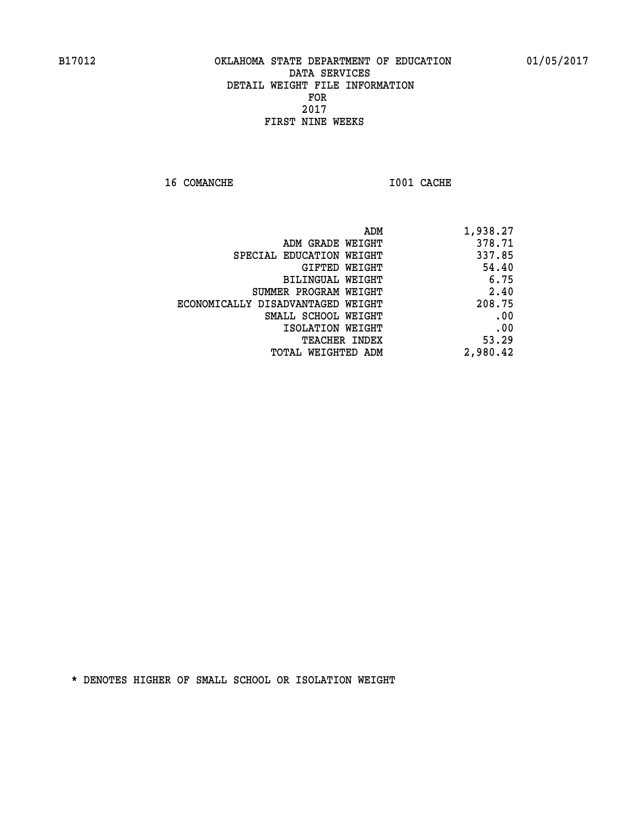**16 COMANCHE 1001 CACHE** 

|                                   | ADM<br>1,938.27 |  |
|-----------------------------------|-----------------|--|
| ADM GRADE WEIGHT                  | 378.71          |  |
| SPECIAL EDUCATION WEIGHT          | 337.85          |  |
| GIFTED WEIGHT                     | 54.40           |  |
| <b>BILINGUAL WEIGHT</b>           | 6.75            |  |
| SUMMER PROGRAM WEIGHT             | 2.40            |  |
| ECONOMICALLY DISADVANTAGED WEIGHT | 208.75          |  |
| SMALL SCHOOL WEIGHT               | .00             |  |
| ISOLATION WEIGHT                  | .00             |  |
| TEACHER INDEX                     | 53.29           |  |
| TOTAL WEIGHTED ADM                | 2,980.42        |  |
|                                   |                 |  |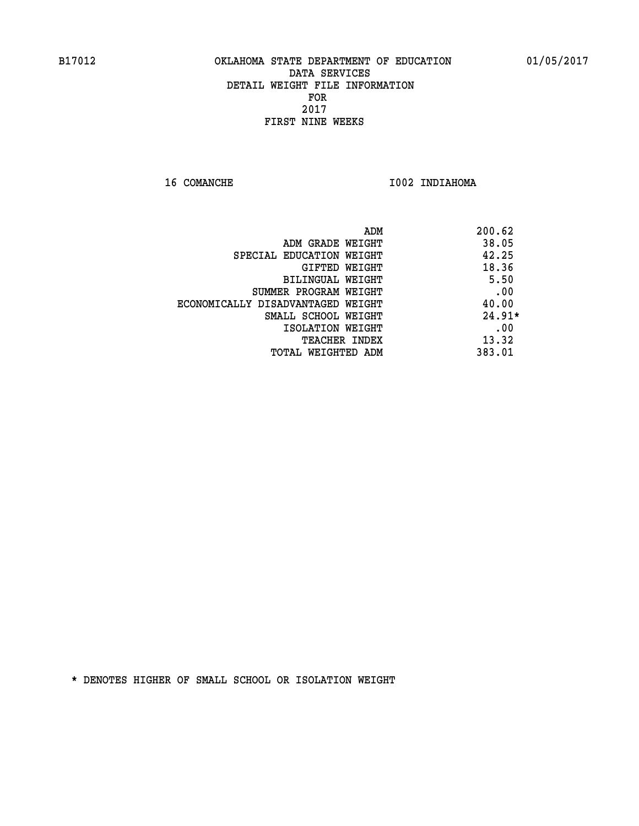16 COMANCHE 1002 INDIAHOMA

|                                   | 200.62<br>ADM |      |
|-----------------------------------|---------------|------|
| ADM GRADE WEIGHT                  | 38.05         |      |
| SPECIAL EDUCATION WEIGHT          | 42.25         |      |
| GIFTED WEIGHT                     | 18.36         |      |
| <b>BILINGUAL WEIGHT</b>           |               | 5.50 |
| SUMMER PROGRAM WEIGHT             |               | .00  |
| ECONOMICALLY DISADVANTAGED WEIGHT | 40.00         |      |
| SMALL SCHOOL WEIGHT               | $24.91*$      |      |
| ISOLATION WEIGHT                  |               | .00  |
| <b>TEACHER INDEX</b>              | 13.32         |      |
| TOTAL WEIGHTED ADM                | 383.01        |      |
|                                   |               |      |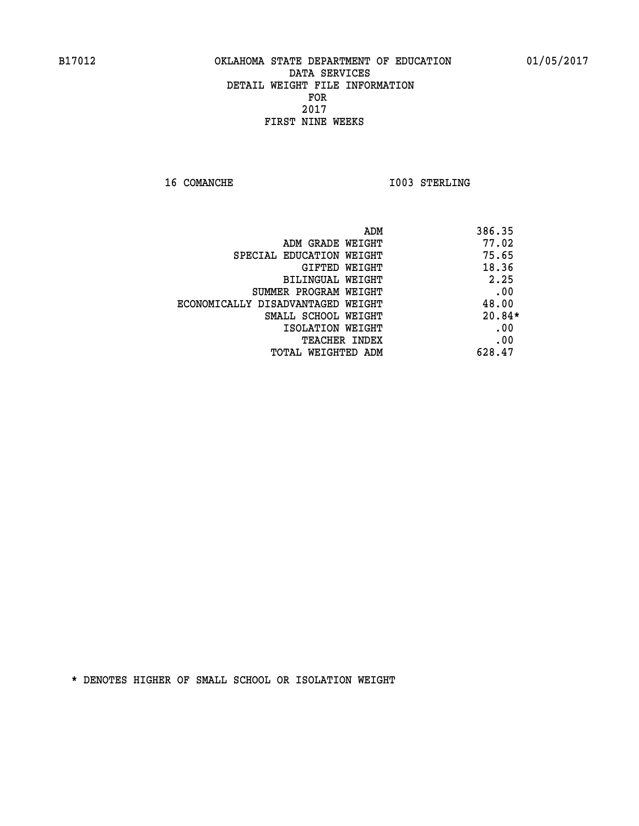**16 COMANCHE 1003 STERLING** 

| ADM                               | 386.35   |
|-----------------------------------|----------|
| ADM GRADE WEIGHT                  | 77.02    |
| SPECIAL EDUCATION WEIGHT          | 75.65    |
| <b>GIFTED WEIGHT</b>              | 18.36    |
| BILINGUAL WEIGHT                  | 2.25     |
| SUMMER PROGRAM WEIGHT             | .00      |
| ECONOMICALLY DISADVANTAGED WEIGHT | 48.00    |
| SMALL SCHOOL WEIGHT               | $20.84*$ |
| ISOLATION WEIGHT                  | .00      |
| TEACHER INDEX                     | .00      |
| TOTAL WEIGHTED ADM                | 628.47   |
|                                   |          |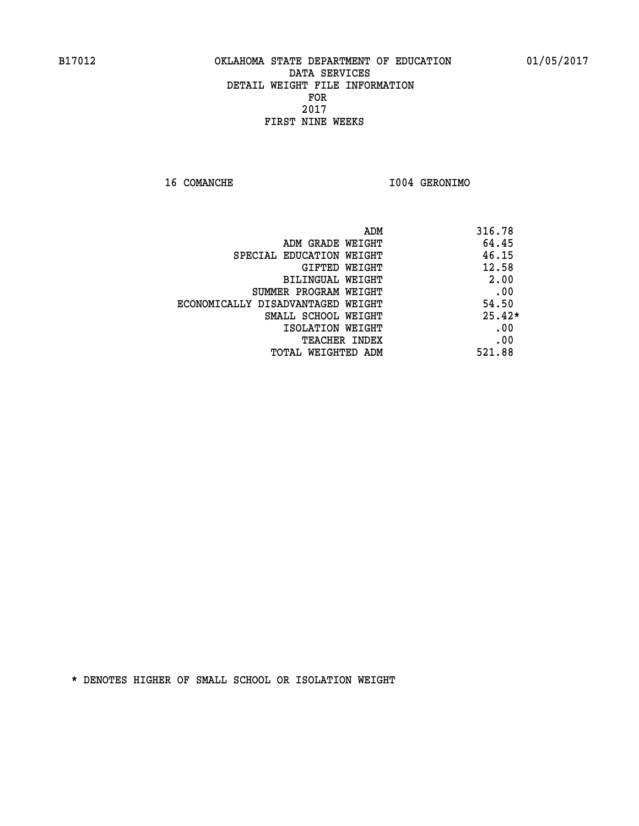**16 COMANCHE I004 GERONIMO** 

|                                   | ADM | 316.78   |
|-----------------------------------|-----|----------|
| ADM GRADE WEIGHT                  |     | 64.45    |
| SPECIAL EDUCATION WEIGHT          |     | 46.15    |
| GIFTED WEIGHT                     |     | 12.58    |
| BILINGUAL WEIGHT                  |     | 2.00     |
| SUMMER PROGRAM WEIGHT             |     | .00      |
| ECONOMICALLY DISADVANTAGED WEIGHT |     | 54.50    |
| SMALL SCHOOL WEIGHT               |     | $25.42*$ |
| ISOLATION WEIGHT                  |     | .00      |
| <b>TEACHER INDEX</b>              |     | .00      |
| TOTAL WEIGHTED ADM                |     | 521.88   |
|                                   |     |          |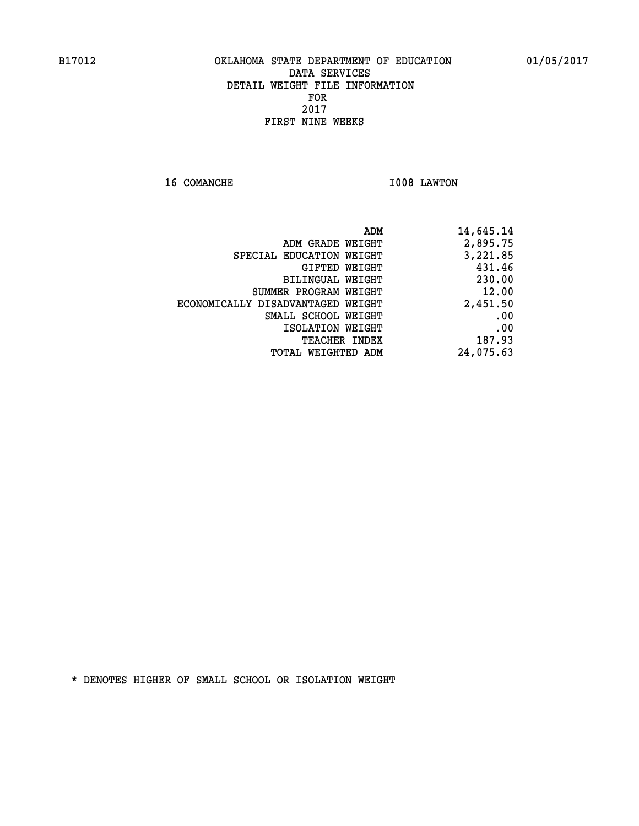**16 COMANCHE 1008 LAWTON** 

| 14,645.14 |
|-----------|
| 2,895.75  |
| 3,221.85  |
| 431.46    |
| 230.00    |
| 12.00     |
| 2,451.50  |
| .00       |
| .00       |
| 187.93    |
| 24,075.63 |
|           |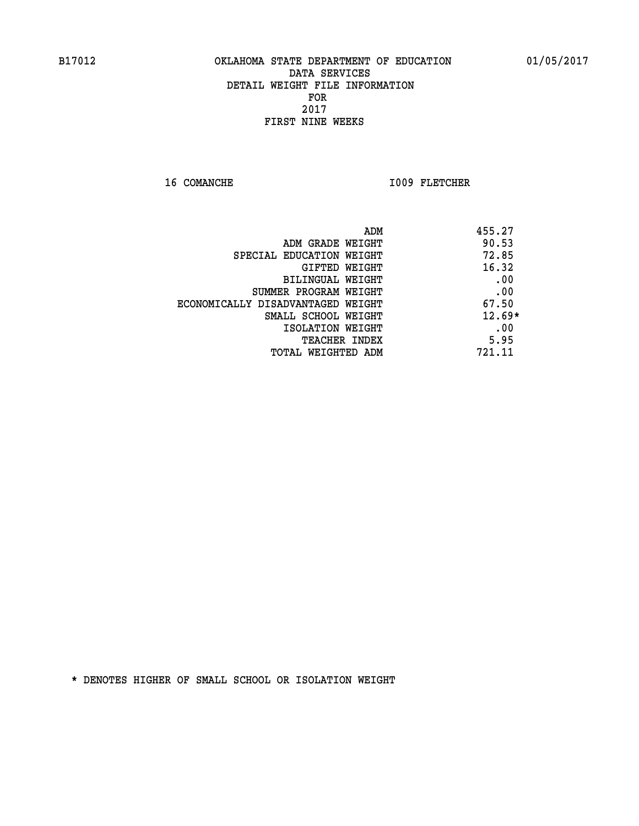16 COMANCHE 1009 FLETCHER

| ADM                               | 455.27   |
|-----------------------------------|----------|
| ADM GRADE WEIGHT                  | 90.53    |
| SPECIAL EDUCATION WEIGHT          | 72.85    |
| GIFTED WEIGHT                     | 16.32    |
| BILINGUAL WEIGHT                  | .00      |
| SUMMER PROGRAM WEIGHT             | .00      |
| ECONOMICALLY DISADVANTAGED WEIGHT | 67.50    |
| SMALL SCHOOL WEIGHT               | $12.69*$ |
| ISOLATION WEIGHT                  | .00      |
| <b>TEACHER INDEX</b>              | 5.95     |
| TOTAL WEIGHTED ADM                | 721.11   |
|                                   |          |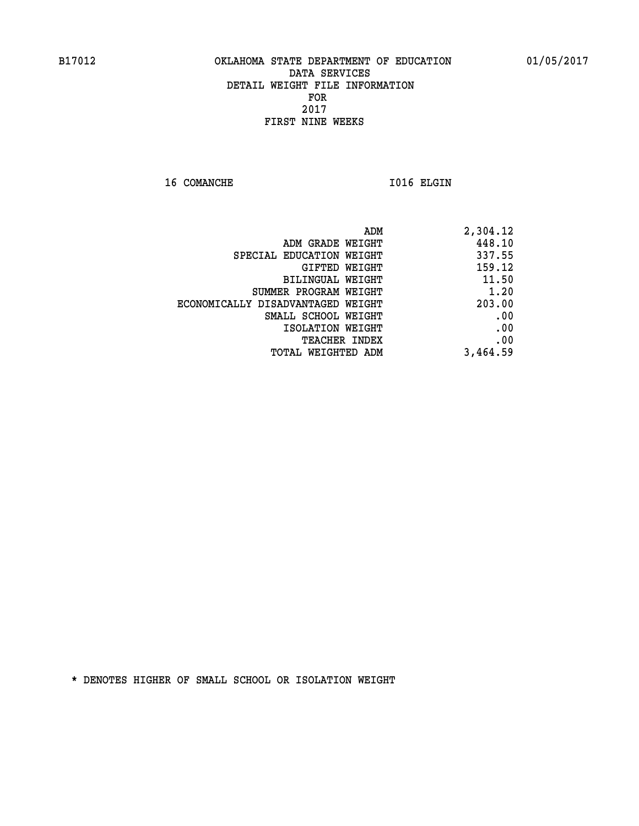16 COMANCHE 1016 ELGIN

| ADM                               | 2,304.12 |
|-----------------------------------|----------|
| ADM GRADE WEIGHT                  | 448.10   |
| SPECIAL EDUCATION WEIGHT          | 337.55   |
| GIFTED WEIGHT                     | 159.12   |
| BILINGUAL WEIGHT                  | 11.50    |
| SUMMER PROGRAM WEIGHT             | 1.20     |
| ECONOMICALLY DISADVANTAGED WEIGHT | 203.00   |
| SMALL SCHOOL WEIGHT               | .00      |
| ISOLATION WEIGHT                  | .00      |
| TEACHER INDEX                     | .00      |
| TOTAL WEIGHTED ADM                | 3,464.59 |
|                                   |          |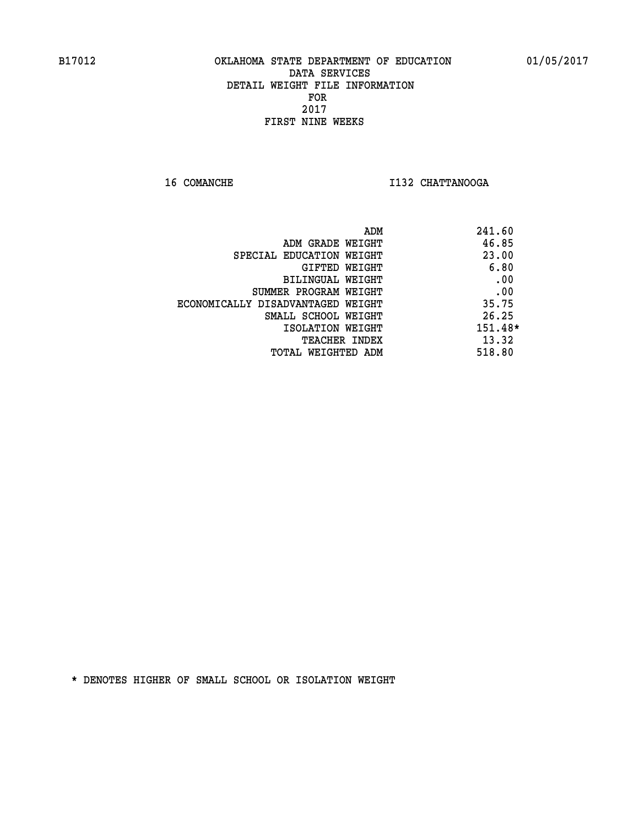**16 COMANCHE I132 CHATTANOOGA** 

|                                   | ADM | 241.60  |
|-----------------------------------|-----|---------|
| ADM GRADE WEIGHT                  |     | 46.85   |
| SPECIAL EDUCATION WEIGHT          |     | 23.00   |
| GIFTED WEIGHT                     |     | 6.80    |
| BILINGUAL WEIGHT                  |     | .00     |
| SUMMER PROGRAM WEIGHT             |     | .00     |
| ECONOMICALLY DISADVANTAGED WEIGHT |     | 35.75   |
| SMALL SCHOOL WEIGHT               |     | 26.25   |
| ISOLATION WEIGHT                  |     | 151.48* |
| <b>TEACHER INDEX</b>              |     | 13.32   |
| TOTAL WEIGHTED ADM                |     | 518.80  |
|                                   |     |         |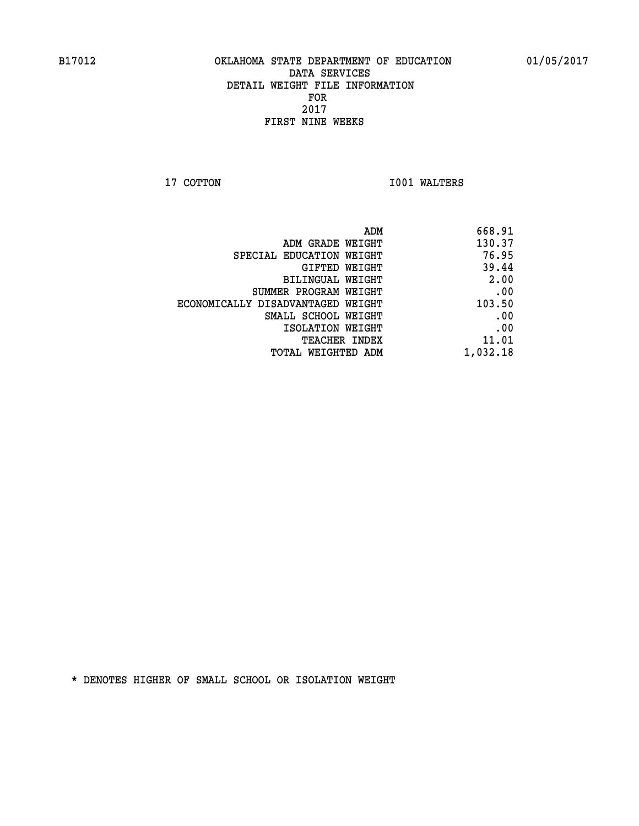**17 COTTON 1001 WALTERS** 

| 668.91   |
|----------|
| 130.37   |
| 76.95    |
| 39.44    |
| 2.00     |
| .00      |
| 103.50   |
| .00      |
| .00      |
| 11.01    |
| 1,032.18 |
|          |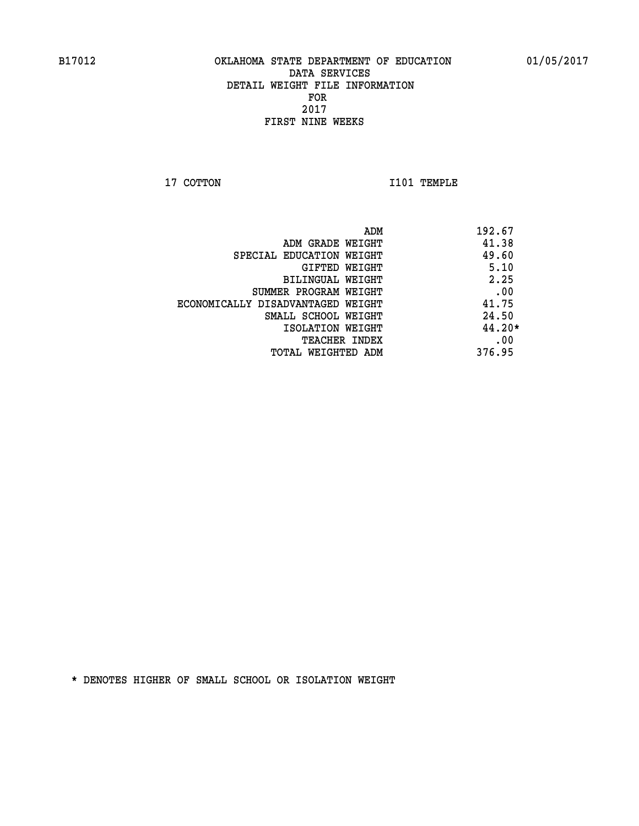**17 COTTON 1101 TEMPLE** 

|                                   | 192.67<br>ADM |  |
|-----------------------------------|---------------|--|
| ADM GRADE WEIGHT                  | 41.38         |  |
| SPECIAL EDUCATION WEIGHT          | 49.60         |  |
| GIFTED WEIGHT                     | 5.10          |  |
| BILINGUAL WEIGHT                  | 2.25          |  |
| SUMMER PROGRAM WEIGHT             | .00           |  |
| ECONOMICALLY DISADVANTAGED WEIGHT | 41.75         |  |
| SMALL SCHOOL WEIGHT               | 24.50         |  |
| ISOLATION WEIGHT                  | 44.20*        |  |
| <b>TEACHER INDEX</b>              | .00           |  |
| TOTAL WEIGHTED ADM                | 376.95        |  |
|                                   |               |  |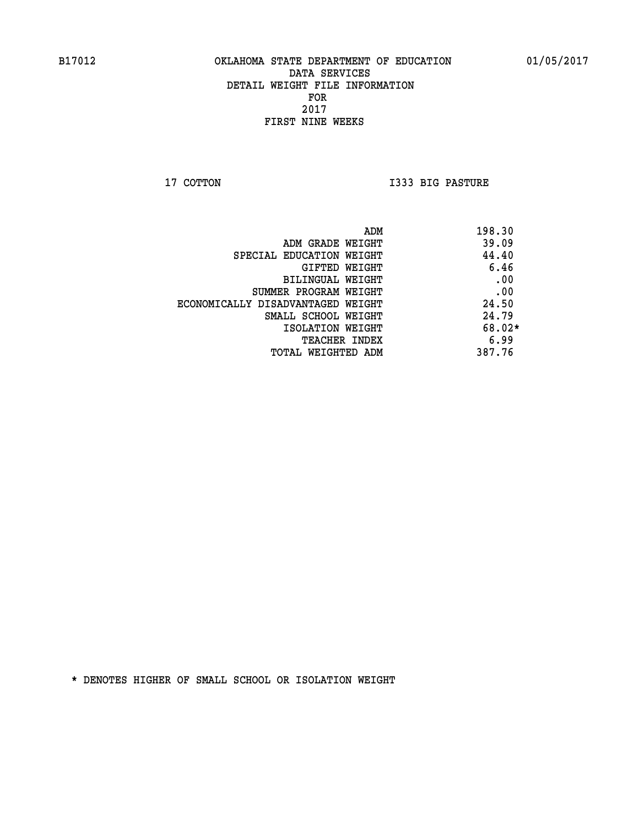**17 COTTON I333 BIG PASTURE** 

|                                   | 198.30<br>ADM |
|-----------------------------------|---------------|
| ADM GRADE WEIGHT                  | 39.09         |
| SPECIAL EDUCATION WEIGHT          | 44.40         |
| GIFTED WEIGHT                     | 6.46          |
| BILINGUAL WEIGHT                  | .00           |
| SUMMER PROGRAM WEIGHT             | .00           |
| ECONOMICALLY DISADVANTAGED WEIGHT | 24.50         |
| SMALL SCHOOL WEIGHT               | 24.79         |
| ISOLATION WEIGHT                  | $68.02*$      |
| TEACHER INDEX                     | 6.99          |
| TOTAL WEIGHTED ADM                | 387.76        |
|                                   |               |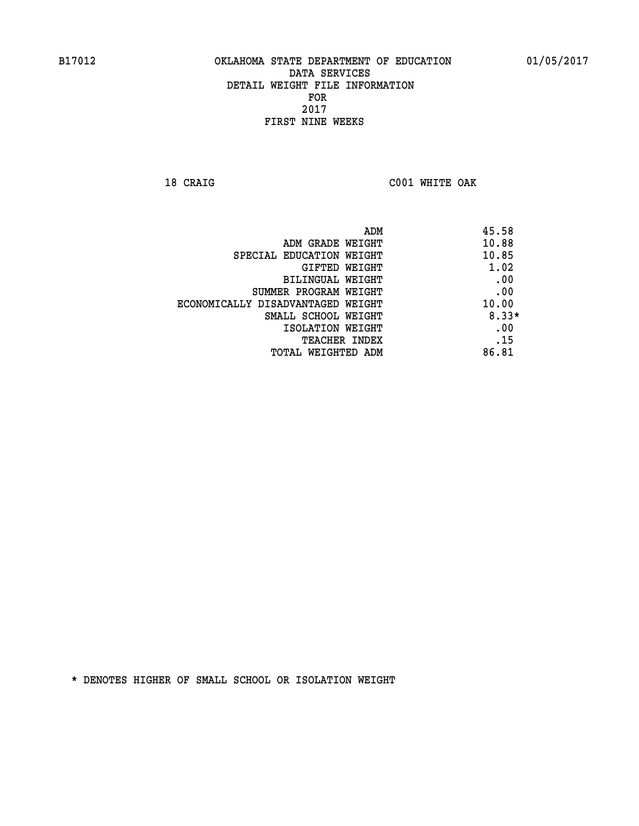**18 CRAIG C001 WHITE OAK** 

| 45.58<br>ADM                               |  |
|--------------------------------------------|--|
| 10.88<br>ADM GRADE WEIGHT                  |  |
| 10.85<br>SPECIAL EDUCATION WEIGHT          |  |
| 1.02<br>GIFTED WEIGHT                      |  |
| .00<br>BILINGUAL WEIGHT                    |  |
| .00<br>SUMMER PROGRAM WEIGHT               |  |
| 10.00<br>ECONOMICALLY DISADVANTAGED WEIGHT |  |
| $8.33*$<br>SMALL SCHOOL WEIGHT             |  |
| .00<br>ISOLATION WEIGHT                    |  |
| .15<br><b>TEACHER INDEX</b>                |  |
| 86.81<br>TOTAL WEIGHTED ADM                |  |
|                                            |  |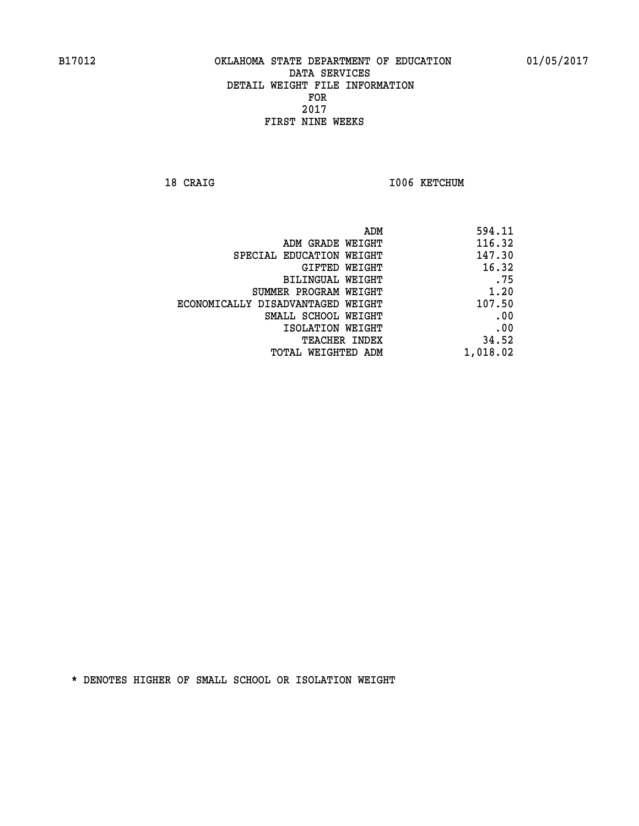18 CRAIG **I006 KETCHUM** 

| ADM GRADE WEIGHT<br>SPECIAL EDUCATION WEIGHT<br>GIFTED WEIGHT | 594.11 |
|---------------------------------------------------------------|--------|
|                                                               | 116.32 |
|                                                               | 147.30 |
|                                                               | 16.32  |
| BILINGUAL WEIGHT                                              | .75    |
| SUMMER PROGRAM WEIGHT                                         | 1.20   |
| ECONOMICALLY DISADVANTAGED WEIGHT                             | 107.50 |
| SMALL SCHOOL WEIGHT                                           | .00    |
| ISOLATION WEIGHT                                              | .00    |
| TEACHER INDEX                                                 | 34.52  |
| 1,018.02<br>TOTAL WEIGHTED ADM                                |        |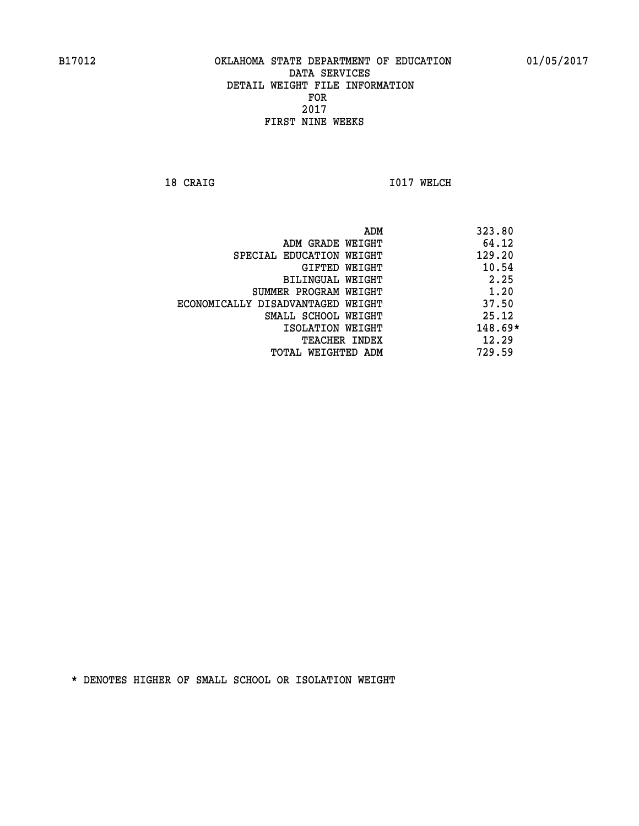**18 CRAIG 1017 WELCH** 

 **ADM 323.80 ADM GRADE WEIGHT 64.12 SPECIAL EDUCATION WEIGHT 129.20 GIFTED WEIGHT 40.54 BILINGUAL WEIGHT 2.25 SUMMER PROGRAM WEIGHT 1.20 ECONOMICALLY DISADVANTAGED WEIGHT 37.50 SMALL SCHOOL WEIGHT** 25.12  **ISOLATION WEIGHT 148.69\* TEACHER INDEX** 12.29  **TOTAL WEIGHTED ADM 729.59**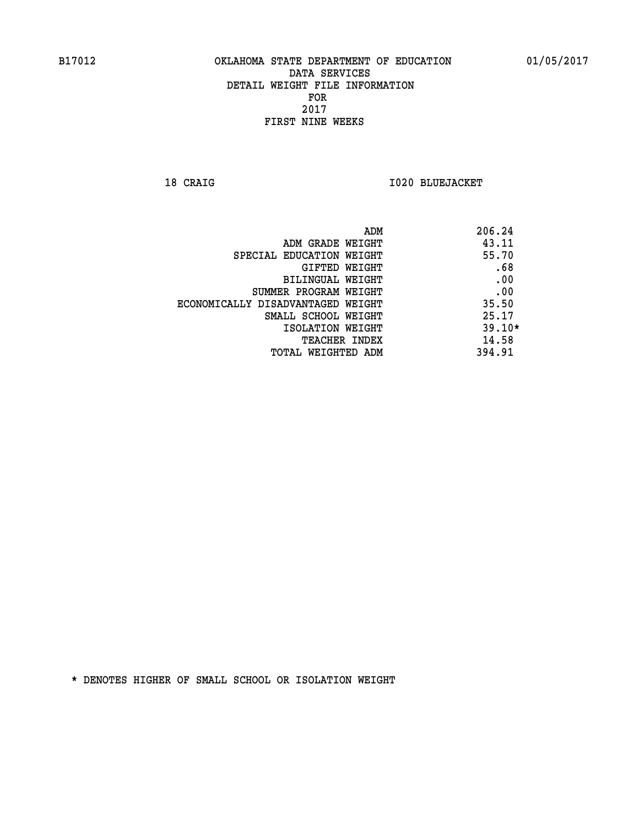**18 CRAIG I020 BLUEJACKET** 

| ADM                               | 206.24   |
|-----------------------------------|----------|
| ADM GRADE WEIGHT                  | 43.11    |
| SPECIAL EDUCATION WEIGHT          | 55.70    |
| GIFTED WEIGHT                     | .68      |
| <b>BILINGUAL WEIGHT</b>           | .00      |
| SUMMER PROGRAM WEIGHT             | .00      |
| ECONOMICALLY DISADVANTAGED WEIGHT | 35.50    |
| SMALL SCHOOL WEIGHT               | 25.17    |
| ISOLATION WEIGHT                  | $39.10*$ |
| <b>TEACHER INDEX</b>              | 14.58    |
| TOTAL WEIGHTED ADM                | 394.91   |
|                                   |          |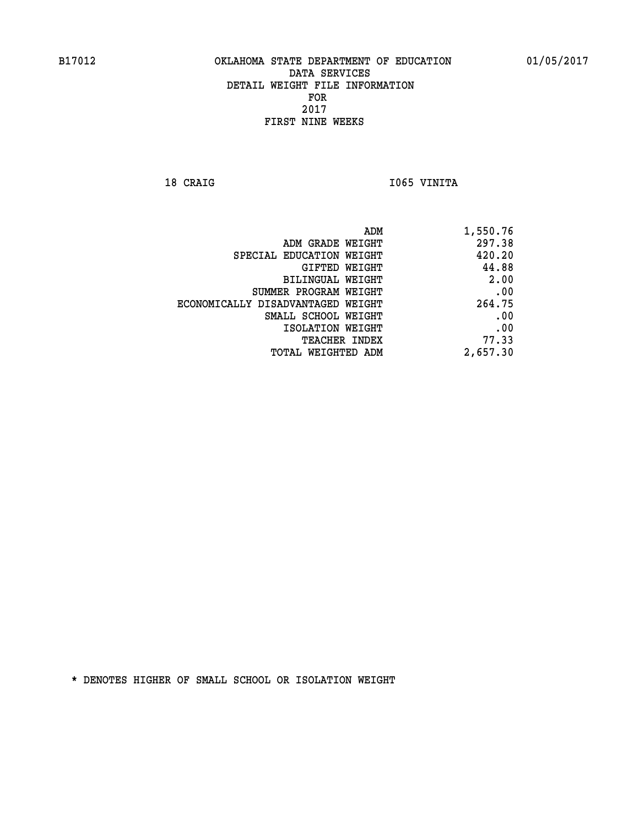18 CRAIG **I**065 VINITA

| ADM                               | 1,550.76 |
|-----------------------------------|----------|
| ADM GRADE WEIGHT                  | 297.38   |
| SPECIAL EDUCATION WEIGHT          | 420.20   |
| GIFTED WEIGHT                     | 44.88    |
| <b>BILINGUAL WEIGHT</b>           | 2.00     |
| SUMMER PROGRAM WEIGHT             | .00      |
| ECONOMICALLY DISADVANTAGED WEIGHT | 264.75   |
| SMALL SCHOOL WEIGHT               | .00      |
| ISOLATION WEIGHT                  | .00      |
| TEACHER INDEX                     | 77.33    |
| TOTAL WEIGHTED ADM                | 2,657.30 |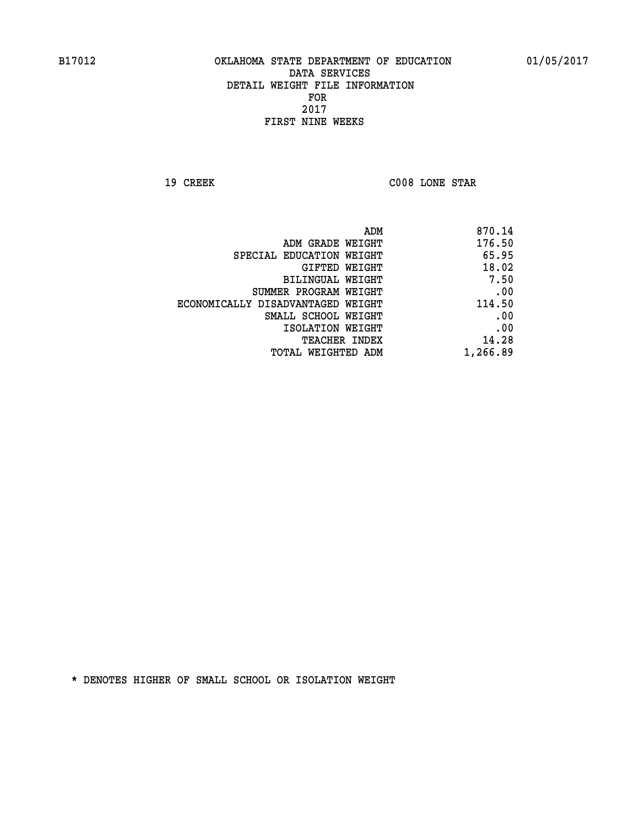**19 CREEK C008 LONE STAR** 

| 870.14   |
|----------|
| 176.50   |
| 65.95    |
| 18.02    |
| 7.50     |
| .00      |
| 114.50   |
| .00      |
| .00      |
| 14.28    |
| 1,266.89 |
|          |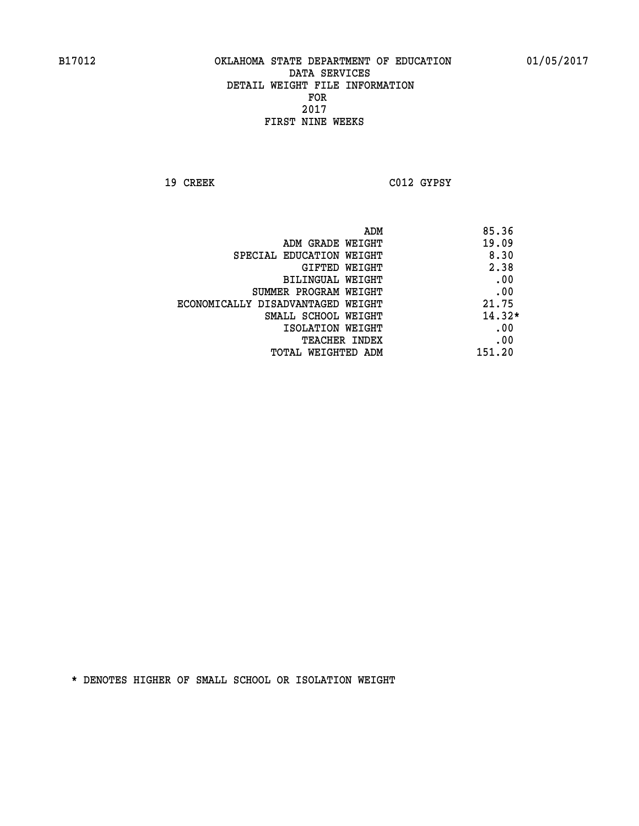**19 CREEK C012 GYPSY** 

**ADM** 85.36 **EXAMPLE WEIGHT 19.09 SPECIAL EDUCATION WEIGHT** 8.30  **GIFTED WEIGHT 2.38 BILINGUAL WEIGHT .00 SUMMER PROGRAM WEIGHT .00 ECONOMICALLY DISADVANTAGED WEIGHT 21.75 SMALL SCHOOL WEIGHT 14.32\* EXECUTED ISOLATION WEIGHT AND RESOLATION WEIGHT TEACHER INDEX** .00  **TOTAL WEIGHTED ADM 151.20**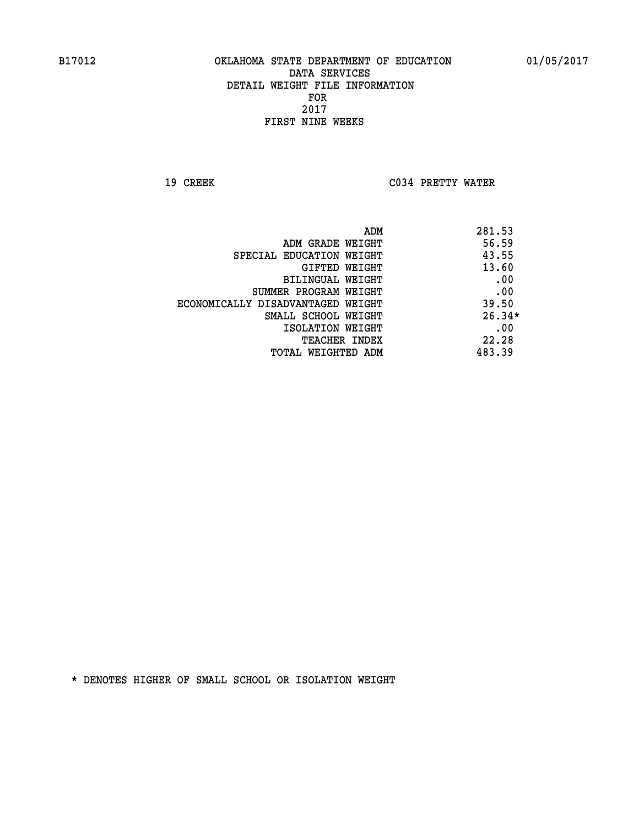**19 CREEK C034 PRETTY WATER** 

|                                   | 281.53<br>ADM |
|-----------------------------------|---------------|
| ADM GRADE WEIGHT                  | 56.59         |
| SPECIAL EDUCATION WEIGHT          | 43.55         |
| GIFTED WEIGHT                     | 13.60         |
| BILINGUAL WEIGHT                  | .00           |
| SUMMER PROGRAM WEIGHT             | .00           |
| ECONOMICALLY DISADVANTAGED WEIGHT | 39.50         |
| SMALL SCHOOL WEIGHT               | $26.34*$      |
| ISOLATION WEIGHT                  | .00           |
| TEACHER INDEX                     | 22.28         |
| TOTAL WEIGHTED ADM                | 483.39        |
|                                   |               |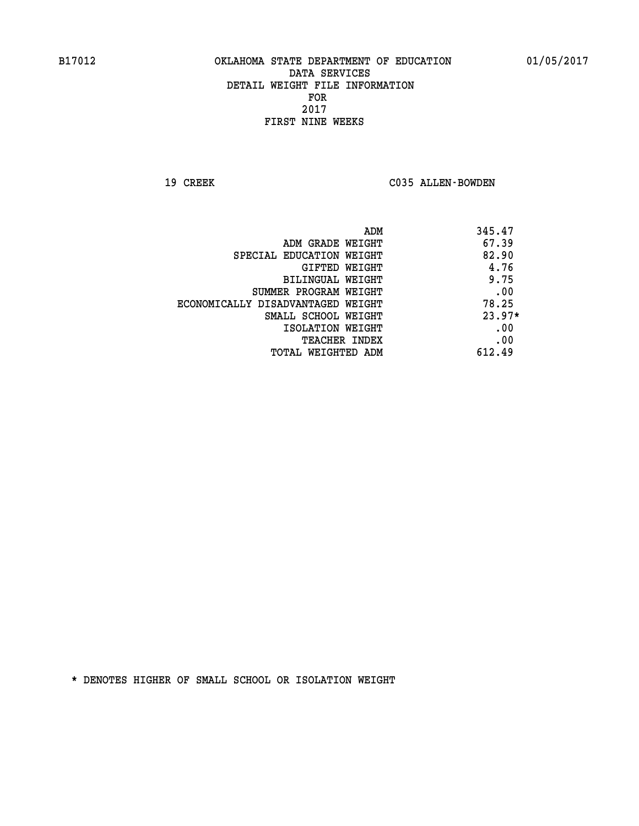19 CREEK C035 ALLEN-BOWDEN

| ADM                               | 345.47   |
|-----------------------------------|----------|
| ADM GRADE WEIGHT                  | 67.39    |
| SPECIAL EDUCATION WEIGHT          | 82.90    |
| GIFTED WEIGHT                     | 4.76     |
| BILINGUAL WEIGHT                  | 9.75     |
| SUMMER PROGRAM WEIGHT             | .00      |
| ECONOMICALLY DISADVANTAGED WEIGHT | 78.25    |
| SMALL SCHOOL WEIGHT               | $23.97*$ |
| ISOLATION WEIGHT                  | .00      |
| <b>TEACHER INDEX</b>              | .00      |
| TOTAL WEIGHTED ADM                | 612.49   |
|                                   |          |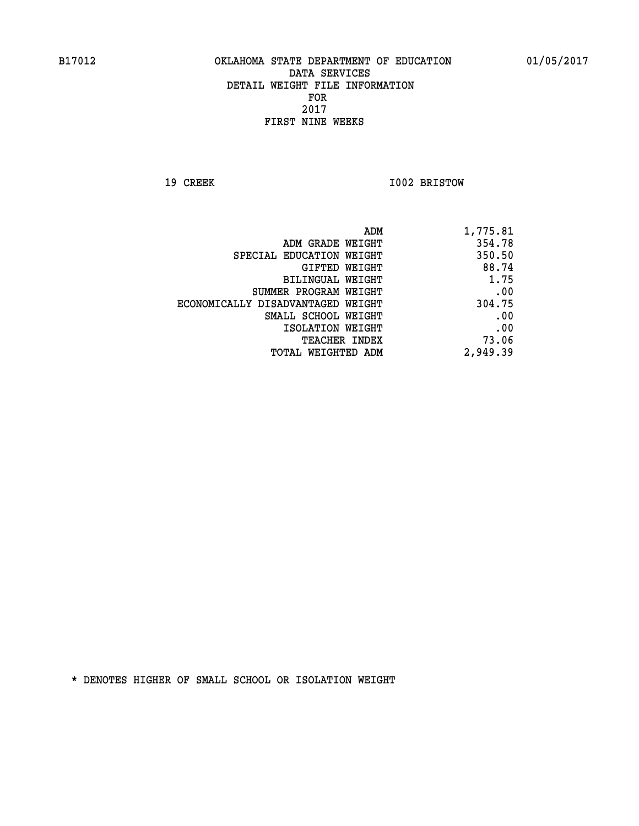**19 CREEK 1002 BRISTOW** 

| 1,775.81 |
|----------|
| 354.78   |
| 350.50   |
| 88.74    |
| 1.75     |
| .00      |
| 304.75   |
| .00      |
| .00      |
| 73.06    |
| 2,949.39 |
|          |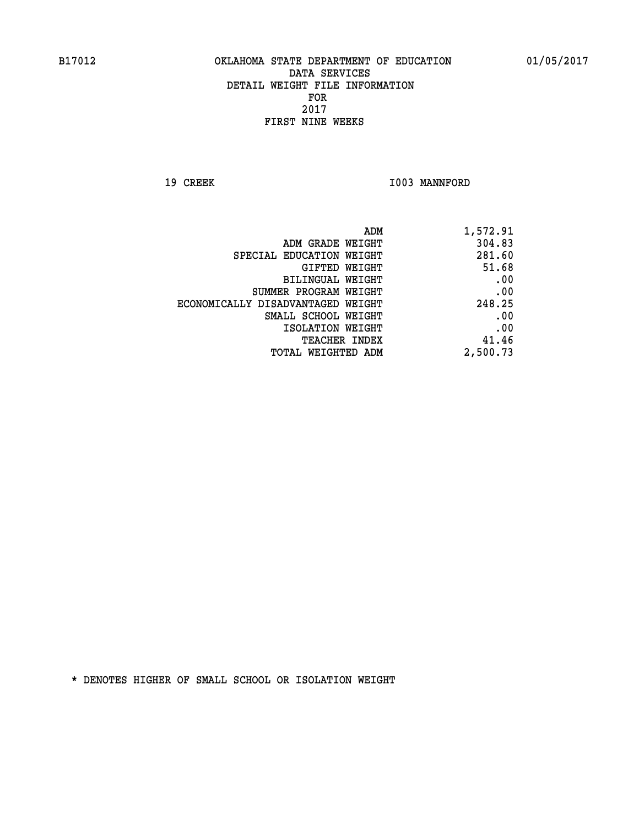19 CREEK 1003 MANNFORD

| 1,572.91 |
|----------|
| 304.83   |
| 281.60   |
| 51.68    |
| .00      |
| .00      |
| 248.25   |
| .00      |
| .00      |
| 41.46    |
| 2,500.73 |
|          |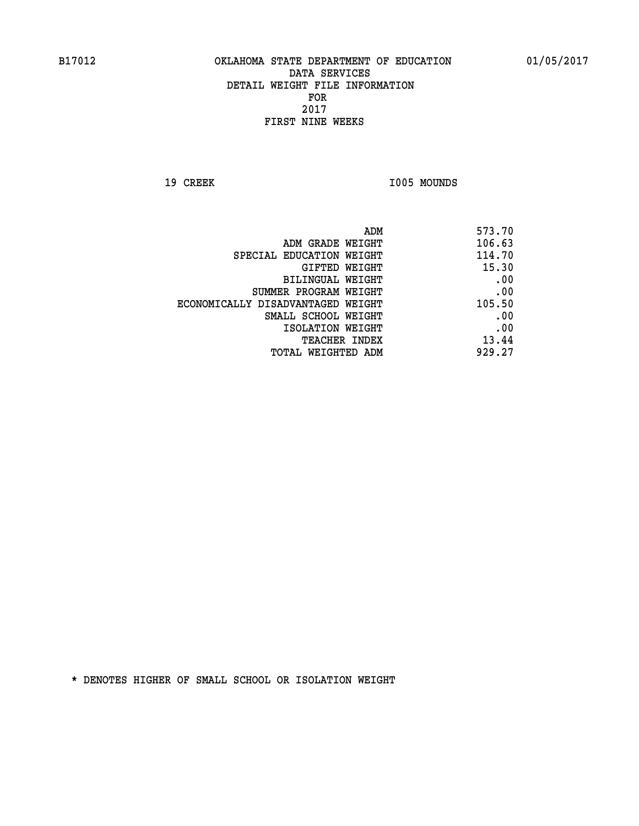19 CREEK 1005 MOUNDS

| ADM                               | 573.70 |
|-----------------------------------|--------|
| ADM GRADE WEIGHT                  | 106.63 |
| SPECIAL EDUCATION WEIGHT          | 114.70 |
| GIFTED WEIGHT                     | 15.30  |
| BILINGUAL WEIGHT                  | .00    |
| SUMMER PROGRAM WEIGHT             | .00    |
| ECONOMICALLY DISADVANTAGED WEIGHT | 105.50 |
| SMALL SCHOOL WEIGHT               | .00    |
| ISOLATION WEIGHT                  | .00    |
| <b>TEACHER INDEX</b>              | 13.44  |
| TOTAL WEIGHTED ADM                | 929.27 |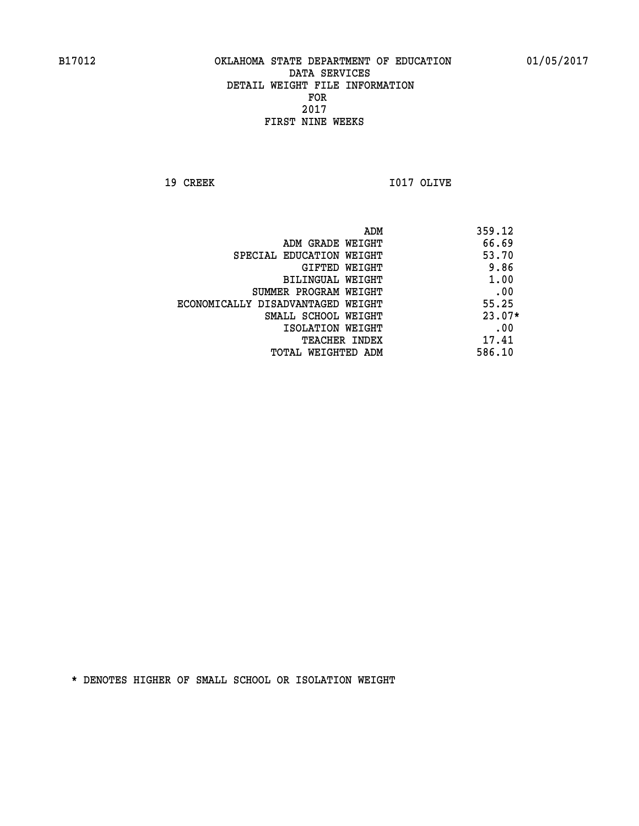**19 CREEK I017 OLIVE** 

|                                   | 359.12<br>ADM |     |
|-----------------------------------|---------------|-----|
| ADM GRADE WEIGHT                  | 66.69         |     |
| SPECIAL EDUCATION WEIGHT          | 53.70         |     |
| GIFTED WEIGHT                     | 9.86          |     |
| BILINGUAL WEIGHT                  | 1.00          |     |
| SUMMER PROGRAM WEIGHT             |               | .00 |
| ECONOMICALLY DISADVANTAGED WEIGHT | 55.25         |     |
| SMALL SCHOOL WEIGHT               | $23.07*$      |     |
| ISOLATION WEIGHT                  |               | .00 |
| <b>TEACHER INDEX</b>              | 17.41         |     |
| TOTAL WEIGHTED ADM                | 586.10        |     |
|                                   |               |     |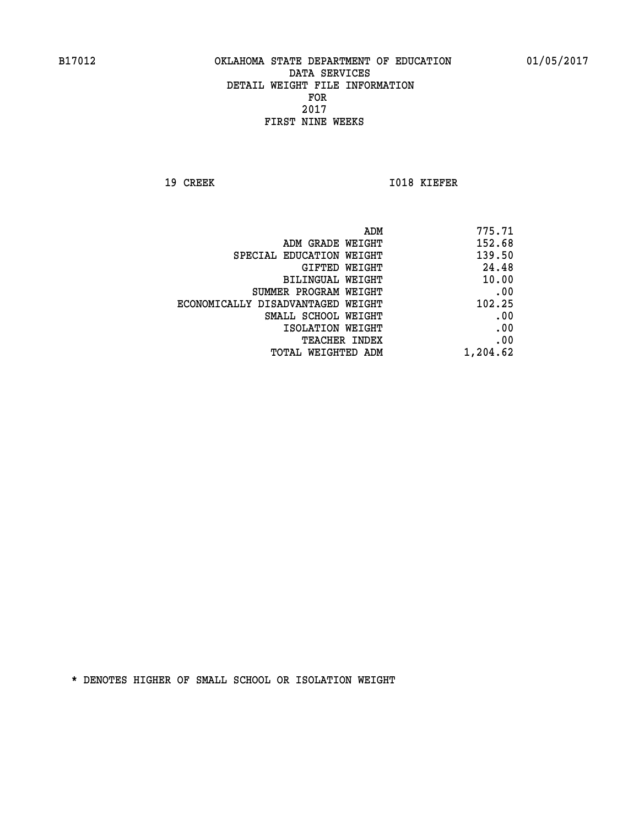**19 CREEK 1018 KIEFER** 

| 775.71   |
|----------|
| 152.68   |
| 139.50   |
| 24.48    |
| 10.00    |
| .00      |
| 102.25   |
| .00      |
| .00      |
| .00      |
| 1,204.62 |
|          |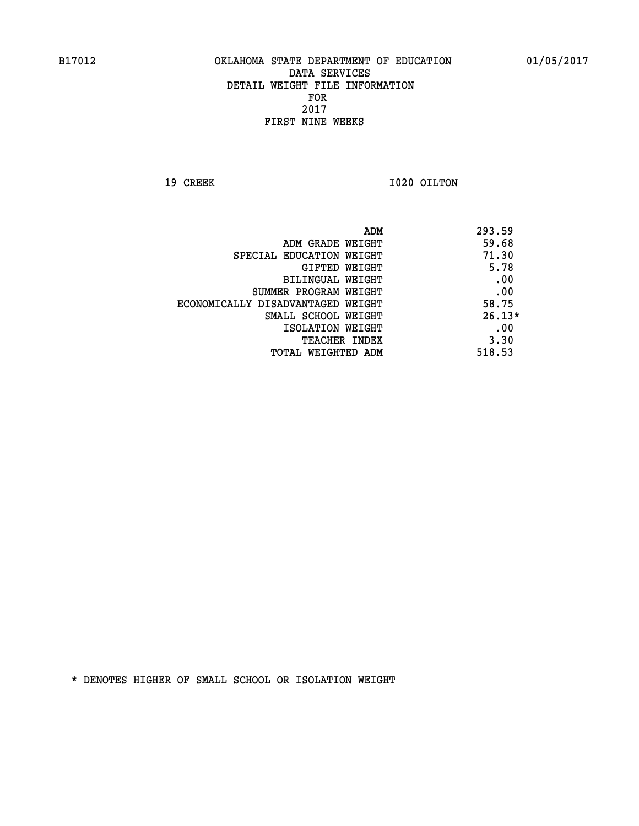**19 CREEK 1020 OILTON** 

|                                   | 293.59<br>ADM |
|-----------------------------------|---------------|
| ADM GRADE WEIGHT                  | 59.68         |
| SPECIAL EDUCATION WEIGHT          | 71.30         |
| GIFTED WEIGHT                     | 5.78          |
| BILINGUAL WEIGHT                  | .00           |
| SUMMER PROGRAM WEIGHT             | .00           |
| ECONOMICALLY DISADVANTAGED WEIGHT | 58.75         |
| SMALL SCHOOL WEIGHT               | $26.13*$      |
| ISOLATION WEIGHT                  | .00           |
| <b>TEACHER INDEX</b>              | 3.30          |
| TOTAL WEIGHTED ADM                | 518.53        |
|                                   |               |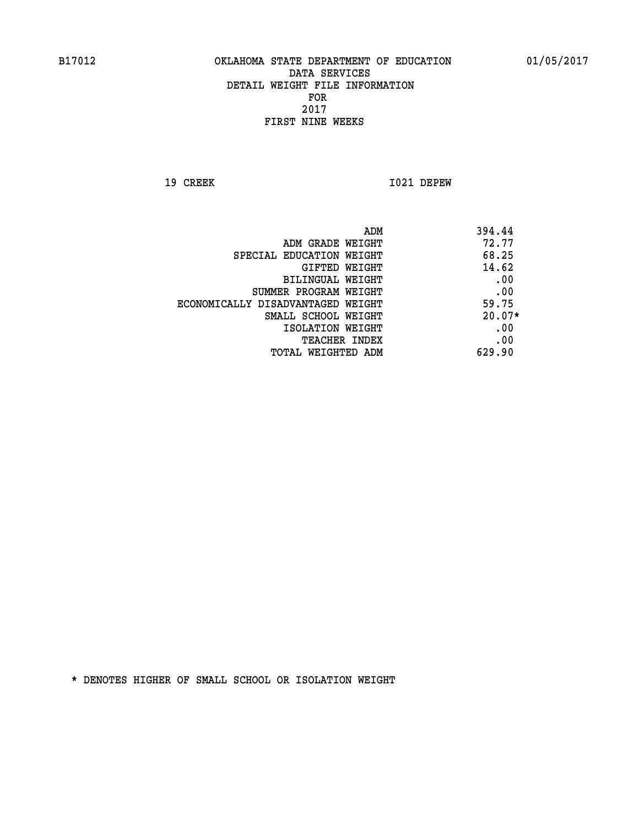**19 CREEK I021 DEPEW** 

| 394.44   |
|----------|
| 72.77    |
| 68.25    |
| 14.62    |
| .00      |
| .00      |
| 59.75    |
| $20.07*$ |
| .00      |
| .00      |
| 629.90   |
|          |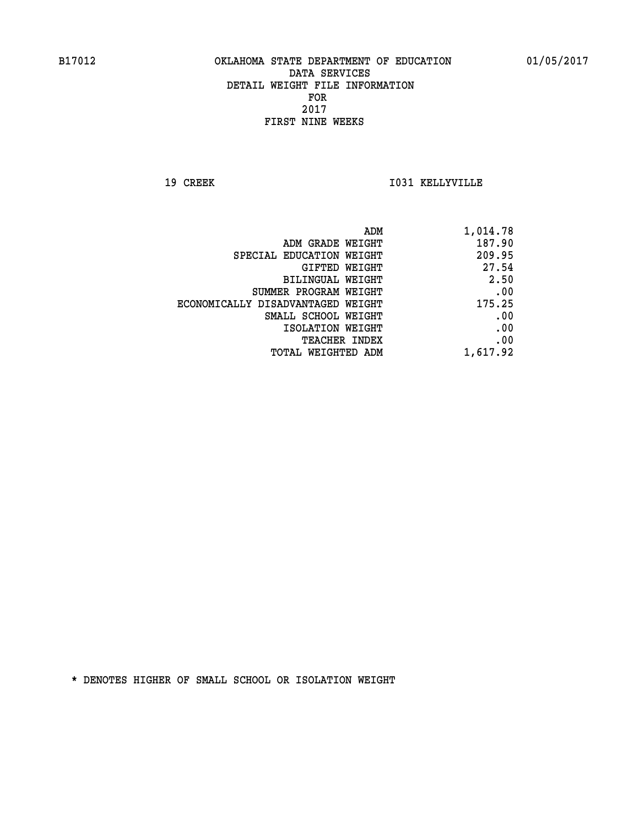**19 CREEK I031 KELLYVILLE** 

| ADM                               | 1,014.78 |
|-----------------------------------|----------|
| ADM GRADE WEIGHT                  | 187.90   |
| SPECIAL EDUCATION WEIGHT          | 209.95   |
| <b>GIFTED WEIGHT</b>              | 27.54    |
| BILINGUAL WEIGHT                  | 2.50     |
| SUMMER PROGRAM WEIGHT             | .00      |
| ECONOMICALLY DISADVANTAGED WEIGHT | 175.25   |
| SMALL SCHOOL WEIGHT               | .00      |
| ISOLATION WEIGHT                  | .00      |
| <b>TEACHER INDEX</b>              | .00      |
| <b>TOTAL WEIGHTED ADM</b>         | 1,617.92 |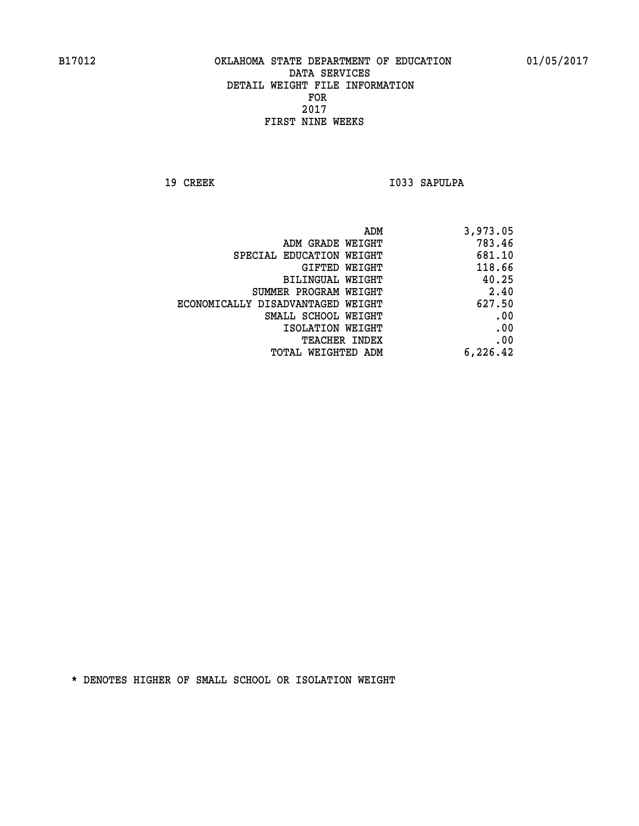19 CREEK 1033 SAPULPA

|                                   | ADM<br>3,973.05 |
|-----------------------------------|-----------------|
| ADM GRADE WEIGHT                  | 783.46          |
| SPECIAL EDUCATION WEIGHT          | 681.10          |
| <b>GIFTED WEIGHT</b>              | 118.66          |
| <b>BILINGUAL WEIGHT</b>           | 40.25           |
| SUMMER PROGRAM WEIGHT             | 2.40            |
| ECONOMICALLY DISADVANTAGED WEIGHT | 627.50          |
| SMALL SCHOOL WEIGHT               | .00             |
| ISOLATION WEIGHT                  | .00             |
| TEACHER INDEX                     | .00             |
| TOTAL WEIGHTED ADM                | 6,226.42        |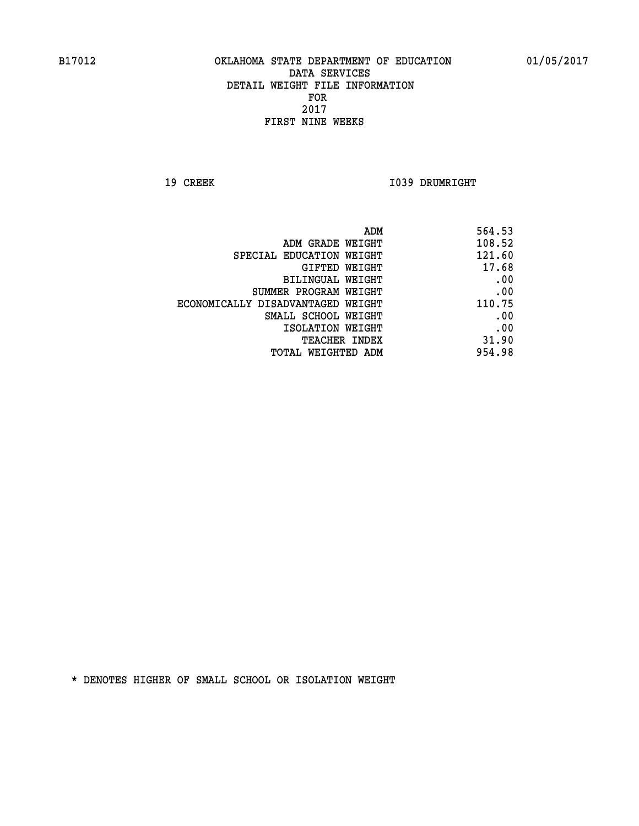**19 CREEK 1039 DRUMRIGHT** 

| 564.53 |
|--------|
| 108.52 |
| 121.60 |
| 17.68  |
| .00    |
| .00    |
| 110.75 |
| .00    |
| .00    |
| 31.90  |
| 954.98 |
|        |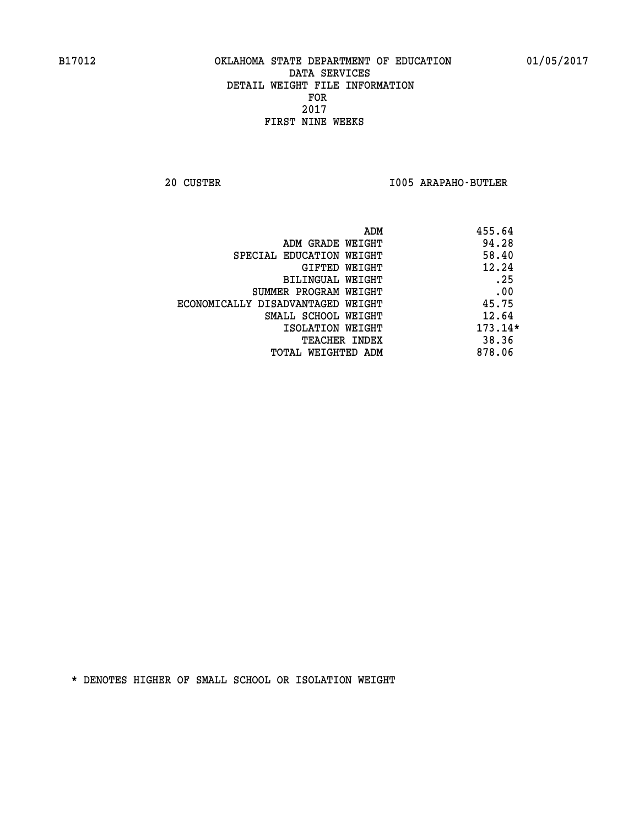**20 CUSTER I005 ARAPAHO-BUTLER** 

| 455.64<br>ADM                              |  |
|--------------------------------------------|--|
| 94.28<br>ADM GRADE WEIGHT                  |  |
| 58.40<br>SPECIAL EDUCATION WEIGHT          |  |
| 12.24<br>GIFTED WEIGHT                     |  |
| .25<br>BILINGUAL WEIGHT                    |  |
| .00<br>SUMMER PROGRAM WEIGHT               |  |
| 45.75<br>ECONOMICALLY DISADVANTAGED WEIGHT |  |
| 12.64<br>SMALL SCHOOL WEIGHT               |  |
| 173.14*<br>ISOLATION WEIGHT                |  |
| 38.36<br><b>TEACHER INDEX</b>              |  |
| 878.06<br>TOTAL WEIGHTED ADM               |  |
|                                            |  |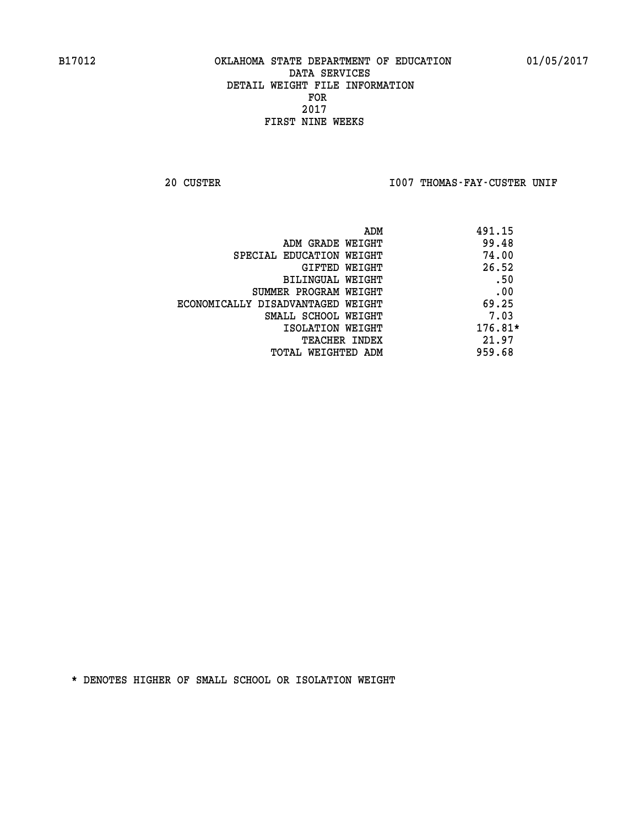20 CUSTER **IDO7 THOMAS-FAY-CUSTER UNIF** 

| ADM                               | 491.15    |
|-----------------------------------|-----------|
| ADM GRADE WEIGHT                  | 99.48     |
| SPECIAL EDUCATION WEIGHT          | 74.00     |
| GIFTED WEIGHT                     | 26.52     |
| BILINGUAL WEIGHT                  | .50       |
| SUMMER PROGRAM WEIGHT             | .00       |
| ECONOMICALLY DISADVANTAGED WEIGHT | 69.25     |
| SMALL SCHOOL WEIGHT               | 7.03      |
| ISOLATION WEIGHT                  | $176.81*$ |
| <b>TEACHER INDEX</b>              | 21.97     |
| TOTAL WEIGHTED ADM                | 959.68    |
|                                   |           |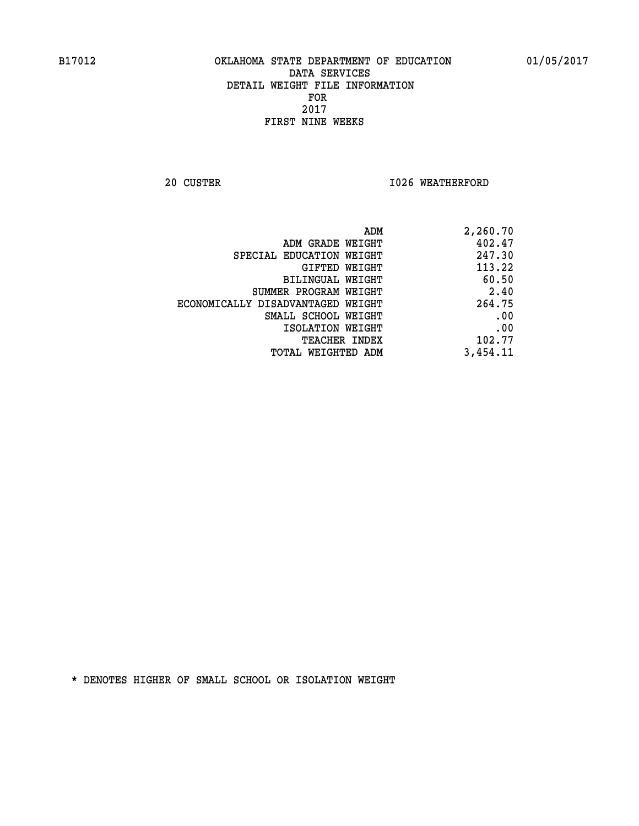**20 CUSTER 1026 WEATHERFORD** 

| 2,260.70 |
|----------|
| 402.47   |
| 247.30   |
| 113.22   |
| 60.50    |
| 2.40     |
| 264.75   |
| .00      |
| .00      |
| 102.77   |
| 3,454.11 |
|          |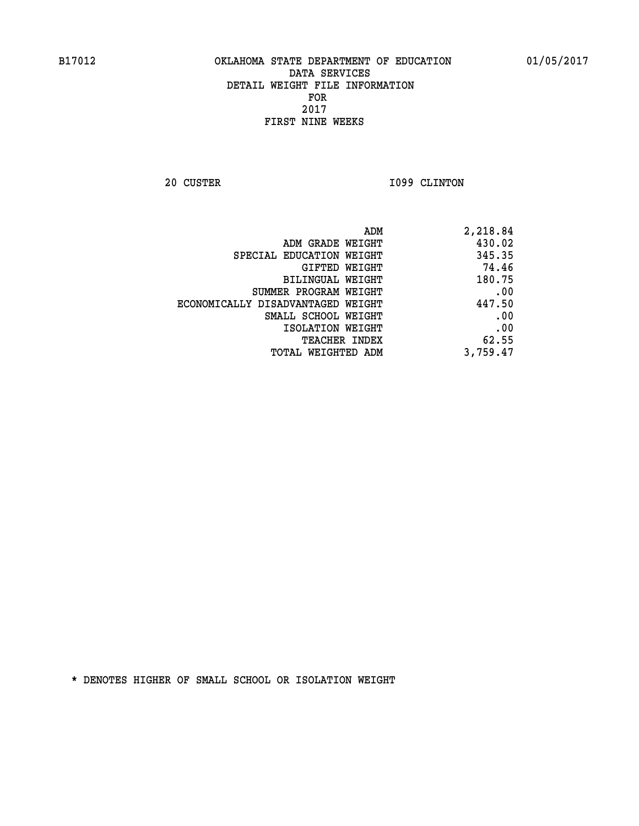**20 CUSTER 1099 CLINTON** 

| 2,218.84 |
|----------|
| 430.02   |
| 345.35   |
| 74.46    |
| 180.75   |
| .00      |
| 447.50   |
| .00      |
| .00      |
| 62.55    |
| 3,759.47 |
|          |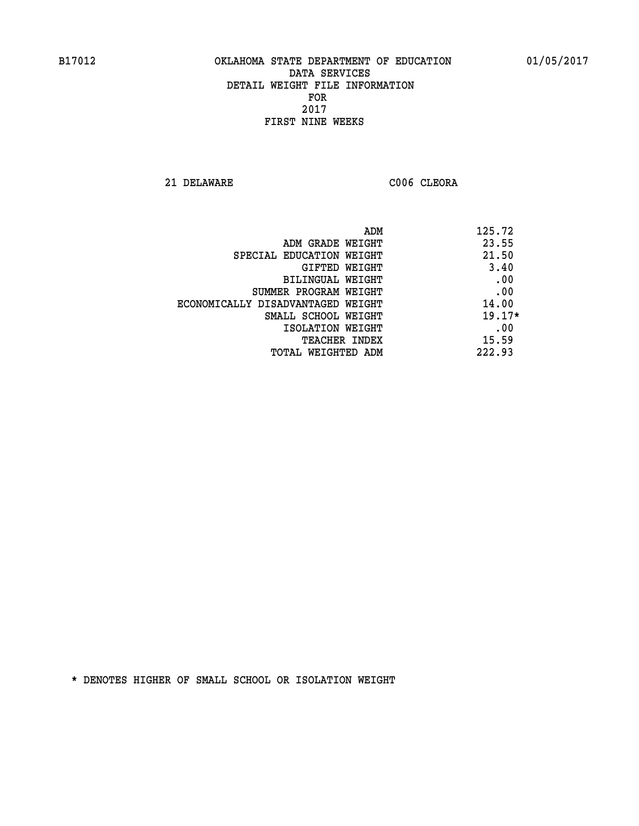**21 DELAWARE C006 CLEORA** 

| ADM                               | 125.72   |
|-----------------------------------|----------|
| ADM GRADE WEIGHT                  | 23.55    |
| SPECIAL EDUCATION WEIGHT          | 21.50    |
| GIFTED WEIGHT                     | 3.40     |
| BILINGUAL WEIGHT                  | .00      |
| SUMMER PROGRAM WEIGHT             | .00      |
| ECONOMICALLY DISADVANTAGED WEIGHT | 14.00    |
| SMALL SCHOOL WEIGHT               | $19.17*$ |
| ISOLATION WEIGHT                  | .00      |
| <b>TEACHER INDEX</b>              | 15.59    |
| TOTAL WEIGHTED ADM                | 222.93   |
|                                   |          |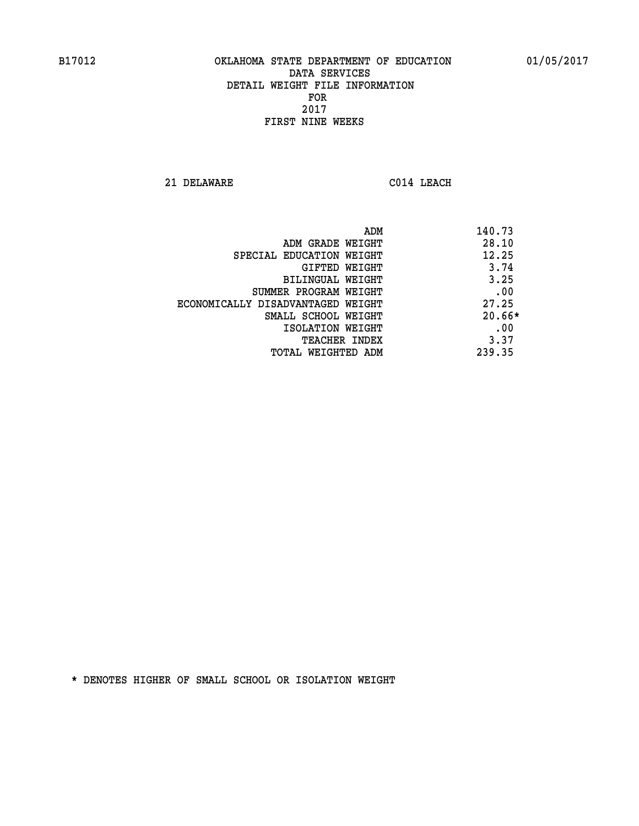**21 DELAWARE C014 LEACH** 

| ADM                               | 140.73   |
|-----------------------------------|----------|
| ADM GRADE WEIGHT                  | 28.10    |
| SPECIAL EDUCATION WEIGHT          | 12.25    |
| GIFTED WEIGHT                     | 3.74     |
| BILINGUAL WEIGHT                  | 3.25     |
| SUMMER PROGRAM WEIGHT             | .00      |
| ECONOMICALLY DISADVANTAGED WEIGHT | 27.25    |
| SMALL SCHOOL WEIGHT               | $20.66*$ |
| ISOLATION WEIGHT                  | .00      |
| TEACHER INDEX                     | 3.37     |
| TOTAL WEIGHTED ADM                | 239.35   |
|                                   |          |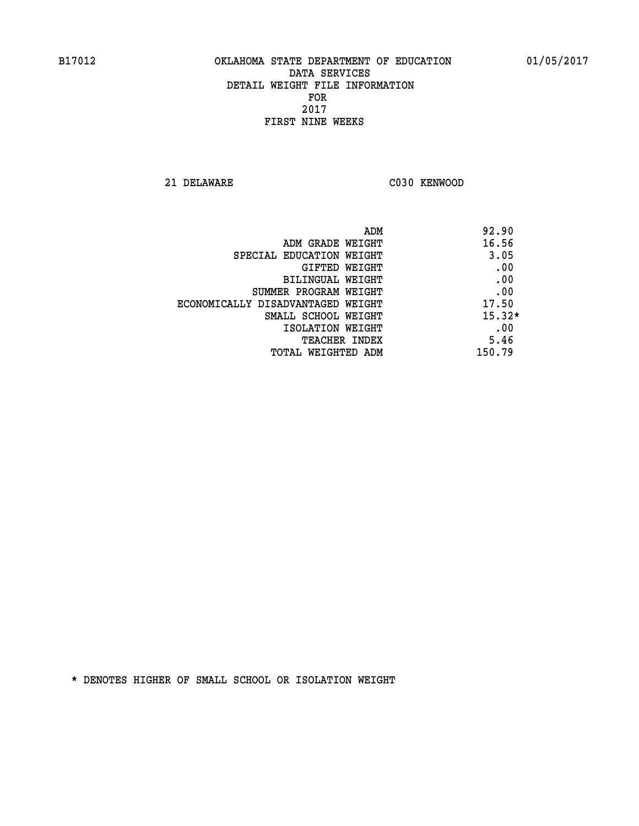**21 DELAWARE C030 KENWOOD** 

| ADM                               | 92.90    |
|-----------------------------------|----------|
| ADM GRADE WEIGHT                  | 16.56    |
| SPECIAL EDUCATION WEIGHT          | 3.05     |
| <b>GIFTED WEIGHT</b>              | .00      |
| BILINGUAL WEIGHT                  | .00      |
| SUMMER PROGRAM WEIGHT             | .00      |
| ECONOMICALLY DISADVANTAGED WEIGHT | 17.50    |
| SMALL SCHOOL WEIGHT               | $15.32*$ |
| ISOLATION WEIGHT                  | .00      |
| TEACHER INDEX                     | 5.46     |
| TOTAL WEIGHTED ADM                | 150.79   |
|                                   |          |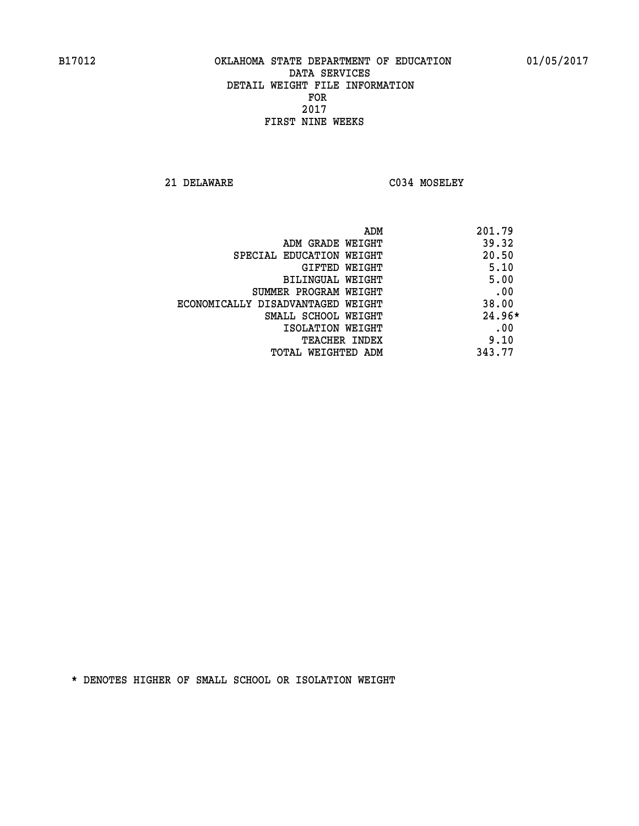**21 DELAWARE C034 MOSELEY** 

|                                   | 201.79<br>ADM |
|-----------------------------------|---------------|
| ADM GRADE WEIGHT                  | 39.32         |
| SPECIAL EDUCATION WEIGHT          | 20.50         |
| GIFTED WEIGHT                     | 5.10          |
| BILINGUAL WEIGHT                  | 5.00          |
| SUMMER PROGRAM WEIGHT             | .00           |
| ECONOMICALLY DISADVANTAGED WEIGHT | 38.00         |
| SMALL SCHOOL WEIGHT               | $24.96*$      |
| ISOLATION WEIGHT                  | .00           |
| <b>TEACHER INDEX</b>              | 9.10          |
| TOTAL WEIGHTED ADM                | 343.77        |
|                                   |               |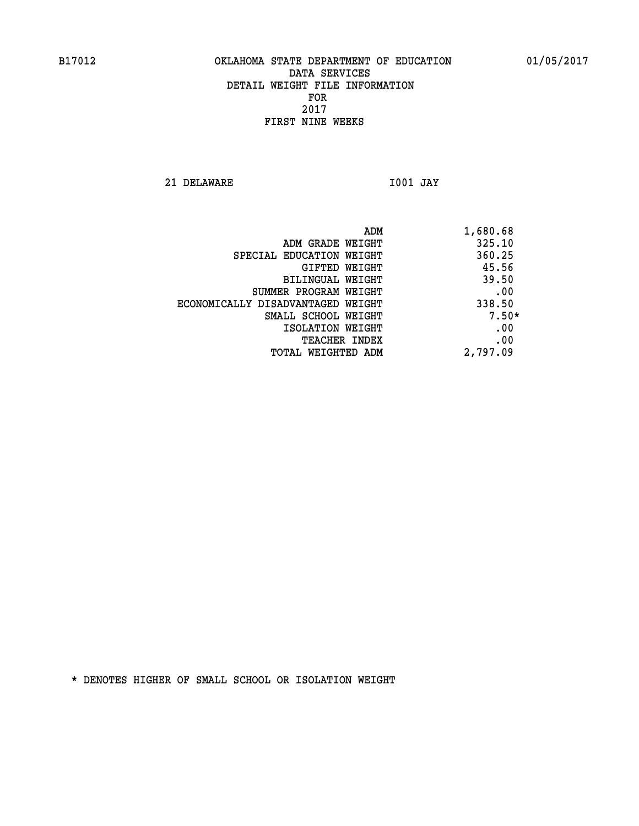**21 DELAWARE I001 JAY** 

|                                   | 1,680.68<br>ADM |         |
|-----------------------------------|-----------------|---------|
| ADM GRADE WEIGHT                  | 325.10          |         |
| SPECIAL EDUCATION WEIGHT          | 360.25          |         |
| GIFTED WEIGHT                     | 45.56           |         |
| BILINGUAL WEIGHT                  | 39.50           |         |
| SUMMER PROGRAM WEIGHT             |                 | .00     |
| ECONOMICALLY DISADVANTAGED WEIGHT | 338.50          |         |
| SMALL SCHOOL WEIGHT               |                 | $7.50*$ |
| ISOLATION WEIGHT                  |                 | .00     |
| <b>TEACHER INDEX</b>              |                 | .00     |
| TOTAL WEIGHTED ADM                | 2,797.09        |         |
|                                   |                 |         |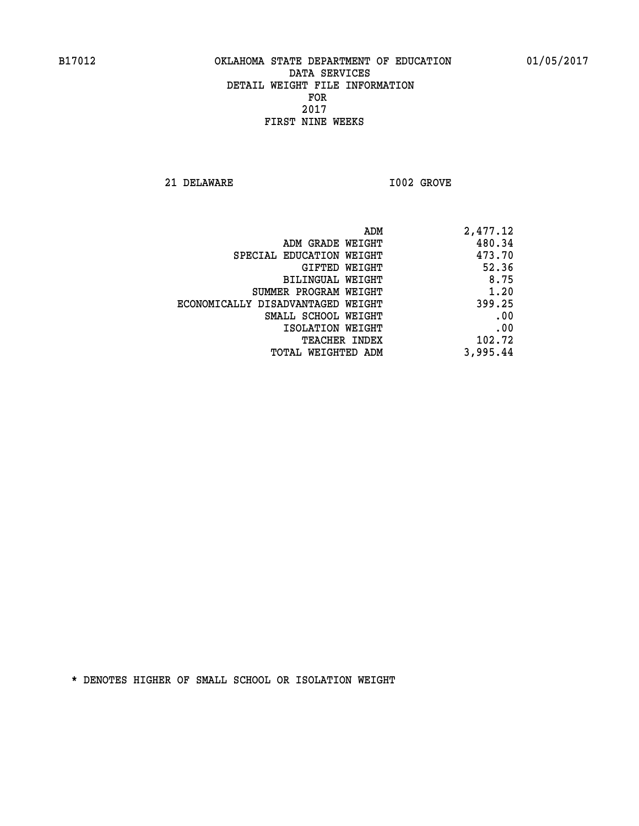**21 DELAWARE I002 GROVE** 

| 2,477.12 |
|----------|
| 480.34   |
| 473.70   |
| 52.36    |
| 8.75     |
| 1.20     |
| 399.25   |
| .00      |
| .00      |
| 102.72   |
| 3,995.44 |
|          |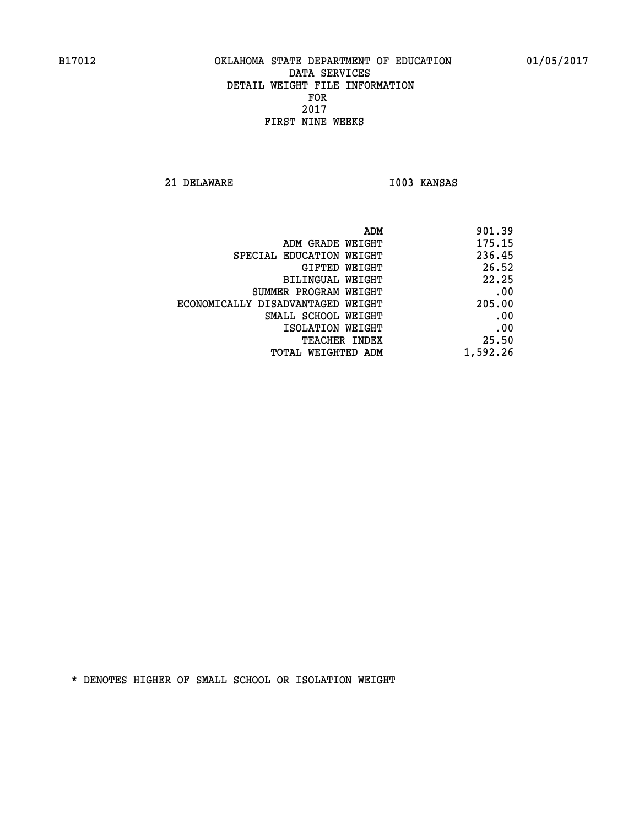**21 DELAWARE I003 KANSAS** 

| ADM                               | 901.39   |
|-----------------------------------|----------|
| ADM GRADE WEIGHT                  | 175.15   |
| SPECIAL EDUCATION WEIGHT          | 236.45   |
| GIFTED WEIGHT                     | 26.52    |
| BILINGUAL WEIGHT                  | 22.25    |
| SUMMER PROGRAM WEIGHT             | .00      |
| ECONOMICALLY DISADVANTAGED WEIGHT | 205.00   |
| SMALL SCHOOL WEIGHT               | .00      |
| ISOLATION WEIGHT                  | .00      |
| <b>TEACHER INDEX</b>              | 25.50    |
| TOTAL WEIGHTED ADM                | 1,592.26 |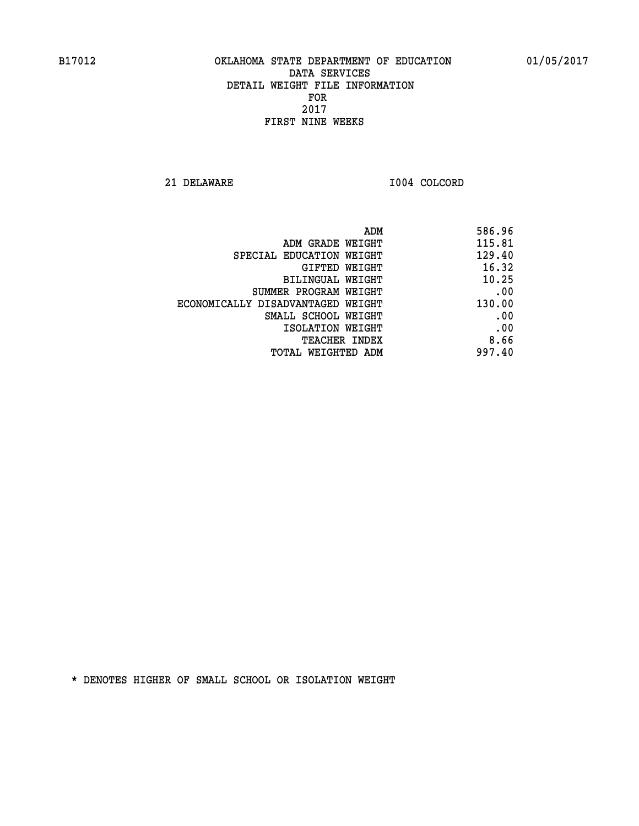**21 DELAWARE I004 COLCORD** 

| 586.96 |
|--------|
| 115.81 |
| 129.40 |
| 16.32  |
| 10.25  |
| .00    |
| 130.00 |
| .00    |
| .00    |
| 8.66   |
| 997.40 |
|        |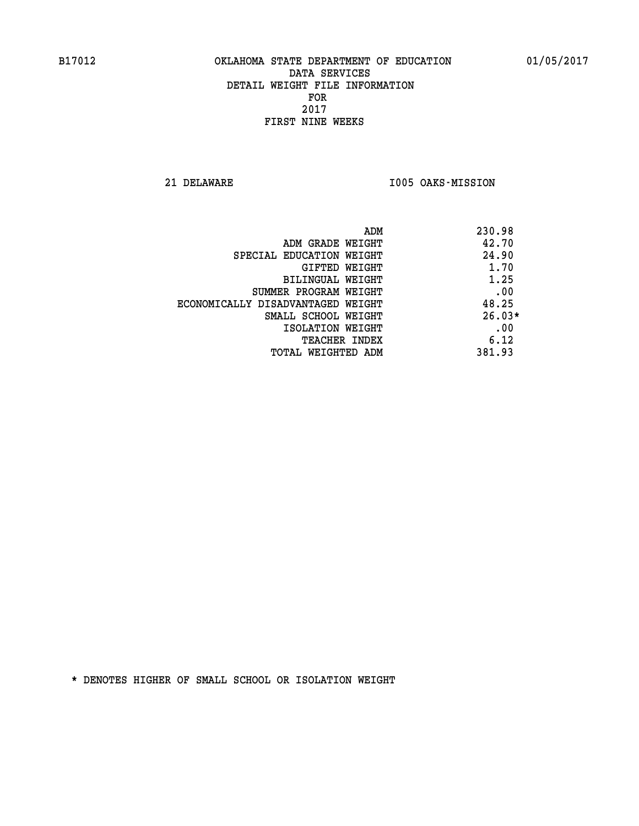**21 DELAWARE I005 OAKS-MISSION** 

|                                   | 230.98<br>ADM |  |
|-----------------------------------|---------------|--|
| ADM GRADE WEIGHT                  | 42.70         |  |
| SPECIAL EDUCATION WEIGHT          | 24.90         |  |
| GIFTED WEIGHT                     | 1.70          |  |
| BILINGUAL WEIGHT                  | 1.25          |  |
| SUMMER PROGRAM WEIGHT             | .00           |  |
| ECONOMICALLY DISADVANTAGED WEIGHT | 48.25         |  |
| SMALL SCHOOL WEIGHT               | $26.03*$      |  |
| ISOLATION WEIGHT                  | .00           |  |
| <b>TEACHER INDEX</b>              | 6.12          |  |
| TOTAL WEIGHTED ADM                | 381.93        |  |
|                                   |               |  |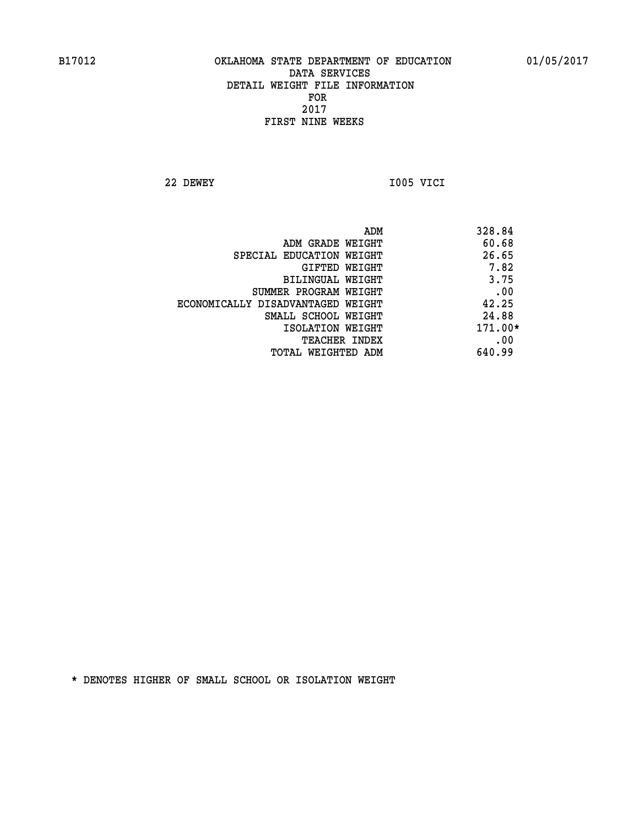**22 DEWEY I005 VICI** 

| ADM                               | 328.84    |
|-----------------------------------|-----------|
| ADM GRADE WEIGHT                  | 60.68     |
| SPECIAL EDUCATION WEIGHT          | 26.65     |
| GIFTED WEIGHT                     | 7.82      |
| BILINGUAL WEIGHT                  | 3.75      |
| SUMMER PROGRAM WEIGHT             | .00       |
| ECONOMICALLY DISADVANTAGED WEIGHT | 42.25     |
| SMALL SCHOOL WEIGHT               | 24.88     |
| ISOLATION WEIGHT                  | $171.00*$ |
| <b>TEACHER INDEX</b>              | .00       |
| TOTAL WEIGHTED ADM                | 640.99    |
|                                   |           |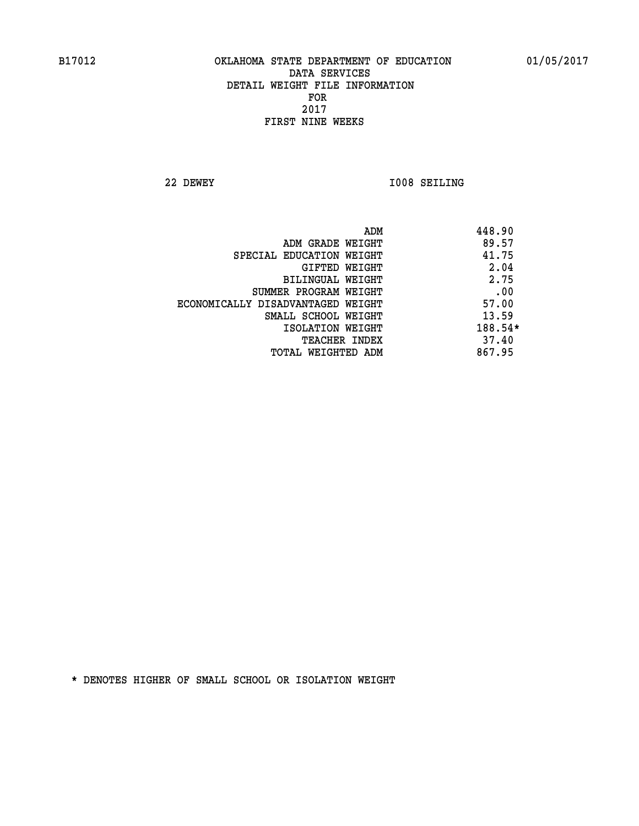**22 DEWEY I008 SEILING** 

| 89.57<br>ADM GRADE WEIGHT<br>41.75<br>SPECIAL EDUCATION WEIGHT<br>2.04<br>GIFTED WEIGHT<br>2.75<br>BILINGUAL WEIGHT<br>.00<br>SUMMER PROGRAM WEIGHT<br>57.00<br>ECONOMICALLY DISADVANTAGED WEIGHT<br>13.59<br>SMALL SCHOOL WEIGHT<br>ISOLATION WEIGHT<br>37.40<br><b>TEACHER INDEX</b><br>867.95<br>TOTAL WEIGHTED ADM | ADM | 448.90  |
|------------------------------------------------------------------------------------------------------------------------------------------------------------------------------------------------------------------------------------------------------------------------------------------------------------------------|-----|---------|
|                                                                                                                                                                                                                                                                                                                        |     |         |
|                                                                                                                                                                                                                                                                                                                        |     |         |
|                                                                                                                                                                                                                                                                                                                        |     |         |
|                                                                                                                                                                                                                                                                                                                        |     |         |
|                                                                                                                                                                                                                                                                                                                        |     |         |
|                                                                                                                                                                                                                                                                                                                        |     |         |
|                                                                                                                                                                                                                                                                                                                        |     |         |
|                                                                                                                                                                                                                                                                                                                        |     | 188.54* |
|                                                                                                                                                                                                                                                                                                                        |     |         |
|                                                                                                                                                                                                                                                                                                                        |     |         |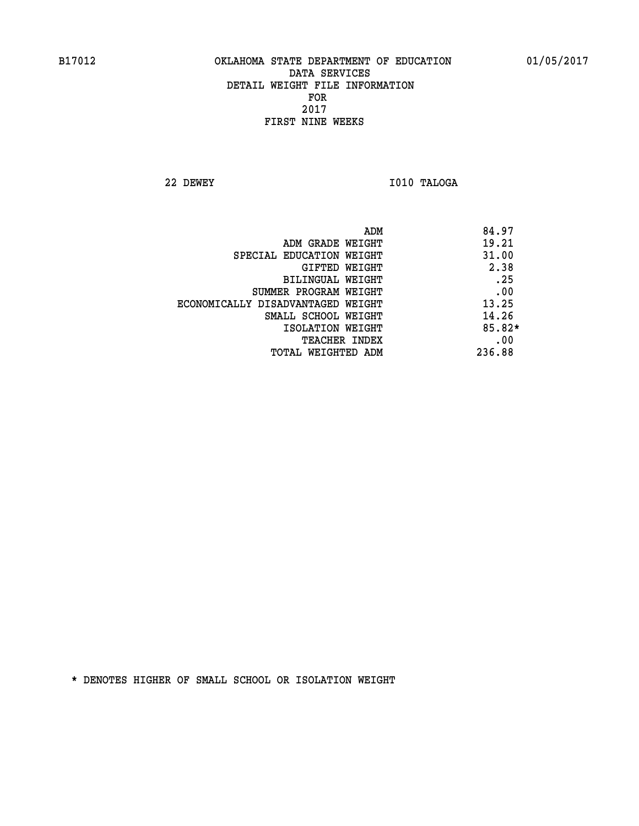**22 DEWEY I010 TALOGA** 

 **ADM 84.97 ADM GRADE WEIGHT 19.21 SPECIAL EDUCATION WEIGHT 41.00 GIFTED WEIGHT 2.38 BILINGUAL WEIGHT .25 SUMMER PROGRAM WEIGHT .00 ECONOMICALLY DISADVANTAGED WEIGHT 13.25 SMALL SCHOOL WEIGHT 14.26 ISOLATION WEIGHT 85.82\* TEACHER INDEX** .00  **TOTAL WEIGHTED ADM 236.88**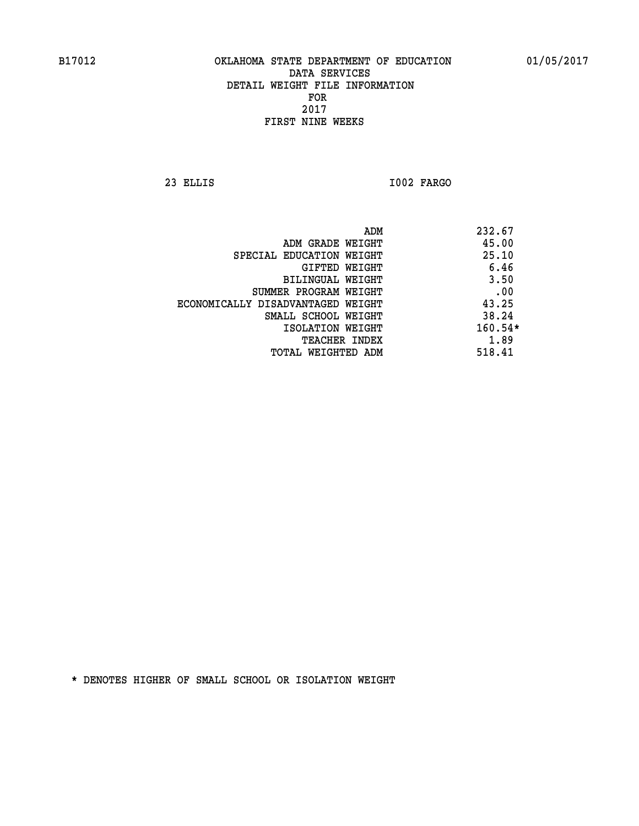**23 ELLIS I002 FARGO** 

|                                   | ADM | 232.67  |
|-----------------------------------|-----|---------|
| ADM GRADE WEIGHT                  |     | 45.00   |
| SPECIAL EDUCATION WEIGHT          |     | 25.10   |
| GIFTED WEIGHT                     |     | 6.46    |
| BILINGUAL WEIGHT                  |     | 3.50    |
| SUMMER PROGRAM WEIGHT             |     | .00     |
| ECONOMICALLY DISADVANTAGED WEIGHT |     | 43.25   |
| SMALL SCHOOL WEIGHT               |     | 38.24   |
| ISOLATION WEIGHT                  |     | 160.54* |
| <b>TEACHER INDEX</b>              |     | 1.89    |
| TOTAL WEIGHTED ADM                |     | 518.41  |
|                                   |     |         |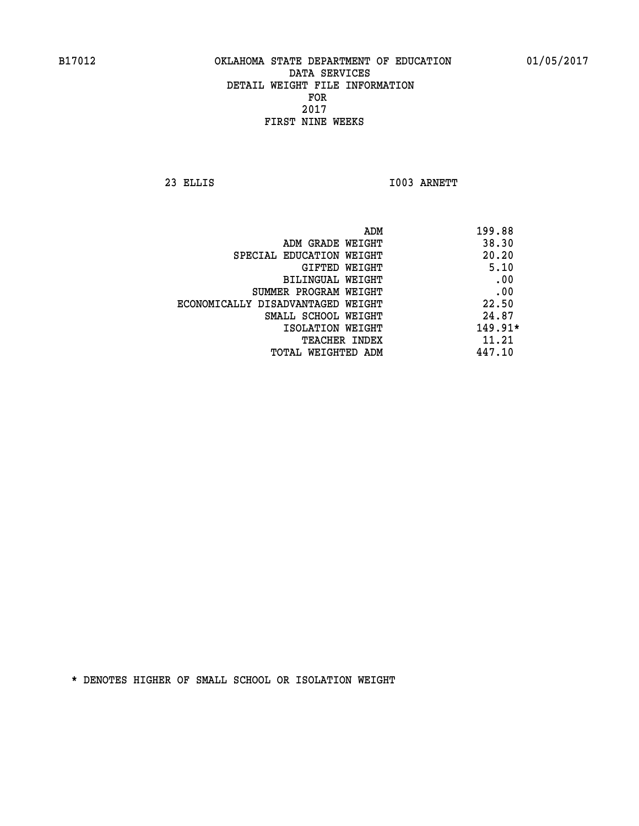**23 ELLIS I003 ARNETT** 

| ADM<br>199.88                     |           |
|-----------------------------------|-----------|
| ADM GRADE WEIGHT                  | 38.30     |
| SPECIAL EDUCATION WEIGHT          | 20.20     |
| GIFTED WEIGHT                     | 5.10      |
| BILINGUAL WEIGHT                  | .00       |
| SUMMER PROGRAM WEIGHT             | .00       |
| ECONOMICALLY DISADVANTAGED WEIGHT | 22.50     |
| SMALL SCHOOL WEIGHT               | 24.87     |
| ISOLATION WEIGHT                  | $149.91*$ |
| TEACHER INDEX                     | 11.21     |
| 447.10<br>TOTAL WEIGHTED ADM      |           |
|                                   |           |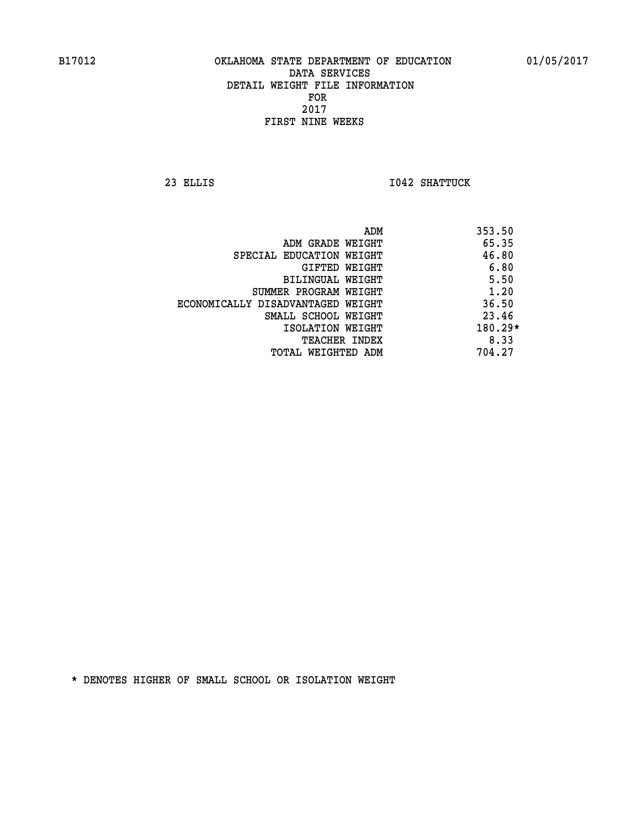**23 ELLIS I042 SHATTUCK** 

|                                   | ADM | 353.50    |
|-----------------------------------|-----|-----------|
| ADM GRADE WEIGHT                  |     | 65.35     |
| SPECIAL EDUCATION WEIGHT          |     | 46.80     |
| GIFTED WEIGHT                     |     | 6.80      |
| BILINGUAL WEIGHT                  |     | 5.50      |
| SUMMER PROGRAM WEIGHT             |     | 1.20      |
| ECONOMICALLY DISADVANTAGED WEIGHT |     | 36.50     |
| SMALL SCHOOL WEIGHT               |     | 23.46     |
| ISOLATION WEIGHT                  |     | $180.29*$ |
| TEACHER INDEX                     |     | 8.33      |
| TOTAL WEIGHTED ADM                |     | 704.27    |
|                                   |     |           |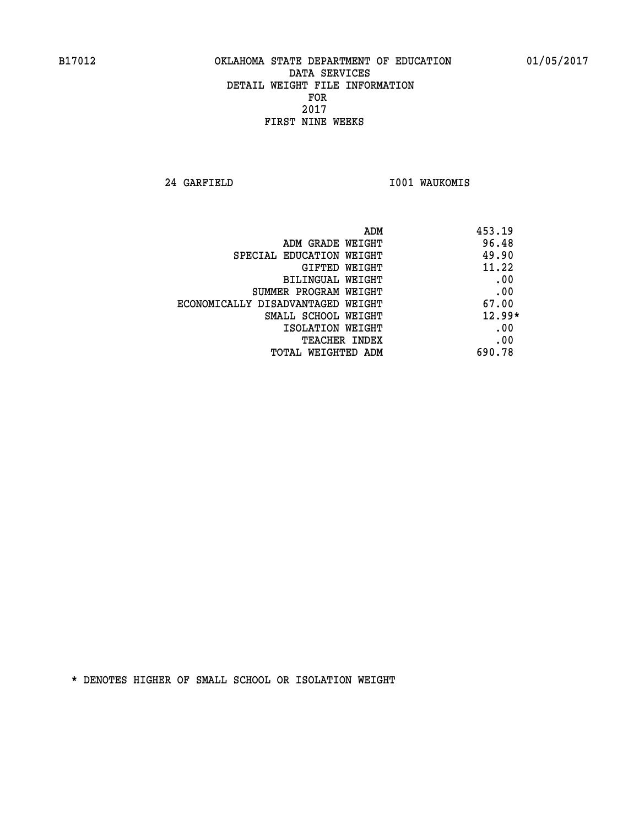**24 GARFIELD I001 WAUKOMIS** 

| 453.19   | ADM                               |
|----------|-----------------------------------|
| 96.48    | ADM GRADE WEIGHT                  |
| 49.90    | SPECIAL EDUCATION WEIGHT          |
| 11.22    | <b>GIFTED WEIGHT</b>              |
| .00      | BILINGUAL WEIGHT                  |
| .00      | SUMMER PROGRAM WEIGHT             |
| 67.00    | ECONOMICALLY DISADVANTAGED WEIGHT |
| $12.99*$ | SMALL SCHOOL WEIGHT               |
| .00      | ISOLATION WEIGHT                  |
| .00      | <b>TEACHER INDEX</b>              |
| 690.78   | TOTAL WEIGHTED ADM                |
|          |                                   |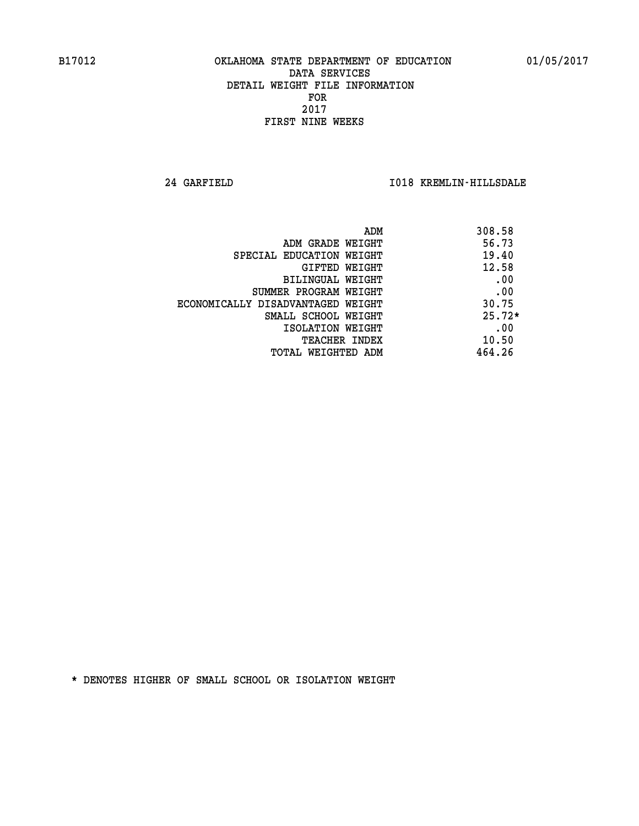**24 GARFIELD I018 KREMLIN-HILLSDALE** 

| ADM                               | 308.58   |
|-----------------------------------|----------|
| ADM GRADE WEIGHT                  | 56.73    |
| SPECIAL EDUCATION WEIGHT          | 19.40    |
| GIFTED WEIGHT                     | 12.58    |
| BILINGUAL WEIGHT                  | .00      |
| SUMMER PROGRAM WEIGHT             | .00      |
| ECONOMICALLY DISADVANTAGED WEIGHT | 30.75    |
| SMALL SCHOOL WEIGHT               | $25.72*$ |
| ISOLATION WEIGHT                  | .00      |
| <b>TEACHER INDEX</b>              | 10.50    |
| TOTAL WEIGHTED ADM                | 464.26   |
|                                   |          |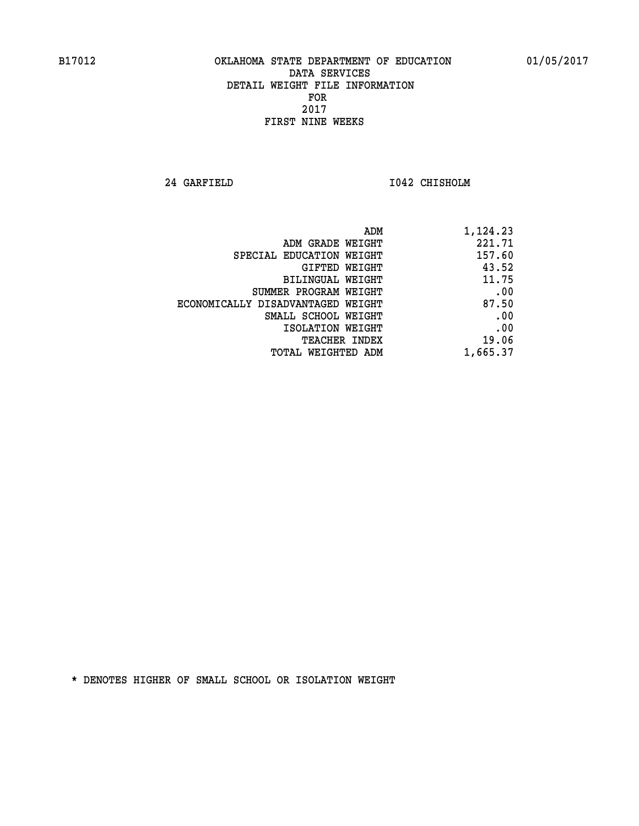**24 GARFIELD I042 CHISHOLM** 

|                                   | ADM<br>1,124.23 |
|-----------------------------------|-----------------|
| ADM GRADE WEIGHT                  | 221.71          |
| SPECIAL EDUCATION WEIGHT          | 157.60          |
| GIFTED WEIGHT                     | 43.52           |
| BILINGUAL WEIGHT                  | 11.75           |
| SUMMER PROGRAM WEIGHT             | .00             |
| ECONOMICALLY DISADVANTAGED WEIGHT | 87.50           |
| SMALL SCHOOL WEIGHT               | .00             |
| ISOLATION WEIGHT                  | .00             |
| <b>TEACHER INDEX</b>              | 19.06           |
| TOTAL WEIGHTED ADM                | 1,665.37        |
|                                   |                 |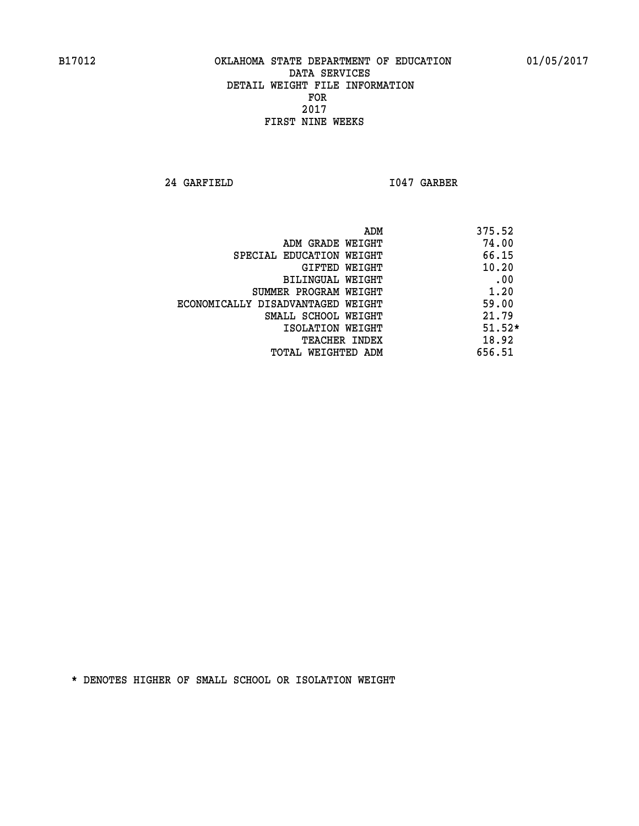**24 GARFIELD I047 GARBER** 

|                                   | ADM | 375.52   |
|-----------------------------------|-----|----------|
| ADM GRADE WEIGHT                  |     | 74.00    |
| SPECIAL EDUCATION WEIGHT          |     | 66.15    |
| GIFTED WEIGHT                     |     | 10.20    |
| BILINGUAL WEIGHT                  |     | .00      |
| SUMMER PROGRAM WEIGHT             |     | 1.20     |
| ECONOMICALLY DISADVANTAGED WEIGHT |     | 59.00    |
| SMALL SCHOOL WEIGHT               |     | 21.79    |
| ISOLATION WEIGHT                  |     | $51.52*$ |
| <b>TEACHER INDEX</b>              |     | 18.92    |
| TOTAL WEIGHTED ADM                |     | 656.51   |
|                                   |     |          |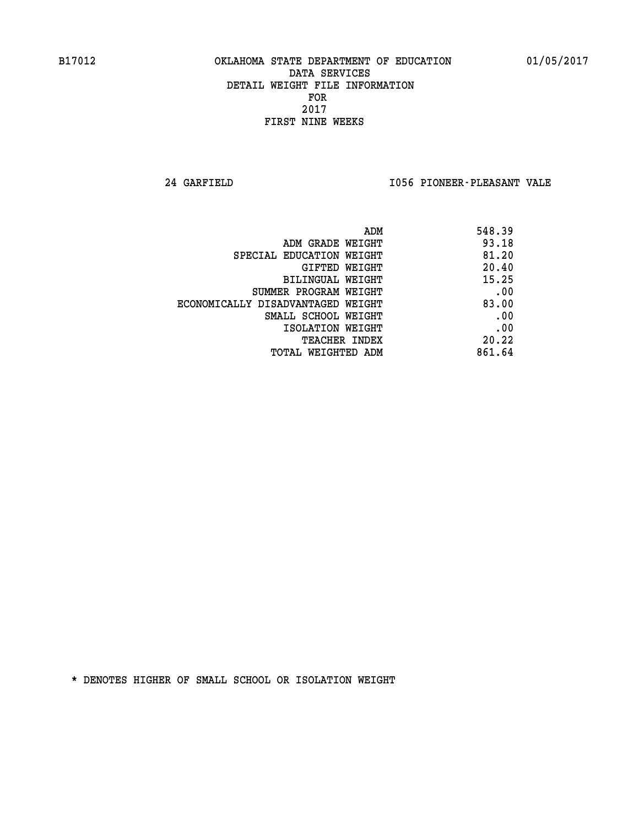**24 GARFIELD I056 PIONEER-PLEASANT VALE** 

| ADM                               | 548.39 |
|-----------------------------------|--------|
| ADM GRADE WEIGHT                  | 93.18  |
| SPECIAL EDUCATION WEIGHT          | 81.20  |
| GIFTED WEIGHT                     | 20.40  |
| BILINGUAL WEIGHT                  | 15.25  |
| SUMMER PROGRAM WEIGHT             | .00    |
| ECONOMICALLY DISADVANTAGED WEIGHT | 83.00  |
| SMALL SCHOOL WEIGHT               | .00    |
| ISOLATION WEIGHT                  | .00    |
| <b>TEACHER INDEX</b>              | 20.22  |
| TOTAL WEIGHTED ADM                | 861.64 |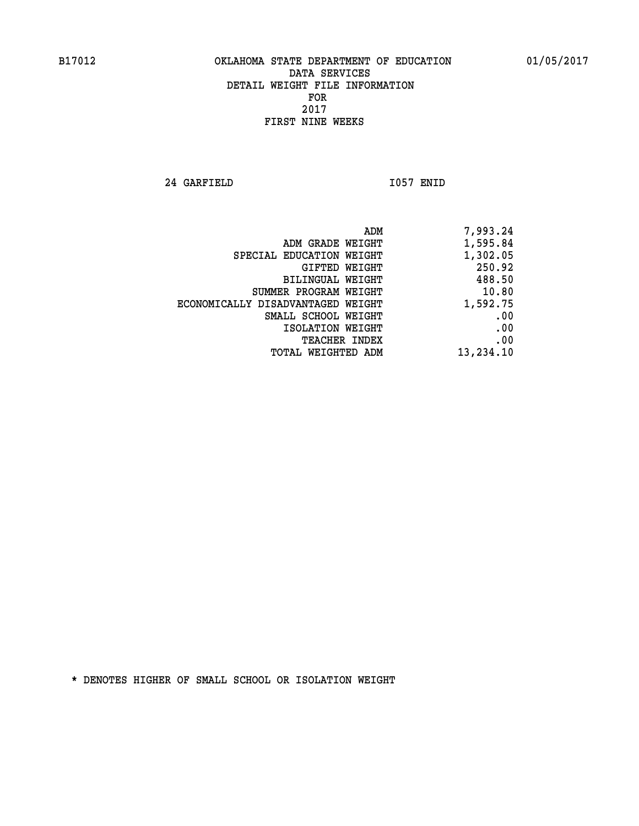**24 GARFIELD I057 ENID** 

|                                   | ADM | 7,993.24  |
|-----------------------------------|-----|-----------|
| ADM GRADE WEIGHT                  |     | 1,595.84  |
| SPECIAL EDUCATION WEIGHT          |     | 1,302.05  |
| GIFTED WEIGHT                     |     | 250.92    |
| BILINGUAL WEIGHT                  |     | 488.50    |
| SUMMER PROGRAM WEIGHT             |     | 10.80     |
| ECONOMICALLY DISADVANTAGED WEIGHT |     | 1,592.75  |
| SMALL SCHOOL WEIGHT               |     | .00       |
| ISOLATION WEIGHT                  |     | .00       |
| TEACHER INDEX                     |     | .00       |
| TOTAL WEIGHTED ADM                |     | 13,234.10 |
|                                   |     |           |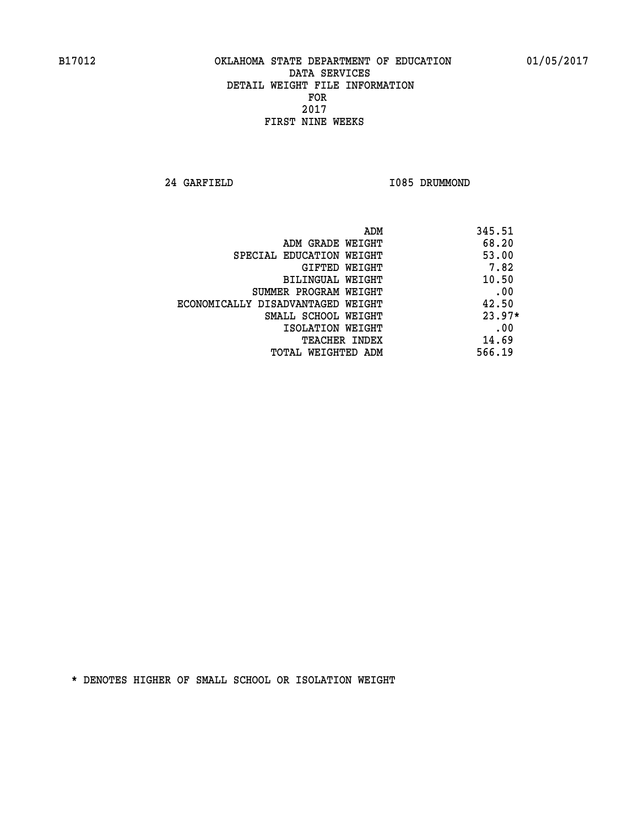**24 GARFIELD I085 DRUMMOND** 

| ADM                               | 345.51   |
|-----------------------------------|----------|
| ADM GRADE WEIGHT                  | 68.20    |
| SPECIAL EDUCATION WEIGHT          | 53.00    |
| <b>GIFTED WEIGHT</b>              | 7.82     |
| BILINGUAL WEIGHT                  | 10.50    |
| SUMMER PROGRAM WEIGHT             | .00      |
| ECONOMICALLY DISADVANTAGED WEIGHT | 42.50    |
| SMALL SCHOOL WEIGHT               | $23.97*$ |
| ISOLATION WEIGHT                  | .00      |
| <b>TEACHER INDEX</b>              | 14.69    |
| TOTAL WEIGHTED ADM                | 566.19   |
|                                   |          |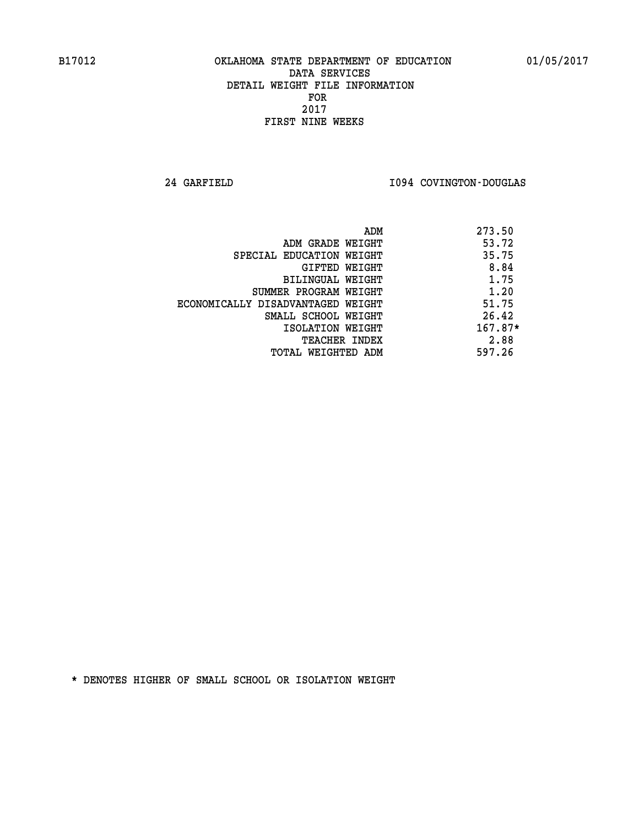**24 GARFIELD I094 COVINGTON-DOUGLAS** 

|                                   | 273.50<br>ADM |
|-----------------------------------|---------------|
| ADM GRADE WEIGHT                  | 53.72         |
| SPECIAL EDUCATION WEIGHT          | 35.75         |
| GIFTED WEIGHT                     | 8.84          |
| BILINGUAL WEIGHT                  | 1.75          |
| SUMMER PROGRAM WEIGHT             | 1.20          |
| ECONOMICALLY DISADVANTAGED WEIGHT | 51.75         |
| SMALL SCHOOL WEIGHT               | 26.42         |
| ISOLATION WEIGHT                  | $167.87*$     |
| <b>TEACHER INDEX</b>              | 2.88          |
| TOTAL WEIGHTED ADM                | 597.26        |
|                                   |               |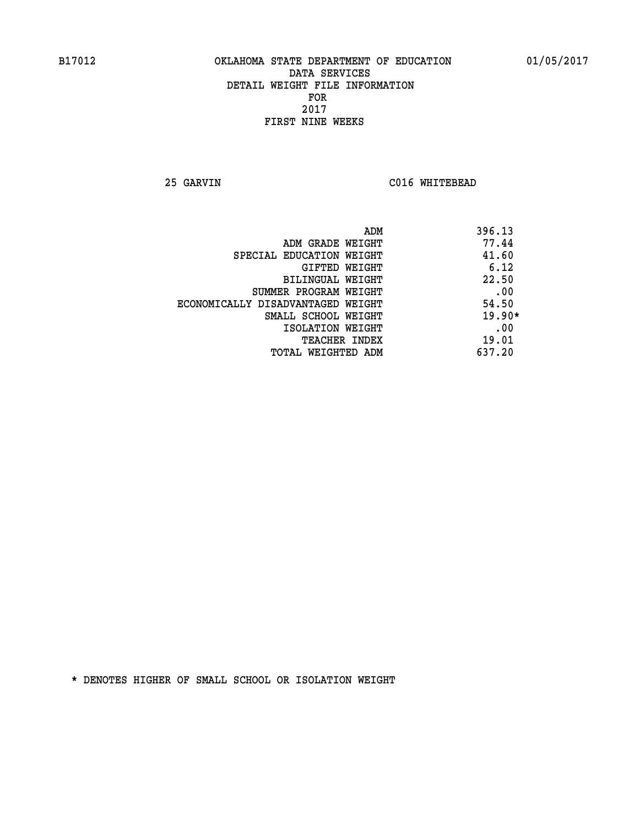**25 GARVIN C016 WHITEBEAD** 

| ADM                               | 396.13   |
|-----------------------------------|----------|
| ADM GRADE WEIGHT                  | 77.44    |
| SPECIAL EDUCATION WEIGHT          | 41.60    |
| GIFTED WEIGHT                     | 6.12     |
| BILINGUAL WEIGHT                  | 22.50    |
| SUMMER PROGRAM WEIGHT             | .00      |
| ECONOMICALLY DISADVANTAGED WEIGHT | 54.50    |
| SMALL SCHOOL WEIGHT               | $19.90*$ |
| ISOLATION WEIGHT                  | .00      |
| <b>TEACHER INDEX</b>              | 19.01    |
| TOTAL WEIGHTED ADM                | 637.20   |
|                                   |          |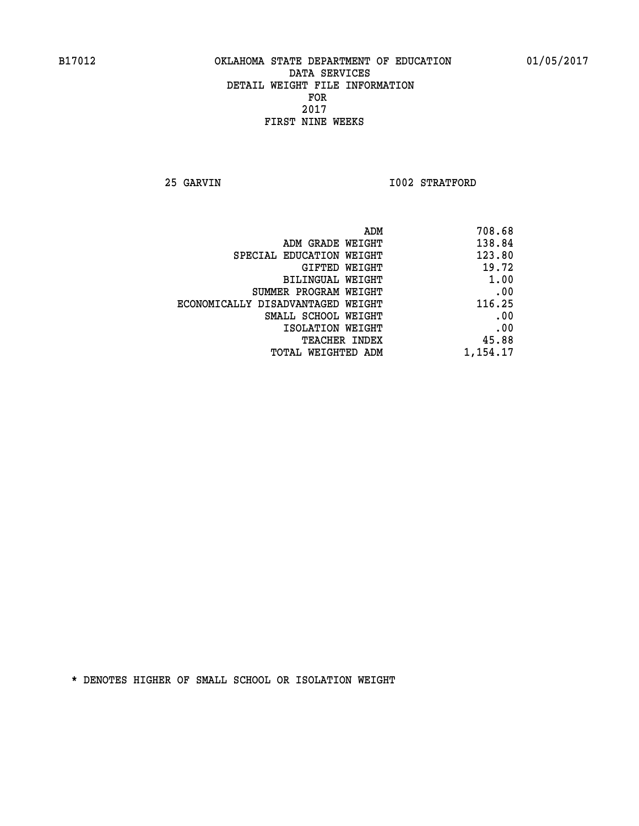**25 GARVIN 1002 STRATFORD** 

| 708.68   |
|----------|
| 138.84   |
| 123.80   |
| 19.72    |
| 1.00     |
| .00      |
| 116.25   |
| .00      |
| .00      |
| 45.88    |
| 1,154.17 |
|          |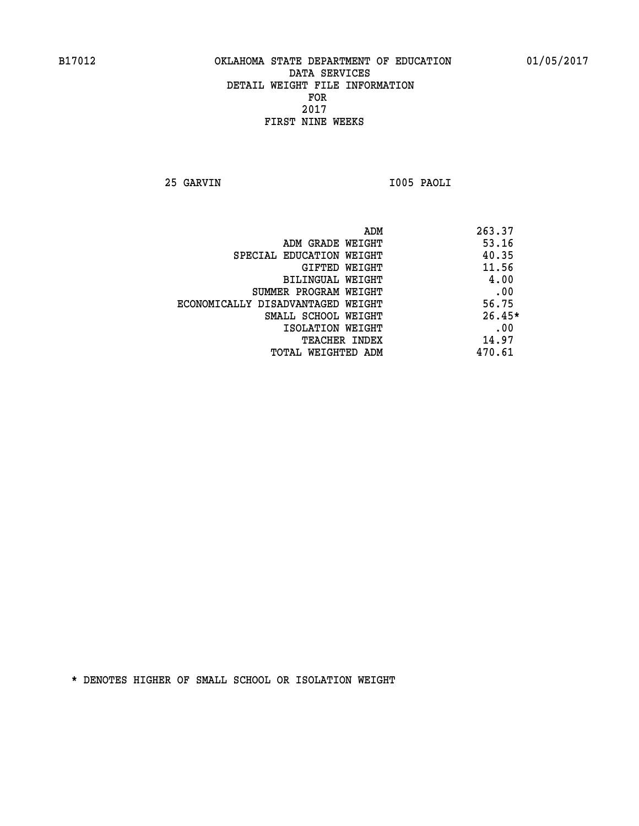**25 GARVIN I005 PAOLI** 

|                                   | ADM | 263.37   |
|-----------------------------------|-----|----------|
| ADM GRADE WEIGHT                  |     | 53.16    |
| SPECIAL EDUCATION WEIGHT          |     | 40.35    |
| GIFTED WEIGHT                     |     | 11.56    |
| BILINGUAL WEIGHT                  |     | 4.00     |
| SUMMER PROGRAM WEIGHT             |     | .00      |
| ECONOMICALLY DISADVANTAGED WEIGHT |     | 56.75    |
| SMALL SCHOOL WEIGHT               |     | $26.45*$ |
| ISOLATION WEIGHT                  |     | .00      |
| <b>TEACHER INDEX</b>              |     | 14.97    |
| TOTAL WEIGHTED ADM                |     | 470.61   |
|                                   |     |          |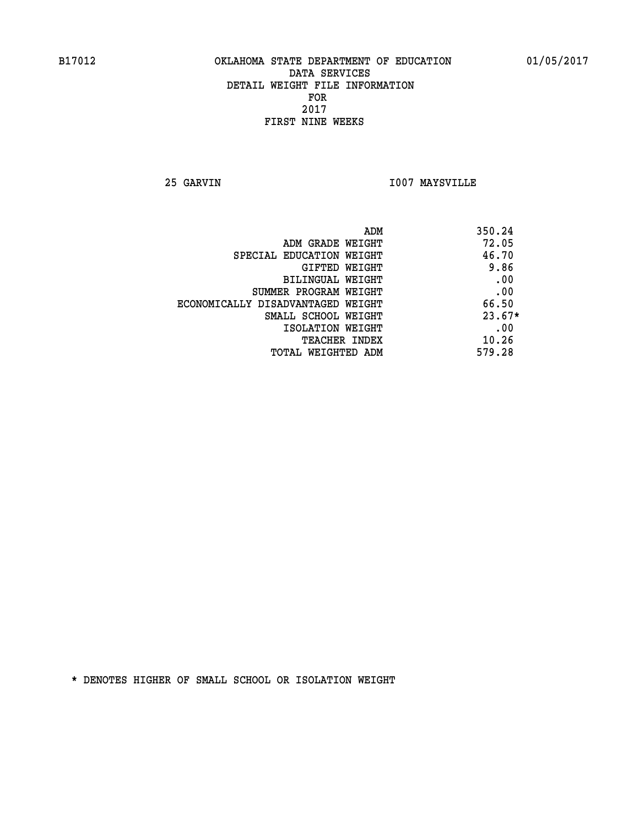**25 GARVIN I007 MAYSVILLE** 

| ADM                               | 350.24   |
|-----------------------------------|----------|
| ADM GRADE WEIGHT                  | 72.05    |
| SPECIAL EDUCATION WEIGHT          | 46.70    |
| <b>GIFTED WEIGHT</b>              | 9.86     |
| BILINGUAL WEIGHT                  | .00      |
| SUMMER PROGRAM WEIGHT             | .00      |
| ECONOMICALLY DISADVANTAGED WEIGHT | 66.50    |
| SMALL SCHOOL WEIGHT               | $23.67*$ |
| ISOLATION WEIGHT                  | .00      |
| <b>TEACHER INDEX</b>              | 10.26    |
| TOTAL WEIGHTED ADM                | 579.28   |
|                                   |          |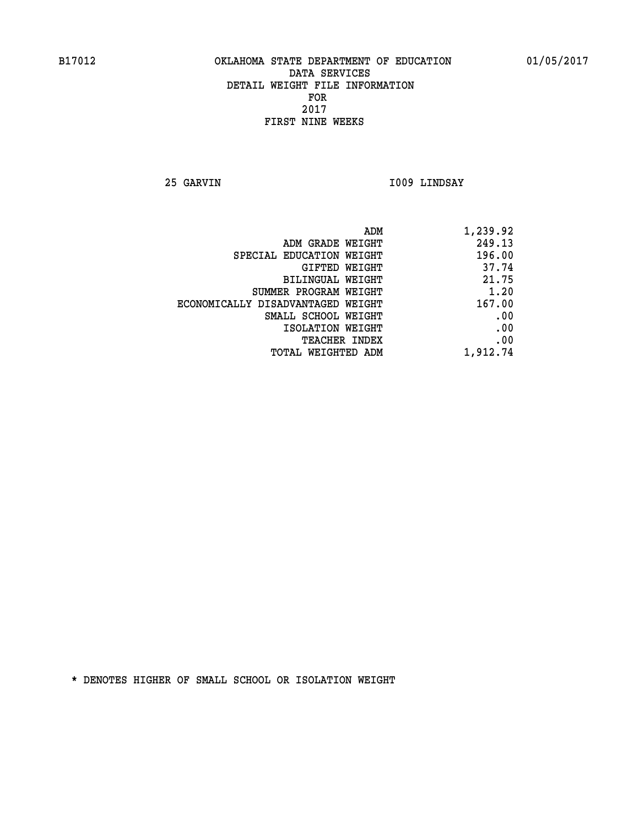**25 GARVIN I009 LINDSAY** 

|                                   | 1,239.92<br>ADM |
|-----------------------------------|-----------------|
| ADM GRADE WEIGHT                  | 249.13          |
| SPECIAL EDUCATION WEIGHT          | 196.00          |
| GIFTED WEIGHT                     | 37.74           |
| BILINGUAL WEIGHT                  | 21.75           |
| SUMMER PROGRAM WEIGHT             | 1.20            |
| ECONOMICALLY DISADVANTAGED WEIGHT | 167.00          |
| SMALL SCHOOL WEIGHT               | .00             |
| ISOLATION WEIGHT                  | .00             |
| TEACHER INDEX                     | .00             |
| TOTAL WEIGHTED ADM                | 1,912.74        |
|                                   |                 |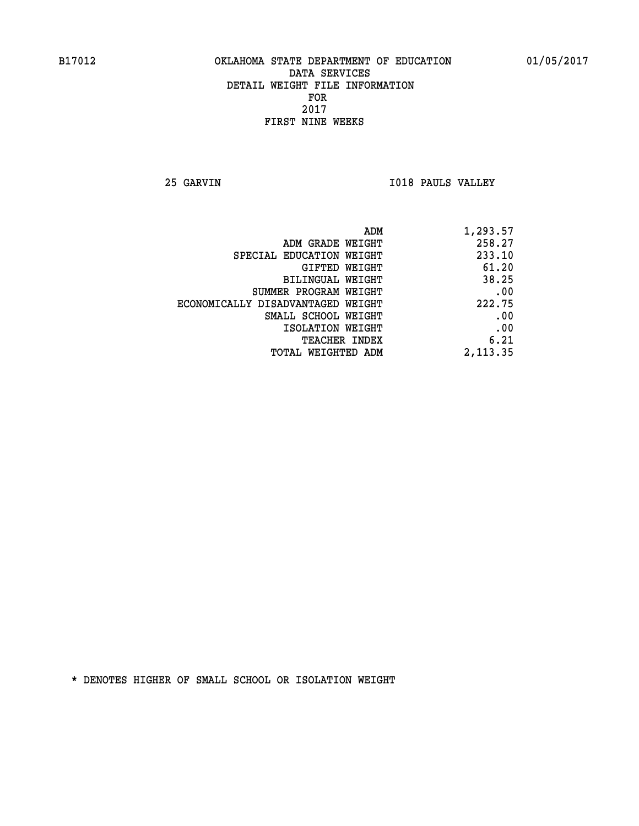**25 GARVIN I018 PAULS VALLEY** 

| ADM                               | 1,293.57 |
|-----------------------------------|----------|
| ADM GRADE WEIGHT                  | 258.27   |
| SPECIAL EDUCATION WEIGHT          | 233.10   |
| GIFTED WEIGHT                     | 61.20    |
| BILINGUAL WEIGHT                  | 38.25    |
| SUMMER PROGRAM WEIGHT             | .00      |
| ECONOMICALLY DISADVANTAGED WEIGHT | 222.75   |
| SMALL SCHOOL WEIGHT               | .00      |
| ISOLATION WEIGHT                  | .00      |
| <b>TEACHER INDEX</b>              | 6.21     |
| <b>TOTAL WEIGHTED ADM</b>         | 2,113.35 |
|                                   |          |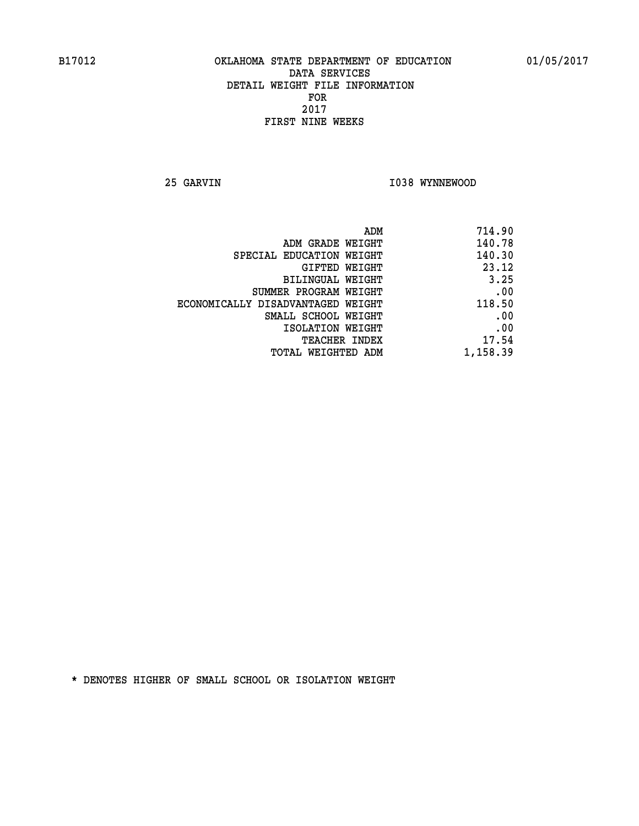**25 GARVIN 1038 WYNNEWOOD** 

| 714.90   |
|----------|
| 140.78   |
| 140.30   |
| 23.12    |
| 3.25     |
| .00      |
| 118.50   |
| .00      |
| .00      |
| 17.54    |
| 1,158.39 |
|          |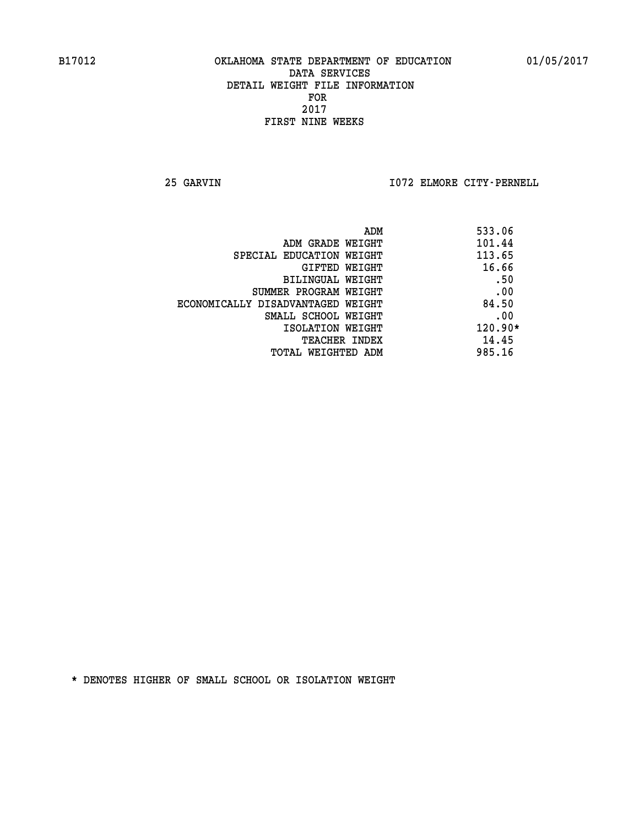**25 GARVIN I072 ELMORE CITY-PERNELL** 

| 533.06    |
|-----------|
| 101.44    |
| 113.65    |
| 16.66     |
| .50       |
| .00       |
| 84.50     |
| .00       |
| $120.90*$ |
| 14.45     |
| 985.16    |
|           |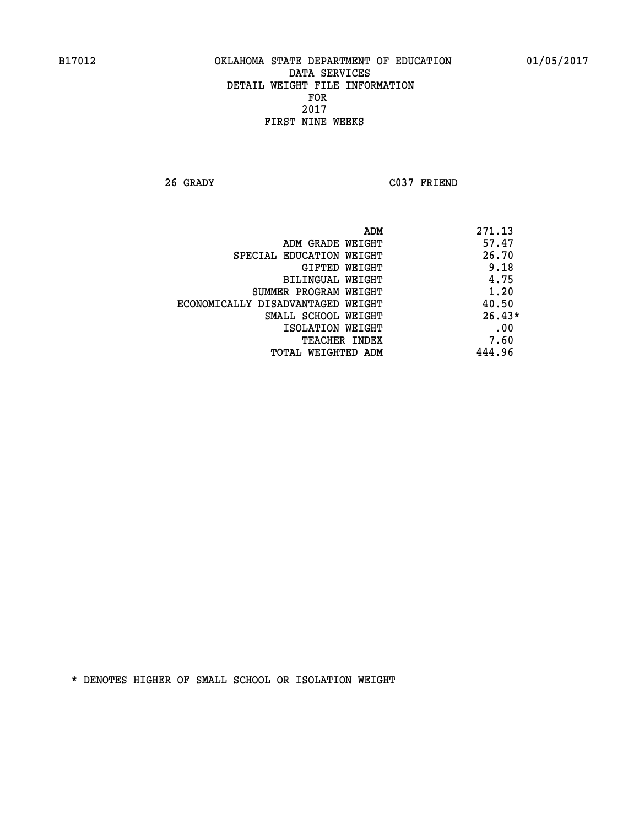**26 GRADY C037 FRIEND** 

|                                   | 271.13<br>ADM |
|-----------------------------------|---------------|
| ADM GRADE WEIGHT                  | 57.47         |
| SPECIAL EDUCATION WEIGHT          | 26.70         |
| GIFTED WEIGHT                     | 9.18          |
| <b>BILINGUAL WEIGHT</b>           | 4.75          |
| SUMMER PROGRAM WEIGHT             | 1.20          |
| ECONOMICALLY DISADVANTAGED WEIGHT | 40.50         |
| SMALL SCHOOL WEIGHT               | $26.43*$      |
| ISOLATION WEIGHT                  | .00           |
| <b>TEACHER INDEX</b>              | 7.60          |
| TOTAL WEIGHTED ADM                | 444.96        |
|                                   |               |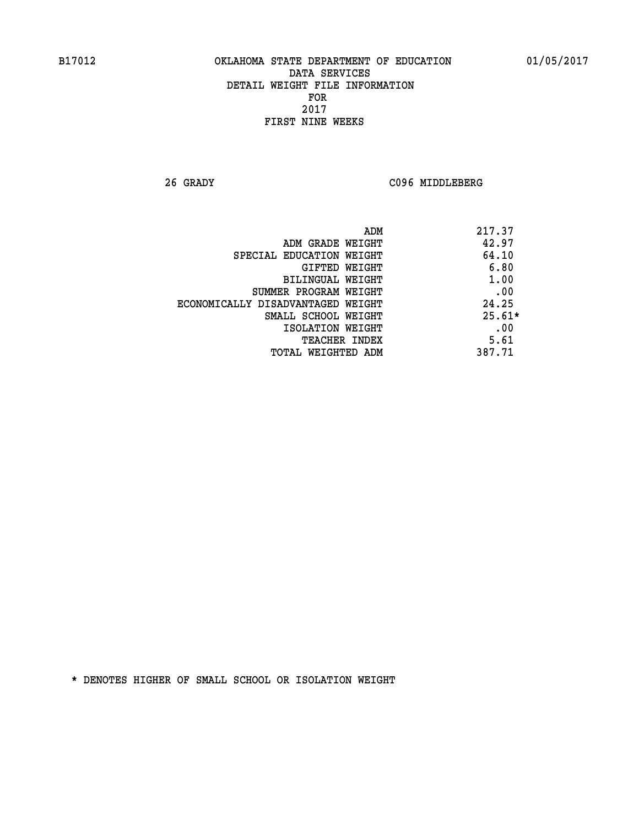**26 GRADY C096 MIDDLEBERG** 

| ADM                               | 217.37   |
|-----------------------------------|----------|
| ADM GRADE WEIGHT                  | 42.97    |
| SPECIAL EDUCATION WEIGHT          | 64.10    |
| GIFTED WEIGHT                     | 6.80     |
| BILINGUAL WEIGHT                  | 1.00     |
| SUMMER PROGRAM WEIGHT             | .00      |
| ECONOMICALLY DISADVANTAGED WEIGHT | 24.25    |
| SMALL SCHOOL WEIGHT               | $25.61*$ |
| ISOLATION WEIGHT                  | .00      |
| <b>TEACHER INDEX</b>              | 5.61     |
| TOTAL WEIGHTED ADM                | 387.71   |
|                                   |          |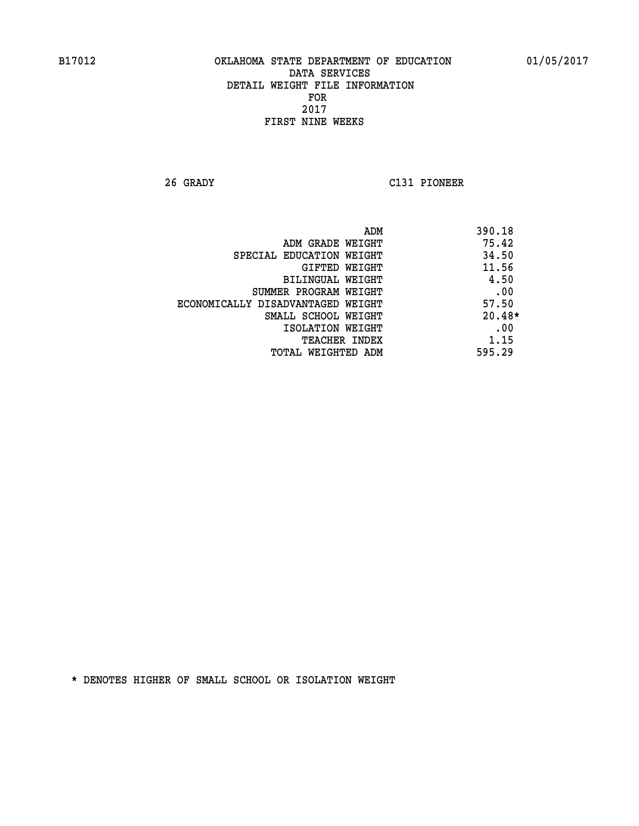**26 GRADY C131 PIONEER** 

|                                   | 390.18<br>ADM |
|-----------------------------------|---------------|
| ADM GRADE WEIGHT                  | 75.42         |
| SPECIAL EDUCATION WEIGHT          | 34.50         |
| GIFTED WEIGHT                     | 11.56         |
| BILINGUAL WEIGHT                  | 4.50          |
| SUMMER PROGRAM WEIGHT             | .00           |
| ECONOMICALLY DISADVANTAGED WEIGHT | 57.50         |
| SMALL SCHOOL WEIGHT               | $20.48*$      |
| ISOLATION WEIGHT                  | .00           |
| <b>TEACHER INDEX</b>              | 1.15          |
| TOTAL WEIGHTED ADM                | 595.29        |
|                                   |               |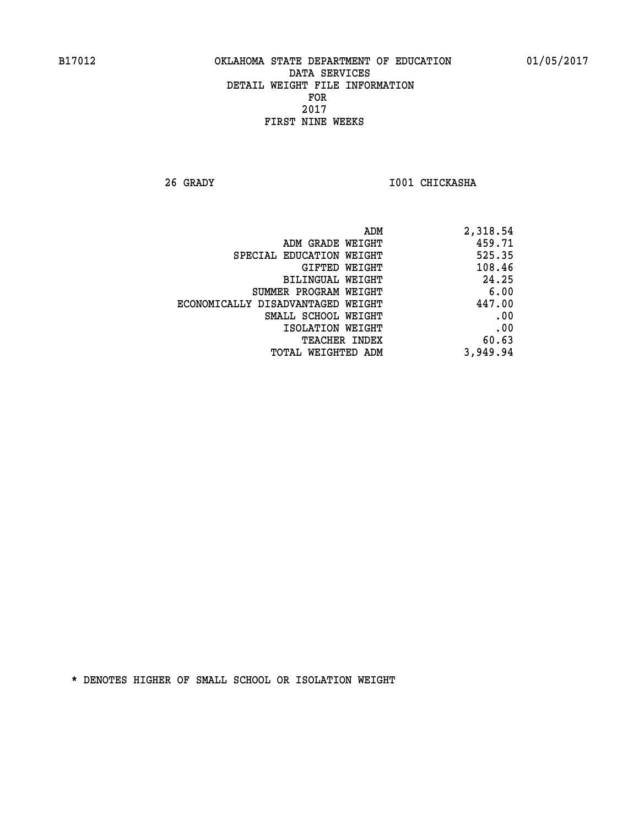**26 GRADY I001 CHICKASHA** 

| ADM                               | 2,318.54 |
|-----------------------------------|----------|
| ADM GRADE WEIGHT                  | 459.71   |
| SPECIAL EDUCATION WEIGHT          | 525.35   |
| GIFTED WEIGHT                     | 108.46   |
| BILINGUAL WEIGHT                  | 24.25    |
| SUMMER PROGRAM WEIGHT             | 6.00     |
| ECONOMICALLY DISADVANTAGED WEIGHT | 447.00   |
| SMALL SCHOOL WEIGHT               | .00      |
| ISOLATION WEIGHT                  | .00      |
| TEACHER INDEX                     | 60.63    |
| TOTAL WEIGHTED ADM                | 3,949.94 |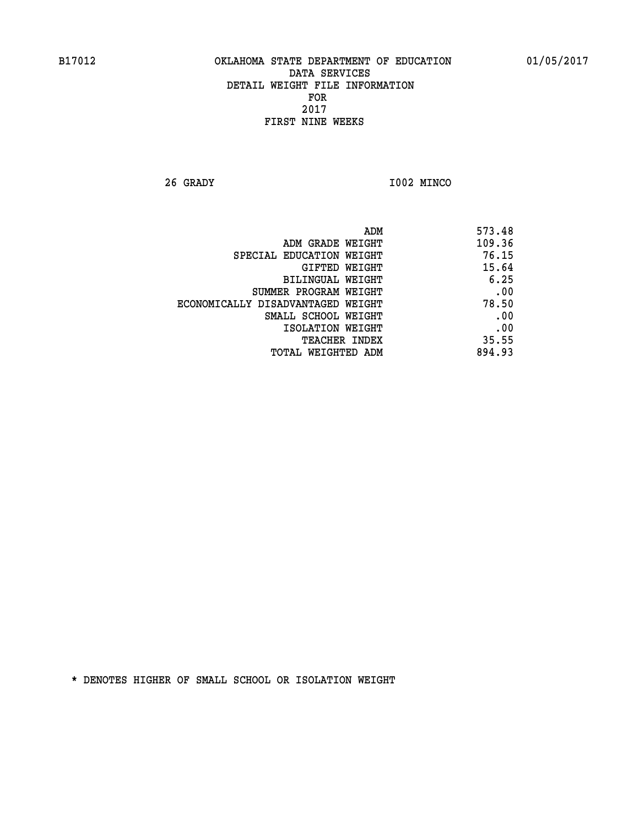**26 GRADY I002 MINCO** 

| ADM                               | 573.48 |
|-----------------------------------|--------|
| ADM GRADE WEIGHT                  | 109.36 |
| SPECIAL EDUCATION WEIGHT          | 76.15  |
| <b>GIFTED WEIGHT</b>              | 15.64  |
| BILINGUAL WEIGHT                  | 6.25   |
| SUMMER PROGRAM WEIGHT             | .00    |
| ECONOMICALLY DISADVANTAGED WEIGHT | 78.50  |
| SMALL SCHOOL WEIGHT               | .00    |
| ISOLATION WEIGHT                  | .00    |
| <b>TEACHER INDEX</b>              | 35.55  |
| <b>TOTAL WEIGHTED ADM</b>         | 894.93 |
|                                   |        |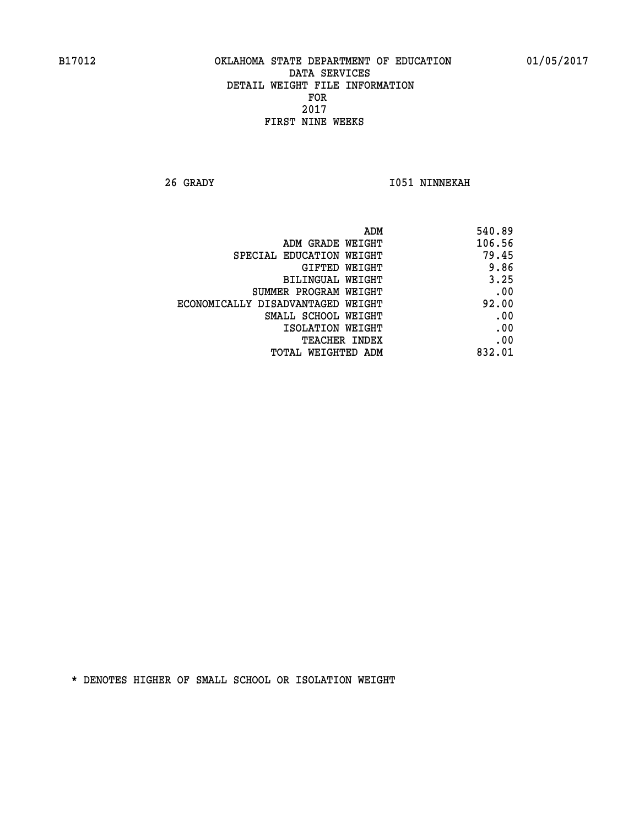**26 GRADY I051 NINNEKAH** 

| ADM                               | 540.89 |
|-----------------------------------|--------|
| ADM GRADE WEIGHT                  | 106.56 |
| SPECIAL EDUCATION WEIGHT          | 79.45  |
| GIFTED WEIGHT                     | 9.86   |
| <b>BILINGUAL WEIGHT</b>           | 3.25   |
| SUMMER PROGRAM WEIGHT             | .00    |
| ECONOMICALLY DISADVANTAGED WEIGHT | 92.00  |
| SMALL SCHOOL WEIGHT               | .00    |
| ISOLATION WEIGHT                  | .00    |
| TEACHER INDEX                     | .00    |
| TOTAL WEIGHTED ADM                | 832.01 |
|                                   |        |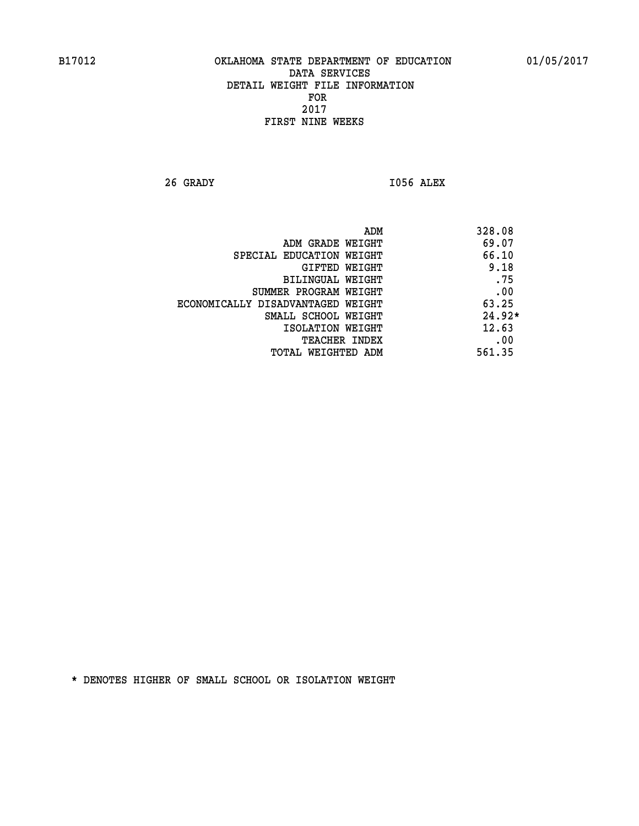**26 GRADY I056 ALEX** 

|                                   | ADM | 328.08   |
|-----------------------------------|-----|----------|
| ADM GRADE WEIGHT                  |     | 69.07    |
| SPECIAL EDUCATION WEIGHT          |     | 66.10    |
| GIFTED WEIGHT                     |     | 9.18     |
| BILINGUAL WEIGHT                  |     | .75      |
| SUMMER PROGRAM WEIGHT             |     | .00      |
| ECONOMICALLY DISADVANTAGED WEIGHT |     | 63.25    |
| SMALL SCHOOL WEIGHT               |     | $24.92*$ |
| ISOLATION WEIGHT                  |     | 12.63    |
| <b>TEACHER INDEX</b>              |     | .00      |
| TOTAL WEIGHTED ADM                |     | 561.35   |
|                                   |     |          |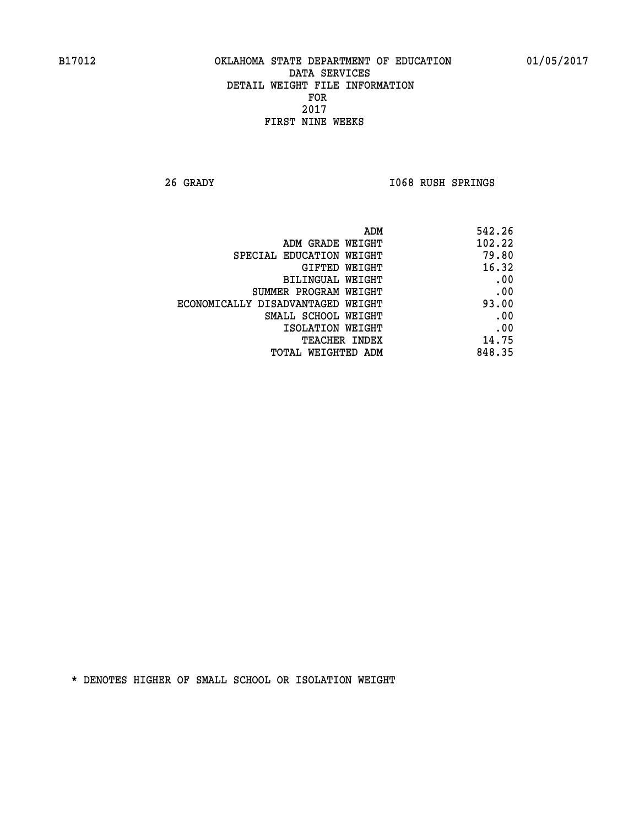**26 GRADY I068 RUSH SPRINGS** 

| 542.26 |
|--------|
| 102.22 |
| 79.80  |
| 16.32  |
| .00    |
| .00    |
| 93.00  |
| .00    |
| .00    |
| 14.75  |
| 848.35 |
|        |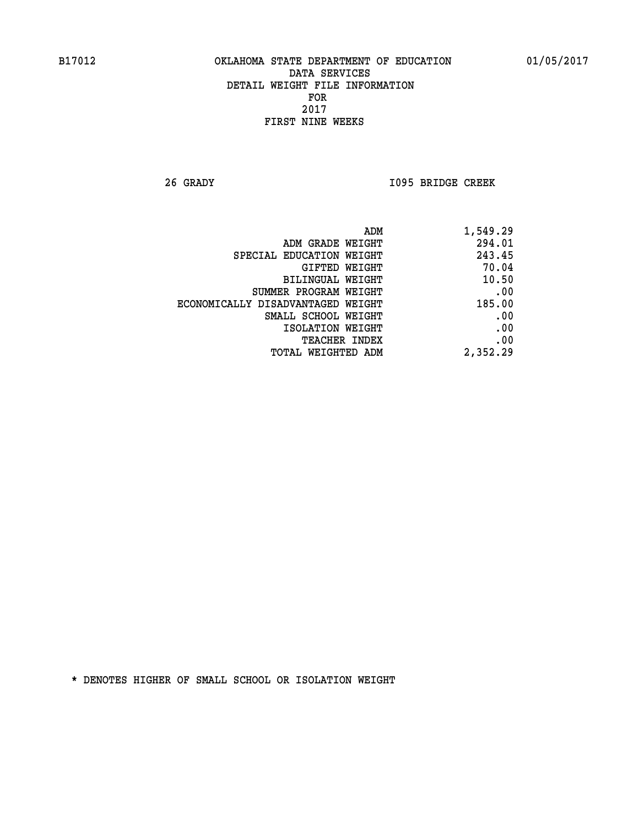**26 GRADY I095 BRIDGE CREEK** 

| ADM<br>1,549.29                             |       |
|---------------------------------------------|-------|
| 294.01<br>ADM GRADE WEIGHT                  |       |
| 243.45<br>SPECIAL EDUCATION WEIGHT          |       |
| GIFTED WEIGHT                               | 70.04 |
| BILINGUAL WEIGHT                            | 10.50 |
| SUMMER PROGRAM WEIGHT                       | .00   |
| 185.00<br>ECONOMICALLY DISADVANTAGED WEIGHT |       |
| SMALL SCHOOL WEIGHT                         | .00   |
| ISOLATION WEIGHT                            | .00   |
| <b>TEACHER INDEX</b>                        | .00   |
| 2,352.29<br><b>TOTAL WEIGHTED ADM</b>       |       |
|                                             |       |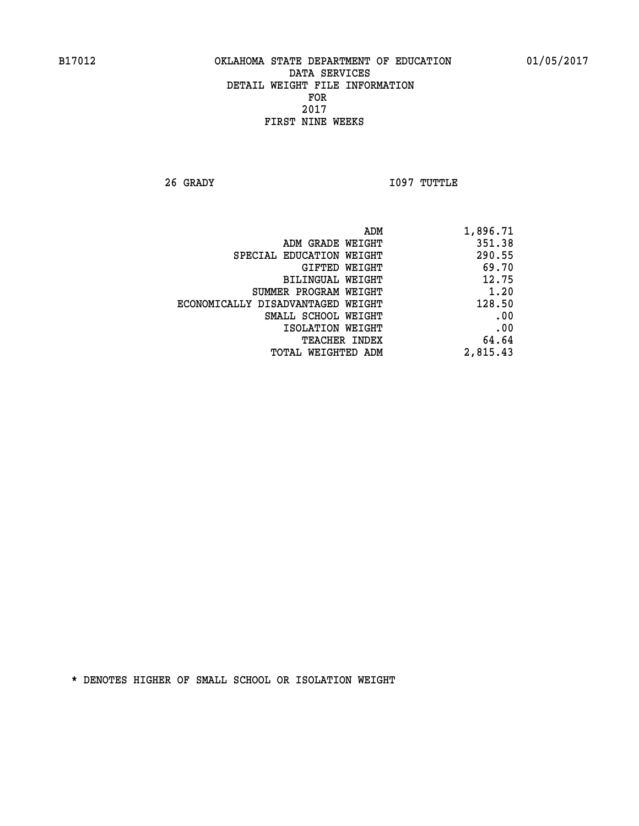**26 GRADY I097 TUTTLE** 

| 1,896.71 |
|----------|
| 351.38   |
| 290.55   |
| 69.70    |
| 12.75    |
| 1.20     |
| 128.50   |
| .00      |
| .00      |
| 64.64    |
| 2,815.43 |
|          |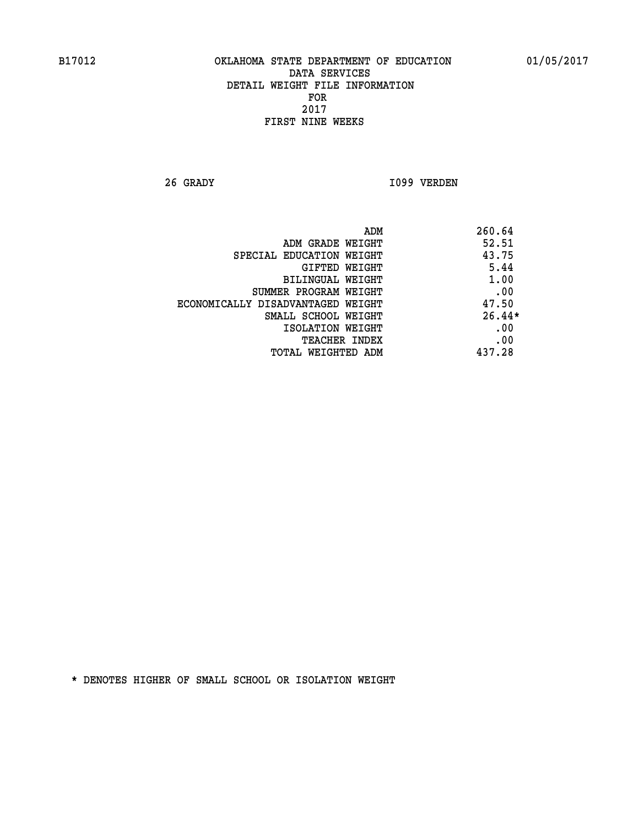**26 GRADY I099 VERDEN** 

|                                   | ADM<br>260.64 |
|-----------------------------------|---------------|
| ADM GRADE WEIGHT                  | 52.51         |
| SPECIAL EDUCATION WEIGHT          | 43.75         |
| GIFTED WEIGHT                     | 5.44          |
| BILINGUAL WEIGHT                  | 1.00          |
| SUMMER PROGRAM WEIGHT             | .00           |
| ECONOMICALLY DISADVANTAGED WEIGHT | 47.50         |
| SMALL SCHOOL WEIGHT               | $26.44*$      |
| ISOLATION WEIGHT                  | .00           |
| <b>TEACHER INDEX</b>              | .00           |
| TOTAL WEIGHTED ADM                | 437.28        |
|                                   |               |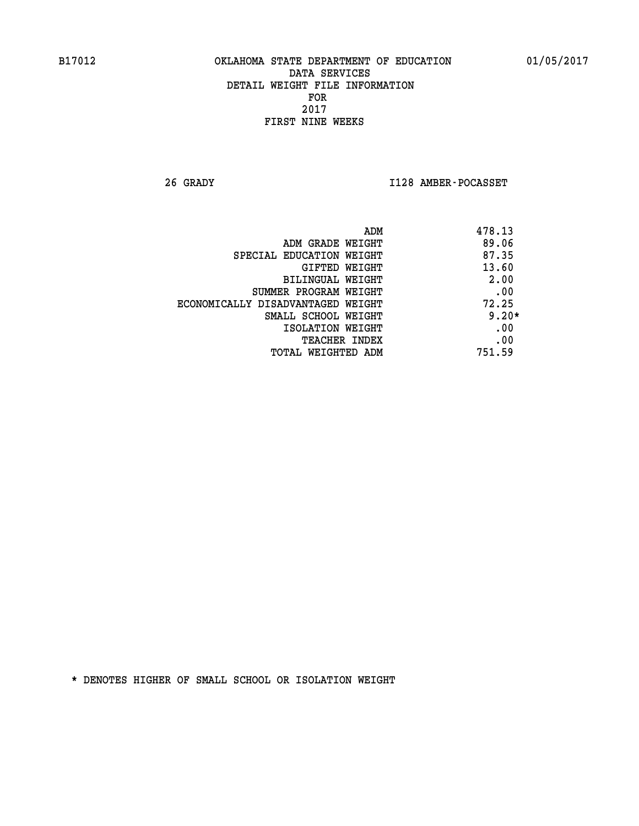**26 GRADY I128 AMBER-POCASSET** 

| ADM                               | 478.13  |
|-----------------------------------|---------|
| ADM GRADE WEIGHT                  | 89.06   |
| SPECIAL EDUCATION WEIGHT          | 87.35   |
| <b>GIFTED WEIGHT</b>              | 13.60   |
| BILINGUAL WEIGHT                  | 2.00    |
| SUMMER PROGRAM WEIGHT             | .00     |
| ECONOMICALLY DISADVANTAGED WEIGHT | 72.25   |
| SMALL SCHOOL WEIGHT               | $9.20*$ |
| ISOLATION WEIGHT                  | .00     |
| <b>TEACHER INDEX</b>              | .00     |
| TOTAL WEIGHTED ADM                | 751.59  |
|                                   |         |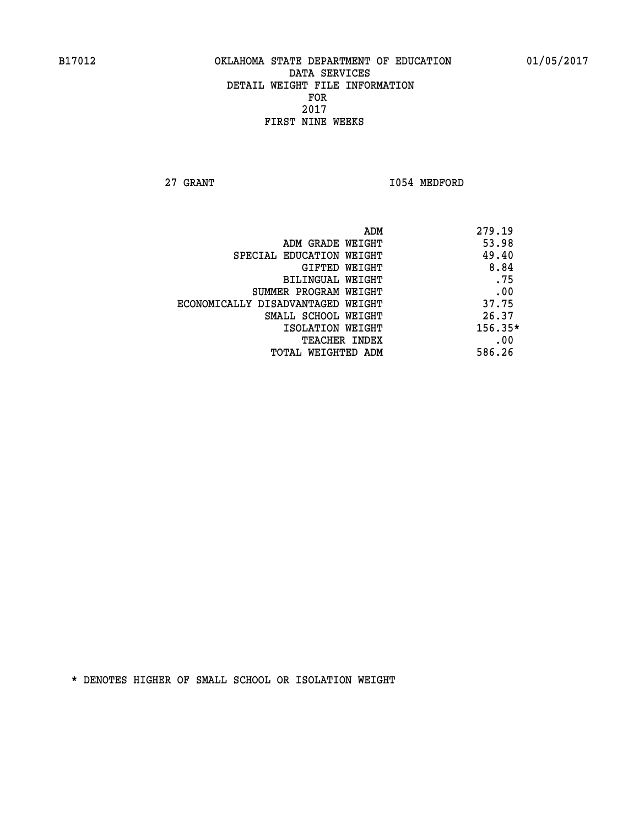**27 GRANT 1054 MEDFORD** 

| ADM<br>279.19                              |  |
|--------------------------------------------|--|
| 53.98<br>ADM GRADE WEIGHT                  |  |
| 49.40<br>SPECIAL EDUCATION WEIGHT          |  |
| 8.84<br>GIFTED WEIGHT                      |  |
| .75<br>BILINGUAL WEIGHT                    |  |
| .00<br>SUMMER PROGRAM WEIGHT               |  |
| 37.75<br>ECONOMICALLY DISADVANTAGED WEIGHT |  |
| 26.37<br>SMALL SCHOOL WEIGHT               |  |
| $156.35*$<br>ISOLATION WEIGHT              |  |
| .00<br><b>TEACHER INDEX</b>                |  |
| 586.26<br>TOTAL WEIGHTED ADM               |  |
|                                            |  |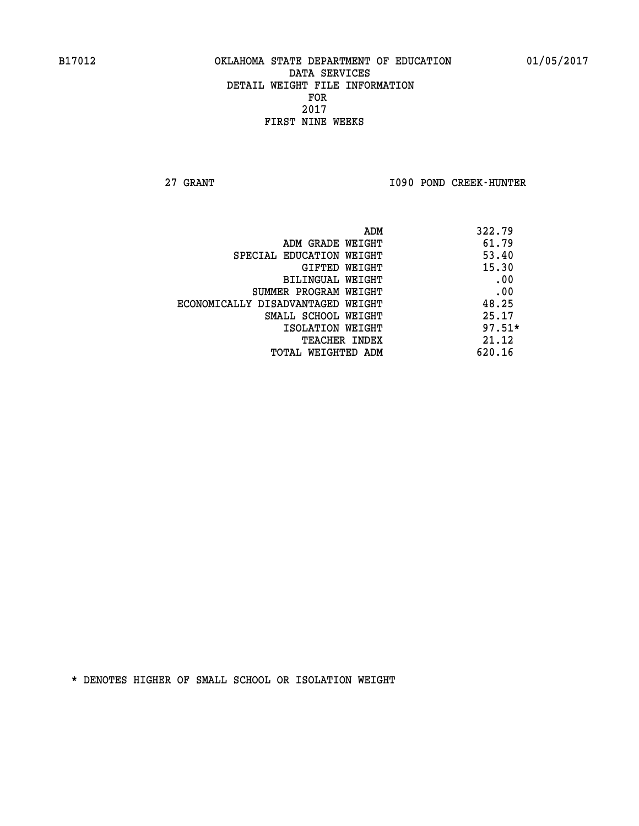**27 GRANT I090 POND CREEK-HUNTER** 

| ADM                               | 322.79   |
|-----------------------------------|----------|
| ADM GRADE WEIGHT                  | 61.79    |
| SPECIAL EDUCATION WEIGHT          | 53.40    |
| GIFTED WEIGHT                     | 15.30    |
| BILINGUAL WEIGHT                  | .00      |
| SUMMER PROGRAM WEIGHT             | .00      |
| ECONOMICALLY DISADVANTAGED WEIGHT | 48.25    |
| SMALL SCHOOL WEIGHT               | 25.17    |
| ISOLATION WEIGHT                  | $97.51*$ |
| <b>TEACHER INDEX</b>              | 21.12    |
| TOTAL WEIGHTED ADM                | 620.16   |
|                                   |          |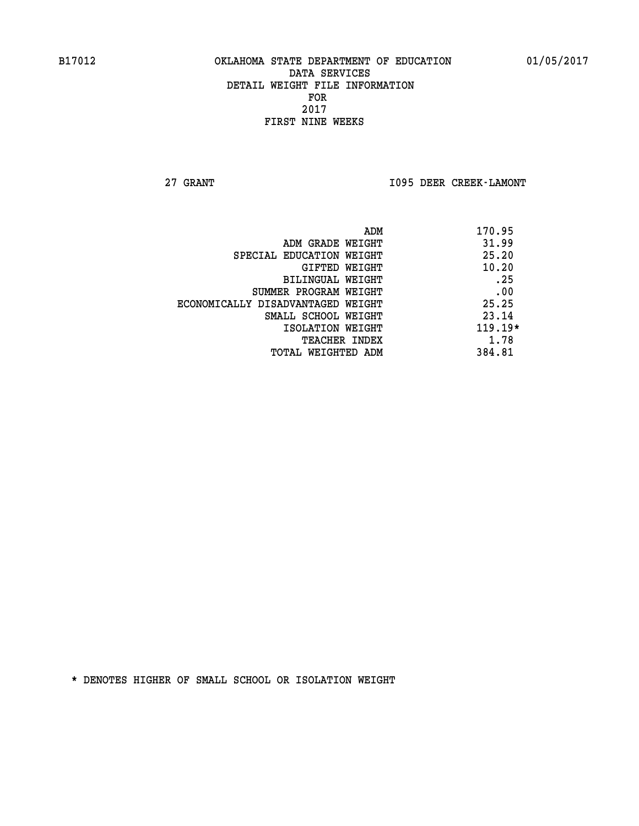**27 GRANT I095 DEER CREEK-LAMONT** 

|                                   | 170.95<br>ADM |
|-----------------------------------|---------------|
| ADM GRADE WEIGHT                  | 31.99         |
| SPECIAL EDUCATION WEIGHT          | 25.20         |
| GIFTED WEIGHT                     | 10.20         |
| <b>BILINGUAL WEIGHT</b>           | .25           |
| SUMMER PROGRAM WEIGHT             | .00           |
| ECONOMICALLY DISADVANTAGED WEIGHT | 25.25         |
| SMALL SCHOOL WEIGHT               | 23.14         |
| ISOLATION WEIGHT                  | $119.19*$     |
| <b>TEACHER INDEX</b>              | 1.78          |
| TOTAL WEIGHTED ADM                | 384.81        |
|                                   |               |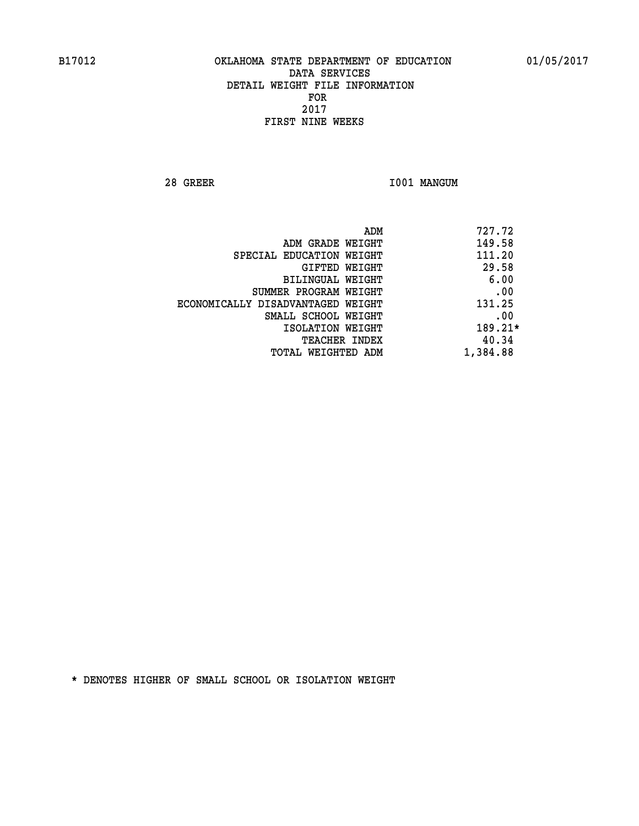**28 GREER I001 MANGUM** 

|                                   | 727.72<br>ADM |
|-----------------------------------|---------------|
| ADM GRADE WEIGHT                  | 149.58        |
| SPECIAL EDUCATION WEIGHT          | 111.20        |
| GIFTED WEIGHT                     | 29.58         |
| BILINGUAL WEIGHT                  | 6.00          |
| SUMMER PROGRAM WEIGHT             | .00           |
| ECONOMICALLY DISADVANTAGED WEIGHT | 131.25        |
| SMALL SCHOOL WEIGHT               | .00           |
| ISOLATION WEIGHT                  | 189.21*       |
| TEACHER INDEX                     | 40.34         |
| TOTAL WEIGHTED ADM                | 1,384.88      |
|                                   |               |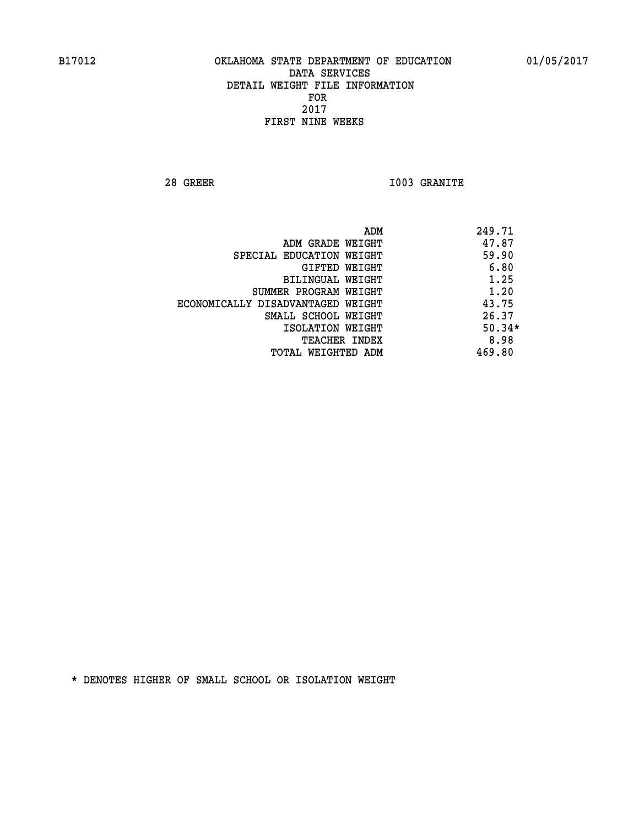**28 GREER I003 GRANITE** 

|                                   | ADM | 249.71   |
|-----------------------------------|-----|----------|
| ADM GRADE WEIGHT                  |     | 47.87    |
| SPECIAL EDUCATION WEIGHT          |     | 59.90    |
| GIFTED WEIGHT                     |     | 6.80     |
| BILINGUAL WEIGHT                  |     | 1.25     |
| SUMMER PROGRAM WEIGHT             |     | 1.20     |
| ECONOMICALLY DISADVANTAGED WEIGHT |     | 43.75    |
| SMALL SCHOOL WEIGHT               |     | 26.37    |
| ISOLATION WEIGHT                  |     | $50.34*$ |
| TEACHER INDEX                     |     | 8.98     |
| TOTAL WEIGHTED ADM                |     | 469.80   |
|                                   |     |          |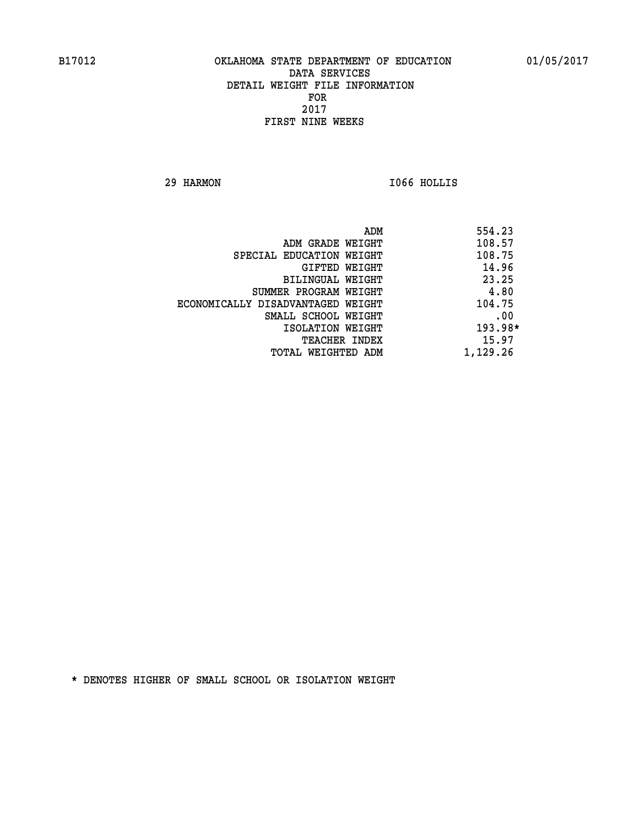**29 HARMON I066 HOLLIS** 

| ADM                               | 554.23    |
|-----------------------------------|-----------|
| ADM GRADE WEIGHT                  | 108.57    |
| SPECIAL EDUCATION WEIGHT          | 108.75    |
| GIFTED WEIGHT                     | 14.96     |
| BILINGUAL WEIGHT                  | 23.25     |
| SUMMER PROGRAM WEIGHT             | 4.80      |
| ECONOMICALLY DISADVANTAGED WEIGHT | 104.75    |
| SMALL SCHOOL WEIGHT               | .00       |
| ISOLATION WEIGHT                  | $193.98*$ |
| <b>TEACHER INDEX</b>              | 15.97     |
| TOTAL WEIGHTED ADM                | 1,129.26  |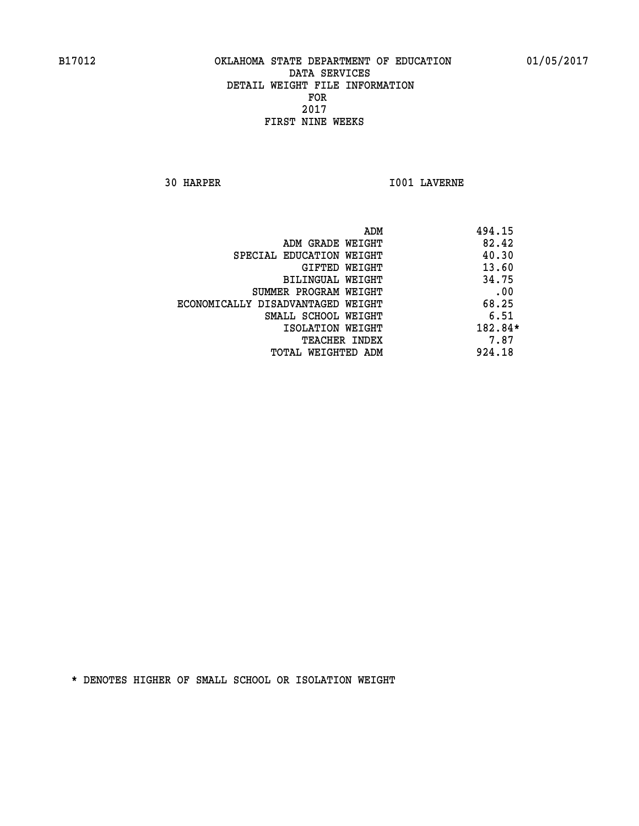**30 HARPER I001 LAVERNE** 

|                                   | ADM | 494.15  |
|-----------------------------------|-----|---------|
| ADM GRADE WEIGHT                  |     | 82.42   |
| SPECIAL EDUCATION WEIGHT          |     | 40.30   |
| GIFTED WEIGHT                     |     | 13.60   |
| BILINGUAL WEIGHT                  |     | 34.75   |
| SUMMER PROGRAM WEIGHT             |     | .00     |
| ECONOMICALLY DISADVANTAGED WEIGHT |     | 68.25   |
| SMALL SCHOOL WEIGHT               |     | 6.51    |
| ISOLATION WEIGHT                  |     | 182.84* |
| TEACHER INDEX                     |     | 7.87    |
| TOTAL WEIGHTED ADM                |     | 924.18  |
|                                   |     |         |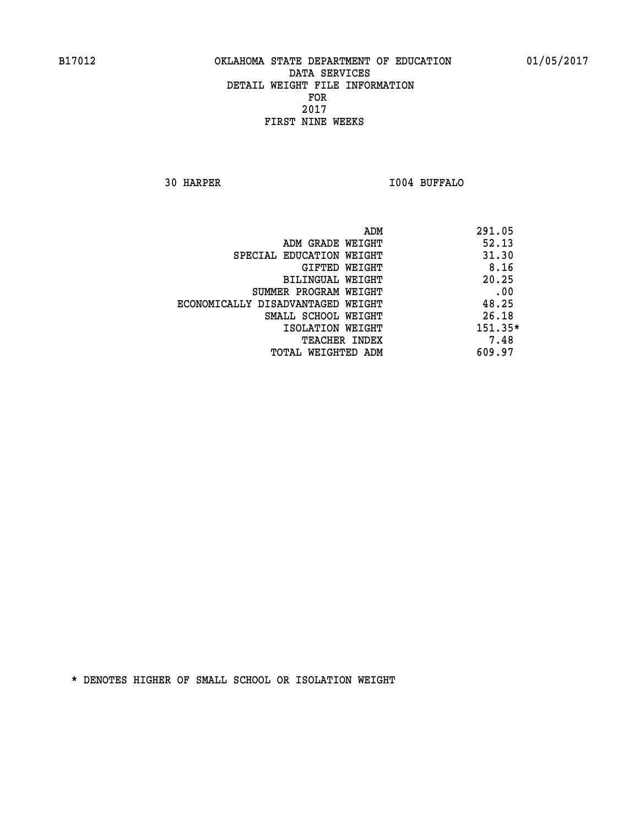**30 HARPER I004 BUFFALO** 

|                                   | ADM | 291.05    |
|-----------------------------------|-----|-----------|
| ADM GRADE WEIGHT                  |     | 52.13     |
| SPECIAL EDUCATION WEIGHT          |     | 31.30     |
| GIFTED WEIGHT                     |     | 8.16      |
| BILINGUAL WEIGHT                  |     | 20.25     |
| SUMMER PROGRAM WEIGHT             |     | .00       |
| ECONOMICALLY DISADVANTAGED WEIGHT |     | 48.25     |
| SMALL SCHOOL WEIGHT               |     | 26.18     |
| ISOLATION WEIGHT                  |     | $151.35*$ |
| TEACHER INDEX                     |     | 7.48      |
| TOTAL WEIGHTED ADM                |     | 609.97    |
|                                   |     |           |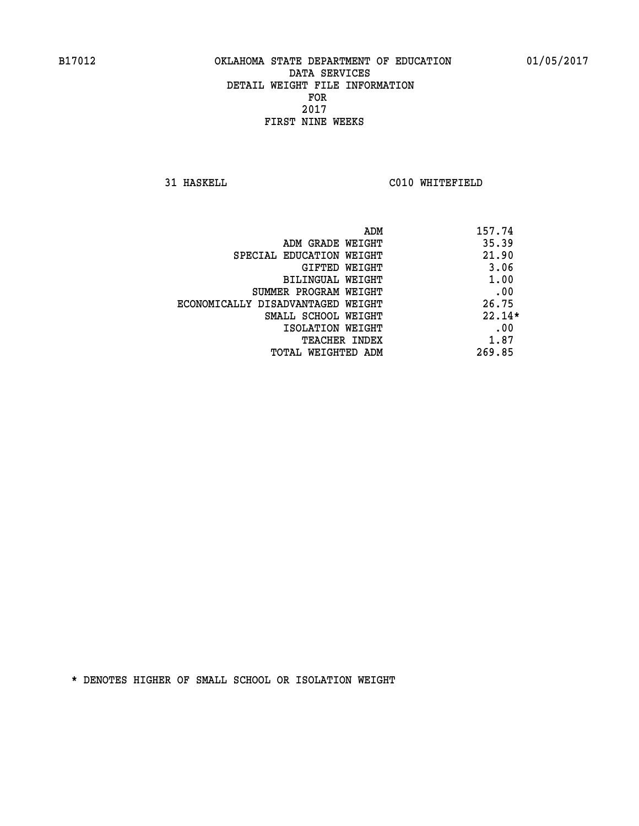**31 HASKELL C010 WHITEFIELD** 

| ADM                               | 157.74   |
|-----------------------------------|----------|
| ADM GRADE WEIGHT                  | 35.39    |
| SPECIAL EDUCATION WEIGHT          | 21.90    |
| GIFTED WEIGHT                     | 3.06     |
| BILINGUAL WEIGHT                  | 1.00     |
| SUMMER PROGRAM WEIGHT             | .00      |
| ECONOMICALLY DISADVANTAGED WEIGHT | 26.75    |
| SMALL SCHOOL WEIGHT               | $22.14*$ |
| ISOLATION WEIGHT                  | .00      |
| <b>TEACHER INDEX</b>              | 1.87     |
| TOTAL WEIGHTED ADM                | 269.85   |
|                                   |          |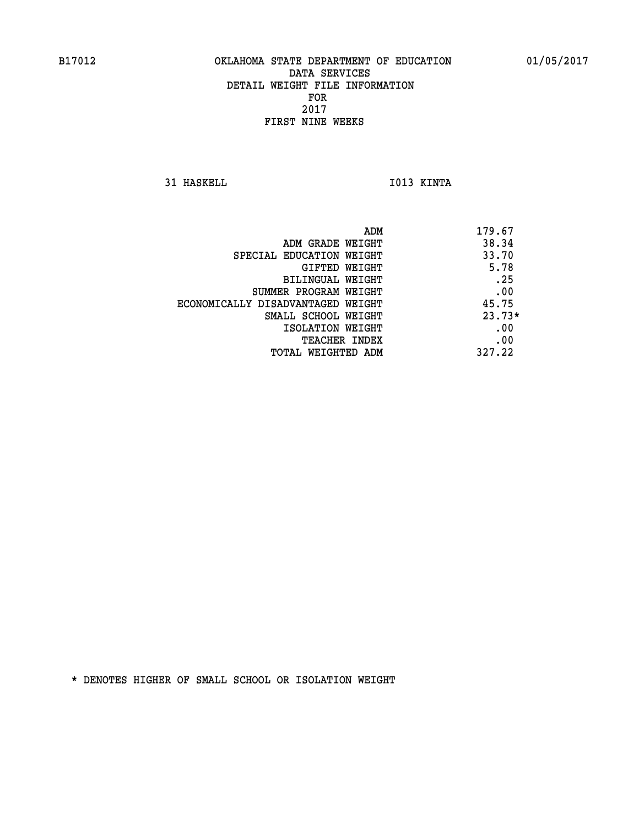**31 HASKELL IO13 KINTA** 

|                                   | 179.67<br>ADM |
|-----------------------------------|---------------|
| ADM GRADE WEIGHT                  | 38.34         |
| SPECIAL EDUCATION WEIGHT          | 33.70         |
| GIFTED WEIGHT                     | 5.78          |
| BILINGUAL WEIGHT                  | .25           |
| SUMMER PROGRAM WEIGHT             | .00           |
| ECONOMICALLY DISADVANTAGED WEIGHT | 45.75         |
| SMALL SCHOOL WEIGHT               | $23.73*$      |
| ISOLATION WEIGHT                  | .00           |
| <b>TEACHER INDEX</b>              | .00           |
| TOTAL WEIGHTED ADM                | 327.22        |
|                                   |               |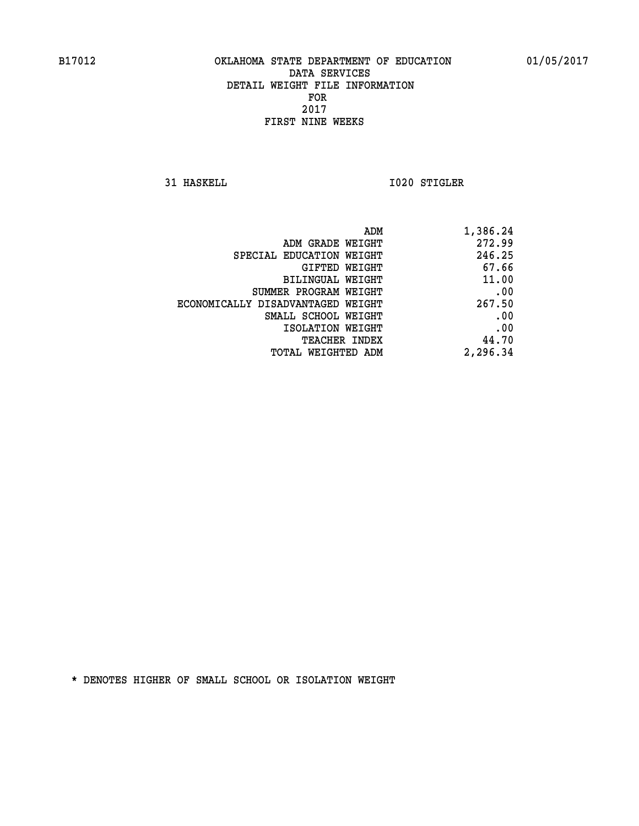**31 HASKELL 1020 STIGLER** 

| 1,386.24 |
|----------|
| 272.99   |
| 246.25   |
| 67.66    |
| 11.00    |
| .00      |
| 267.50   |
| .00      |
| .00      |
| 44.70    |
| 2,296.34 |
|          |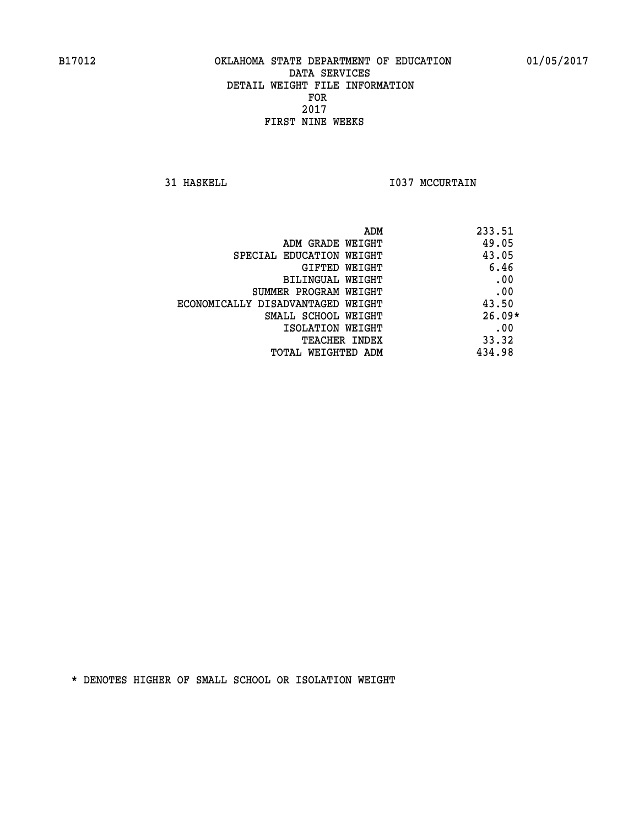**31 HASKELL 1037 MCCURTAIN** 

| ADM                               | 233.51   |
|-----------------------------------|----------|
| ADM GRADE WEIGHT                  | 49.05    |
| SPECIAL EDUCATION WEIGHT          | 43.05    |
| GIFTED WEIGHT                     | 6.46     |
| BILINGUAL WEIGHT                  | .00      |
| SUMMER PROGRAM WEIGHT             | .00      |
| ECONOMICALLY DISADVANTAGED WEIGHT | 43.50    |
| SMALL SCHOOL WEIGHT               | $26.09*$ |
| ISOLATION WEIGHT                  | .00      |
| <b>TEACHER INDEX</b>              | 33.32    |
| TOTAL WEIGHTED ADM                | 434.98   |
|                                   |          |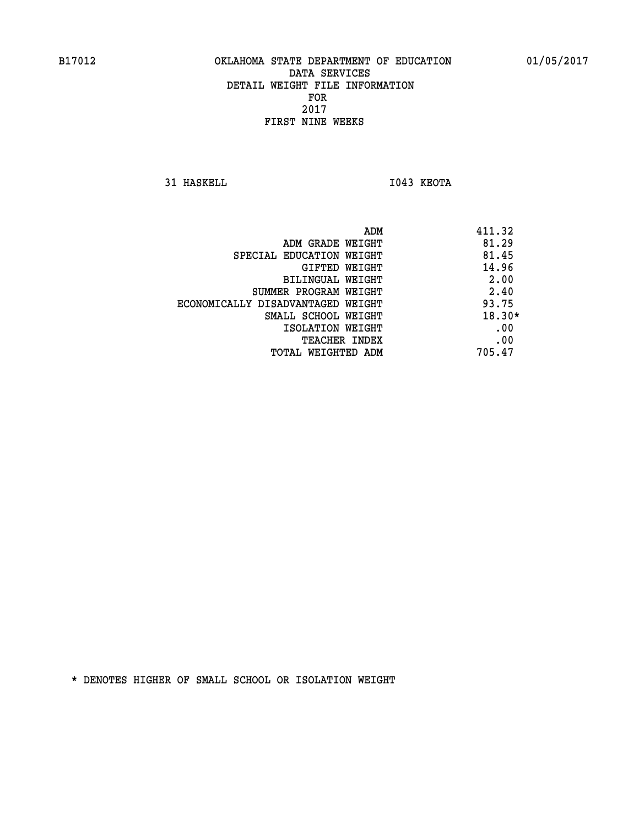**31 HASKELL IO43 KEOTA** 

|                                   | 411.32<br>ADM |
|-----------------------------------|---------------|
| ADM GRADE WEIGHT                  | 81.29         |
| SPECIAL EDUCATION WEIGHT          | 81.45         |
| GIFTED WEIGHT                     | 14.96         |
| BILINGUAL WEIGHT                  | 2.00          |
| SUMMER PROGRAM WEIGHT             | 2.40          |
| ECONOMICALLY DISADVANTAGED WEIGHT | 93.75         |
| SMALL SCHOOL WEIGHT               | $18.30*$      |
| ISOLATION WEIGHT                  | .00           |
| TEACHER INDEX                     | .00           |
| TOTAL WEIGHTED ADM                | 705.47        |
|                                   |               |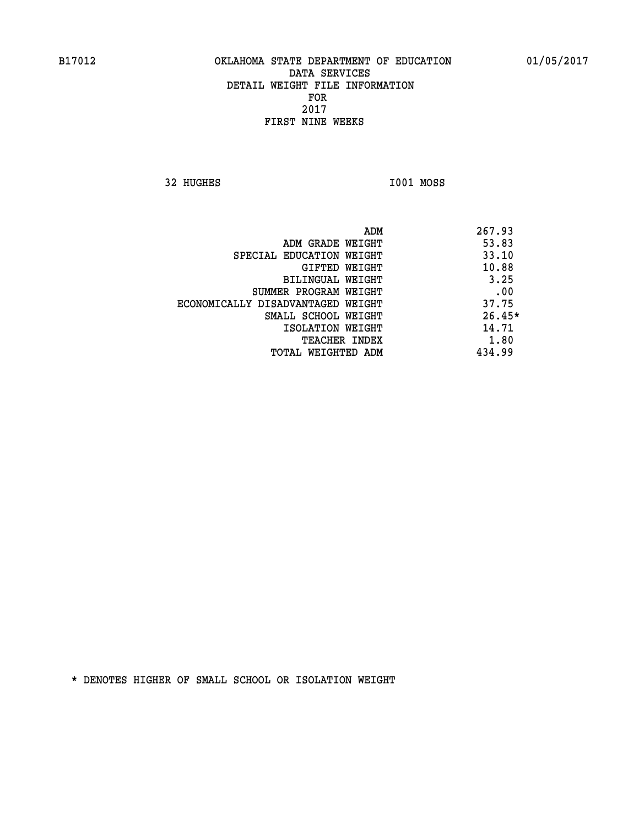**32 HUGHES I001 MOSS** 

 **ADM 267.93 ADM GRADE WEIGHT 53.83 SPECIAL EDUCATION WEIGHT 433.10 CIFTED WEIGHT 40.88 BILINGUAL WEIGHT 3.25 SUMMER PROGRAM WEIGHT .00 ECONOMICALLY DISADVANTAGED WEIGHT 37.75 SMALL SCHOOL WEIGHT 26.45\* 14.71** ISOLATION WEIGHT 14.71 **TEACHER INDEX** 1.80  **TOTAL WEIGHTED ADM 434.99**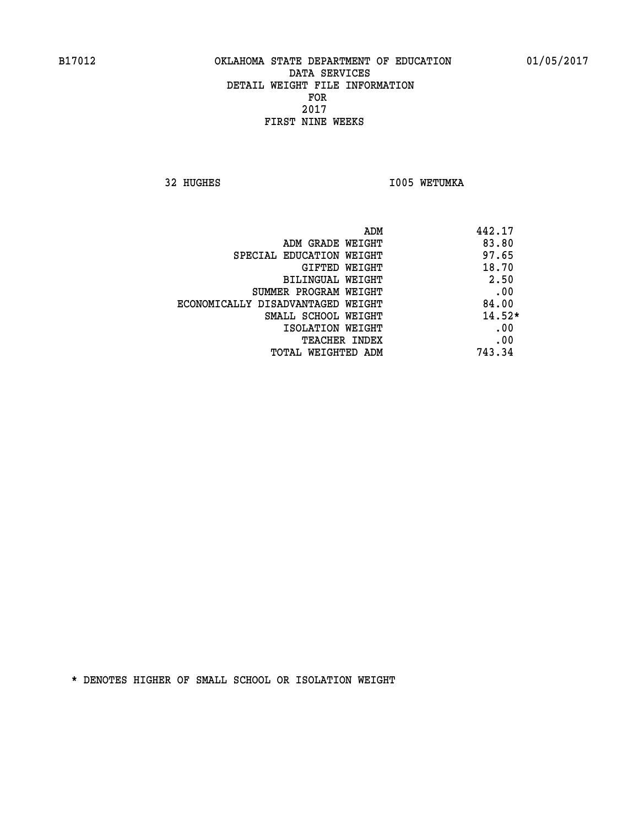**32 HUGHES 1005 WETUMKA** 

| ADM                               | 442.17   |
|-----------------------------------|----------|
| ADM GRADE WEIGHT                  | 83.80    |
| SPECIAL EDUCATION WEIGHT          | 97.65    |
| GIFTED WEIGHT                     | 18.70    |
| BILINGUAL WEIGHT                  | 2.50     |
| SUMMER PROGRAM WEIGHT             | .00      |
| ECONOMICALLY DISADVANTAGED WEIGHT | 84.00    |
| SMALL SCHOOL WEIGHT               | $14.52*$ |
| ISOLATION WEIGHT                  | .00      |
| <b>TEACHER INDEX</b>              | .00      |
| TOTAL WEIGHTED ADM                | 743.34   |
|                                   |          |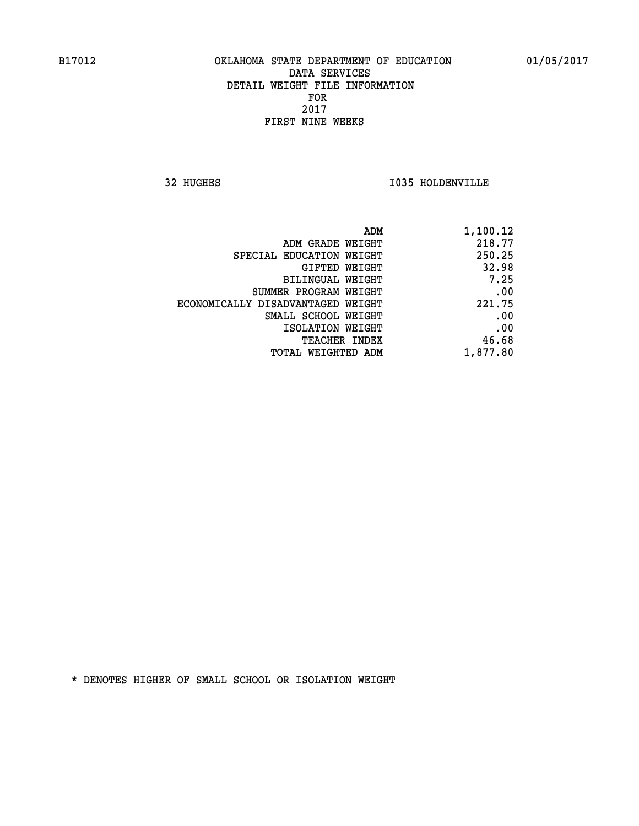**32 HUGHES I035 HOLDENVILLE** 

|                                   | ADM<br>1,100.12 |
|-----------------------------------|-----------------|
| ADM GRADE WEIGHT                  | 218.77          |
| SPECIAL EDUCATION WEIGHT          | 250.25          |
| GIFTED WEIGHT                     | 32.98           |
| BILINGUAL WEIGHT                  | 7.25            |
| SUMMER PROGRAM WEIGHT             | .00             |
| ECONOMICALLY DISADVANTAGED WEIGHT | 221.75          |
| SMALL SCHOOL WEIGHT               | .00             |
| ISOLATION WEIGHT                  | .00             |
| TEACHER INDEX                     | 46.68           |
| TOTAL WEIGHTED ADM                | 1,877.80        |
|                                   |                 |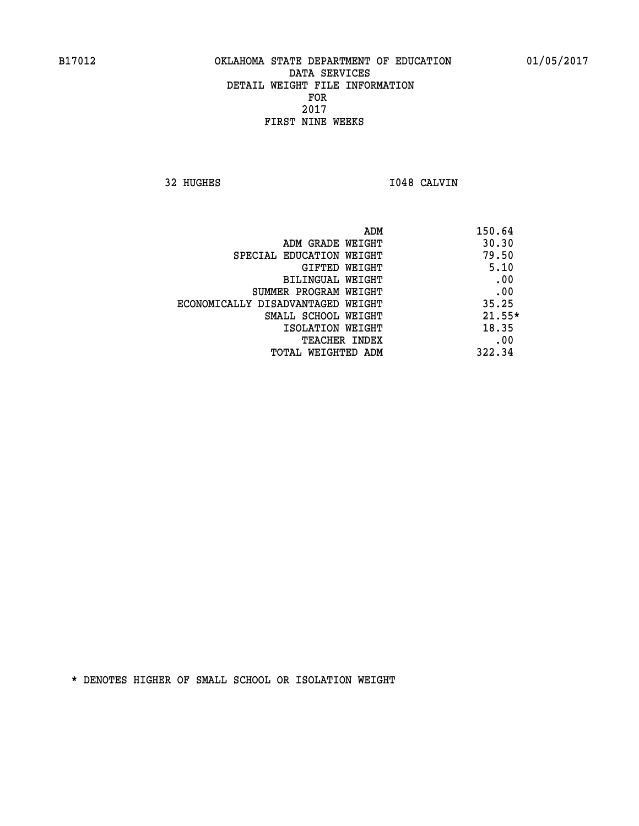**32 HUGHES I048 CALVIN** 

| ADM                               | 150.64   |
|-----------------------------------|----------|
| ADM GRADE WEIGHT                  | 30.30    |
| SPECIAL EDUCATION WEIGHT          | 79.50    |
| GIFTED WEIGHT                     | 5.10     |
| BILINGUAL WEIGHT                  | .00      |
| SUMMER PROGRAM WEIGHT             | .00      |
| ECONOMICALLY DISADVANTAGED WEIGHT | 35.25    |
| SMALL SCHOOL WEIGHT               | $21.55*$ |
| ISOLATION WEIGHT                  | 18.35    |
| TEACHER INDEX                     | .00      |
| TOTAL WEIGHTED ADM                | 322.34   |
|                                   |          |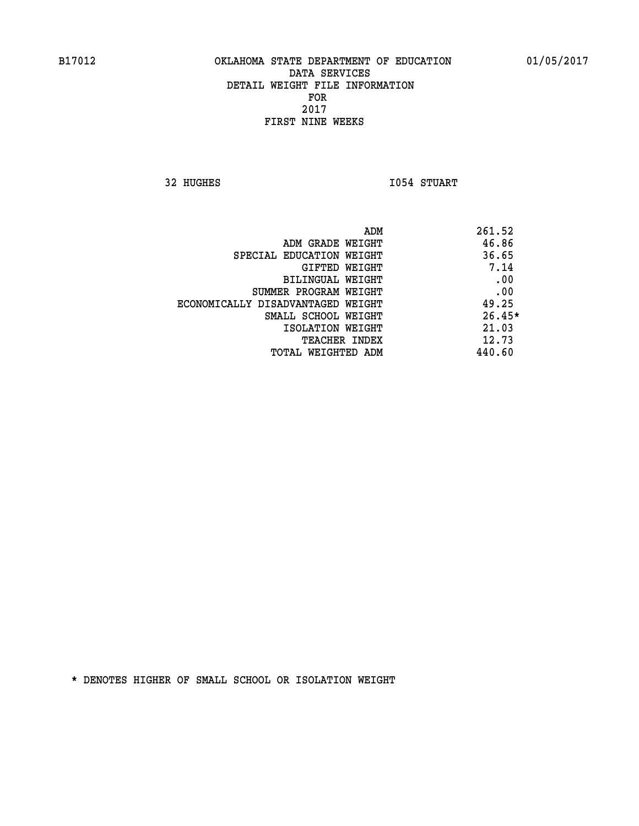**32 HUGHES 1054 STUART** 

| 261.52   |
|----------|
| 46.86    |
| 36.65    |
| 7.14     |
| .00      |
| .00      |
| 49.25    |
| $26.45*$ |
| 21.03    |
| 12.73    |
| 440.60   |
|          |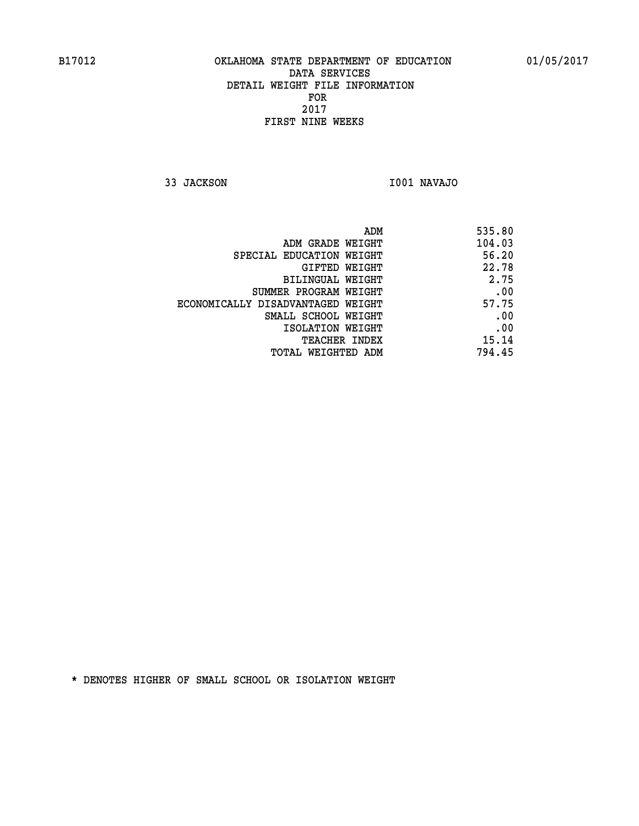**33 JACKSON I001 NAVAJO** 

| ADM                               | 535.80 |
|-----------------------------------|--------|
| ADM GRADE WEIGHT                  | 104.03 |
| SPECIAL EDUCATION WEIGHT          | 56.20  |
| GIFTED WEIGHT                     | 22.78  |
| BILINGUAL WEIGHT                  | 2.75   |
| SUMMER PROGRAM WEIGHT             | .00    |
| ECONOMICALLY DISADVANTAGED WEIGHT | 57.75  |
| SMALL SCHOOL WEIGHT               | .00    |
| ISOLATION WEIGHT                  | .00    |
| <b>TEACHER INDEX</b>              | 15.14  |
| TOTAL WEIGHTED ADM                | 794.45 |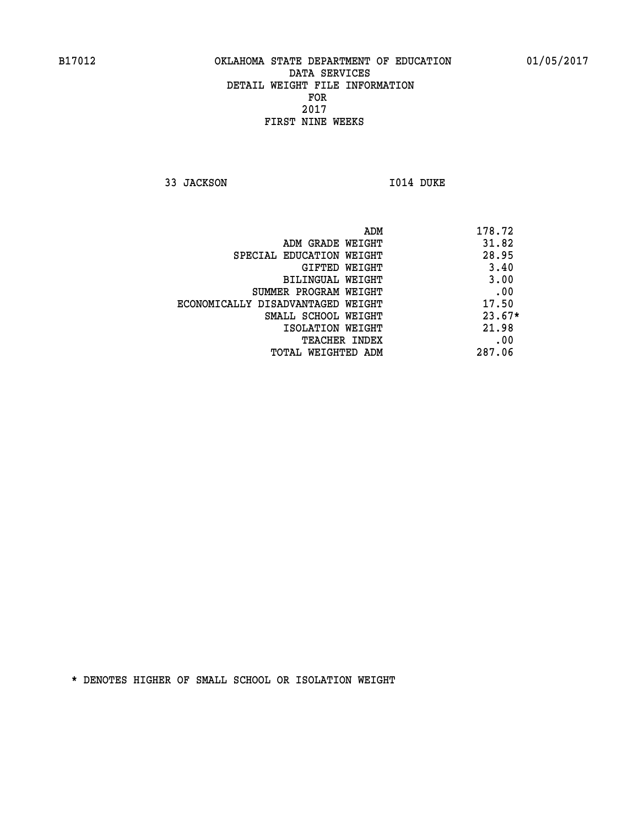**33 JACKSON I014 DUKE** 

 **ADM 178.72 ADM GRADE WEIGHT 31.82 SPECIAL EDUCATION WEIGHT 28.95 GIFTED WEIGHT** 3.40 **BILINGUAL WEIGHT 3.00 SUMMER PROGRAM WEIGHT .00 ECONOMICALLY DISADVANTAGED WEIGHT 17.50 SMALL SCHOOL WEIGHT** 23.67\*  **ISOLATION WEIGHT 21.98 TEACHER INDEX** .00  **TOTAL WEIGHTED ADM 287.06**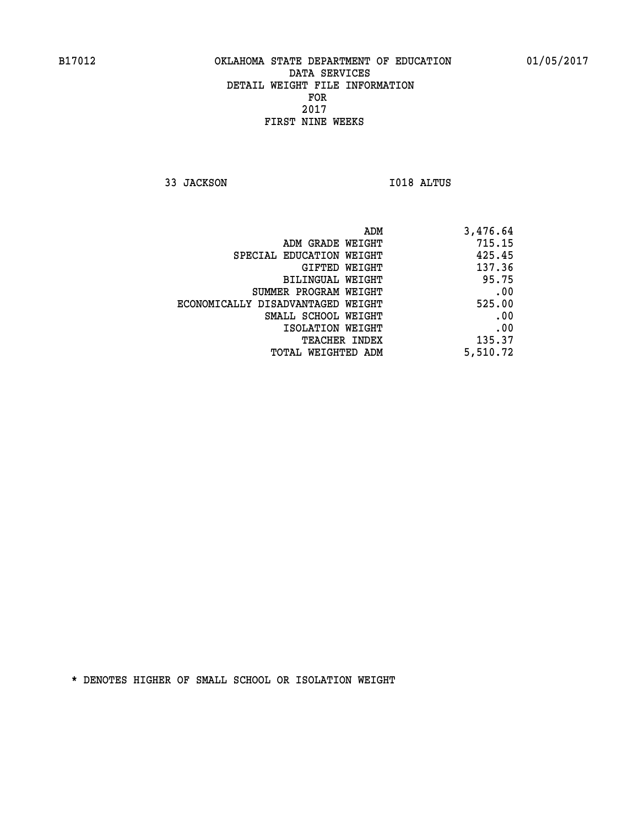**33 JACKSON I018 ALTUS** 

| ADM                               | 3,476.64 |
|-----------------------------------|----------|
| ADM GRADE WEIGHT                  | 715.15   |
| SPECIAL EDUCATION WEIGHT          | 425.45   |
| GIFTED WEIGHT                     | 137.36   |
| BILINGUAL WEIGHT                  | 95.75    |
| SUMMER PROGRAM WEIGHT             | .00      |
| ECONOMICALLY DISADVANTAGED WEIGHT | 525.00   |
| SMALL SCHOOL WEIGHT               | .00      |
| ISOLATION WEIGHT                  | .00      |
| <b>TEACHER INDEX</b>              | 135.37   |
| TOTAL WEIGHTED ADM                | 5,510.72 |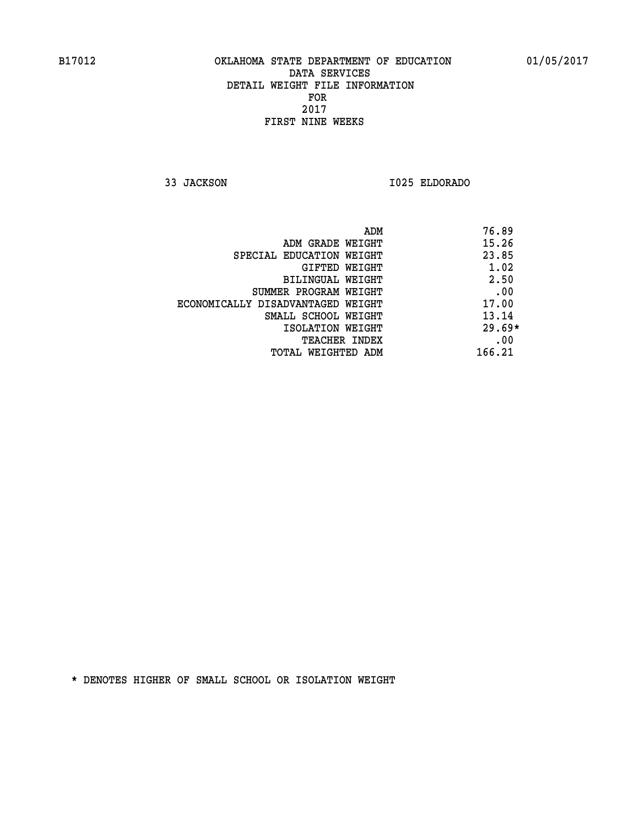**33 JACKSON I025 ELDORADO** 

|                                   | ADM    | 76.89    |
|-----------------------------------|--------|----------|
| ADM GRADE WEIGHT                  |        | 15.26    |
| SPECIAL EDUCATION WEIGHT          |        | 23.85    |
| <b>GIFTED WEIGHT</b>              |        | 1.02     |
| BILINGUAL WEIGHT                  |        | 2.50     |
| SUMMER PROGRAM WEIGHT             |        | .00      |
| ECONOMICALLY DISADVANTAGED WEIGHT |        | 17.00    |
| SMALL SCHOOL WEIGHT               |        | 13.14    |
| ISOLATION WEIGHT                  |        | $29.69*$ |
| TEACHER INDEX                     |        | .00      |
| TOTAL WEIGHTED ADM                | 166.21 |          |
|                                   |        |          |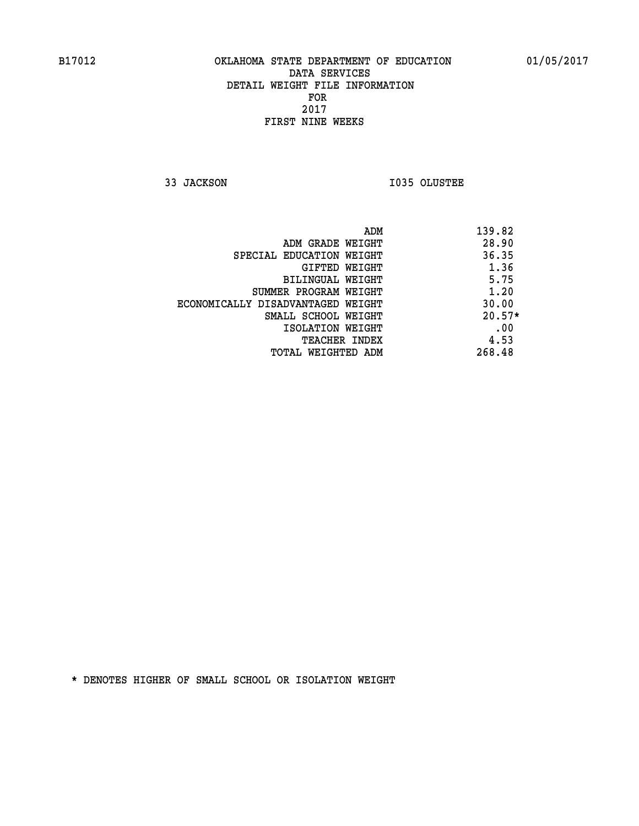**33 JACKSON I035 OLUSTEE** 

| ADM                               | 139.82   |
|-----------------------------------|----------|
| ADM GRADE WEIGHT                  | 28.90    |
| SPECIAL EDUCATION WEIGHT          | 36.35    |
| GIFTED WEIGHT                     | 1.36     |
| BILINGUAL WEIGHT                  | 5.75     |
| SUMMER PROGRAM WEIGHT             | 1.20     |
| ECONOMICALLY DISADVANTAGED WEIGHT | 30.00    |
| SMALL SCHOOL WEIGHT               | $20.57*$ |
| ISOLATION WEIGHT                  | .00      |
| <b>TEACHER INDEX</b>              | 4.53     |
| TOTAL WEIGHTED ADM                | 268.48   |
|                                   |          |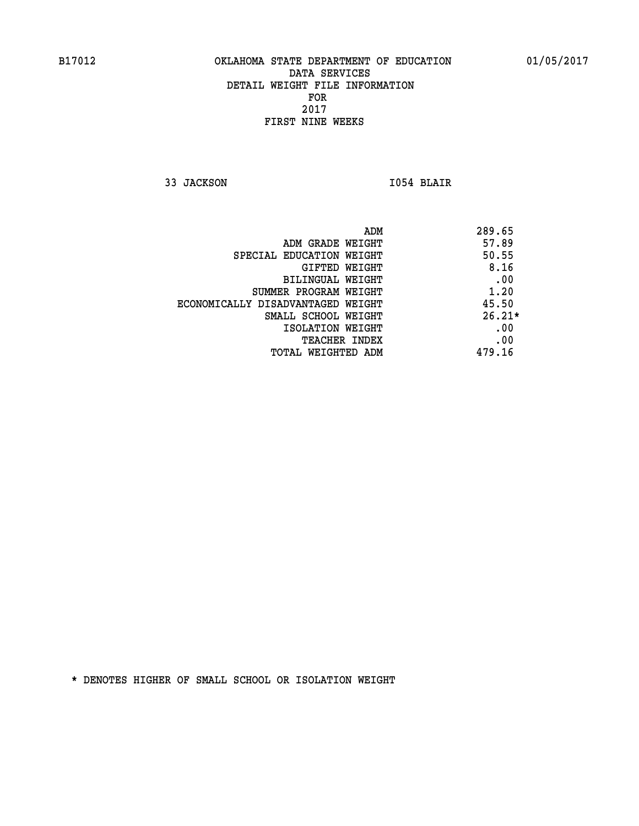**33 JACKSON I054 BLAIR** 

|                                   | 289.65<br>ADM |
|-----------------------------------|---------------|
| ADM GRADE WEIGHT                  | 57.89         |
| SPECIAL EDUCATION WEIGHT          | 50.55         |
| GIFTED WEIGHT                     | 8.16          |
| BILINGUAL WEIGHT                  | .00           |
| SUMMER PROGRAM WEIGHT             | 1.20          |
| ECONOMICALLY DISADVANTAGED WEIGHT | 45.50         |
| SMALL SCHOOL WEIGHT               | $26.21*$      |
| ISOLATION WEIGHT                  | .00           |
| <b>TEACHER INDEX</b>              | .00           |
| TOTAL WEIGHTED ADM                | 479.16        |
|                                   |               |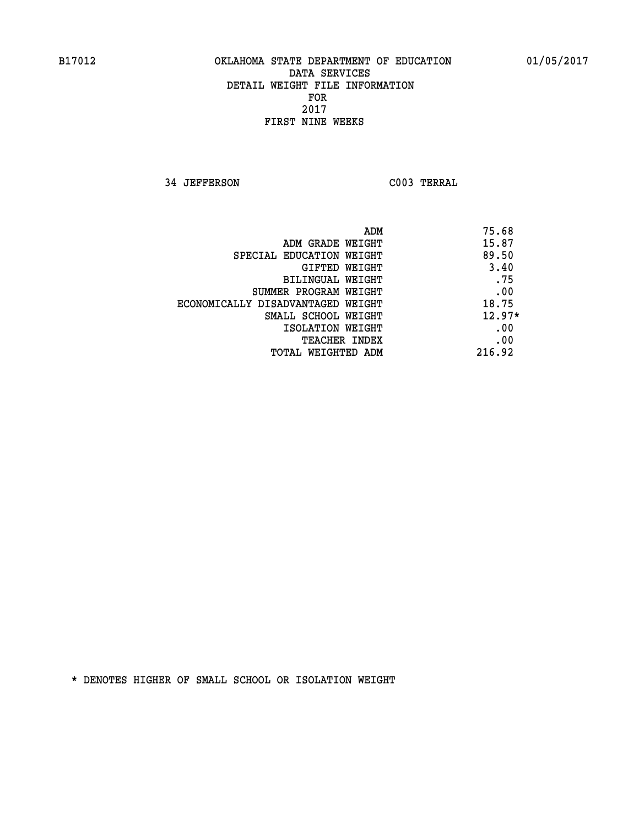**34 JEFFERSON C003 TERRAL** 

| ADM                               | 75.68    |
|-----------------------------------|----------|
| ADM GRADE WEIGHT                  | 15.87    |
| SPECIAL EDUCATION WEIGHT          | 89.50    |
| GIFTED WEIGHT                     | 3.40     |
| BILINGUAL WEIGHT                  | .75      |
| SUMMER PROGRAM WEIGHT             | .00      |
| ECONOMICALLY DISADVANTAGED WEIGHT | 18.75    |
| SMALL SCHOOL WEIGHT               | $12.97*$ |
| ISOLATION WEIGHT                  | .00      |
| <b>TEACHER INDEX</b>              | .00      |
| TOTAL WEIGHTED ADM                | 216.92   |
|                                   |          |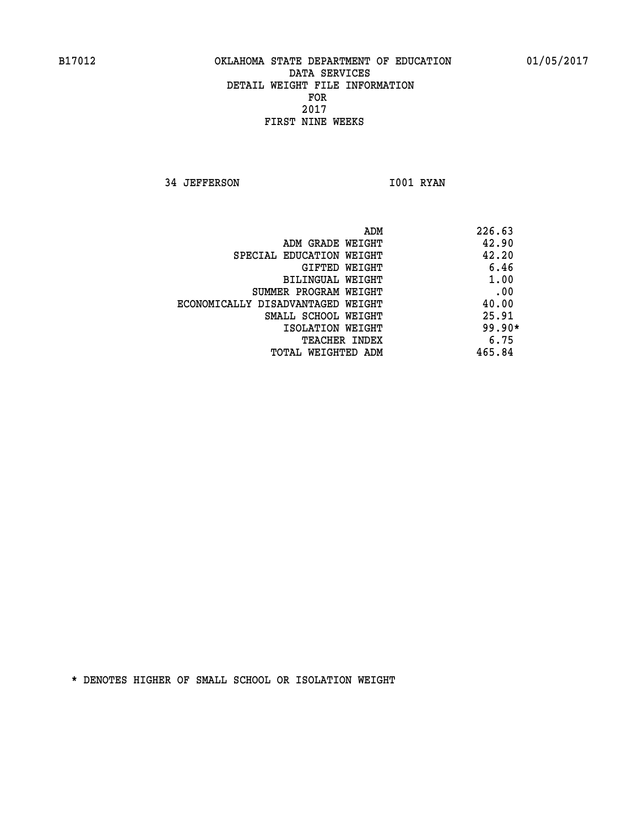**34 JEFFERSON 1001 RYAN** 

| ADM<br>226.63                              |     |
|--------------------------------------------|-----|
| 42.90<br>ADM GRADE WEIGHT                  |     |
| 42.20<br>SPECIAL EDUCATION WEIGHT          |     |
| 6.46<br>GIFTED WEIGHT                      |     |
| 1.00<br>BILINGUAL WEIGHT                   |     |
| SUMMER PROGRAM WEIGHT                      | .00 |
| 40.00<br>ECONOMICALLY DISADVANTAGED WEIGHT |     |
| 25.91<br>SMALL SCHOOL WEIGHT               |     |
| $99.90*$<br>ISOLATION WEIGHT               |     |
| 6.75<br><b>TEACHER INDEX</b>               |     |
| 465.84<br>TOTAL WEIGHTED ADM               |     |
|                                            |     |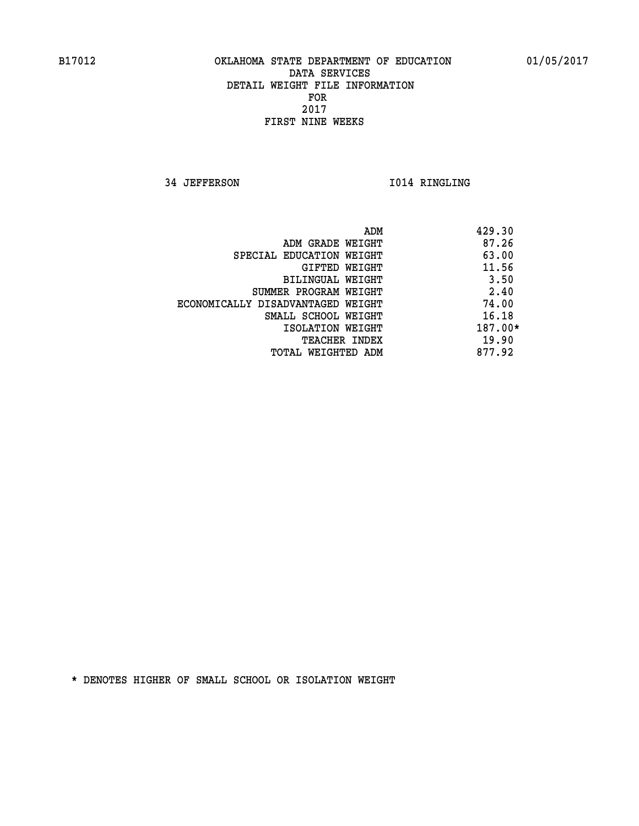**34 JEFFERSON 1014 RINGLING** 

|                                   | ADM | 429.30  |
|-----------------------------------|-----|---------|
| ADM GRADE WEIGHT                  |     | 87.26   |
| SPECIAL EDUCATION WEIGHT          |     | 63.00   |
| GIFTED WEIGHT                     |     | 11.56   |
| BILINGUAL WEIGHT                  |     | 3.50    |
| SUMMER PROGRAM WEIGHT             |     | 2.40    |
| ECONOMICALLY DISADVANTAGED WEIGHT |     | 74.00   |
| SMALL SCHOOL WEIGHT               |     | 16.18   |
| ISOLATION WEIGHT                  |     | 187.00* |
| <b>TEACHER INDEX</b>              |     | 19.90   |
| TOTAL WEIGHTED ADM                |     | 877.92  |
|                                   |     |         |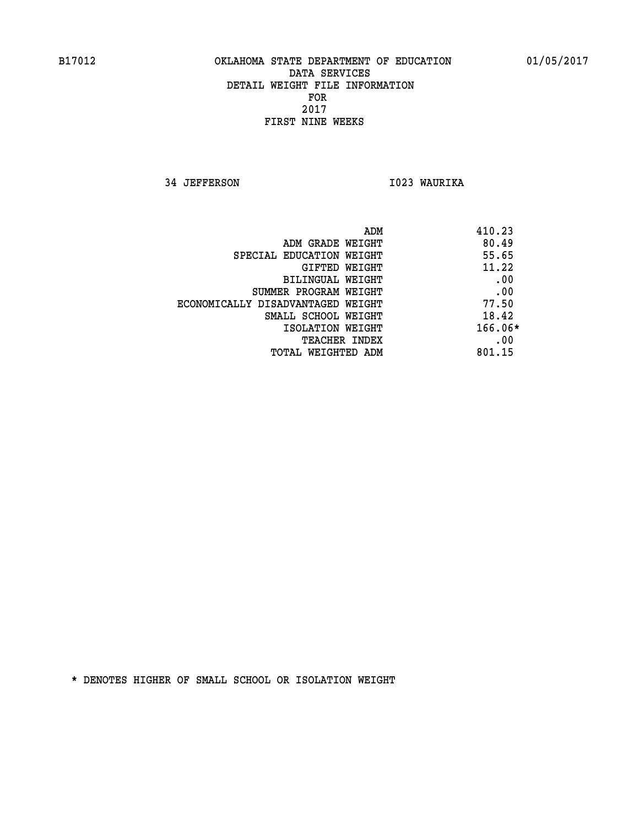**34 JEFFERSON I023 WAURIKA** 

| 410.23<br>ADM |                                   |
|---------------|-----------------------------------|
| 80.49         | ADM GRADE WEIGHT                  |
| 55.65         | SPECIAL EDUCATION WEIGHT          |
| 11.22         | GIFTED WEIGHT                     |
| .00           | BILINGUAL WEIGHT                  |
| .00           | SUMMER PROGRAM WEIGHT             |
| 77.50         | ECONOMICALLY DISADVANTAGED WEIGHT |
| 18.42         | SMALL SCHOOL WEIGHT               |
| 166.06*       | ISOLATION WEIGHT                  |
| .00           | <b>TEACHER INDEX</b>              |
| 801.15        | TOTAL WEIGHTED ADM                |
|               |                                   |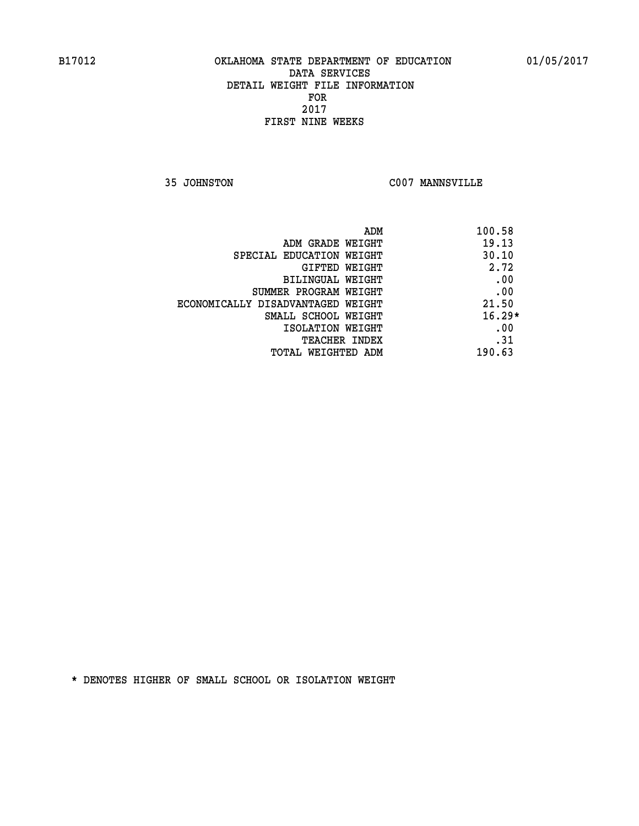**35 JOHNSTON C007 MANNSVILLE** 

| ADM                               | 100.58   |
|-----------------------------------|----------|
| ADM GRADE WEIGHT                  | 19.13    |
| SPECIAL EDUCATION WEIGHT          | 30.10    |
| <b>GIFTED WEIGHT</b>              | 2.72     |
| BILINGUAL WEIGHT                  | .00      |
| SUMMER PROGRAM WEIGHT             | .00      |
| ECONOMICALLY DISADVANTAGED WEIGHT | 21.50    |
| SMALL SCHOOL WEIGHT               | $16.29*$ |
| ISOLATION WEIGHT                  | .00      |
| <b>TEACHER INDEX</b>              | .31      |
| TOTAL WEIGHTED ADM                | 190.63   |
|                                   |          |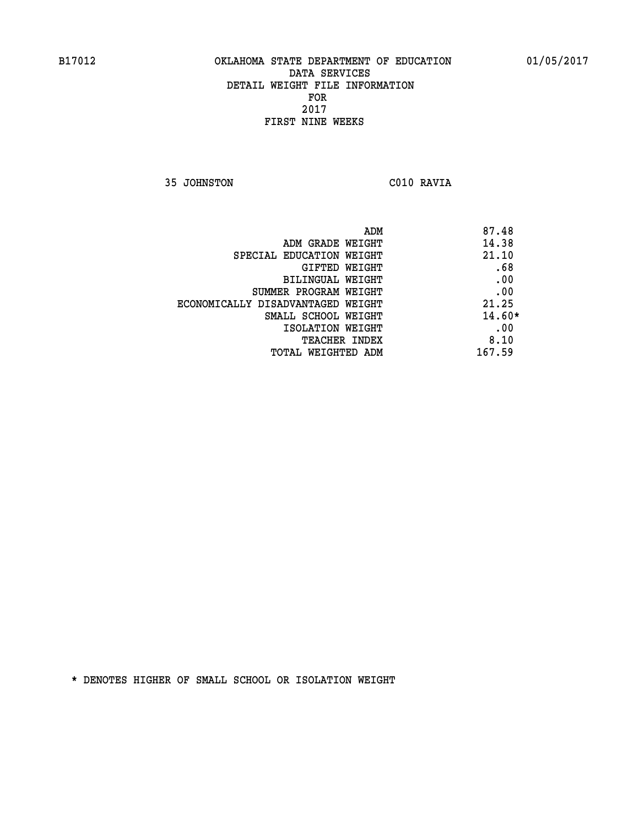**35 JOHNSTON C010 RAVIA** 

| ADM<br>87.48                               |          |
|--------------------------------------------|----------|
| 14.38<br>ADM GRADE WEIGHT                  |          |
| 21.10<br>SPECIAL EDUCATION WEIGHT          |          |
| GIFTED WEIGHT                              | .68      |
| <b>BILINGUAL WEIGHT</b>                    | .00      |
| SUMMER PROGRAM WEIGHT                      | .00      |
| 21.25<br>ECONOMICALLY DISADVANTAGED WEIGHT |          |
| SMALL SCHOOL WEIGHT                        | $14.60*$ |
| ISOLATION WEIGHT                           | .00      |
| <b>TEACHER INDEX</b>                       | 8.10     |
| 167.59<br>TOTAL WEIGHTED ADM               |          |
|                                            |          |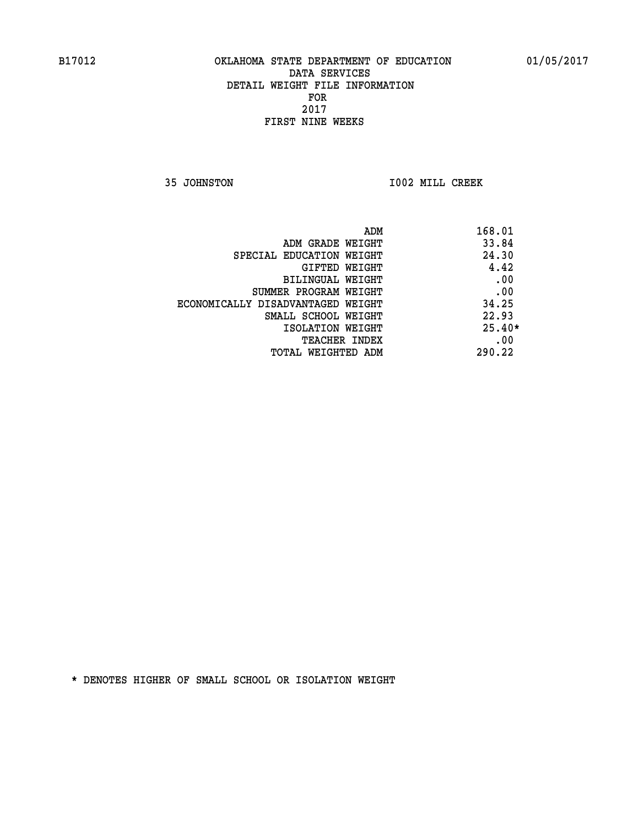**35 JOHNSTON I002 MILL CREEK** 

|                                   | 168.01<br>ADM |
|-----------------------------------|---------------|
| ADM GRADE WEIGHT                  | 33.84         |
| SPECIAL EDUCATION WEIGHT          | 24.30         |
| GIFTED WEIGHT                     | 4.42          |
| BILINGUAL WEIGHT                  | .00           |
| SUMMER PROGRAM WEIGHT             | .00           |
| ECONOMICALLY DISADVANTAGED WEIGHT | 34.25         |
| SMALL SCHOOL WEIGHT               | 22.93         |
| ISOLATION WEIGHT                  | $25.40*$      |
| <b>TEACHER INDEX</b>              | .00           |
| TOTAL WEIGHTED ADM                | 290.22        |
|                                   |               |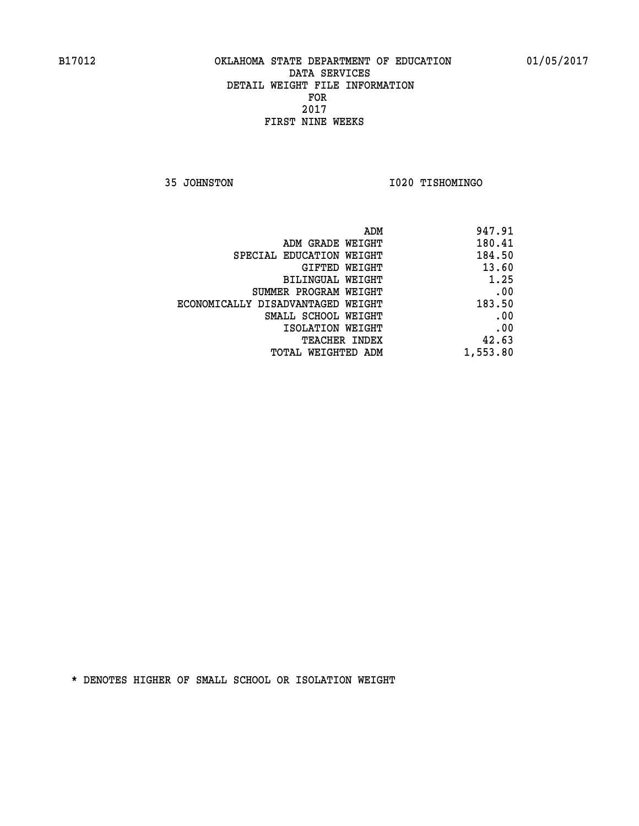**35 JOHNSTON I020 TISHOMINGO** 

| 947.91   |
|----------|
| 180.41   |
| 184.50   |
| 13.60    |
| 1.25     |
| .00      |
| 183.50   |
| .00      |
| .00      |
| 42.63    |
| 1,553.80 |
|          |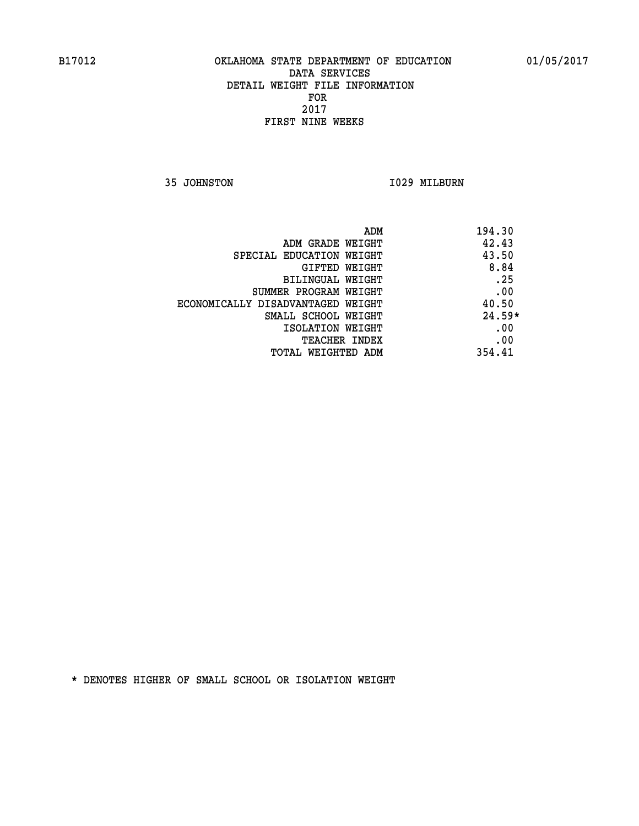**35 JOHNSTON I029 MILBURN** 

| ADM                               | 194.30   |
|-----------------------------------|----------|
| ADM GRADE WEIGHT                  | 42.43    |
| SPECIAL EDUCATION WEIGHT          | 43.50    |
| <b>GIFTED WEIGHT</b>              | 8.84     |
| BILINGUAL WEIGHT                  | .25      |
| SUMMER PROGRAM WEIGHT             | .00      |
| ECONOMICALLY DISADVANTAGED WEIGHT | 40.50    |
| SMALL SCHOOL WEIGHT               | $24.59*$ |
| ISOLATION WEIGHT                  | .00      |
| <b>TEACHER INDEX</b>              | .00      |
| TOTAL WEIGHTED ADM                | 354.41   |
|                                   |          |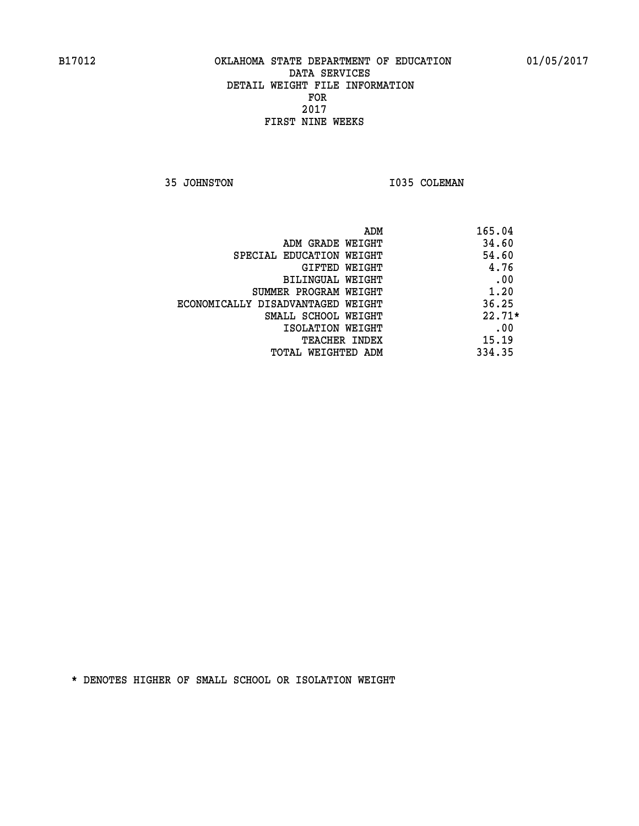**35 JOHNSTON 1035 COLEMAN** 

| ADM                               | 165.04   |
|-----------------------------------|----------|
| ADM GRADE WEIGHT                  | 34.60    |
| SPECIAL EDUCATION WEIGHT          | 54.60    |
| GIFTED WEIGHT                     | 4.76     |
| <b>BILINGUAL WEIGHT</b>           | .00      |
| SUMMER PROGRAM WEIGHT             | 1.20     |
| ECONOMICALLY DISADVANTAGED WEIGHT | 36.25    |
| SMALL SCHOOL WEIGHT               | $22.71*$ |
| ISOLATION WEIGHT                  | .00      |
| <b>TEACHER INDEX</b>              | 15.19    |
| TOTAL WEIGHTED ADM                | 334.35   |
|                                   |          |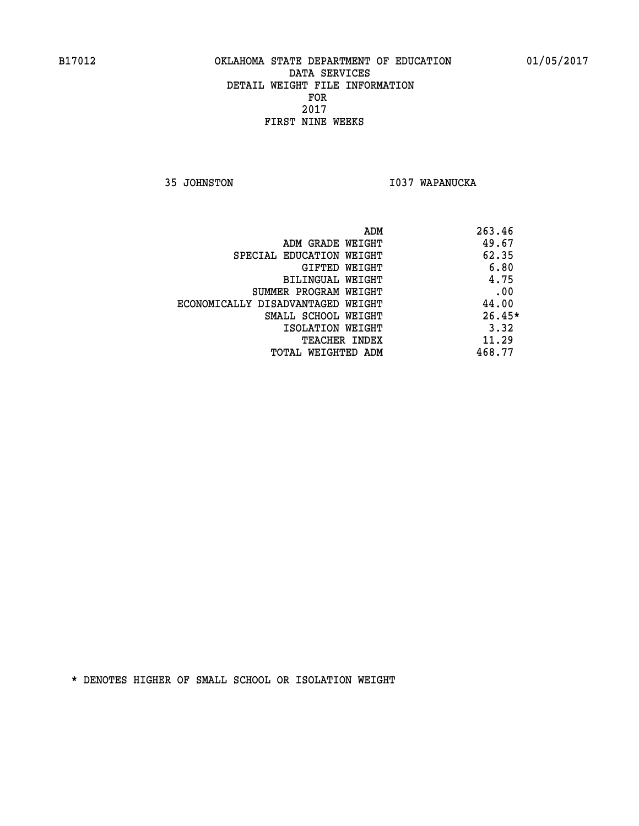**35 JOHNSTON I037 WAPANUCKA** 

| ADM                               | 263.46   |
|-----------------------------------|----------|
| ADM GRADE WEIGHT                  | 49.67    |
| SPECIAL EDUCATION WEIGHT          | 62.35    |
| GIFTED WEIGHT                     | 6.80     |
| BILINGUAL WEIGHT                  | 4.75     |
| SUMMER PROGRAM WEIGHT             | .00      |
| ECONOMICALLY DISADVANTAGED WEIGHT | 44.00    |
| SMALL SCHOOL WEIGHT               | $26.45*$ |
| ISOLATION WEIGHT                  | 3.32     |
| <b>TEACHER INDEX</b>              | 11.29    |
| TOTAL WEIGHTED ADM                | 468.77   |
|                                   |          |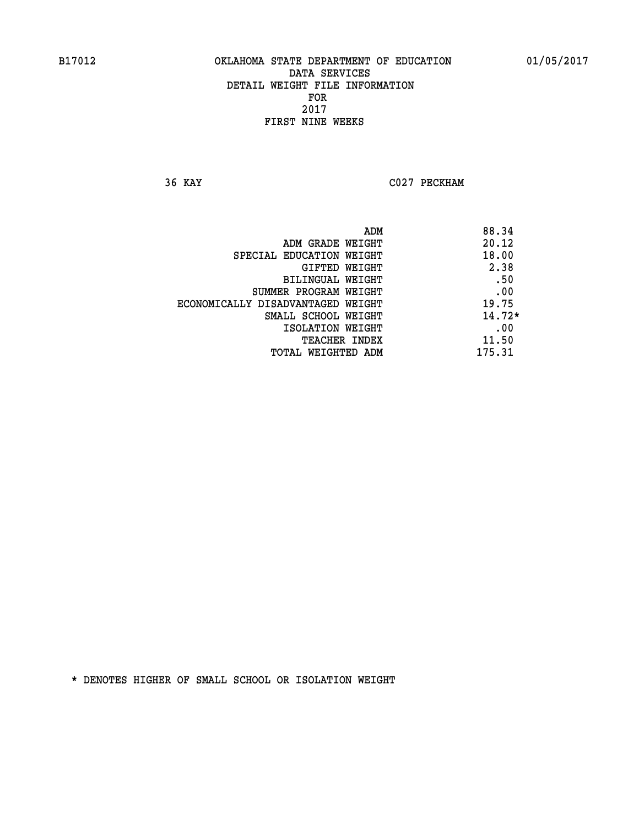**36 KAY C027 PECKHAM** 

|                                   | 88.34<br>ADM |
|-----------------------------------|--------------|
| ADM GRADE WEIGHT                  | 20.12        |
| SPECIAL EDUCATION WEIGHT          | 18.00        |
| GIFTED WEIGHT                     | 2.38         |
| BILINGUAL WEIGHT                  | .50          |
| SUMMER PROGRAM WEIGHT             | .00          |
| ECONOMICALLY DISADVANTAGED WEIGHT | 19.75        |
| SMALL SCHOOL WEIGHT               | $14.72*$     |
| ISOLATION WEIGHT                  | .00          |
| <b>TEACHER INDEX</b>              | 11.50        |
| TOTAL WEIGHTED ADM                | 175.31       |
|                                   |              |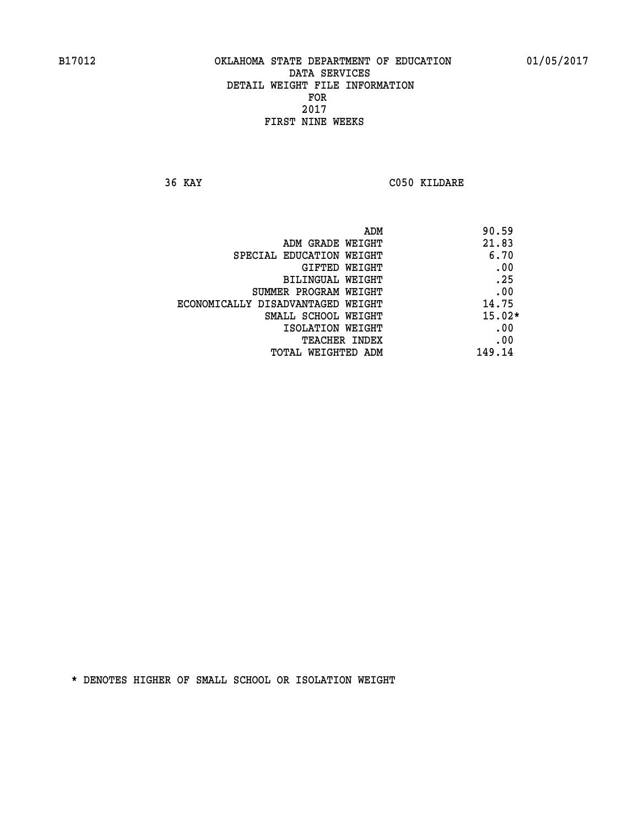**36 KAY C050 KILDARE** 

|                                   | ADM | 90.59    |
|-----------------------------------|-----|----------|
| ADM GRADE WEIGHT                  |     | 21.83    |
| SPECIAL EDUCATION WEIGHT          |     | 6.70     |
| GIFTED WEIGHT                     |     | .00      |
| BILINGUAL WEIGHT                  |     | .25      |
| SUMMER PROGRAM WEIGHT             |     | .00      |
| ECONOMICALLY DISADVANTAGED WEIGHT |     | 14.75    |
| SMALL SCHOOL WEIGHT               |     | $15.02*$ |
| ISOLATION WEIGHT                  |     | .00      |
| TEACHER INDEX                     |     | .00      |
| TOTAL WEIGHTED ADM                |     | 149.14   |
|                                   |     |          |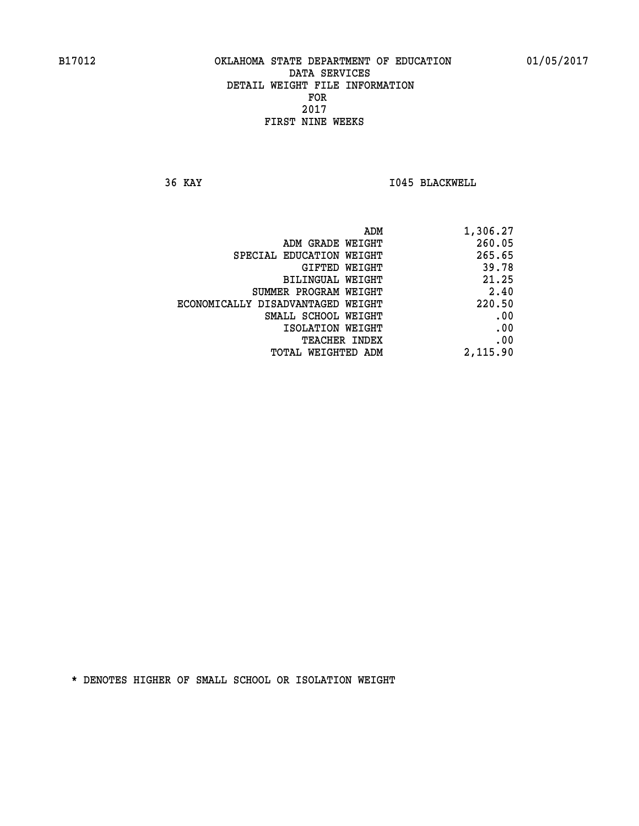**36 KAY I045 BLACKWELL** 

| 1,306.27 |
|----------|
| 260.05   |
| 265.65   |
| 39.78    |
| 21.25    |
| 2.40     |
| 220.50   |
| .00      |
| .00      |
| .00      |
| 2,115.90 |
|          |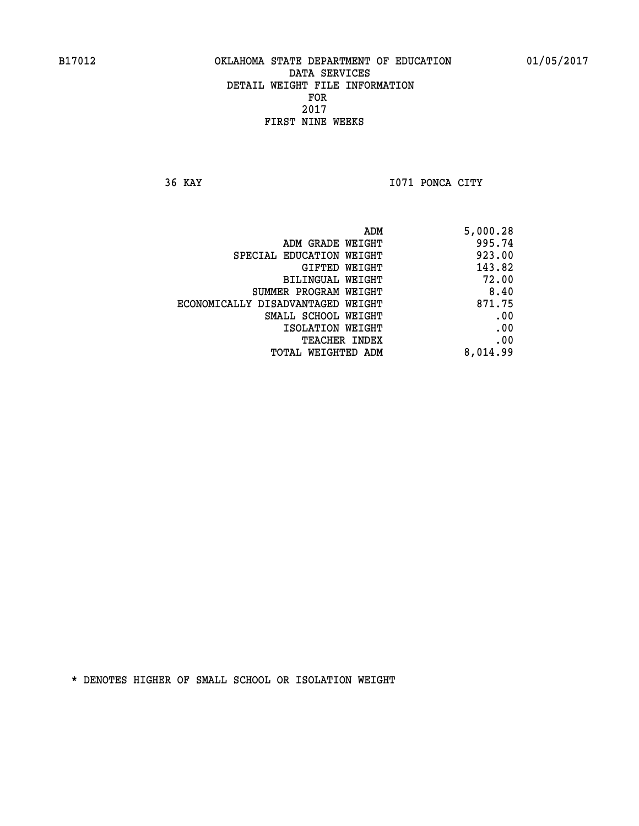**36 KAY I071 PONCA CITY** 

| 5,000.28 |
|----------|
| 995.74   |
| 923.00   |
| 143.82   |
| 72.00    |
| 8.40     |
| 871.75   |
| .00      |
| .00      |
| .00      |
| 8,014.99 |
|          |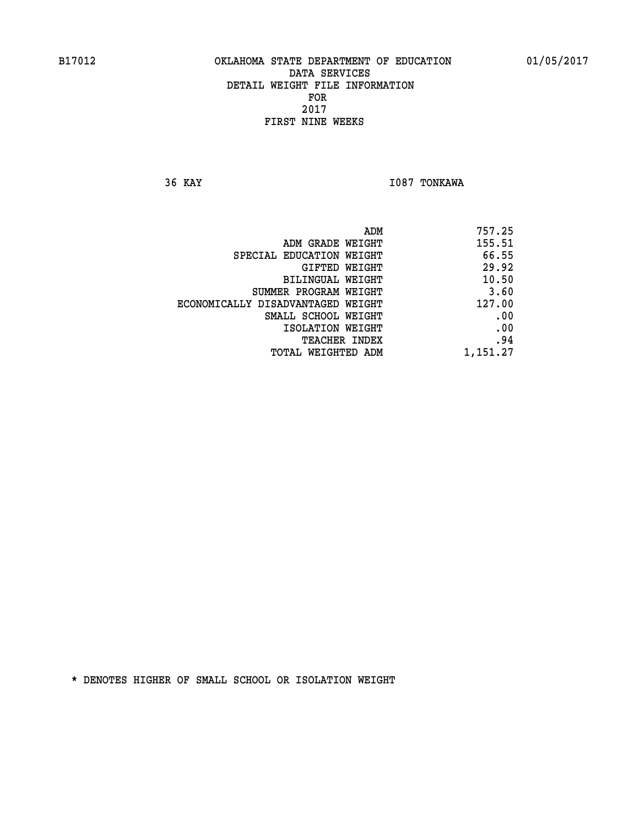**36 KAY I087 TONKAWA** 

| 757.25   |
|----------|
| 155.51   |
| 66.55    |
| 29.92    |
| 10.50    |
| 3.60     |
| 127.00   |
| .00      |
| .00      |
| .94      |
| 1,151.27 |
|          |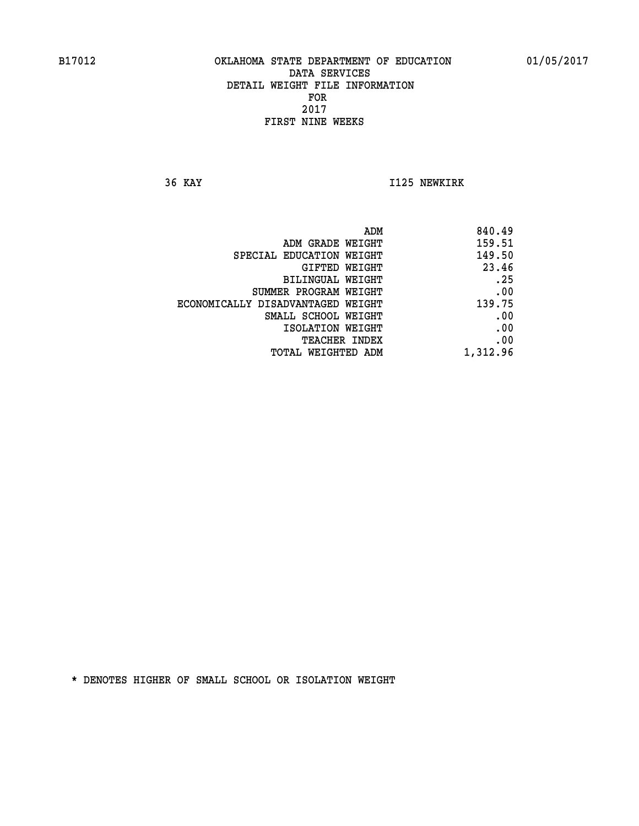**36 KAY I125 NEWKIRK** 

| 840.49   |
|----------|
| 159.51   |
| 149.50   |
| 23.46    |
| .25      |
| .00      |
| 139.75   |
| .00      |
| .00      |
| .00      |
| 1,312.96 |
|          |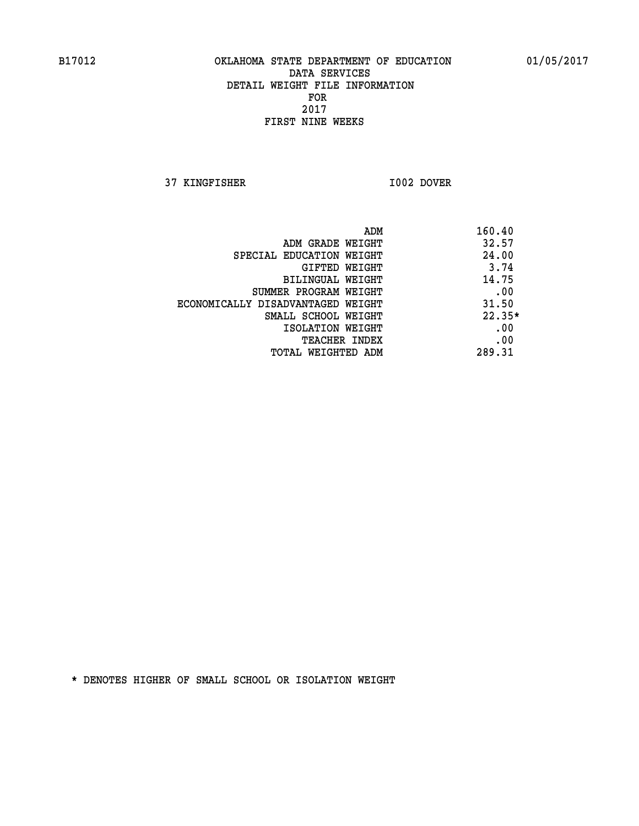**37 KINGFISHER I002 DOVER** 

 **ADM 160.40 ADM GRADE WEIGHT 32.57 SPECIAL EDUCATION WEIGHT 44.00 GIFTED WEIGHT** 3.74 **BILINGUAL WEIGHT 14.75 SUMMER PROGRAM WEIGHT .00 ECONOMICALLY DISADVANTAGED WEIGHT 31.50 SMALL SCHOOL WEIGHT 22.35\* EXECUTED ISOLATION WEIGHT AND RESOLATION WEIGHT TEACHER INDEX** .00  **TOTAL WEIGHTED ADM 289.31**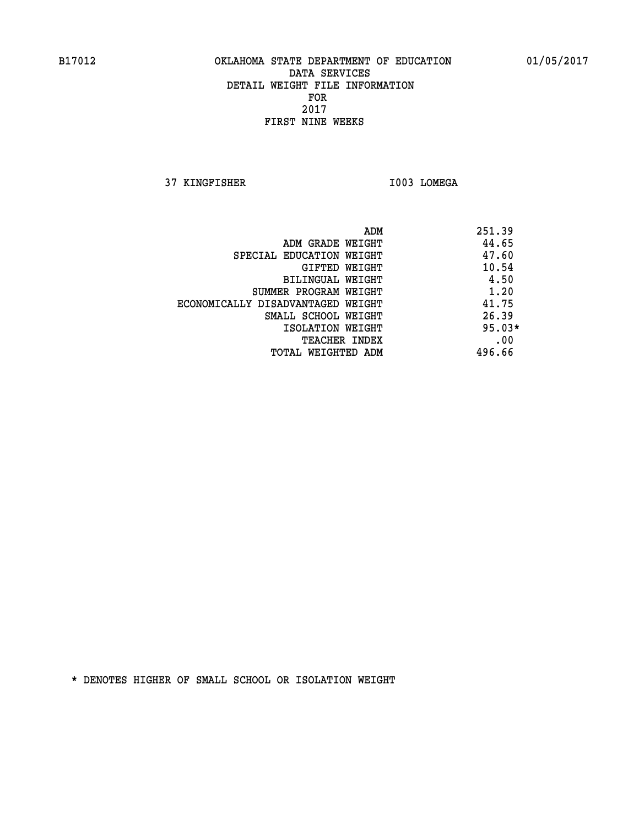**37 KINGFISHER I003 LOMEGA** 

|                                   | ADM | 251.39   |
|-----------------------------------|-----|----------|
| ADM GRADE WEIGHT                  |     | 44.65    |
| SPECIAL EDUCATION WEIGHT          |     | 47.60    |
| GIFTED WEIGHT                     |     | 10.54    |
| BILINGUAL WEIGHT                  |     | 4.50     |
| SUMMER PROGRAM WEIGHT             |     | 1.20     |
| ECONOMICALLY DISADVANTAGED WEIGHT |     | 41.75    |
| SMALL SCHOOL WEIGHT               |     | 26.39    |
| ISOLATION WEIGHT                  |     | $95.03*$ |
| TEACHER INDEX                     |     | .00      |
| TOTAL WEIGHTED ADM                |     | 496.66   |
|                                   |     |          |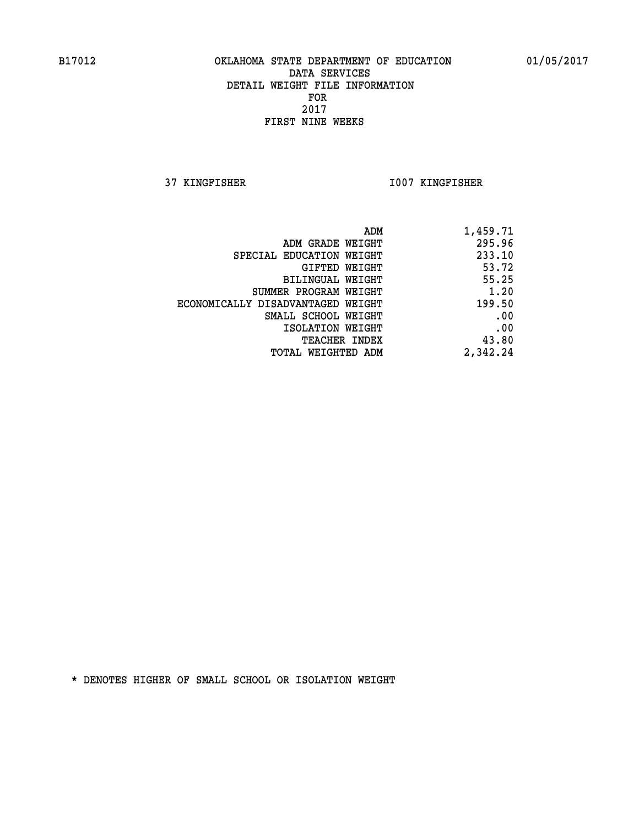**37 KINGFISHER I007 KINGFISHER** 

| 1,459.71 |
|----------|
| 295.96   |
| 233.10   |
| 53.72    |
| 55.25    |
| 1.20     |
| 199.50   |
| .00      |
| .00      |
| 43.80    |
| 2,342.24 |
|          |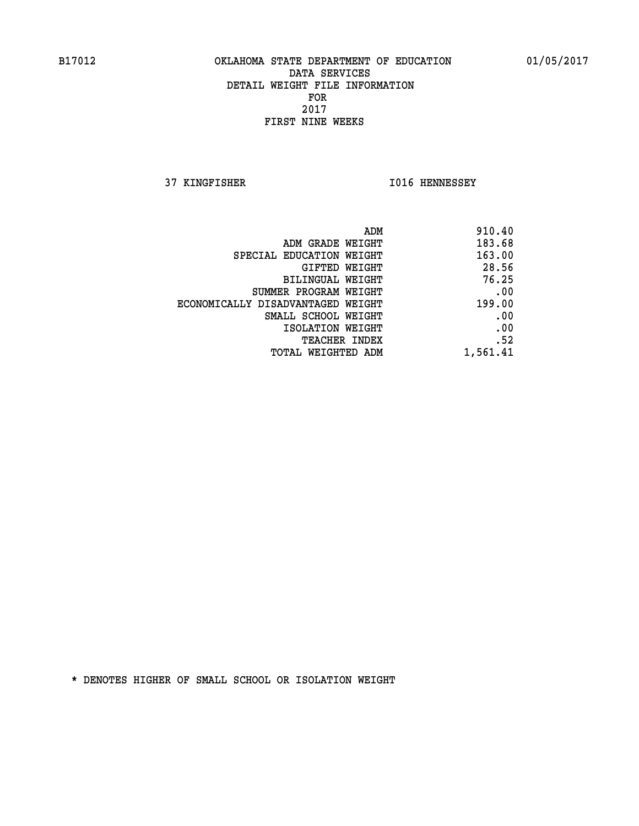**37 KINGFISHER I016 HENNESSEY** 

| 910.40   |
|----------|
| 183.68   |
| 163.00   |
| 28.56    |
| 76.25    |
| .00      |
| 199.00   |
| .00      |
| .00      |
| .52      |
| 1,561.41 |
|          |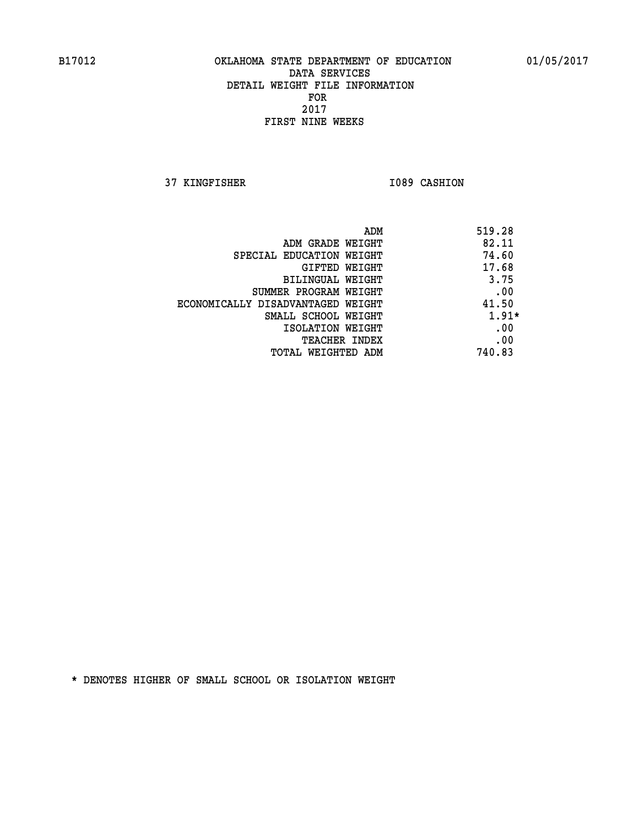**37 KINGFISHER I089 CASHION** 

| ADM                               | 519.28  |
|-----------------------------------|---------|
| ADM GRADE WEIGHT                  | 82.11   |
| SPECIAL EDUCATION WEIGHT          | 74.60   |
| GIFTED WEIGHT                     | 17.68   |
| BILINGUAL WEIGHT                  | 3.75    |
| SUMMER PROGRAM WEIGHT             | .00     |
| ECONOMICALLY DISADVANTAGED WEIGHT | 41.50   |
| SMALL SCHOOL WEIGHT               | $1.91*$ |
| ISOLATION WEIGHT                  | .00     |
| <b>TEACHER INDEX</b>              | .00     |
| TOTAL WEIGHTED ADM                | 740.83  |
|                                   |         |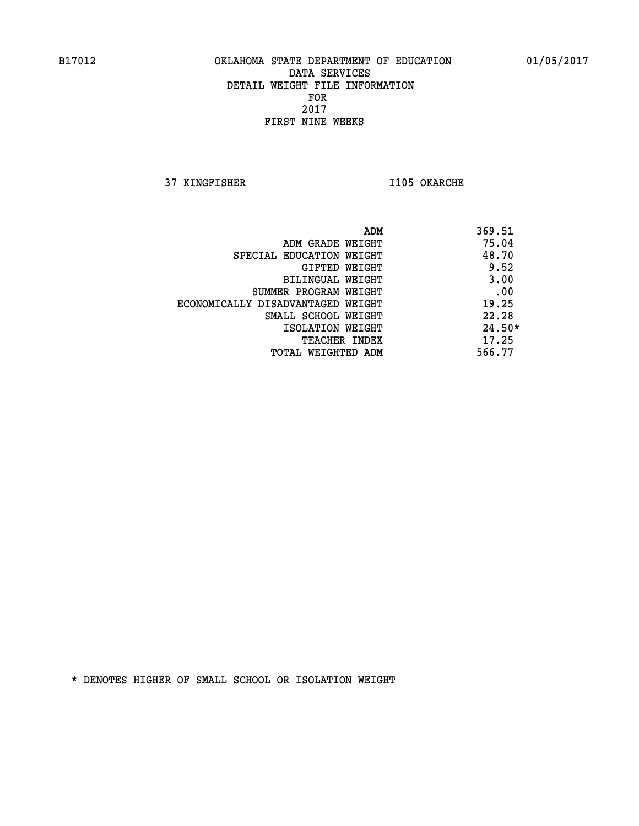**37 KINGFISHER I105 OKARCHE** 

| 369.51<br>ADM                              |          |
|--------------------------------------------|----------|
| 75.04<br>ADM GRADE WEIGHT                  |          |
| 48.70<br>SPECIAL EDUCATION WEIGHT          |          |
| 9.52<br>GIFTED WEIGHT                      |          |
| 3.00<br>BILINGUAL WEIGHT                   |          |
| .00<br>SUMMER PROGRAM WEIGHT               |          |
| 19.25<br>ECONOMICALLY DISADVANTAGED WEIGHT |          |
| 22.28<br>SMALL SCHOOL WEIGHT               |          |
| ISOLATION WEIGHT                           | $24.50*$ |
| 17.25<br>TEACHER INDEX                     |          |
| 566.77<br>TOTAL WEIGHTED ADM               |          |
|                                            |          |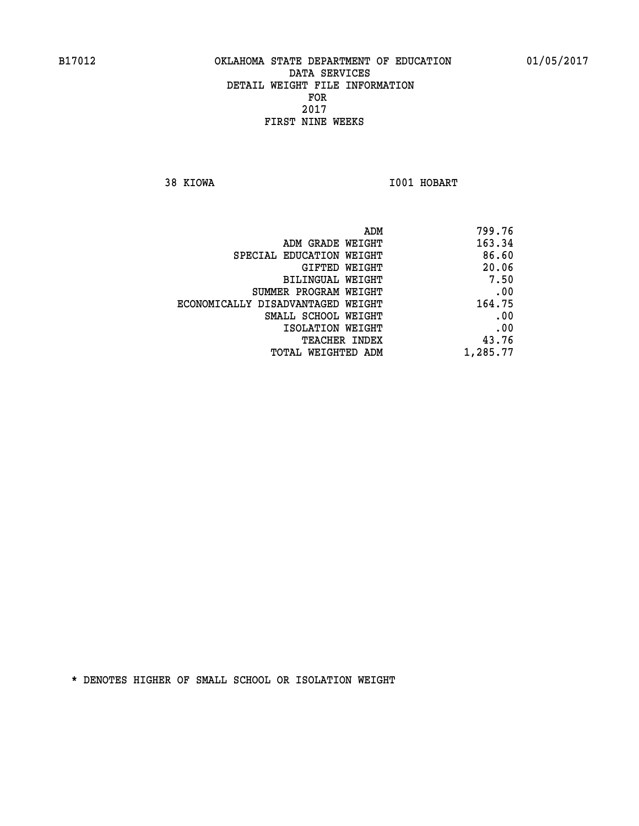**38 KIOWA I001 HOBART** 

| 799.76   |
|----------|
| 163.34   |
| 86.60    |
| 20.06    |
| 7.50     |
| .00      |
| 164.75   |
| .00      |
| .00      |
| 43.76    |
| 1,285.77 |
|          |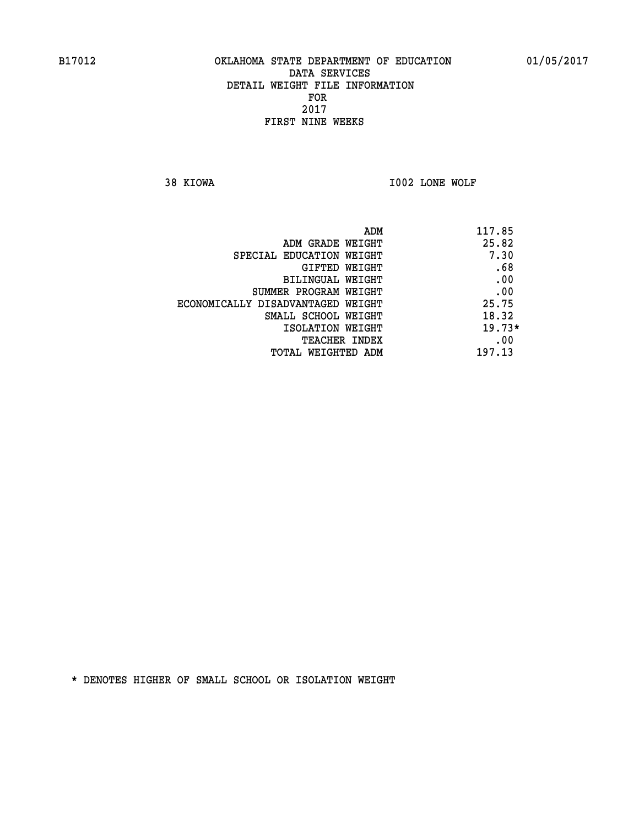**38 KIOWA I002 LONE WOLF** 

| ADM                               | 117.85   |
|-----------------------------------|----------|
| ADM GRADE WEIGHT                  | 25.82    |
| SPECIAL EDUCATION WEIGHT          | 7.30     |
| GIFTED WEIGHT                     | .68      |
| BILINGUAL WEIGHT                  | .00      |
| SUMMER PROGRAM WEIGHT             | .00      |
| ECONOMICALLY DISADVANTAGED WEIGHT | 25.75    |
| SMALL SCHOOL WEIGHT               | 18.32    |
| ISOLATION WEIGHT                  | $19.73*$ |
| <b>TEACHER INDEX</b>              | .00      |
| TOTAL WEIGHTED ADM                | 197.13   |
|                                   |          |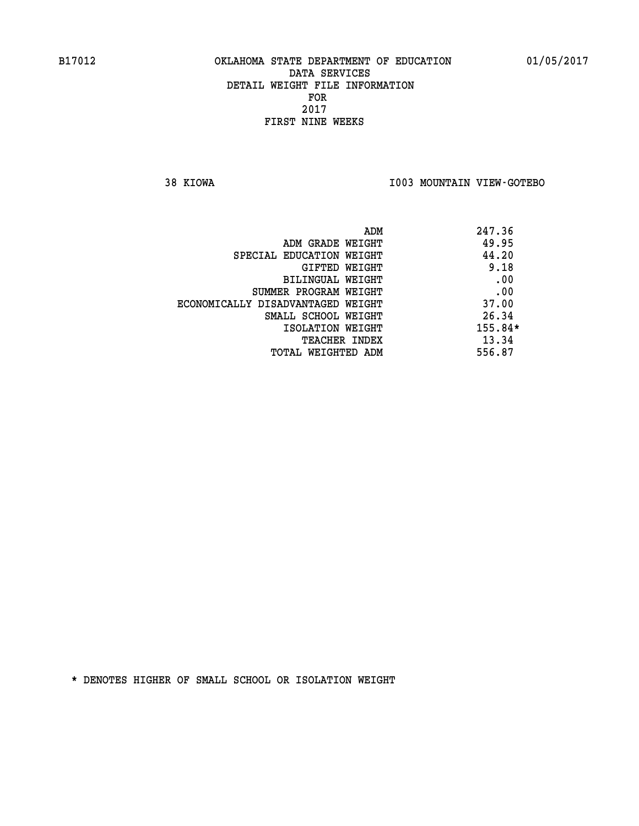**38 KIOWA I003 MOUNTAIN VIEW-GOTEBO** 

|                                   | ADM | 247.36    |
|-----------------------------------|-----|-----------|
| ADM GRADE WEIGHT                  |     | 49.95     |
| SPECIAL EDUCATION WEIGHT          |     | 44.20     |
| GIFTED WEIGHT                     |     | 9.18      |
| BILINGUAL WEIGHT                  |     | .00       |
| SUMMER PROGRAM WEIGHT             |     | .00       |
| ECONOMICALLY DISADVANTAGED WEIGHT |     | 37.00     |
| SMALL SCHOOL WEIGHT               |     | 26.34     |
| ISOLATION WEIGHT                  |     | $155.84*$ |
| <b>TEACHER INDEX</b>              |     | 13.34     |
| TOTAL WEIGHTED ADM                |     | 556.87    |
|                                   |     |           |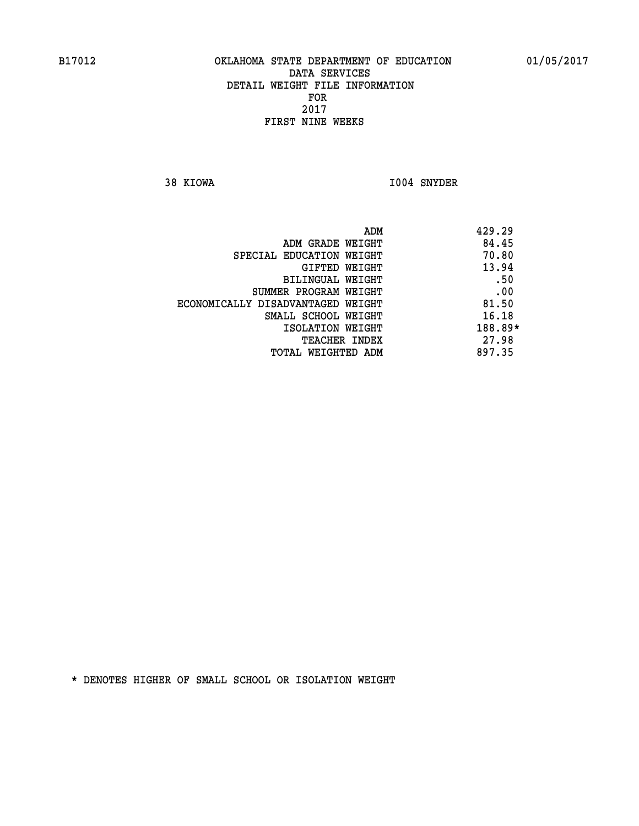**38 KIOWA I004 SNYDER** 

| 429.29  |
|---------|
| 84.45   |
| 70.80   |
| 13.94   |
| .50     |
| .00     |
| 81.50   |
| 16.18   |
| 188.89* |
| 27.98   |
| 897.35  |
|         |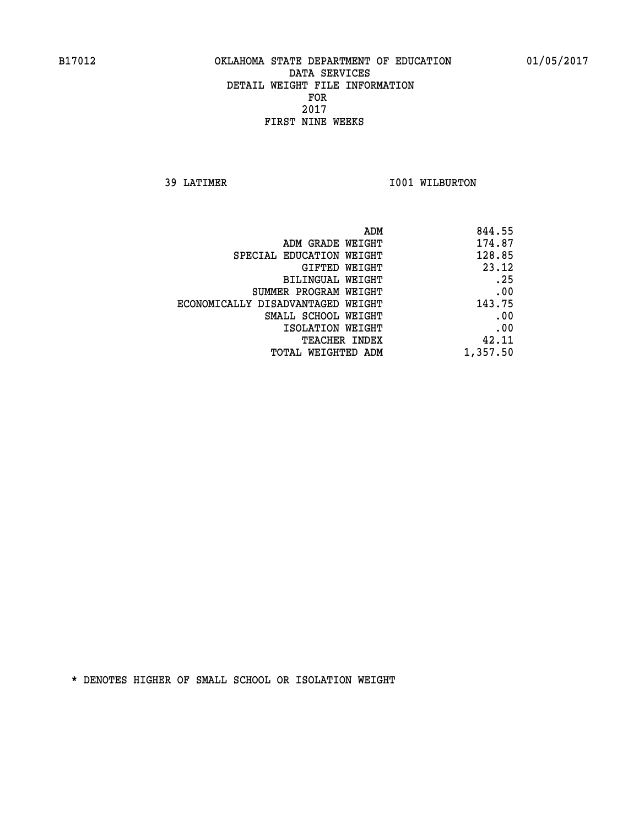**39 LATIMER 1001 WILBURTON** 

| 844.55   |
|----------|
| 174.87   |
| 128.85   |
| 23.12    |
| .25      |
| .00      |
| 143.75   |
| .00      |
| .00      |
| 42.11    |
| 1,357.50 |
|          |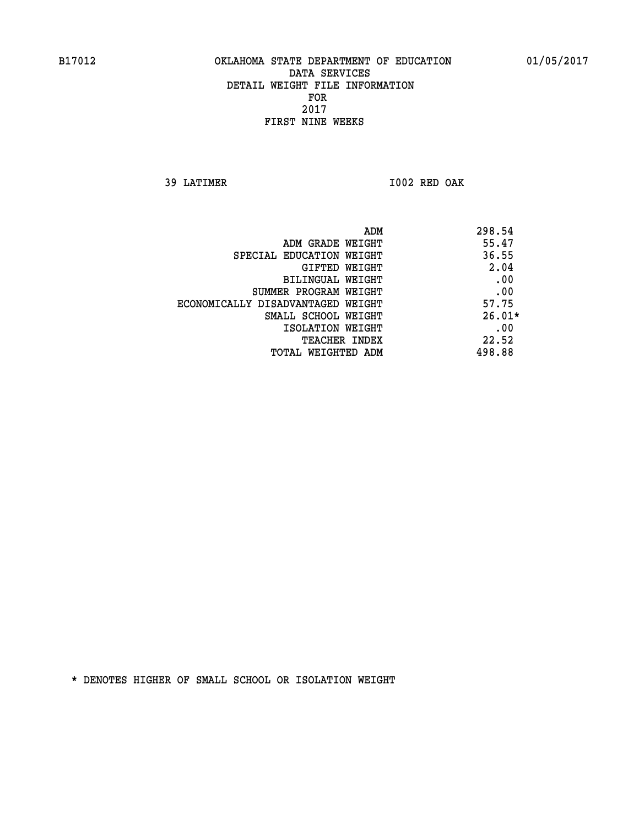**39 LATIMER I002 RED OAK** 

| ADM                               | 298.54   |
|-----------------------------------|----------|
| ADM GRADE WEIGHT                  | 55.47    |
| SPECIAL EDUCATION WEIGHT          | 36.55    |
| GIFTED WEIGHT                     | 2.04     |
| BILINGUAL WEIGHT                  | .00      |
| SUMMER PROGRAM WEIGHT             | .00      |
| ECONOMICALLY DISADVANTAGED WEIGHT | 57.75    |
| SMALL SCHOOL WEIGHT               | $26.01*$ |
| ISOLATION WEIGHT                  | .00      |
| <b>TEACHER INDEX</b>              | 22.52    |
| TOTAL WEIGHTED ADM                | 498.88   |
|                                   |          |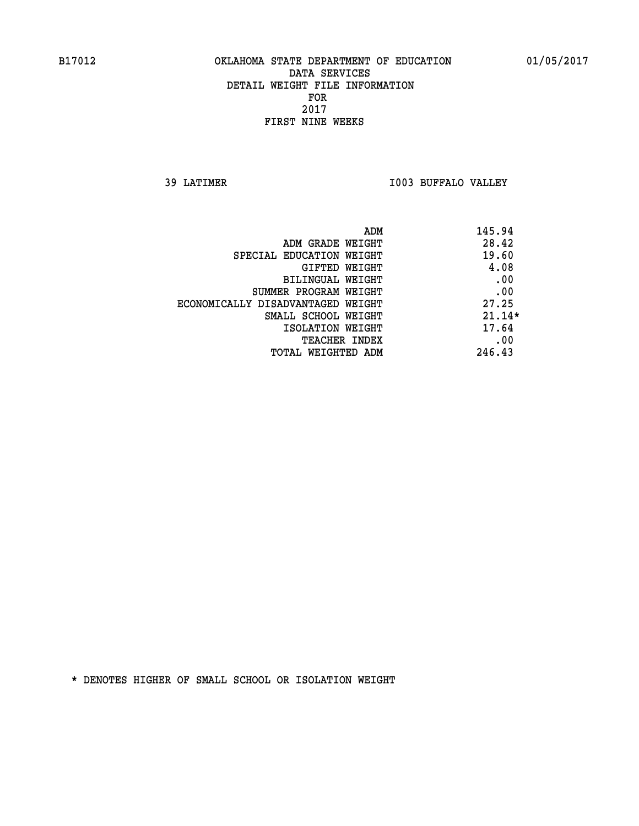**39 LATIMER I003 BUFFALO VALLEY** 

| ADM                               | 145.94   |
|-----------------------------------|----------|
| ADM GRADE WEIGHT                  | 28.42    |
| SPECIAL EDUCATION WEIGHT          | 19.60    |
| <b>GIFTED WEIGHT</b>              | 4.08     |
| BILINGUAL WEIGHT                  | .00      |
| SUMMER PROGRAM WEIGHT             | .00      |
| ECONOMICALLY DISADVANTAGED WEIGHT | 27.25    |
| SMALL SCHOOL WEIGHT               | $21.14*$ |
| ISOLATION WEIGHT                  | 17.64    |
| <b>TEACHER INDEX</b>              | .00      |
| TOTAL WEIGHTED ADM                | 246.43   |
|                                   |          |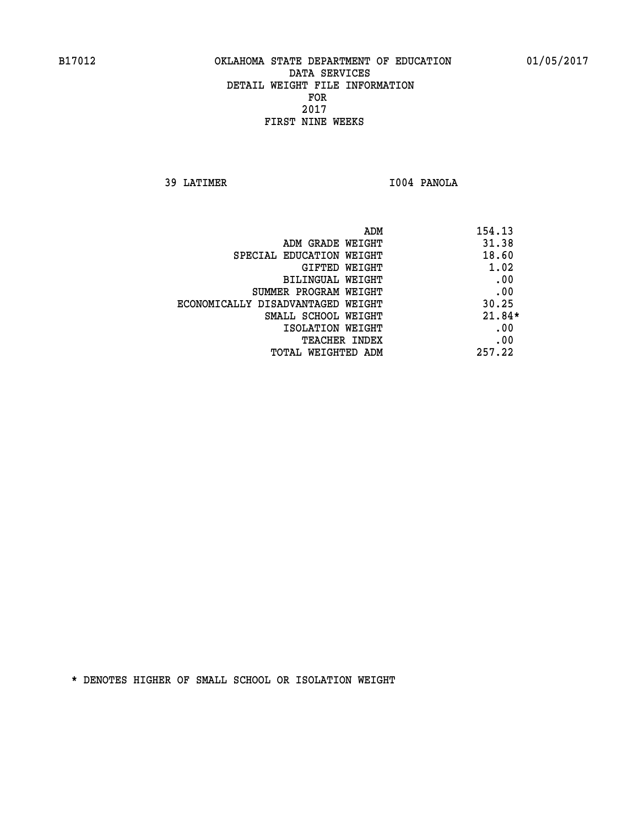**39 LATIMER I004 PANOLA** 

| ADM                               | 154.13   |
|-----------------------------------|----------|
| ADM GRADE WEIGHT                  | 31.38    |
| SPECIAL EDUCATION WEIGHT          | 18.60    |
| GIFTED WEIGHT                     | 1.02     |
| BILINGUAL WEIGHT                  | .00      |
| SUMMER PROGRAM WEIGHT             | .00      |
| ECONOMICALLY DISADVANTAGED WEIGHT | 30.25    |
| SMALL SCHOOL WEIGHT               | $21.84*$ |
| ISOLATION WEIGHT                  | .00      |
| <b>TEACHER INDEX</b>              | .00      |
| TOTAL WEIGHTED ADM                | 257.22   |
|                                   |          |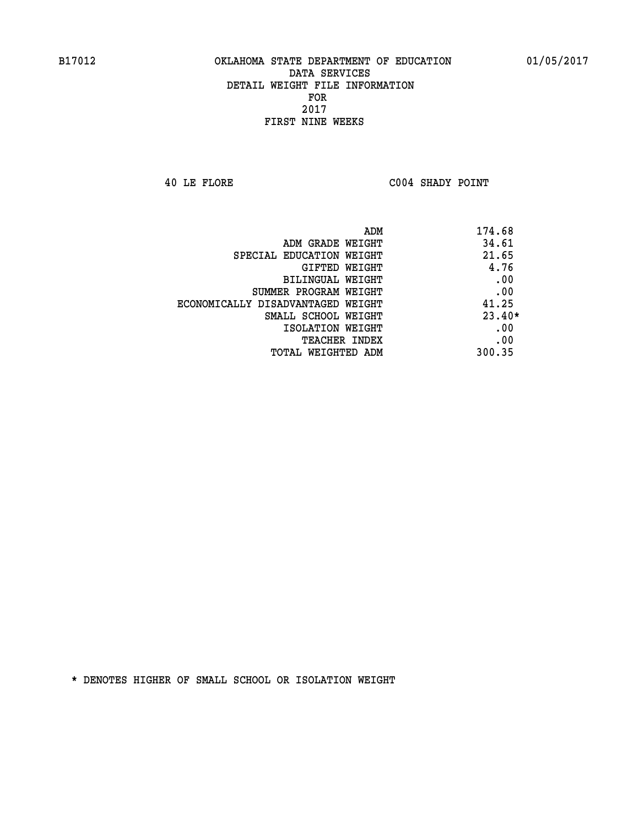**40 LE FLORE C004 SHADY POINT** 

| ADM                               | 174.68   |
|-----------------------------------|----------|
| ADM GRADE WEIGHT                  | 34.61    |
| SPECIAL EDUCATION WEIGHT          | 21.65    |
| GIFTED WEIGHT                     | 4.76     |
| BILINGUAL WEIGHT                  | .00      |
| SUMMER PROGRAM WEIGHT             | .00      |
| ECONOMICALLY DISADVANTAGED WEIGHT | 41.25    |
| SMALL SCHOOL WEIGHT               | $23.40*$ |
| ISOLATION WEIGHT                  | .00      |
| <b>TEACHER INDEX</b>              | .00      |
| TOTAL WEIGHTED ADM                | 300.35   |
|                                   |          |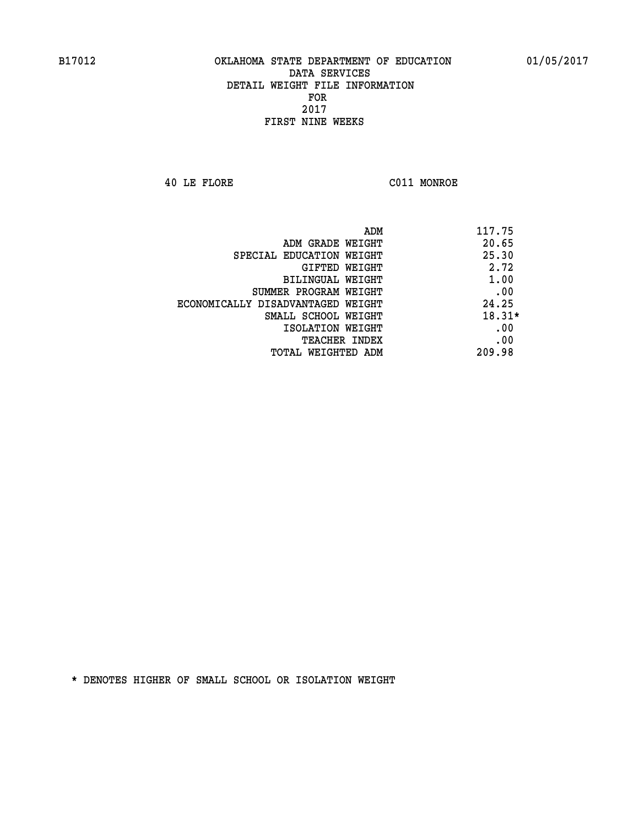**40 LE FLORE C011 MONROE** 

| ADM                               | 117.75   |
|-----------------------------------|----------|
| ADM GRADE WEIGHT                  | 20.65    |
| SPECIAL EDUCATION WEIGHT          | 25.30    |
| <b>GIFTED WEIGHT</b>              | 2.72     |
| BILINGUAL WEIGHT                  | 1.00     |
| SUMMER PROGRAM WEIGHT             | .00      |
| ECONOMICALLY DISADVANTAGED WEIGHT | 24.25    |
| SMALL SCHOOL WEIGHT               | $18.31*$ |
| ISOLATION WEIGHT                  | .00      |
| <b>TEACHER INDEX</b>              | .00      |
| TOTAL WEIGHTED ADM                | 209.98   |
|                                   |          |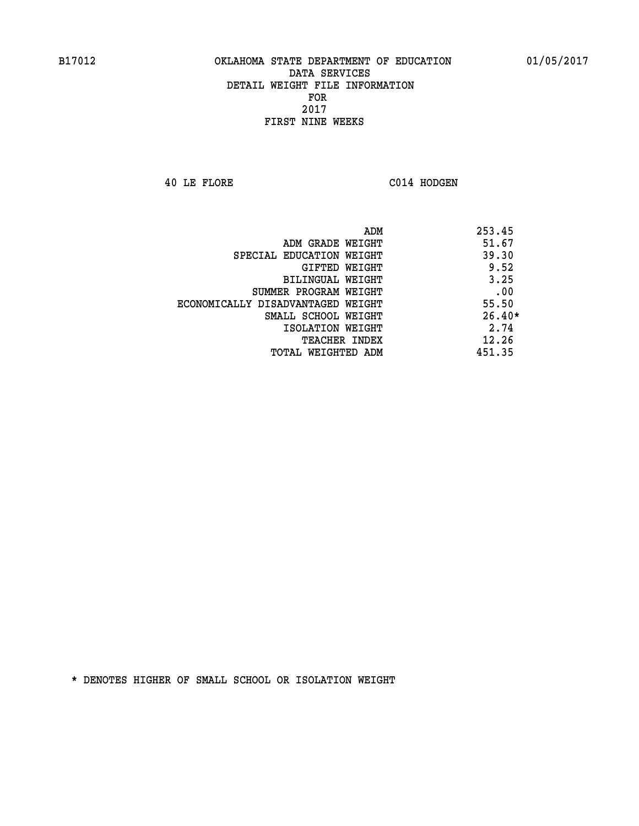**40 LE FLORE C014 HODGEN** 

|                                   | ADM<br>253.45 |
|-----------------------------------|---------------|
| ADM GRADE WEIGHT                  | 51.67         |
| SPECIAL EDUCATION WEIGHT          | 39.30         |
| GIFTED WEIGHT                     | 9.52          |
| BILINGUAL WEIGHT                  | 3.25          |
| SUMMER PROGRAM WEIGHT             | .00           |
| ECONOMICALLY DISADVANTAGED WEIGHT | 55.50         |
| SMALL SCHOOL WEIGHT               | $26.40*$      |
| ISOLATION WEIGHT                  | 2.74          |
| <b>TEACHER INDEX</b>              | 12.26         |
| TOTAL WEIGHTED ADM                | 451.35        |
|                                   |               |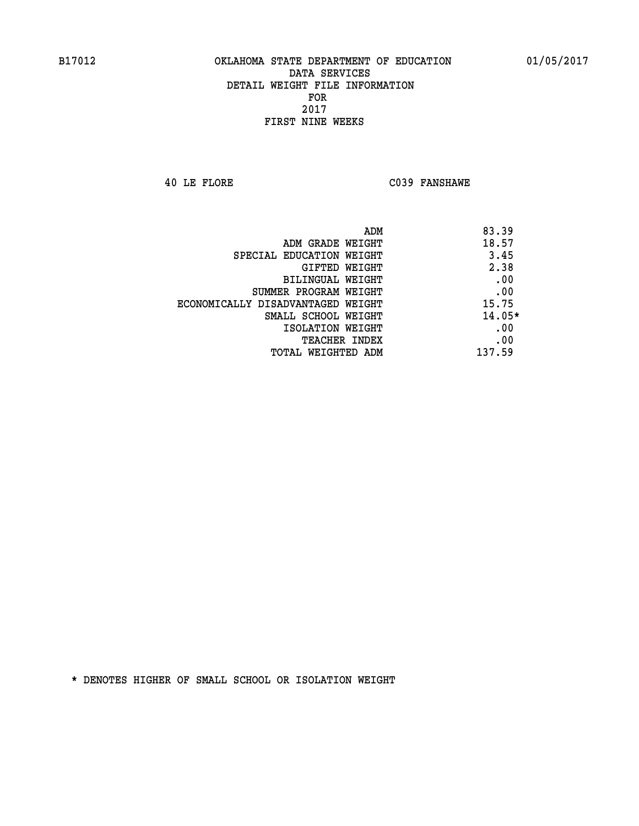**40 LE FLORE C039 FANSHAWE** 

|                                   | ADM<br>83.39 |
|-----------------------------------|--------------|
| ADM GRADE WEIGHT                  | 18.57        |
| SPECIAL EDUCATION WEIGHT          | 3.45         |
| GIFTED WEIGHT                     | 2.38         |
| BILINGUAL WEIGHT                  | .00          |
| SUMMER PROGRAM WEIGHT             | .00          |
| ECONOMICALLY DISADVANTAGED WEIGHT | 15.75        |
| SMALL SCHOOL WEIGHT               | $14.05*$     |
| ISOLATION WEIGHT                  | .00          |
| <b>TEACHER INDEX</b>              | .00          |
| TOTAL WEIGHTED ADM                | 137.59       |
|                                   |              |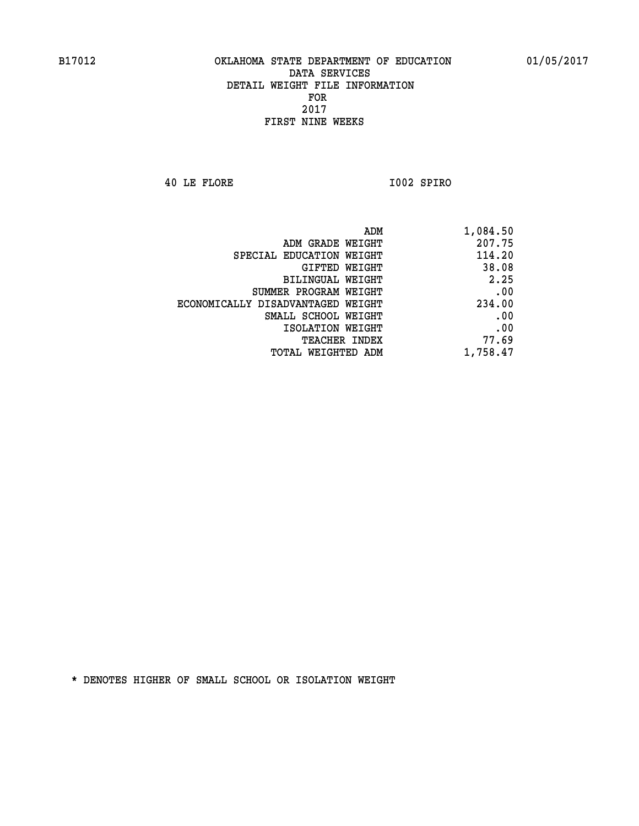**40 LE FLORE I002 SPIRO** 

| 1,084.50 | ADM                               |
|----------|-----------------------------------|
| 207.75   | ADM GRADE WEIGHT                  |
| 114.20   | SPECIAL EDUCATION WEIGHT          |
| 38.08    | GIFTED WEIGHT                     |
| 2.25     | BILINGUAL WEIGHT                  |
| .00      | SUMMER PROGRAM WEIGHT             |
| 234.00   | ECONOMICALLY DISADVANTAGED WEIGHT |
| .00      | SMALL SCHOOL WEIGHT               |
| .00      | ISOLATION WEIGHT                  |
| 77.69    | <b>TEACHER INDEX</b>              |
| 1,758.47 | <b>TOTAL WEIGHTED ADM</b>         |
|          |                                   |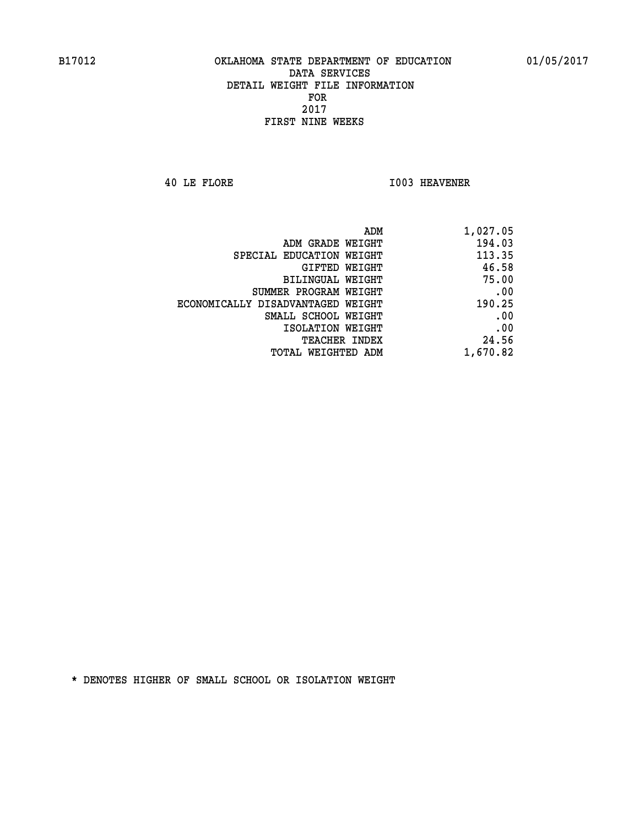**40 LE FLORE I003 HEAVENER** 

| ADM                               | 1,027.05 |
|-----------------------------------|----------|
| ADM GRADE WEIGHT                  | 194.03   |
| SPECIAL EDUCATION WEIGHT          | 113.35   |
| GIFTED WEIGHT                     | 46.58    |
| <b>BILINGUAL WEIGHT</b>           | 75.00    |
| SUMMER PROGRAM WEIGHT             | .00      |
| ECONOMICALLY DISADVANTAGED WEIGHT | 190.25   |
| SMALL SCHOOL WEIGHT               | .00      |
| ISOLATION WEIGHT                  | .00      |
| TEACHER INDEX                     | 24.56    |
| TOTAL WEIGHTED ADM                | 1,670.82 |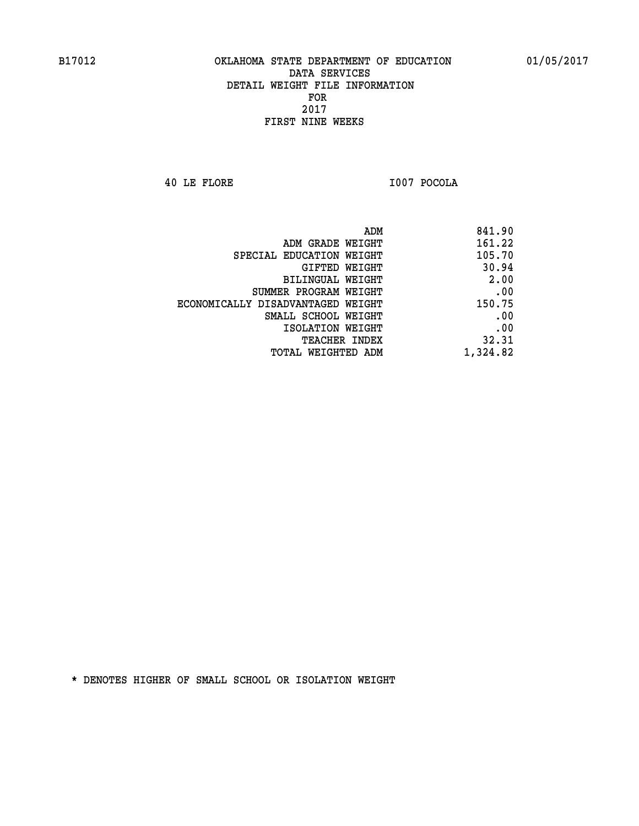**40 LE FLORE I007 POCOLA** 

| 841.90   |
|----------|
| 161.22   |
| 105.70   |
| 30.94    |
| 2.00     |
| .00      |
| 150.75   |
| .00      |
| .00      |
| 32.31    |
| 1,324.82 |
|          |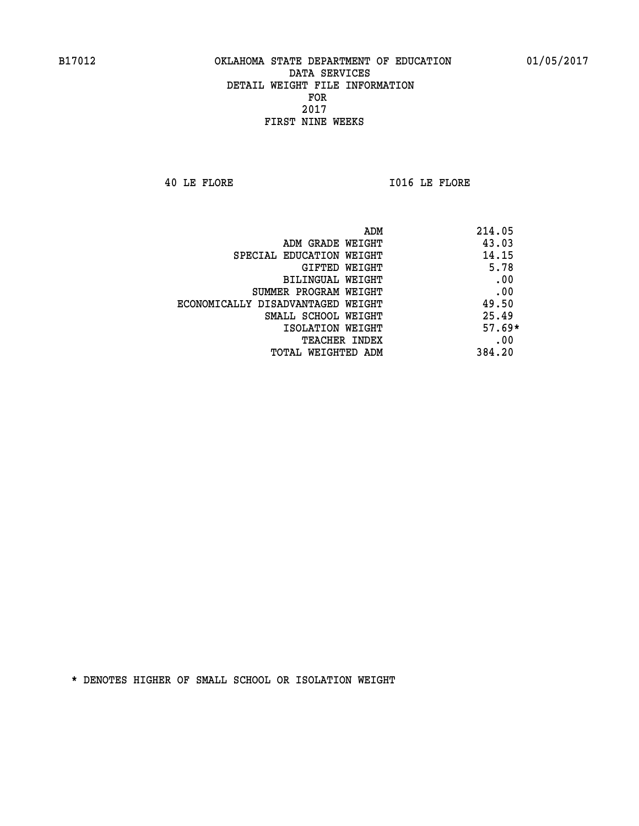**40 LE FLORE I016 LE FLORE** 

| ADM                               | 214.05   |
|-----------------------------------|----------|
| ADM GRADE WEIGHT                  | 43.03    |
| SPECIAL EDUCATION WEIGHT          | 14.15    |
| GIFTED WEIGHT                     | 5.78     |
| BILINGUAL WEIGHT                  | .00      |
| SUMMER PROGRAM WEIGHT             | .00      |
| ECONOMICALLY DISADVANTAGED WEIGHT | 49.50    |
| SMALL SCHOOL WEIGHT               | 25.49    |
| ISOLATION WEIGHT                  | $57.69*$ |
| <b>TEACHER INDEX</b>              | .00      |
| TOTAL WEIGHTED ADM                | 384.20   |
|                                   |          |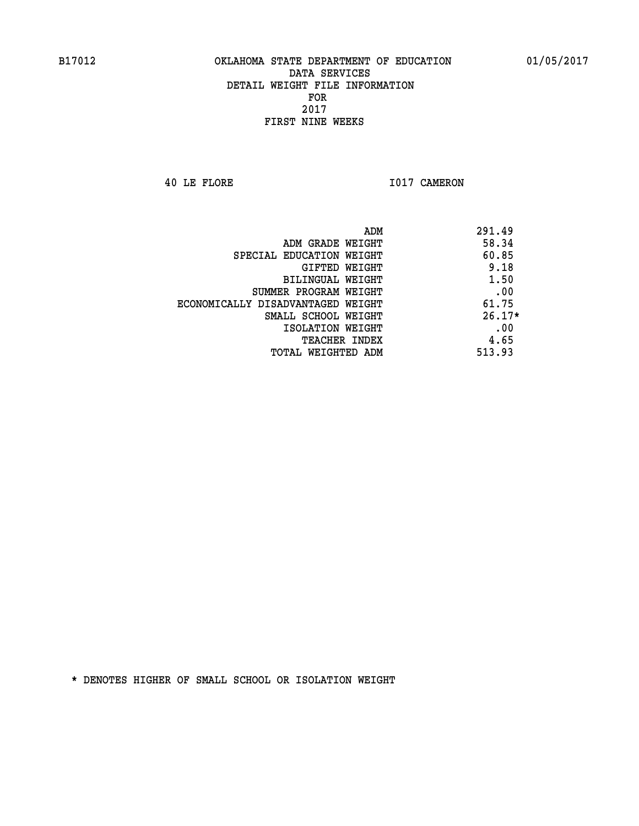**40 LE FLORE 1017 CAMERON** 

| ADM                               | 291.49   |
|-----------------------------------|----------|
| ADM GRADE WEIGHT                  | 58.34    |
| SPECIAL EDUCATION WEIGHT          | 60.85    |
| GIFTED WEIGHT                     | 9.18     |
| BILINGUAL WEIGHT                  | 1.50     |
| SUMMER PROGRAM WEIGHT             | .00      |
| ECONOMICALLY DISADVANTAGED WEIGHT | 61.75    |
| SMALL SCHOOL WEIGHT               | $26.17*$ |
| ISOLATION WEIGHT                  | .00      |
| <b>TEACHER INDEX</b>              | 4.65     |
| TOTAL WEIGHTED ADM                | 513.93   |
|                                   |          |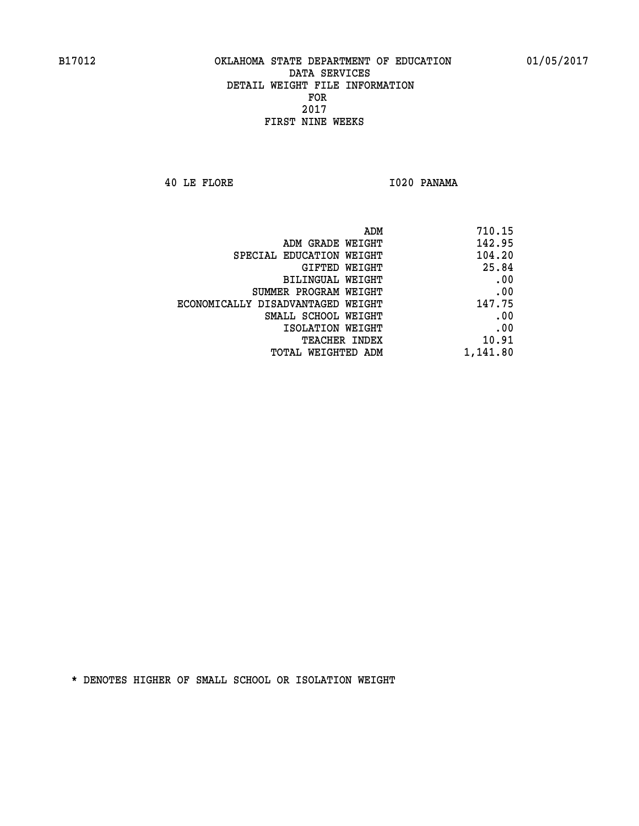**40 LE FLORE I020 PANAMA** 

| 710.15   |
|----------|
| 142.95   |
| 104.20   |
| 25.84    |
| .00      |
| .00      |
| 147.75   |
| .00      |
| .00      |
| 10.91    |
| 1,141.80 |
|          |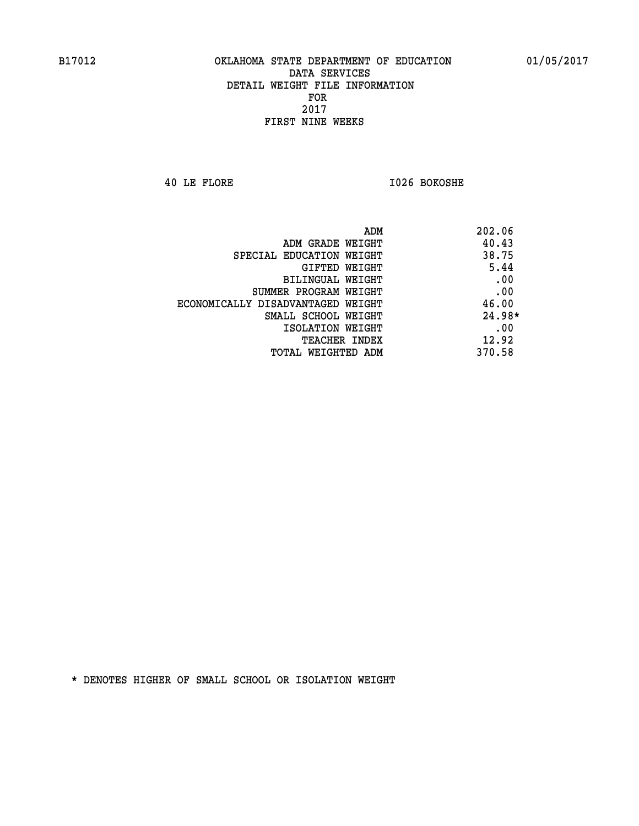**40 LE FLORE I026 BOKOSHE** 

| ADM<br>202.06                              |  |
|--------------------------------------------|--|
| 40.43<br>ADM GRADE WEIGHT                  |  |
| 38.75<br>SPECIAL EDUCATION WEIGHT          |  |
| 5.44<br>GIFTED WEIGHT                      |  |
| .00<br>BILINGUAL WEIGHT                    |  |
| .00<br>SUMMER PROGRAM WEIGHT               |  |
| 46.00<br>ECONOMICALLY DISADVANTAGED WEIGHT |  |
| $24.98*$<br>SMALL SCHOOL WEIGHT            |  |
| .00<br>ISOLATION WEIGHT                    |  |
| 12.92<br><b>TEACHER INDEX</b>              |  |
| 370.58<br>TOTAL WEIGHTED ADM               |  |
|                                            |  |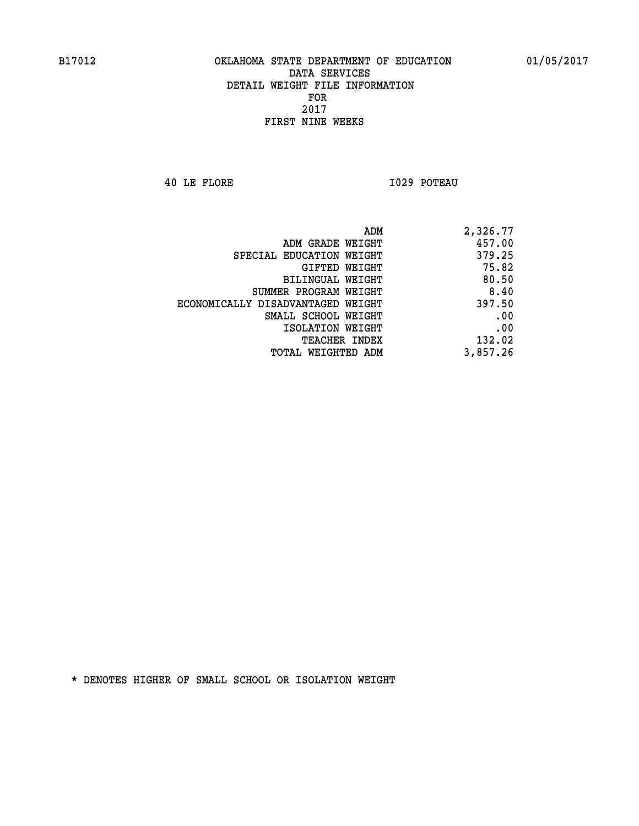**40 LE FLORE I029 POTEAU** 

| 2,326.77 |
|----------|
| 457.00   |
| 379.25   |
| 75.82    |
| 80.50    |
| 8.40     |
| 397.50   |
| .00      |
| .00      |
| 132.02   |
| 3,857.26 |
|          |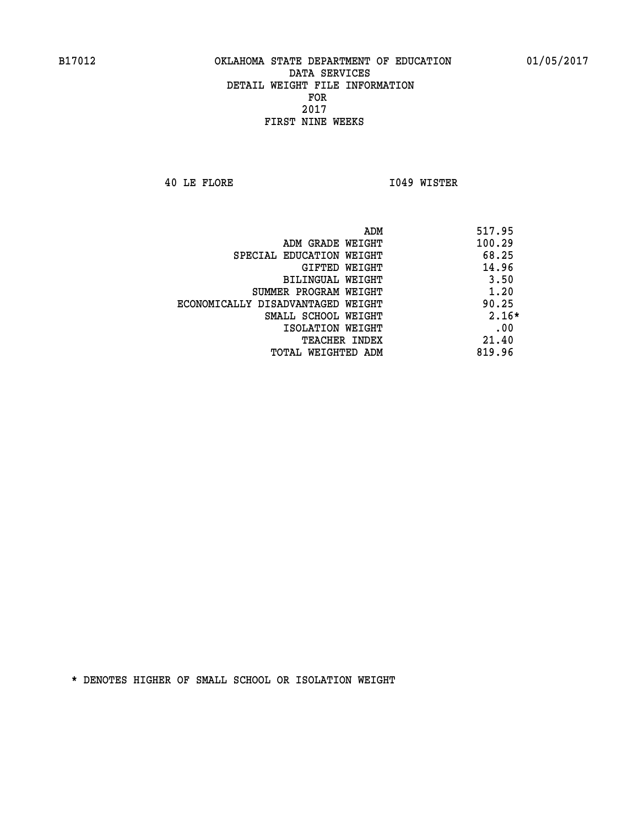**40 LE FLORE I049 WISTER** 

| ADM                               | 517.95  |
|-----------------------------------|---------|
| ADM GRADE WEIGHT                  | 100.29  |
| SPECIAL EDUCATION WEIGHT          | 68.25   |
| GIFTED WEIGHT                     | 14.96   |
| BILINGUAL WEIGHT                  | 3.50    |
| SUMMER PROGRAM WEIGHT             | 1.20    |
| ECONOMICALLY DISADVANTAGED WEIGHT | 90.25   |
| SMALL SCHOOL WEIGHT               | $2.16*$ |
| ISOLATION WEIGHT                  | .00     |
| <b>TEACHER INDEX</b>              | 21.40   |
| TOTAL WEIGHTED ADM                | 819.96  |
|                                   |         |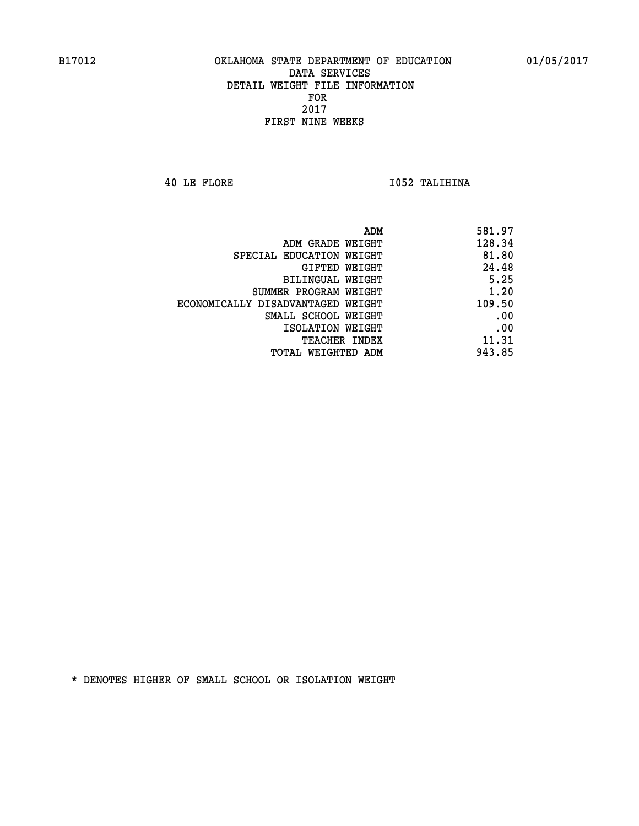**40 LE FLORE I052 TALIHINA** 

| ADM<br>581.97                               |
|---------------------------------------------|
| 128.34<br>ADM GRADE WEIGHT                  |
| 81.80<br>SPECIAL EDUCATION WEIGHT           |
| 24.48<br>GIFTED WEIGHT                      |
| 5.25<br>BILINGUAL WEIGHT                    |
| 1.20<br>SUMMER PROGRAM WEIGHT               |
| 109.50<br>ECONOMICALLY DISADVANTAGED WEIGHT |
| .00<br>SMALL SCHOOL WEIGHT                  |
| .00<br>ISOLATION WEIGHT                     |
| 11.31<br><b>TEACHER INDEX</b>               |
| 943.85<br>TOTAL WEIGHTED ADM                |
|                                             |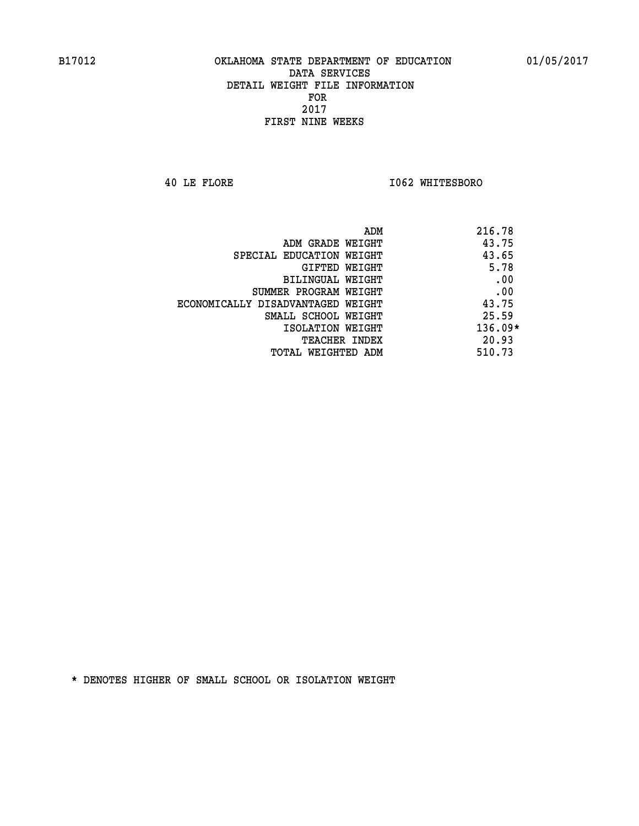**40 LE FLORE I062 WHITESBORO** 

|                                   | ADM | 216.78    |
|-----------------------------------|-----|-----------|
| ADM GRADE WEIGHT                  |     | 43.75     |
| SPECIAL EDUCATION WEIGHT          |     | 43.65     |
| GIFTED WEIGHT                     |     | 5.78      |
| BILINGUAL WEIGHT                  |     | .00       |
| SUMMER PROGRAM WEIGHT             |     | .00       |
| ECONOMICALLY DISADVANTAGED WEIGHT |     | 43.75     |
| SMALL SCHOOL WEIGHT               |     | 25.59     |
| ISOLATION WEIGHT                  |     | $136.09*$ |
| TEACHER INDEX                     |     | 20.93     |
| TOTAL WEIGHTED ADM                |     | 510.73    |
|                                   |     |           |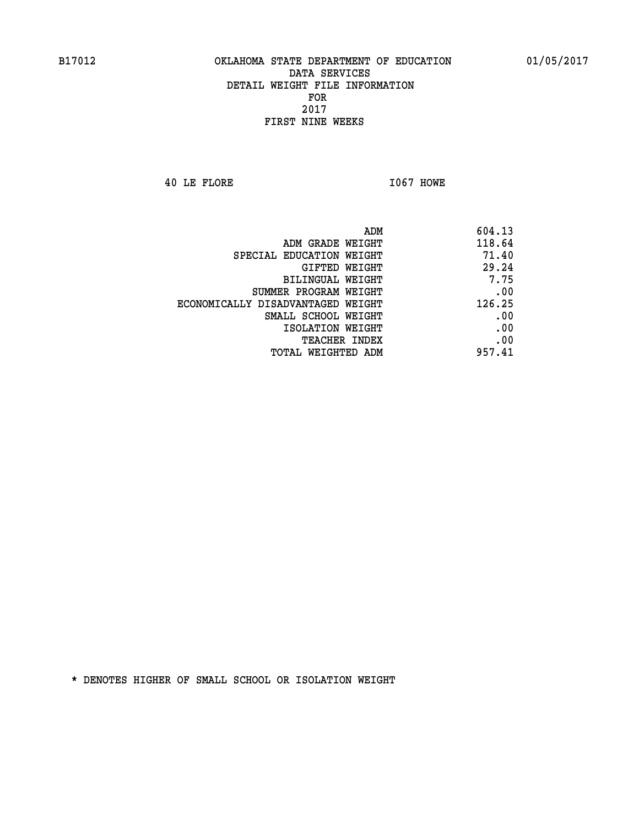**40 LE FLORE I067 HOWE** 

| ADM                               | 604.13 |
|-----------------------------------|--------|
| ADM GRADE WEIGHT                  | 118.64 |
| SPECIAL EDUCATION WEIGHT          | 71.40  |
| GIFTED WEIGHT                     | 29.24  |
| <b>BILINGUAL WEIGHT</b>           | 7.75   |
| SUMMER PROGRAM WEIGHT             | .00    |
| ECONOMICALLY DISADVANTAGED WEIGHT | 126.25 |
| SMALL SCHOOL WEIGHT               | .00    |
| ISOLATION WEIGHT                  | .00    |
| TEACHER INDEX                     | .00    |
| TOTAL WEIGHTED ADM                | 957.41 |
|                                   |        |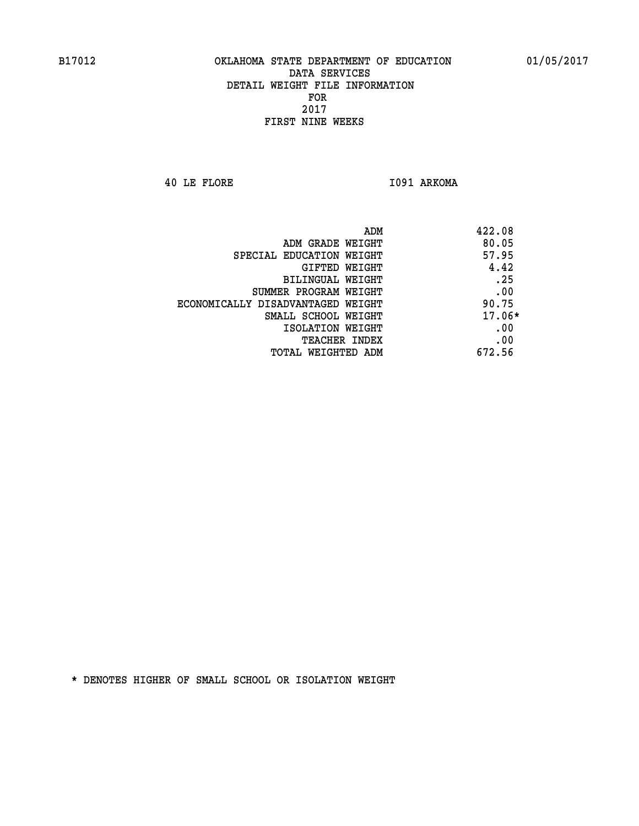**40 LE FLORE I091 ARKOMA** 

| 422.08   | ADM                               |
|----------|-----------------------------------|
| 80.05    | ADM GRADE WEIGHT                  |
| 57.95    | SPECIAL EDUCATION WEIGHT          |
| 4.42     | <b>GIFTED WEIGHT</b>              |
| .25      | BILINGUAL WEIGHT                  |
| .00      | SUMMER PROGRAM WEIGHT             |
| 90.75    | ECONOMICALLY DISADVANTAGED WEIGHT |
| $17.06*$ | SMALL SCHOOL WEIGHT               |
| .00      | ISOLATION WEIGHT                  |
| .00      | <b>TEACHER INDEX</b>              |
| 672.56   | TOTAL WEIGHTED ADM                |
|          |                                   |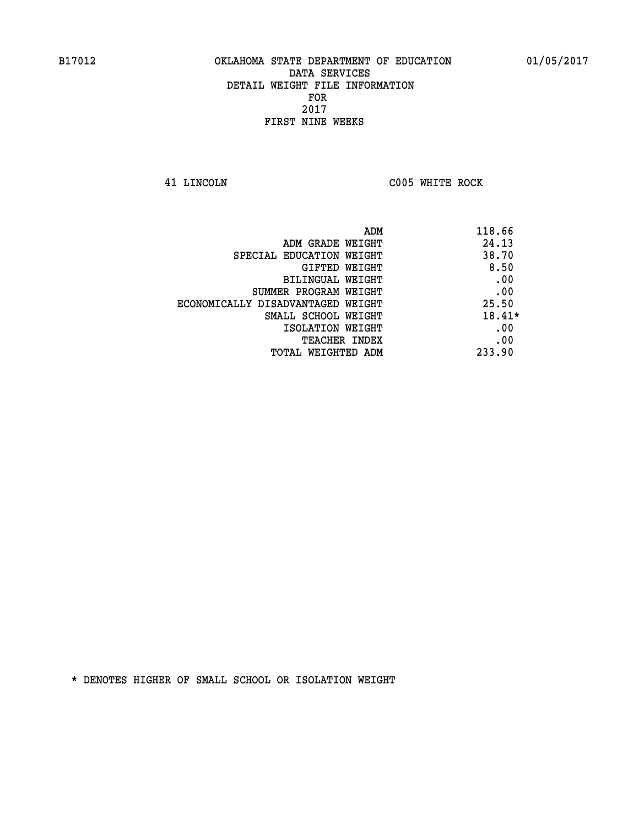**41 LINCOLN C005 WHITE ROCK** 

| ADM                               | 118.66   |
|-----------------------------------|----------|
| ADM GRADE WEIGHT                  | 24.13    |
| SPECIAL EDUCATION WEIGHT          | 38.70    |
| GIFTED WEIGHT                     | 8.50     |
| BILINGUAL WEIGHT                  | .00      |
| SUMMER PROGRAM WEIGHT             | .00      |
| ECONOMICALLY DISADVANTAGED WEIGHT | 25.50    |
| SMALL SCHOOL WEIGHT               | $18.41*$ |
| ISOLATION WEIGHT                  | .00      |
| <b>TEACHER INDEX</b>              | .00      |
| TOTAL WEIGHTED ADM                | 233.90   |
|                                   |          |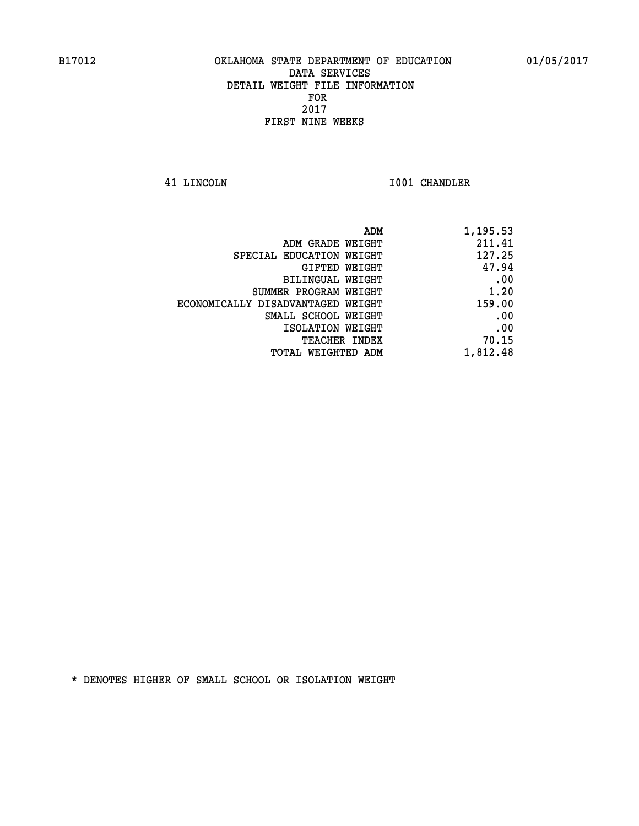**41 LINCOLN I001 CHANDLER** 

|                                   | ADM | 1,195.53 |
|-----------------------------------|-----|----------|
| ADM GRADE WEIGHT                  |     | 211.41   |
| SPECIAL EDUCATION WEIGHT          |     | 127.25   |
| GIFTED WEIGHT                     |     | 47.94    |
| <b>BILINGUAL WEIGHT</b>           |     | .00      |
| SUMMER PROGRAM WEIGHT             |     | 1.20     |
| ECONOMICALLY DISADVANTAGED WEIGHT |     | 159.00   |
| SMALL SCHOOL WEIGHT               |     | .00      |
| ISOLATION WEIGHT                  |     | .00      |
| TEACHER INDEX                     |     | 70.15    |
| TOTAL WEIGHTED ADM                |     | 1,812.48 |
|                                   |     |          |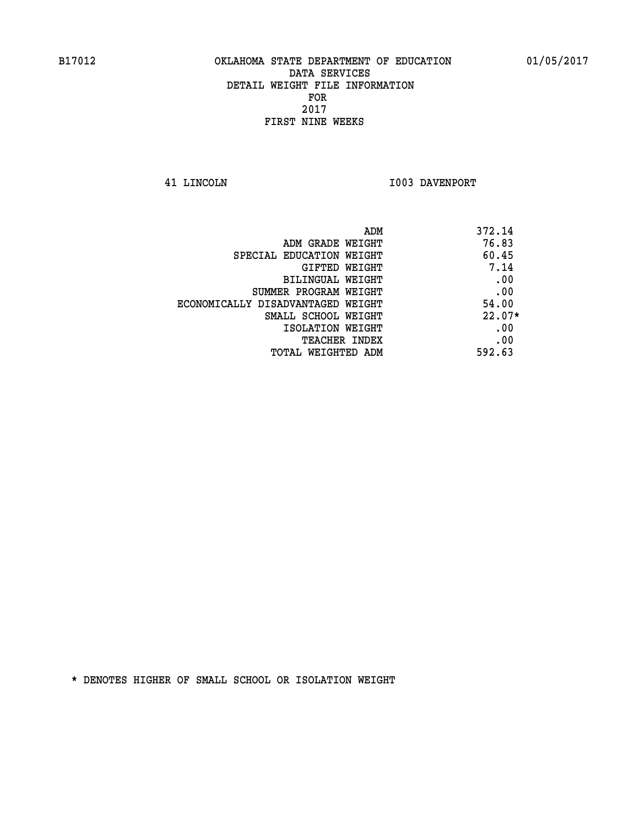**41 LINCOLN 1003 DAVENPORT** 

| ADM<br>372.14                              |          |
|--------------------------------------------|----------|
| 76.83<br>ADM GRADE WEIGHT                  |          |
| 60.45<br>SPECIAL EDUCATION WEIGHT          |          |
| <b>GIFTED WEIGHT</b>                       | 7.14     |
| BILINGUAL WEIGHT                           | .00      |
| SUMMER PROGRAM WEIGHT                      | .00      |
| 54.00<br>ECONOMICALLY DISADVANTAGED WEIGHT |          |
| SMALL SCHOOL WEIGHT                        | $22.07*$ |
| ISOLATION WEIGHT                           | .00      |
| <b>TEACHER INDEX</b>                       | .00      |
| 592.63<br>TOTAL WEIGHTED ADM               |          |
|                                            |          |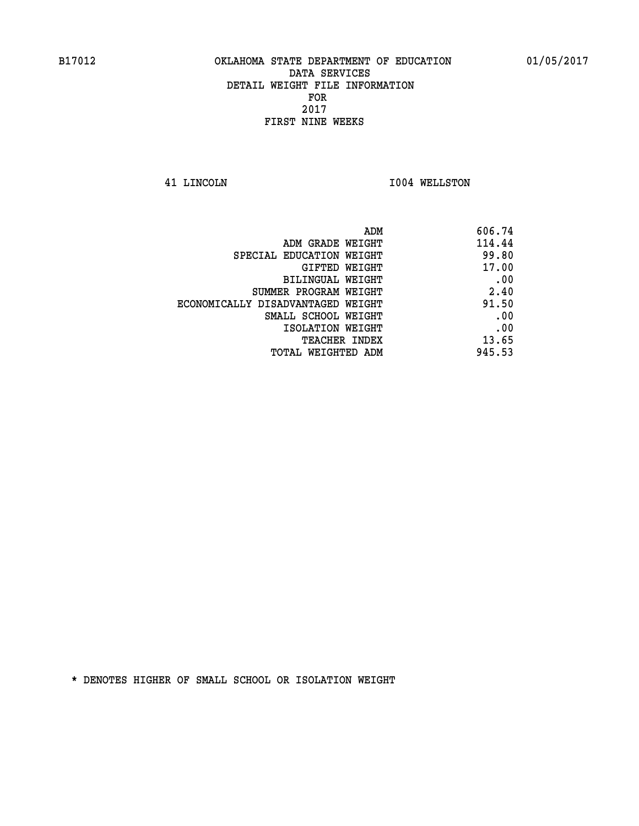**41 LINCOLN I004 WELLSTON** 

| 606.74                                                                                                                                                                                                                            |
|-----------------------------------------------------------------------------------------------------------------------------------------------------------------------------------------------------------------------------------|
| 114.44                                                                                                                                                                                                                            |
| 99.80                                                                                                                                                                                                                             |
| 17.00                                                                                                                                                                                                                             |
| .00                                                                                                                                                                                                                               |
| 2.40                                                                                                                                                                                                                              |
| 91.50                                                                                                                                                                                                                             |
| .00                                                                                                                                                                                                                               |
| .00                                                                                                                                                                                                                               |
| 13.65                                                                                                                                                                                                                             |
| 945.53                                                                                                                                                                                                                            |
| ADM GRADE WEIGHT<br>SPECIAL EDUCATION WEIGHT<br>GIFTED WEIGHT<br>BILINGUAL WEIGHT<br>SUMMER PROGRAM WEIGHT<br>ECONOMICALLY DISADVANTAGED WEIGHT<br>SMALL SCHOOL WEIGHT<br>ISOLATION WEIGHT<br>TEACHER INDEX<br>TOTAL WEIGHTED ADM |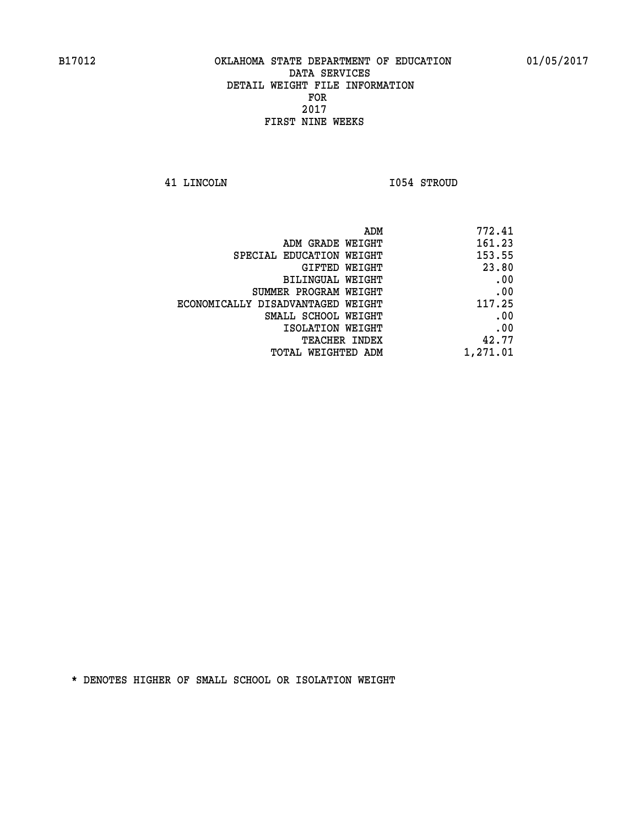**41 LINCOLN I054 STROUD** 

| 772.41   |
|----------|
| 161.23   |
| 153.55   |
| 23.80    |
| .00      |
| .00      |
| 117.25   |
| .00      |
| .00      |
| 42.77    |
| 1,271.01 |
|          |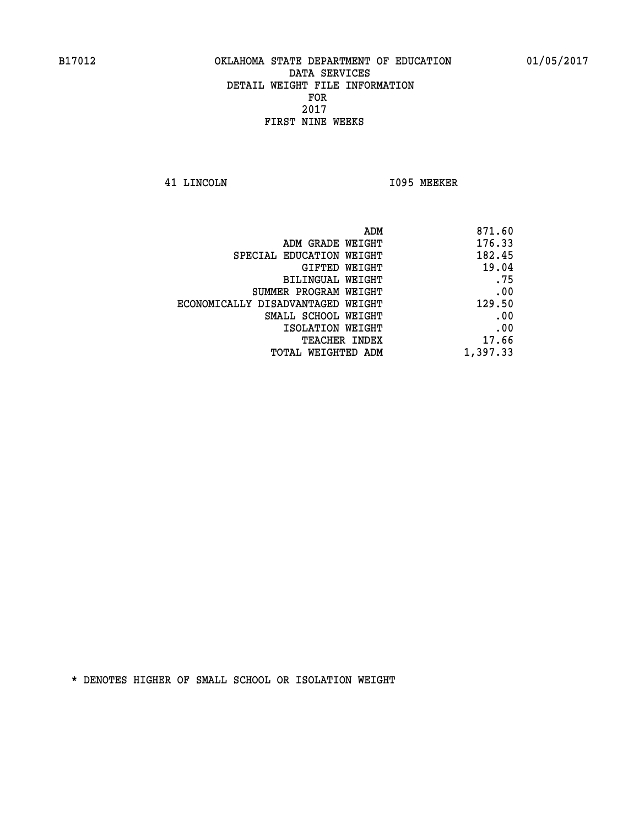**41 LINCOLN I095 MEEKER** 

| 871.60   |
|----------|
| 176.33   |
| 182.45   |
| 19.04    |
| .75      |
| .00      |
| 129.50   |
| .00      |
| .00      |
| 17.66    |
| 1,397.33 |
|          |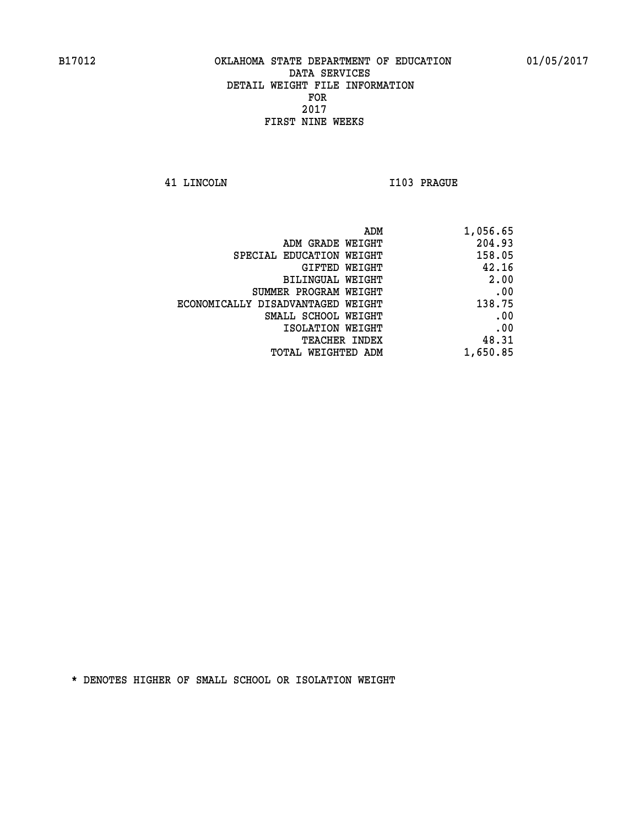**41 LINCOLN I103 PRAGUE** 

| 1,056.65 |
|----------|
| 204.93   |
| 158.05   |
| 42.16    |
| 2.00     |
| .00      |
| 138.75   |
| .00      |
| .00      |
| 48.31    |
| 1,650.85 |
|          |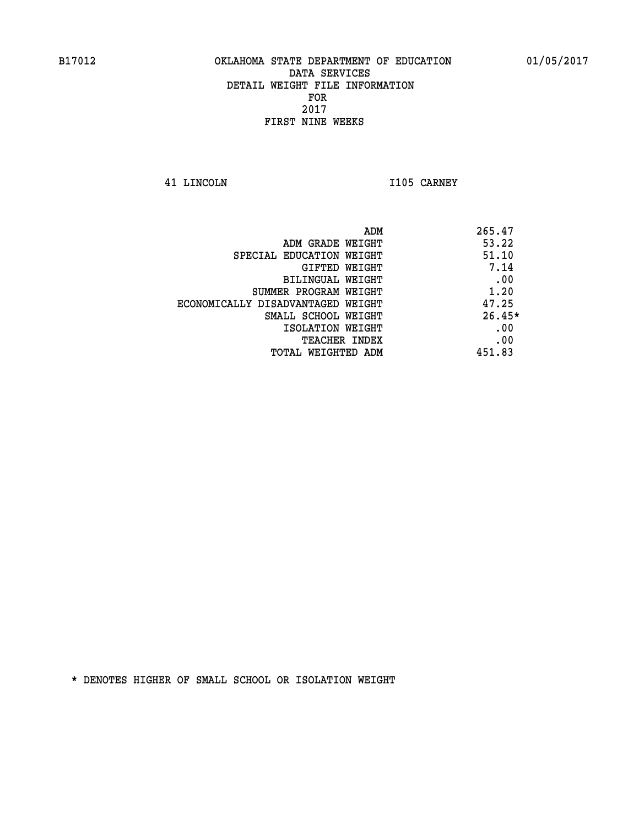**41 LINCOLN I105 CARNEY** 

| ADM                               | 265.47   |
|-----------------------------------|----------|
| ADM GRADE WEIGHT                  | 53.22    |
| SPECIAL EDUCATION WEIGHT          | 51.10    |
| GIFTED WEIGHT                     | 7.14     |
| BILINGUAL WEIGHT                  | .00      |
| SUMMER PROGRAM WEIGHT             | 1.20     |
| ECONOMICALLY DISADVANTAGED WEIGHT | 47.25    |
| SMALL SCHOOL WEIGHT               | $26.45*$ |
| ISOLATION WEIGHT                  | .00      |
| <b>TEACHER INDEX</b>              | .00      |
| TOTAL WEIGHTED ADM                | 451.83   |
|                                   |          |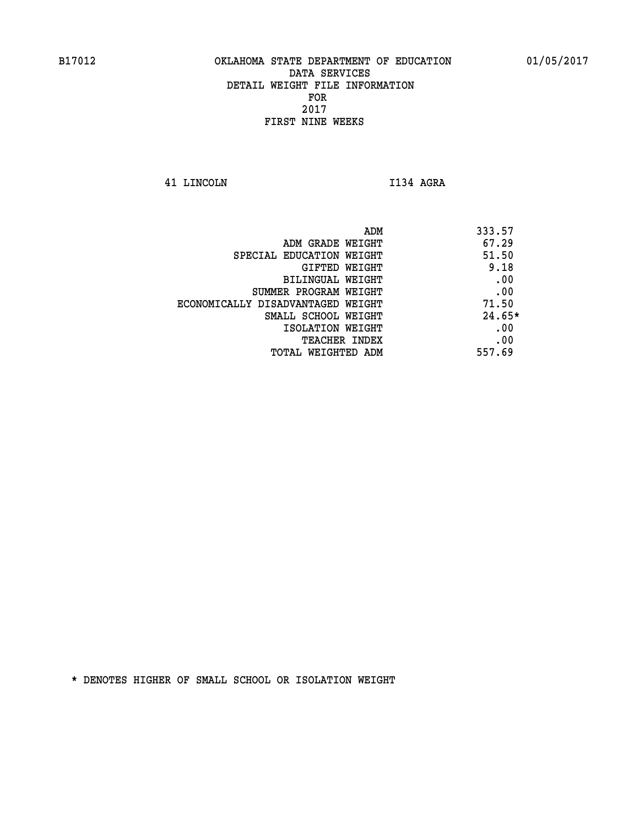**41 LINCOLN I134 AGRA** 

| ADM GRADE WEIGHT<br>SPECIAL EDUCATION WEIGHT<br>GIFTED WEIGHT<br>BILINGUAL WEIGHT<br>SUMMER PROGRAM WEIGHT<br>ECONOMICALLY DISADVANTAGED WEIGHT<br>SMALL SCHOOL WEIGHT<br>ISOLATION WEIGHT<br><b>TEACHER INDEX</b> | ADM | 333.57   |
|--------------------------------------------------------------------------------------------------------------------------------------------------------------------------------------------------------------------|-----|----------|
|                                                                                                                                                                                                                    |     | 67.29    |
|                                                                                                                                                                                                                    |     | 51.50    |
|                                                                                                                                                                                                                    |     | 9.18     |
|                                                                                                                                                                                                                    |     | .00      |
|                                                                                                                                                                                                                    |     | .00      |
|                                                                                                                                                                                                                    |     | 71.50    |
|                                                                                                                                                                                                                    |     | $24.65*$ |
|                                                                                                                                                                                                                    |     | .00      |
|                                                                                                                                                                                                                    |     | .00      |
| TOTAL WEIGHTED ADM                                                                                                                                                                                                 |     | 557.69   |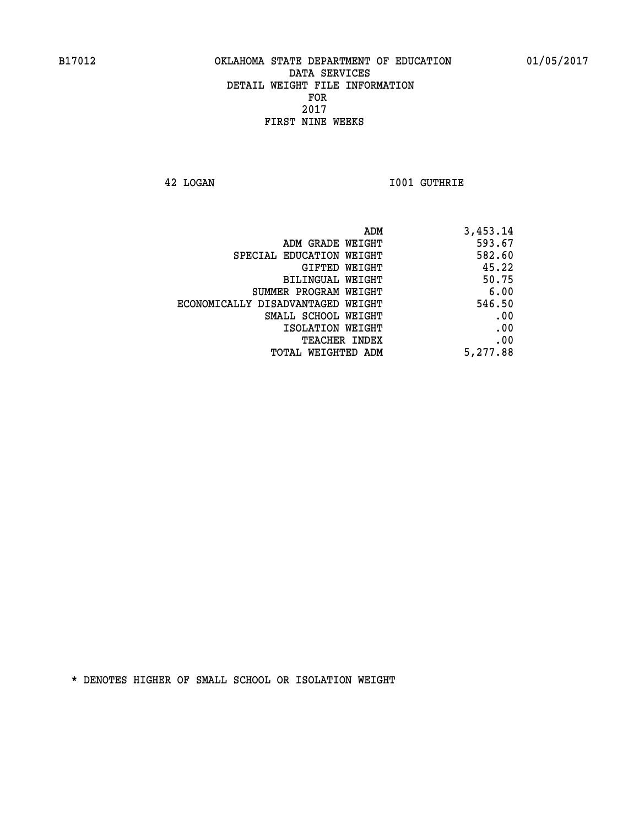**42 LOGAN I001 GUTHRIE** 

| 3,453.14 |
|----------|
| 593.67   |
| 582.60   |
| 45.22    |
| 50.75    |
| 6.00     |
| 546.50   |
| .00      |
| .00      |
| .00      |
| 5,277.88 |
|          |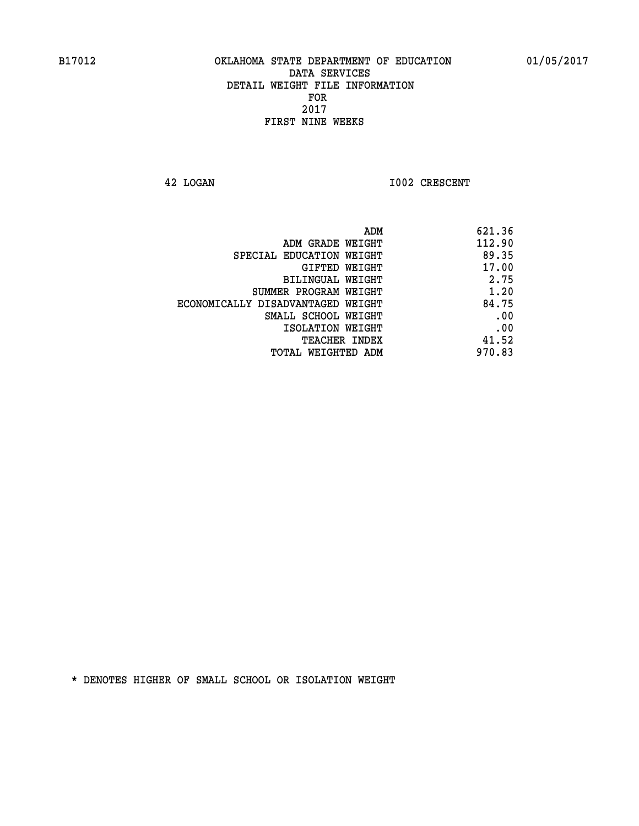**42 LOGAN 1002 CRESCENT** 

| 621.36 |
|--------|
| 112.90 |
| 89.35  |
| 17.00  |
| 2.75   |
| 1.20   |
| 84.75  |
| .00    |
| .00    |
| 41.52  |
| 970.83 |
|        |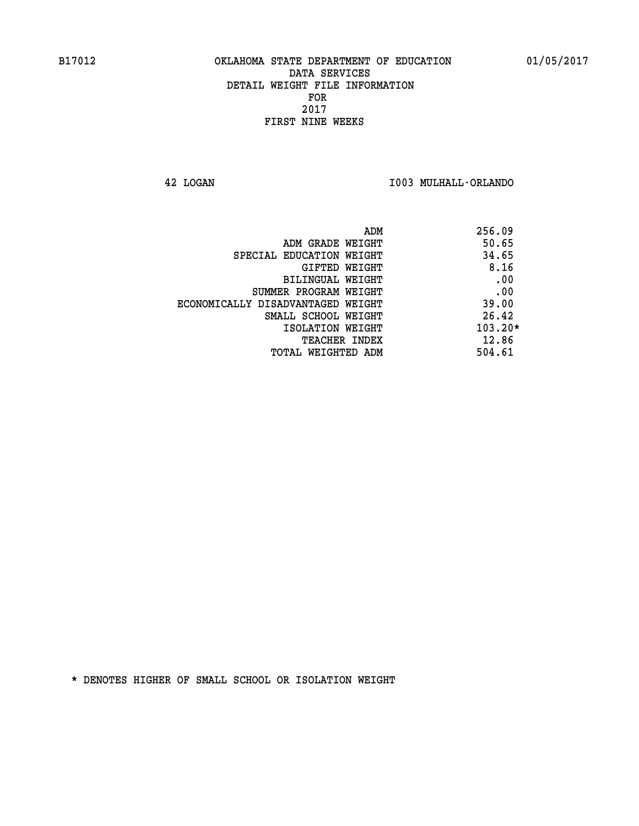**42 LOGAN I003 MULHALL-ORLANDO** 

| ADM                               | 256.09    |
|-----------------------------------|-----------|
| ADM GRADE WEIGHT                  | 50.65     |
| SPECIAL EDUCATION WEIGHT          | 34.65     |
| GIFTED WEIGHT                     | 8.16      |
| BILINGUAL WEIGHT                  | .00       |
| SUMMER PROGRAM WEIGHT             | .00       |
| ECONOMICALLY DISADVANTAGED WEIGHT | 39.00     |
| SMALL SCHOOL WEIGHT               | 26.42     |
| ISOLATION WEIGHT                  | $103.20*$ |
| <b>TEACHER INDEX</b>              | 12.86     |
| TOTAL WEIGHTED ADM                | 504.61    |
|                                   |           |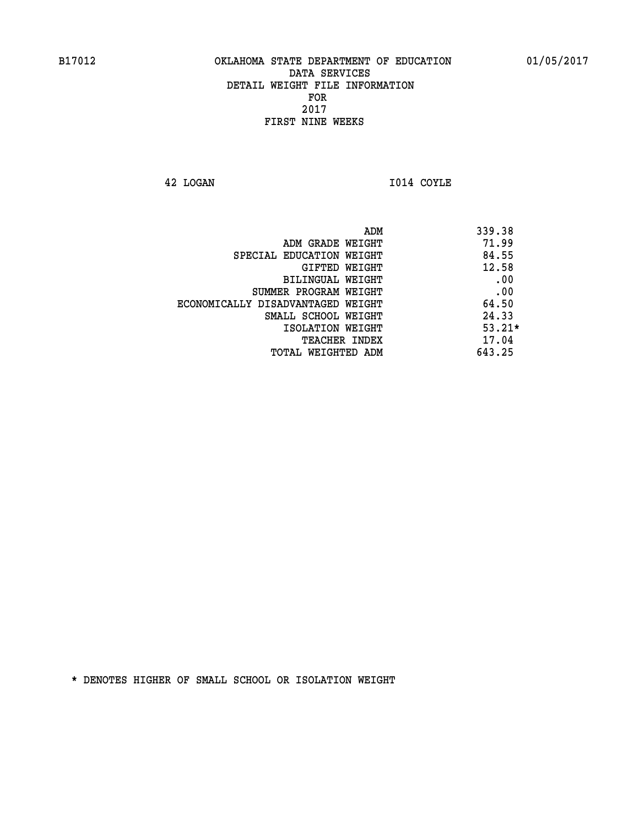**42 LOGAN I014 COYLE** 

| ADM                               | 339.38   |
|-----------------------------------|----------|
| ADM GRADE WEIGHT                  | 71.99    |
| SPECIAL EDUCATION WEIGHT          | 84.55    |
| <b>GIFTED WEIGHT</b>              | 12.58    |
| BILINGUAL WEIGHT                  | .00      |
| SUMMER PROGRAM WEIGHT             | .00      |
| ECONOMICALLY DISADVANTAGED WEIGHT | 64.50    |
| SMALL SCHOOL WEIGHT               | 24.33    |
| ISOLATION WEIGHT                  | $53.21*$ |
| <b>TEACHER INDEX</b>              | 17.04    |
| TOTAL WEIGHTED ADM                | 643.25   |
|                                   |          |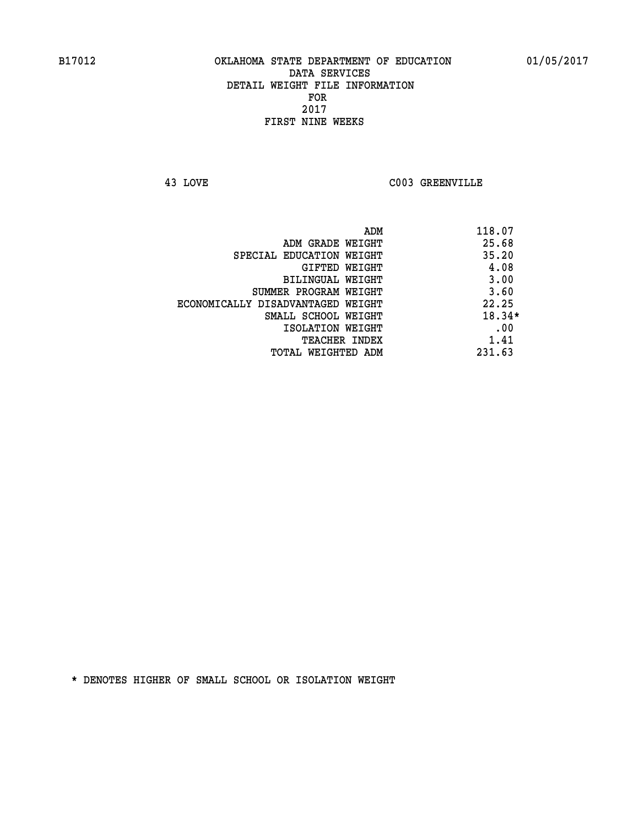**43 LOVE C003 GREENVILLE** 

| ADM                               | 118.07   |
|-----------------------------------|----------|
| ADM GRADE WEIGHT                  | 25.68    |
| SPECIAL EDUCATION WEIGHT          | 35.20    |
| GIFTED WEIGHT                     | 4.08     |
| <b>BILINGUAL WEIGHT</b>           | 3.00     |
| SUMMER PROGRAM WEIGHT             | 3.60     |
| ECONOMICALLY DISADVANTAGED WEIGHT | 22.25    |
| SMALL SCHOOL WEIGHT               | $18.34*$ |
| ISOLATION WEIGHT                  | .00      |
| <b>TEACHER INDEX</b>              | 1.41     |
| TOTAL WEIGHTED ADM                | 231.63   |
|                                   |          |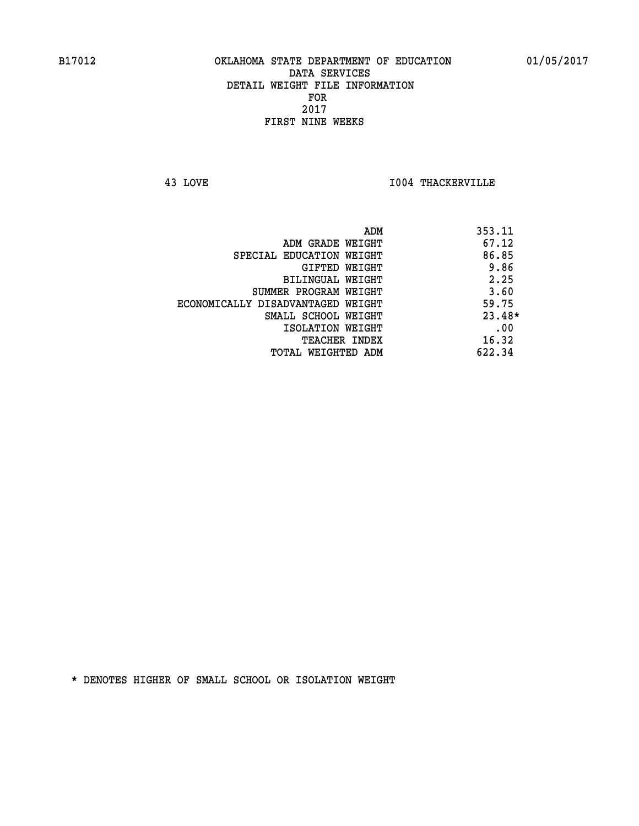**43 LOVE I004 THACKERVILLE** 

| ADM                               | 353.11   |
|-----------------------------------|----------|
| ADM GRADE WEIGHT                  | 67.12    |
| SPECIAL EDUCATION WEIGHT          | 86.85    |
| GIFTED WEIGHT                     | 9.86     |
| <b>BILINGUAL WEIGHT</b>           | 2.25     |
| SUMMER PROGRAM WEIGHT             | 3.60     |
| ECONOMICALLY DISADVANTAGED WEIGHT | 59.75    |
| SMALL SCHOOL WEIGHT               | $23.48*$ |
| ISOLATION WEIGHT                  | .00      |
| <b>TEACHER INDEX</b>              | 16.32    |
| TOTAL WEIGHTED ADM                | 622.34   |
|                                   |          |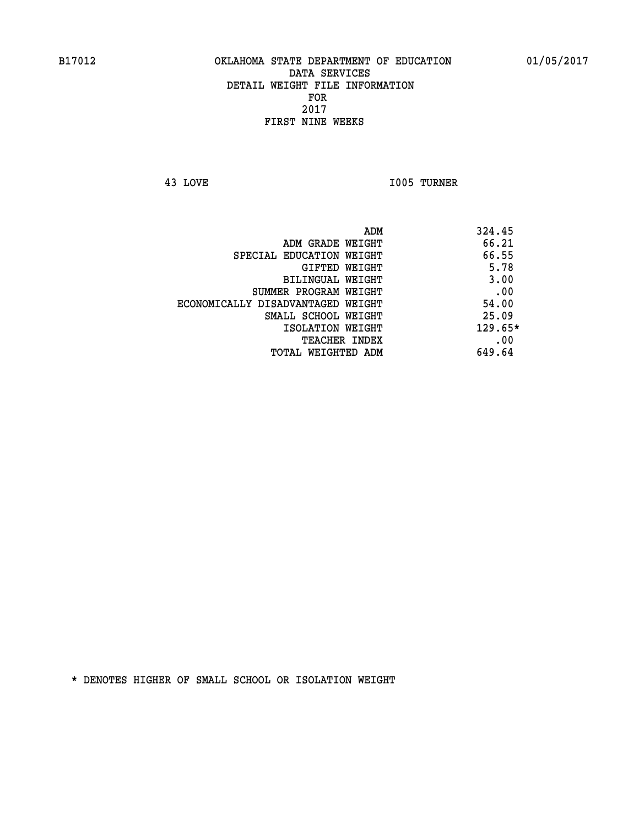**43 LOVE I005 TURNER** 

|                                   | ADM | 324.45    |
|-----------------------------------|-----|-----------|
| ADM GRADE WEIGHT                  |     | 66.21     |
| SPECIAL EDUCATION WEIGHT          |     | 66.55     |
| GIFTED WEIGHT                     |     | 5.78      |
| BILINGUAL WEIGHT                  |     | 3.00      |
| SUMMER PROGRAM WEIGHT             |     | .00       |
| ECONOMICALLY DISADVANTAGED WEIGHT |     | 54.00     |
| SMALL SCHOOL WEIGHT               |     | 25.09     |
| ISOLATION WEIGHT                  |     | $129.65*$ |
| TEACHER INDEX                     |     | .00       |
| TOTAL WEIGHTED ADM                |     | 649.64    |
|                                   |     |           |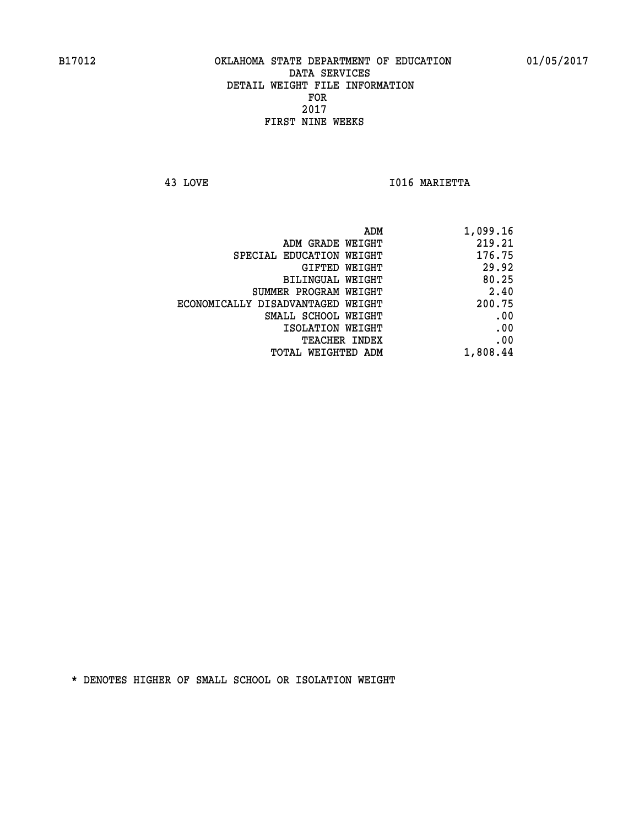**43 LOVE I016 MARIETTA** 

| 1,099.16 |
|----------|
| 219.21   |
| 176.75   |
| 29.92    |
| 80.25    |
| 2.40     |
| 200.75   |
| .00      |
| .00      |
| .00      |
| 1,808.44 |
|          |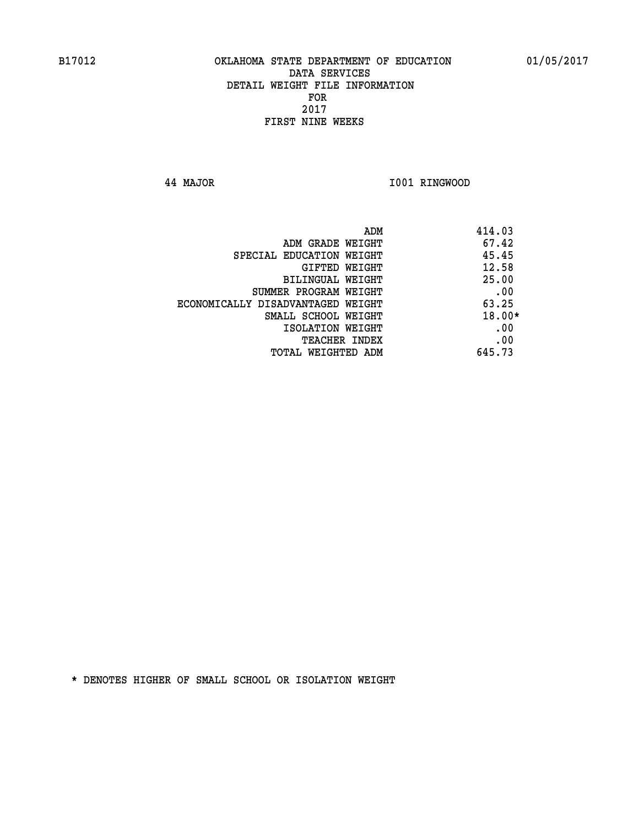**44 MAJOR I001 RINGWOOD** 

|                                   | ADM | 414.03   |
|-----------------------------------|-----|----------|
| ADM GRADE WEIGHT                  |     | 67.42    |
| SPECIAL EDUCATION WEIGHT          |     | 45.45    |
| <b>GIFTED WEIGHT</b>              |     | 12.58    |
| BILINGUAL WEIGHT                  |     | 25.00    |
| SUMMER PROGRAM WEIGHT             |     | .00      |
| ECONOMICALLY DISADVANTAGED WEIGHT |     | 63.25    |
| SMALL SCHOOL WEIGHT               |     | $18.00*$ |
| ISOLATION WEIGHT                  |     | .00      |
| TEACHER INDEX                     |     | .00      |
| TOTAL WEIGHTED ADM                |     | 645.73   |
|                                   |     |          |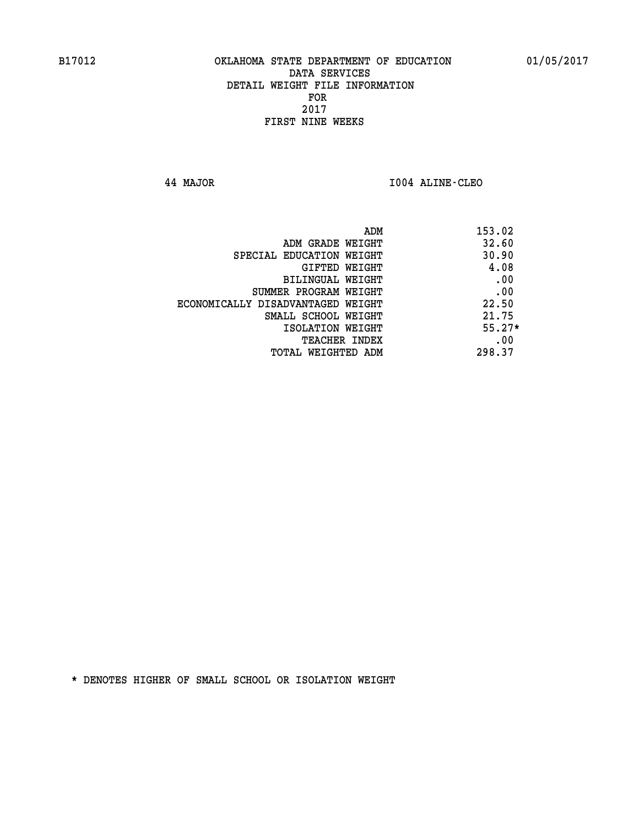**44 MAJOR I004 ALINE-CLEO** 

| ADM                               | 153.02   |
|-----------------------------------|----------|
| ADM GRADE WEIGHT                  | 32.60    |
| SPECIAL EDUCATION WEIGHT          | 30.90    |
| GIFTED WEIGHT                     | 4.08     |
| BILINGUAL WEIGHT                  | .00      |
| SUMMER PROGRAM WEIGHT             | .00      |
| ECONOMICALLY DISADVANTAGED WEIGHT | 22.50    |
| SMALL SCHOOL WEIGHT               | 21.75    |
| ISOLATION WEIGHT                  | $55.27*$ |
| <b>TEACHER INDEX</b>              | .00      |
| TOTAL WEIGHTED ADM                | 298.37   |
|                                   |          |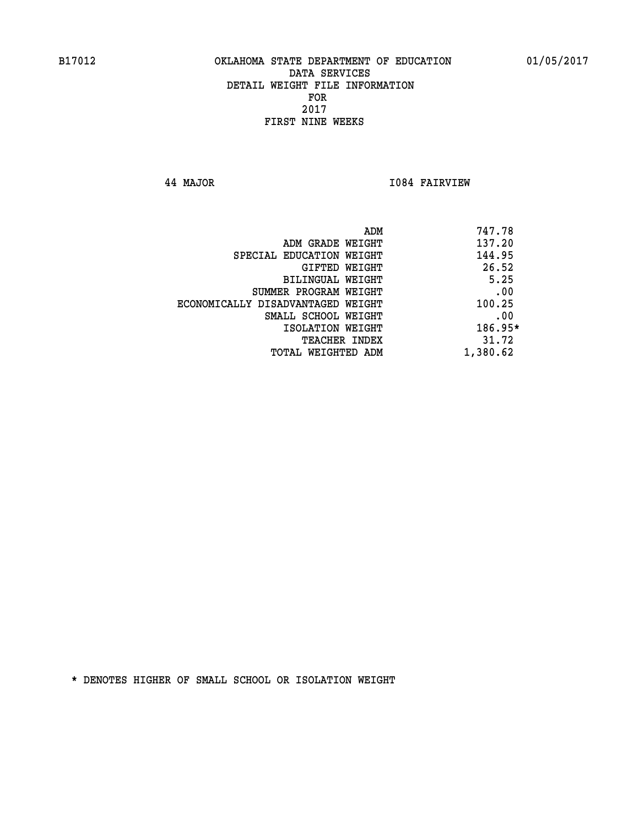**44 MAJOR I084 FAIRVIEW** 

|                                   | ADM | 747.78    |
|-----------------------------------|-----|-----------|
| ADM GRADE WEIGHT                  |     | 137.20    |
| SPECIAL EDUCATION WEIGHT          |     | 144.95    |
| GIFTED WEIGHT                     |     | 26.52     |
| BILINGUAL WEIGHT                  |     | 5.25      |
| SUMMER PROGRAM WEIGHT             |     | .00       |
| ECONOMICALLY DISADVANTAGED WEIGHT |     | 100.25    |
| SMALL SCHOOL WEIGHT               |     | .00       |
| ISOLATION WEIGHT                  |     | $186.95*$ |
| TEACHER INDEX                     |     | 31.72     |
| TOTAL WEIGHTED ADM                |     | 1,380.62  |
|                                   |     |           |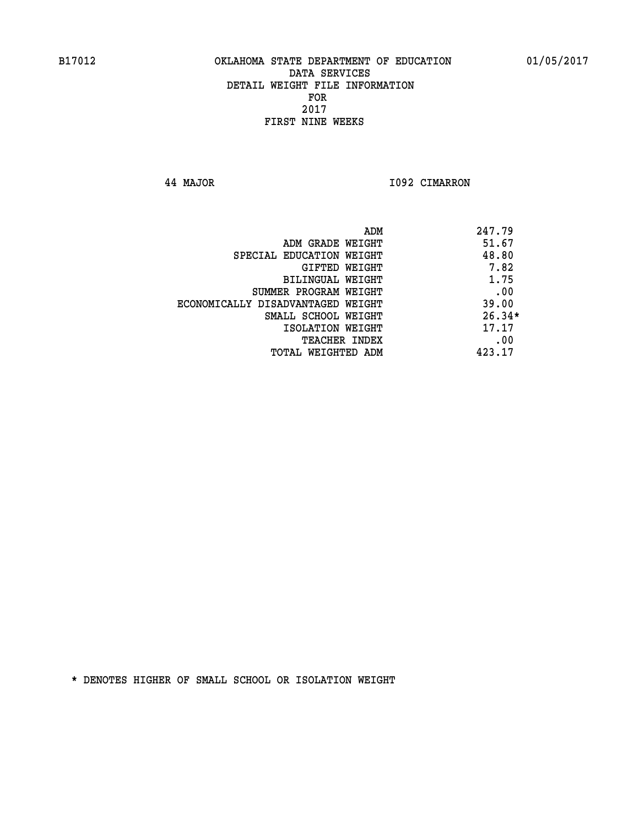**44 MAJOR I092 CIMARRON** 

|                                   | 247.79<br>ADM |
|-----------------------------------|---------------|
| ADM GRADE WEIGHT                  | 51.67         |
| SPECIAL EDUCATION WEIGHT          | 48.80         |
| GIFTED WEIGHT                     | 7.82          |
| BILINGUAL WEIGHT                  | 1.75          |
| SUMMER PROGRAM WEIGHT             | .00           |
| ECONOMICALLY DISADVANTAGED WEIGHT | 39.00         |
| SMALL SCHOOL WEIGHT               | $26.34*$      |
| ISOLATION WEIGHT                  | 17.17         |
| TEACHER INDEX                     | .00           |
| TOTAL WEIGHTED ADM                | 423.17        |
|                                   |               |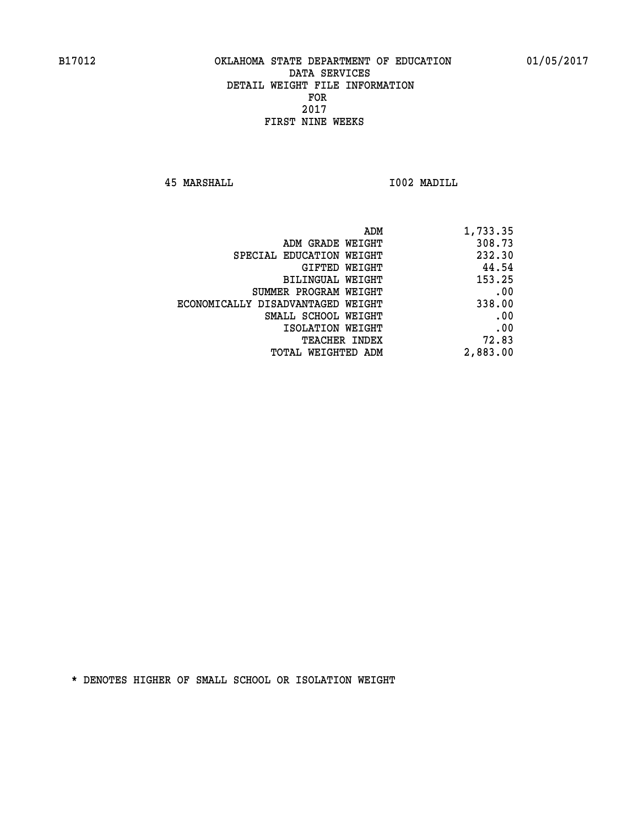**45 MARSHALL I002 MADILL** 

| ADM                               | 1,733.35 |
|-----------------------------------|----------|
| ADM GRADE WEIGHT                  | 308.73   |
| SPECIAL EDUCATION WEIGHT          | 232.30   |
| GIFTED WEIGHT                     | 44.54    |
| BILINGUAL WEIGHT                  | 153.25   |
| SUMMER PROGRAM WEIGHT             | .00      |
| ECONOMICALLY DISADVANTAGED WEIGHT | 338.00   |
| SMALL SCHOOL WEIGHT               | .00      |
| ISOLATION WEIGHT                  | .00      |
| <b>TEACHER INDEX</b>              | 72.83    |
| TOTAL WEIGHTED ADM                | 2,883.00 |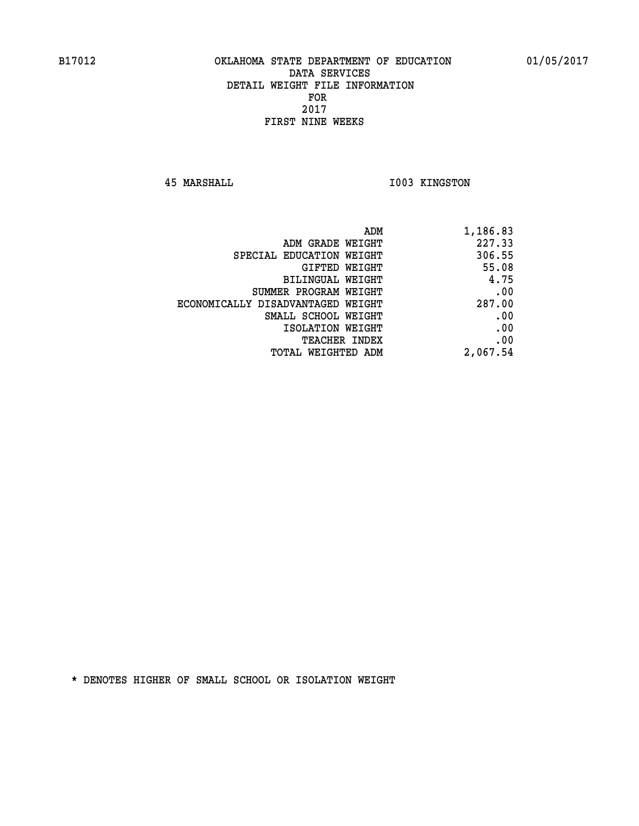**45 MARSHALL I003 KINGSTON** 

| ADM                               | 1,186.83 |
|-----------------------------------|----------|
| ADM GRADE WEIGHT                  | 227.33   |
| SPECIAL EDUCATION WEIGHT          | 306.55   |
| GIFTED WEIGHT                     | 55.08    |
| BILINGUAL WEIGHT                  | 4.75     |
| SUMMER PROGRAM WEIGHT             | .00      |
| ECONOMICALLY DISADVANTAGED WEIGHT | 287.00   |
| SMALL SCHOOL WEIGHT               | .00      |
| ISOLATION WEIGHT                  | .00      |
| <b>TEACHER INDEX</b>              | .00      |
| <b>TOTAL WEIGHTED ADM</b>         | 2,067.54 |
|                                   |          |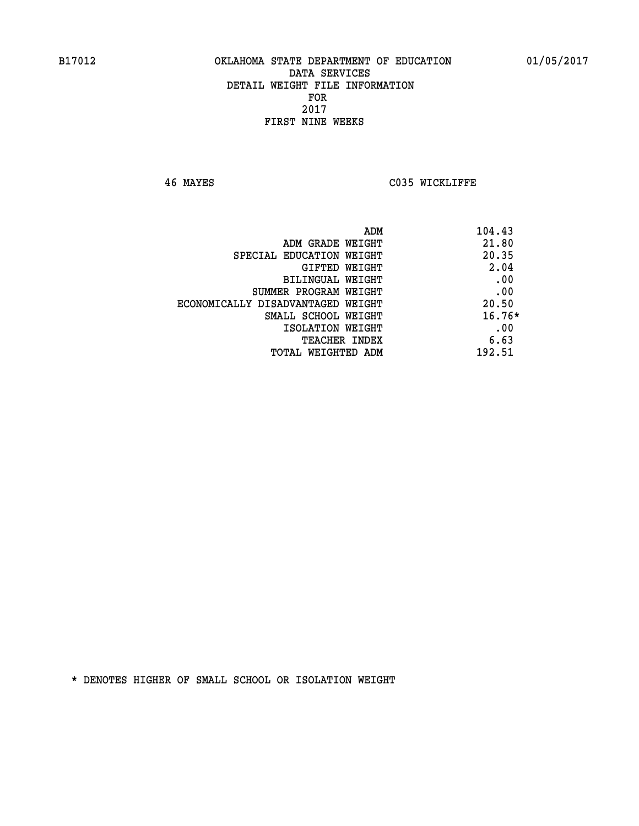**46 MAYES C035 WICKLIFFE** 

| 104.43<br>ADM                              |  |
|--------------------------------------------|--|
| 21.80<br>ADM GRADE WEIGHT                  |  |
| 20.35<br>SPECIAL EDUCATION WEIGHT          |  |
| 2.04<br>GIFTED WEIGHT                      |  |
| .00<br>BILINGUAL WEIGHT                    |  |
| .00<br>SUMMER PROGRAM WEIGHT               |  |
| 20.50<br>ECONOMICALLY DISADVANTAGED WEIGHT |  |
| $16.76*$<br>SMALL SCHOOL WEIGHT            |  |
| .00<br>ISOLATION WEIGHT                    |  |
| 6.63<br><b>TEACHER INDEX</b>               |  |
| 192.51<br>TOTAL WEIGHTED ADM               |  |
|                                            |  |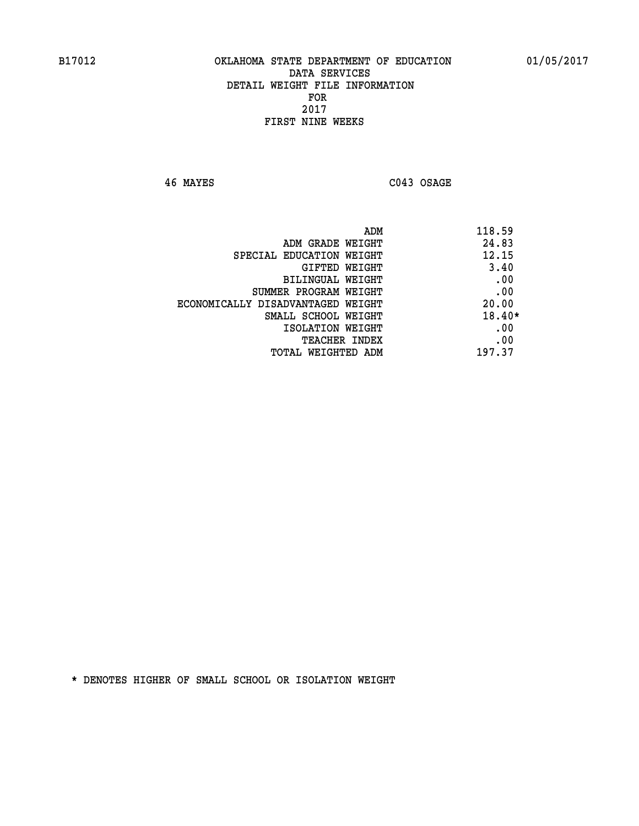**46 MAYES C043 OSAGE** 

| ADM                               | 118.59   |
|-----------------------------------|----------|
| ADM GRADE WEIGHT                  | 24.83    |
| SPECIAL EDUCATION WEIGHT          | 12.15    |
| GIFTED WEIGHT                     | 3.40     |
| BILINGUAL WEIGHT                  | .00      |
| SUMMER PROGRAM WEIGHT             | .00      |
| ECONOMICALLY DISADVANTAGED WEIGHT | 20.00    |
| SMALL SCHOOL WEIGHT               | $18.40*$ |
| ISOLATION WEIGHT                  | .00      |
| <b>TEACHER INDEX</b>              | .00      |
| TOTAL WEIGHTED ADM                | 197.37   |
|                                   |          |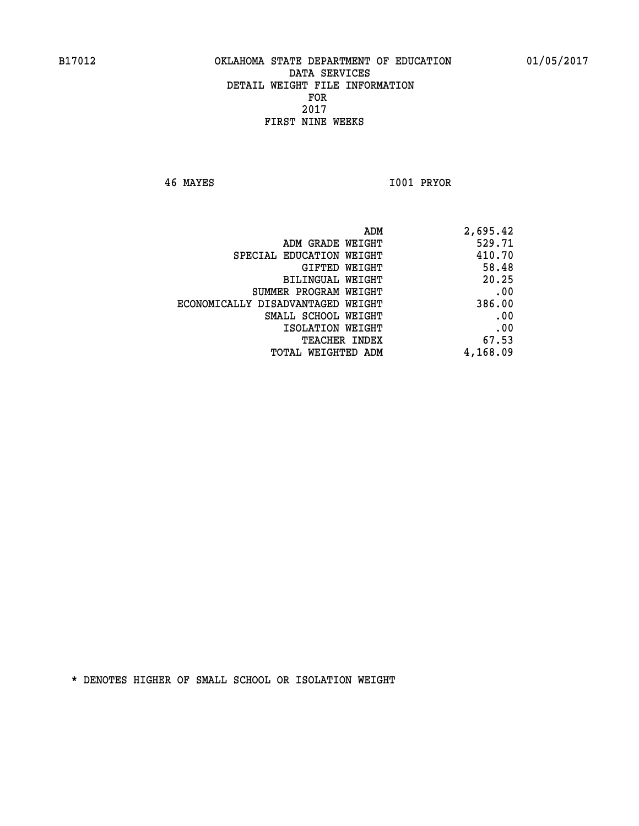**46 MAYES I001 PRYOR** 

| 2,695.42 |
|----------|
| 529.71   |
| 410.70   |
| 58.48    |
| 20.25    |
| .00      |
| 386.00   |
| .00      |
| .00      |
| 67.53    |
| 4,168.09 |
|          |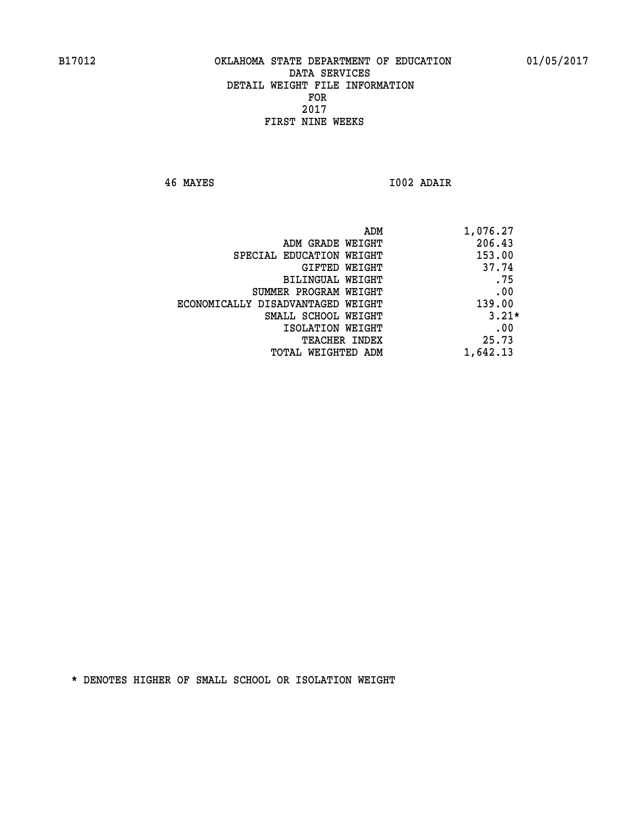**46 MAYES I002 ADAIR** 

| 1,076.27<br>ADM                             |  |
|---------------------------------------------|--|
| 206.43<br>ADM GRADE WEIGHT                  |  |
| 153.00<br>SPECIAL EDUCATION WEIGHT          |  |
| 37.74<br>GIFTED WEIGHT                      |  |
| .75<br>BILINGUAL WEIGHT                     |  |
| .00<br>SUMMER PROGRAM WEIGHT                |  |
| 139.00<br>ECONOMICALLY DISADVANTAGED WEIGHT |  |
| $3.21*$<br>SMALL SCHOOL WEIGHT              |  |
| .00<br>ISOLATION WEIGHT                     |  |
| 25.73<br><b>TEACHER INDEX</b>               |  |
| 1,642.13<br>TOTAL WEIGHTED ADM              |  |
|                                             |  |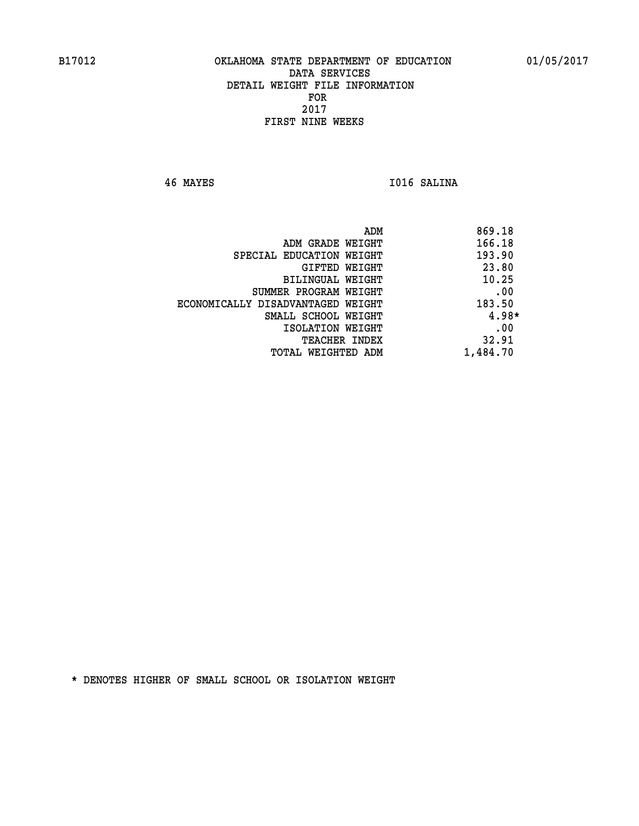**46 MAYES I016 SALINA** 

| ADM                               | 869.18   |
|-----------------------------------|----------|
| ADM GRADE WEIGHT                  | 166.18   |
| SPECIAL EDUCATION WEIGHT          | 193.90   |
| GIFTED WEIGHT                     | 23.80    |
| BILINGUAL WEIGHT                  | 10.25    |
| SUMMER PROGRAM WEIGHT             | .00      |
| ECONOMICALLY DISADVANTAGED WEIGHT | 183.50   |
| SMALL SCHOOL WEIGHT               | $4.98*$  |
| ISOLATION WEIGHT                  | .00      |
| <b>TEACHER INDEX</b>              | 32.91    |
| TOTAL WEIGHTED ADM                | 1,484.70 |
|                                   |          |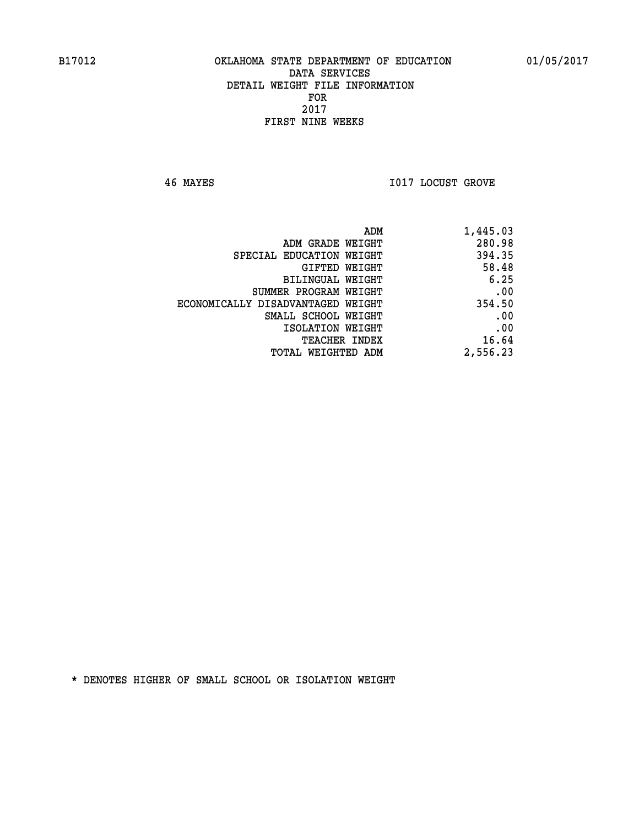**46 MAYES I017 LOCUST GROVE** 

| 1,445.03 |
|----------|
| 280.98   |
| 394.35   |
| 58.48    |
| 6.25     |
| .00      |
| 354.50   |
| .00      |
| .00      |
| 16.64    |
| 2,556.23 |
|          |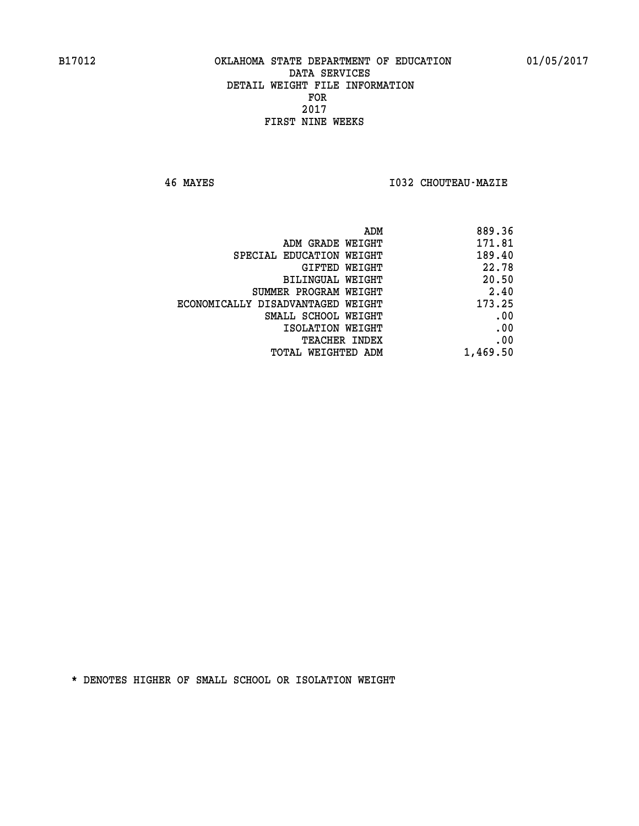**46 MAYES I032 CHOUTEAU-MAZIE** 

|                                   | ADM<br>889.36 |
|-----------------------------------|---------------|
| ADM GRADE WEIGHT                  | 171.81        |
| SPECIAL EDUCATION WEIGHT          | 189.40        |
| GIFTED WEIGHT                     | 22.78         |
| <b>BILINGUAL WEIGHT</b>           | 20.50         |
| SUMMER PROGRAM WEIGHT             | 2.40          |
| ECONOMICALLY DISADVANTAGED WEIGHT | 173.25        |
| SMALL SCHOOL WEIGHT               | .00           |
| ISOLATION WEIGHT                  | .00           |
| TEACHER INDEX                     | .00           |
| TOTAL WEIGHTED ADM                | 1,469.50      |
|                                   |               |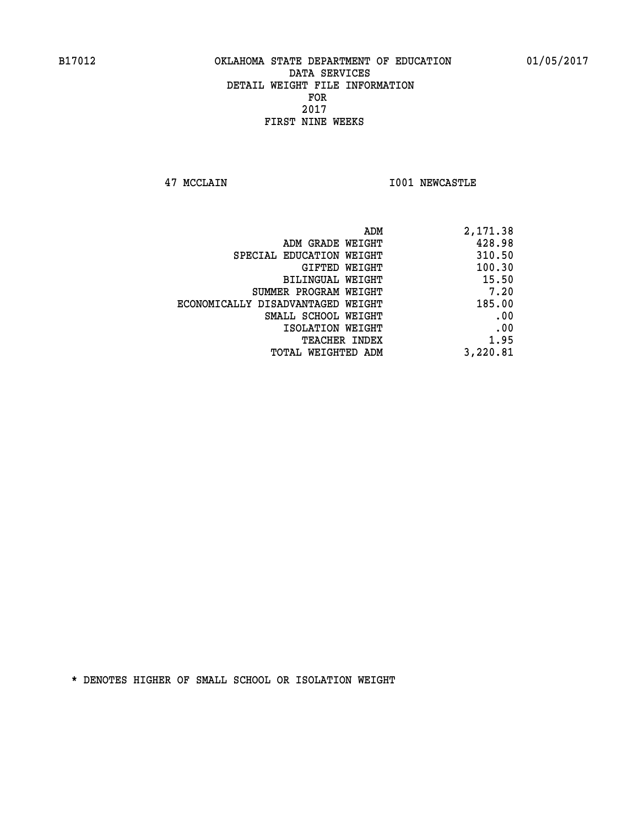**47 MCCLAIN I001 NEWCASTLE** 

| ADM                               | 2,171.38 |
|-----------------------------------|----------|
| ADM GRADE WEIGHT                  | 428.98   |
| SPECIAL EDUCATION WEIGHT          | 310.50   |
| GIFTED WEIGHT                     | 100.30   |
| BILINGUAL WEIGHT                  | 15.50    |
| SUMMER PROGRAM WEIGHT             | 7.20     |
| ECONOMICALLY DISADVANTAGED WEIGHT | 185.00   |
| SMALL SCHOOL WEIGHT               | .00      |
| ISOLATION WEIGHT                  | .00      |
| TEACHER INDEX                     | 1.95     |
| TOTAL WEIGHTED ADM                | 3,220.81 |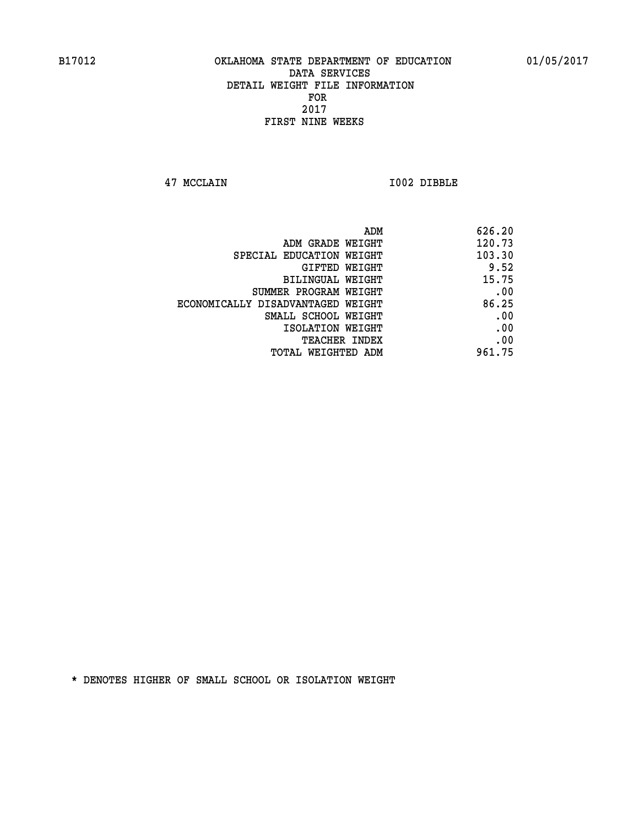**47 MCCLAIN I002 DIBBLE** 

|                                   | 626.20<br>ADM |  |
|-----------------------------------|---------------|--|
| ADM GRADE WEIGHT                  | 120.73        |  |
| SPECIAL EDUCATION WEIGHT          | 103.30        |  |
| GIFTED WEIGHT                     | 9.52          |  |
| BILINGUAL WEIGHT                  | 15.75         |  |
| SUMMER PROGRAM WEIGHT             | .00           |  |
| ECONOMICALLY DISADVANTAGED WEIGHT | 86.25         |  |
| SMALL SCHOOL WEIGHT               | .00           |  |
| ISOLATION WEIGHT                  | .00           |  |
| <b>TEACHER INDEX</b>              | .00           |  |
| TOTAL WEIGHTED ADM                | 961.75        |  |
|                                   |               |  |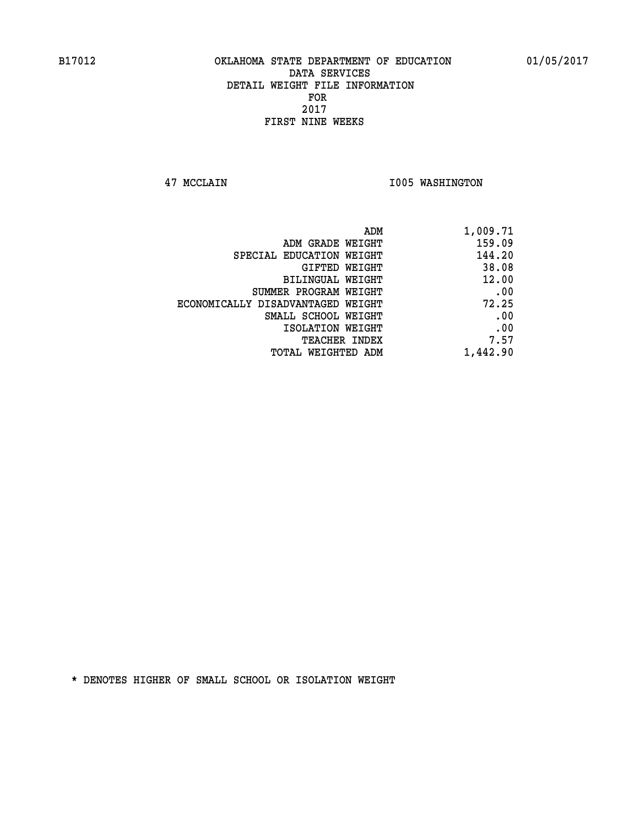**47 MCCLAIN I005 WASHINGTON** 

| 1,009.71 |
|----------|
| 159.09   |
| 144.20   |
| 38.08    |
| 12.00    |
| .00      |
| 72.25    |
| .00      |
| .00      |
| 7.57     |
| 1,442.90 |
|          |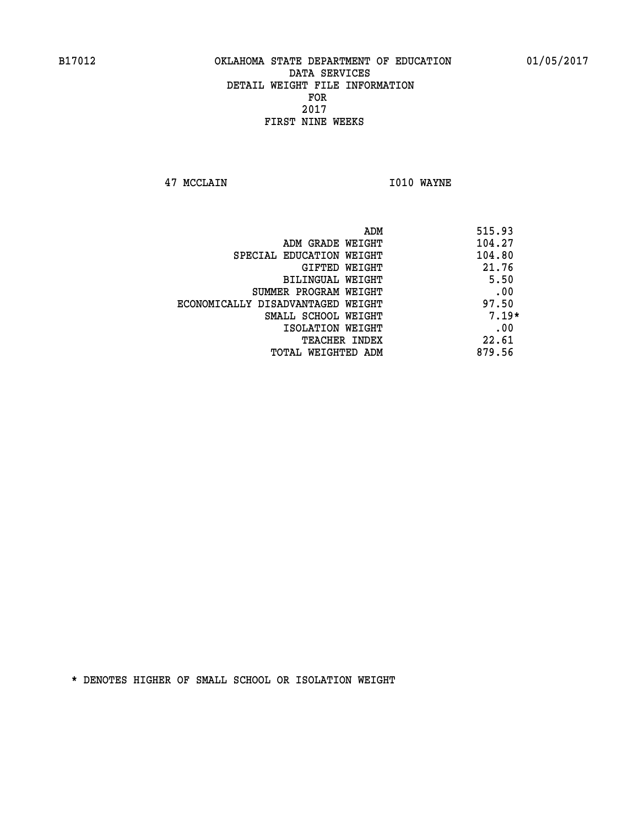**47 MCCLAIN I010 WAYNE** 

| ADM                               | 515.93  |
|-----------------------------------|---------|
| ADM GRADE WEIGHT                  | 104.27  |
| SPECIAL EDUCATION WEIGHT          | 104.80  |
| GIFTED WEIGHT                     | 21.76   |
| BILINGUAL WEIGHT                  | 5.50    |
| SUMMER PROGRAM WEIGHT             | .00     |
| ECONOMICALLY DISADVANTAGED WEIGHT | 97.50   |
| SMALL SCHOOL WEIGHT               | $7.19*$ |
| ISOLATION WEIGHT                  | .00     |
| <b>TEACHER INDEX</b>              | 22.61   |
| TOTAL WEIGHTED ADM                | 879.56  |
|                                   |         |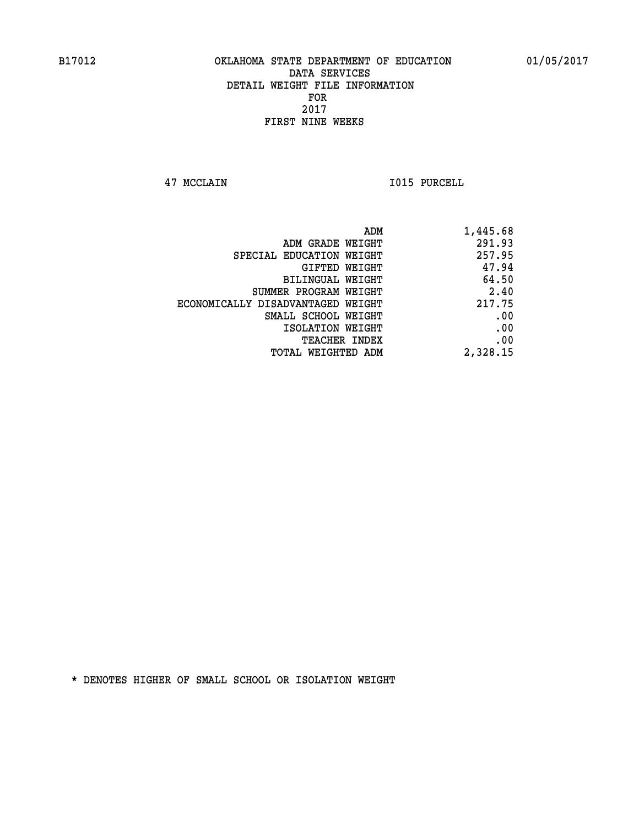**47 MCCLAIN I015 PURCELL** 

| 1,445.68 |
|----------|
| 291.93   |
| 257.95   |
| 47.94    |
| 64.50    |
| 2.40     |
| 217.75   |
| .00      |
| .00      |
| .00      |
| 2,328.15 |
|          |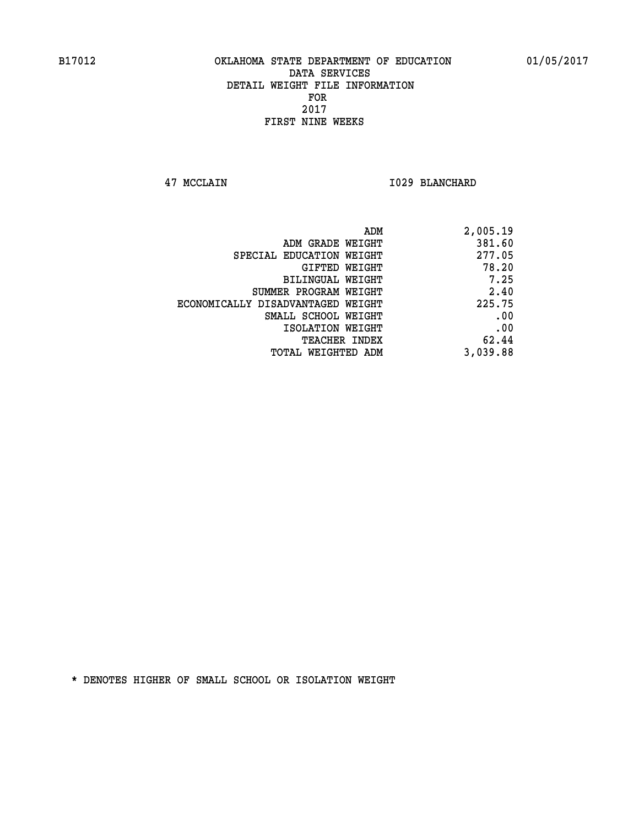**47 MCCLAIN I029 BLANCHARD** 

| 2,005.19 |
|----------|
| 381.60   |
| 277.05   |
| 78.20    |
| 7.25     |
| 2.40     |
| 225.75   |
| .00      |
| .00      |
| 62.44    |
| 3,039.88 |
|          |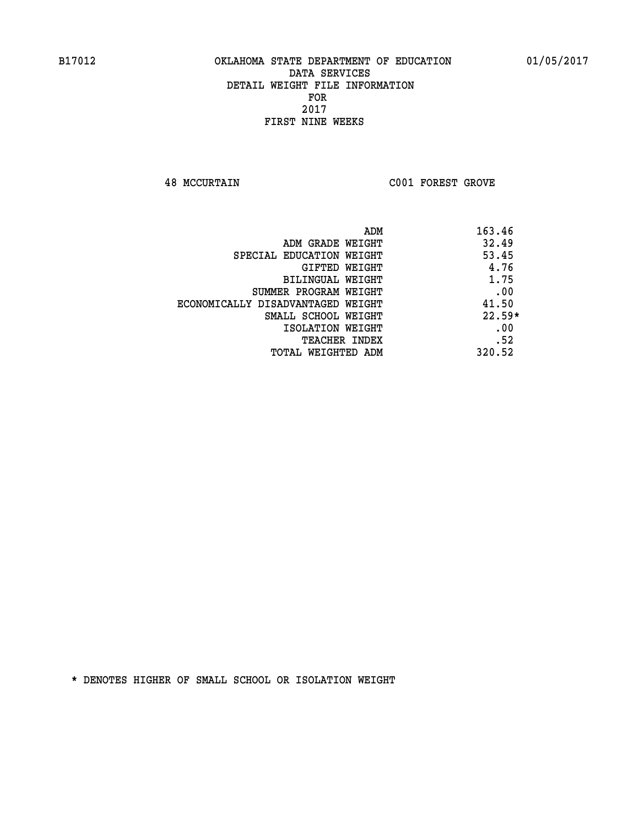**48 MCCURTAIN C001 FOREST GROVE** 

|                                   | ADM | 163.46   |
|-----------------------------------|-----|----------|
| ADM GRADE WEIGHT                  |     | 32.49    |
| SPECIAL EDUCATION WEIGHT          |     | 53.45    |
| GIFTED WEIGHT                     |     | 4.76     |
| BILINGUAL WEIGHT                  |     | 1.75     |
| SUMMER PROGRAM WEIGHT             |     | .00      |
| ECONOMICALLY DISADVANTAGED WEIGHT |     | 41.50    |
| SMALL SCHOOL WEIGHT               |     | $22.59*$ |
| ISOLATION WEIGHT                  |     | .00      |
| TEACHER INDEX                     |     | .52      |
| TOTAL WEIGHTED ADM                |     | 320.52   |
|                                   |     |          |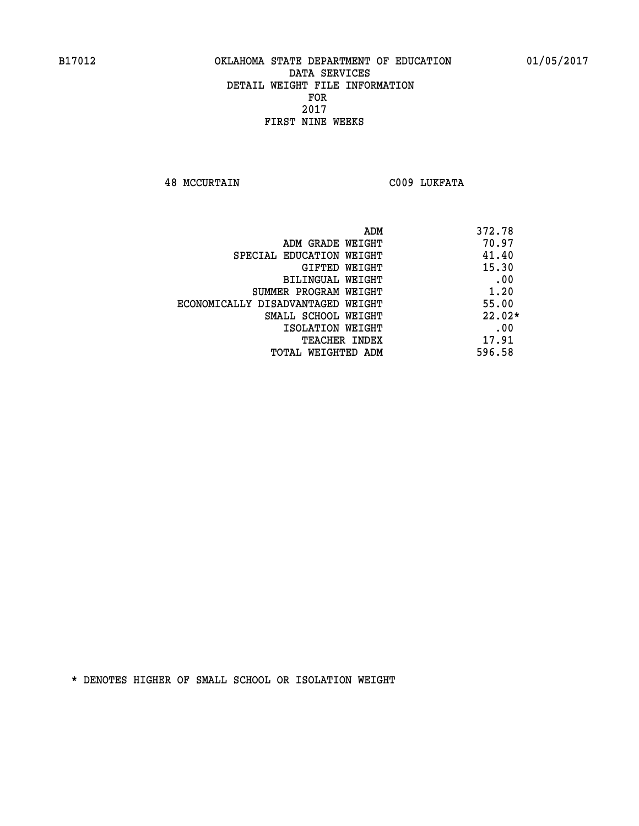**48 MCCURTAIN C009 LUKFATA** 

| ADM                               | 372.78   |
|-----------------------------------|----------|
| ADM GRADE WEIGHT                  | 70.97    |
| SPECIAL EDUCATION WEIGHT          | 41.40    |
| GIFTED WEIGHT                     | 15.30    |
| BILINGUAL WEIGHT                  | .00      |
| SUMMER PROGRAM WEIGHT             | 1.20     |
| ECONOMICALLY DISADVANTAGED WEIGHT | 55.00    |
| SMALL SCHOOL WEIGHT               | $22.02*$ |
| ISOLATION WEIGHT                  | .00      |
| <b>TEACHER INDEX</b>              | 17.91    |
| TOTAL WEIGHTED ADM                | 596.58   |
|                                   |          |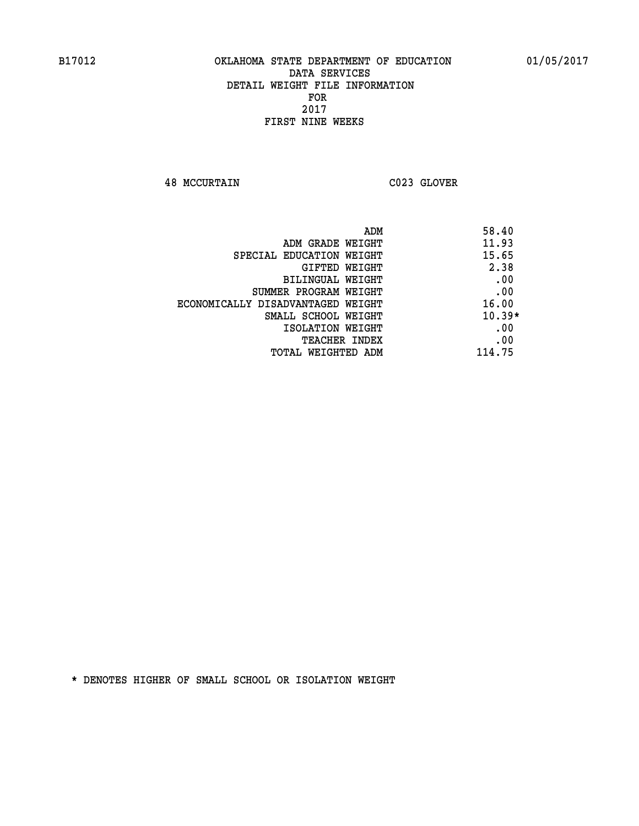**48 MCCURTAIN C023 GLOVER** 

| ADM                               | 58.40    |
|-----------------------------------|----------|
| ADM GRADE WEIGHT                  | 11.93    |
| SPECIAL EDUCATION WEIGHT          | 15.65    |
| GIFTED WEIGHT                     | 2.38     |
| BILINGUAL WEIGHT                  | .00      |
| SUMMER PROGRAM WEIGHT             | .00      |
| ECONOMICALLY DISADVANTAGED WEIGHT | 16.00    |
| SMALL SCHOOL WEIGHT               | $10.39*$ |
| ISOLATION WEIGHT                  | .00      |
| TEACHER INDEX                     | .00      |
| TOTAL WEIGHTED ADM                | 114.75   |
|                                   |          |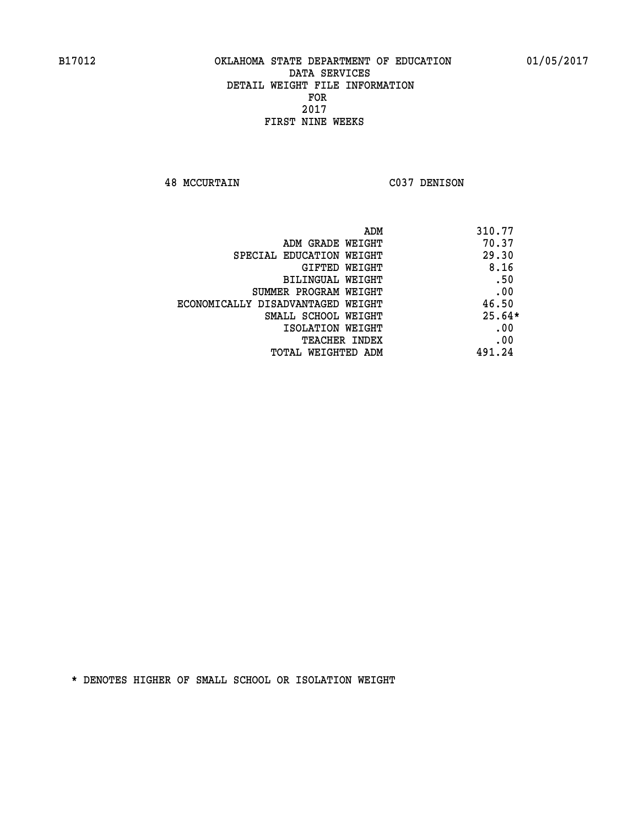**48 MCCURTAIN C037 DENISON** 

| ADM                               | 310.77   |
|-----------------------------------|----------|
| ADM GRADE WEIGHT                  | 70.37    |
| SPECIAL EDUCATION WEIGHT          | 29.30    |
| <b>GIFTED WEIGHT</b>              | 8.16     |
| BILINGUAL WEIGHT                  | .50      |
| SUMMER PROGRAM WEIGHT             | .00      |
| ECONOMICALLY DISADVANTAGED WEIGHT | 46.50    |
| SMALL SCHOOL WEIGHT               | $25.64*$ |
| ISOLATION WEIGHT                  | .00      |
| <b>TEACHER INDEX</b>              | .00      |
| TOTAL WEIGHTED ADM                | 491.24   |
|                                   |          |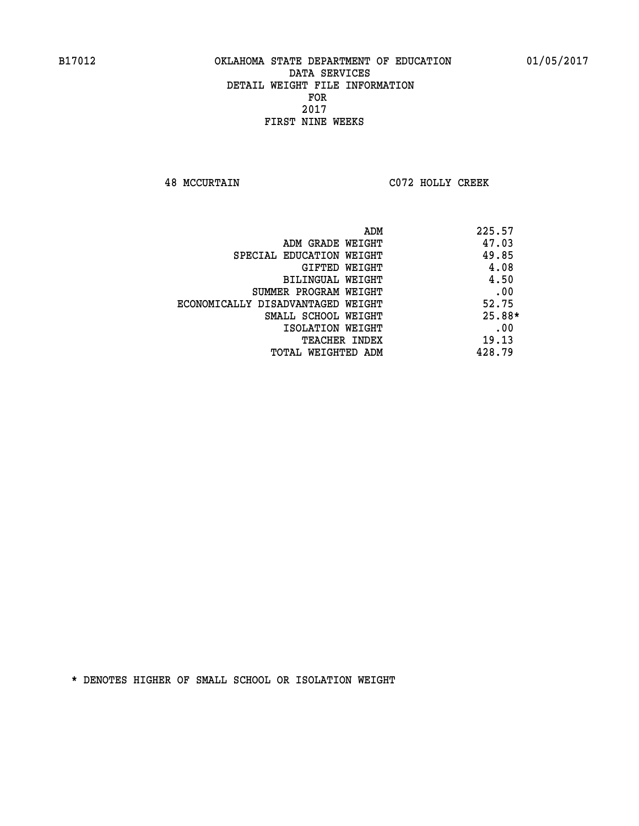**48 MCCURTAIN C072 HOLLY CREEK** 

| ADM                               | 225.57   |
|-----------------------------------|----------|
| ADM GRADE WEIGHT                  | 47.03    |
| SPECIAL EDUCATION WEIGHT          | 49.85    |
| GIFTED WEIGHT                     | 4.08     |
| BILINGUAL WEIGHT                  | 4.50     |
| SUMMER PROGRAM WEIGHT             | .00      |
| ECONOMICALLY DISADVANTAGED WEIGHT | 52.75    |
| SMALL SCHOOL WEIGHT               | $25.88*$ |
| ISOLATION WEIGHT                  | .00      |
| <b>TEACHER INDEX</b>              | 19.13    |
| TOTAL WEIGHTED ADM                | 428.79   |
|                                   |          |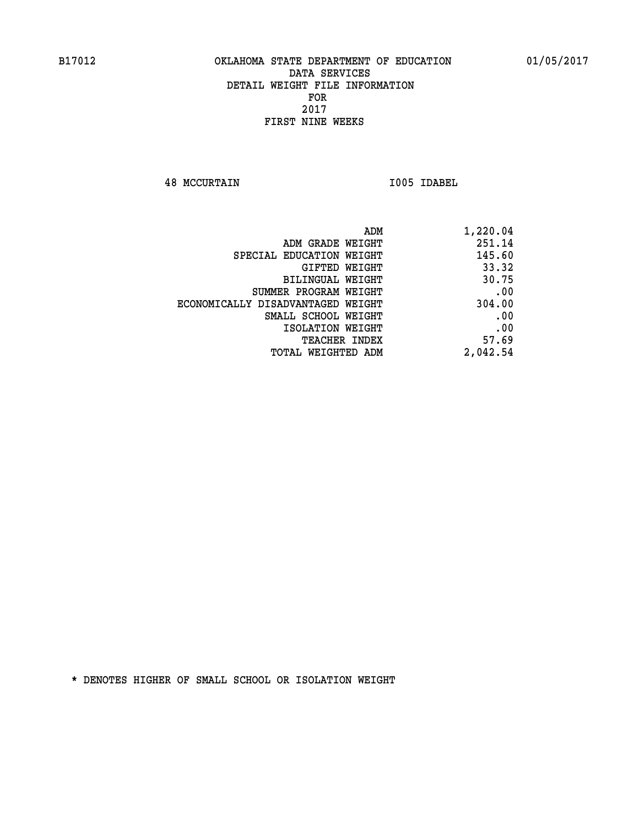**48 MCCURTAIN I005 IDABEL** 

| 1,220.04 |
|----------|
| 251.14   |
| 145.60   |
| 33.32    |
| 30.75    |
| .00      |
| 304.00   |
| .00      |
| .00      |
| 57.69    |
| 2,042.54 |
|          |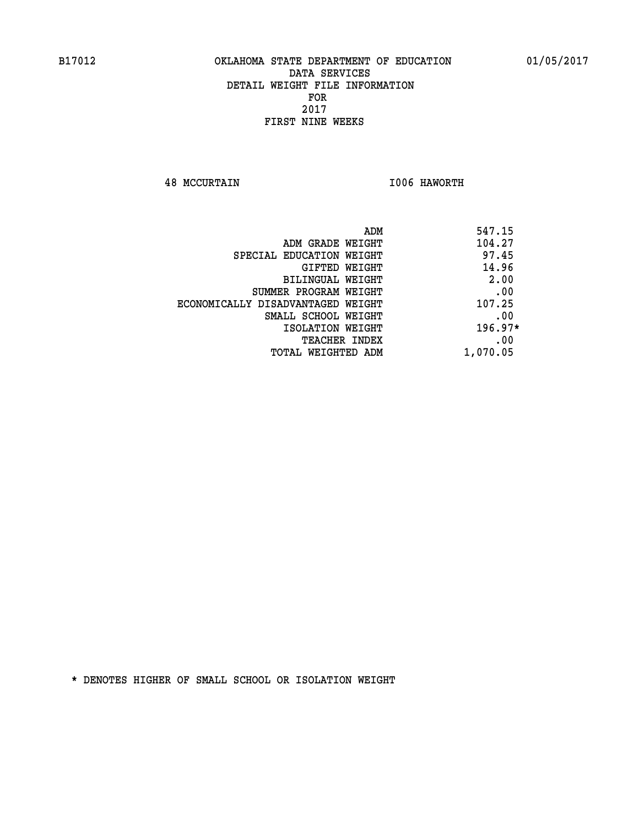**48 MCCURTAIN I006 HAWORTH** 

| 547.15   | ADM                               |
|----------|-----------------------------------|
| 104.27   | ADM GRADE WEIGHT                  |
| 97.45    | SPECIAL EDUCATION WEIGHT          |
| 14.96    | GIFTED WEIGHT                     |
| 2.00     | BILINGUAL WEIGHT                  |
| .00      | SUMMER PROGRAM WEIGHT             |
| 107.25   | ECONOMICALLY DISADVANTAGED WEIGHT |
| .00      | SMALL SCHOOL WEIGHT               |
| 196.97*  | ISOLATION WEIGHT                  |
| .00      | <b>TEACHER INDEX</b>              |
| 1,070.05 | TOTAL WEIGHTED ADM                |
|          |                                   |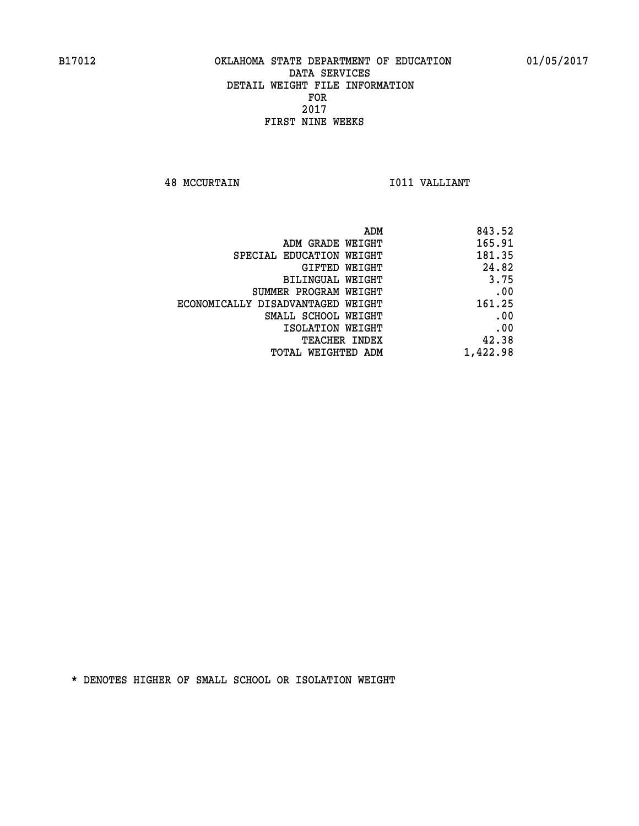**48 MCCURTAIN I011 VALLIANT** 

| 843.52   |
|----------|
| 165.91   |
| 181.35   |
| 24.82    |
| 3.75     |
| .00      |
| 161.25   |
| .00      |
| .00      |
| 42.38    |
| 1,422.98 |
|          |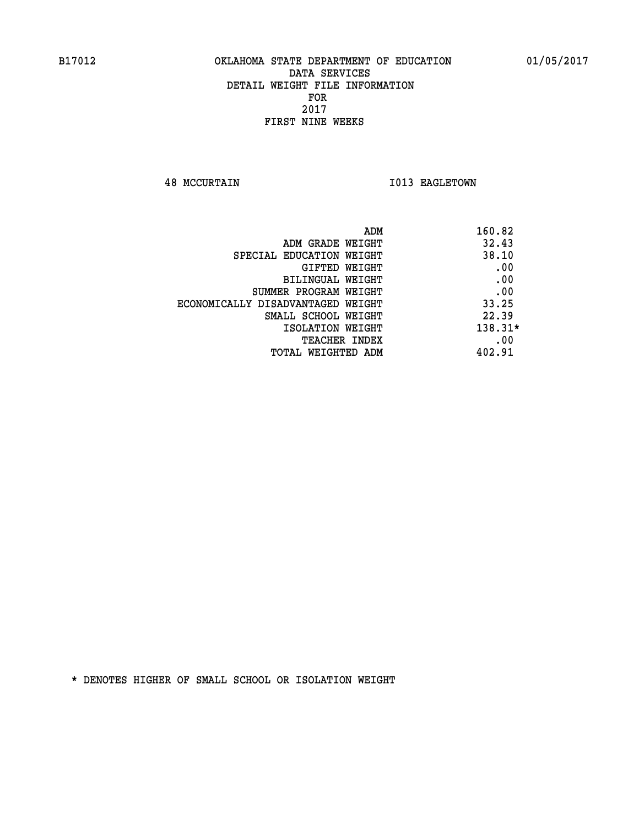**48 MCCURTAIN I013 EAGLETOWN** 

| ADM                               | 160.82    |
|-----------------------------------|-----------|
| ADM GRADE WEIGHT                  | 32.43     |
| SPECIAL EDUCATION WEIGHT          | 38.10     |
| GIFTED WEIGHT                     | .00       |
| BILINGUAL WEIGHT                  | .00       |
| SUMMER PROGRAM WEIGHT             | .00       |
| ECONOMICALLY DISADVANTAGED WEIGHT | 33.25     |
| SMALL SCHOOL WEIGHT               | 22.39     |
| ISOLATION WEIGHT                  | $138.31*$ |
| <b>TEACHER INDEX</b>              | .00       |
| TOTAL WEIGHTED ADM                | 402.91    |
|                                   |           |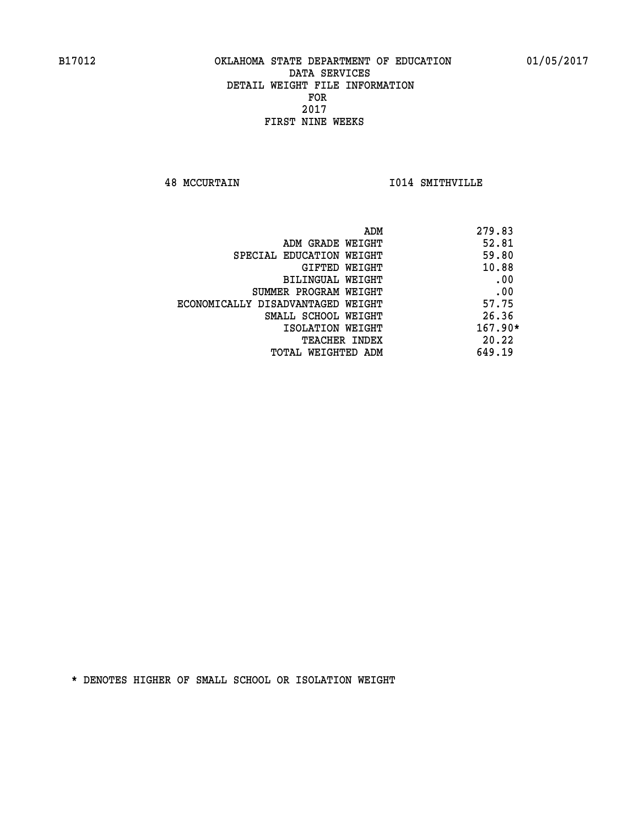**48 MCCURTAIN I014 SMITHVILLE** 

| 279.83<br>ADM                              |     |
|--------------------------------------------|-----|
| 52.81<br>ADM GRADE WEIGHT                  |     |
| 59.80<br>SPECIAL EDUCATION WEIGHT          |     |
| 10.88<br>GIFTED WEIGHT                     |     |
| BILINGUAL WEIGHT                           | .00 |
| SUMMER PROGRAM WEIGHT                      | .00 |
| 57.75<br>ECONOMICALLY DISADVANTAGED WEIGHT |     |
| 26.36<br>SMALL SCHOOL WEIGHT               |     |
| $167.90*$<br>ISOLATION WEIGHT              |     |
| 20.22<br>TEACHER INDEX                     |     |
| 649.19<br>TOTAL WEIGHTED ADM               |     |
|                                            |     |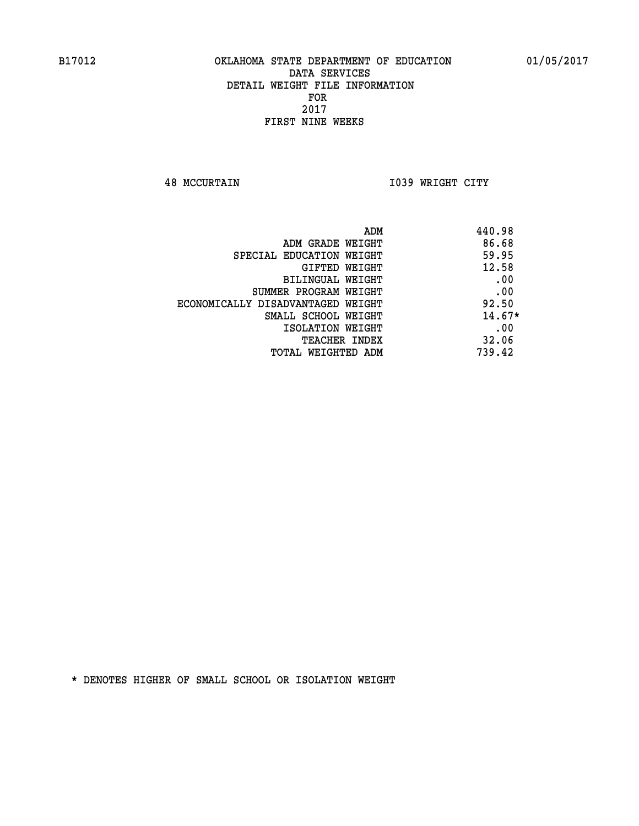**48 MCCURTAIN I039 WRIGHT CITY** 

| ADM                               | 440.98   |
|-----------------------------------|----------|
| ADM GRADE WEIGHT                  | 86.68    |
| SPECIAL EDUCATION WEIGHT          | 59.95    |
| GIFTED WEIGHT                     | 12.58    |
| BILINGUAL WEIGHT                  | .00      |
| SUMMER PROGRAM WEIGHT             | .00      |
| ECONOMICALLY DISADVANTAGED WEIGHT | 92.50    |
| SMALL SCHOOL WEIGHT               | $14.67*$ |
| ISOLATION WEIGHT                  | .00      |
| <b>TEACHER INDEX</b>              | 32.06    |
| TOTAL WEIGHTED ADM                | 739.42   |
|                                   |          |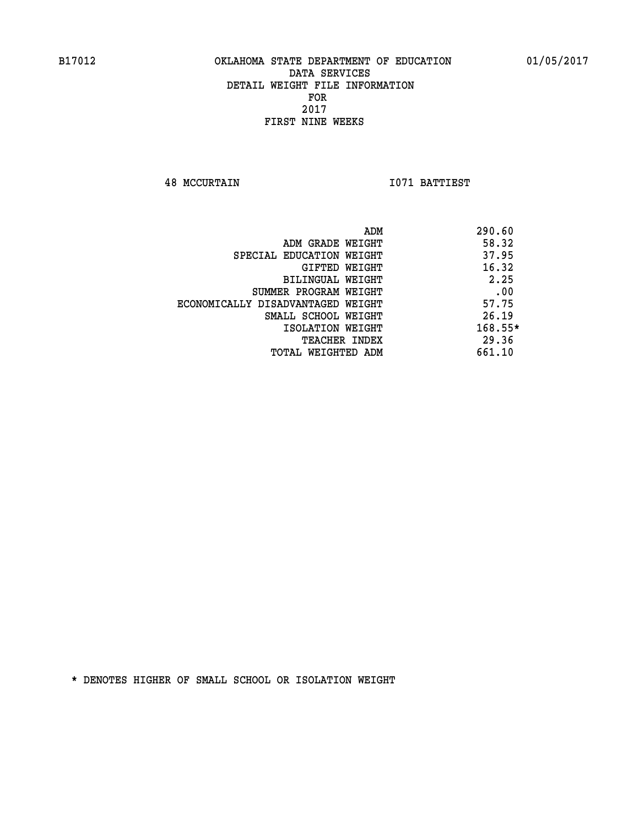**48 MCCURTAIN I071 BATTIEST** 

|                                   | ADM | 290.60    |
|-----------------------------------|-----|-----------|
| ADM GRADE WEIGHT                  |     | 58.32     |
| SPECIAL EDUCATION WEIGHT          |     | 37.95     |
| GIFTED WEIGHT                     |     | 16.32     |
| BILINGUAL WEIGHT                  |     | 2.25      |
| SUMMER PROGRAM WEIGHT             |     | .00       |
| ECONOMICALLY DISADVANTAGED WEIGHT |     | 57.75     |
| SMALL SCHOOL WEIGHT               |     | 26.19     |
| ISOLATION WEIGHT                  |     | $168.55*$ |
| TEACHER INDEX                     |     | 29.36     |
| TOTAL WEIGHTED ADM                |     | 661.10    |
|                                   |     |           |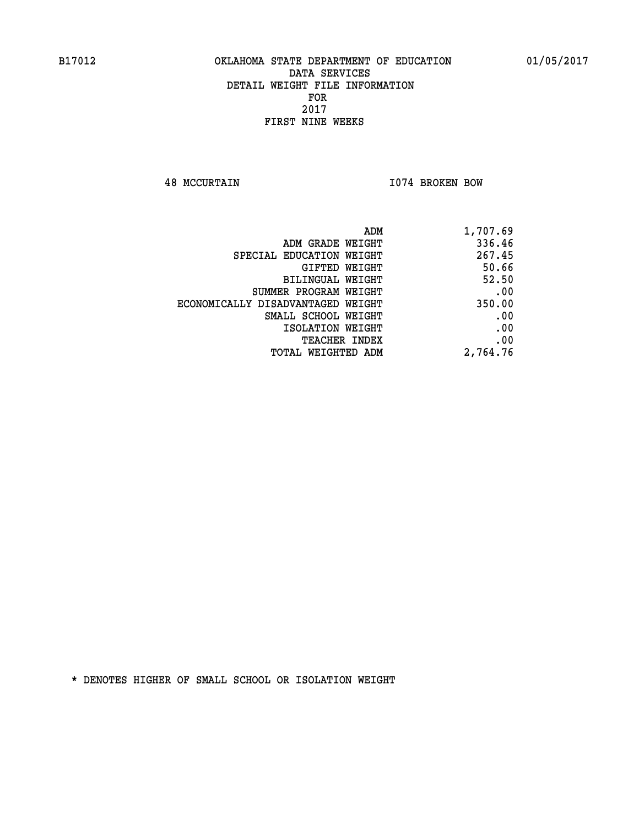**48 MCCURTAIN I074 BROKEN BOW** 

| 1,707.69 |
|----------|
| 336.46   |
| 267.45   |
| 50.66    |
| 52.50    |
| .00      |
| 350.00   |
| .00      |
| .00      |
| .00      |
| 2,764.76 |
|          |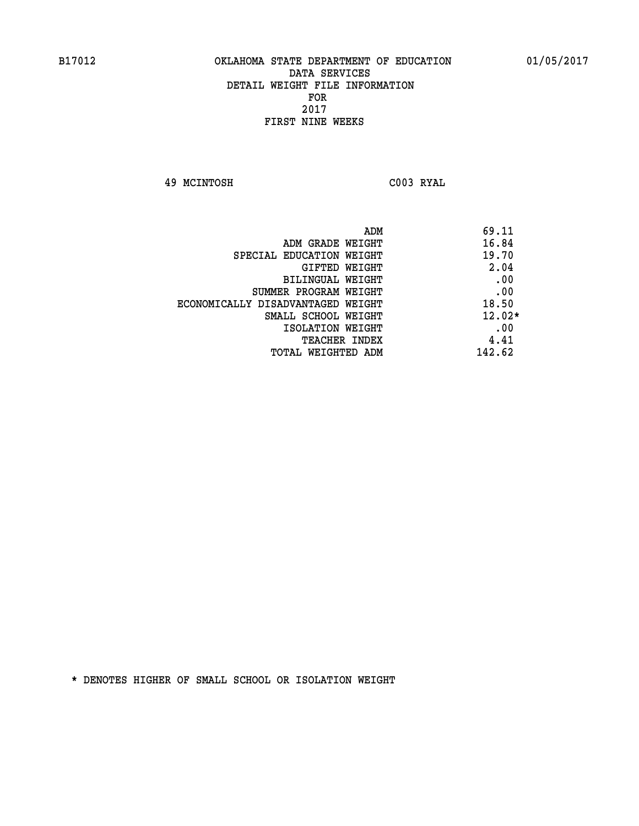**49 MCINTOSH C003 RYAL** 

|                                   | ADM | 69.11    |
|-----------------------------------|-----|----------|
| ADM GRADE WEIGHT                  |     | 16.84    |
| SPECIAL EDUCATION WEIGHT          |     | 19.70    |
| GIFTED WEIGHT                     |     | 2.04     |
| BILINGUAL WEIGHT                  |     | .00      |
| SUMMER PROGRAM WEIGHT             |     | .00      |
| ECONOMICALLY DISADVANTAGED WEIGHT |     | 18.50    |
| SMALL SCHOOL WEIGHT               |     | $12.02*$ |
| ISOLATION WEIGHT                  |     | .00      |
| <b>TEACHER INDEX</b>              |     | 4.41     |
| TOTAL WEIGHTED ADM                |     | 142.62   |
|                                   |     |          |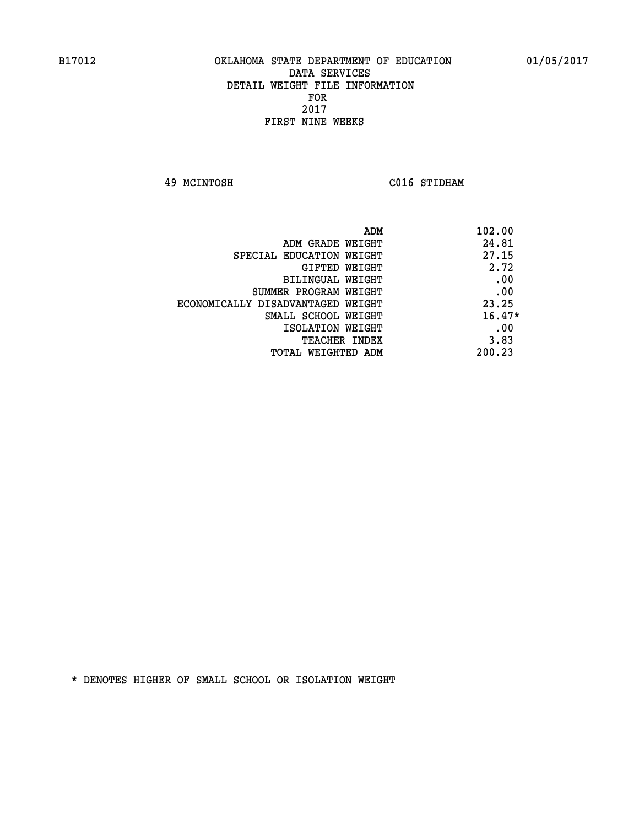**49 MCINTOSH C016 STIDHAM** 

| 102.00<br>ADM                              |  |
|--------------------------------------------|--|
| 24.81<br>ADM GRADE WEIGHT                  |  |
| 27.15<br>SPECIAL EDUCATION WEIGHT          |  |
| 2.72<br>GIFTED WEIGHT                      |  |
| .00<br>BILINGUAL WEIGHT                    |  |
| .00<br>SUMMER PROGRAM WEIGHT               |  |
| 23.25<br>ECONOMICALLY DISADVANTAGED WEIGHT |  |
| $16.47*$<br>SMALL SCHOOL WEIGHT            |  |
| .00<br>ISOLATION WEIGHT                    |  |
| 3.83<br><b>TEACHER INDEX</b>               |  |
| 200.23<br>TOTAL WEIGHTED ADM               |  |
|                                            |  |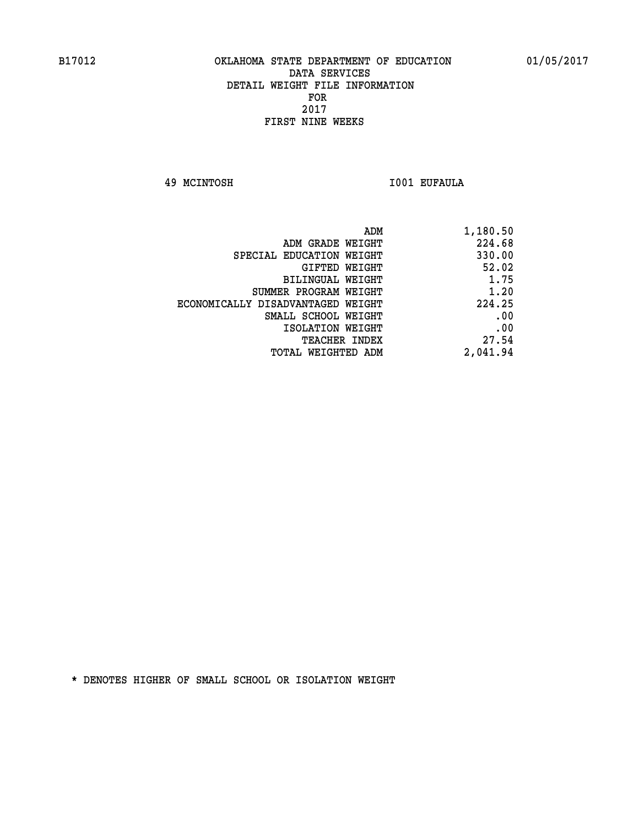**49 MCINTOSH I001 EUFAULA** 

| 1,180.50 |
|----------|
| 224.68   |
| 330.00   |
| 52.02    |
| 1.75     |
| 1.20     |
| 224.25   |
| .00      |
| .00      |
| 27.54    |
| 2,041.94 |
|          |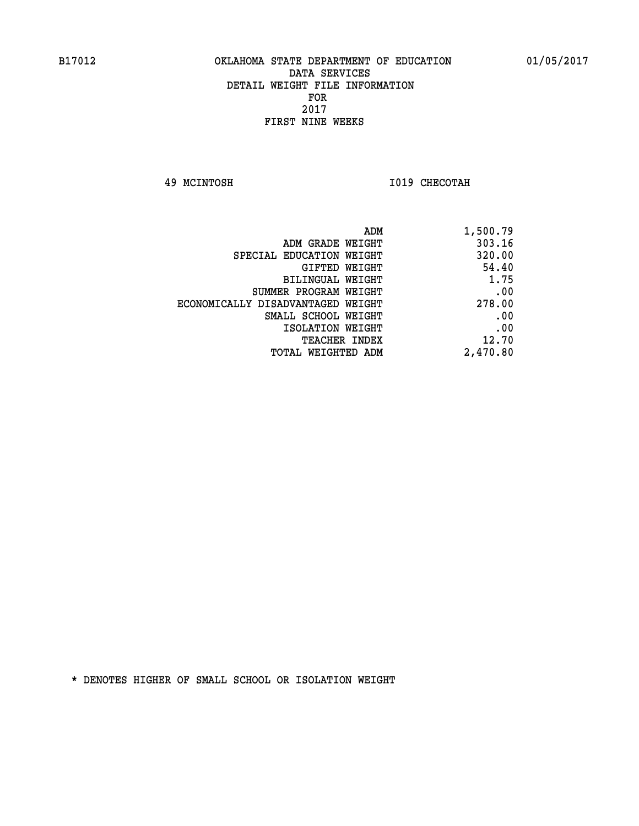**49 MCINTOSH I019 CHECOTAH** 

| 1,500.79 |
|----------|
| 303.16   |
| 320.00   |
| 54.40    |
| 1.75     |
| .00      |
| 278.00   |
| .00      |
| .00      |
| 12.70    |
| 2,470.80 |
|          |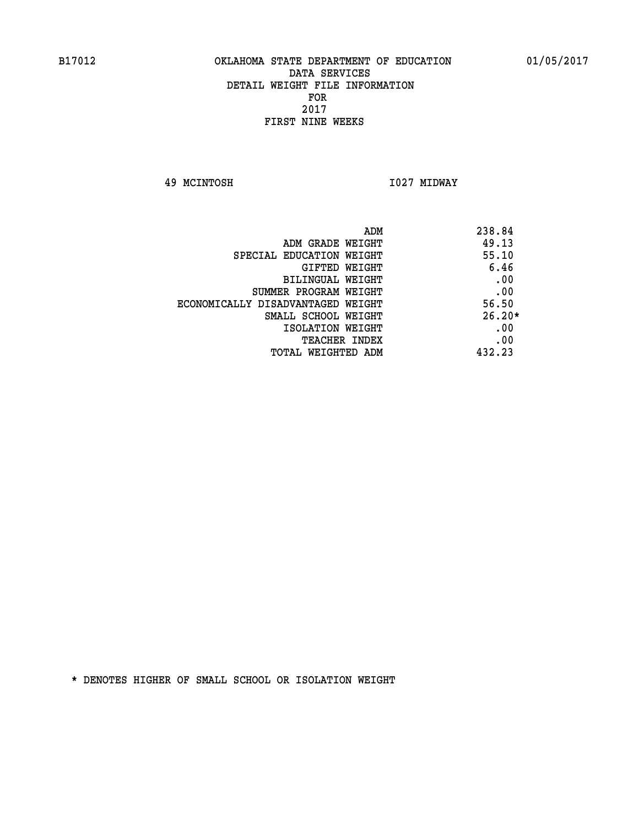**49 MCINTOSH I027 MIDWAY** 

| ADM<br>238.84                              |  |
|--------------------------------------------|--|
| 49.13<br>ADM GRADE WEIGHT                  |  |
| 55.10<br>SPECIAL EDUCATION WEIGHT          |  |
| 6.46<br><b>GIFTED WEIGHT</b>               |  |
| .00<br>BILINGUAL WEIGHT                    |  |
| .00<br>SUMMER PROGRAM WEIGHT               |  |
| 56.50<br>ECONOMICALLY DISADVANTAGED WEIGHT |  |
| $26.20*$<br>SMALL SCHOOL WEIGHT            |  |
| .00<br>ISOLATION WEIGHT                    |  |
| .00<br><b>TEACHER INDEX</b>                |  |
| 432.23<br>TOTAL WEIGHTED ADM               |  |
|                                            |  |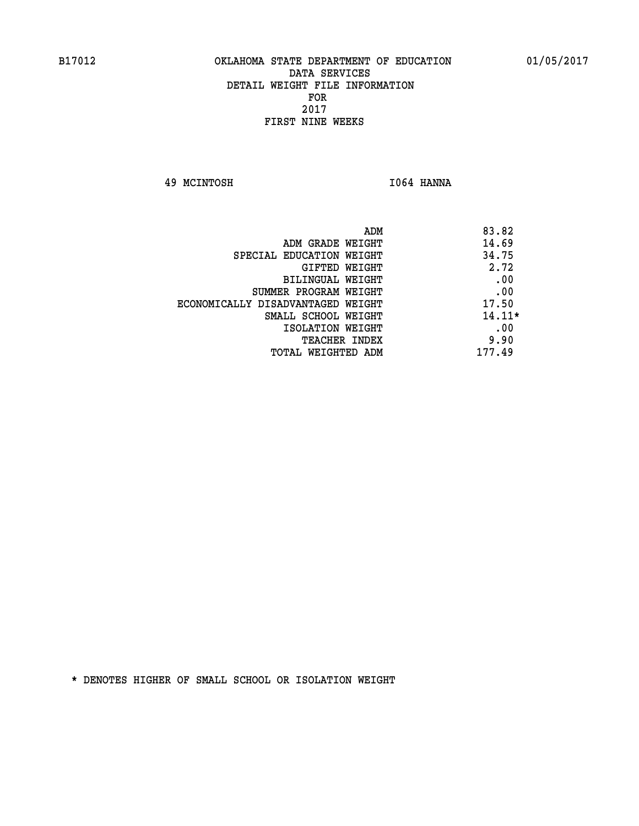**49 MCINTOSH I064 HANNA** 

| ADM                               | 83.82    |
|-----------------------------------|----------|
| ADM GRADE WEIGHT                  | 14.69    |
| SPECIAL EDUCATION WEIGHT          | 34.75    |
| GIFTED WEIGHT                     | 2.72     |
| BILINGUAL WEIGHT                  | .00      |
| SUMMER PROGRAM WEIGHT             | .00      |
| ECONOMICALLY DISADVANTAGED WEIGHT | 17.50    |
| SMALL SCHOOL WEIGHT               | $14.11*$ |
| ISOLATION WEIGHT                  | .00      |
| <b>TEACHER INDEX</b>              | 9.90     |
| TOTAL WEIGHTED ADM                | 177.49   |
|                                   |          |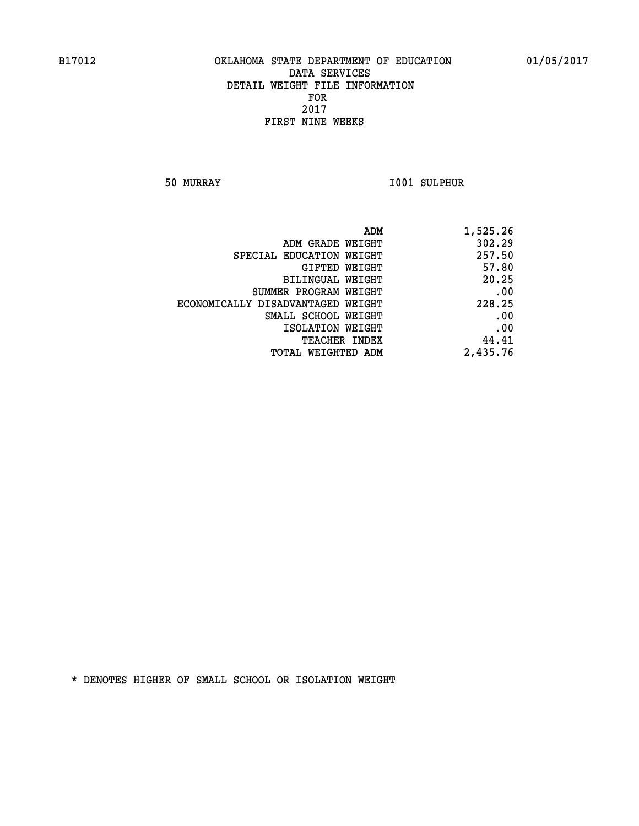**50 MURRAY I001 SULPHUR** 

| 1,525.26 |
|----------|
| 302.29   |
| 257.50   |
| 57.80    |
| 20.25    |
| .00      |
| 228.25   |
| .00      |
| .00      |
| 44.41    |
| 2,435.76 |
|          |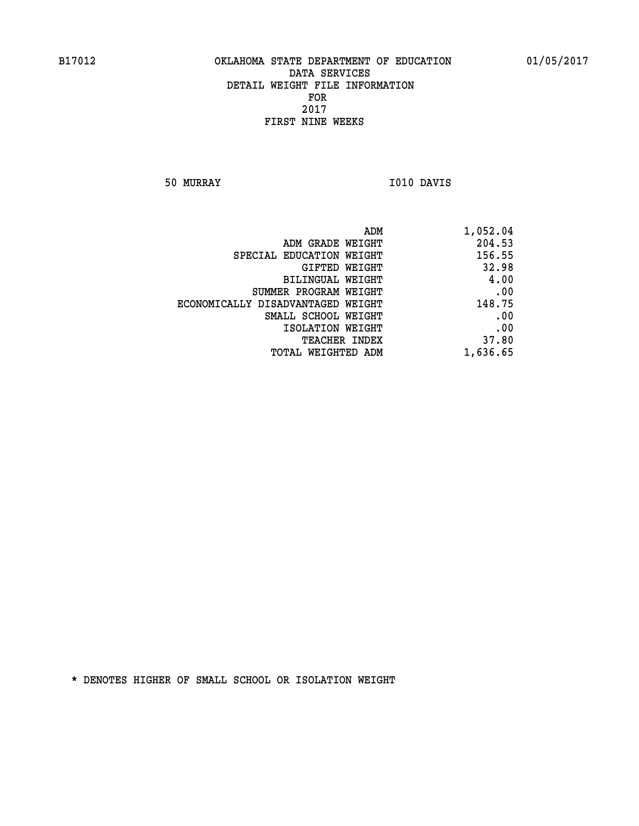**50 MURRAY I010 DAVIS** 

| 1,052.04 |
|----------|
| 204.53   |
| 156.55   |
| 32.98    |
| 4.00     |
| .00      |
| 148.75   |
| .00      |
| .00      |
| 37.80    |
| 1,636.65 |
|          |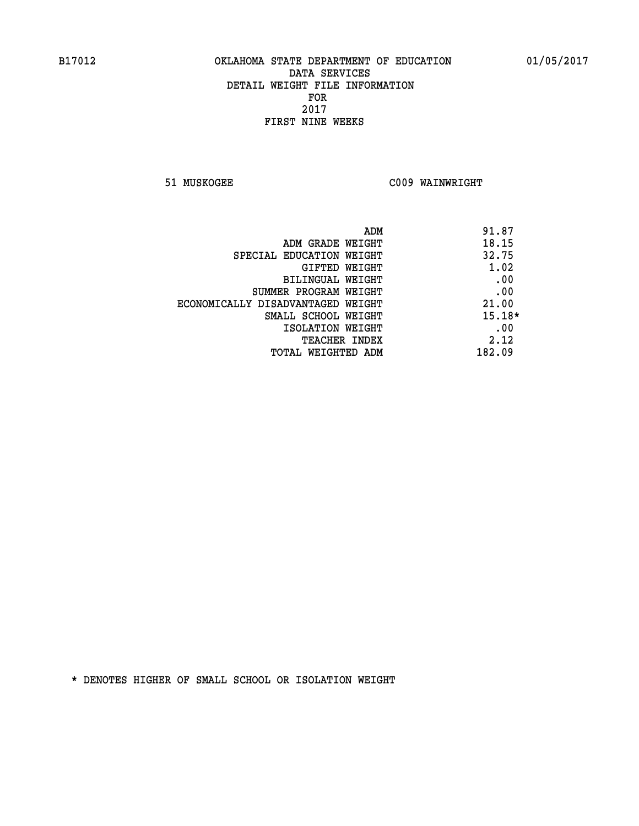**51 MUSKOGEE C009 WAINWRIGHT** 

| ADM                               | 91.87    |
|-----------------------------------|----------|
| ADM GRADE WEIGHT                  | 18.15    |
| SPECIAL EDUCATION WEIGHT          | 32.75    |
| GIFTED WEIGHT                     | 1.02     |
| BILINGUAL WEIGHT                  | .00      |
| SUMMER PROGRAM WEIGHT             | .00      |
| ECONOMICALLY DISADVANTAGED WEIGHT | 21.00    |
| SMALL SCHOOL WEIGHT               | $15.18*$ |
| ISOLATION WEIGHT                  | .00      |
| <b>TEACHER INDEX</b>              | 2.12     |
| TOTAL WEIGHTED ADM                | 182.09   |
|                                   |          |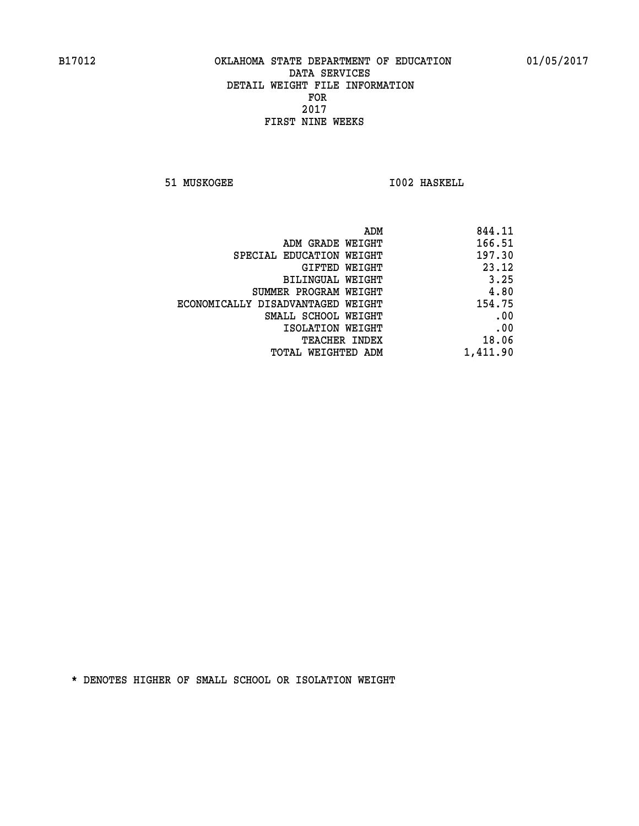**51 MUSKOGEE 1002 HASKELL** 

| 844.11   |
|----------|
| 166.51   |
| 197.30   |
| 23.12    |
| 3.25     |
| 4.80     |
| 154.75   |
| .00      |
| .00      |
| 18.06    |
| 1,411.90 |
|          |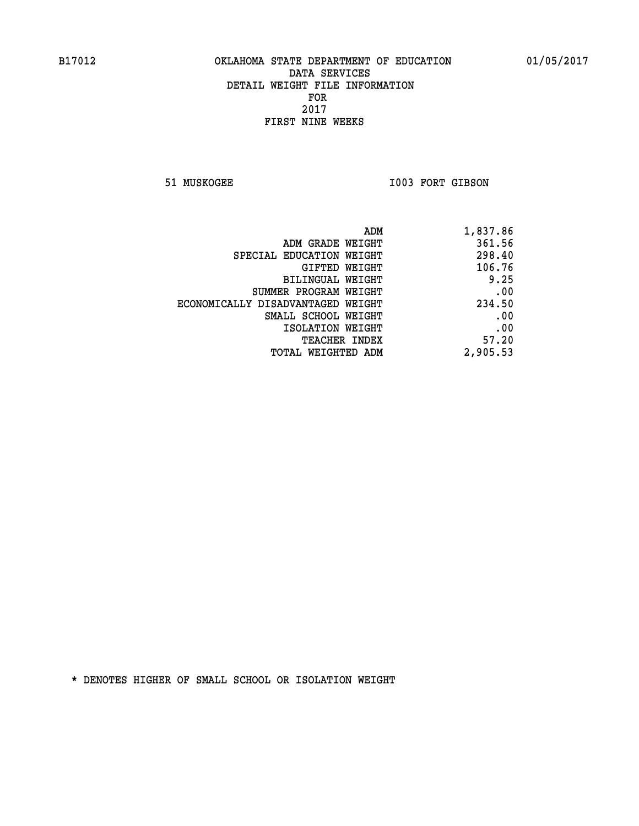51 MUSKOGEE 1003 FORT GIBSON

| ADM                               | 1,837.86 |
|-----------------------------------|----------|
| ADM GRADE WEIGHT                  | 361.56   |
| SPECIAL EDUCATION WEIGHT          | 298.40   |
| GIFTED WEIGHT                     | 106.76   |
| BILINGUAL WEIGHT                  | 9.25     |
| SUMMER PROGRAM WEIGHT             | .00      |
| ECONOMICALLY DISADVANTAGED WEIGHT | 234.50   |
| SMALL SCHOOL WEIGHT               | .00      |
| ISOLATION WEIGHT                  | .00      |
| <b>TEACHER INDEX</b>              | 57.20    |
| TOTAL WEIGHTED ADM                | 2,905.53 |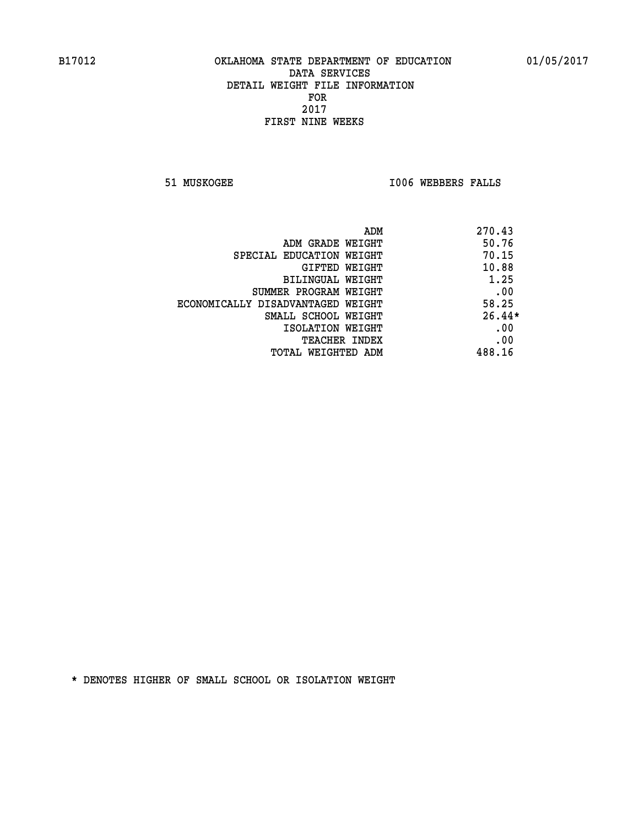**51 MUSKOGEE I006 WEBBERS FALLS** 

|                                   | 270.43<br>ADM |
|-----------------------------------|---------------|
| ADM GRADE WEIGHT                  | 50.76         |
| SPECIAL EDUCATION WEIGHT          | 70.15         |
| GIFTED WEIGHT                     | 10.88         |
| BILINGUAL WEIGHT                  | 1.25          |
| SUMMER PROGRAM WEIGHT             | .00           |
| ECONOMICALLY DISADVANTAGED WEIGHT | 58.25         |
| SMALL SCHOOL WEIGHT               | $26.44*$      |
| ISOLATION WEIGHT                  | .00           |
| <b>TEACHER INDEX</b>              | .00           |
| TOTAL WEIGHTED ADM                | 488.16        |
|                                   |               |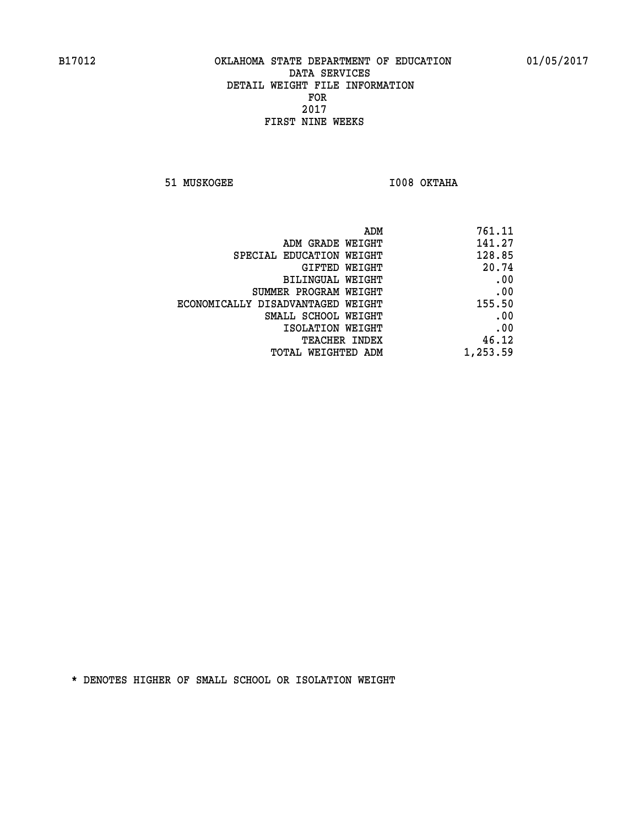**51 MUSKOGEE I008 OKTAHA** 

| ADM                               | 761.11   |
|-----------------------------------|----------|
| ADM GRADE WEIGHT                  | 141.27   |
| SPECIAL EDUCATION WEIGHT          | 128.85   |
| GIFTED WEIGHT                     | 20.74    |
| BILINGUAL WEIGHT                  | .00      |
| SUMMER PROGRAM WEIGHT             | .00      |
| ECONOMICALLY DISADVANTAGED WEIGHT | 155.50   |
| SMALL SCHOOL WEIGHT               | .00      |
| ISOLATION WEIGHT                  | .00      |
| <b>TEACHER INDEX</b>              | 46.12    |
| TOTAL WEIGHTED ADM                | 1,253.59 |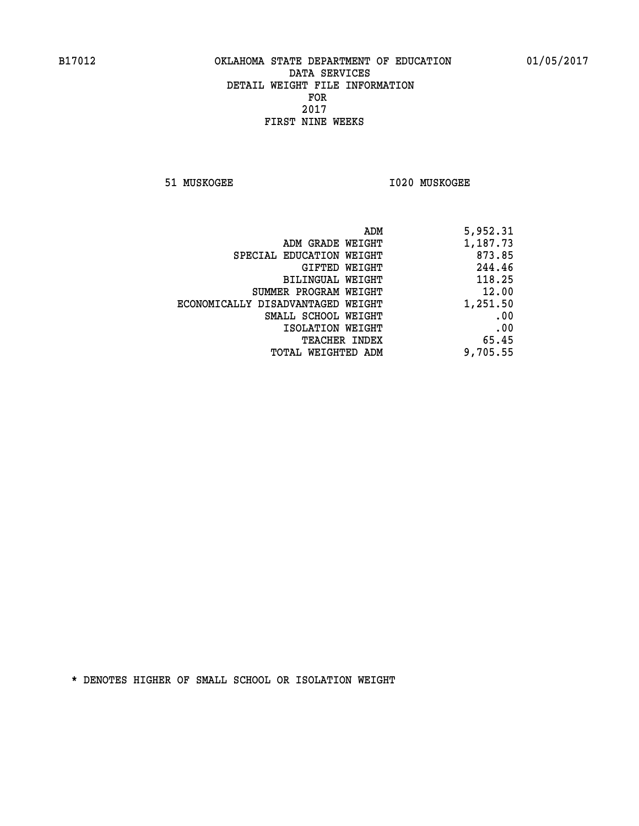**51 MUSKOGEE I020 MUSKOGEE** 

|                                   | 5,952.31<br>ADM |
|-----------------------------------|-----------------|
| ADM GRADE WEIGHT                  | 1,187.73        |
| SPECIAL EDUCATION WEIGHT          | 873.85          |
| GIFTED WEIGHT                     | 244.46          |
| BILINGUAL WEIGHT                  | 118.25          |
| SUMMER PROGRAM WEIGHT             | 12.00           |
| ECONOMICALLY DISADVANTAGED WEIGHT | 1,251.50        |
| SMALL SCHOOL WEIGHT               | .00             |
| ISOLATION WEIGHT                  | .00             |
| TEACHER INDEX                     | 65.45           |
| TOTAL WEIGHTED ADM                | 9,705.55        |
|                                   |                 |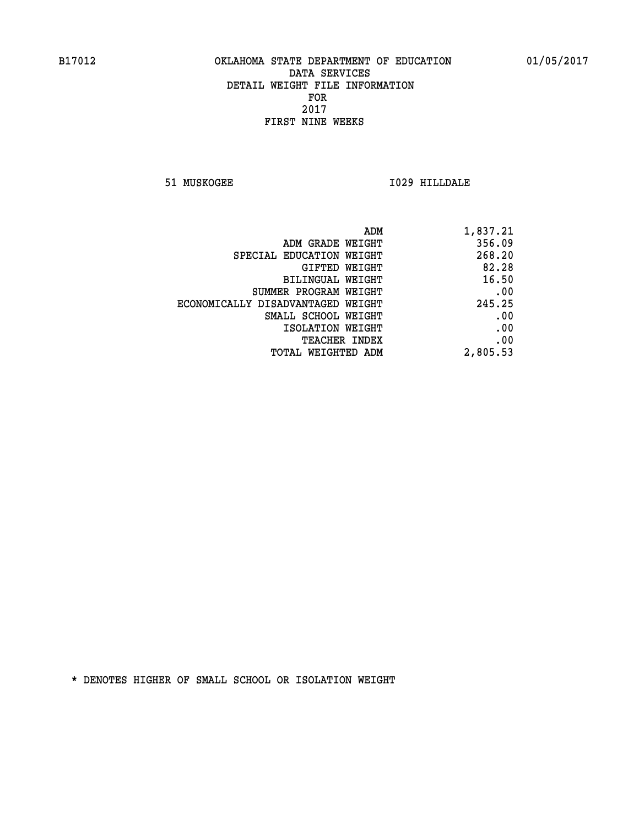**51 MUSKOGEE I029 HILLDALE** 

| ADM                               | 1,837.21 |
|-----------------------------------|----------|
| ADM GRADE WEIGHT                  | 356.09   |
| SPECIAL EDUCATION WEIGHT          | 268.20   |
| GIFTED WEIGHT                     | 82.28    |
| <b>BILINGUAL WEIGHT</b>           | 16.50    |
| SUMMER PROGRAM WEIGHT             | .00      |
| ECONOMICALLY DISADVANTAGED WEIGHT | 245.25   |
| SMALL SCHOOL WEIGHT               | .00      |
| ISOLATION WEIGHT                  | .00      |
| TEACHER INDEX                     | .00      |
| TOTAL WEIGHTED ADM                | 2,805.53 |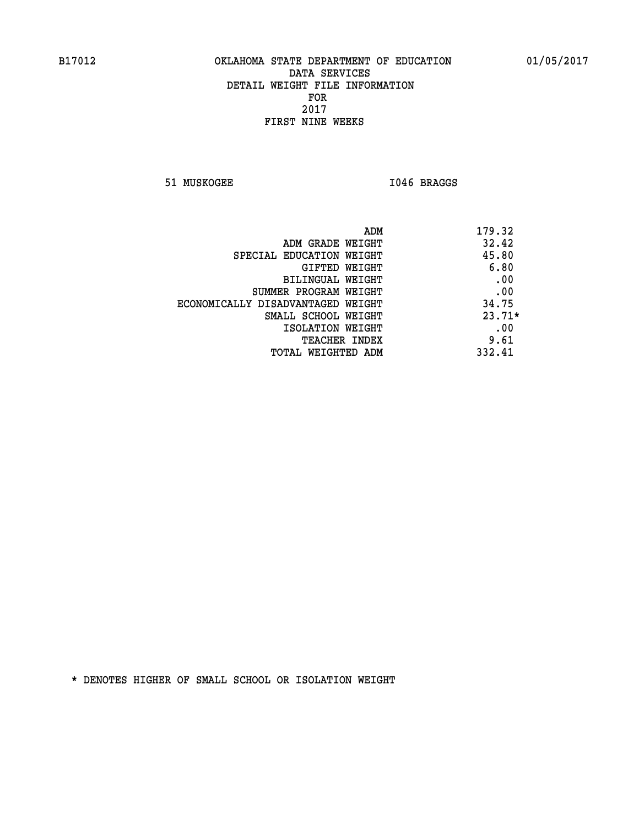51 MUSKOGEE 1046 BRAGGS

| ADM                               | 179.32   |
|-----------------------------------|----------|
| ADM GRADE WEIGHT                  | 32.42    |
| SPECIAL EDUCATION WEIGHT          | 45.80    |
| GIFTED WEIGHT                     | 6.80     |
| BILINGUAL WEIGHT                  | .00      |
| SUMMER PROGRAM WEIGHT             | .00      |
| ECONOMICALLY DISADVANTAGED WEIGHT | 34.75    |
| SMALL SCHOOL WEIGHT               | $23.71*$ |
| ISOLATION WEIGHT                  | .00      |
| <b>TEACHER INDEX</b>              | 9.61     |
| TOTAL WEIGHTED ADM                | 332.41   |
|                                   |          |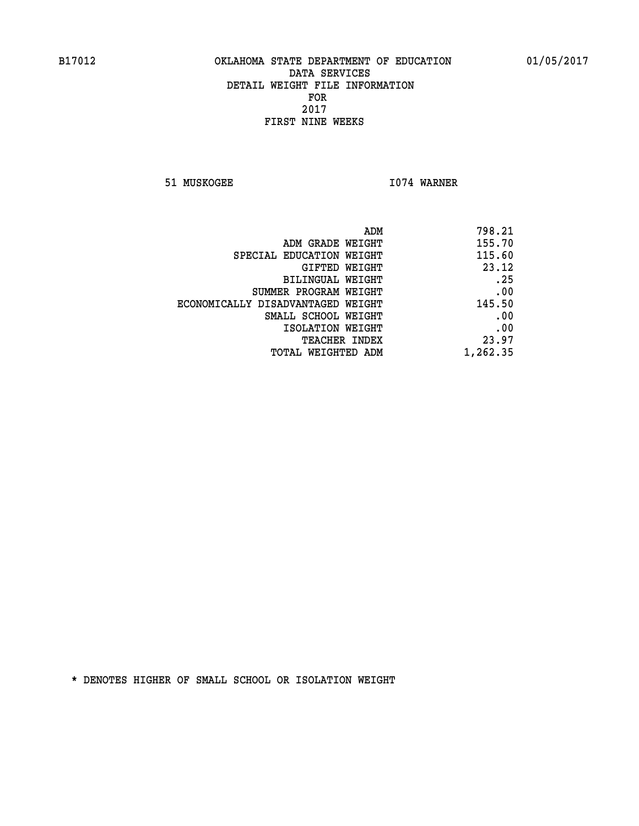**51 MUSKOGEE 1074 WARNER** 

| 798.21   |
|----------|
| 155.70   |
| 115.60   |
| 23.12    |
| .25      |
| .00      |
| 145.50   |
| .00      |
| .00      |
| 23.97    |
| 1,262.35 |
|          |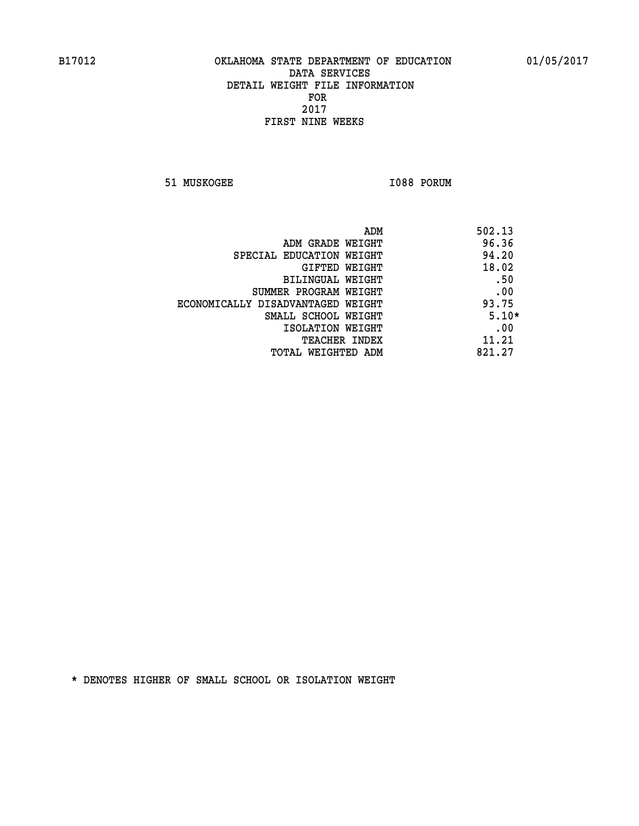**51 MUSKOGEE 1088 PORUM** 

| ADM                               | 502.13  |
|-----------------------------------|---------|
| ADM GRADE WEIGHT                  | 96.36   |
| SPECIAL EDUCATION WEIGHT          | 94.20   |
| GIFTED WEIGHT                     | 18.02   |
| BILINGUAL WEIGHT                  | .50     |
| SUMMER PROGRAM WEIGHT             | .00     |
| ECONOMICALLY DISADVANTAGED WEIGHT | 93.75   |
| SMALL SCHOOL WEIGHT               | $5.10*$ |
| ISOLATION WEIGHT                  | .00     |
| <b>TEACHER INDEX</b>              | 11.21   |
| TOTAL WEIGHTED ADM                | 821.27  |
|                                   |         |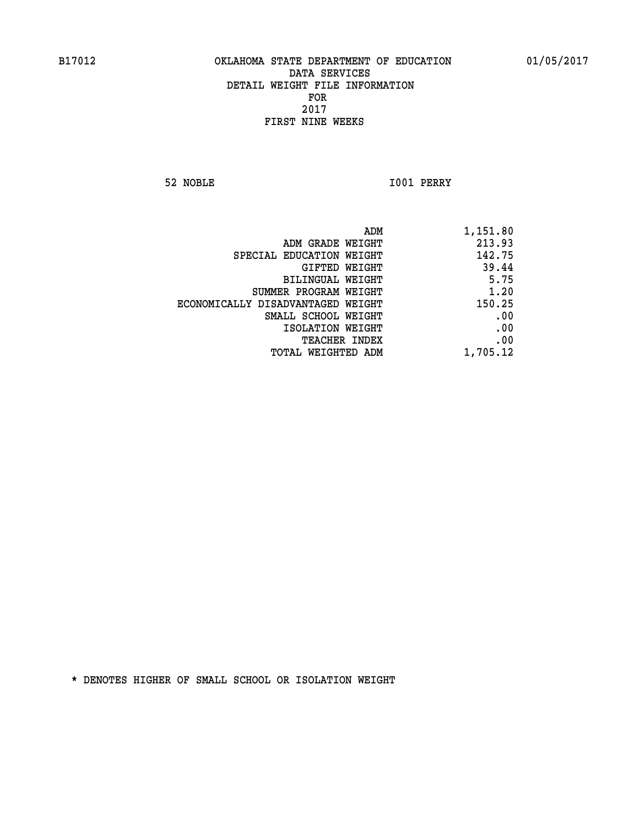**52 NOBLE I001 PERRY** 

|                                   | ADM<br>1,151.80 |  |
|-----------------------------------|-----------------|--|
| ADM GRADE WEIGHT                  | 213.93          |  |
| SPECIAL EDUCATION WEIGHT          | 142.75          |  |
| <b>GIFTED WEIGHT</b>              | 39.44           |  |
| <b>BILINGUAL WEIGHT</b>           | 5.75            |  |
| SUMMER PROGRAM WEIGHT             | 1.20            |  |
| ECONOMICALLY DISADVANTAGED WEIGHT | 150.25          |  |
| SMALL SCHOOL WEIGHT               | .00             |  |
| ISOLATION WEIGHT                  | .00             |  |
| TEACHER INDEX                     | .00             |  |
| TOTAL WEIGHTED ADM                | 1,705.12        |  |
|                                   |                 |  |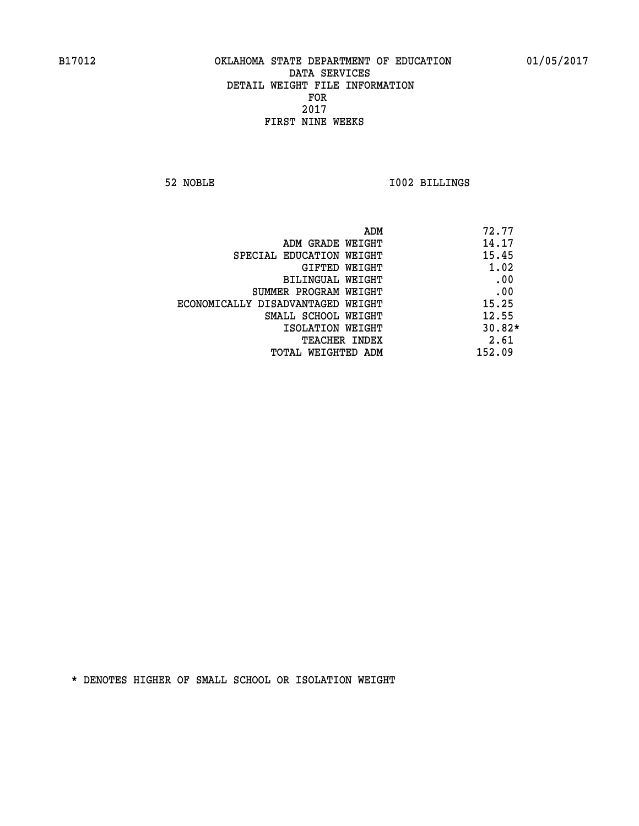**52 NOBLE I002 BILLINGS** 

|                                   | ADM | 72.77    |
|-----------------------------------|-----|----------|
| ADM GRADE WEIGHT                  |     | 14.17    |
| SPECIAL EDUCATION WEIGHT          |     | 15.45    |
| GIFTED WEIGHT                     |     | 1.02     |
| BILINGUAL WEIGHT                  |     | .00      |
| SUMMER PROGRAM WEIGHT             |     | .00      |
| ECONOMICALLY DISADVANTAGED WEIGHT |     | 15.25    |
| SMALL SCHOOL WEIGHT               |     | 12.55    |
| ISOLATION WEIGHT                  |     | $30.82*$ |
| <b>TEACHER INDEX</b>              |     | 2.61     |
| TOTAL WEIGHTED ADM                |     | 152.09   |
|                                   |     |          |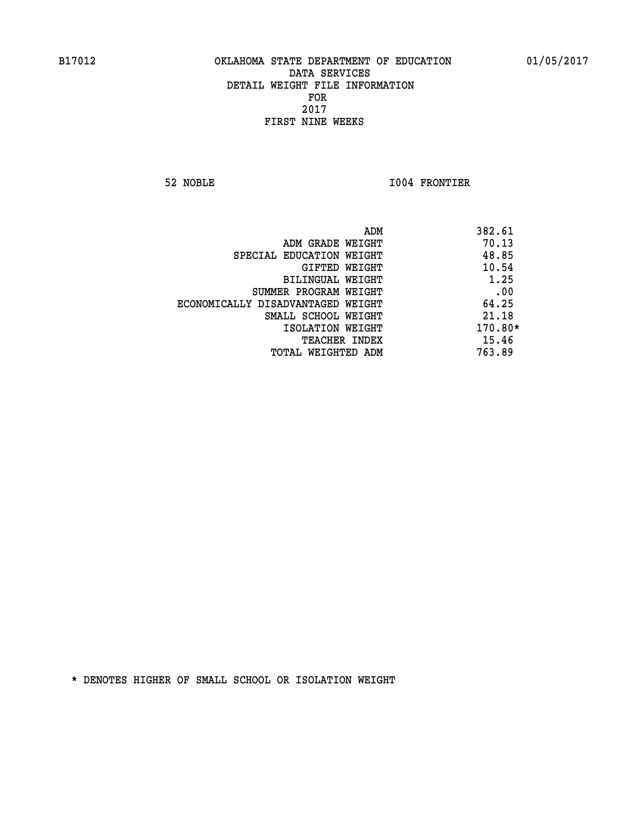**52 NOBLE I004 FRONTIER** 

|                                   | ADM | 382.61    |
|-----------------------------------|-----|-----------|
| ADM GRADE WEIGHT                  |     | 70.13     |
| SPECIAL EDUCATION WEIGHT          |     | 48.85     |
| GIFTED WEIGHT                     |     | 10.54     |
| BILINGUAL WEIGHT                  |     | 1.25      |
| SUMMER PROGRAM WEIGHT             |     | .00       |
| ECONOMICALLY DISADVANTAGED WEIGHT |     | 64.25     |
| SMALL SCHOOL WEIGHT               |     | 21.18     |
| ISOLATION WEIGHT                  |     | $170.80*$ |
| TEACHER INDEX                     |     | 15.46     |
| TOTAL WEIGHTED ADM                |     | 763.89    |
|                                   |     |           |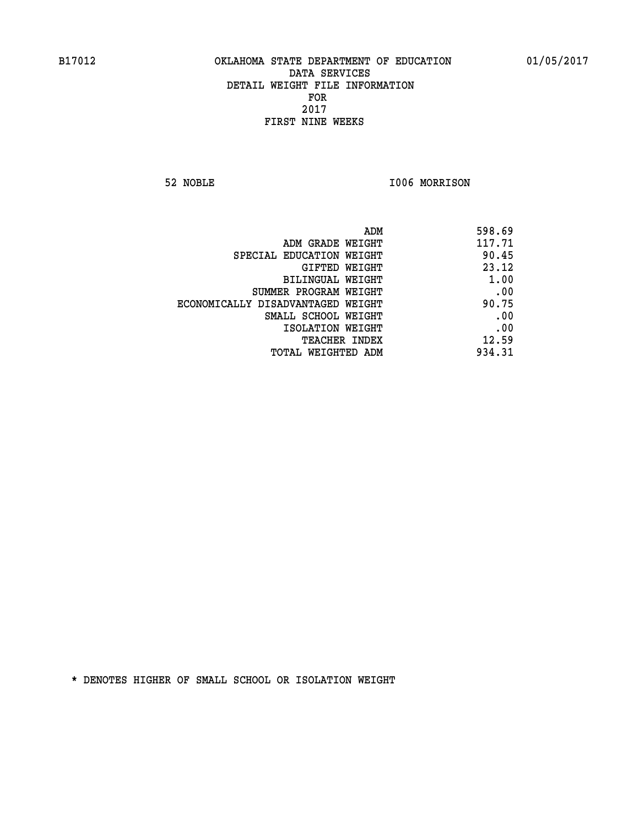**52 NOBLE I006 MORRISON** 

| 598.69 |
|--------|
| 117.71 |
| 90.45  |
| 23.12  |
| 1.00   |
| .00    |
| 90.75  |
| .00    |
| .00    |
| 12.59  |
| 934.31 |
|        |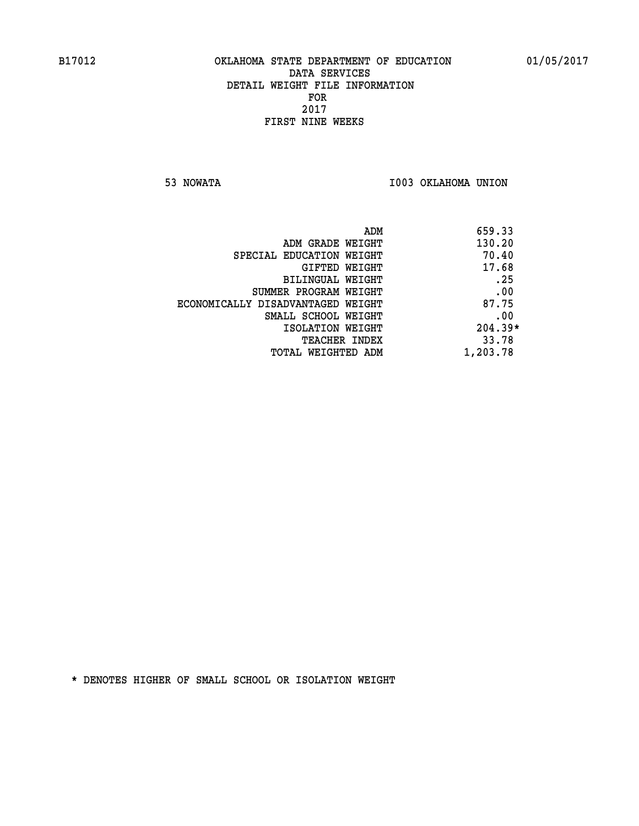**53 NOWATA I003 OKLAHOMA UNION** 

| ADM                               | 659.33    |
|-----------------------------------|-----------|
| ADM GRADE WEIGHT                  | 130.20    |
| SPECIAL EDUCATION WEIGHT          | 70.40     |
| GIFTED WEIGHT                     | 17.68     |
| BILINGUAL WEIGHT                  | .25       |
| SUMMER PROGRAM WEIGHT             | .00       |
| ECONOMICALLY DISADVANTAGED WEIGHT | 87.75     |
| SMALL SCHOOL WEIGHT               | .00       |
| ISOLATION WEIGHT                  | $204.39*$ |
| <b>TEACHER INDEX</b>              | 33.78     |
| TOTAL WEIGHTED ADM                | 1,203.78  |
|                                   |           |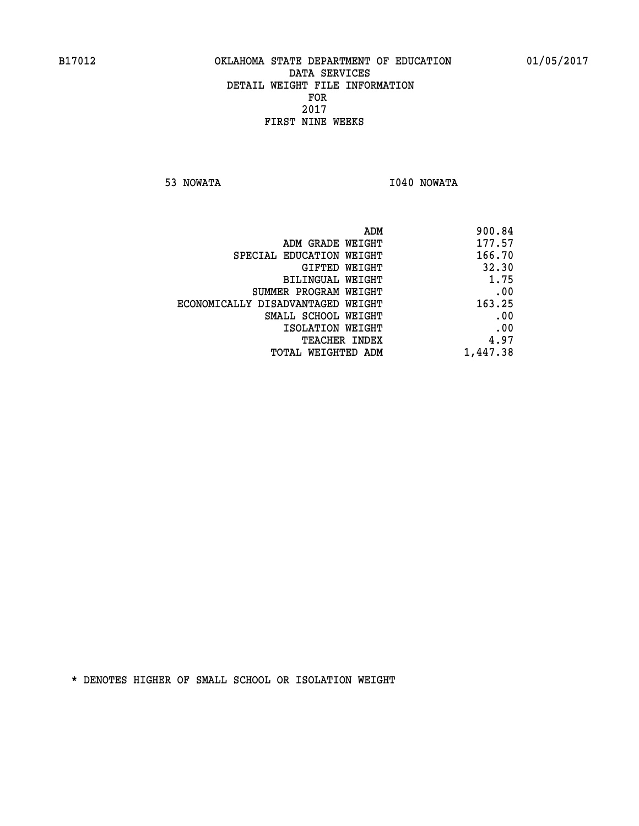**53 NOWATA I040 NOWATA** 

| ADM                               | 900.84   |
|-----------------------------------|----------|
| ADM GRADE WEIGHT                  | 177.57   |
| SPECIAL EDUCATION WEIGHT          | 166.70   |
| GIFTED WEIGHT                     | 32.30    |
| <b>BILINGUAL WEIGHT</b>           | 1.75     |
| SUMMER PROGRAM WEIGHT             | .00      |
| ECONOMICALLY DISADVANTAGED WEIGHT | 163.25   |
| SMALL SCHOOL WEIGHT               | .00      |
| ISOLATION WEIGHT                  | .00      |
| TEACHER INDEX                     | 4.97     |
| TOTAL WEIGHTED ADM                | 1,447.38 |
|                                   |          |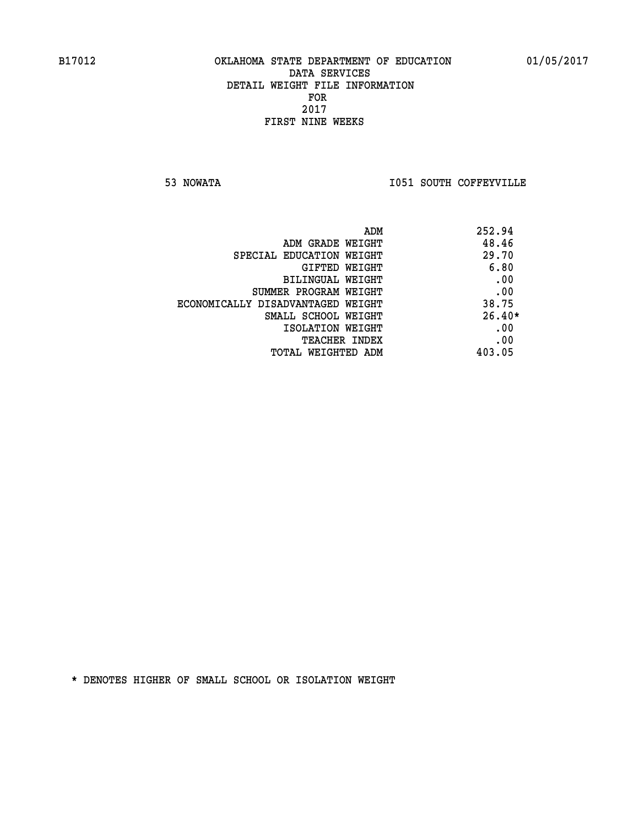**53 NOWATA I051 SOUTH COFFEYVILLE** 

|                                   | 252.94<br>ADM |
|-----------------------------------|---------------|
| ADM GRADE WEIGHT                  | 48.46         |
| SPECIAL EDUCATION WEIGHT          | 29.70         |
| GIFTED WEIGHT                     | 6.80          |
| BILINGUAL WEIGHT                  | .00           |
| SUMMER PROGRAM WEIGHT             | .00           |
| ECONOMICALLY DISADVANTAGED WEIGHT | 38.75         |
| SMALL SCHOOL WEIGHT               | $26.40*$      |
| ISOLATION WEIGHT                  | .00           |
| TEACHER INDEX                     | .00           |
| TOTAL WEIGHTED ADM                | 403.05        |
|                                   |               |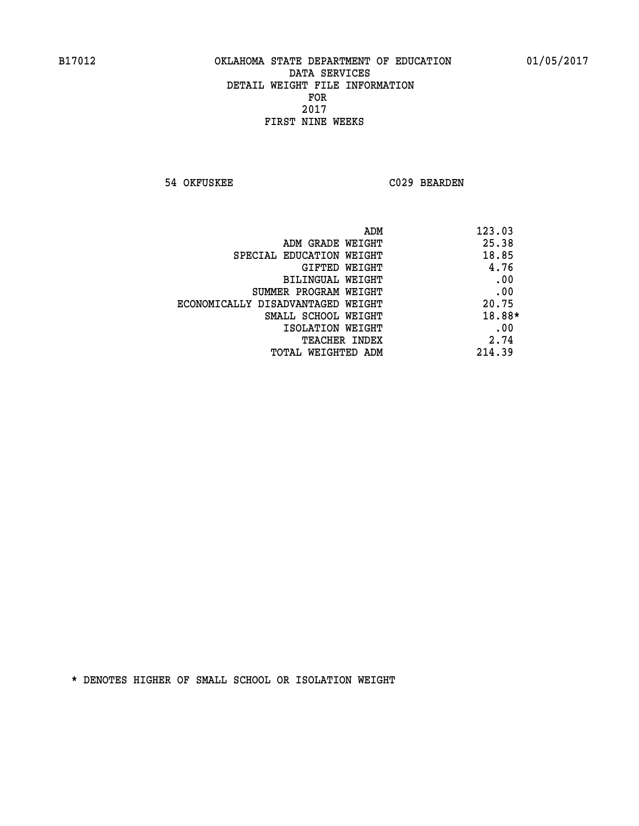**54 OKFUSKEE C029 BEARDEN** 

| ADM                               | 123.03 |
|-----------------------------------|--------|
| ADM GRADE WEIGHT                  | 25.38  |
| SPECIAL EDUCATION WEIGHT          | 18.85  |
| <b>GIFTED WEIGHT</b>              | 4.76   |
| BILINGUAL WEIGHT                  | .00    |
| SUMMER PROGRAM WEIGHT             | .00    |
| ECONOMICALLY DISADVANTAGED WEIGHT | 20.75  |
| SMALL SCHOOL WEIGHT               | 18.88* |
| ISOLATION WEIGHT                  | .00    |
| <b>TEACHER INDEX</b>              | 2.74   |
| TOTAL WEIGHTED ADM                | 214.39 |
|                                   |        |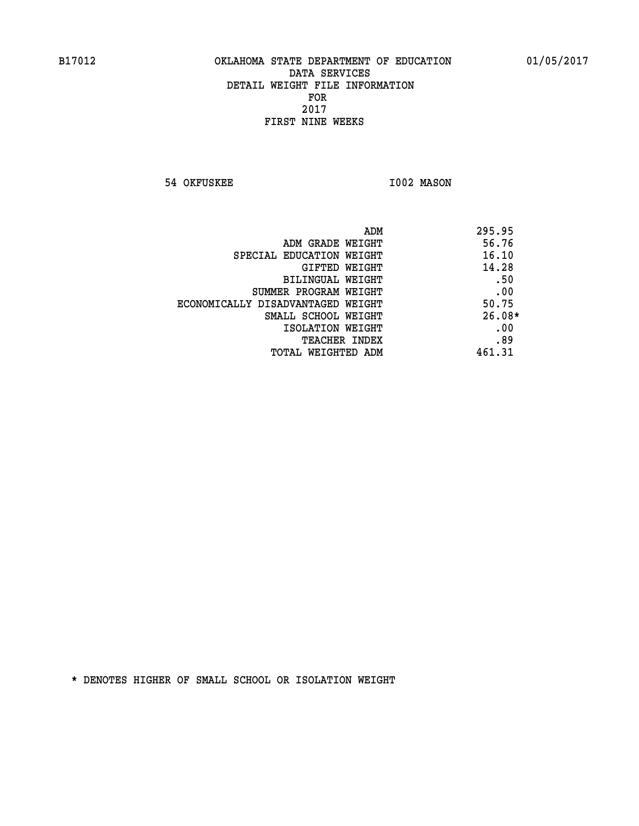**54 OKFUSKEE 1002 MASON** 

|                                   | ADM<br>295.95 |
|-----------------------------------|---------------|
| ADM GRADE WEIGHT                  | 56.76         |
| SPECIAL EDUCATION WEIGHT          | 16.10         |
| GIFTED WEIGHT                     | 14.28         |
| BILINGUAL WEIGHT                  | .50           |
| SUMMER PROGRAM WEIGHT             | .00           |
| ECONOMICALLY DISADVANTAGED WEIGHT | 50.75         |
| SMALL SCHOOL WEIGHT               | $26.08*$      |
| ISOLATION WEIGHT                  | .00           |
| <b>TEACHER INDEX</b>              | .89           |
| TOTAL WEIGHTED ADM                | 461.31        |
|                                   |               |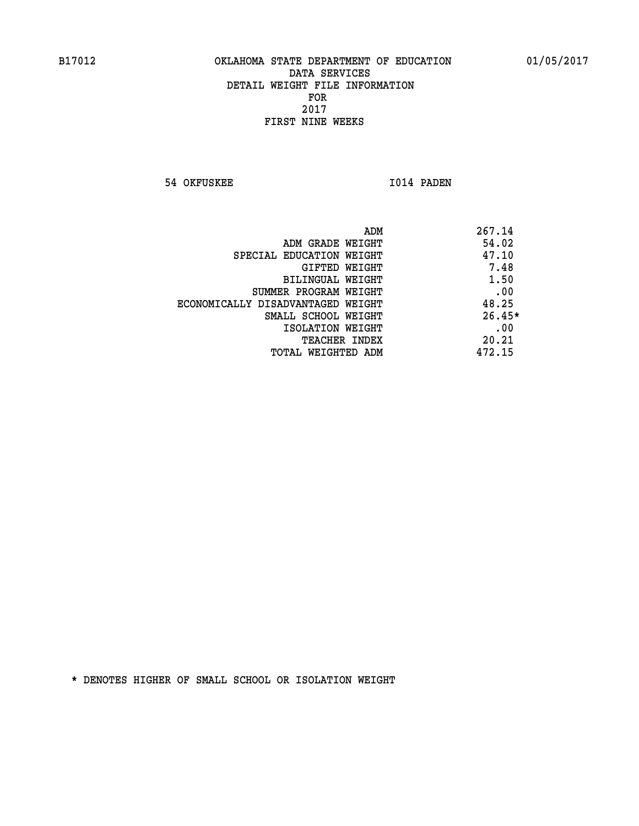**54 OKFUSKEE 1014 PADEN** 

|                                   | 267.14<br>ADM |
|-----------------------------------|---------------|
| ADM GRADE WEIGHT                  | 54.02         |
| SPECIAL EDUCATION WEIGHT          | 47.10         |
| <b>GIFTED WEIGHT</b>              | 7.48          |
| BILINGUAL WEIGHT                  | 1.50          |
| SUMMER PROGRAM WEIGHT             | .00           |
| ECONOMICALLY DISADVANTAGED WEIGHT | 48.25         |
| SMALL SCHOOL WEIGHT               | $26.45*$      |
| ISOLATION WEIGHT                  | .00           |
| <b>TEACHER INDEX</b>              | 20.21         |
| TOTAL WEIGHTED ADM                | 472.15        |
|                                   |               |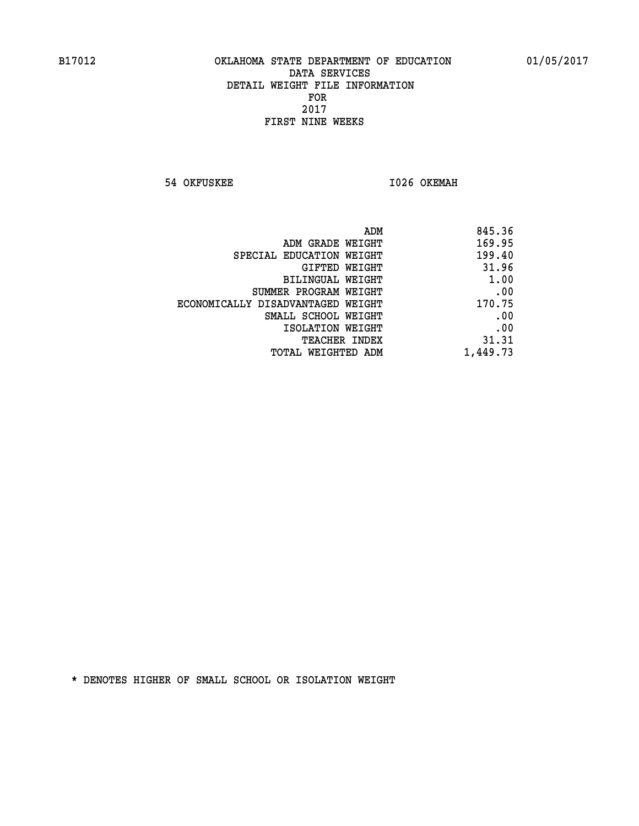**54 OKFUSKEE 1026 OKEMAH** 

| 845.36   |
|----------|
| 169.95   |
| 199.40   |
| 31.96    |
| 1.00     |
| .00      |
| 170.75   |
| .00      |
| .00      |
| 31.31    |
| 1,449.73 |
|          |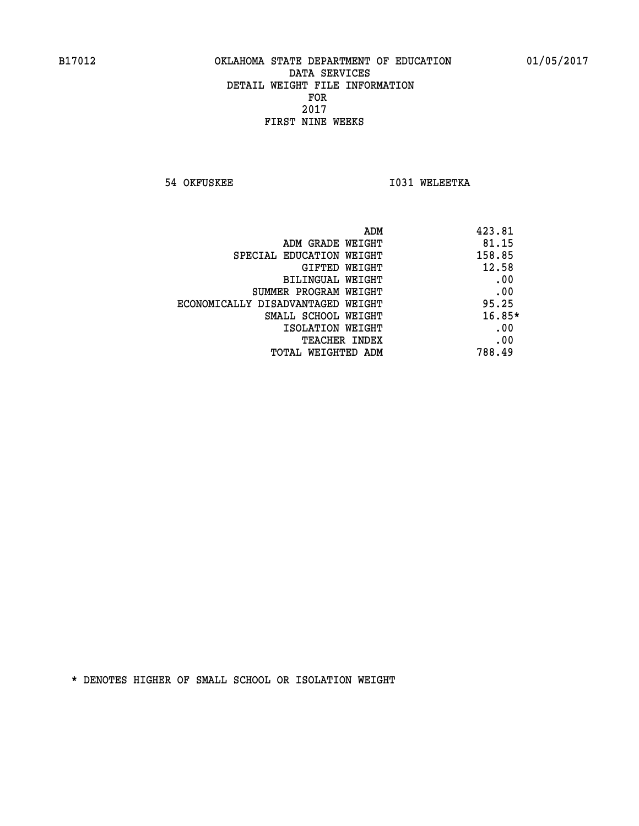**54 OKFUSKEE 1031 WELEETKA** 

| ADM                               | 423.81 |
|-----------------------------------|--------|
| ADM GRADE WEIGHT                  | 81.15  |
| SPECIAL EDUCATION WEIGHT          | 158.85 |
| <b>GIFTED WEIGHT</b>              | 12.58  |
| BILINGUAL WEIGHT                  | .00    |
| SUMMER PROGRAM WEIGHT             | .00    |
| ECONOMICALLY DISADVANTAGED WEIGHT | 95.25  |
| SMALL SCHOOL WEIGHT               | 16.85* |
| ISOLATION WEIGHT                  | .00    |
| <b>TEACHER INDEX</b>              | .00    |
| TOTAL WEIGHTED ADM                | 788.49 |
|                                   |        |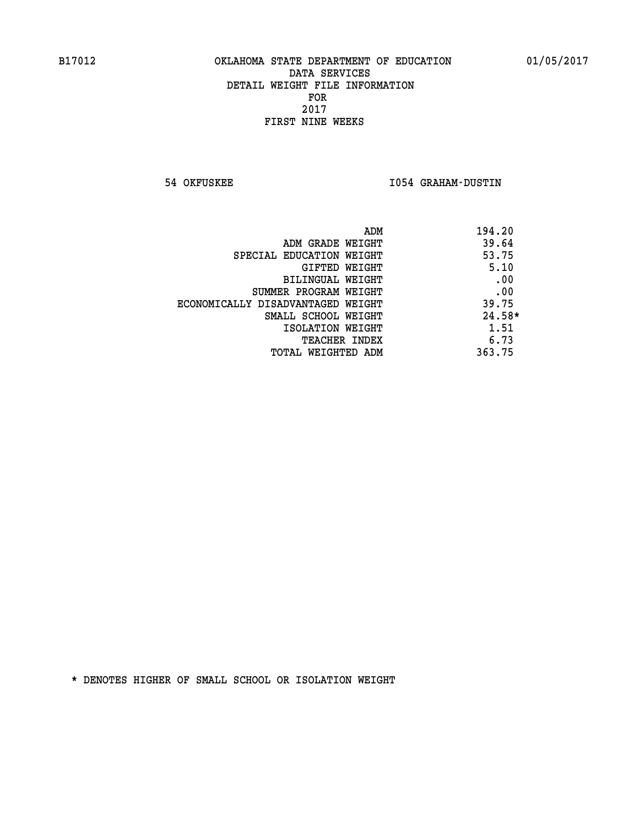**54 OKFUSKEE I054 GRAHAM-DUSTIN** 

| ADM                               | 194.20   |
|-----------------------------------|----------|
| ADM GRADE WEIGHT                  | 39.64    |
| SPECIAL EDUCATION WEIGHT          | 53.75    |
| GIFTED WEIGHT                     | 5.10     |
| BILINGUAL WEIGHT                  | .00      |
| SUMMER PROGRAM WEIGHT             | .00      |
| ECONOMICALLY DISADVANTAGED WEIGHT | 39.75    |
| SMALL SCHOOL WEIGHT               | $24.58*$ |
| ISOLATION WEIGHT                  | 1.51     |
| <b>TEACHER INDEX</b>              | 6.73     |
| TOTAL WEIGHTED ADM                | 363.75   |
|                                   |          |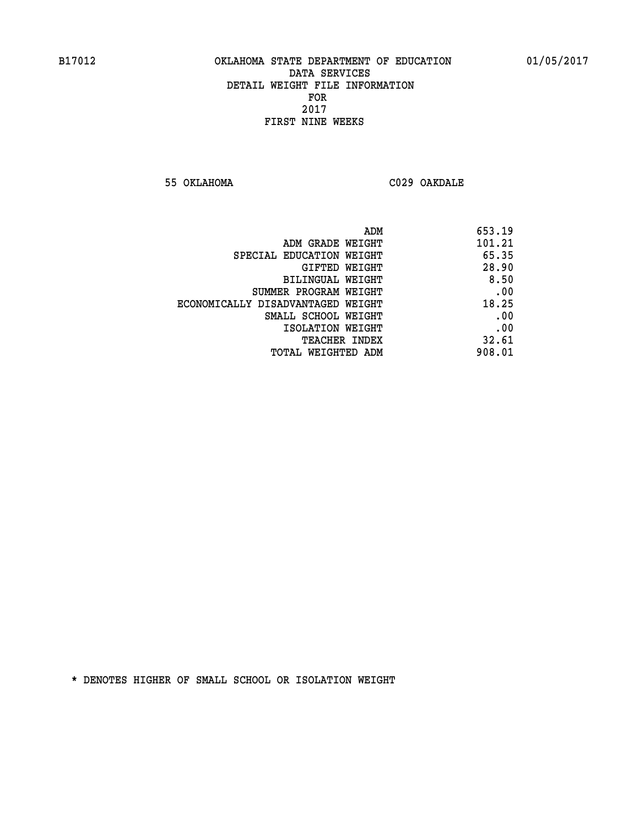**55 OKLAHOMA C029 OAKDALE** 

| 653.19 |
|--------|
| 101.21 |
| 65.35  |
| 28.90  |
| 8.50   |
| .00    |
| 18.25  |
| .00    |
| .00    |
| 32.61  |
| 908.01 |
|        |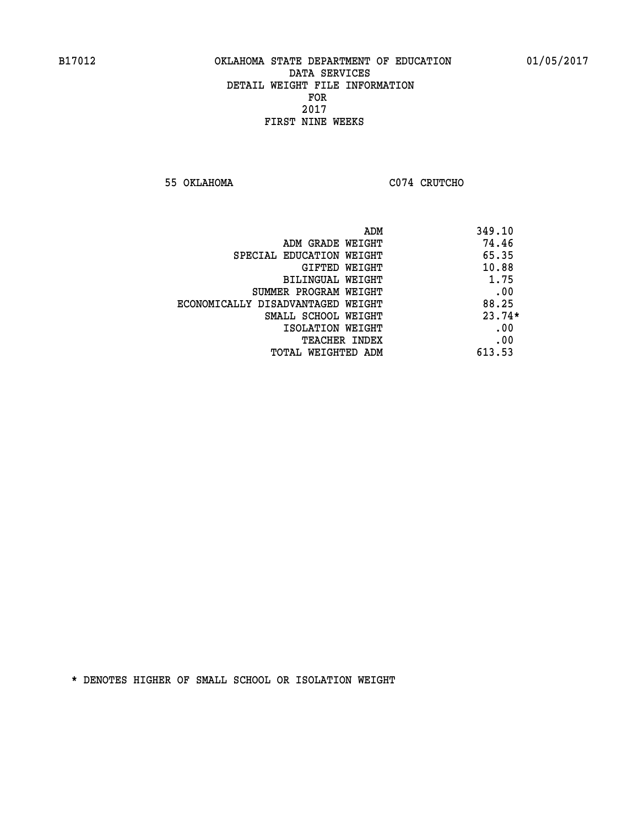**55 OKLAHOMA C074 CRUTCHO** 

| ADM                               | 349.10   |
|-----------------------------------|----------|
| ADM GRADE WEIGHT                  | 74.46    |
| SPECIAL EDUCATION WEIGHT          | 65.35    |
| <b>GIFTED WEIGHT</b>              | 10.88    |
| BILINGUAL WEIGHT                  | 1.75     |
| SUMMER PROGRAM WEIGHT             | .00      |
| ECONOMICALLY DISADVANTAGED WEIGHT | 88.25    |
| SMALL SCHOOL WEIGHT               | $23.74*$ |
| ISOLATION WEIGHT                  | .00      |
| <b>TEACHER INDEX</b>              | .00      |
| TOTAL WEIGHTED ADM                | 613.53   |
|                                   |          |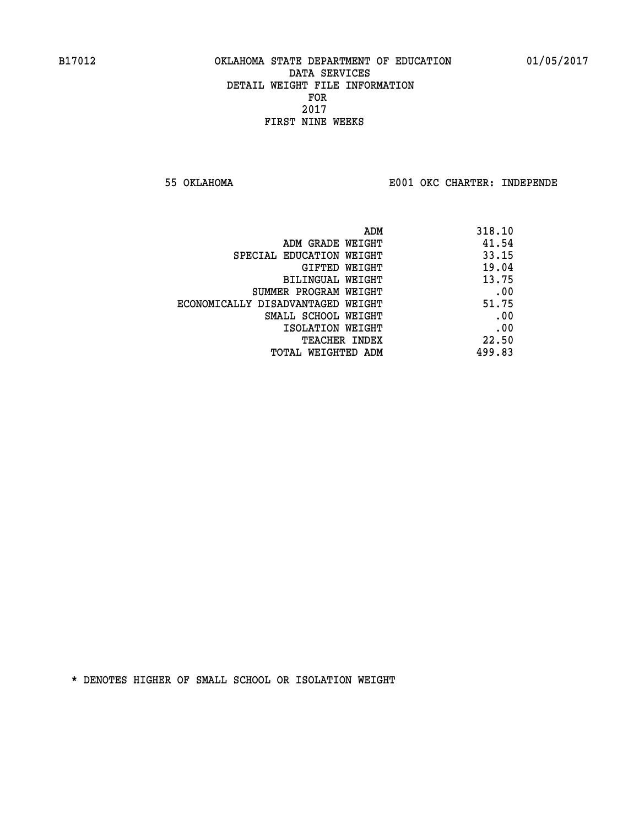**55 OKLAHOMA E001 OKC CHARTER: INDEPENDE**

| 318.10 |
|--------|
| 41.54  |
| 33.15  |
| 19.04  |
| 13.75  |
| .00    |
| 51.75  |
| .00    |
| .00    |
| 22.50  |
| 499.83 |
|        |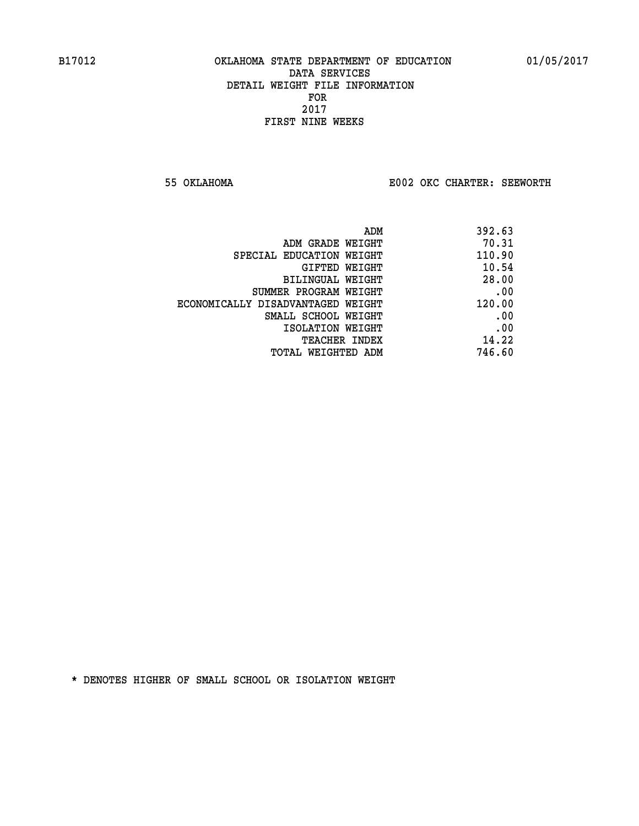**55 OKLAHOMA E002 OKC CHARTER: SEEWORTH** 

| ADM                               | 392.63 |
|-----------------------------------|--------|
| ADM GRADE WEIGHT                  | 70.31  |
| SPECIAL EDUCATION WEIGHT          | 110.90 |
| GIFTED WEIGHT                     | 10.54  |
| BILINGUAL WEIGHT                  | 28.00  |
| SUMMER PROGRAM WEIGHT             | .00    |
| ECONOMICALLY DISADVANTAGED WEIGHT | 120.00 |
| SMALL SCHOOL WEIGHT               | .00    |
| ISOLATION WEIGHT                  | .00    |
| <b>TEACHER INDEX</b>              | 14.22  |
| TOTAL WEIGHTED ADM                | 746.60 |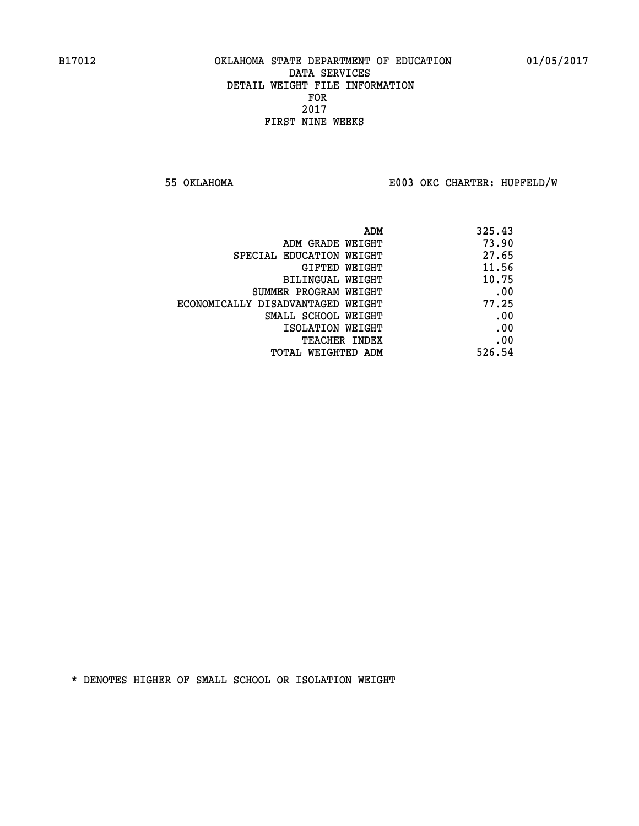**55 OKLAHOMA E003 OKC CHARTER: HUPFELD/W**

| ADM                               | 325.43 |
|-----------------------------------|--------|
| ADM GRADE WEIGHT                  | 73.90  |
| SPECIAL EDUCATION WEIGHT          | 27.65  |
| GIFTED WEIGHT                     | 11.56  |
| BILINGUAL WEIGHT                  | 10.75  |
| SUMMER PROGRAM WEIGHT             | .00    |
| ECONOMICALLY DISADVANTAGED WEIGHT | 77.25  |
| SMALL SCHOOL WEIGHT               | .00    |
| ISOLATION WEIGHT                  | .00    |
| <b>TEACHER INDEX</b>              | .00    |
| TOTAL WEIGHTED ADM                | 526.54 |
|                                   |        |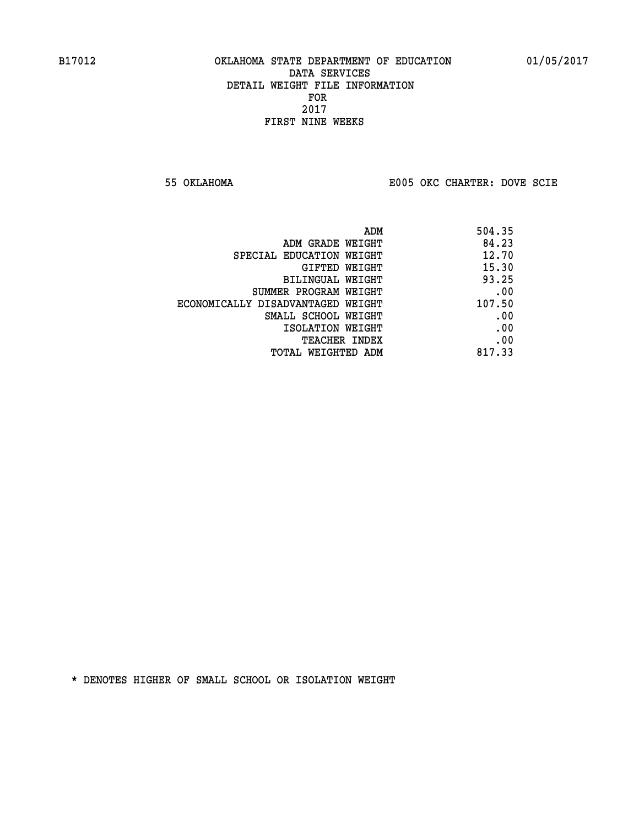**55 OKLAHOMA E005 OKC CHARTER: DOVE SCIE**

|                                   | 504.35<br>ADM |       |
|-----------------------------------|---------------|-------|
| ADM GRADE WEIGHT                  |               | 84.23 |
| SPECIAL EDUCATION WEIGHT          |               | 12.70 |
| GIFTED WEIGHT                     |               | 15.30 |
| BILINGUAL WEIGHT                  |               | 93.25 |
| SUMMER PROGRAM WEIGHT             |               | .00   |
| ECONOMICALLY DISADVANTAGED WEIGHT | 107.50        |       |
| SMALL SCHOOL WEIGHT               |               | .00   |
| ISOLATION WEIGHT                  |               | .00   |
| <b>TEACHER INDEX</b>              |               | .00   |
| TOTAL WEIGHTED ADM                | 817.33        |       |
|                                   |               |       |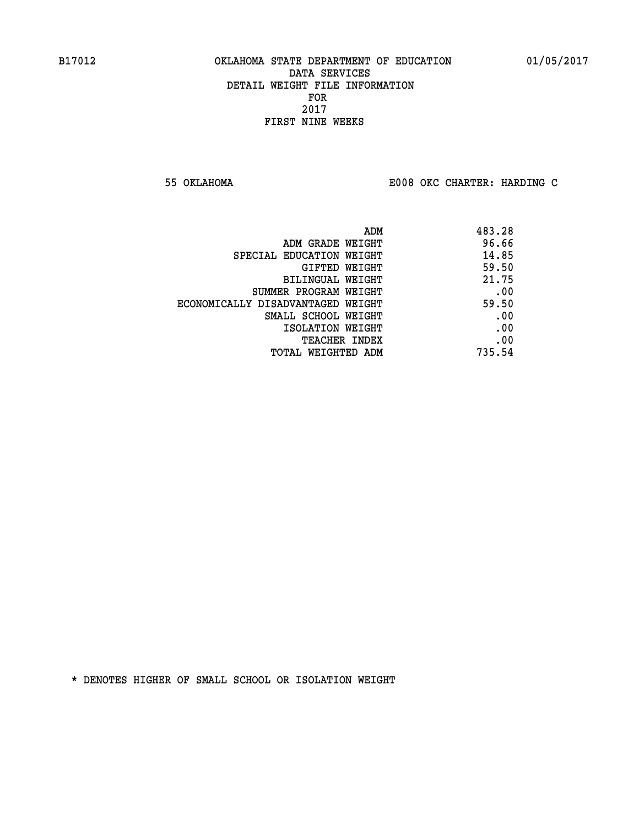**55 OKLAHOMA E008 OKC CHARTER: HARDING C**

|                                   | ADM | 483.28 |
|-----------------------------------|-----|--------|
| ADM GRADE WEIGHT                  |     | 96.66  |
| SPECIAL EDUCATION WEIGHT          |     | 14.85  |
| GIFTED WEIGHT                     |     | 59.50  |
| BILINGUAL WEIGHT                  |     | 21.75  |
| SUMMER PROGRAM WEIGHT             |     | .00    |
| ECONOMICALLY DISADVANTAGED WEIGHT |     | 59.50  |
| SMALL SCHOOL WEIGHT               |     | .00    |
| ISOLATION WEIGHT                  |     | .00    |
| <b>TEACHER INDEX</b>              |     | .00    |
| TOTAL WEIGHTED ADM                |     | 735.54 |
|                                   |     |        |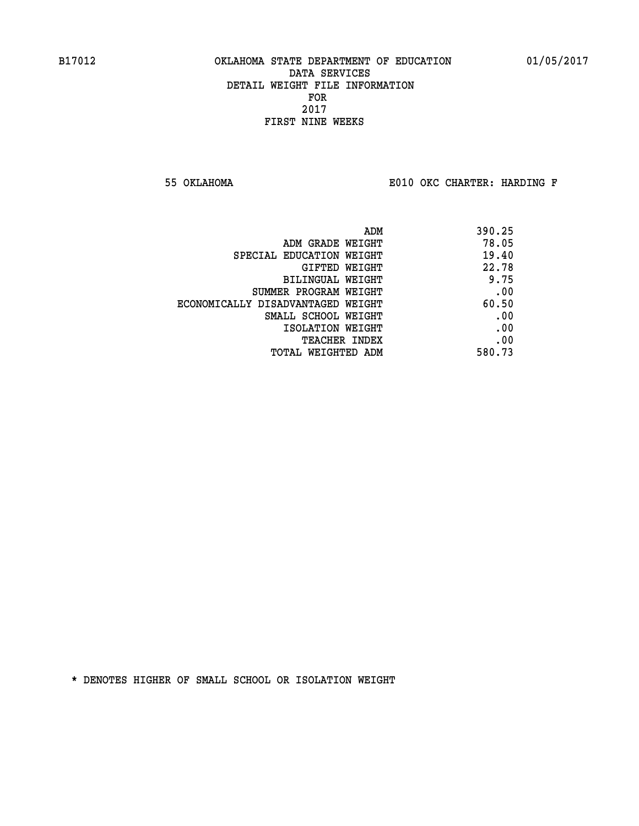**55 OKLAHOMA E010 OKC CHARTER: HARDING F**

| ADM                               | 390.25 |
|-----------------------------------|--------|
| ADM GRADE WEIGHT                  | 78.05  |
| SPECIAL EDUCATION WEIGHT          | 19.40  |
| GIFTED WEIGHT                     | 22.78  |
| BILINGUAL WEIGHT                  | 9.75   |
| SUMMER PROGRAM WEIGHT             | .00    |
| ECONOMICALLY DISADVANTAGED WEIGHT | 60.50  |
| SMALL SCHOOL WEIGHT               | .00    |
| ISOLATION WEIGHT                  | .00    |
| <b>TEACHER INDEX</b>              | .00    |
| TOTAL WEIGHTED ADM                | 580.73 |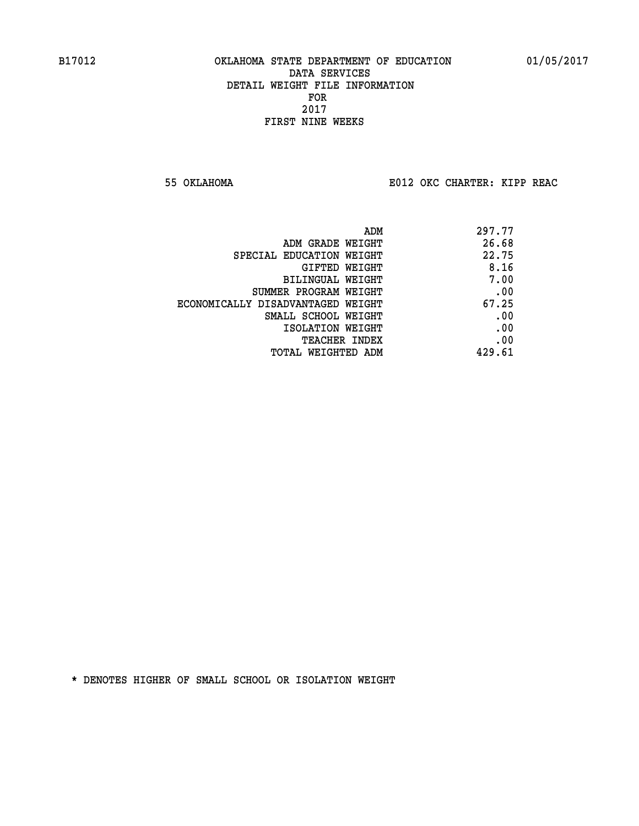**55 OKLAHOMA E012 OKC CHARTER: KIPP REAC**

| ADM                               | 297.77 |
|-----------------------------------|--------|
| ADM GRADE WEIGHT                  | 26.68  |
| SPECIAL EDUCATION WEIGHT          | 22.75  |
| GIFTED WEIGHT                     | 8.16   |
| BILINGUAL WEIGHT                  | 7.00   |
| SUMMER PROGRAM WEIGHT             | .00    |
| ECONOMICALLY DISADVANTAGED WEIGHT | 67.25  |
| SMALL SCHOOL WEIGHT               | .00    |
| ISOLATION WEIGHT                  | .00    |
| TEACHER INDEX                     | .00    |
| TOTAL WEIGHTED ADM                | 429.61 |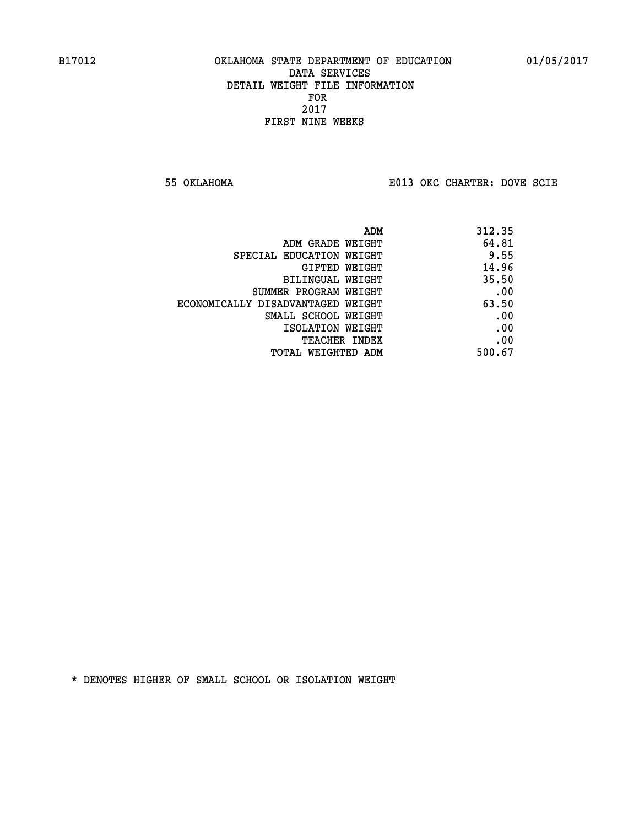**55 OKLAHOMA E013 OKC CHARTER: DOVE SCIE**

| ADM                               | 312.35 |
|-----------------------------------|--------|
| ADM GRADE WEIGHT                  | 64.81  |
| SPECIAL EDUCATION WEIGHT          | 9.55   |
| GIFTED WEIGHT                     | 14.96  |
| BILINGUAL WEIGHT                  | 35.50  |
| SUMMER PROGRAM WEIGHT             | .00    |
| ECONOMICALLY DISADVANTAGED WEIGHT | 63.50  |
| SMALL SCHOOL WEIGHT               | .00    |
| ISOLATION WEIGHT                  | .00    |
| TEACHER INDEX                     | .00    |
| TOTAL WEIGHTED ADM                | 500.67 |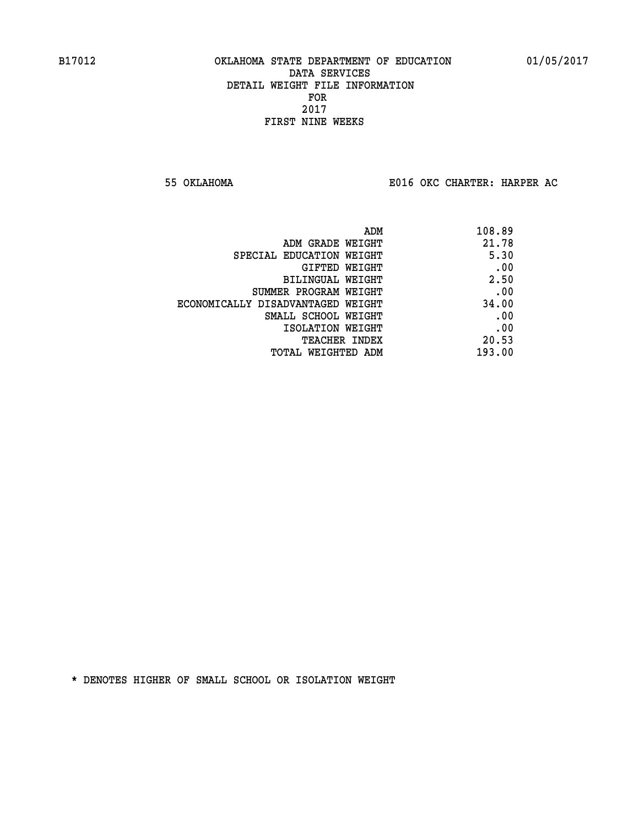**55 OKLAHOMA E016 OKC CHARTER: HARPER AC**

| ADM                               | 108.89 |
|-----------------------------------|--------|
| ADM GRADE WEIGHT                  | 21.78  |
| SPECIAL EDUCATION WEIGHT          | 5.30   |
| GIFTED WEIGHT                     | .00    |
| BILINGUAL WEIGHT                  | 2.50   |
| SUMMER PROGRAM WEIGHT             | .00    |
| ECONOMICALLY DISADVANTAGED WEIGHT | 34.00  |
| SMALL SCHOOL WEIGHT               | .00    |
| ISOLATION WEIGHT                  | .00    |
| <b>TEACHER INDEX</b>              | 20.53  |
| TOTAL WEIGHTED ADM                | 193.00 |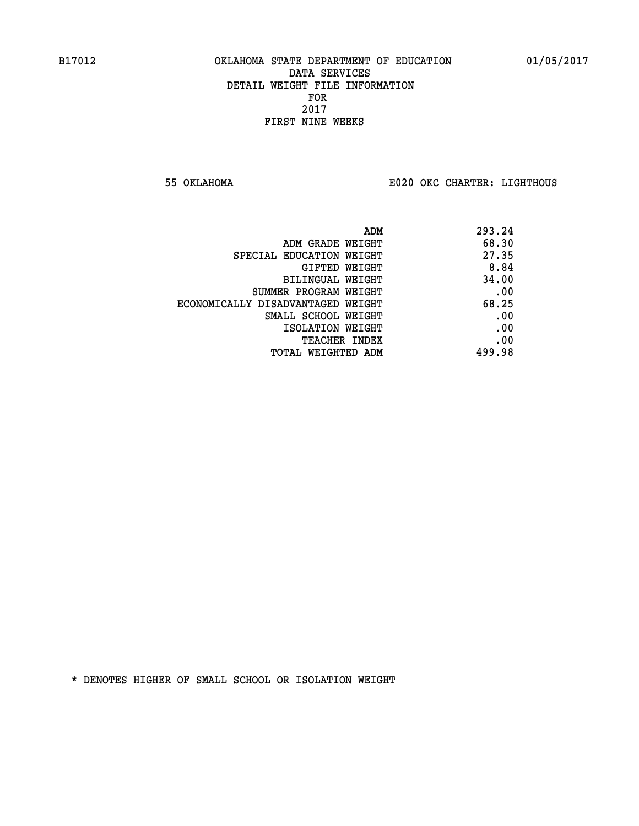**55 OKLAHOMA E020 OKC CHARTER: LIGHTHOUS**

|                                   | 293.24<br>ADM |
|-----------------------------------|---------------|
| ADM GRADE WEIGHT                  | 68.30         |
| SPECIAL EDUCATION WEIGHT          | 27.35         |
| <b>GIFTED WEIGHT</b>              | 8.84          |
| BILINGUAL WEIGHT                  | 34.00         |
| SUMMER PROGRAM WEIGHT             | .00           |
| ECONOMICALLY DISADVANTAGED WEIGHT | 68.25         |
| SMALL SCHOOL WEIGHT               | .00           |
| ISOLATION WEIGHT                  | .00           |
| <b>TEACHER INDEX</b>              | .00           |
| TOTAL WEIGHTED ADM                | 499.98        |
|                                   |               |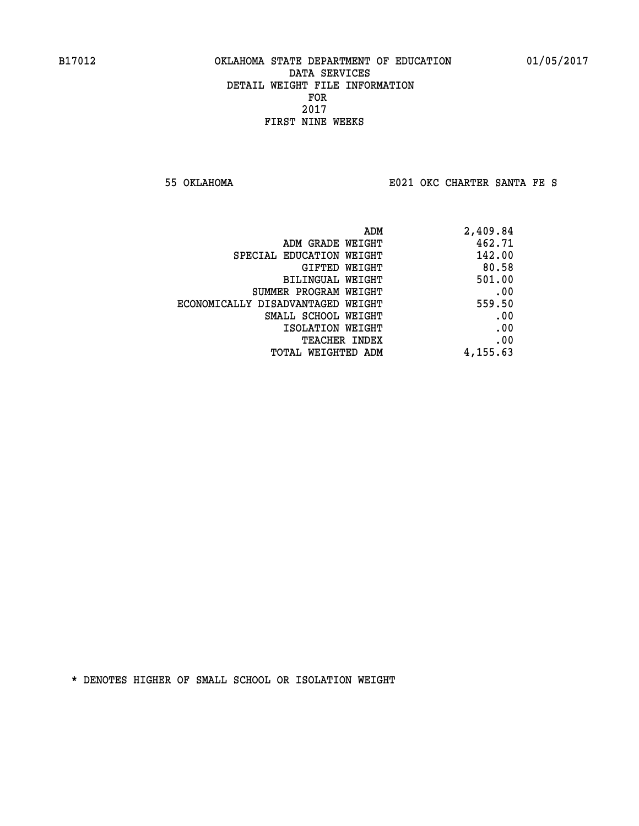**55 OKLAHOMA E021 OKC CHARTER SANTA FE S**

|                                   | 2,409.84<br>ADM |  |
|-----------------------------------|-----------------|--|
| ADM GRADE WEIGHT                  | 462.71          |  |
| SPECIAL EDUCATION WEIGHT          | 142.00          |  |
| GIFTED WEIGHT                     | 80.58           |  |
| BILINGUAL WEIGHT                  | 501.00          |  |
| SUMMER PROGRAM WEIGHT             | .00             |  |
| ECONOMICALLY DISADVANTAGED WEIGHT | 559.50          |  |
| SMALL SCHOOL WEIGHT               | .00             |  |
| ISOLATION WEIGHT                  | .00             |  |
| TEACHER INDEX                     | .00             |  |
| TOTAL WEIGHTED ADM                | 4,155.63        |  |
|                                   |                 |  |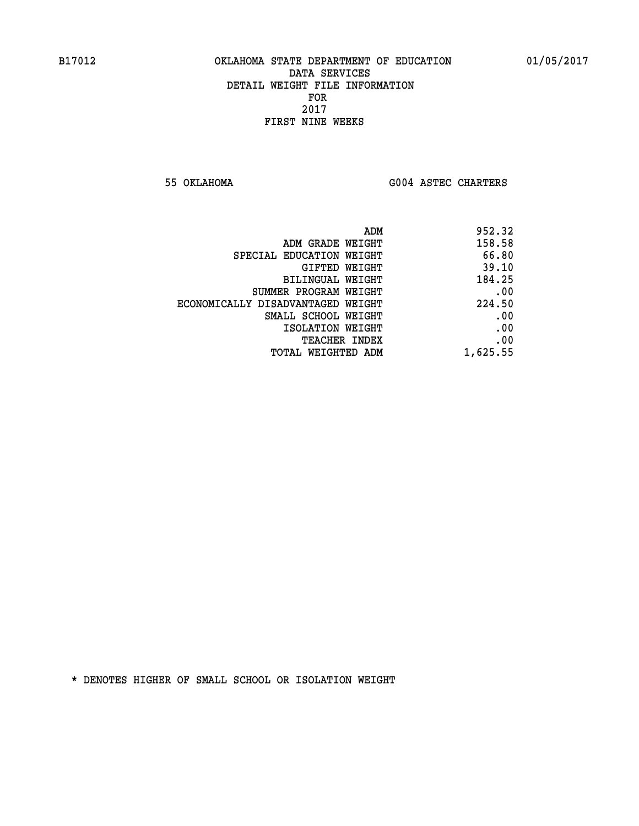**55 OKLAHOMA G004 ASTEC CHARTERS** 

| ADM                               | 952.32   |
|-----------------------------------|----------|
| ADM GRADE WEIGHT                  | 158.58   |
| SPECIAL EDUCATION WEIGHT          | 66.80    |
| <b>GIFTED WEIGHT</b>              | 39.10    |
| BILINGUAL WEIGHT                  | 184.25   |
| SUMMER PROGRAM WEIGHT             | .00      |
| ECONOMICALLY DISADVANTAGED WEIGHT | 224.50   |
| SMALL SCHOOL WEIGHT               | .00      |
| ISOLATION WEIGHT                  | .00      |
| <b>TEACHER INDEX</b>              | .00      |
| <b>TOTAL WEIGHTED ADM</b>         | 1,625.55 |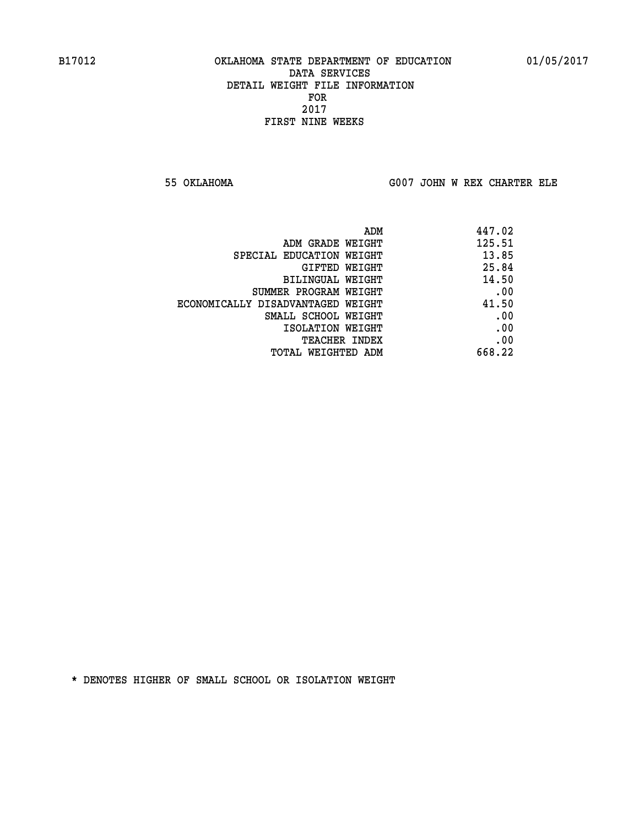**55 OKLAHOMA G007 JOHN W REX CHARTER ELE**

|                                   | 447.02<br>ADM |
|-----------------------------------|---------------|
| ADM GRADE WEIGHT                  | 125.51        |
| SPECIAL EDUCATION WEIGHT          | 13.85         |
| GIFTED WEIGHT                     | 25.84         |
| BILINGUAL WEIGHT                  | 14.50         |
| SUMMER PROGRAM WEIGHT             | .00           |
| ECONOMICALLY DISADVANTAGED WEIGHT | 41.50         |
| SMALL SCHOOL WEIGHT               | .00           |
| ISOLATION WEIGHT                  | .00           |
| TEACHER INDEX                     | .00           |
| TOTAL WEIGHTED ADM                | 668.22        |
|                                   |               |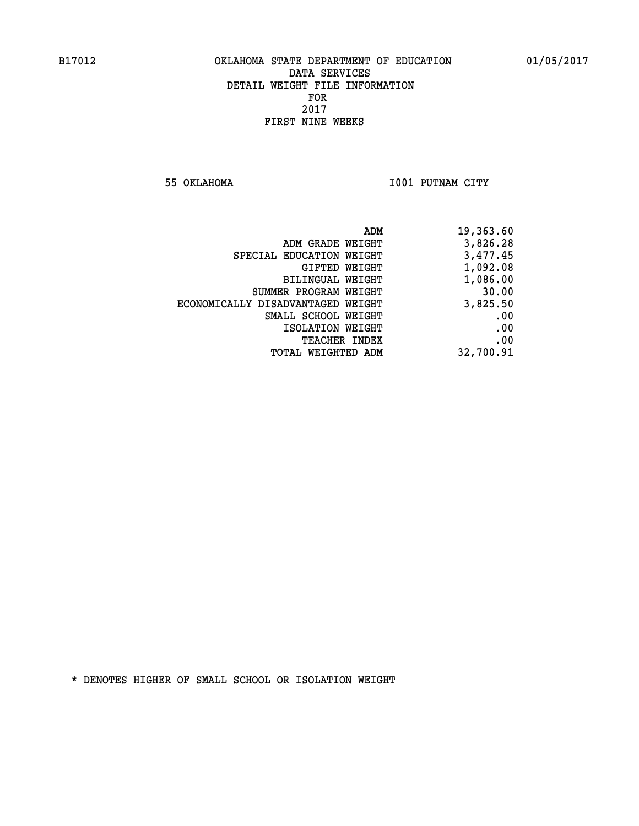**55 OKLAHOMA I001 PUTNAM CITY** 

| ADM                               | 19,363.60 |
|-----------------------------------|-----------|
| ADM GRADE WEIGHT                  | 3,826.28  |
| SPECIAL EDUCATION WEIGHT          | 3,477.45  |
| GIFTED WEIGHT                     | 1,092.08  |
| BILINGUAL WEIGHT                  | 1,086.00  |
| SUMMER PROGRAM WEIGHT             | 30.00     |
| ECONOMICALLY DISADVANTAGED WEIGHT | 3,825.50  |
| SMALL SCHOOL WEIGHT               | .00       |
| ISOLATION WEIGHT                  | .00       |
| TEACHER INDEX                     | .00       |
| TOTAL WEIGHTED ADM                | 32,700.91 |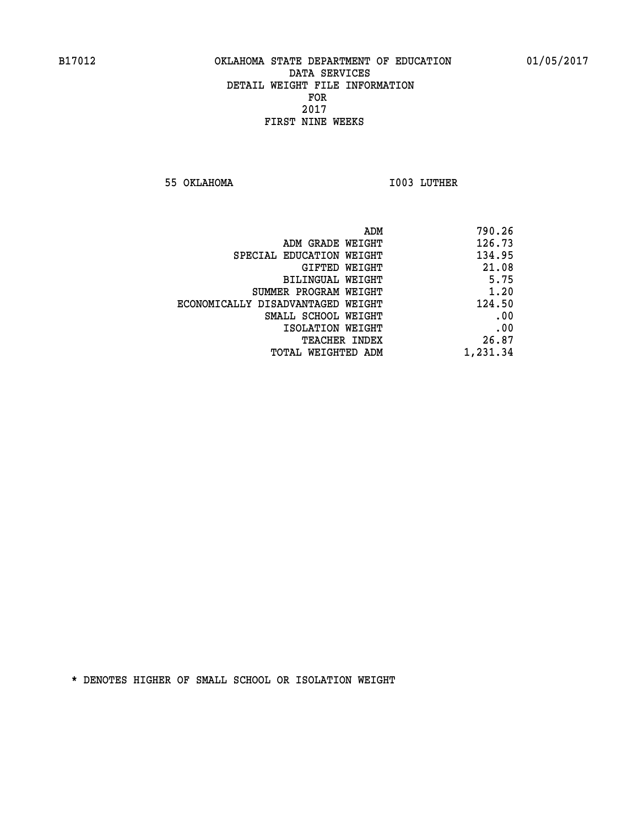**55 OKLAHOMA I003 LUTHER** 

| 790.26   |
|----------|
| 126.73   |
| 134.95   |
| 21.08    |
| 5.75     |
| 1.20     |
| 124.50   |
| .00      |
| .00      |
| 26.87    |
| 1,231.34 |
|          |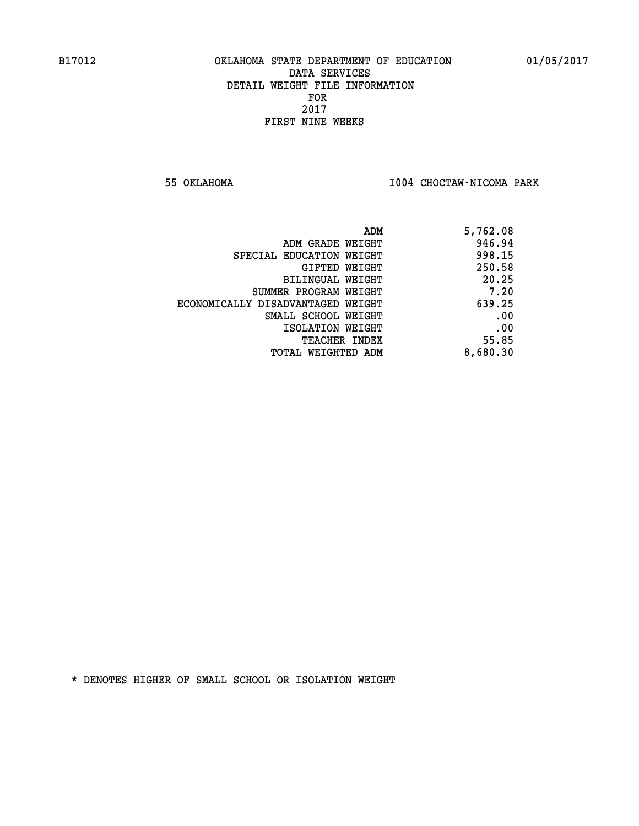**55 OKLAHOMA I004 CHOCTAW-NICOMA PARK** 

| ADM                               | 5,762.08 |
|-----------------------------------|----------|
| ADM GRADE WEIGHT                  | 946.94   |
| SPECIAL EDUCATION WEIGHT          | 998.15   |
| GIFTED WEIGHT                     | 250.58   |
| BILINGUAL WEIGHT                  | 20.25    |
| SUMMER PROGRAM WEIGHT             | 7.20     |
| ECONOMICALLY DISADVANTAGED WEIGHT | 639.25   |
| SMALL SCHOOL WEIGHT               | .00      |
| ISOLATION WEIGHT                  | .00      |
| <b>TEACHER INDEX</b>              | 55.85    |
| TOTAL WEIGHTED ADM                | 8,680.30 |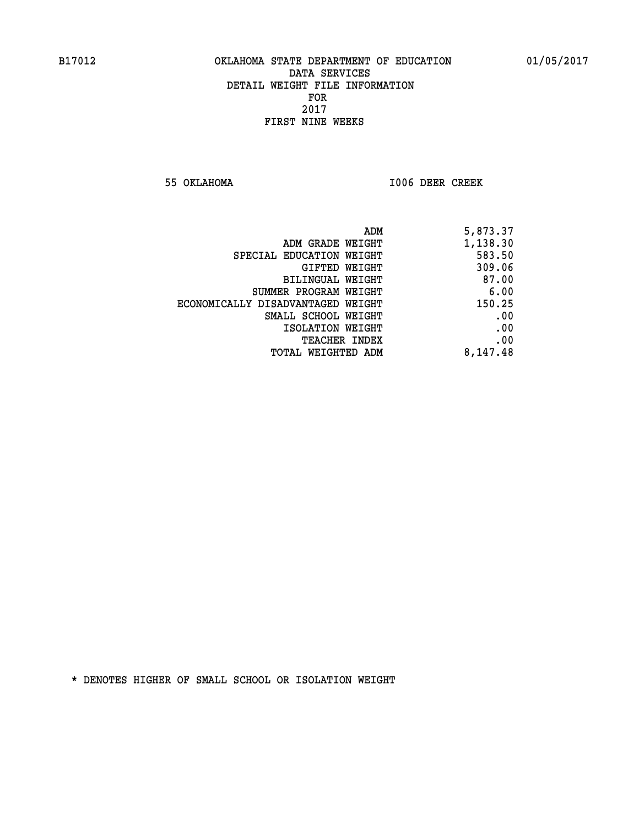**55 OKLAHOMA I006 DEER CREEK** 

|                                   | 5,873.37<br>ADM |
|-----------------------------------|-----------------|
| ADM GRADE WEIGHT                  | 1,138.30        |
| SPECIAL EDUCATION WEIGHT          | 583.50          |
| <b>GIFTED WEIGHT</b>              | 309.06          |
| BILINGUAL WEIGHT                  | 87.00           |
| SUMMER PROGRAM WEIGHT             | 6.00            |
| ECONOMICALLY DISADVANTAGED WEIGHT | 150.25          |
| SMALL SCHOOL WEIGHT               | .00             |
| ISOLATION WEIGHT                  | .00             |
| <b>TEACHER INDEX</b>              | .00             |
| <b>TOTAL WEIGHTED ADM</b>         | 8,147.48        |
|                                   |                 |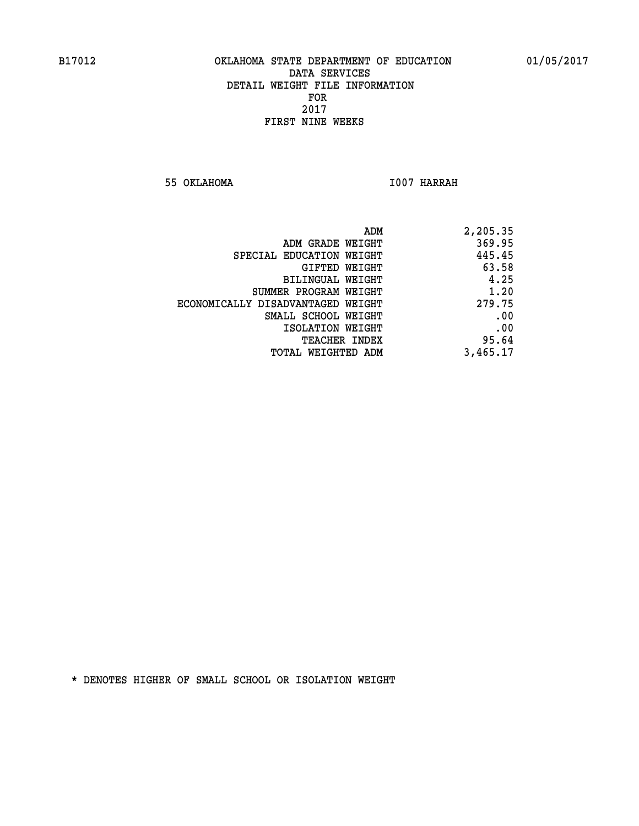**55 OKLAHOMA I007 HARRAH** 

| 2,205.35 |
|----------|
| 369.95   |
| 445.45   |
| 63.58    |
| 4.25     |
| 1.20     |
| 279.75   |
| .00      |
| .00      |
| 95.64    |
| 3,465.17 |
|          |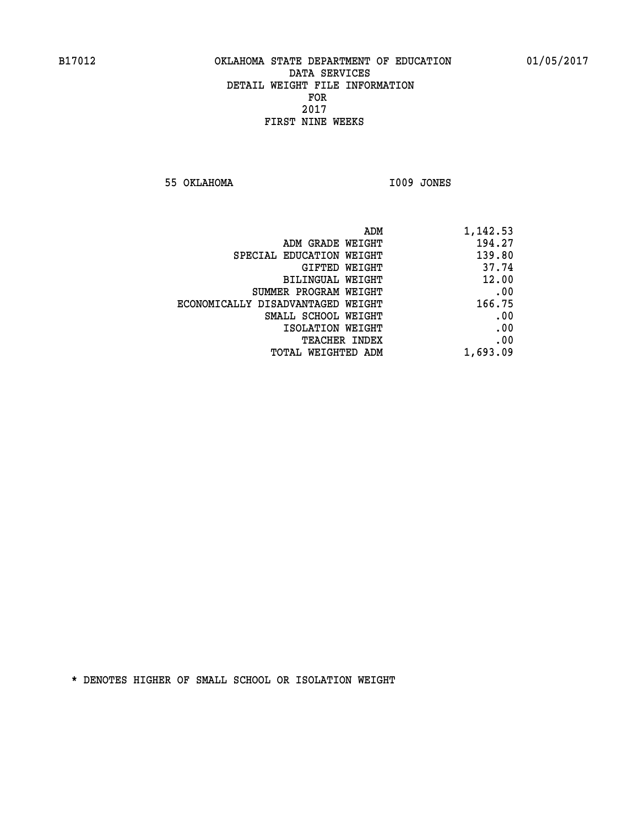**55 OKLAHOMA I009 JONES** 

|                                   | 1,142.53<br>ADM |
|-----------------------------------|-----------------|
| ADM GRADE WEIGHT                  | 194.27          |
| SPECIAL EDUCATION WEIGHT          | 139.80          |
| <b>GIFTED WEIGHT</b>              | 37.74           |
| BILINGUAL WEIGHT                  | 12.00           |
| SUMMER PROGRAM WEIGHT             | .00             |
| ECONOMICALLY DISADVANTAGED WEIGHT | 166.75          |
| SMALL SCHOOL WEIGHT               | .00             |
| ISOLATION WEIGHT                  | .00             |
| <b>TEACHER INDEX</b>              | .00             |
| <b>TOTAL WEIGHTED ADM</b>         | 1,693.09        |
|                                   |                 |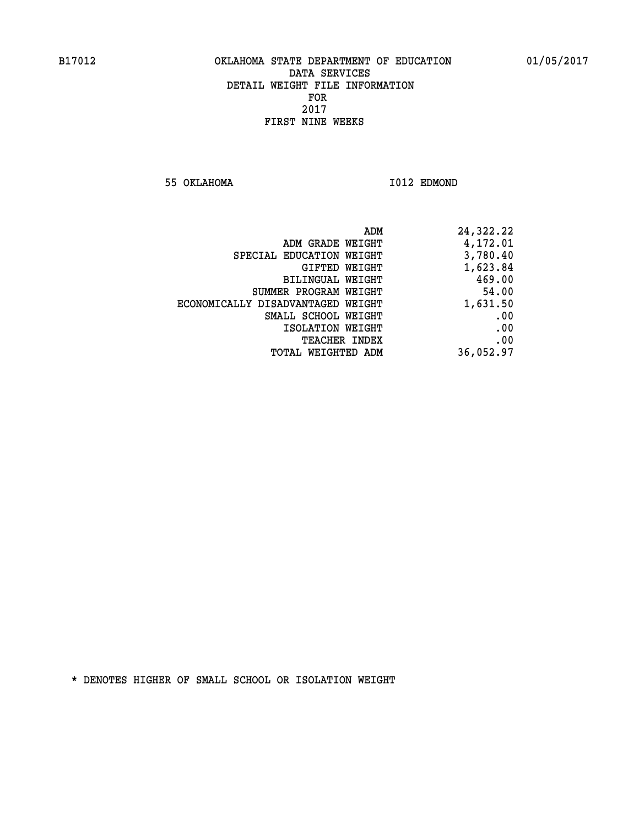**55 OKLAHOMA I012 EDMOND** 

| 24,322.22 |
|-----------|
| 4,172.01  |
| 3,780.40  |
| 1,623.84  |
| 469.00    |
| 54.00     |
| 1,631.50  |
| .00       |
| .00       |
| .00       |
| 36,052.97 |
|           |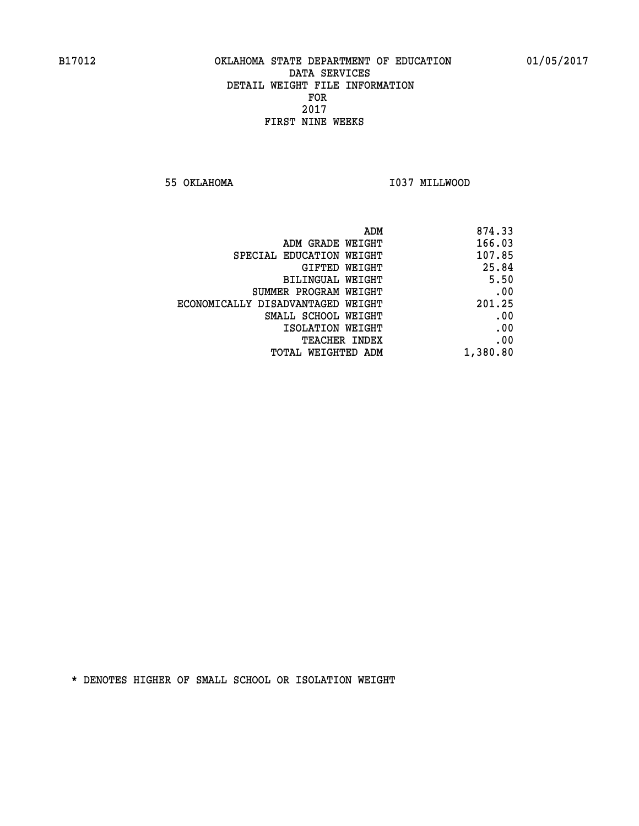**55 OKLAHOMA I037 MILLWOOD** 

|                                   | ADM<br>874.33 |  |
|-----------------------------------|---------------|--|
| ADM GRADE WEIGHT                  | 166.03        |  |
| SPECIAL EDUCATION WEIGHT          | 107.85        |  |
| GIFTED WEIGHT                     | 25.84         |  |
| BILINGUAL WEIGHT                  | 5.50          |  |
| SUMMER PROGRAM WEIGHT             | .00           |  |
| ECONOMICALLY DISADVANTAGED WEIGHT | 201.25        |  |
| SMALL SCHOOL WEIGHT               | .00           |  |
| ISOLATION WEIGHT                  | .00           |  |
| <b>TEACHER INDEX</b>              | .00           |  |
| TOTAL WEIGHTED ADM                | 1,380.80      |  |
|                                   |               |  |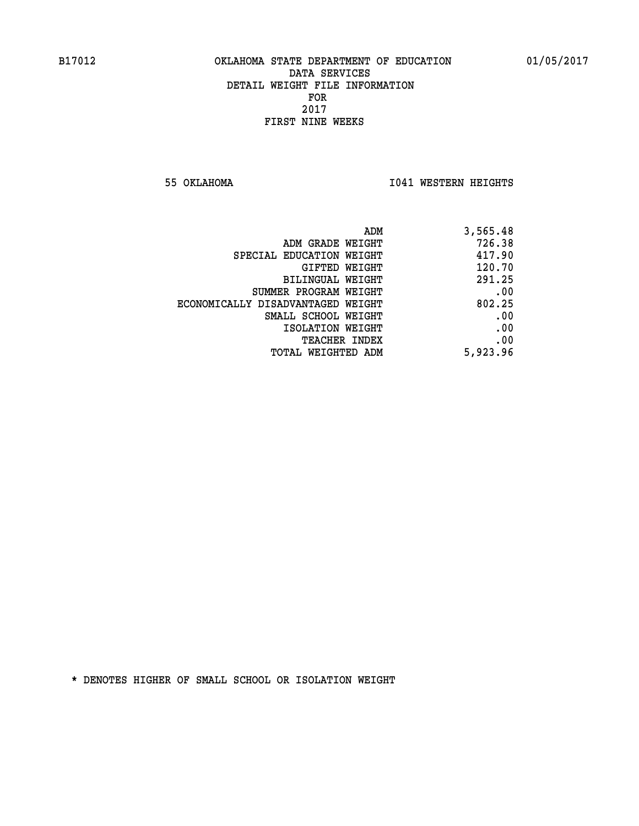**55 OKLAHOMA I041 WESTERN HEIGHTS** 

| 3,565.48 | ADM                               |  |
|----------|-----------------------------------|--|
| 726.38   | ADM GRADE WEIGHT                  |  |
| 417.90   | SPECIAL EDUCATION WEIGHT          |  |
| 120.70   | <b>GIFTED WEIGHT</b>              |  |
| 291.25   | BILINGUAL WEIGHT                  |  |
| .00      | SUMMER PROGRAM WEIGHT             |  |
| 802.25   | ECONOMICALLY DISADVANTAGED WEIGHT |  |
| .00      | SMALL SCHOOL WEIGHT               |  |
| .00      | ISOLATION WEIGHT                  |  |
| .00      | <b>TEACHER INDEX</b>              |  |
| 5,923.96 | TOTAL WEIGHTED ADM                |  |
|          |                                   |  |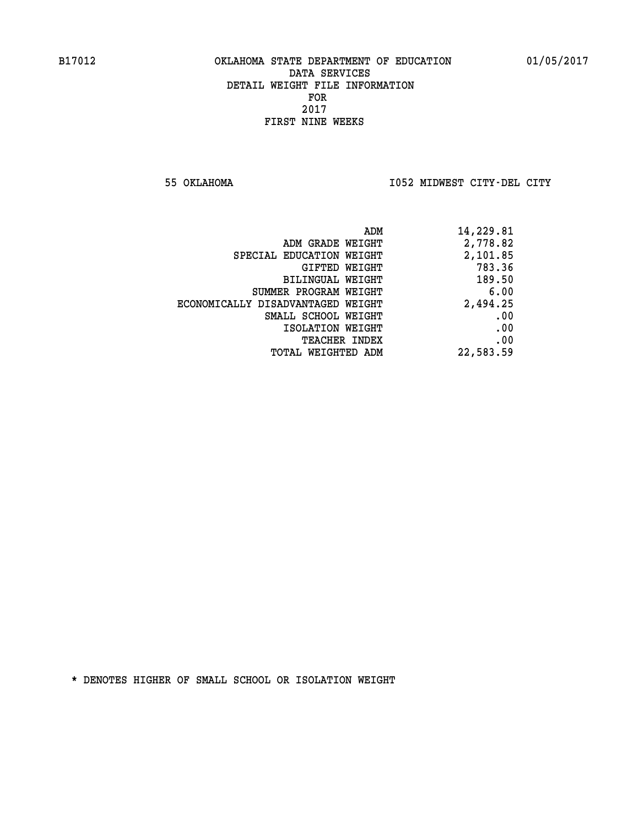**55 OKLAHOMA I052 MIDWEST CITY-DEL CITY** 

| ADM                               | 14,229.81 |
|-----------------------------------|-----------|
| ADM GRADE WEIGHT                  | 2,778.82  |
| SPECIAL EDUCATION WEIGHT          | 2,101.85  |
| GIFTED WEIGHT                     | 783.36    |
| BILINGUAL WEIGHT                  | 189.50    |
| SUMMER PROGRAM WEIGHT             | 6.00      |
| ECONOMICALLY DISADVANTAGED WEIGHT | 2,494.25  |
| SMALL SCHOOL WEIGHT               | .00       |
| ISOLATION WEIGHT                  | .00       |
| <b>TEACHER INDEX</b>              | .00       |
| TOTAL WEIGHTED ADM                | 22,583.59 |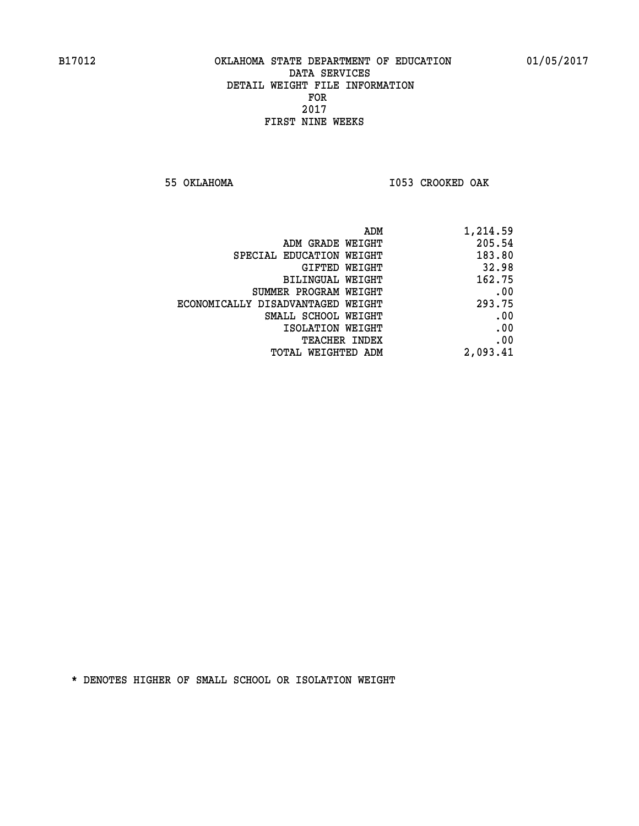**55 OKLAHOMA I053 CROOKED OAK** 

| 1,214.59 |
|----------|
| 205.54   |
| 183.80   |
| 32.98    |
| 162.75   |
| .00      |
| 293.75   |
| .00      |
| .00      |
| .00      |
| 2,093.41 |
|          |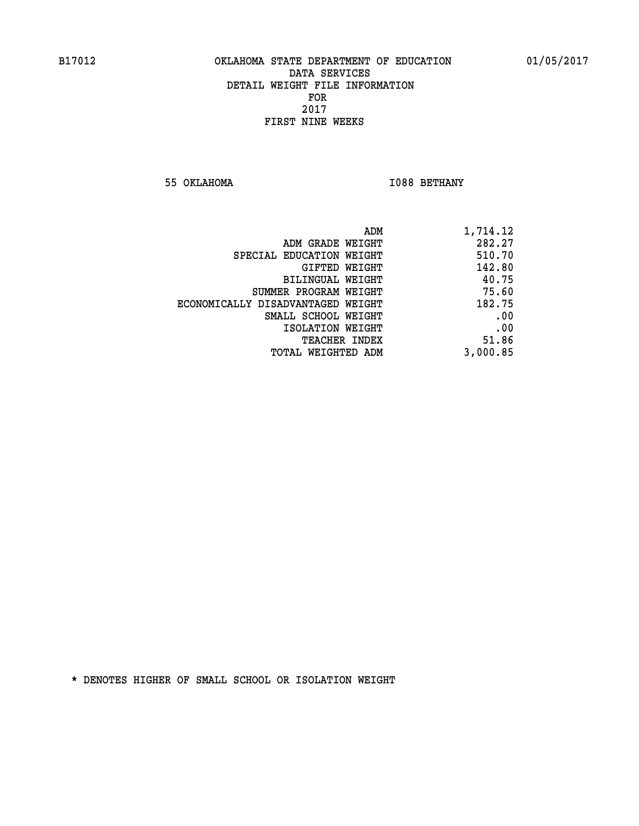**55 OKLAHOMA I088 BETHANY** 

| ADM                               | 1,714.12 |
|-----------------------------------|----------|
| ADM GRADE WEIGHT                  | 282.27   |
| SPECIAL EDUCATION WEIGHT          | 510.70   |
| GIFTED WEIGHT                     | 142.80   |
| BILINGUAL WEIGHT                  | 40.75    |
| SUMMER PROGRAM WEIGHT             | 75.60    |
| ECONOMICALLY DISADVANTAGED WEIGHT | 182.75   |
| SMALL SCHOOL WEIGHT               | .00      |
| ISOLATION WEIGHT                  | .00      |
| TEACHER INDEX                     | 51.86    |
| TOTAL WEIGHTED ADM                | 3,000.85 |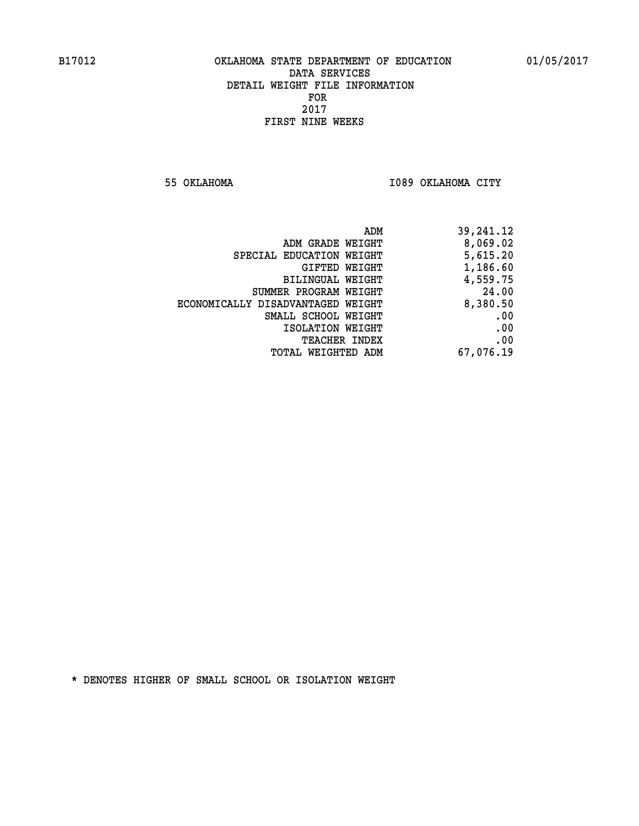**55 OKLAHOMA I089 OKLAHOMA CITY** 

| 39,241.12 |
|-----------|
| 8,069.02  |
| 5,615.20  |
| 1,186.60  |
| 4,559.75  |
| 24.00     |
| 8,380.50  |
| .00       |
| .00       |
| .00       |
| 67,076.19 |
|           |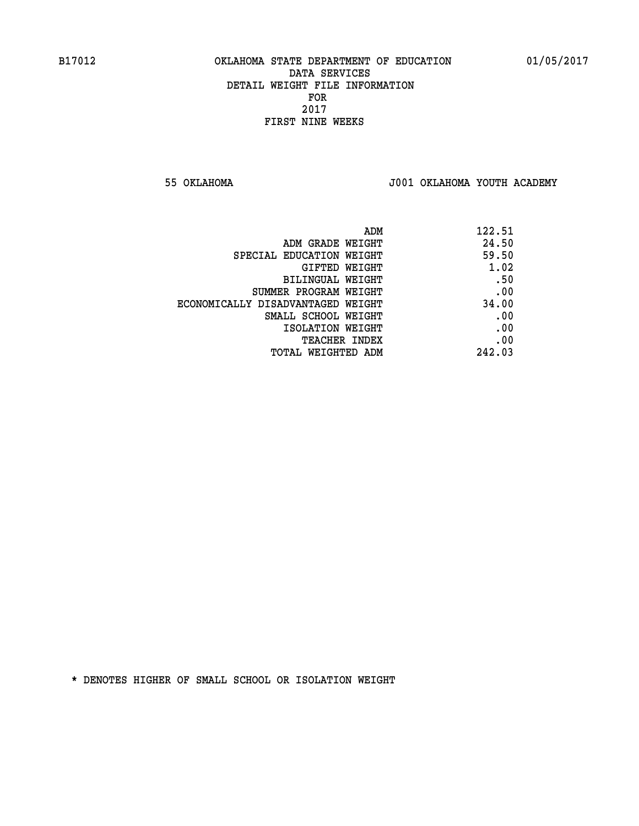**55 OKLAHOMA J001 OKLAHOMA YOUTH ACADEMY**

| ADM                               | 122.51 |
|-----------------------------------|--------|
| ADM GRADE WEIGHT                  | 24.50  |
| SPECIAL EDUCATION WEIGHT          | 59.50  |
| GIFTED WEIGHT                     | 1.02   |
| BILINGUAL WEIGHT                  | .50    |
| SUMMER PROGRAM WEIGHT             | .00    |
| ECONOMICALLY DISADVANTAGED WEIGHT | 34.00  |
| SMALL SCHOOL WEIGHT               | .00    |
| ISOLATION WEIGHT                  | .00    |
| <b>TEACHER INDEX</b>              | .00    |
| TOTAL WEIGHTED ADM                | 242.03 |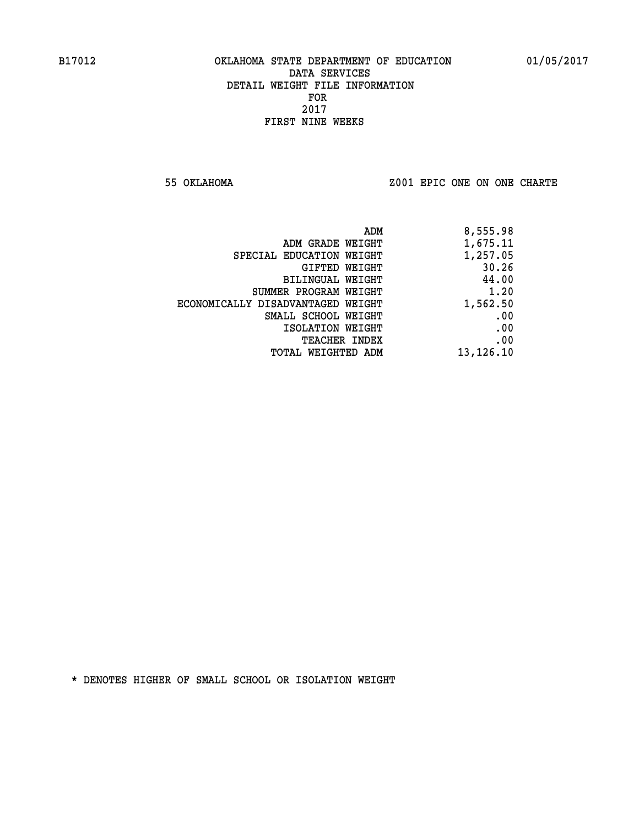**55 OKLAHOMA Z001 EPIC ONE ON ONE CHARTE**

| 8,555.98    |
|-------------|
| 1,675.11    |
| 1,257.05    |
| 30.26       |
| 44.00       |
| 1.20        |
| 1,562.50    |
| .00         |
| .00         |
| .00         |
| 13, 126. 10 |
|             |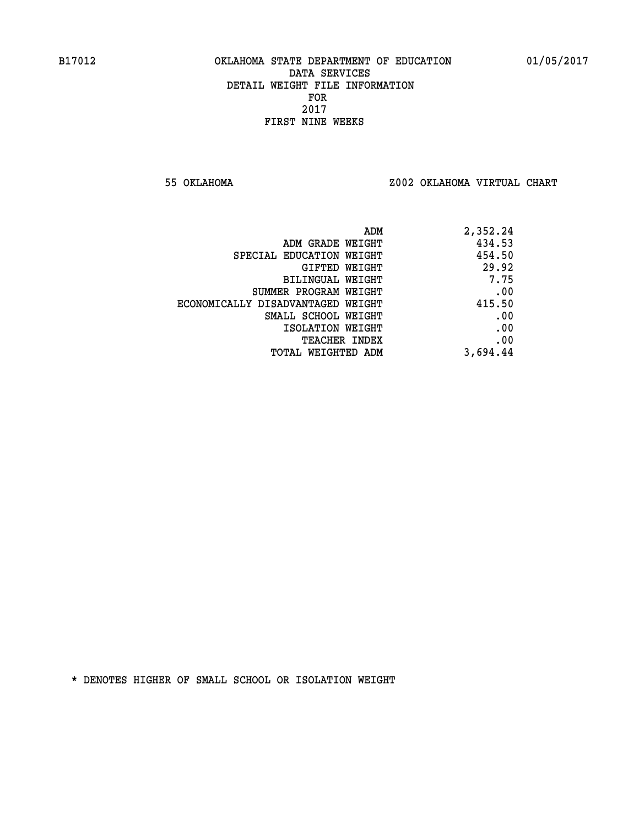**55 OKLAHOMA Z002 OKLAHOMA VIRTUAL CHART**

| ADM                               | 2,352.24 |
|-----------------------------------|----------|
| ADM GRADE WEIGHT                  | 434.53   |
| SPECIAL EDUCATION WEIGHT          | 454.50   |
| GIFTED WEIGHT                     | 29.92    |
| BILINGUAL WEIGHT                  | 7.75     |
| SUMMER PROGRAM WEIGHT             | .00      |
| ECONOMICALLY DISADVANTAGED WEIGHT | 415.50   |
| SMALL SCHOOL WEIGHT               | .00      |
| ISOLATION WEIGHT                  | .00      |
| <b>TEACHER INDEX</b>              | .00      |
| TOTAL WEIGHTED ADM                | 3,694.44 |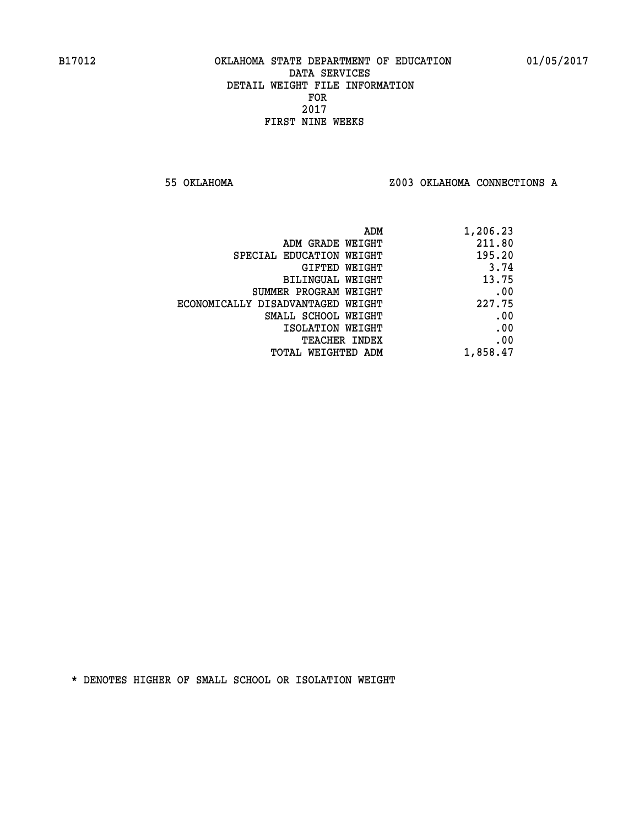**55 OKLAHOMA Z003 OKLAHOMA CONNECTIONS A**

| ADM                               | 1,206.23 |
|-----------------------------------|----------|
| ADM GRADE WEIGHT                  | 211.80   |
| SPECIAL EDUCATION WEIGHT          | 195.20   |
| GIFTED WEIGHT                     | 3.74     |
| BILINGUAL WEIGHT                  | 13.75    |
| SUMMER PROGRAM WEIGHT             | .00      |
| ECONOMICALLY DISADVANTAGED WEIGHT | 227.75   |
| SMALL SCHOOL WEIGHT               | .00      |
| ISOLATION WEIGHT                  | .00      |
| <b>TEACHER INDEX</b>              | .00      |
| TOTAL WEIGHTED ADM                | 1,858.47 |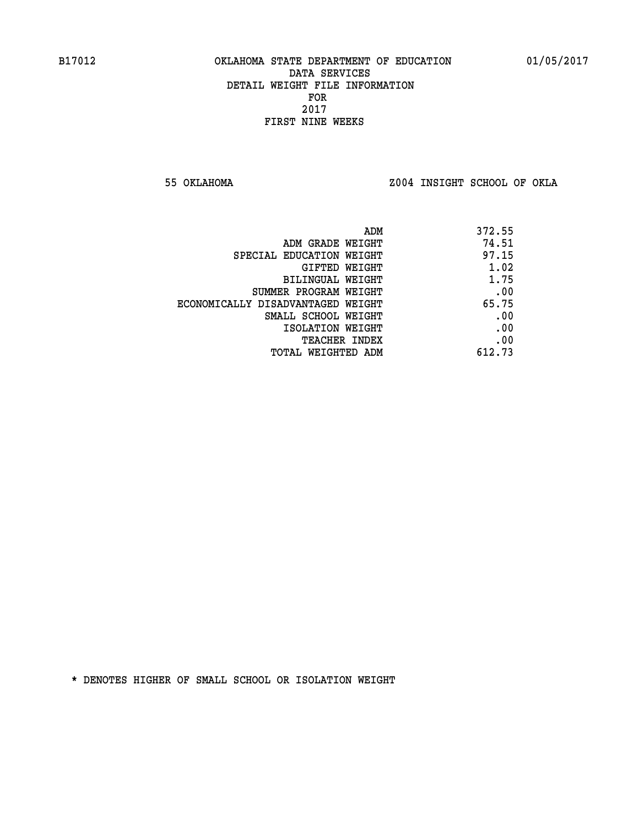**55 OKLAHOMA Z004 INSIGHT SCHOOL OF OKLA**

|                                   | 372.55<br>ADM |
|-----------------------------------|---------------|
| ADM GRADE WEIGHT                  | 74.51         |
| SPECIAL EDUCATION WEIGHT          | 97.15         |
| <b>GIFTED WEIGHT</b>              | 1.02          |
| BILINGUAL WEIGHT                  | 1.75          |
| SUMMER PROGRAM WEIGHT             | .00           |
| ECONOMICALLY DISADVANTAGED WEIGHT | 65.75         |
| SMALL SCHOOL WEIGHT               | .00           |
| ISOLATION WEIGHT                  | .00           |
| <b>TEACHER INDEX</b>              | .00           |
| TOTAL WEIGHTED ADM                | 612.73        |
|                                   |               |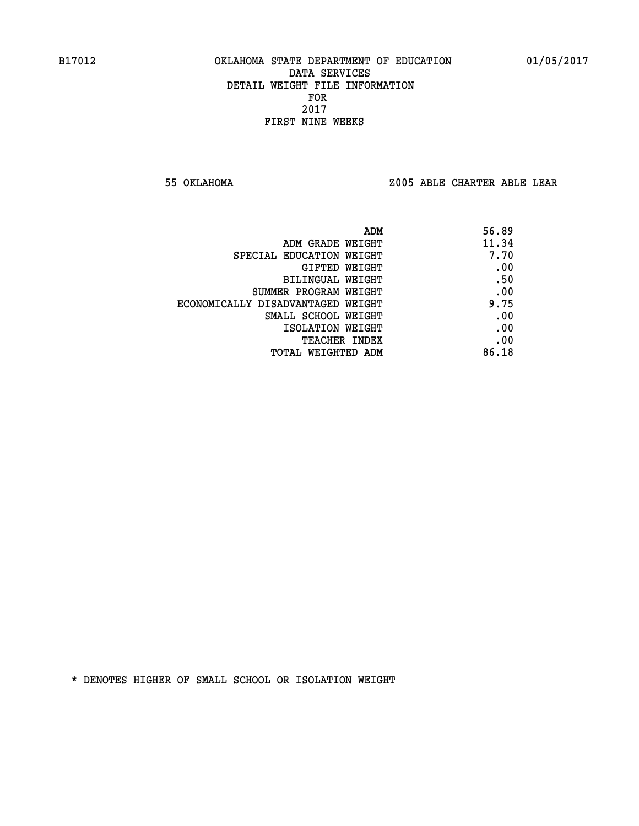**55 OKLAHOMA Z005 ABLE CHARTER ABLE LEAR**

| ADM                               | 56.89 |
|-----------------------------------|-------|
| ADM GRADE WEIGHT                  | 11.34 |
| SPECIAL EDUCATION WEIGHT          | 7.70  |
| GIFTED WEIGHT                     | .00   |
| BILINGUAL WEIGHT                  | .50   |
| SUMMER PROGRAM WEIGHT             | .00   |
| ECONOMICALLY DISADVANTAGED WEIGHT | 9.75  |
| SMALL SCHOOL WEIGHT               | .00   |
| ISOLATION WEIGHT                  | .00   |
| <b>TEACHER INDEX</b>              | .00   |
| TOTAL WEIGHTED ADM                | 86.18 |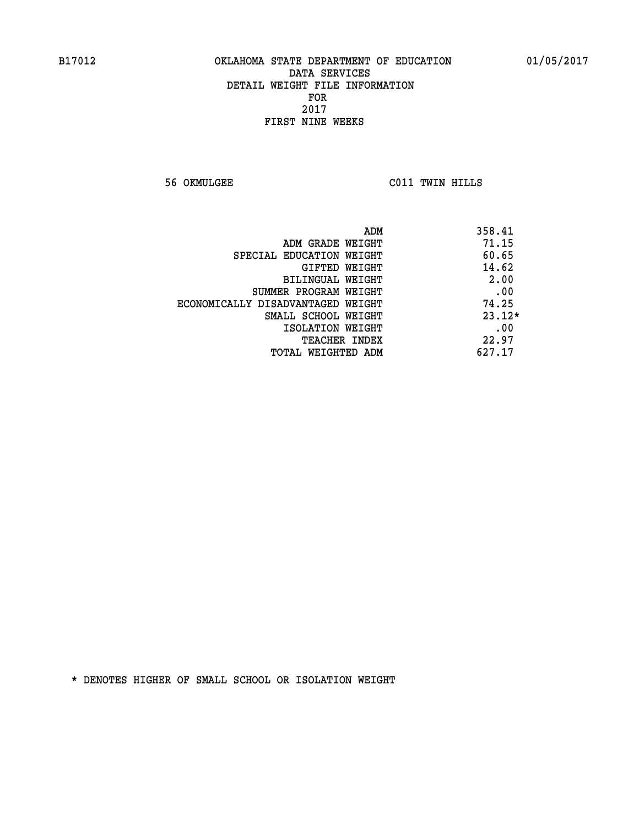**56 OKMULGEE C011 TWIN HILLS** 

| ADM                               | 358.41   |
|-----------------------------------|----------|
| ADM GRADE WEIGHT                  | 71.15    |
| SPECIAL EDUCATION WEIGHT          | 60.65    |
| GIFTED WEIGHT                     | 14.62    |
| BILINGUAL WEIGHT                  | 2.00     |
| SUMMER PROGRAM WEIGHT             | .00      |
| ECONOMICALLY DISADVANTAGED WEIGHT | 74.25    |
| SMALL SCHOOL WEIGHT               | $23.12*$ |
| ISOLATION WEIGHT                  | .00      |
| <b>TEACHER INDEX</b>              | 22.97    |
| TOTAL WEIGHTED ADM                | 627.17   |
|                                   |          |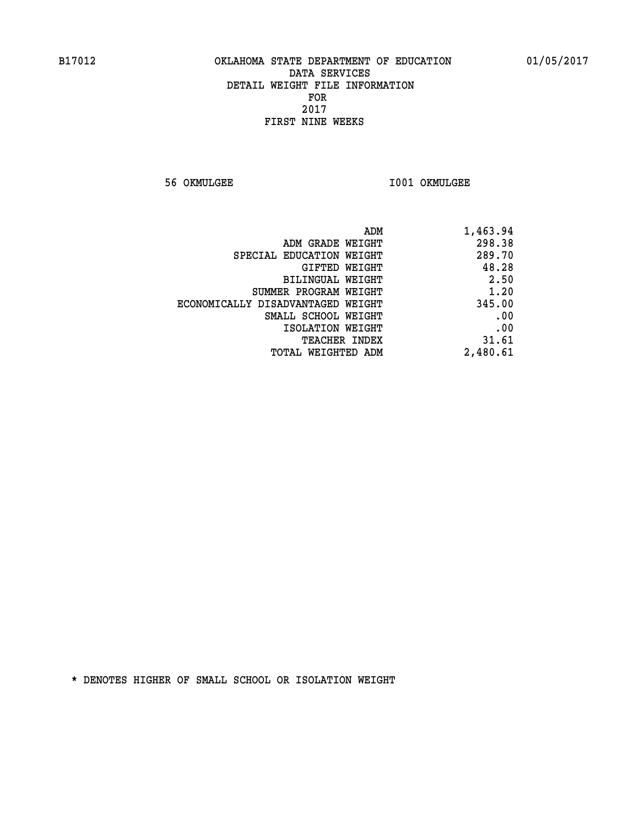**56 OKMULGEE I001 OKMULGEE** 

| ADM                               | 1,463.94 |
|-----------------------------------|----------|
| ADM GRADE WEIGHT                  | 298.38   |
| SPECIAL EDUCATION WEIGHT          | 289.70   |
| GIFTED WEIGHT                     | 48.28    |
| BILINGUAL WEIGHT                  | 2.50     |
| SUMMER PROGRAM WEIGHT             | 1.20     |
| ECONOMICALLY DISADVANTAGED WEIGHT | 345.00   |
| SMALL SCHOOL WEIGHT               | .00      |
| ISOLATION WEIGHT                  | .00      |
| TEACHER INDEX                     | 31.61    |
| TOTAL WEIGHTED ADM                | 2,480.61 |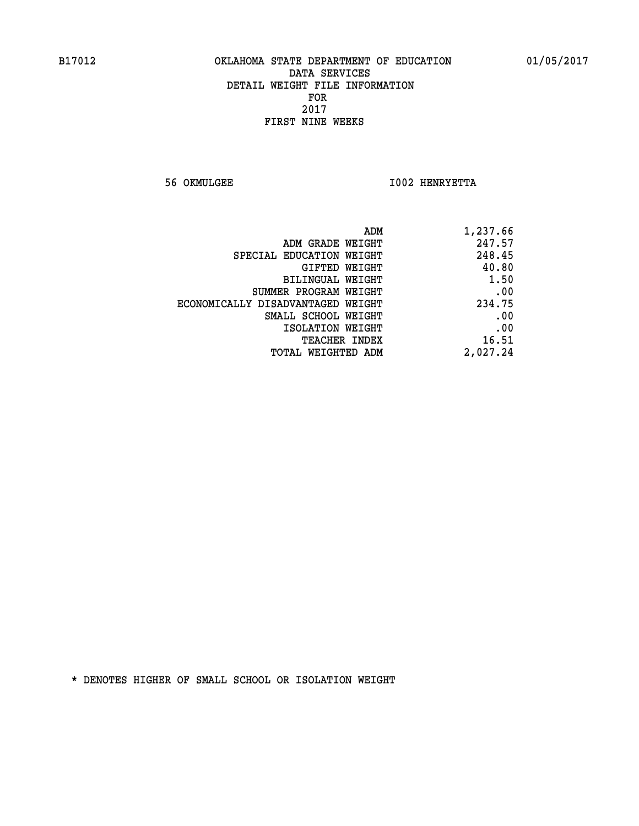**56 OKMULGEE I002 HENRYETTA** 

| ADM                               | 1,237.66 |
|-----------------------------------|----------|
| ADM GRADE WEIGHT                  | 247.57   |
| SPECIAL EDUCATION WEIGHT          | 248.45   |
| GIFTED WEIGHT                     | 40.80    |
| BILINGUAL WEIGHT                  | 1.50     |
| SUMMER PROGRAM WEIGHT             | .00      |
| ECONOMICALLY DISADVANTAGED WEIGHT | 234.75   |
| SMALL SCHOOL WEIGHT               | .00      |
| ISOLATION WEIGHT                  | .00      |
| <b>TEACHER INDEX</b>              | 16.51    |
| TOTAL WEIGHTED ADM                | 2,027.24 |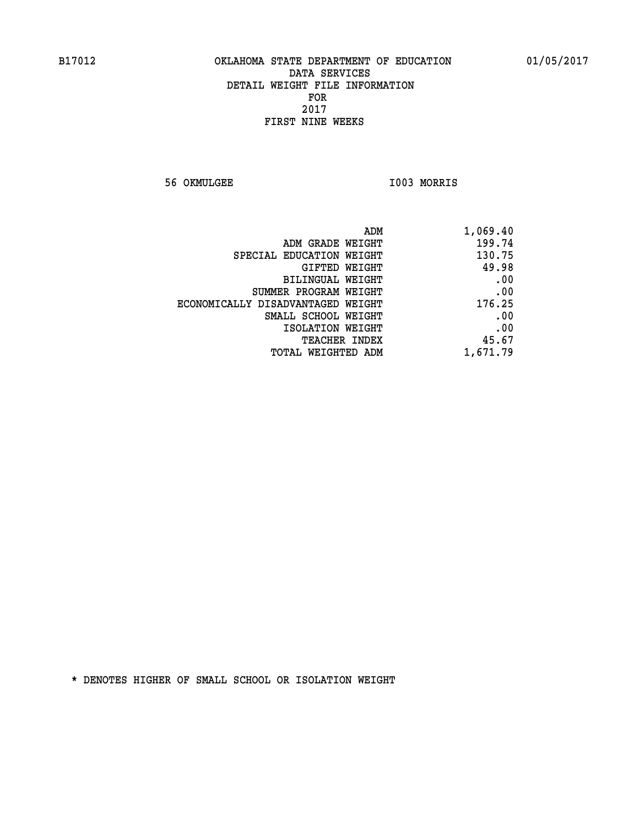**56 OKMULGEE I003 MORRIS** 

| ADM                               | 1,069.40 |
|-----------------------------------|----------|
| ADM GRADE WEIGHT                  | 199.74   |
| SPECIAL EDUCATION WEIGHT          | 130.75   |
| GIFTED WEIGHT                     | 49.98    |
| BILINGUAL WEIGHT                  | .00      |
| SUMMER PROGRAM WEIGHT             | .00      |
| ECONOMICALLY DISADVANTAGED WEIGHT | 176.25   |
| SMALL SCHOOL WEIGHT               | .00      |
| ISOLATION WEIGHT                  | .00      |
| <b>TEACHER INDEX</b>              | 45.67    |
| TOTAL WEIGHTED ADM                | 1,671.79 |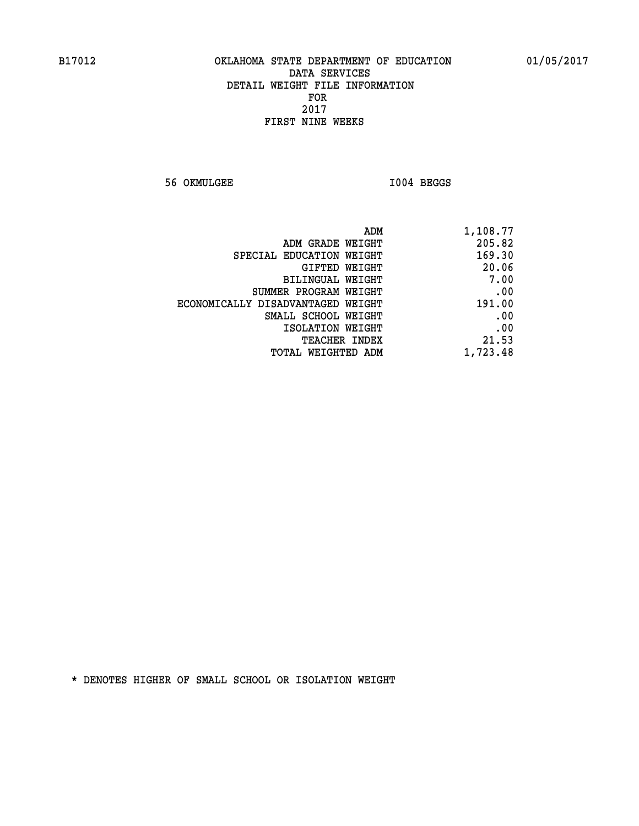**56 OKMULGEE I004 BEGGS** 

| 1,108.77 |
|----------|
| 205.82   |
| 169.30   |
| 20.06    |
| 7.00     |
| .00      |
| 191.00   |
| .00      |
| .00      |
| 21.53    |
| 1,723.48 |
|          |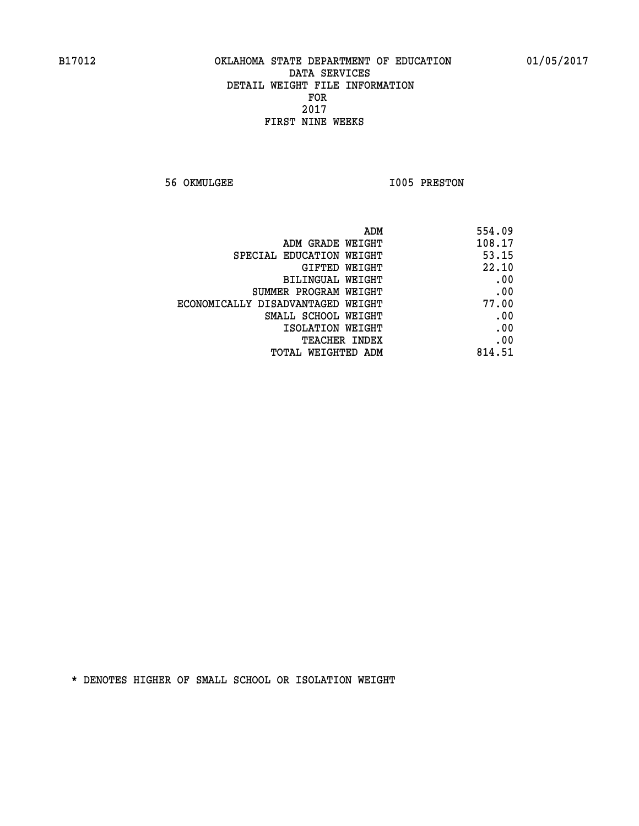**56 OKMULGEE 1005 PRESTON** 

|                                   | ADM<br>554.09 |
|-----------------------------------|---------------|
| ADM GRADE WEIGHT                  | 108.17        |
| SPECIAL EDUCATION WEIGHT          | 53.15         |
| GIFTED WEIGHT                     | 22.10         |
| <b>BILINGUAL WEIGHT</b>           | .00           |
| SUMMER PROGRAM WEIGHT             | .00           |
| ECONOMICALLY DISADVANTAGED WEIGHT | 77.00         |
| SMALL SCHOOL WEIGHT               | .00           |
| ISOLATION WEIGHT                  | .00           |
| <b>TEACHER INDEX</b>              | .00           |
| TOTAL WEIGHTED ADM                | 814.51        |
|                                   |               |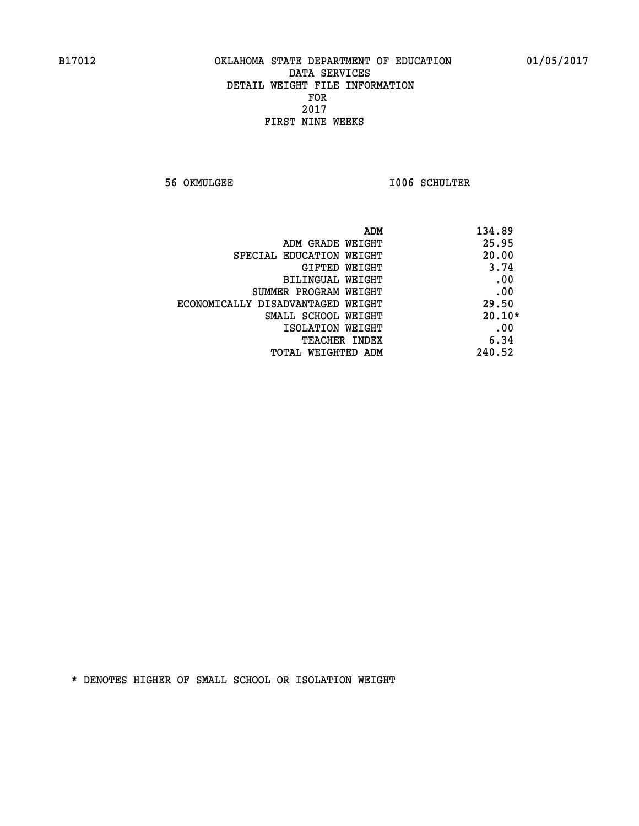**56 OKMULGEE I006 SCHULTER** 

| ADM                               | 134.89   |
|-----------------------------------|----------|
| ADM GRADE WEIGHT                  | 25.95    |
| SPECIAL EDUCATION WEIGHT          | 20.00    |
| <b>GIFTED WEIGHT</b>              | 3.74     |
| BILINGUAL WEIGHT                  | .00      |
| SUMMER PROGRAM WEIGHT             | .00      |
| ECONOMICALLY DISADVANTAGED WEIGHT | 29.50    |
| SMALL SCHOOL WEIGHT               | $20.10*$ |
| ISOLATION WEIGHT                  | .00      |
| <b>TEACHER INDEX</b>              | 6.34     |
| TOTAL WEIGHTED ADM                | 240.52   |
|                                   |          |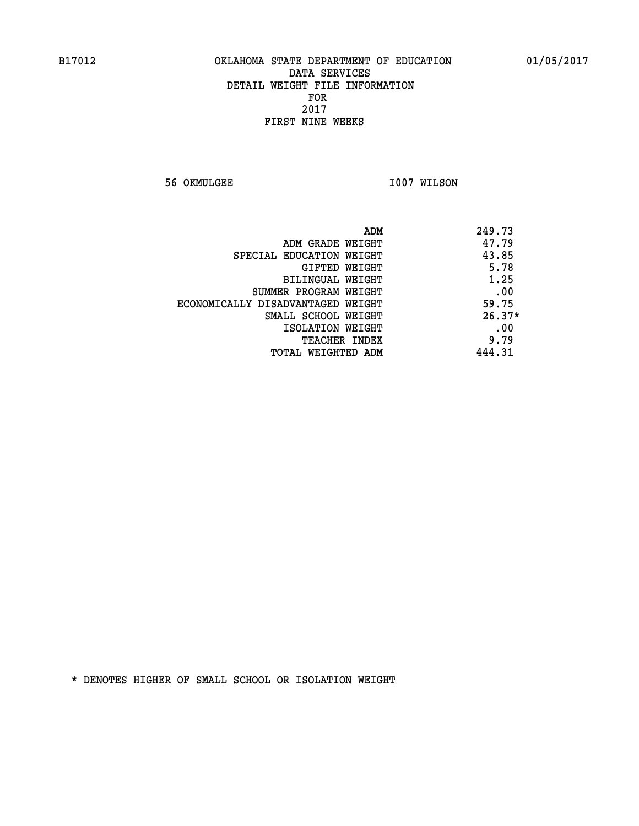**56 OKMULGEE 1007 WILSON** 

| ADM                               | 249.73   |
|-----------------------------------|----------|
| ADM GRADE WEIGHT                  | 47.79    |
| SPECIAL EDUCATION WEIGHT          | 43.85    |
| GIFTED WEIGHT                     | 5.78     |
| BILINGUAL WEIGHT                  | 1.25     |
| SUMMER PROGRAM WEIGHT             | .00      |
| ECONOMICALLY DISADVANTAGED WEIGHT | 59.75    |
| SMALL SCHOOL WEIGHT               | $26.37*$ |
| ISOLATION WEIGHT                  | .00      |
| <b>TEACHER INDEX</b>              | 9.79     |
| TOTAL WEIGHTED ADM                | 444.31   |
|                                   |          |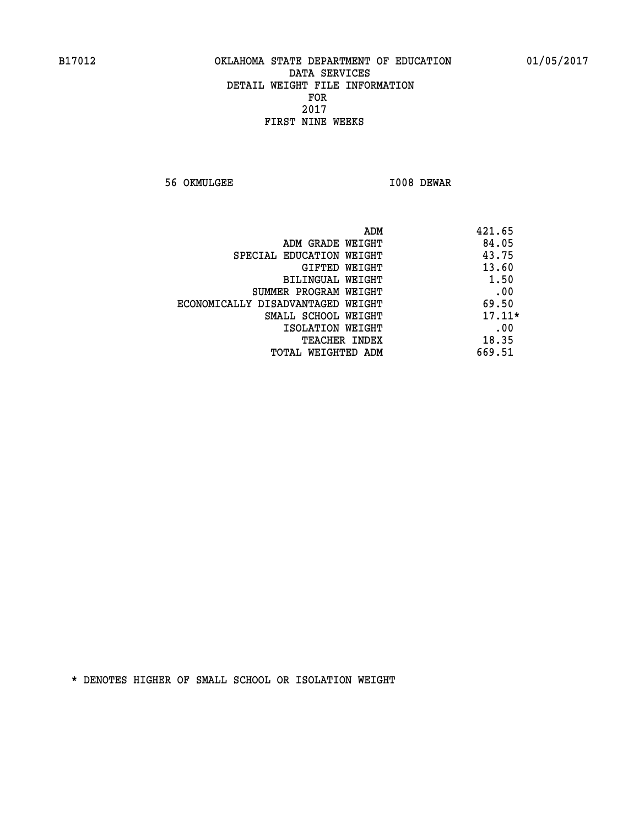**56 OKMULGEE I008 DEWAR** 

| ADM                               | 421.65   |
|-----------------------------------|----------|
| ADM GRADE WEIGHT                  | 84.05    |
| SPECIAL EDUCATION WEIGHT          | 43.75    |
| GIFTED WEIGHT                     | 13.60    |
| BILINGUAL WEIGHT                  | 1.50     |
| SUMMER PROGRAM WEIGHT             | .00      |
| ECONOMICALLY DISADVANTAGED WEIGHT | 69.50    |
| SMALL SCHOOL WEIGHT               | $17.11*$ |
| ISOLATION WEIGHT                  | .00      |
| <b>TEACHER INDEX</b>              | 18.35    |
| TOTAL WEIGHTED ADM                | 669.51   |
|                                   |          |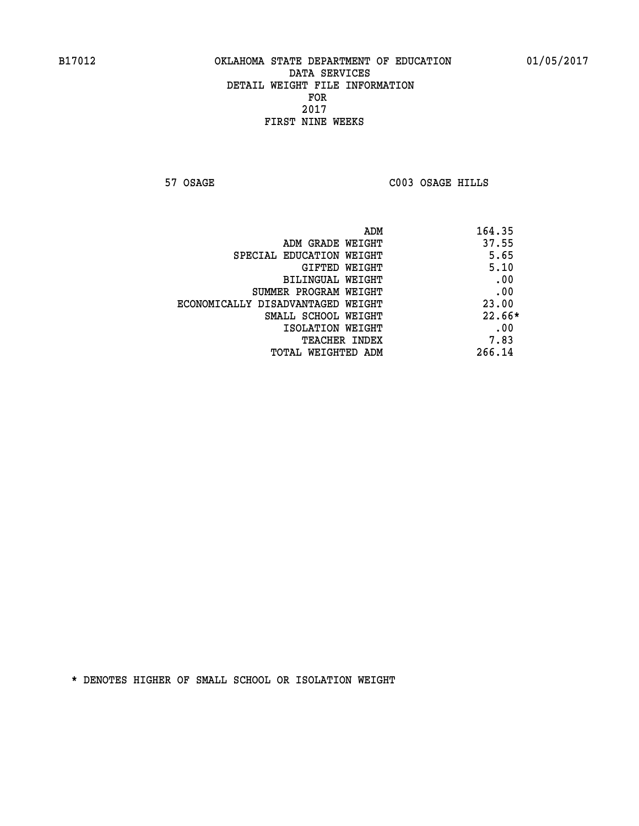**57 OSAGE C003 OSAGE HILLS** 

| ADM<br>164.35                              |  |
|--------------------------------------------|--|
| 37.55<br>ADM GRADE WEIGHT                  |  |
| 5.65<br>SPECIAL EDUCATION WEIGHT           |  |
| 5.10<br>GIFTED WEIGHT                      |  |
| .00<br>BILINGUAL WEIGHT                    |  |
| .00<br>SUMMER PROGRAM WEIGHT               |  |
| 23.00<br>ECONOMICALLY DISADVANTAGED WEIGHT |  |
| $22.66*$<br>SMALL SCHOOL WEIGHT            |  |
| .00<br>ISOLATION WEIGHT                    |  |
| 7.83<br><b>TEACHER INDEX</b>               |  |
| 266.14<br>TOTAL WEIGHTED ADM               |  |
|                                            |  |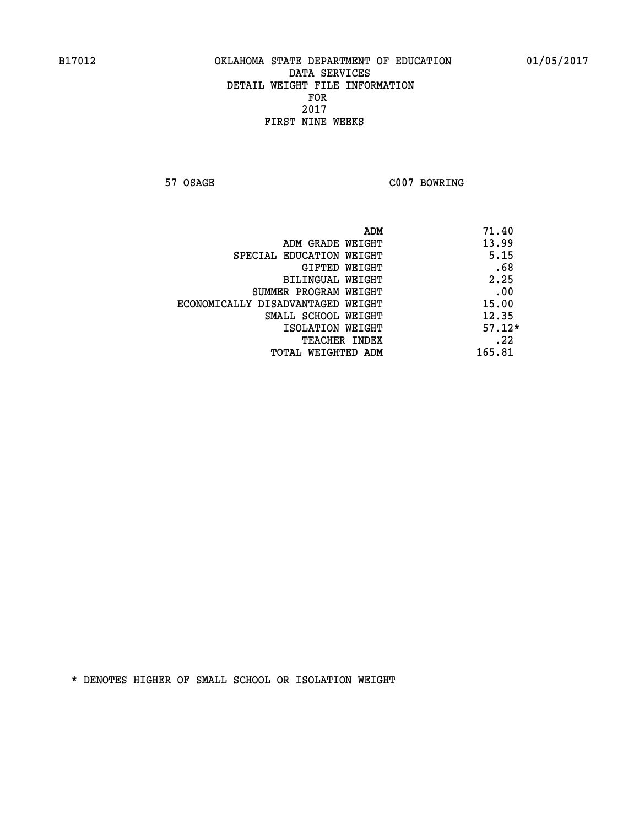**57 OSAGE C007 BOWRING** 

| ADM                               | 71.40    |
|-----------------------------------|----------|
| ADM GRADE WEIGHT                  | 13.99    |
| SPECIAL EDUCATION WEIGHT          | 5.15     |
| GIFTED WEIGHT                     | .68      |
| BILINGUAL WEIGHT                  | 2.25     |
| SUMMER PROGRAM WEIGHT             | .00      |
| ECONOMICALLY DISADVANTAGED WEIGHT | 15.00    |
| SMALL SCHOOL WEIGHT               | 12.35    |
| ISOLATION WEIGHT                  | $57.12*$ |
| <b>TEACHER INDEX</b>              | .22      |
| TOTAL WEIGHTED ADM                | 165.81   |
|                                   |          |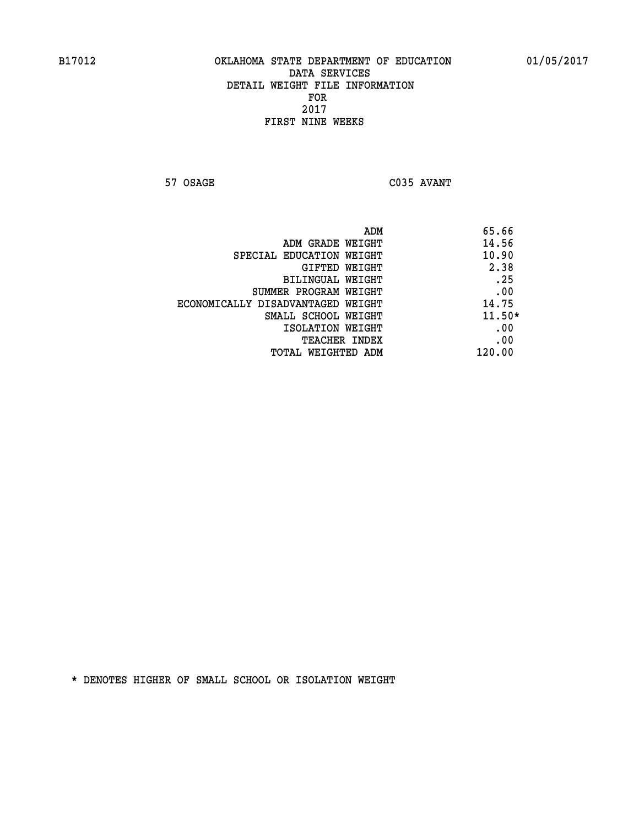**57 OSAGE C035 AVANT** 

|                                   | 65.66<br>ADM |
|-----------------------------------|--------------|
| ADM GRADE WEIGHT                  | 14.56        |
| SPECIAL EDUCATION WEIGHT          | 10.90        |
| GIFTED WEIGHT                     | 2.38         |
| BILINGUAL WEIGHT                  | .25          |
| SUMMER PROGRAM WEIGHT             | .00          |
| ECONOMICALLY DISADVANTAGED WEIGHT | 14.75        |
| SMALL SCHOOL WEIGHT               | $11.50*$     |
| ISOLATION WEIGHT                  | .00          |
| TEACHER INDEX                     | .00          |
| TOTAL WEIGHTED ADM                | 120.00       |
|                                   |              |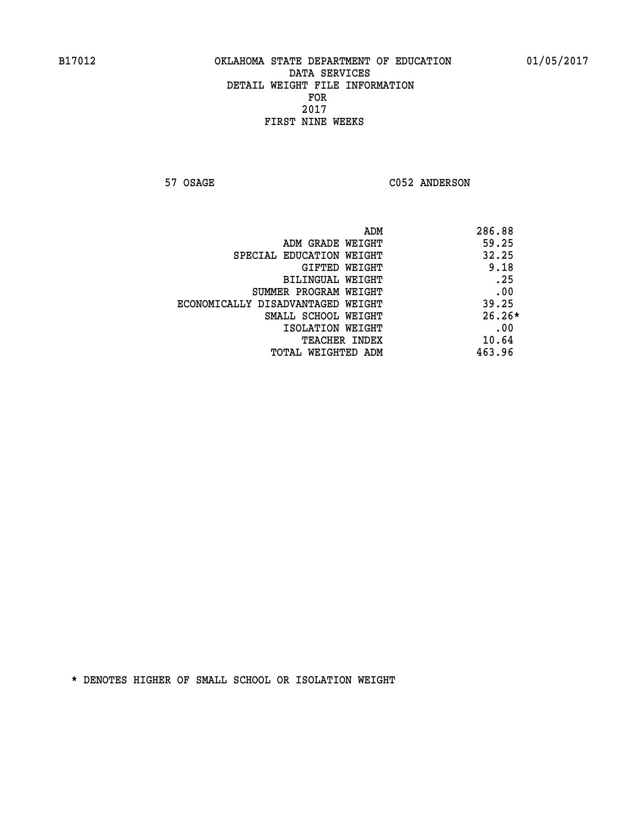57 OSAGE C052 ANDERSON

| ADM                               | 286.88   |
|-----------------------------------|----------|
| ADM GRADE WEIGHT                  | 59.25    |
| SPECIAL EDUCATION WEIGHT          | 32.25    |
| GIFTED WEIGHT                     | 9.18     |
| BILINGUAL WEIGHT                  | .25      |
| SUMMER PROGRAM WEIGHT             | .00      |
| ECONOMICALLY DISADVANTAGED WEIGHT | 39.25    |
| SMALL SCHOOL WEIGHT               | $26.26*$ |
| ISOLATION WEIGHT                  | .00      |
| <b>TEACHER INDEX</b>              | 10.64    |
| TOTAL WEIGHTED ADM                | 463.96   |
|                                   |          |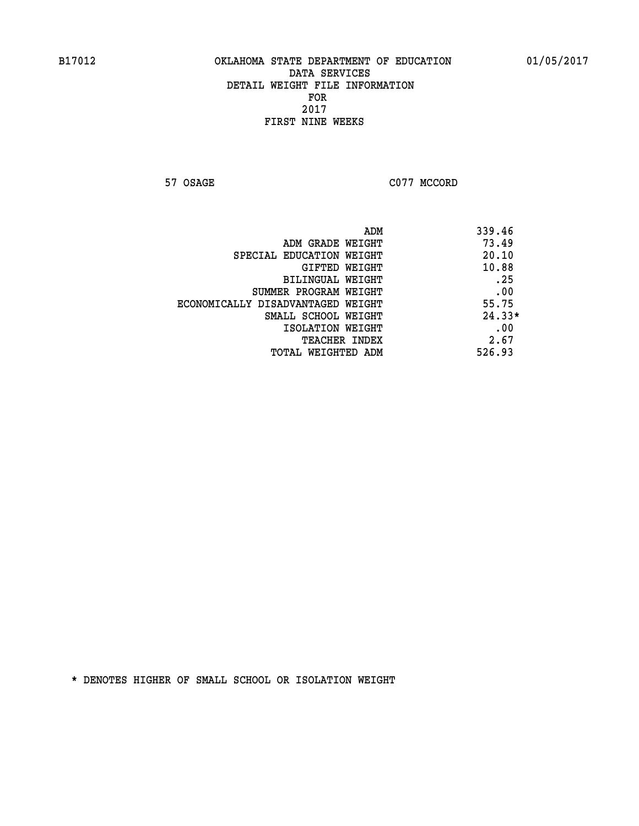**57 OSAGE C077 MCCORD** 

| 339.46   |
|----------|
| 73.49    |
| 20.10    |
| 10.88    |
| .25      |
| .00      |
| 55.75    |
| $24.33*$ |
| .00      |
| 2.67     |
| 526.93   |
|          |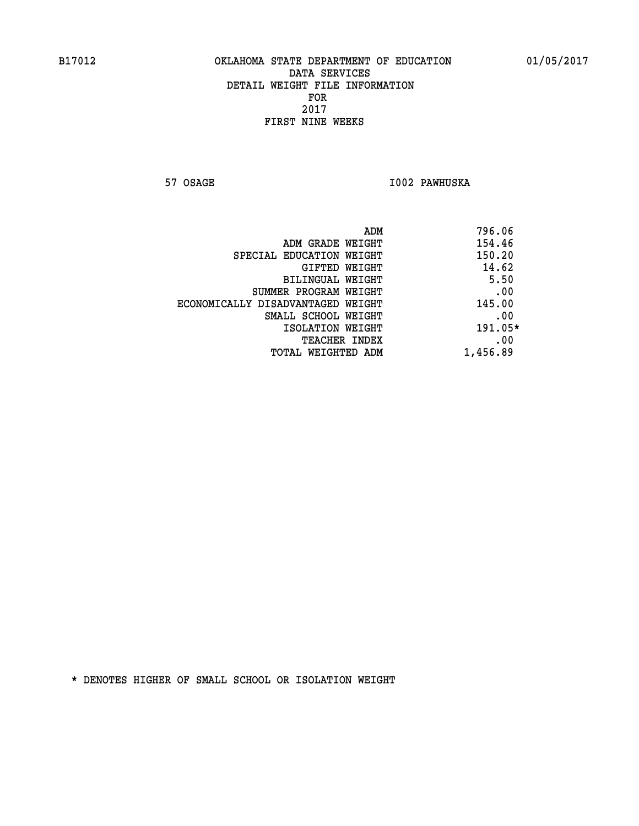**57 OSAGE I002 PAWHUSKA** 

| 796.06   | ADM                               |
|----------|-----------------------------------|
| 154.46   | ADM GRADE WEIGHT                  |
| 150.20   | SPECIAL EDUCATION WEIGHT          |
| 14.62    | GIFTED WEIGHT                     |
| 5.50     | BILINGUAL WEIGHT                  |
| .00      | SUMMER PROGRAM WEIGHT             |
| 145.00   | ECONOMICALLY DISADVANTAGED WEIGHT |
| .00      | SMALL SCHOOL WEIGHT               |
| 191.05*  | ISOLATION WEIGHT                  |
| .00      | <b>TEACHER INDEX</b>              |
| 1,456.89 | TOTAL WEIGHTED ADM                |
|          |                                   |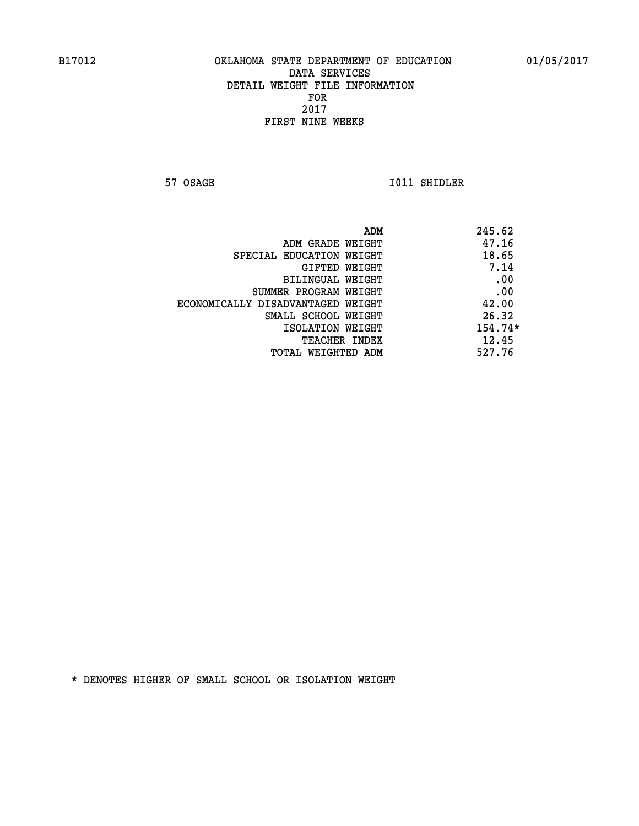**57 OSAGE 1011 SHIDLER** 

| ADM                               | 245.62  |
|-----------------------------------|---------|
| ADM GRADE WEIGHT                  | 47.16   |
| SPECIAL EDUCATION WEIGHT          | 18.65   |
| GIFTED WEIGHT                     | 7.14    |
| BILINGUAL WEIGHT                  | .00     |
| SUMMER PROGRAM WEIGHT             | .00     |
| ECONOMICALLY DISADVANTAGED WEIGHT | 42.00   |
| SMALL SCHOOL WEIGHT               | 26.32   |
| ISOLATION WEIGHT                  | 154.74* |
| TEACHER INDEX                     | 12.45   |
| TOTAL WEIGHTED ADM                | 527.76  |
|                                   |         |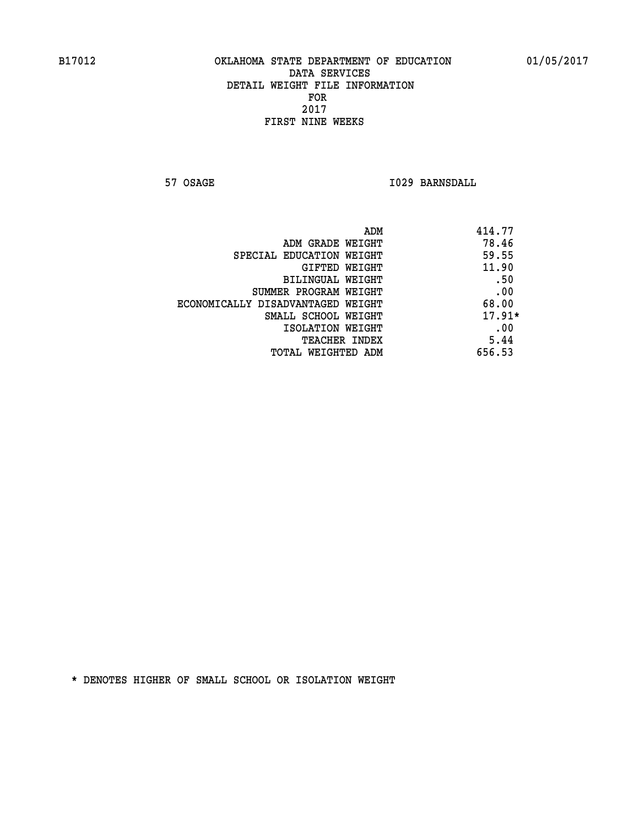**57 OSAGE 1029 BARNSDALL** 

| 414.77<br>ADM                              |  |
|--------------------------------------------|--|
| 78.46<br>ADM GRADE WEIGHT                  |  |
| 59.55<br>SPECIAL EDUCATION WEIGHT          |  |
| 11.90<br>GIFTED WEIGHT                     |  |
| .50<br>BILINGUAL WEIGHT                    |  |
| .00<br>SUMMER PROGRAM WEIGHT               |  |
| 68.00<br>ECONOMICALLY DISADVANTAGED WEIGHT |  |
| $17.91*$<br>SMALL SCHOOL WEIGHT            |  |
| .00<br>ISOLATION WEIGHT                    |  |
| 5.44<br><b>TEACHER INDEX</b>               |  |
| 656.53<br>TOTAL WEIGHTED ADM               |  |
|                                            |  |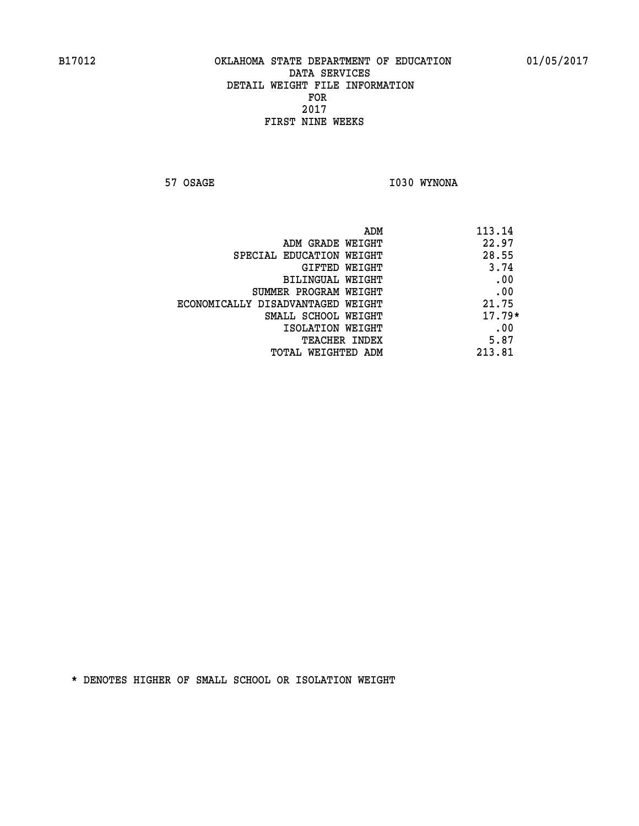**57 OSAGE 1030 WYNONA** 

| ADM                               | 113.14   |
|-----------------------------------|----------|
| ADM GRADE WEIGHT                  | 22.97    |
| SPECIAL EDUCATION WEIGHT          | 28.55    |
| GIFTED WEIGHT                     | 3.74     |
| BILINGUAL WEIGHT                  | .00      |
| SUMMER PROGRAM WEIGHT             | .00      |
| ECONOMICALLY DISADVANTAGED WEIGHT | 21.75    |
| SMALL SCHOOL WEIGHT               | $17.79*$ |
| ISOLATION WEIGHT                  | .00      |
| <b>TEACHER INDEX</b>              | 5.87     |
| TOTAL WEIGHTED ADM                | 213.81   |
|                                   |          |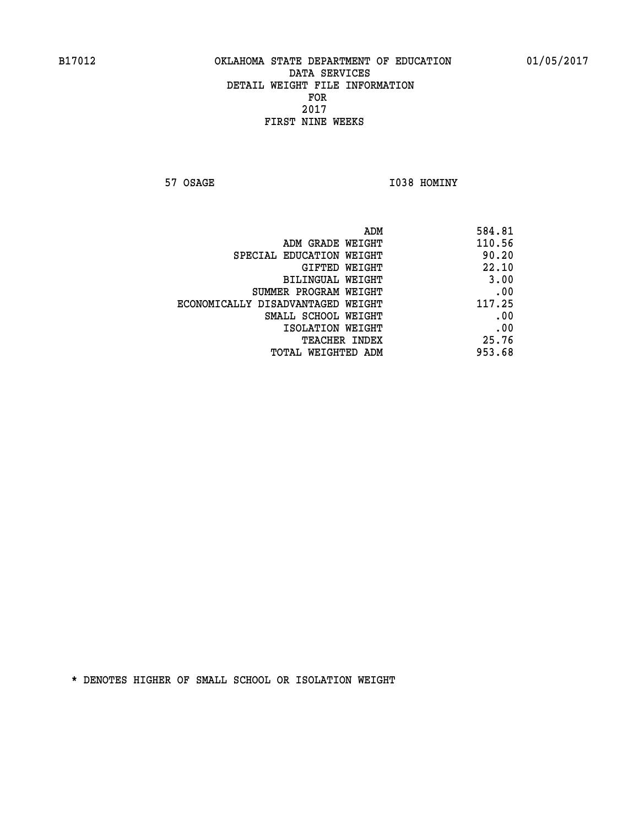**57 OSAGE 1038 HOMINY** 

| 584.81<br>ADM                               |
|---------------------------------------------|
| 110.56<br>ADM GRADE WEIGHT                  |
| 90.20<br>SPECIAL EDUCATION WEIGHT           |
| 22.10<br>GIFTED WEIGHT                      |
| 3.00<br>BILINGUAL WEIGHT                    |
| .00<br>SUMMER PROGRAM WEIGHT                |
| 117.25<br>ECONOMICALLY DISADVANTAGED WEIGHT |
| .00<br>SMALL SCHOOL WEIGHT                  |
| .00<br>ISOLATION WEIGHT                     |
| 25.76<br><b>TEACHER INDEX</b>               |
| 953.68<br>TOTAL WEIGHTED ADM                |
|                                             |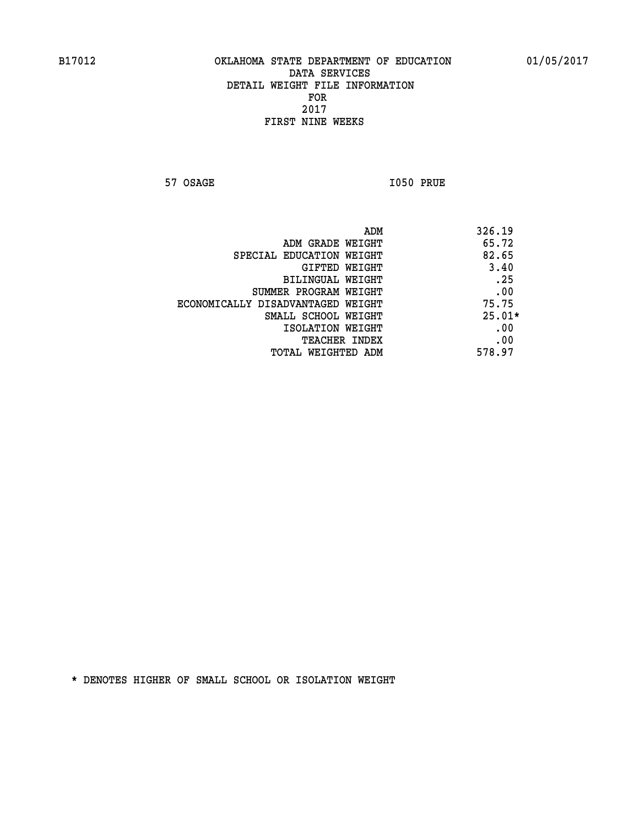**57 OSAGE I050 PRUE** 

| 326.19   |
|----------|
| 65.72    |
| 82.65    |
| 3.40     |
| .25      |
| .00      |
| 75.75    |
| $25.01*$ |
| .00      |
| .00      |
| 578.97   |
|          |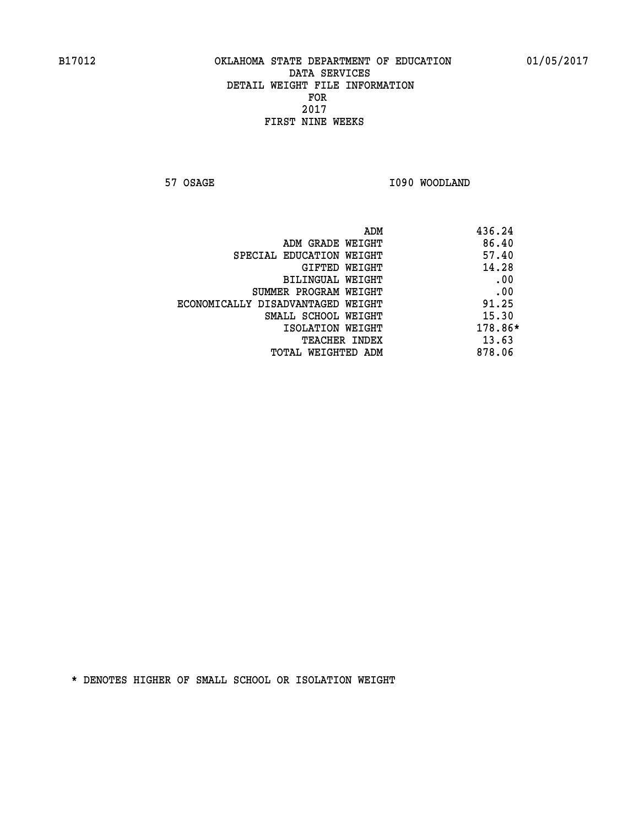**57 OSAGE 1090 WOODLAND** 

|                                   | ADM | 436.24  |
|-----------------------------------|-----|---------|
| ADM GRADE WEIGHT                  |     | 86.40   |
| SPECIAL EDUCATION WEIGHT          |     | 57.40   |
| GIFTED WEIGHT                     |     | 14.28   |
| BILINGUAL WEIGHT                  |     | .00     |
| SUMMER PROGRAM WEIGHT             |     | .00     |
| ECONOMICALLY DISADVANTAGED WEIGHT |     | 91.25   |
| SMALL SCHOOL WEIGHT               |     | 15.30   |
| ISOLATION WEIGHT                  |     | 178.86* |
| TEACHER INDEX                     |     | 13.63   |
| TOTAL WEIGHTED ADM                |     | 878.06  |
|                                   |     |         |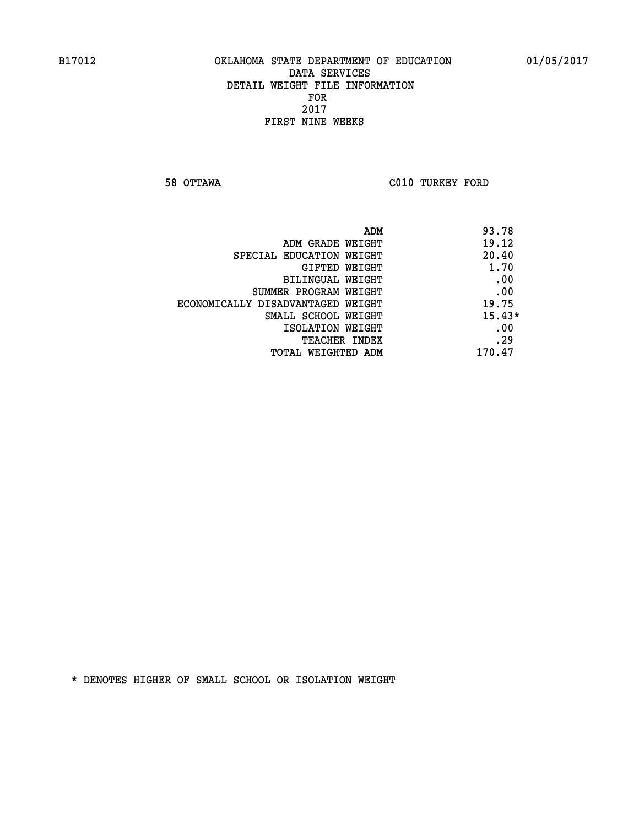**58 OTTAWA C010 TURKEY FORD** 

| ADM<br>93.78                               |  |
|--------------------------------------------|--|
| 19.12<br>ADM GRADE WEIGHT                  |  |
| 20.40<br>SPECIAL EDUCATION WEIGHT          |  |
| 1.70<br><b>GIFTED WEIGHT</b>               |  |
| .00<br>BILINGUAL WEIGHT                    |  |
| .00<br>SUMMER PROGRAM WEIGHT               |  |
| 19.75<br>ECONOMICALLY DISADVANTAGED WEIGHT |  |
| $15.43*$<br>SMALL SCHOOL WEIGHT            |  |
| .00<br>ISOLATION WEIGHT                    |  |
| .29<br><b>TEACHER INDEX</b>                |  |
| 170.47<br>TOTAL WEIGHTED ADM               |  |
|                                            |  |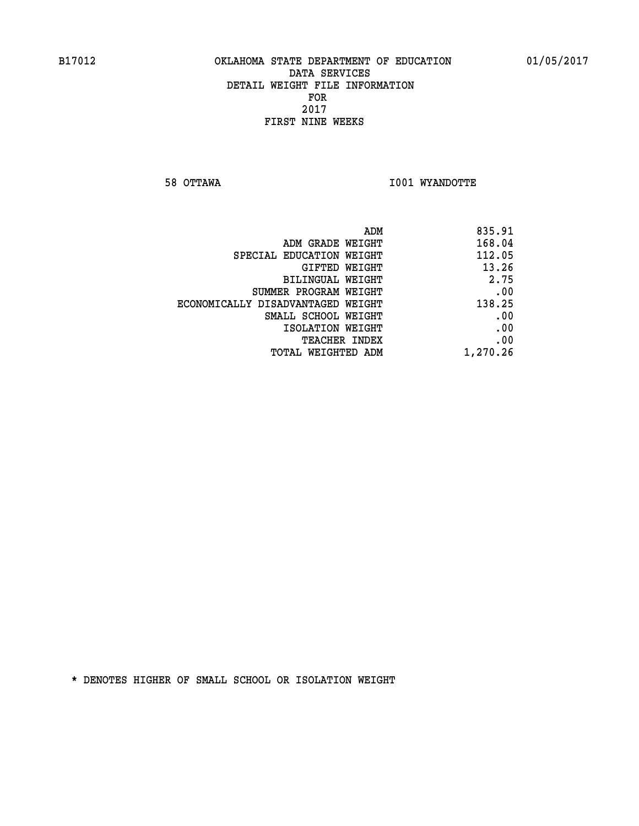**58 OTTAWA I001 WYANDOTTE** 

| 835.91   |
|----------|
| 168.04   |
| 112.05   |
| 13.26    |
| 2.75     |
| .00      |
| 138.25   |
| .00      |
| .00      |
| .00      |
| 1,270.26 |
|          |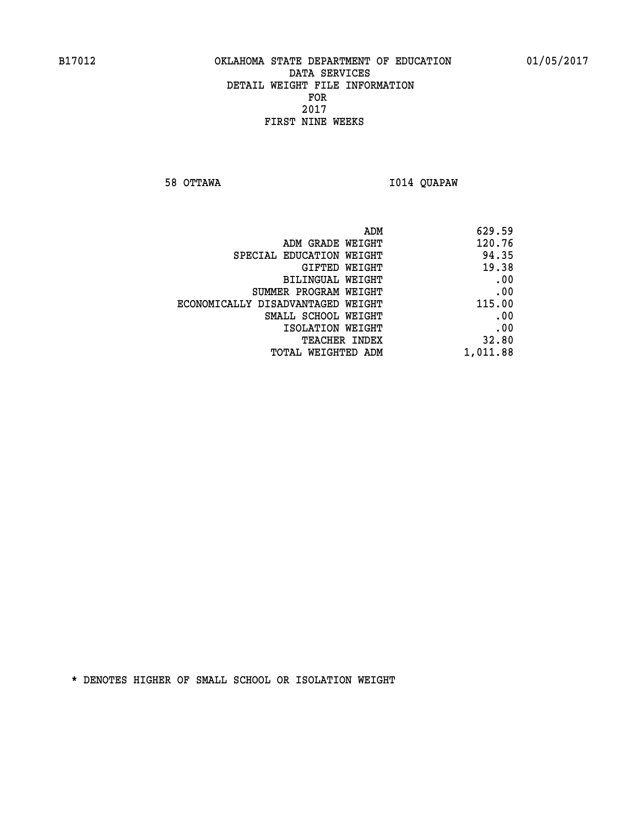**58 OTTAWA I014 QUAPAW** 

| 629.59   |
|----------|
| 120.76   |
| 94.35    |
| 19.38    |
| .00      |
| .00      |
| 115.00   |
| .00      |
| .00      |
| 32.80    |
| 1,011.88 |
|          |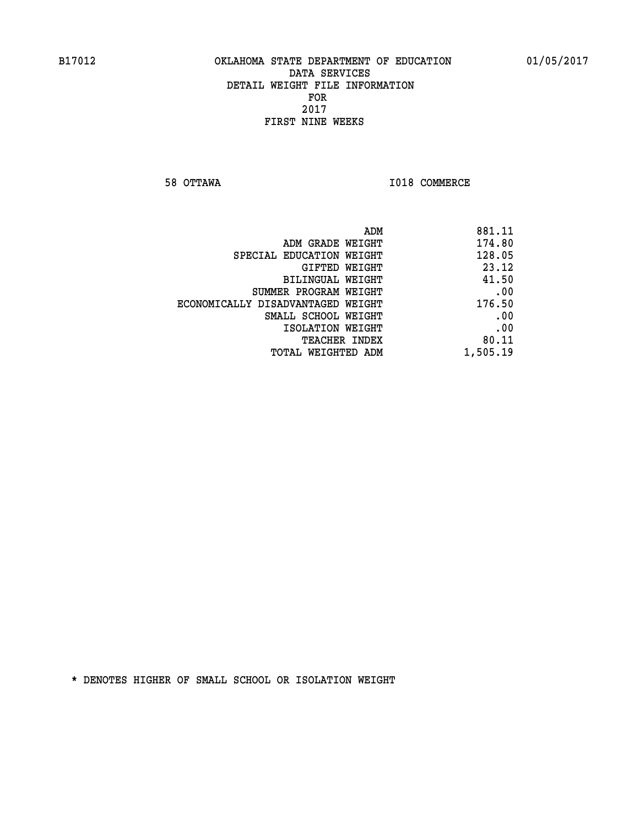**58 OTTAWA I018 COMMERCE** 

| 881.11   |
|----------|
| 174.80   |
| 128.05   |
| 23.12    |
| 41.50    |
| .00      |
| 176.50   |
| .00      |
| .00      |
| 80.11    |
| 1,505.19 |
|          |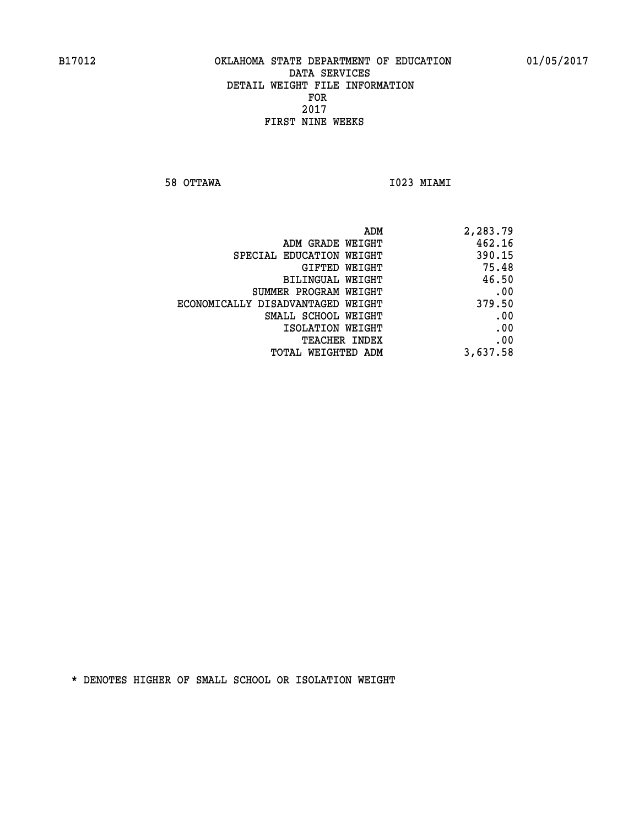**58 OTTAWA I023 MIAMI** 

| ADM                               | 2,283.79 |
|-----------------------------------|----------|
| ADM GRADE WEIGHT                  | 462.16   |
| SPECIAL EDUCATION WEIGHT          | 390.15   |
| GIFTED WEIGHT                     | 75.48    |
| BILINGUAL WEIGHT                  | 46.50    |
| SUMMER PROGRAM WEIGHT             | .00      |
| ECONOMICALLY DISADVANTAGED WEIGHT | 379.50   |
| SMALL SCHOOL WEIGHT               | .00      |
| ISOLATION WEIGHT                  | .00      |
| <b>TEACHER INDEX</b>              | .00      |
| TOTAL WEIGHTED ADM                | 3,637.58 |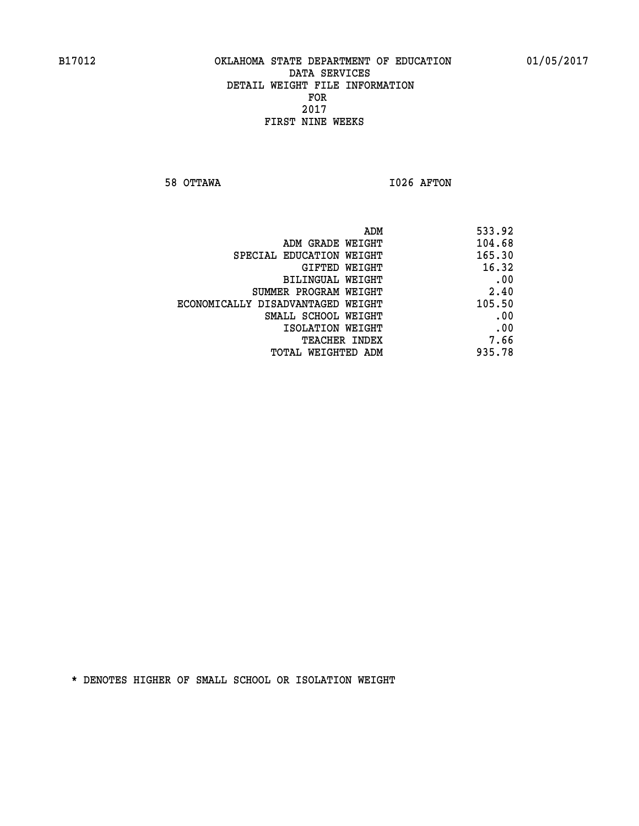**58 OTTAWA I026 AFTON** 

| 533.92 | ADM                               |
|--------|-----------------------------------|
| 104.68 | ADM GRADE WEIGHT                  |
| 165.30 | SPECIAL EDUCATION WEIGHT          |
| 16.32  | GIFTED WEIGHT                     |
| .00    | BILINGUAL WEIGHT                  |
| 2.40   | SUMMER PROGRAM WEIGHT             |
| 105.50 | ECONOMICALLY DISADVANTAGED WEIGHT |
| .00    | SMALL SCHOOL WEIGHT               |
| .00    | ISOLATION WEIGHT                  |
| 7.66   | TEACHER INDEX                     |
| 935.78 | TOTAL WEIGHTED ADM                |
|        |                                   |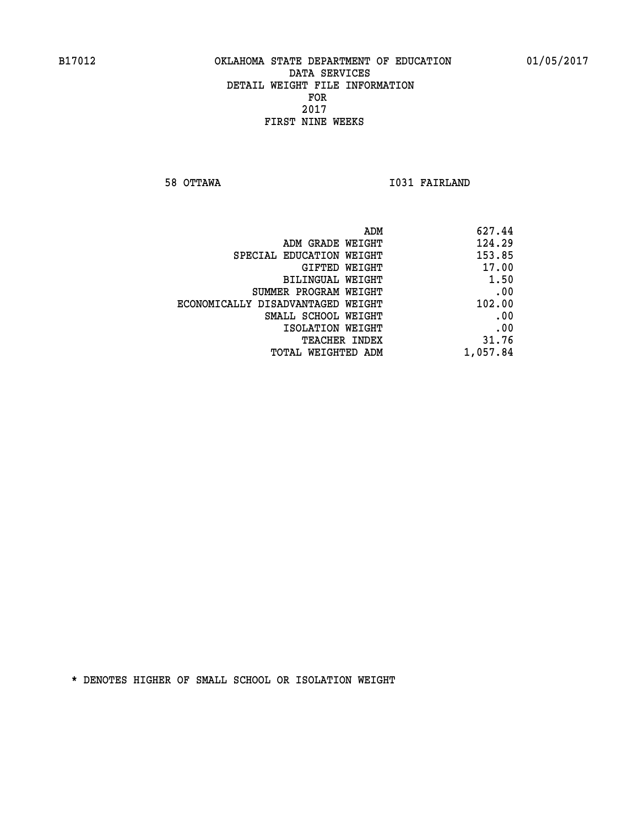**58 OTTAWA I031 FAIRLAND** 

| 627.44   |
|----------|
| 124.29   |
| 153.85   |
| 17.00    |
| 1.50     |
| .00      |
| 102.00   |
| .00      |
| .00      |
| 31.76    |
| 1,057.84 |
|          |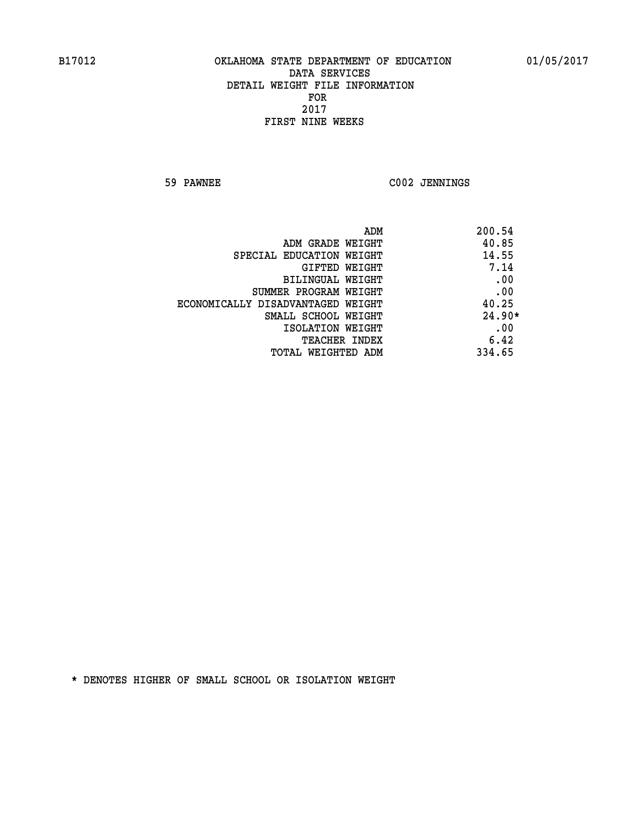**59 PAWNEE C002 JENNINGS** 

| ADM                               | 200.54   |
|-----------------------------------|----------|
| ADM GRADE WEIGHT                  | 40.85    |
| SPECIAL EDUCATION WEIGHT          | 14.55    |
| GIFTED WEIGHT                     | 7.14     |
| BILINGUAL WEIGHT                  | .00      |
| SUMMER PROGRAM WEIGHT             | .00      |
| ECONOMICALLY DISADVANTAGED WEIGHT | 40.25    |
| SMALL SCHOOL WEIGHT               | $24.90*$ |
| ISOLATION WEIGHT                  | .00      |
| <b>TEACHER INDEX</b>              | 6.42     |
| TOTAL WEIGHTED ADM                | 334.65   |
|                                   |          |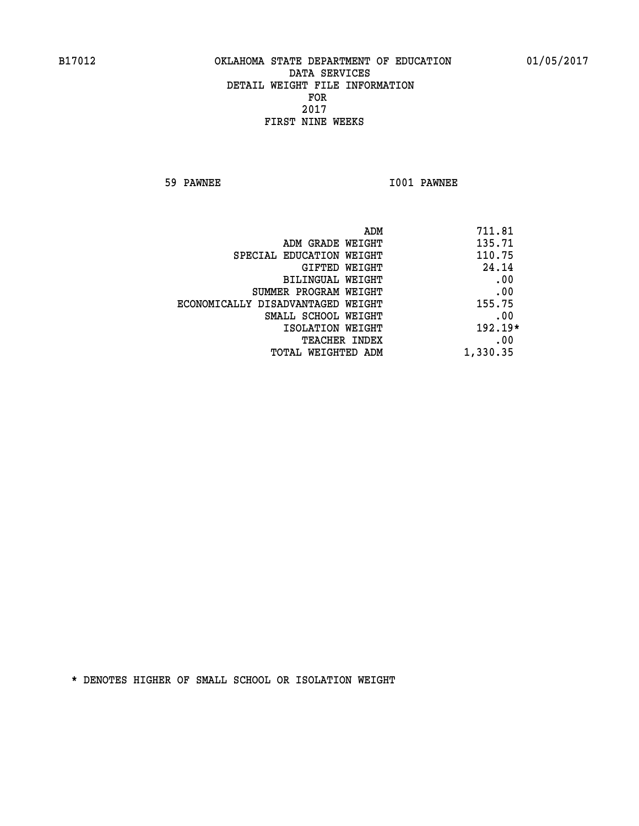**59 PAWNEE I001 PAWNEE** 

| ADM<br>711.81 |                                   |
|---------------|-----------------------------------|
| 135.71        | ADM GRADE WEIGHT                  |
| 110.75        | SPECIAL EDUCATION WEIGHT          |
| 24.14         | GIFTED WEIGHT                     |
| .00           | BILINGUAL WEIGHT                  |
| .00           | SUMMER PROGRAM WEIGHT             |
| 155.75        | ECONOMICALLY DISADVANTAGED WEIGHT |
| .00           | SMALL SCHOOL WEIGHT               |
| $192.19*$     | ISOLATION WEIGHT                  |
| .00           | <b>TEACHER INDEX</b>              |
| 1,330.35      | TOTAL WEIGHTED ADM                |
|               |                                   |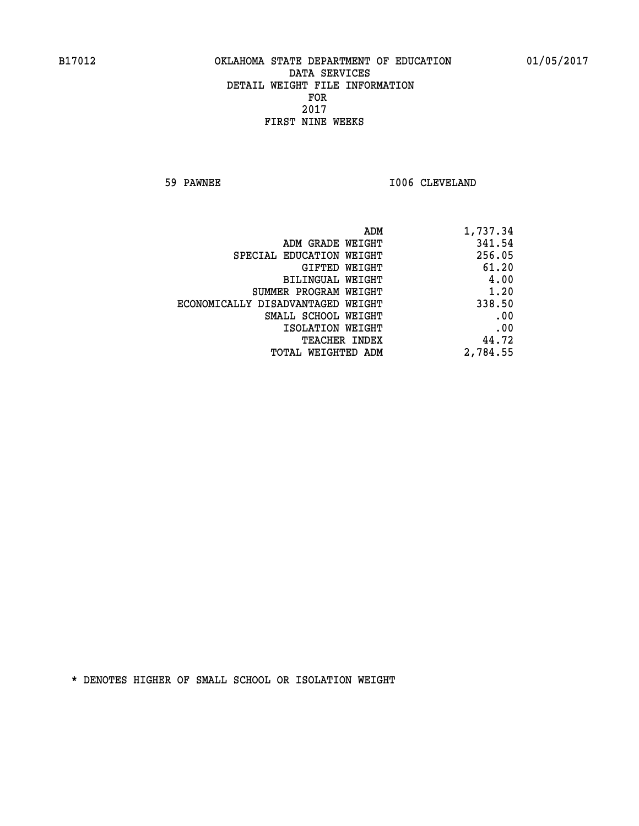**59 PAWNEE 1006 CLEVELAND** 

| 1,737.34 |
|----------|
| 341.54   |
| 256.05   |
| 61.20    |
| 4.00     |
| 1.20     |
| 338.50   |
| .00      |
| .00      |
| 44.72    |
| 2,784.55 |
|          |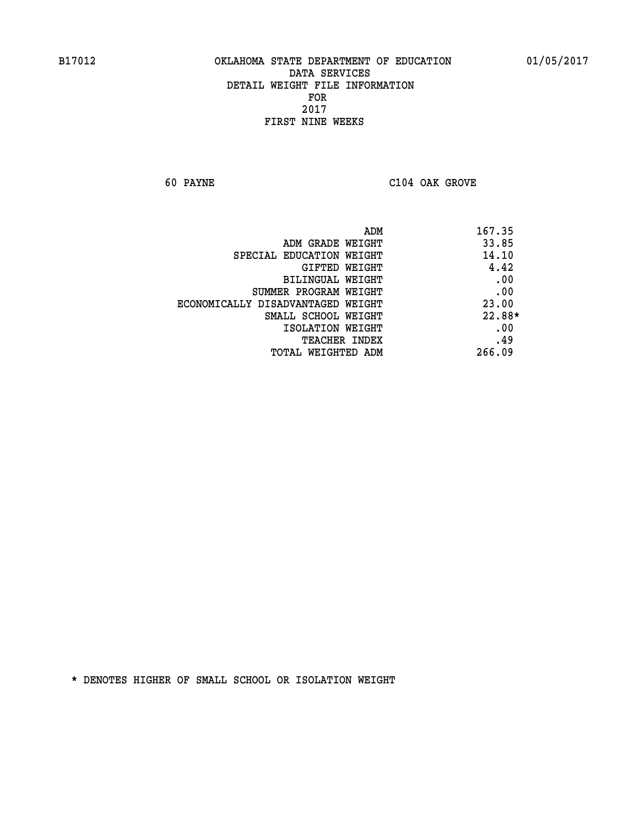**60 PAYNE C104 OAK GROVE** 

| 167.35 | ADM                               |
|--------|-----------------------------------|
| 33.85  | ADM GRADE WEIGHT                  |
| 14.10  | SPECIAL EDUCATION WEIGHT          |
| 4.42   | <b>GIFTED WEIGHT</b>              |
| .00    | BILINGUAL WEIGHT                  |
| .00    | SUMMER PROGRAM WEIGHT             |
| 23.00  | ECONOMICALLY DISADVANTAGED WEIGHT |
| 22.88* | SMALL SCHOOL WEIGHT               |
| .00    | ISOLATION WEIGHT                  |
| .49    | <b>TEACHER INDEX</b>              |
| 266.09 | TOTAL WEIGHTED ADM                |
|        |                                   |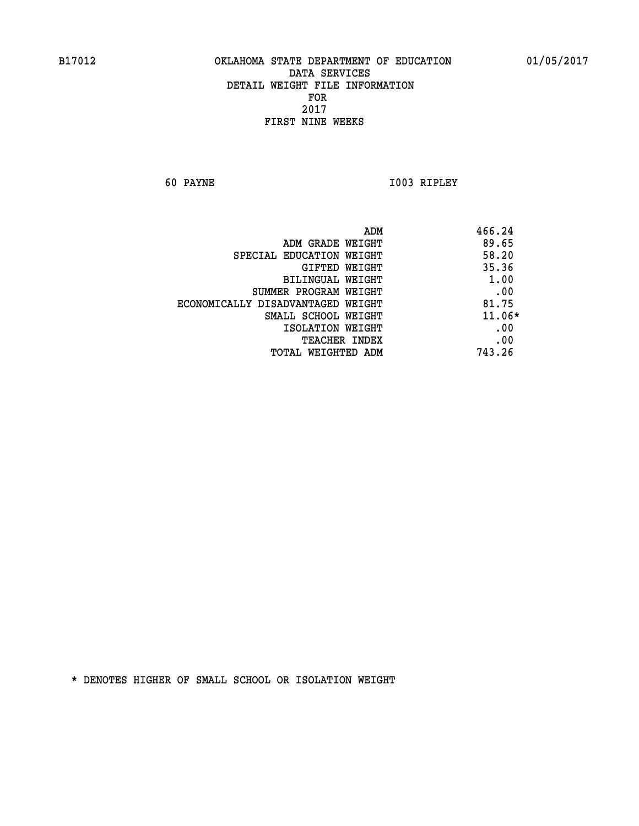**60 PAYNE I003 RIPLEY** 

|                                   | ADM<br>466.24 |          |
|-----------------------------------|---------------|----------|
| ADM GRADE WEIGHT                  | 89.65         |          |
| SPECIAL EDUCATION WEIGHT          | 58.20         |          |
| GIFTED WEIGHT                     | 35.36         |          |
| BILINGUAL WEIGHT                  |               | 1.00     |
| SUMMER PROGRAM WEIGHT             |               | .00      |
| ECONOMICALLY DISADVANTAGED WEIGHT | 81.75         |          |
| SMALL SCHOOL WEIGHT               |               | $11.06*$ |
| ISOLATION WEIGHT                  |               | .00      |
| <b>TEACHER INDEX</b>              |               | .00      |
| TOTAL WEIGHTED ADM                | 743.26        |          |
|                                   |               |          |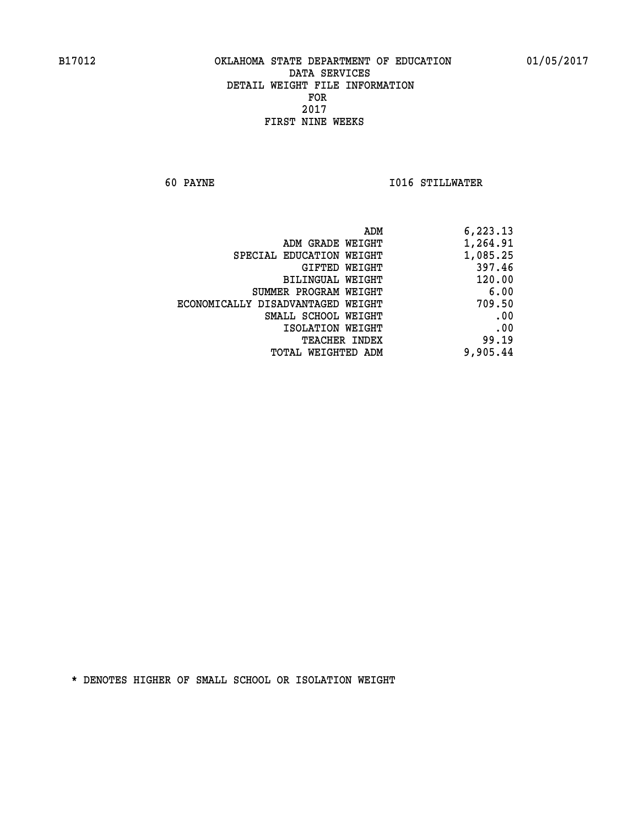**60 PAYNE I016 STILLWATER** 

| 6,223.13 |
|----------|
| 1,264.91 |
| 1,085.25 |
| 397.46   |
| 120.00   |
| 6.00     |
| 709.50   |
| .00      |
| .00      |
| 99.19    |
| 9,905.44 |
|          |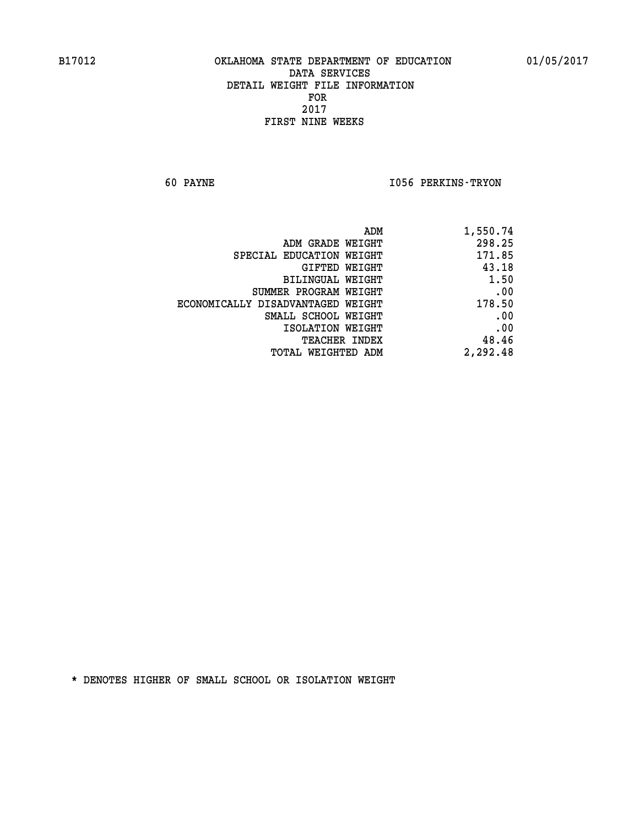**60 PAYNE I056 PERKINS-TRYON** 

| 1,550.74 |
|----------|
| 298.25   |
| 171.85   |
| 43.18    |
| 1.50     |
| .00      |
| 178.50   |
| .00      |
| .00      |
| 48.46    |
| 2,292.48 |
|          |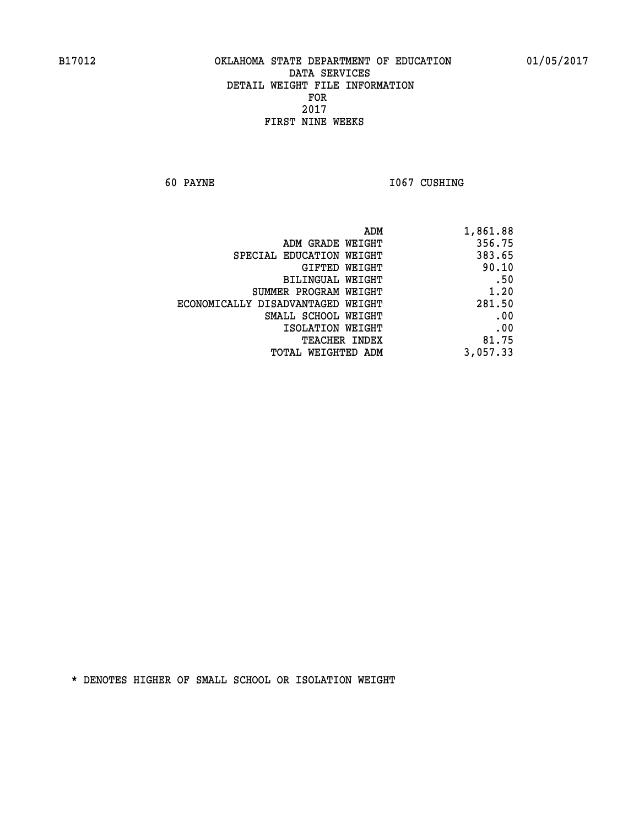**60 PAYNE 1067 CUSHING** 

| 1,861.88 |
|----------|
| 356.75   |
| 383.65   |
| 90.10    |
| .50      |
| 1.20     |
| 281.50   |
| .00      |
| .00      |
| 81.75    |
| 3,057.33 |
|          |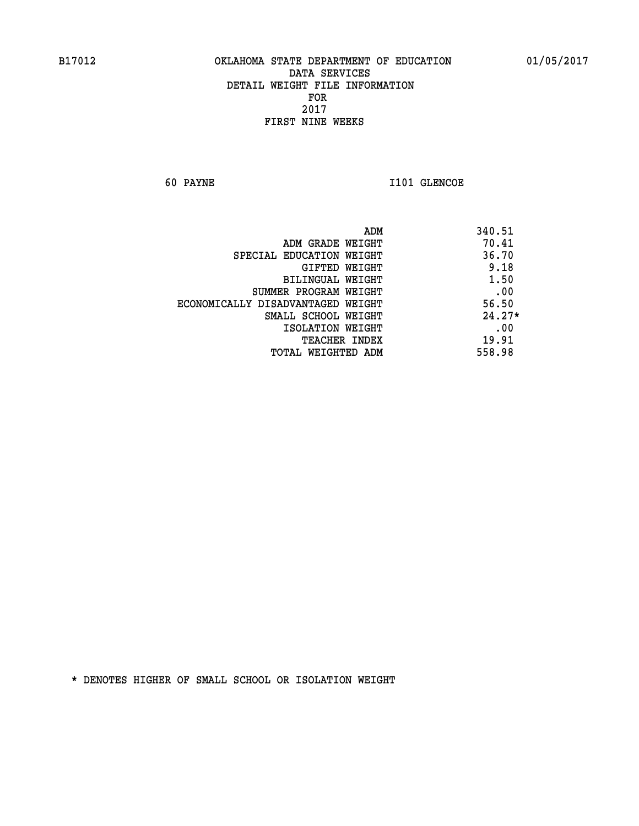**60 PAYNE 1101 GLENCOE** 

| ADM                               | 340.51   |
|-----------------------------------|----------|
| ADM GRADE WEIGHT                  | 70.41    |
| SPECIAL EDUCATION WEIGHT          | 36.70    |
| <b>GIFTED WEIGHT</b>              | 9.18     |
| BILINGUAL WEIGHT                  | 1.50     |
| SUMMER PROGRAM WEIGHT             | .00      |
| ECONOMICALLY DISADVANTAGED WEIGHT | 56.50    |
| SMALL SCHOOL WEIGHT               | $24.27*$ |
| ISOLATION WEIGHT                  | .00      |
| <b>TEACHER INDEX</b>              | 19.91    |
| TOTAL WEIGHTED ADM                | 558.98   |
|                                   |          |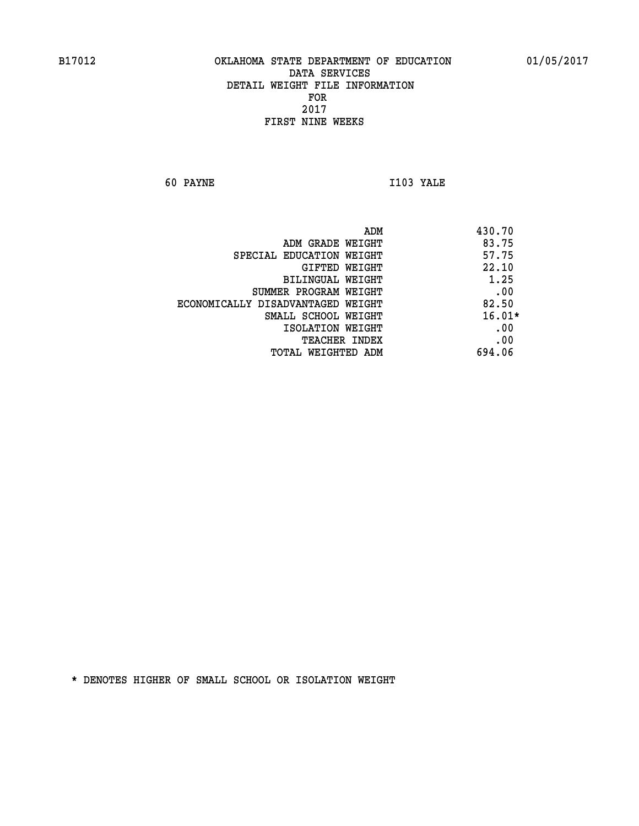**60 PAYNE I103 YALE** 

|                                   | ADM | 430.70   |
|-----------------------------------|-----|----------|
| ADM GRADE WEIGHT                  |     | 83.75    |
| SPECIAL EDUCATION WEIGHT          |     | 57.75    |
| GIFTED WEIGHT                     |     | 22.10    |
| BILINGUAL WEIGHT                  |     | 1.25     |
| SUMMER PROGRAM WEIGHT             |     | .00      |
| ECONOMICALLY DISADVANTAGED WEIGHT |     | 82.50    |
| SMALL SCHOOL WEIGHT               |     | $16.01*$ |
| ISOLATION WEIGHT                  |     | .00      |
| TEACHER INDEX                     |     | .00      |
| TOTAL WEIGHTED ADM                |     | 694.06   |
|                                   |     |          |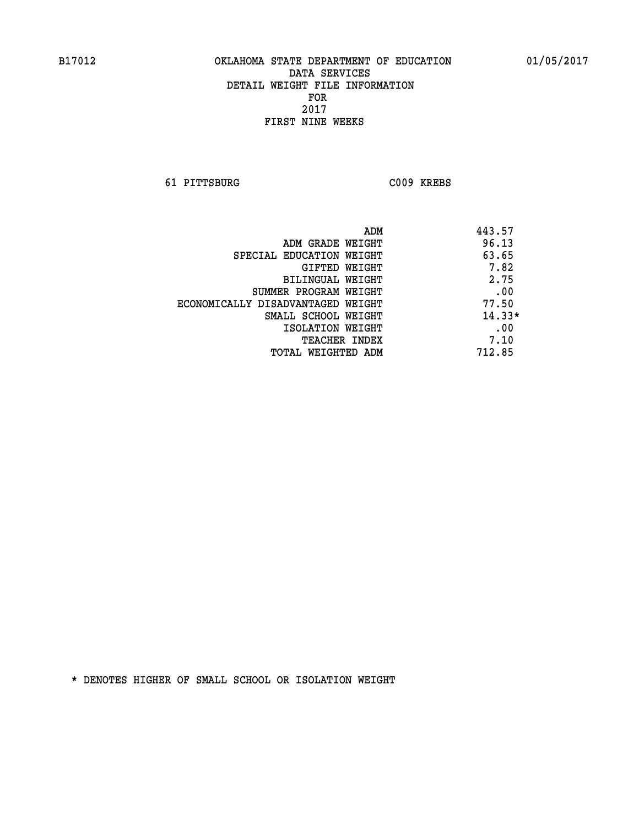**61 PITTSBURG C009 KREBS** 

| ADM                               | 443.57   |
|-----------------------------------|----------|
| ADM GRADE WEIGHT                  | 96.13    |
| SPECIAL EDUCATION WEIGHT          | 63.65    |
| GIFTED WEIGHT                     | 7.82     |
| BILINGUAL WEIGHT                  | 2.75     |
| SUMMER PROGRAM WEIGHT             | .00      |
| ECONOMICALLY DISADVANTAGED WEIGHT | 77.50    |
| SMALL SCHOOL WEIGHT               | $14.33*$ |
| ISOLATION WEIGHT                  | .00      |
| <b>TEACHER INDEX</b>              | 7.10     |
| TOTAL WEIGHTED ADM                | 712.85   |
|                                   |          |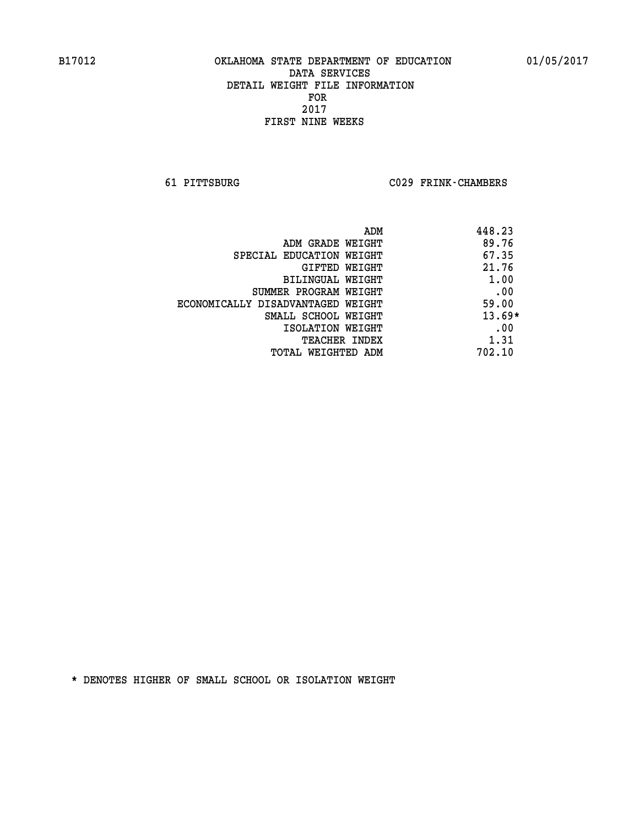**61 PITTSBURG C029 FRINK-CHAMBERS** 

|                                   | 448.23<br>ADM |
|-----------------------------------|---------------|
| ADM GRADE WEIGHT                  | 89.76         |
| SPECIAL EDUCATION WEIGHT          | 67.35         |
| GIFTED WEIGHT                     | 21.76         |
| BILINGUAL WEIGHT                  | 1.00          |
| SUMMER PROGRAM WEIGHT             | .00           |
| ECONOMICALLY DISADVANTAGED WEIGHT | 59.00         |
| SMALL SCHOOL WEIGHT               | $13.69*$      |
| ISOLATION WEIGHT                  | .00           |
| TEACHER INDEX                     | 1.31          |
| TOTAL WEIGHTED ADM                | 702.10        |
|                                   |               |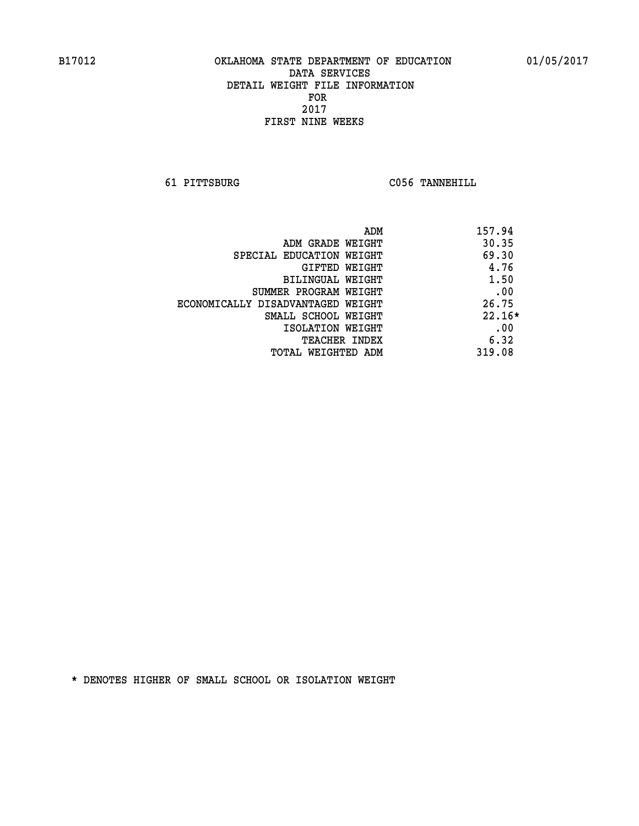**61 PITTSBURG C056 TANNEHILL** 

|                                   | 157.94<br>ADM |
|-----------------------------------|---------------|
| ADM GRADE WEIGHT                  | 30.35         |
| SPECIAL EDUCATION WEIGHT          | 69.30         |
| GIFTED WEIGHT                     | 4.76          |
| BILINGUAL WEIGHT                  | 1.50          |
| SUMMER PROGRAM WEIGHT             | .00           |
| ECONOMICALLY DISADVANTAGED WEIGHT | 26.75         |
| SMALL SCHOOL WEIGHT               | $22.16*$      |
| ISOLATION WEIGHT                  | .00           |
| <b>TEACHER INDEX</b>              | 6.32          |
| TOTAL WEIGHTED ADM                | 319.08        |
|                                   |               |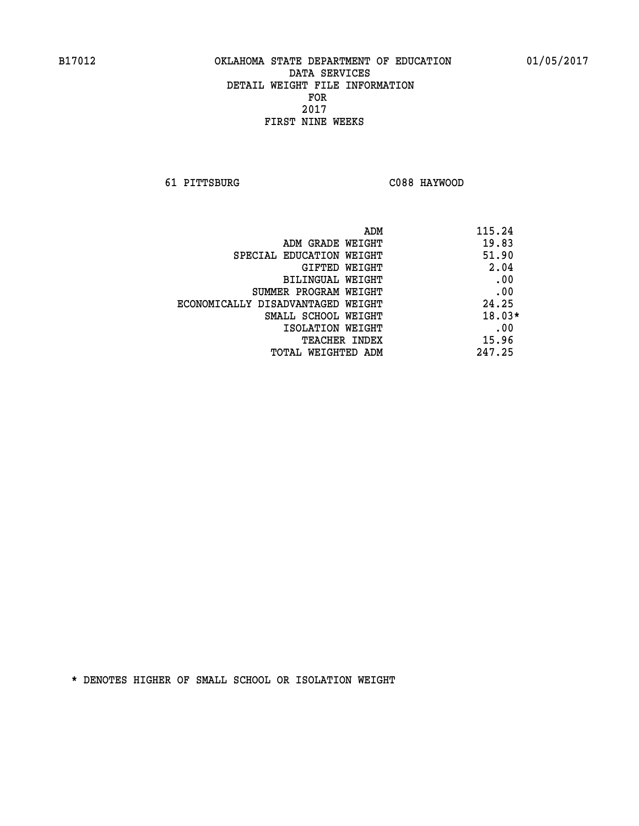**61 PITTSBURG C088 HAYWOOD** 

| ADM                               | 115.24   |
|-----------------------------------|----------|
| ADM GRADE WEIGHT                  | 19.83    |
| SPECIAL EDUCATION WEIGHT          | 51.90    |
| GIFTED WEIGHT                     | 2.04     |
| BILINGUAL WEIGHT                  | .00      |
| SUMMER PROGRAM WEIGHT             | .00      |
| ECONOMICALLY DISADVANTAGED WEIGHT | 24.25    |
| SMALL SCHOOL WEIGHT               | $18.03*$ |
| ISOLATION WEIGHT                  | .00      |
| <b>TEACHER INDEX</b>              | 15.96    |
| TOTAL WEIGHTED ADM                | 247.25   |
|                                   |          |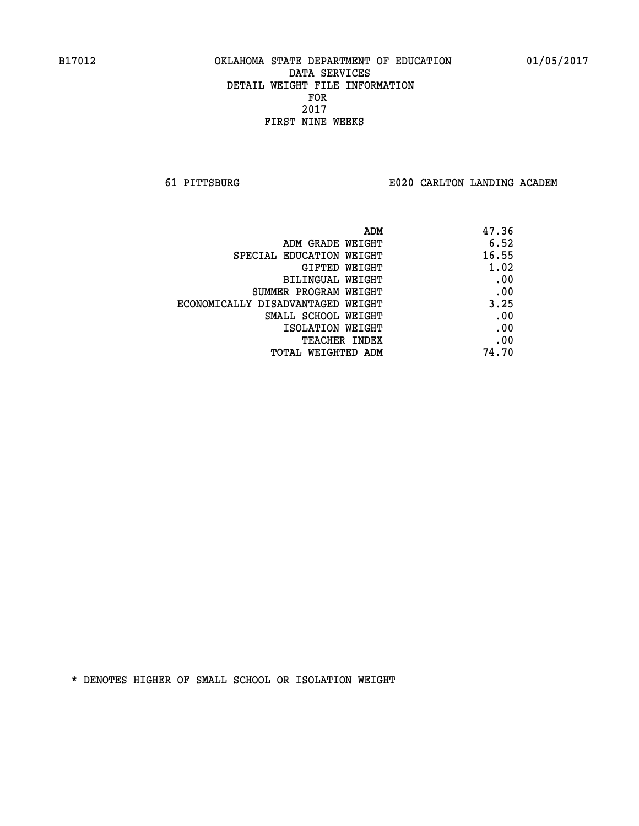**61 PITTSBURG E020 CARLTON LANDING ACADEM**

| ADM                               | 47.36 |
|-----------------------------------|-------|
| ADM GRADE WEIGHT                  | 6.52  |
| SPECIAL EDUCATION WEIGHT          | 16.55 |
| GIFTED WEIGHT                     | 1.02  |
| BILINGUAL WEIGHT                  | .00   |
| SUMMER PROGRAM WEIGHT             | .00   |
| ECONOMICALLY DISADVANTAGED WEIGHT | 3.25  |
| SMALL SCHOOL WEIGHT               | .00   |
| ISOLATION WEIGHT                  | .00   |
| <b>TEACHER INDEX</b>              | .00   |
| TOTAL WEIGHTED ADM                | 74.70 |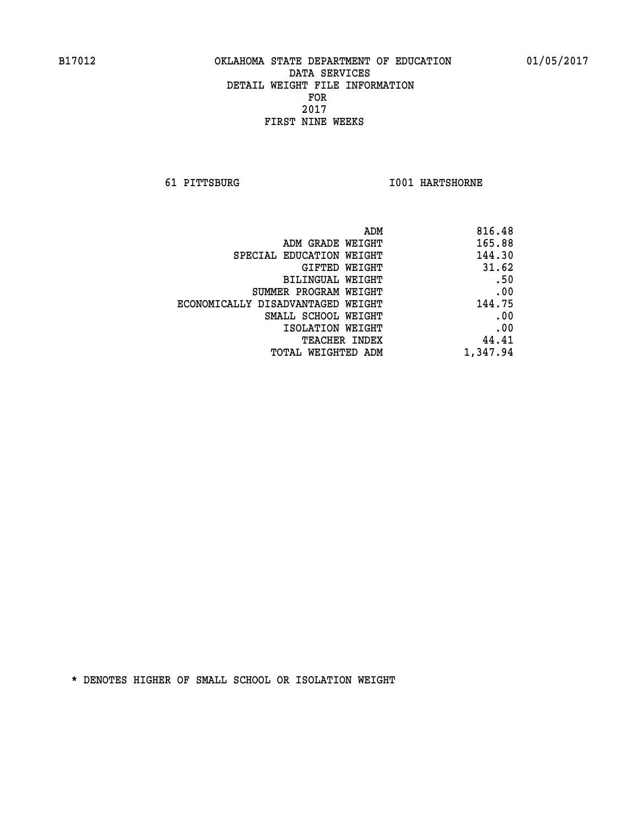**61 PITTSBURG I001 HARTSHORNE** 

| 816.48   |
|----------|
| 165.88   |
| 144.30   |
| 31.62    |
| .50      |
| .00      |
| 144.75   |
| .00      |
| .00      |
| 44.41    |
| 1,347.94 |
|          |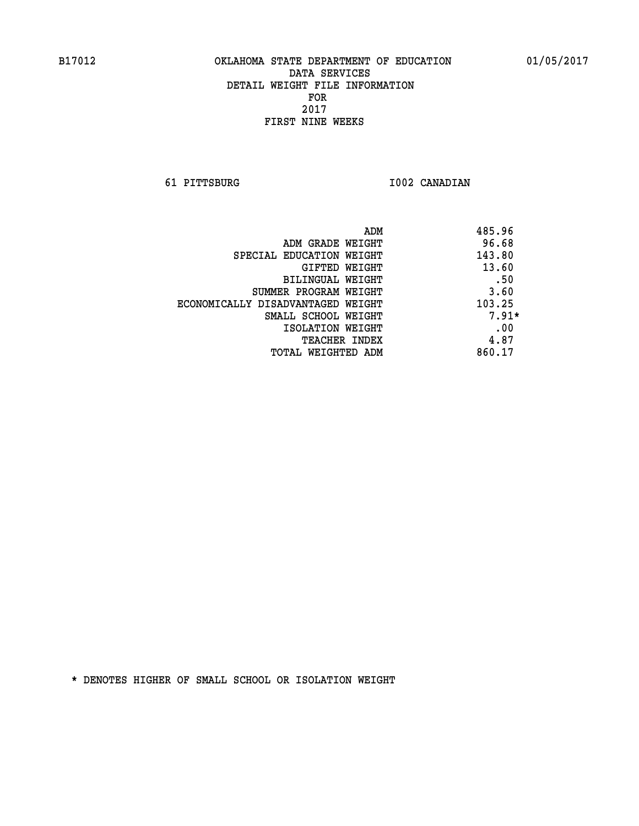**61 PITTSBURG I002 CANADIAN** 

| ADM                               | 485.96  |
|-----------------------------------|---------|
| ADM GRADE WEIGHT                  | 96.68   |
| SPECIAL EDUCATION WEIGHT          | 143.80  |
| GIFTED WEIGHT                     | 13.60   |
| BILINGUAL WEIGHT                  | .50     |
| SUMMER PROGRAM WEIGHT             | 3.60    |
| ECONOMICALLY DISADVANTAGED WEIGHT | 103.25  |
| SMALL SCHOOL WEIGHT               | $7.91*$ |
| ISOLATION WEIGHT                  | .00     |
| <b>TEACHER INDEX</b>              | 4.87    |
| TOTAL WEIGHTED ADM                | 860.17  |
|                                   |         |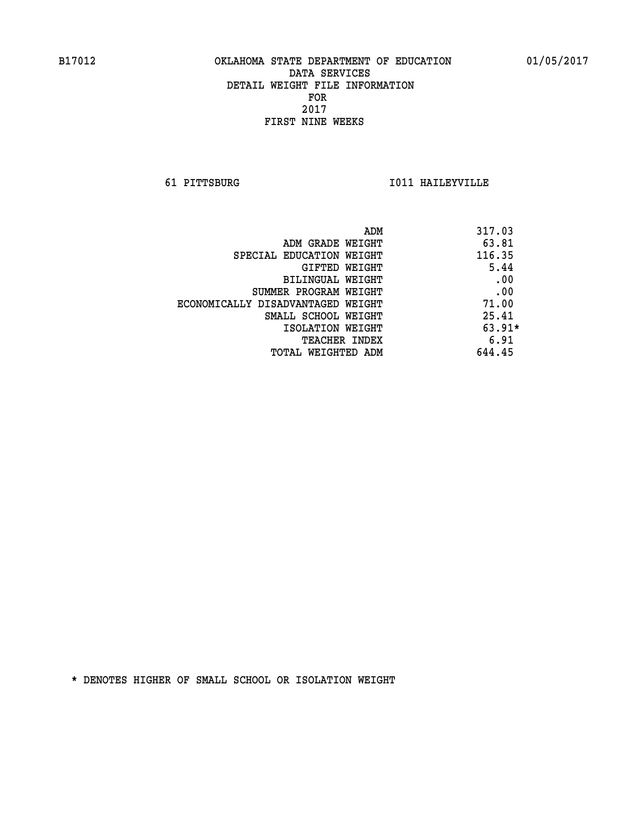**61 PITTSBURG I011 HAILEYVILLE** 

| ADM                               | 317.03   |
|-----------------------------------|----------|
| ADM GRADE WEIGHT                  | 63.81    |
| SPECIAL EDUCATION WEIGHT          | 116.35   |
| GIFTED WEIGHT                     | 5.44     |
| BILINGUAL WEIGHT                  | .00      |
| SUMMER PROGRAM WEIGHT             | .00      |
| ECONOMICALLY DISADVANTAGED WEIGHT | 71.00    |
| SMALL SCHOOL WEIGHT               | 25.41    |
| ISOLATION WEIGHT                  | $63.91*$ |
| <b>TEACHER INDEX</b>              | 6.91     |
| TOTAL WEIGHTED ADM                | 644.45   |
|                                   |          |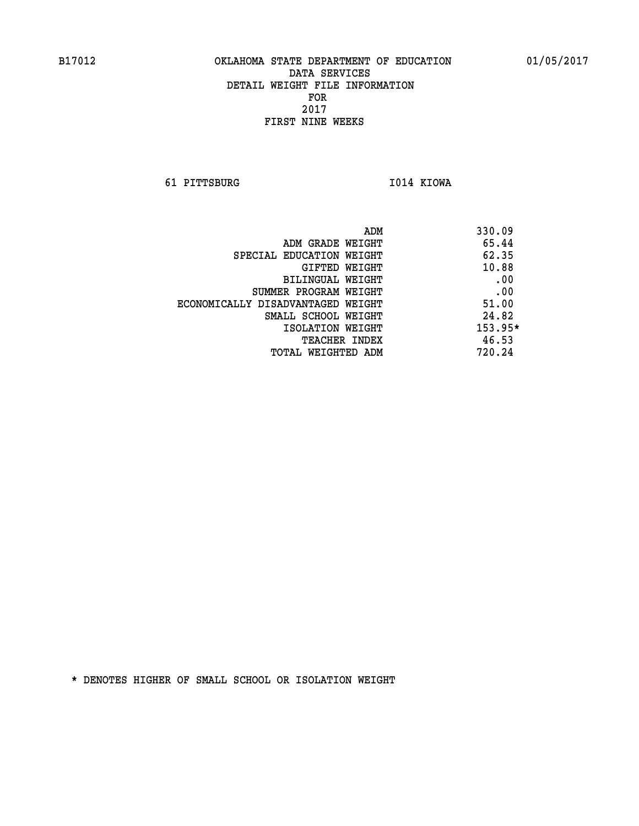**61 PITTSBURG I014 KIOWA** 

 **ADM 330.09 ADM GRADE WEIGHT 65.44 SPECIAL EDUCATION WEIGHT 62.35 CIFTED WEIGHT 40.88 BILINGUAL WEIGHT .00 SUMMER PROGRAM WEIGHT .00 ECONOMICALLY DISADVANTAGED WEIGHT 51.00 SMALL SCHOOL WEIGHT 24.82 ISOLATION WEIGHT 153.95\* TEACHER INDEX** 46.53  **TOTAL WEIGHTED ADM 720.24**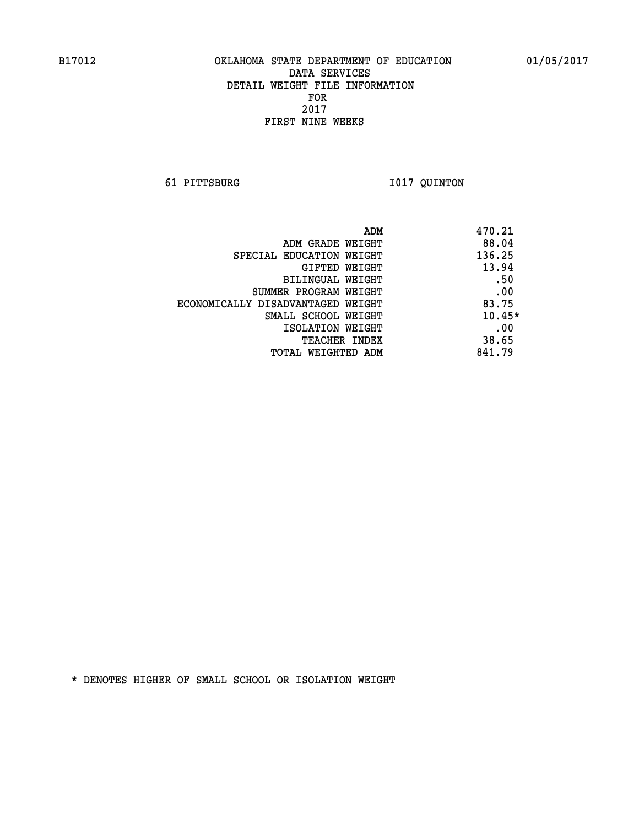**61 PITTSBURG I017 QUINTON** 

| ADM                               | 470.21   |
|-----------------------------------|----------|
| ADM GRADE WEIGHT                  | 88.04    |
| SPECIAL EDUCATION WEIGHT          | 136.25   |
| GIFTED WEIGHT                     | 13.94    |
| BILINGUAL WEIGHT                  | .50      |
| SUMMER PROGRAM WEIGHT             | .00      |
| ECONOMICALLY DISADVANTAGED WEIGHT | 83.75    |
| SMALL SCHOOL WEIGHT               | $10.45*$ |
| ISOLATION WEIGHT                  | .00      |
| <b>TEACHER INDEX</b>              | 38.65    |
| TOTAL WEIGHTED ADM                | 841.79   |
|                                   |          |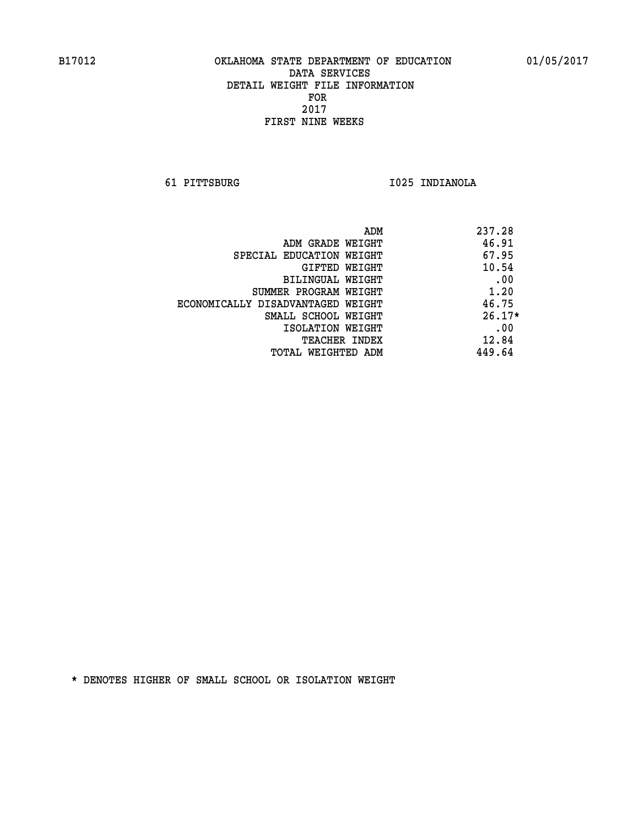**61 PITTSBURG I025 INDIANOLA** 

| ADM                               | 237.28   |
|-----------------------------------|----------|
| ADM GRADE WEIGHT                  | 46.91    |
| SPECIAL EDUCATION WEIGHT          | 67.95    |
| GIFTED WEIGHT                     | 10.54    |
| BILINGUAL WEIGHT                  | .00      |
| SUMMER PROGRAM WEIGHT             | 1.20     |
| ECONOMICALLY DISADVANTAGED WEIGHT | 46.75    |
| SMALL SCHOOL WEIGHT               | $26.17*$ |
| ISOLATION WEIGHT                  | .00      |
| <b>TEACHER INDEX</b>              | 12.84    |
| TOTAL WEIGHTED ADM                | 449.64   |
|                                   |          |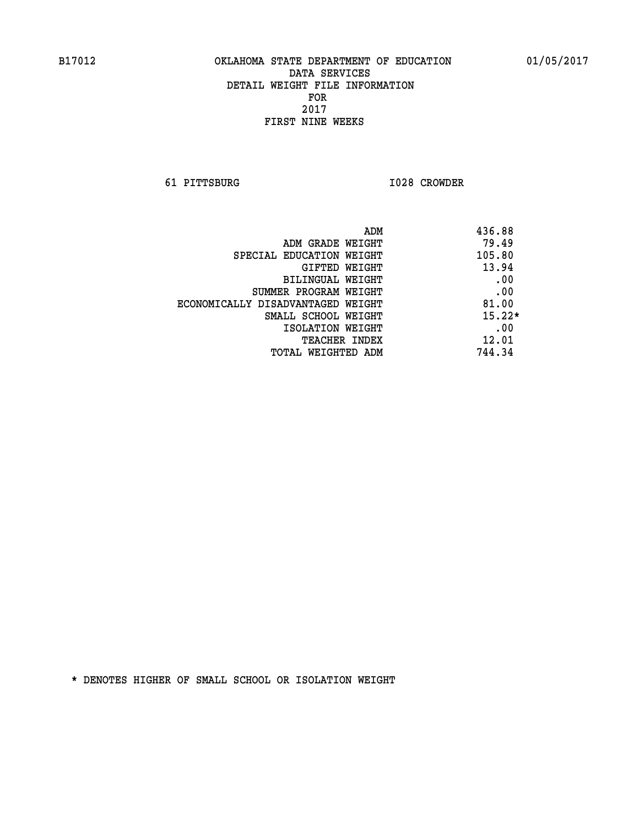**61 PITTSBURG I028 CROWDER** 

| ADM                               | 436.88   |
|-----------------------------------|----------|
| ADM GRADE WEIGHT                  | 79.49    |
| SPECIAL EDUCATION WEIGHT          | 105.80   |
| GIFTED WEIGHT                     | 13.94    |
| BILINGUAL WEIGHT                  | .00      |
| SUMMER PROGRAM WEIGHT             | .00      |
| ECONOMICALLY DISADVANTAGED WEIGHT | 81.00    |
| SMALL SCHOOL WEIGHT               | $15.22*$ |
| ISOLATION WEIGHT                  | .00      |
| <b>TEACHER INDEX</b>              | 12.01    |
| TOTAL WEIGHTED ADM                | 744.34   |
|                                   |          |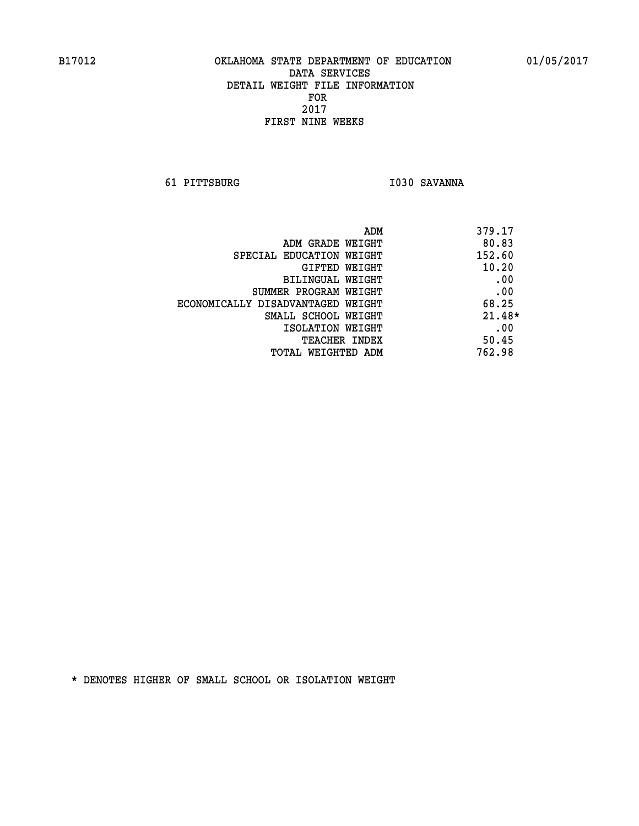**61 PITTSBURG I030 SAVANNA** 

| ADM                               | 379.17   |
|-----------------------------------|----------|
| ADM GRADE WEIGHT                  | 80.83    |
| SPECIAL EDUCATION WEIGHT          | 152.60   |
| GIFTED WEIGHT                     | 10.20    |
| BILINGUAL WEIGHT                  | .00      |
| SUMMER PROGRAM WEIGHT             | .00      |
| ECONOMICALLY DISADVANTAGED WEIGHT | 68.25    |
| SMALL SCHOOL WEIGHT               | $21.48*$ |
| ISOLATION WEIGHT                  | .00      |
| <b>TEACHER INDEX</b>              | 50.45    |
| TOTAL WEIGHTED ADM                | 762.98   |
|                                   |          |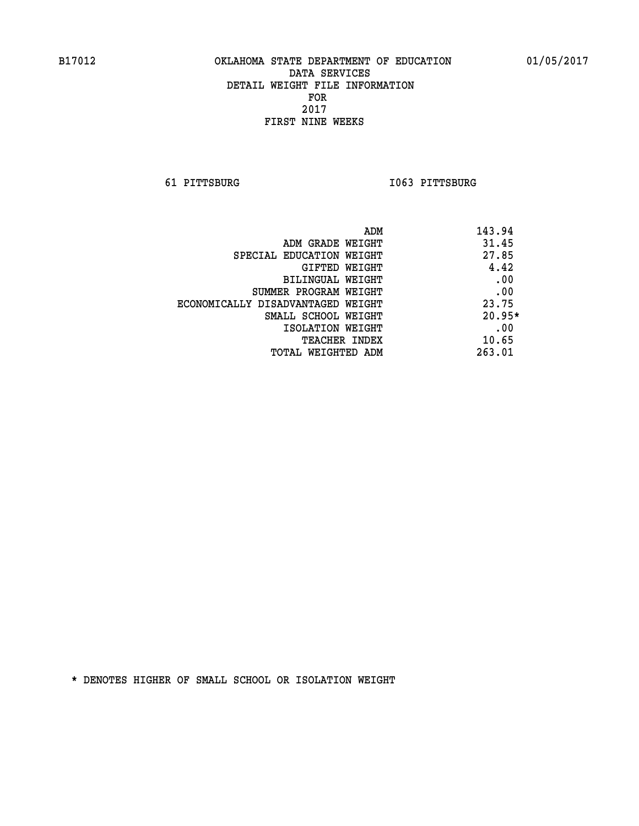**61 PITTSBURG I063 PITTSBURG** 

| 143.94<br>ADM                              |          |
|--------------------------------------------|----------|
| 31.45<br>ADM GRADE WEIGHT                  |          |
| 27.85<br>SPECIAL EDUCATION WEIGHT          |          |
| GIFTED WEIGHT                              | 4.42     |
| BILINGUAL WEIGHT                           | .00      |
| SUMMER PROGRAM WEIGHT                      | .00      |
| 23.75<br>ECONOMICALLY DISADVANTAGED WEIGHT |          |
| SMALL SCHOOL WEIGHT                        | $20.95*$ |
| ISOLATION WEIGHT                           | .00      |
| 10.65<br><b>TEACHER INDEX</b>              |          |
| 263.01<br>TOTAL WEIGHTED ADM               |          |
|                                            |          |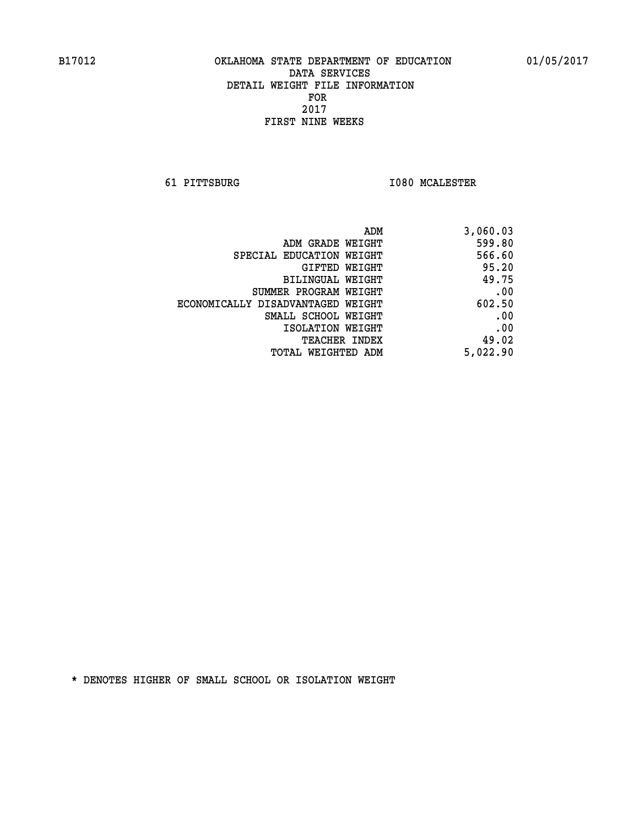**61 PITTSBURG I080 MCALESTER** 

| ADM                               | 3,060.03 |
|-----------------------------------|----------|
| ADM GRADE WEIGHT                  | 599.80   |
| SPECIAL EDUCATION WEIGHT          | 566.60   |
| <b>GIFTED WEIGHT</b>              | 95.20    |
| BILINGUAL WEIGHT                  | 49.75    |
| SUMMER PROGRAM WEIGHT             | .00      |
| ECONOMICALLY DISADVANTAGED WEIGHT | 602.50   |
| SMALL SCHOOL WEIGHT               | .00      |
| ISOLATION WEIGHT                  | .00      |
| <b>TEACHER INDEX</b>              | 49.02    |
| <b>TOTAL WEIGHTED ADM</b>         | 5,022.90 |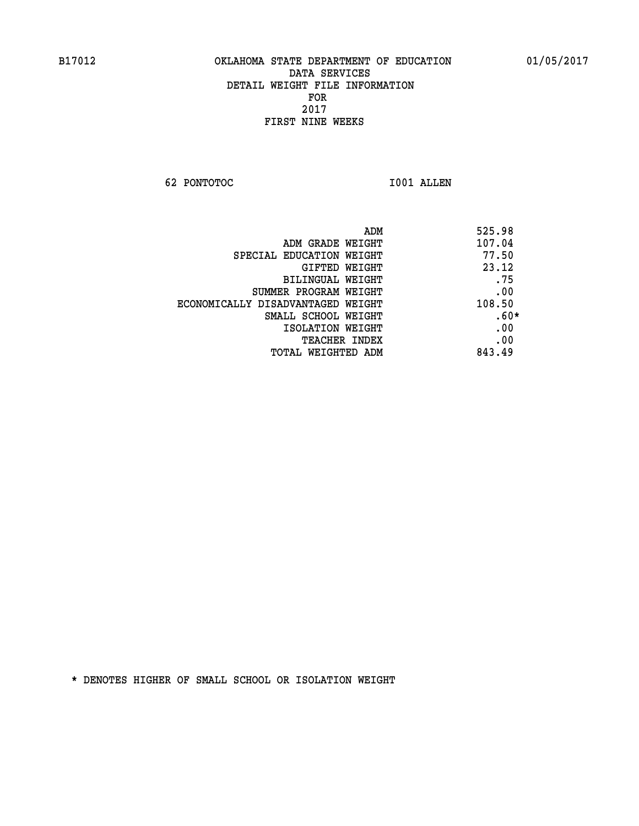**62 PONTOTOC I001 ALLEN** 

| 525.98<br>ADM                               |
|---------------------------------------------|
| 107.04<br>ADM GRADE WEIGHT                  |
| 77.50<br>SPECIAL EDUCATION WEIGHT           |
| 23.12<br>GIFTED WEIGHT                      |
| .75<br>BILINGUAL WEIGHT                     |
| .00<br>SUMMER PROGRAM WEIGHT                |
| 108.50<br>ECONOMICALLY DISADVANTAGED WEIGHT |
| $.60*$<br>SMALL SCHOOL WEIGHT               |
| .00<br>ISOLATION WEIGHT                     |
| .00<br><b>TEACHER INDEX</b>                 |
| 843.49<br>TOTAL WEIGHTED ADM                |
|                                             |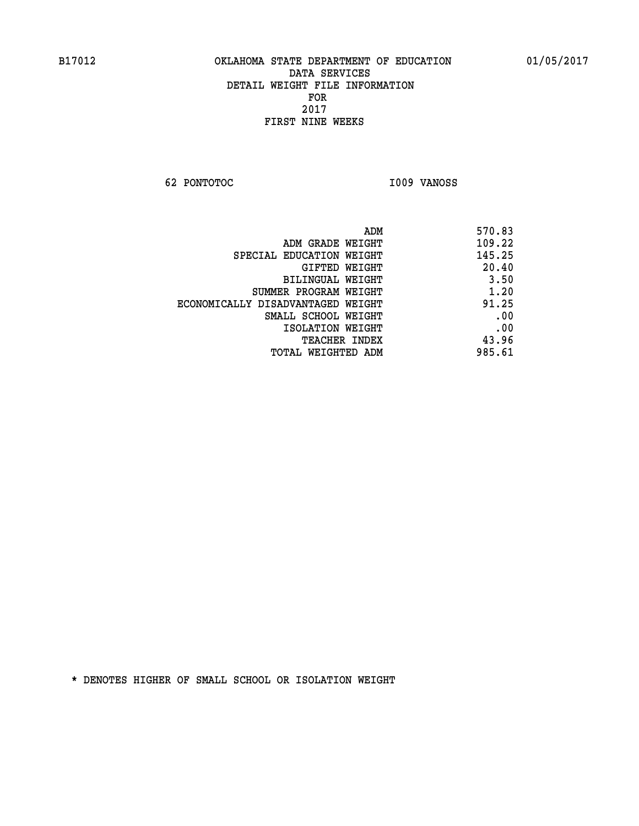**62 PONTOTOC I009 VANOSS** 

| 570.83 |
|--------|
| 109.22 |
| 145.25 |
| 20.40  |
| 3.50   |
| 1.20   |
| 91.25  |
| .00    |
| .00    |
| 43.96  |
| 985.61 |
|        |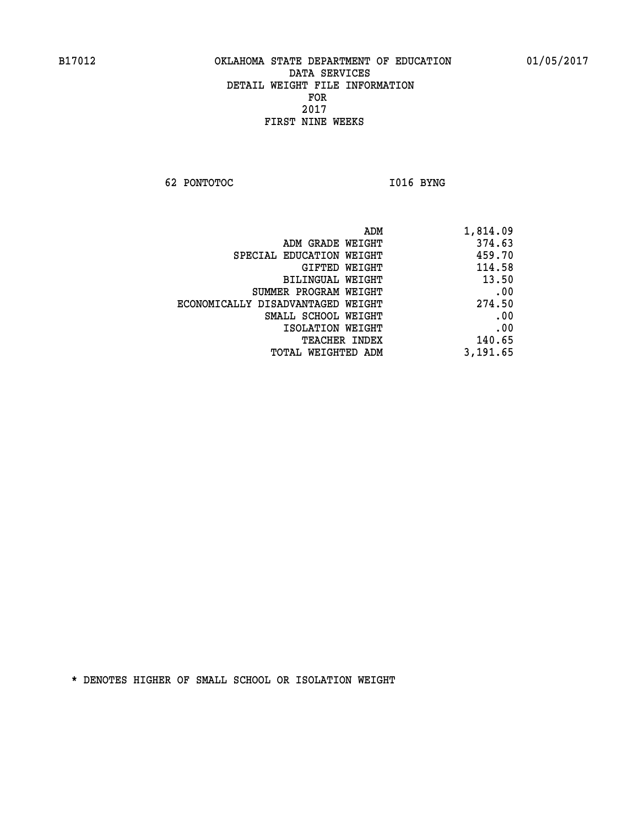**62 PONTOTOC** 1016 BYNG

| 1,814.09 |
|----------|
| 374.63   |
| 459.70   |
| 114.58   |
| 13.50    |
| .00      |
| 274.50   |
| .00      |
| .00      |
| 140.65   |
| 3,191.65 |
|          |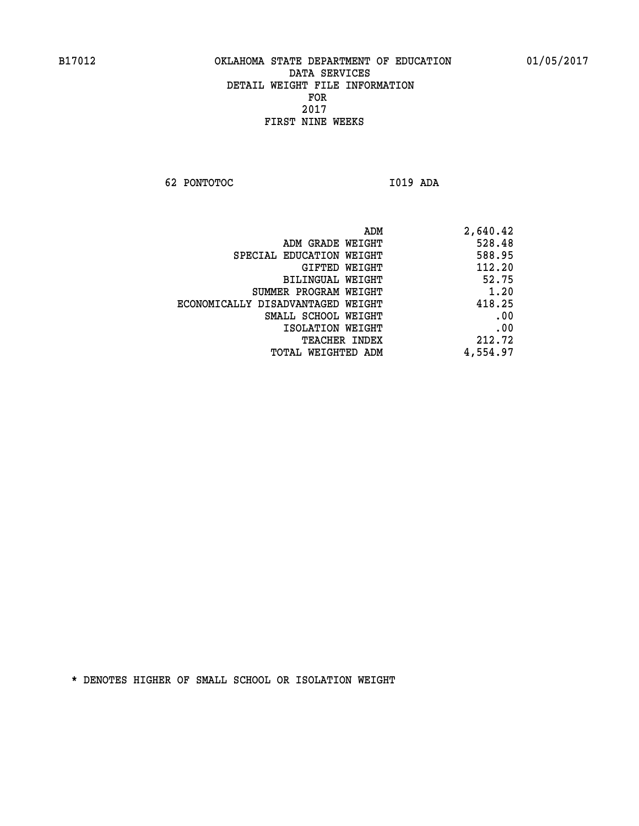**62 PONTOTOC I019 ADA** 

| ADM                               | 2,640.42 |
|-----------------------------------|----------|
| ADM GRADE WEIGHT                  | 528.48   |
| SPECIAL EDUCATION WEIGHT          | 588.95   |
| GIFTED WEIGHT                     | 112.20   |
| BILINGUAL WEIGHT                  | 52.75    |
| SUMMER PROGRAM WEIGHT             | 1.20     |
| ECONOMICALLY DISADVANTAGED WEIGHT | 418.25   |
| SMALL SCHOOL WEIGHT               | .00      |
| ISOLATION WEIGHT                  | .00      |
| <b>TEACHER INDEX</b>              | 212.72   |
| WEIGHTED ADM<br>TOTAL             | 4,554.97 |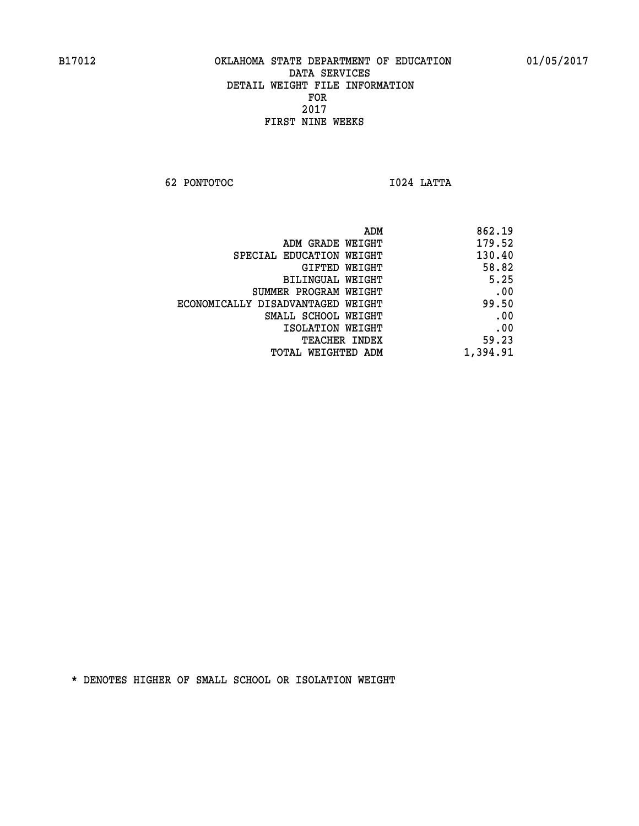**62 PONTOTOC I024 LATTA** 

| ADM                               | 862.19   |
|-----------------------------------|----------|
| ADM GRADE WEIGHT                  | 179.52   |
| SPECIAL EDUCATION WEIGHT          | 130.40   |
| GIFTED WEIGHT                     | 58.82    |
| BILINGUAL WEIGHT                  | 5.25     |
| SUMMER PROGRAM WEIGHT             | .00      |
| ECONOMICALLY DISADVANTAGED WEIGHT | 99.50    |
| SMALL SCHOOL WEIGHT               | .00      |
| ISOLATION WEIGHT                  | .00      |
| <b>TEACHER INDEX</b>              | 59.23    |
| TOTAL WEIGHTED ADM                | 1,394.91 |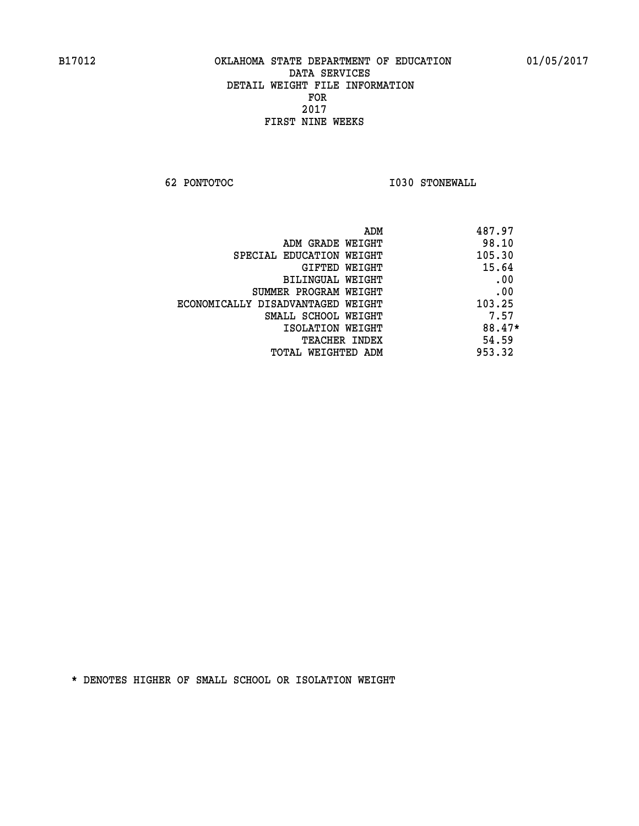**62 PONTOTOC I030 STONEWALL** 

| ADM                               | 487.97 |
|-----------------------------------|--------|
| ADM GRADE WEIGHT                  | 98.10  |
| SPECIAL EDUCATION WEIGHT          | 105.30 |
| GIFTED WEIGHT                     | 15.64  |
| BILINGUAL WEIGHT                  | .00    |
| SUMMER PROGRAM WEIGHT             | .00    |
| ECONOMICALLY DISADVANTAGED WEIGHT | 103.25 |
| SMALL SCHOOL WEIGHT               | 7.57   |
| ISOLATION WEIGHT                  | 88.47* |
| <b>TEACHER INDEX</b>              | 54.59  |
| TOTAL WEIGHTED ADM                | 953.32 |
|                                   |        |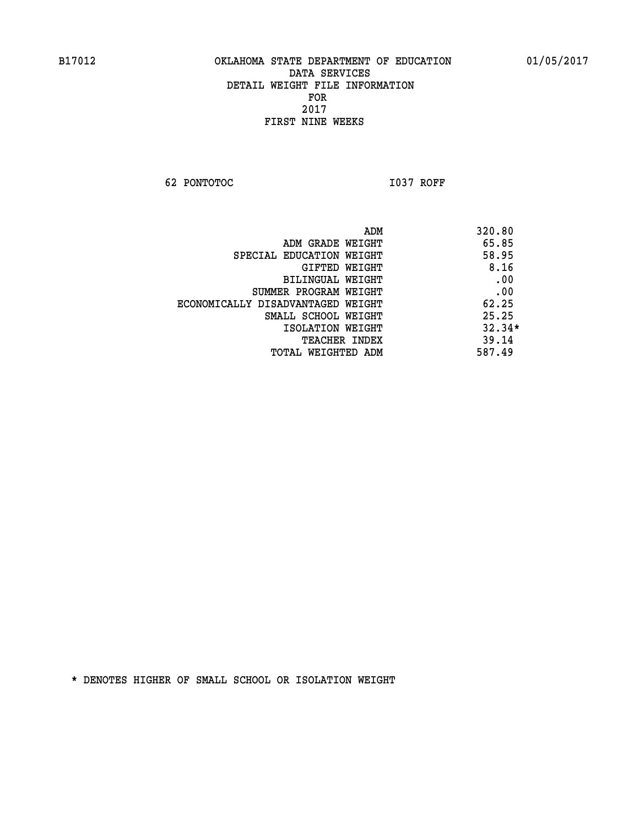**62 PONTOTOC I037 ROFF** 

|                                   | 320.80<br>ADM |
|-----------------------------------|---------------|
| ADM GRADE WEIGHT                  | 65.85         |
| SPECIAL EDUCATION WEIGHT          | 58.95         |
| GIFTED WEIGHT                     | 8.16          |
| BILINGUAL WEIGHT                  | .00           |
| SUMMER PROGRAM WEIGHT             | .00           |
| ECONOMICALLY DISADVANTAGED WEIGHT | 62.25         |
| SMALL SCHOOL WEIGHT               | 25.25         |
| ISOLATION WEIGHT                  | $32.34*$      |
| <b>TEACHER INDEX</b>              | 39.14         |
| TOTAL WEIGHTED ADM                | 587.49        |
|                                   |               |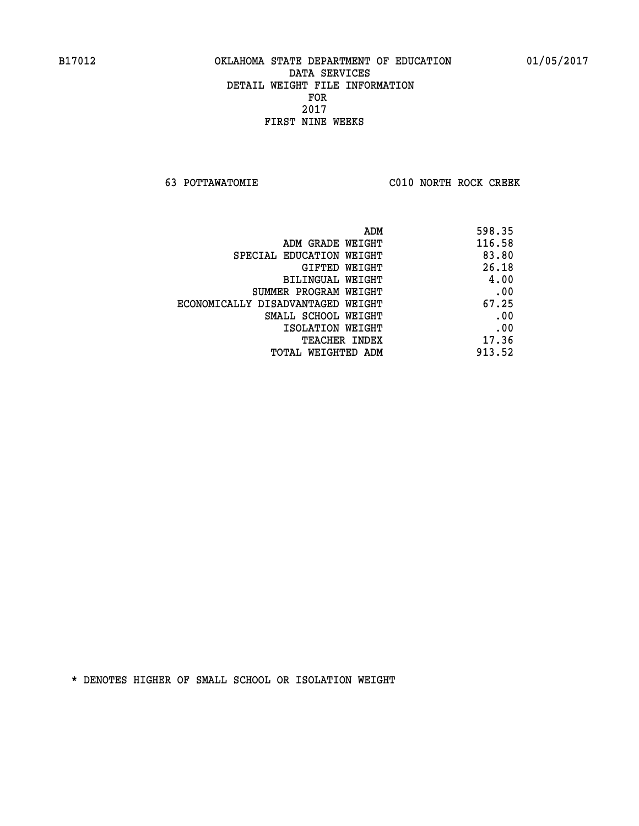**63 POTTAWATOMIE C010 NORTH ROCK CREEK** 

|                                   | 598.35<br>ADM |
|-----------------------------------|---------------|
| ADM GRADE WEIGHT                  | 116.58        |
| SPECIAL EDUCATION WEIGHT          | 83.80         |
| <b>GIFTED WEIGHT</b>              | 26.18         |
| BILINGUAL WEIGHT                  | 4.00          |
| SUMMER PROGRAM WEIGHT             | .00           |
| ECONOMICALLY DISADVANTAGED WEIGHT | 67.25         |
| SMALL SCHOOL WEIGHT               | .00           |
| ISOLATION WEIGHT                  | .00           |
| <b>TEACHER INDEX</b>              | 17.36         |
| TOTAL WEIGHTED ADM                | 913.52        |
|                                   |               |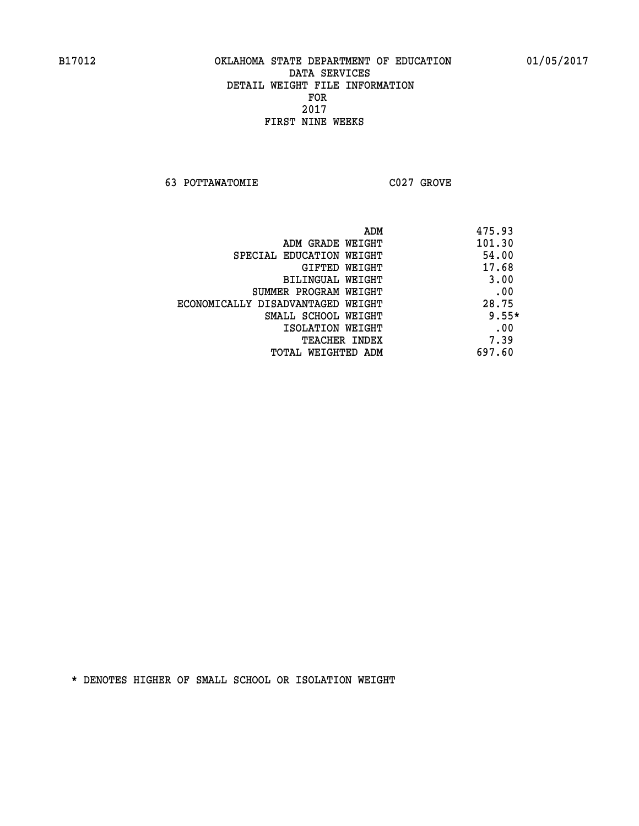**63 POTTAWATOMIE C027 GROVE** 

| 101.30<br>ADM GRADE WEIGHT<br>54.00<br>SPECIAL EDUCATION WEIGHT<br>17.68<br>GIFTED WEIGHT<br>3.00<br>BILINGUAL WEIGHT<br>.00<br>SUMMER PROGRAM WEIGHT<br>28.75<br>ECONOMICALLY DISADVANTAGED WEIGHT<br>SMALL SCHOOL WEIGHT<br>.00<br>ISOLATION WEIGHT<br>7.39<br><b>TEACHER INDEX</b><br>697.60<br>TOTAL WEIGHTED ADM | ADM | 475.93  |
|-----------------------------------------------------------------------------------------------------------------------------------------------------------------------------------------------------------------------------------------------------------------------------------------------------------------------|-----|---------|
|                                                                                                                                                                                                                                                                                                                       |     |         |
|                                                                                                                                                                                                                                                                                                                       |     |         |
|                                                                                                                                                                                                                                                                                                                       |     |         |
|                                                                                                                                                                                                                                                                                                                       |     |         |
|                                                                                                                                                                                                                                                                                                                       |     |         |
|                                                                                                                                                                                                                                                                                                                       |     |         |
|                                                                                                                                                                                                                                                                                                                       |     | $9.55*$ |
|                                                                                                                                                                                                                                                                                                                       |     |         |
|                                                                                                                                                                                                                                                                                                                       |     |         |
|                                                                                                                                                                                                                                                                                                                       |     |         |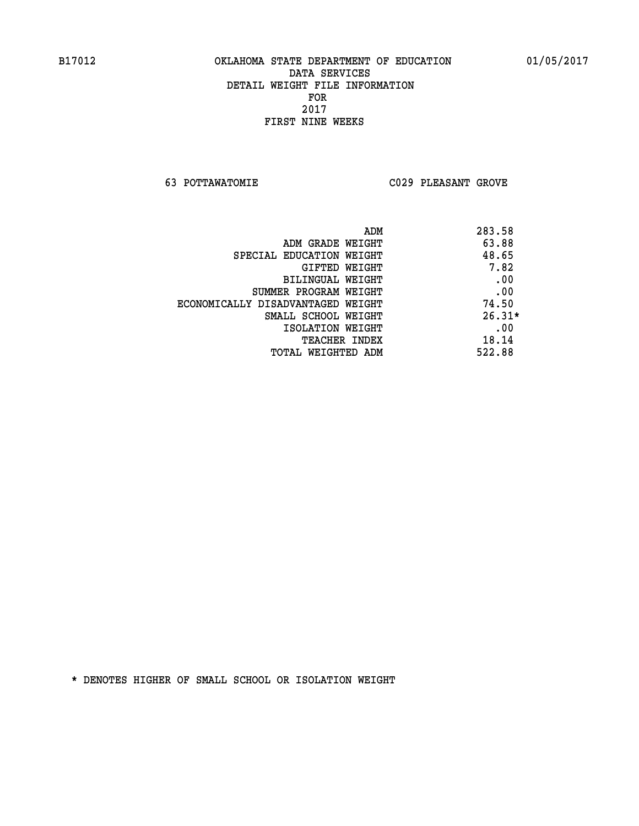**63 POTTAWATOMIE C029 PLEASANT GROVE** 

|                                   | 283.58<br>ADM |          |
|-----------------------------------|---------------|----------|
| ADM GRADE WEIGHT                  |               | 63.88    |
| SPECIAL EDUCATION WEIGHT          |               | 48.65    |
| GIFTED WEIGHT                     |               | 7.82     |
| BILINGUAL WEIGHT                  |               | .00      |
| SUMMER PROGRAM WEIGHT             |               | .00      |
| ECONOMICALLY DISADVANTAGED WEIGHT |               | 74.50    |
| SMALL SCHOOL WEIGHT               |               | $26.31*$ |
| ISOLATION WEIGHT                  |               | .00      |
| TEACHER INDEX                     |               | 18.14    |
| TOTAL WEIGHTED ADM                | 522.88        |          |
|                                   |               |          |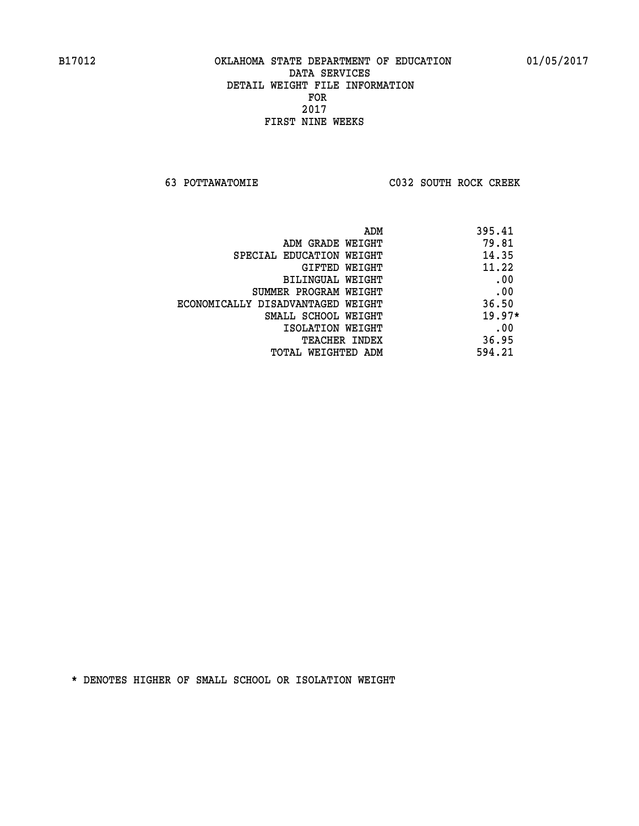**63 POTTAWATOMIE C032 SOUTH ROCK CREEK** 

| 395.41<br>ADM                     |                                   |
|-----------------------------------|-----------------------------------|
| 79.81<br>ADM GRADE WEIGHT         |                                   |
| 14.35<br>SPECIAL EDUCATION WEIGHT |                                   |
| 11.22<br>GIFTED WEIGHT            |                                   |
| .00<br>BILINGUAL WEIGHT           |                                   |
| .00<br>SUMMER PROGRAM WEIGHT      |                                   |
| 36.50                             | ECONOMICALLY DISADVANTAGED WEIGHT |
| $19.97*$<br>SMALL SCHOOL WEIGHT   |                                   |
| .00<br>ISOLATION WEIGHT           |                                   |
| 36.95<br><b>TEACHER INDEX</b>     |                                   |
| 594.21<br>TOTAL WEIGHTED ADM      |                                   |
|                                   |                                   |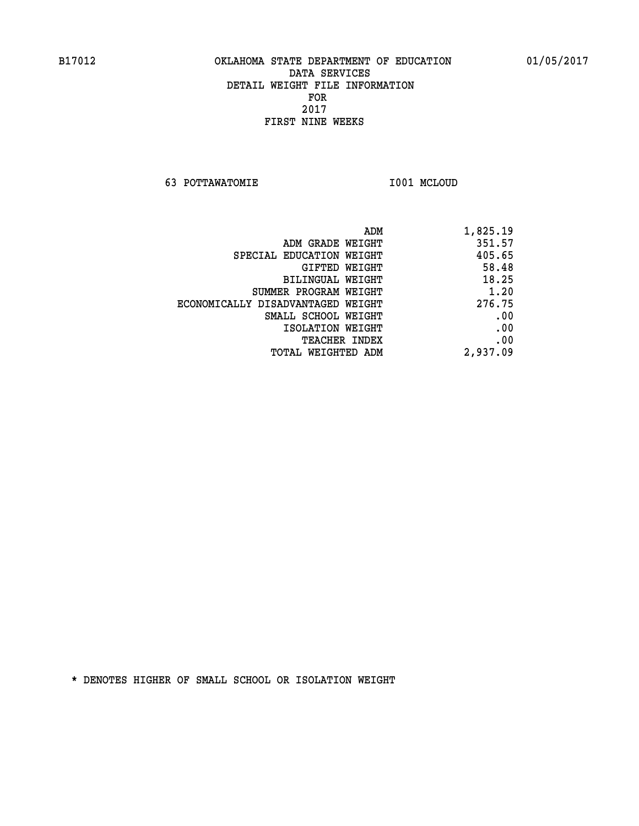**63 POTTAWATOMIE I001 MCLOUD** 

| ADM                               | 1,825.19 |
|-----------------------------------|----------|
| ADM GRADE WEIGHT                  | 351.57   |
| SPECIAL EDUCATION WEIGHT          | 405.65   |
| GIFTED WEIGHT                     | 58.48    |
| BILINGUAL WEIGHT                  | 18.25    |
| SUMMER PROGRAM WEIGHT             | 1.20     |
| ECONOMICALLY DISADVANTAGED WEIGHT | 276.75   |
| SMALL SCHOOL WEIGHT               | .00      |
| ISOLATION WEIGHT                  | .00      |
| <b>TEACHER INDEX</b>              | .00      |
| TOTAL WEIGHTED ADM                | 2,937.09 |
|                                   |          |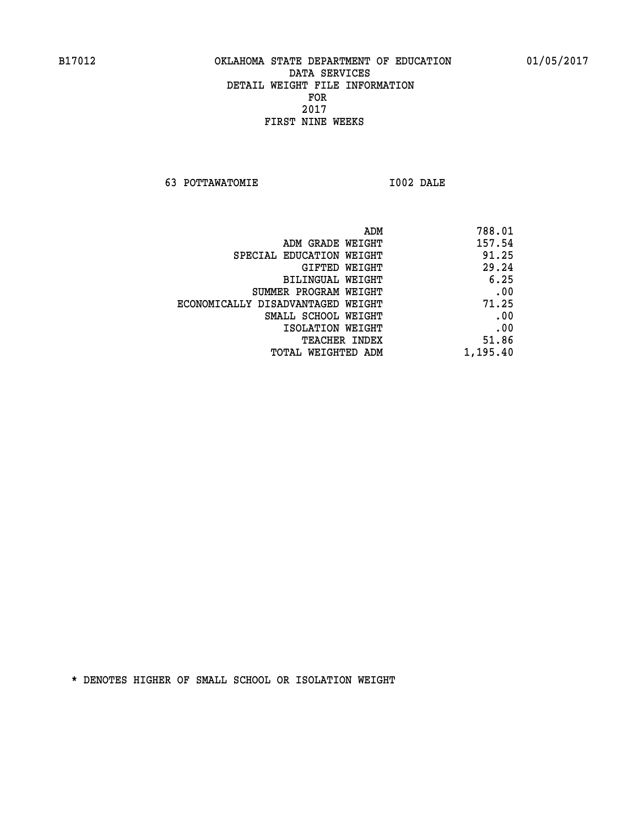**63 POTTAWATOMIE I002 DALE** 

| ADM                               | 788.01   |
|-----------------------------------|----------|
| ADM GRADE WEIGHT                  | 157.54   |
| SPECIAL EDUCATION WEIGHT          | 91.25    |
| GIFTED WEIGHT                     | 29.24    |
| BILINGUAL WEIGHT                  | 6.25     |
| SUMMER PROGRAM WEIGHT             | .00      |
| ECONOMICALLY DISADVANTAGED WEIGHT | 71.25    |
| SMALL SCHOOL WEIGHT               | .00      |
| ISOLATION WEIGHT                  | .00      |
| <b>TEACHER INDEX</b>              | 51.86    |
| TOTAL WEIGHTED ADM                | 1,195.40 |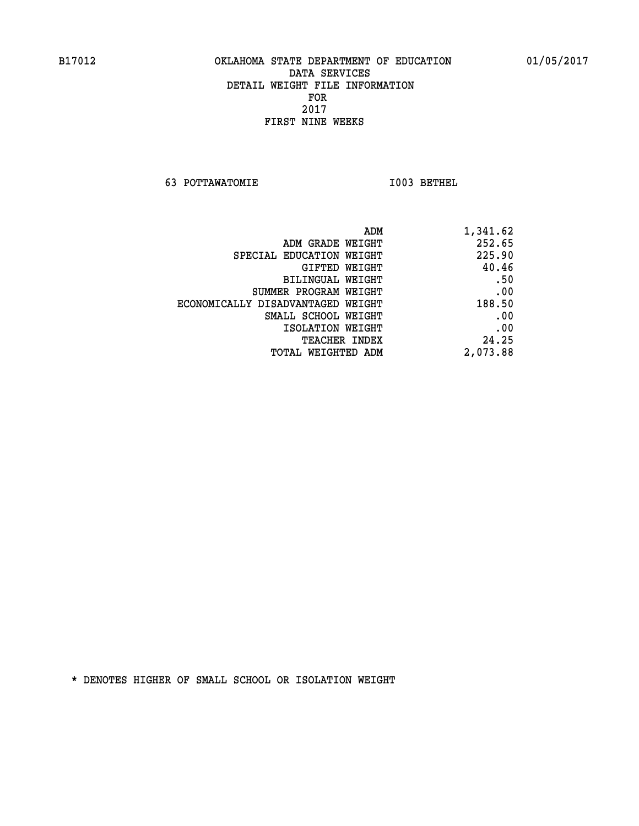**63 POTTAWATOMIE I003 BETHEL** 

| ADM                               | 1,341.62 |
|-----------------------------------|----------|
| ADM GRADE WEIGHT                  | 252.65   |
| SPECIAL EDUCATION WEIGHT          | 225.90   |
| GIFTED WEIGHT                     | 40.46    |
| BILINGUAL WEIGHT                  | .50      |
| SUMMER PROGRAM WEIGHT             | .00      |
| ECONOMICALLY DISADVANTAGED WEIGHT | 188.50   |
| SMALL SCHOOL WEIGHT               | .00      |
| ISOLATION WEIGHT                  | .00      |
| <b>TEACHER INDEX</b>              | 24.25    |
| WEIGHTED ADM<br>TOTAL             | 2,073.88 |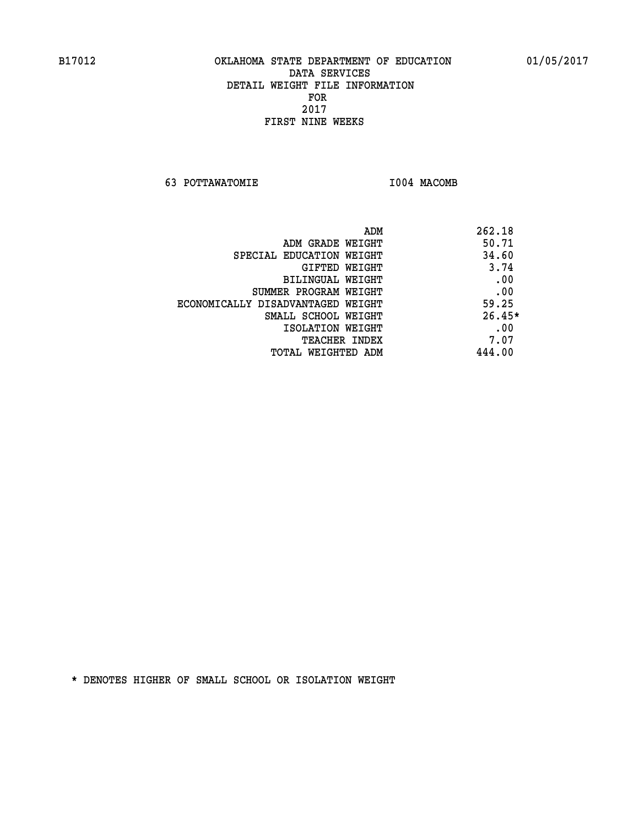**63 POTTAWATOMIE I004 MACOMB** 

| ADM                               | 262.18   |
|-----------------------------------|----------|
| ADM GRADE WEIGHT                  | 50.71    |
| SPECIAL EDUCATION WEIGHT          | 34.60    |
| GIFTED WEIGHT                     | 3.74     |
| BILINGUAL WEIGHT                  | .00      |
| SUMMER PROGRAM WEIGHT             | .00      |
| ECONOMICALLY DISADVANTAGED WEIGHT | 59.25    |
| SMALL SCHOOL WEIGHT               | $26.45*$ |
| ISOLATION WEIGHT                  | .00      |
| <b>TEACHER INDEX</b>              | 7.07     |
| TOTAL WEIGHTED ADM                | 444.00   |
|                                   |          |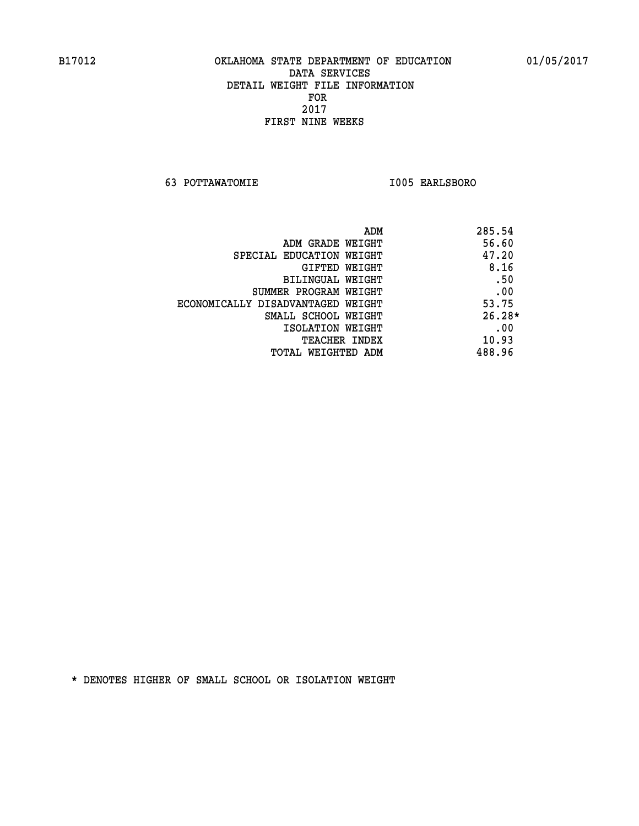**63 POTTAWATOMIE I005 EARLSBORO** 

|                                   | ADM | 285.54   |
|-----------------------------------|-----|----------|
| ADM GRADE WEIGHT                  |     | 56.60    |
| SPECIAL EDUCATION WEIGHT          |     | 47.20    |
| GIFTED WEIGHT                     |     | 8.16     |
| BILINGUAL WEIGHT                  |     | .50      |
| SUMMER PROGRAM WEIGHT             |     | .00      |
| ECONOMICALLY DISADVANTAGED WEIGHT |     | 53.75    |
| SMALL SCHOOL WEIGHT               |     | $26.28*$ |
| ISOLATION WEIGHT                  |     | .00      |
| TEACHER INDEX                     |     | 10.93    |
| TOTAL WEIGHTED ADM                |     | 488.96   |
|                                   |     |          |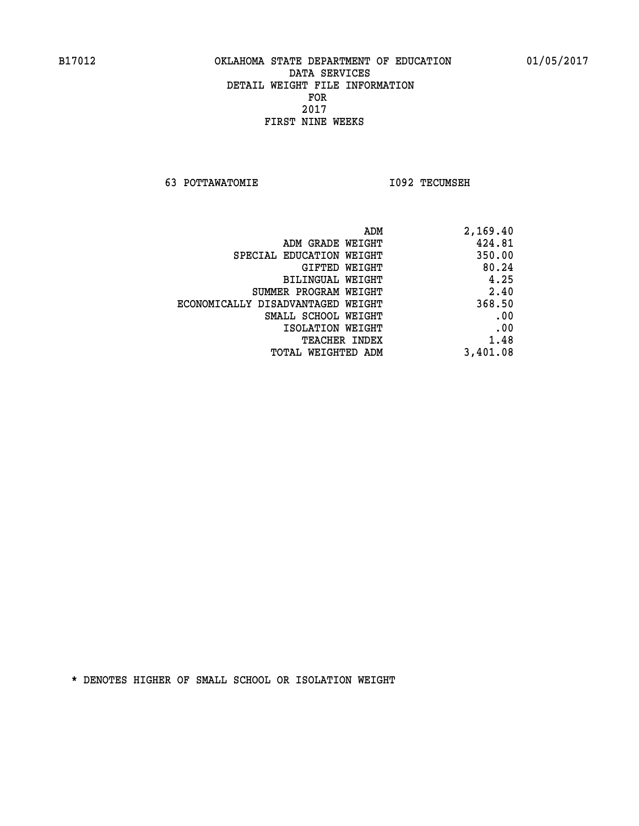**63 POTTAWATOMIE I092 TECUMSEH** 

| 2,169.40 |
|----------|
| 424.81   |
| 350.00   |
| 80.24    |
| 4.25     |
| 2.40     |
| 368.50   |
| .00      |
| .00      |
| 1.48     |
| 3,401.08 |
|          |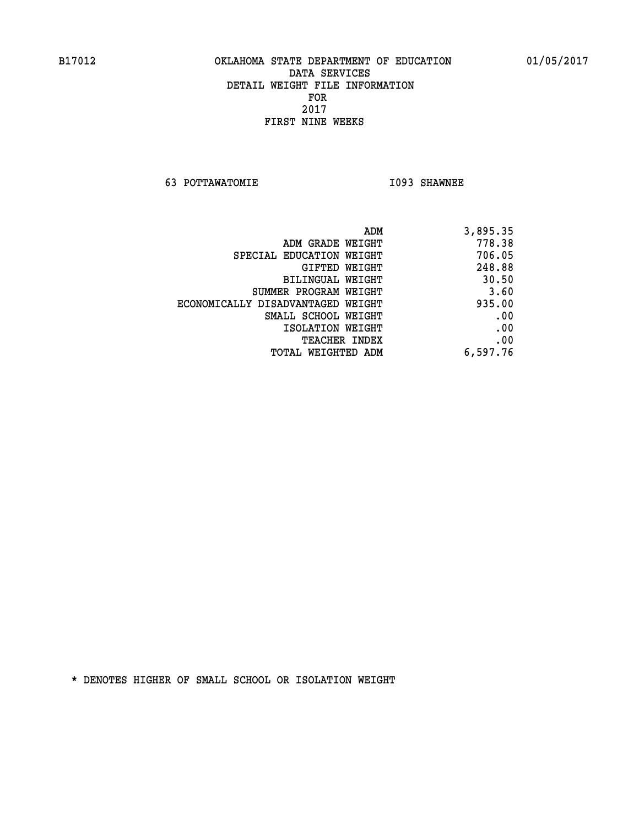**63 POTTAWATOMIE I093 SHAWNEE** 

| 3,895.35 |
|----------|
| 778.38   |
| 706.05   |
| 248.88   |
| 30.50    |
| 3.60     |
| 935.00   |
| .00      |
| .00      |
| .00      |
| 6,597.76 |
|          |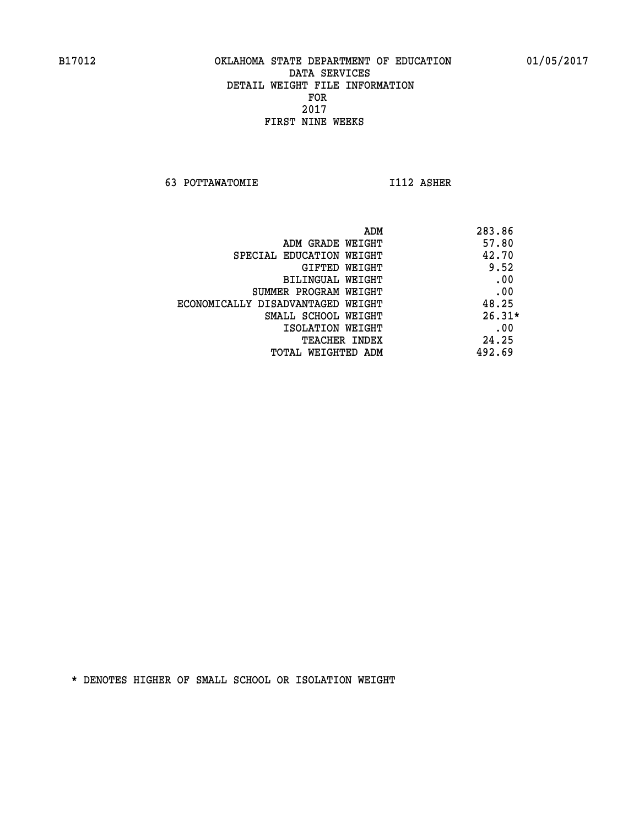**63 POTTAWATOMIE I112 ASHER** 

 **ADM 283.86 EXAMPLE METGHT 4.57.80 SPECIAL EDUCATION WEIGHT 42.70 GIFTED WEIGHT 9.52 BILINGUAL WEIGHT .00 SUMMER PROGRAM WEIGHT .00 ECONOMICALLY DISADVANTAGED WEIGHT 48.25 SMALL SCHOOL WEIGHT** 26.31\* **EXECUTED ISOLATION WEIGHT AND RESOLATION WEIGHT TEACHER INDEX** 24.25  **TOTAL WEIGHTED ADM 492.69**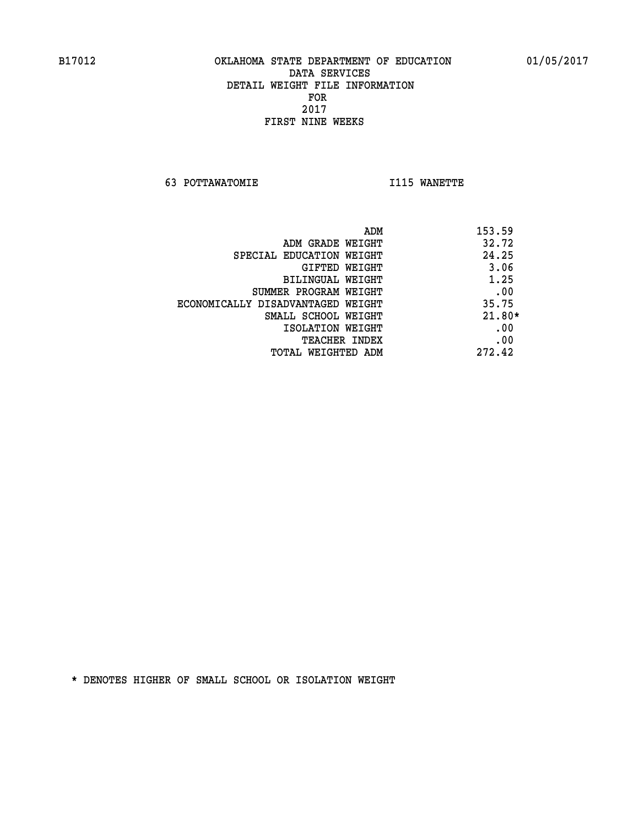**63 POTTAWATOMIE I115 WANETTE** 

| ADM<br>153.59                              |          |
|--------------------------------------------|----------|
| 32.72<br>ADM GRADE WEIGHT                  |          |
| 24.25<br>SPECIAL EDUCATION WEIGHT          |          |
| GIFTED WEIGHT                              | 3.06     |
| BILINGUAL WEIGHT                           | 1.25     |
| SUMMER PROGRAM WEIGHT                      | .00      |
| 35.75<br>ECONOMICALLY DISADVANTAGED WEIGHT |          |
| SMALL SCHOOL WEIGHT                        | $21.80*$ |
| ISOLATION WEIGHT                           | .00      |
| <b>TEACHER INDEX</b>                       | .00      |
| 272.42<br>TOTAL WEIGHTED ADM               |          |
|                                            |          |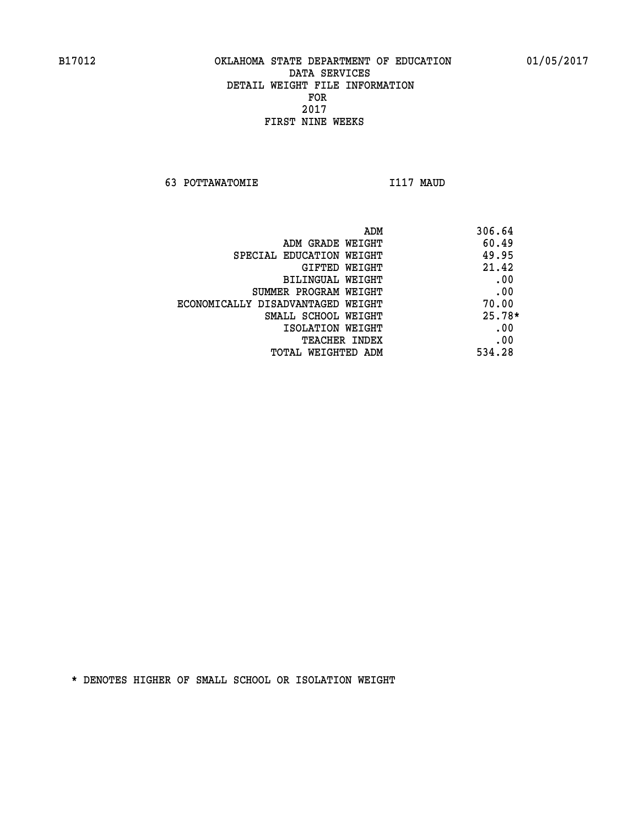**63 POTTAWATOMIE I117 MAUD** 

| ADM                               | 306.64   |
|-----------------------------------|----------|
| ADM GRADE WEIGHT                  | 60.49    |
| SPECIAL EDUCATION WEIGHT          | 49.95    |
| GIFTED WEIGHT                     | 21.42    |
| BILINGUAL WEIGHT                  | .00      |
| SUMMER PROGRAM WEIGHT             | .00      |
| ECONOMICALLY DISADVANTAGED WEIGHT | 70.00    |
| SMALL SCHOOL WEIGHT               | $25.78*$ |
| ISOLATION WEIGHT                  | .00      |
| <b>TEACHER INDEX</b>              | .00      |
| TOTAL WEIGHTED ADM                | 534.28   |
|                                   |          |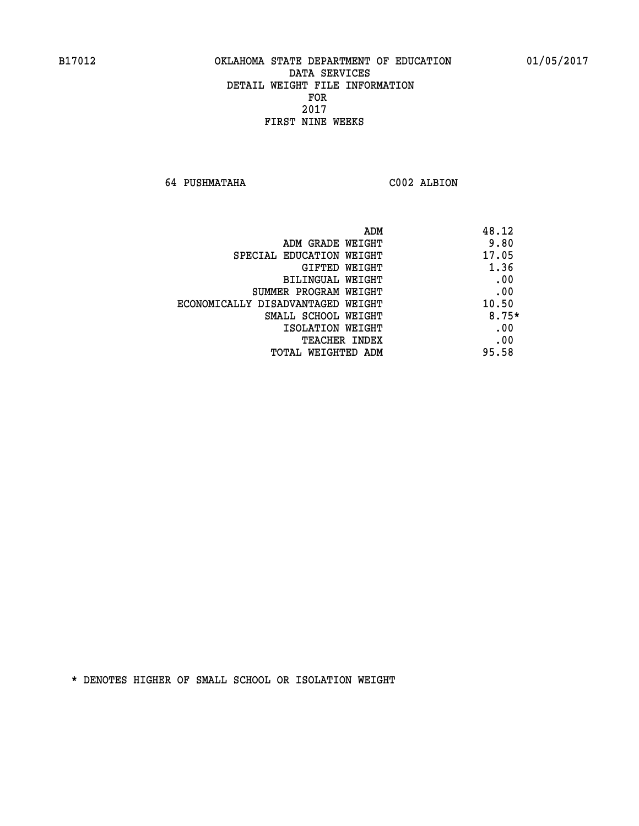**64 PUSHMATAHA C002 ALBION** 

| ADM<br>48.12                               |  |
|--------------------------------------------|--|
| 9.80<br>ADM GRADE WEIGHT                   |  |
| 17.05<br>SPECIAL EDUCATION WEIGHT          |  |
| 1.36<br>GIFTED WEIGHT                      |  |
| .00<br><b>BILINGUAL WEIGHT</b>             |  |
| .00<br>SUMMER PROGRAM WEIGHT               |  |
| 10.50<br>ECONOMICALLY DISADVANTAGED WEIGHT |  |
| $8.75*$<br>SMALL SCHOOL WEIGHT             |  |
| .00<br>ISOLATION WEIGHT                    |  |
| .00<br><b>TEACHER INDEX</b>                |  |
| 95.58<br>TOTAL WEIGHTED ADM                |  |
|                                            |  |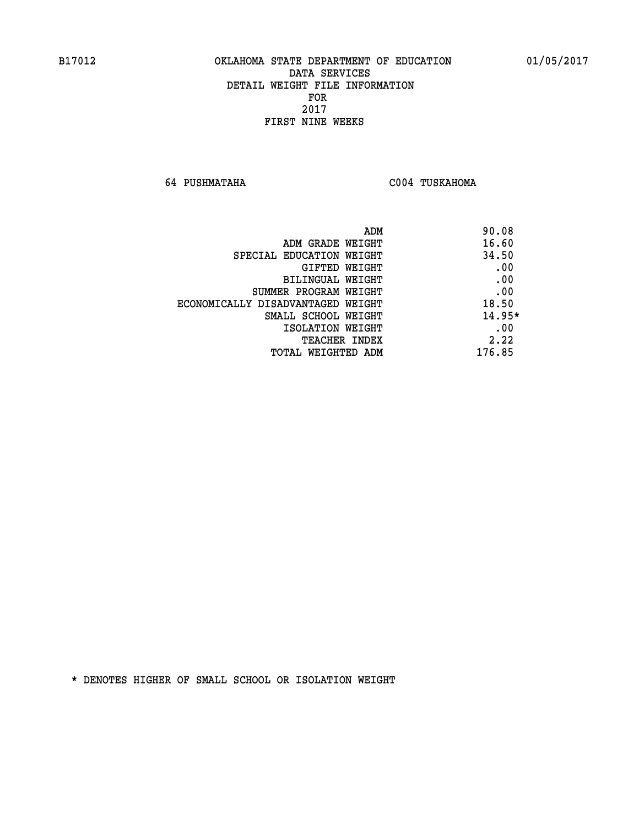**64 PUSHMATAHA C004 TUSKAHOMA** 

| ADM                               | 90.08    |
|-----------------------------------|----------|
| ADM GRADE WEIGHT                  | 16.60    |
| SPECIAL EDUCATION WEIGHT          | 34.50    |
| GIFTED WEIGHT                     | .00      |
| BILINGUAL WEIGHT                  | .00      |
| SUMMER PROGRAM WEIGHT             | .00      |
| ECONOMICALLY DISADVANTAGED WEIGHT | 18.50    |
| SMALL SCHOOL WEIGHT               | $14.95*$ |
| ISOLATION WEIGHT                  | .00      |
| <b>TEACHER INDEX</b>              | 2.22     |
| TOTAL WEIGHTED ADM                | 176.85   |
|                                   |          |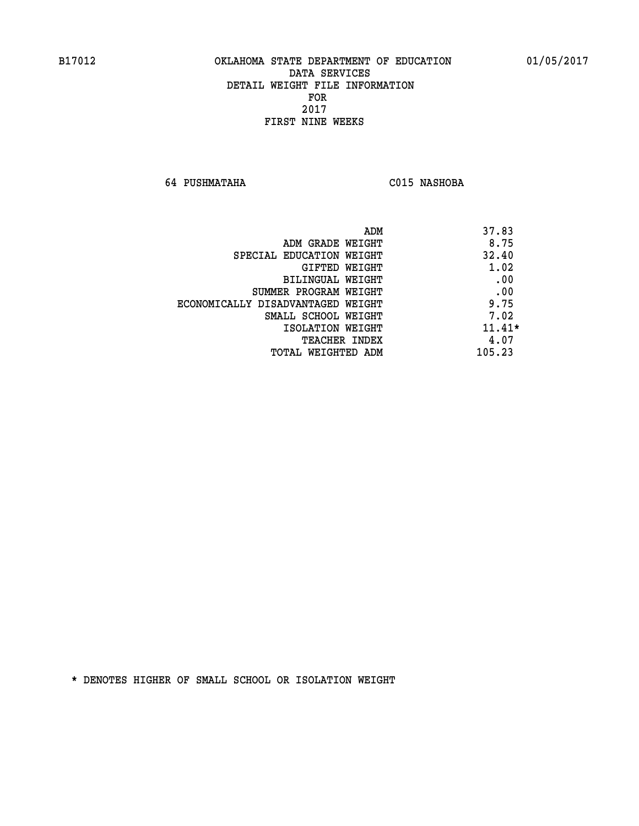**64 PUSHMATAHA C015 NASHOBA** 

|                                   | 37.83<br>ADM |
|-----------------------------------|--------------|
| ADM GRADE WEIGHT                  | 8.75         |
| SPECIAL EDUCATION WEIGHT          | 32.40        |
| GIFTED WEIGHT                     | 1.02         |
| BILINGUAL WEIGHT                  | .00          |
| SUMMER PROGRAM WEIGHT             | .00          |
| ECONOMICALLY DISADVANTAGED WEIGHT | 9.75         |
| SMALL SCHOOL WEIGHT               | 7.02         |
| ISOLATION WEIGHT                  | $11.41*$     |
| TEACHER INDEX                     | 4.07         |
| TOTAL WEIGHTED ADM                | 105.23       |
|                                   |              |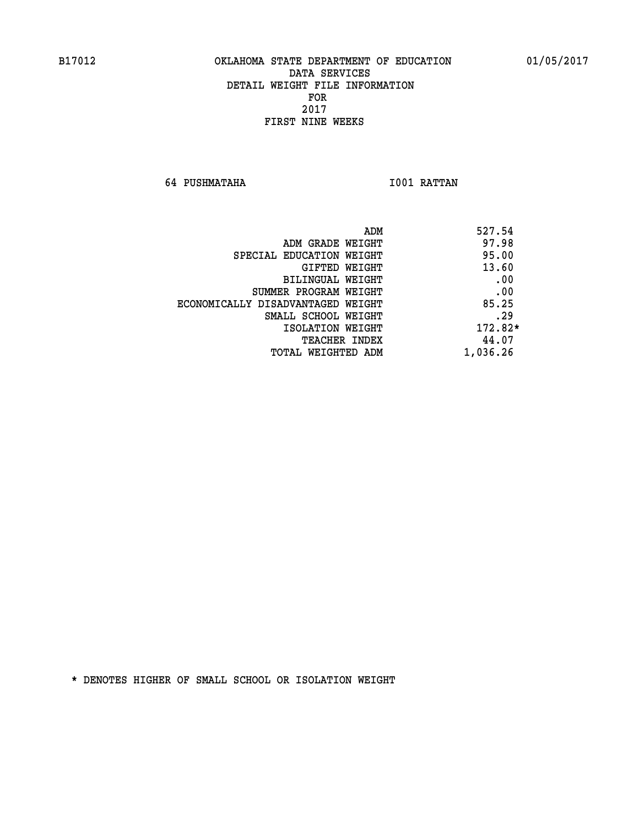**64 PUSHMATAHA I001 RATTAN** 

| 527.54<br>ADM                              |  |
|--------------------------------------------|--|
| 97.98<br>ADM GRADE WEIGHT                  |  |
| 95.00<br>SPECIAL EDUCATION WEIGHT          |  |
| 13.60<br>GIFTED WEIGHT                     |  |
| .00<br>BILINGUAL WEIGHT                    |  |
| .00<br>SUMMER PROGRAM WEIGHT               |  |
| 85.25<br>ECONOMICALLY DISADVANTAGED WEIGHT |  |
| .29<br>SMALL SCHOOL WEIGHT                 |  |
| 172.82*<br>ISOLATION WEIGHT                |  |
| 44.07<br>TEACHER INDEX                     |  |
| 1,036.26<br>TOTAL WEIGHTED ADM             |  |
|                                            |  |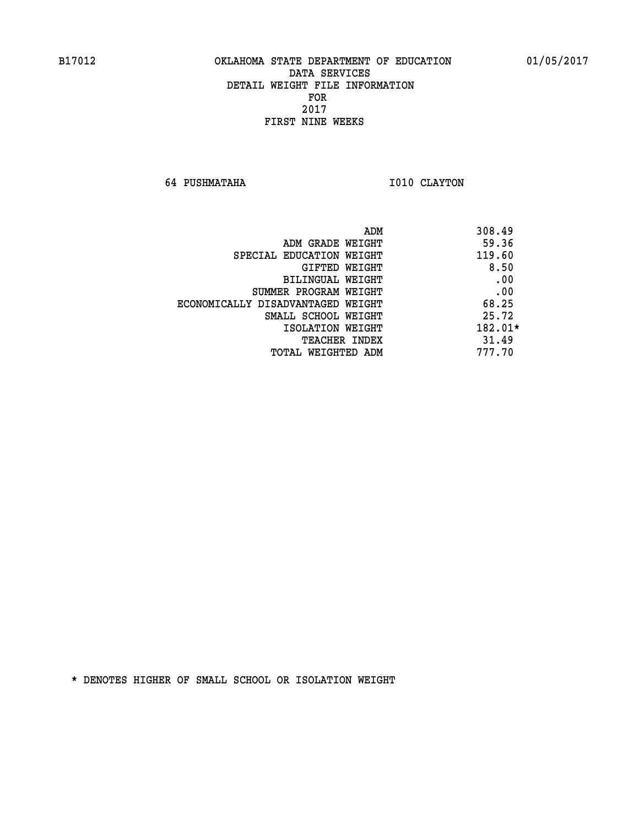**64 PUSHMATAHA I010 CLAYTON** 

| 308.49<br>ADM                              |     |
|--------------------------------------------|-----|
| 59.36<br>ADM GRADE WEIGHT                  |     |
| 119.60<br>SPECIAL EDUCATION WEIGHT         |     |
| 8.50<br>GIFTED WEIGHT                      |     |
| <b>BILINGUAL WEIGHT</b>                    | .00 |
| SUMMER PROGRAM WEIGHT                      | .00 |
| 68.25<br>ECONOMICALLY DISADVANTAGED WEIGHT |     |
| 25.72<br>SMALL SCHOOL WEIGHT               |     |
| 182.01*<br>ISOLATION WEIGHT                |     |
| 31.49<br><b>TEACHER INDEX</b>              |     |
| 777.70<br>TOTAL WEIGHTED ADM               |     |
|                                            |     |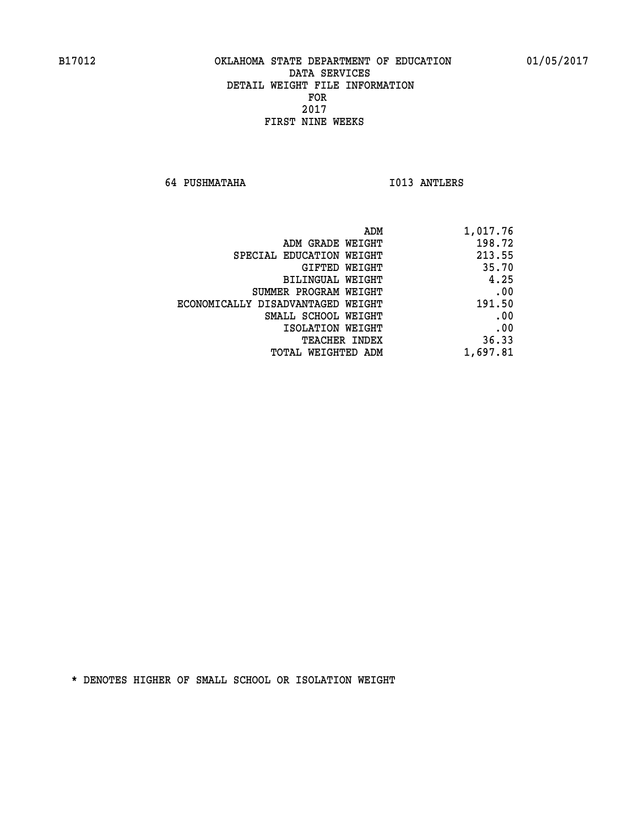**64 PUSHMATAHA I013 ANTLERS** 

| ADM                               | 1,017.76 |
|-----------------------------------|----------|
| ADM GRADE WEIGHT                  | 198.72   |
| SPECIAL EDUCATION WEIGHT          | 213.55   |
| GIFTED WEIGHT                     | 35.70    |
| BILINGUAL WEIGHT                  | 4.25     |
| SUMMER PROGRAM WEIGHT             | .00      |
| ECONOMICALLY DISADVANTAGED WEIGHT | 191.50   |
| SMALL SCHOOL WEIGHT               | .00      |
| ISOLATION WEIGHT                  | .00      |
| TEACHER INDEX                     | 36.33    |
| TOTAL WEIGHTED ADM                | 1,697.81 |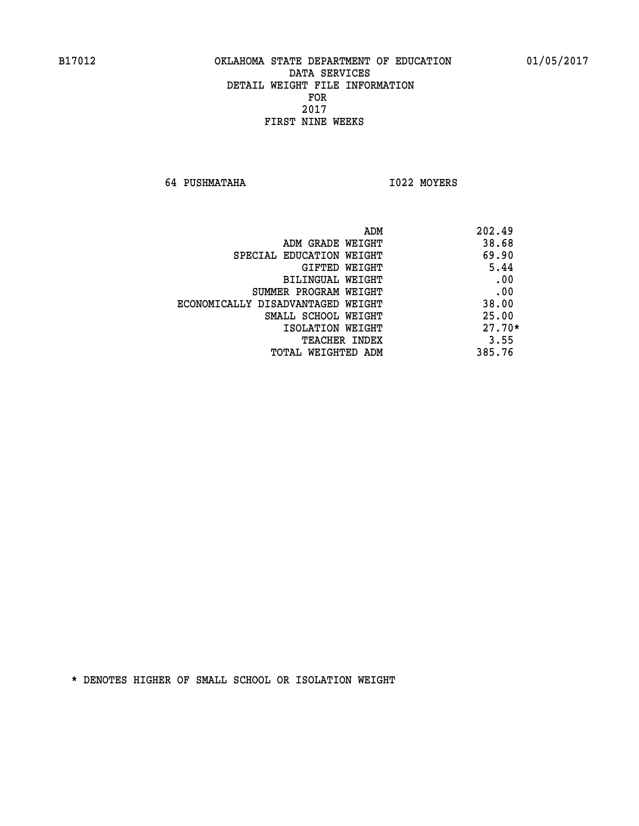**64 PUSHMATAHA I022 MOYERS** 

|                                   | 202.49<br>ADM |
|-----------------------------------|---------------|
| ADM GRADE WEIGHT                  | 38.68         |
| SPECIAL EDUCATION WEIGHT          | 69.90         |
| GIFTED WEIGHT                     | 5.44          |
| BILINGUAL WEIGHT                  | .00           |
| SUMMER PROGRAM WEIGHT             | .00           |
| ECONOMICALLY DISADVANTAGED WEIGHT | 38.00         |
| SMALL SCHOOL WEIGHT               | 25.00         |
| ISOLATION WEIGHT                  | $27.70*$      |
| <b>TEACHER INDEX</b>              | 3.55          |
| TOTAL WEIGHTED ADM                | 385.76        |
|                                   |               |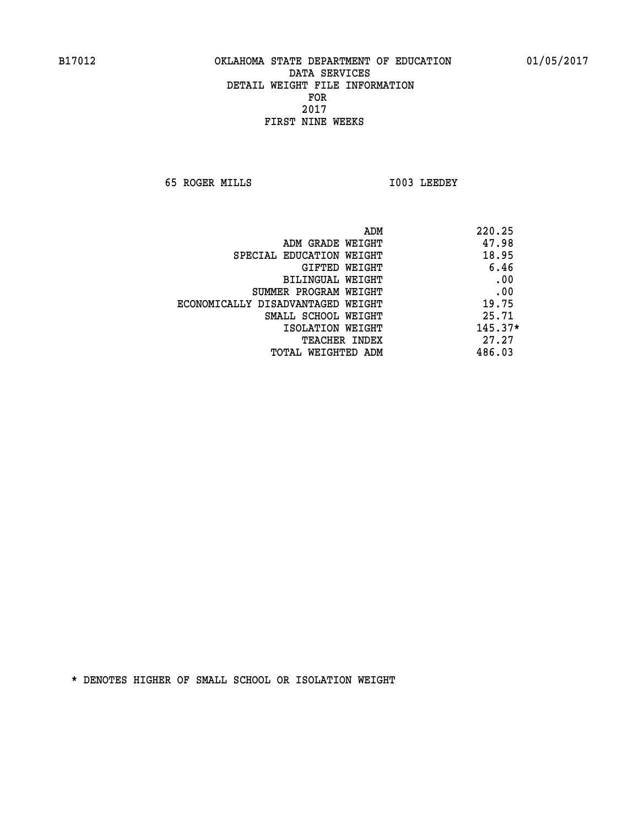**65 ROGER MILLS I003 LEEDEY** 

|                                   | ADM | 220.25    |
|-----------------------------------|-----|-----------|
| ADM GRADE WEIGHT                  |     | 47.98     |
| SPECIAL EDUCATION WEIGHT          |     | 18.95     |
| GIFTED WEIGHT                     |     | 6.46      |
| BILINGUAL WEIGHT                  |     | .00       |
| SUMMER PROGRAM WEIGHT             |     | .00       |
| ECONOMICALLY DISADVANTAGED WEIGHT |     | 19.75     |
| SMALL SCHOOL WEIGHT               |     | 25.71     |
| ISOLATION WEIGHT                  |     | $145.37*$ |
| TEACHER INDEX                     |     | 27.27     |
| TOTAL WEIGHTED ADM                |     | 486.03    |
|                                   |     |           |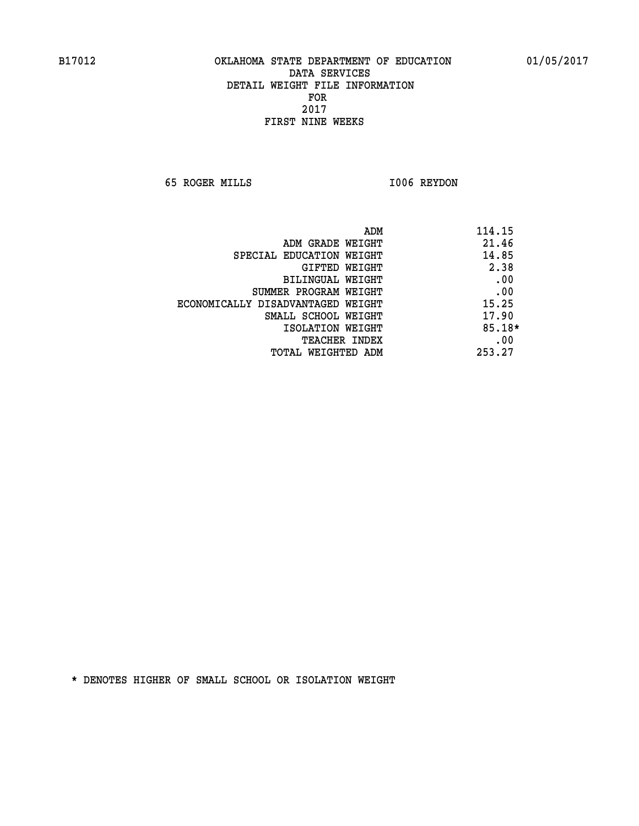**65 ROGER MILLS I006 REYDON** 

| ADM                               | 114.15   |
|-----------------------------------|----------|
| ADM GRADE WEIGHT                  | 21.46    |
| SPECIAL EDUCATION WEIGHT          | 14.85    |
| GIFTED WEIGHT                     | 2.38     |
| BILINGUAL WEIGHT                  | .00      |
| SUMMER PROGRAM WEIGHT             | .00      |
| ECONOMICALLY DISADVANTAGED WEIGHT | 15.25    |
| SMALL SCHOOL WEIGHT               | 17.90    |
| ISOLATION WEIGHT                  | $85.18*$ |
| <b>TEACHER INDEX</b>              | .00      |
| TOTAL WEIGHTED ADM                | 253.27   |
|                                   |          |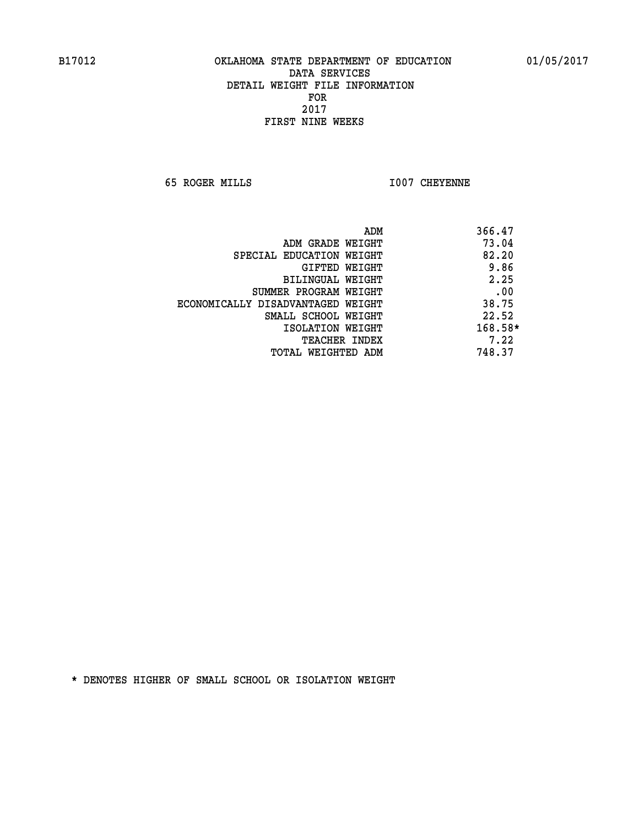**65 ROGER MILLS I007 CHEYENNE** 

| ADM                               | 366.47  |
|-----------------------------------|---------|
| ADM GRADE WEIGHT                  | 73.04   |
| SPECIAL EDUCATION WEIGHT          | 82.20   |
| GIFTED WEIGHT                     | 9.86    |
| <b>BILINGUAL WEIGHT</b>           | 2.25    |
| SUMMER PROGRAM WEIGHT             | .00     |
| ECONOMICALLY DISADVANTAGED WEIGHT | 38.75   |
| SMALL SCHOOL WEIGHT               | 22.52   |
| ISOLATION WEIGHT                  | 168.58* |
| <b>TEACHER INDEX</b>              | 7.22    |
| TOTAL WEIGHTED ADM                | 748.37  |
|                                   |         |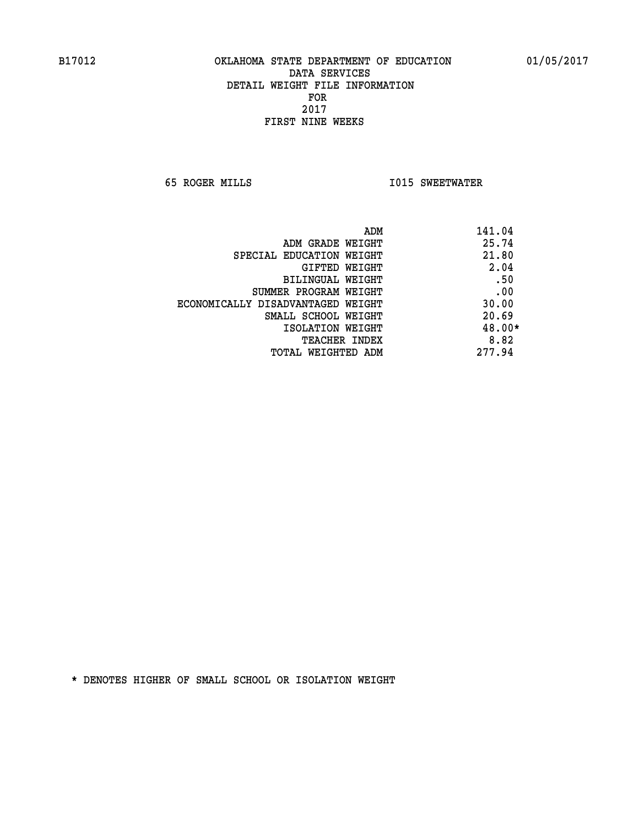**65 ROGER MILLS I015 SWEETWATER** 

| ADM                               | 141.04 |
|-----------------------------------|--------|
| ADM GRADE WEIGHT                  | 25.74  |
| SPECIAL EDUCATION WEIGHT          | 21.80  |
| GIFTED WEIGHT                     | 2.04   |
| BILINGUAL WEIGHT                  | .50    |
| SUMMER PROGRAM WEIGHT             | .00    |
| ECONOMICALLY DISADVANTAGED WEIGHT | 30.00  |
| SMALL SCHOOL WEIGHT               | 20.69  |
| ISOLATION WEIGHT                  | 48.00* |
| <b>TEACHER INDEX</b>              | 8.82   |
| TOTAL WEIGHTED ADM                | 277.94 |
|                                   |        |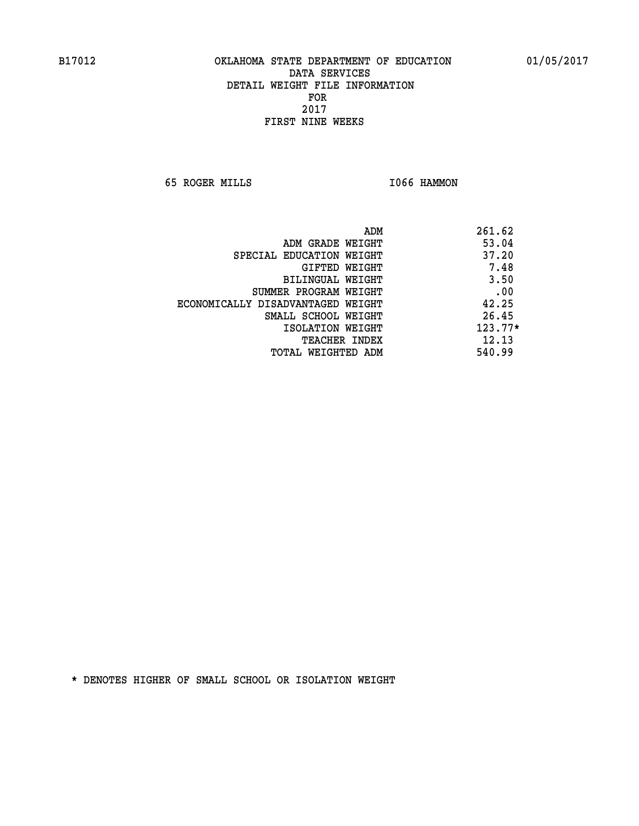**65 ROGER MILLS I066 HAMMON** 

|                                   | ADM | 261.62    |
|-----------------------------------|-----|-----------|
| ADM GRADE WEIGHT                  |     | 53.04     |
| SPECIAL EDUCATION WEIGHT          |     | 37.20     |
| GIFTED WEIGHT                     |     | 7.48      |
| BILINGUAL WEIGHT                  |     | 3.50      |
| SUMMER PROGRAM WEIGHT             |     | .00       |
| ECONOMICALLY DISADVANTAGED WEIGHT |     | 42.25     |
| SMALL SCHOOL WEIGHT               |     | 26.45     |
| ISOLATION WEIGHT                  |     | $123.77*$ |
| TEACHER INDEX                     |     | 12.13     |
| TOTAL WEIGHTED ADM                |     | 540.99    |
|                                   |     |           |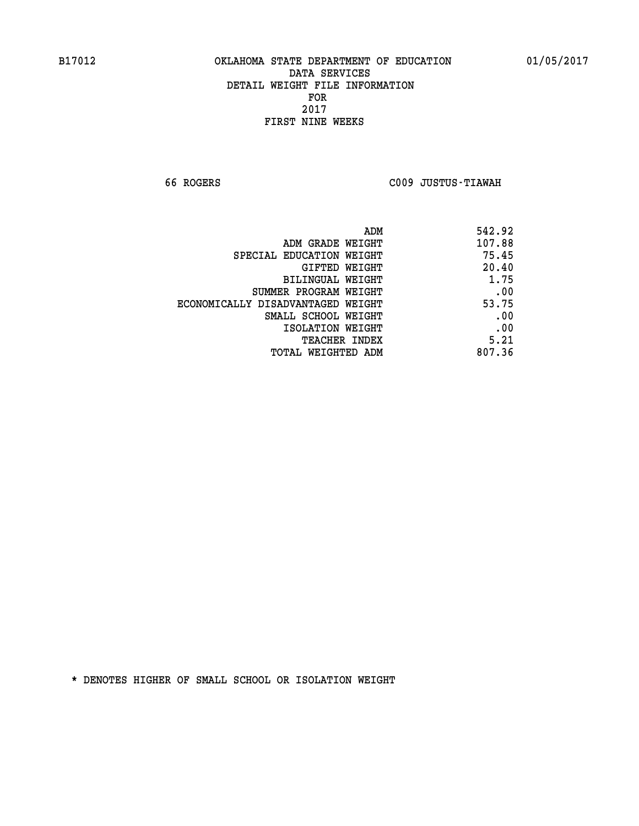**66 ROGERS C009 JUSTUS-TIAWAH** 

| ADM                               | 542.92 |
|-----------------------------------|--------|
| ADM GRADE WEIGHT                  | 107.88 |
| SPECIAL EDUCATION WEIGHT          | 75.45  |
| <b>GIFTED WEIGHT</b>              | 20.40  |
| BILINGUAL WEIGHT                  | 1.75   |
| SUMMER PROGRAM WEIGHT             | .00    |
| ECONOMICALLY DISADVANTAGED WEIGHT | 53.75  |
| SMALL SCHOOL WEIGHT               | .00    |
| ISOLATION WEIGHT                  | .00    |
| <b>TEACHER INDEX</b>              | 5.21   |
| <b>TOTAL WEIGHTED ADM</b>         | 807.36 |
|                                   |        |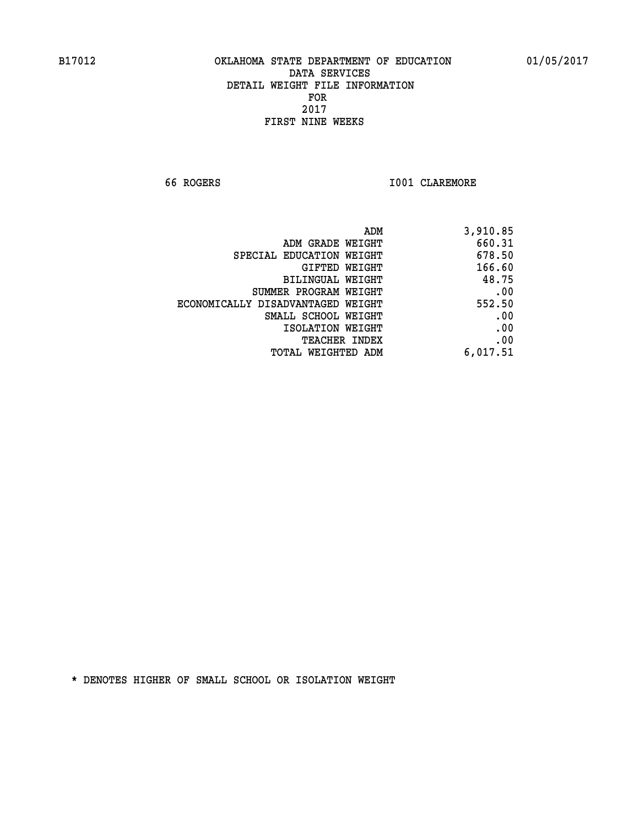**66 ROGERS I001 CLAREMORE** 

| ADM                               | 3,910.85 |
|-----------------------------------|----------|
| ADM GRADE WEIGHT                  | 660.31   |
| SPECIAL EDUCATION WEIGHT          | 678.50   |
| GIFTED WEIGHT                     | 166.60   |
| BILINGUAL WEIGHT                  | 48.75    |
| SUMMER PROGRAM WEIGHT             | .00      |
| ECONOMICALLY DISADVANTAGED WEIGHT | 552.50   |
| SMALL SCHOOL WEIGHT               | .00      |
| ISOLATION WEIGHT                  | .00      |
| <b>TEACHER INDEX</b>              | .00      |
| <b>TOTAL WEIGHTED ADM</b>         | 6,017.51 |
|                                   |          |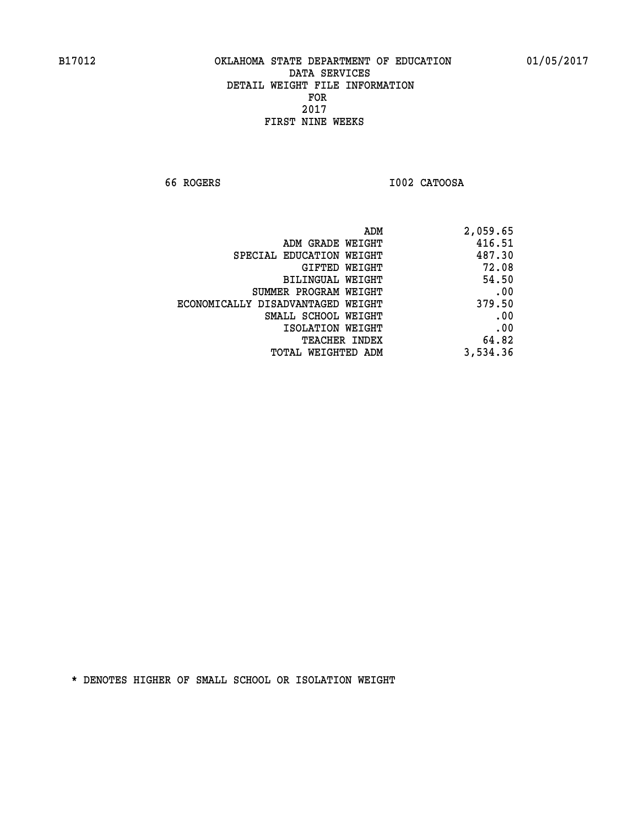**66 ROGERS I002 CATOOSA** 

| ADM                               | 2,059.65 |
|-----------------------------------|----------|
| ADM GRADE WEIGHT                  | 416.51   |
| SPECIAL EDUCATION WEIGHT          | 487.30   |
| GIFTED WEIGHT                     | 72.08    |
| BILINGUAL WEIGHT                  | 54.50    |
| SUMMER PROGRAM WEIGHT             | .00      |
| ECONOMICALLY DISADVANTAGED WEIGHT | 379.50   |
| SMALL SCHOOL WEIGHT               | .00      |
| ISOLATION WEIGHT                  | .00      |
| <b>TEACHER INDEX</b>              | 64.82    |
| TOTAL WEIGHTED ADM                | 3,534.36 |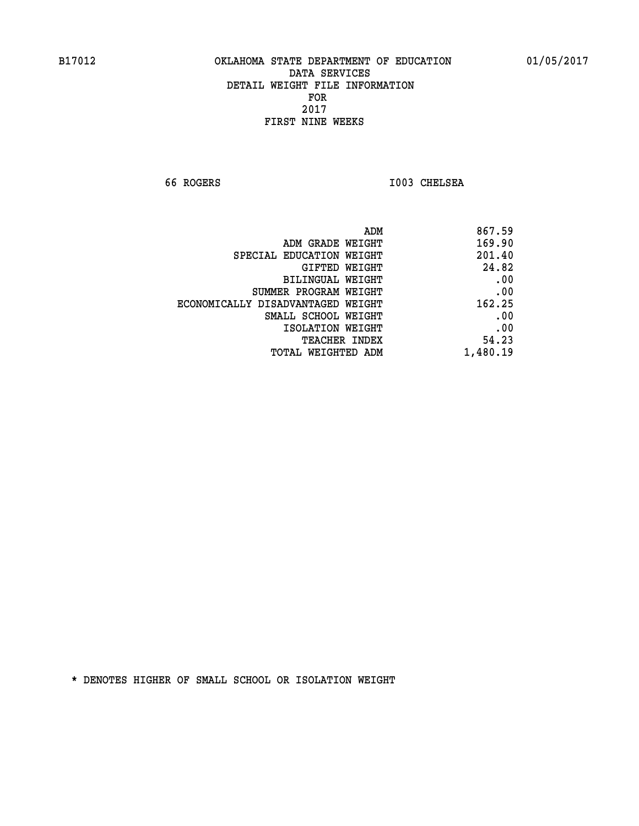**66 ROGERS I003 CHELSEA** 

| 867.59   |
|----------|
| 169.90   |
| 201.40   |
| 24.82    |
| .00      |
| .00      |
| 162.25   |
| .00      |
| .00      |
| 54.23    |
| 1,480.19 |
|          |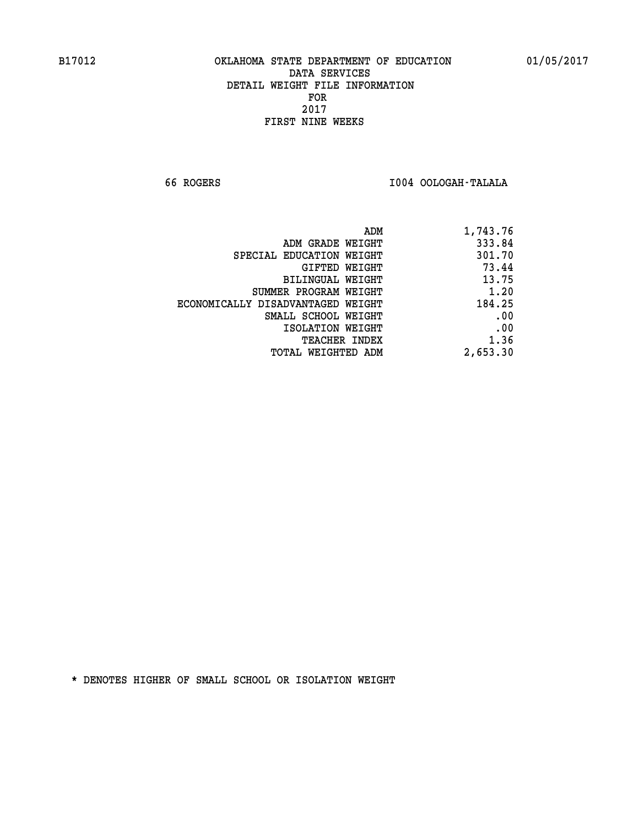**66 ROGERS I004 OOLOGAH-TALALA** 

| ADM                               | 1,743.76 |
|-----------------------------------|----------|
| ADM GRADE WEIGHT                  | 333.84   |
| SPECIAL EDUCATION WEIGHT          | 301.70   |
| <b>GIFTED WEIGHT</b>              | 73.44    |
| BILINGUAL WEIGHT                  | 13.75    |
| SUMMER PROGRAM WEIGHT             | 1.20     |
| ECONOMICALLY DISADVANTAGED WEIGHT | 184.25   |
| SMALL SCHOOL WEIGHT               | .00      |
| ISOLATION WEIGHT                  | .00      |
| <b>TEACHER INDEX</b>              | 1.36     |
| <b>TOTAL WEIGHTED ADM</b>         | 2,653.30 |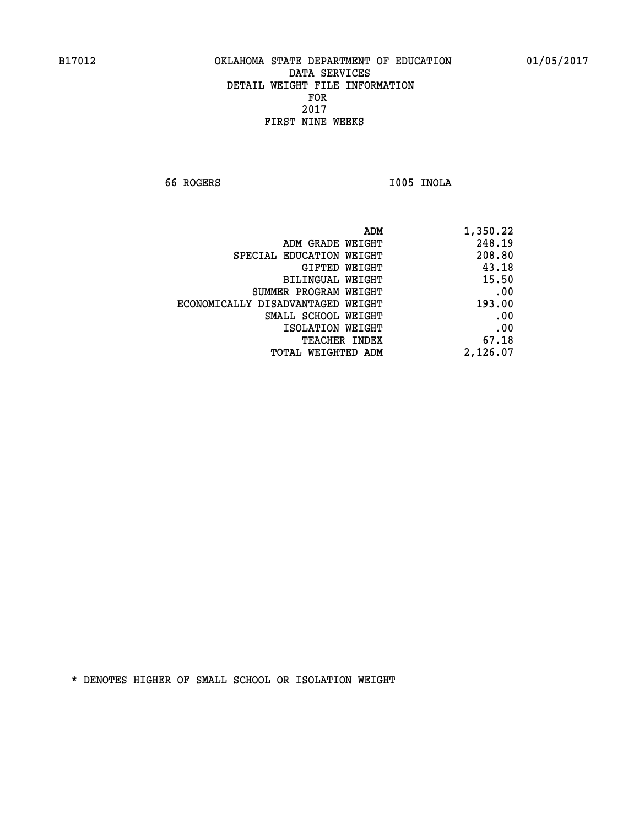**66 ROGERS I005 INOLA** 

| 1,350.22 |
|----------|
| 248.19   |
| 208.80   |
| 43.18    |
| 15.50    |
| .00      |
| 193.00   |
| .00      |
| .00      |
| 67.18    |
| 2,126.07 |
|          |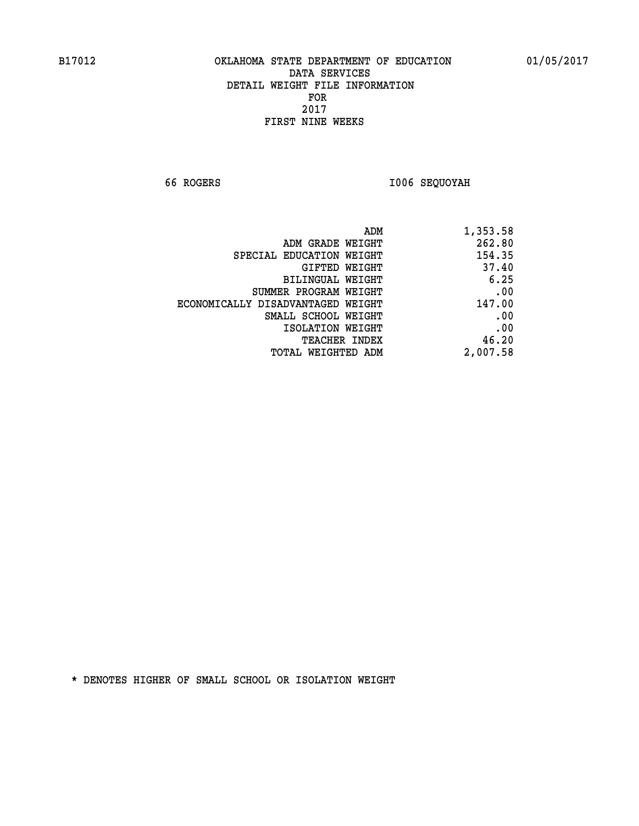**66 ROGERS I006 SEQUOYAH** 

| ADM                               | 1,353.58 |
|-----------------------------------|----------|
| ADM GRADE WEIGHT                  | 262.80   |
| SPECIAL EDUCATION WEIGHT          | 154.35   |
| <b>GIFTED WEIGHT</b>              | 37.40    |
| BILINGUAL WEIGHT                  | 6.25     |
| SUMMER PROGRAM WEIGHT             | .00      |
| ECONOMICALLY DISADVANTAGED WEIGHT | 147.00   |
| SMALL SCHOOL WEIGHT               | .00      |
| ISOLATION WEIGHT                  | .00      |
| <b>TEACHER INDEX</b>              | 46.20    |
| <b>TOTAL WEIGHTED ADM</b>         | 2,007.58 |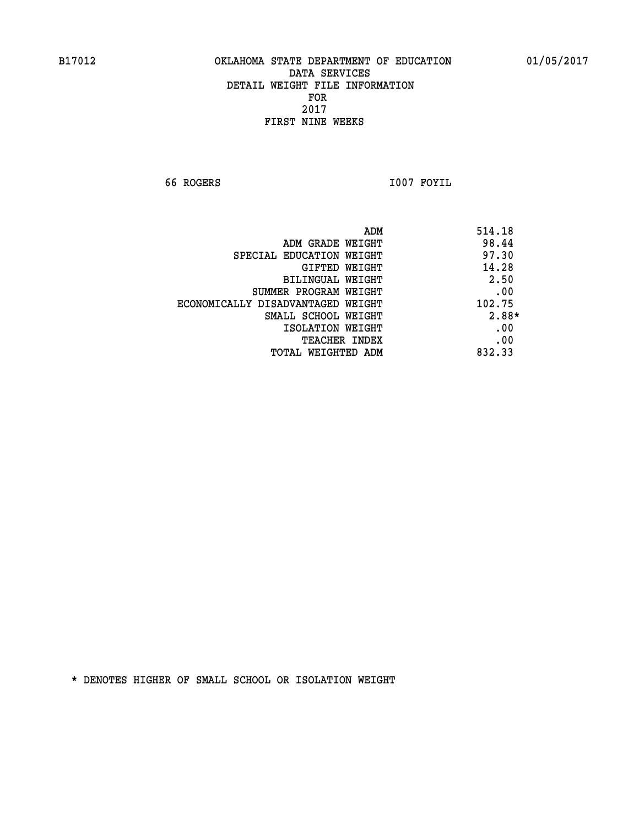**66 ROGERS I007 FOYIL** 

| ADM                               | 514.18 |
|-----------------------------------|--------|
| ADM GRADE WEIGHT                  | 98.44  |
| SPECIAL EDUCATION WEIGHT          | 97.30  |
| GIFTED WEIGHT                     | 14.28  |
| BILINGUAL WEIGHT                  | 2.50   |
| SUMMER PROGRAM WEIGHT             | .00    |
| ECONOMICALLY DISADVANTAGED WEIGHT | 102.75 |
| SMALL SCHOOL WEIGHT               | 2.88*  |
| ISOLATION WEIGHT                  | .00    |
| <b>TEACHER INDEX</b>              | .00    |
| TOTAL WEIGHTED ADM                | 832.33 |
|                                   |        |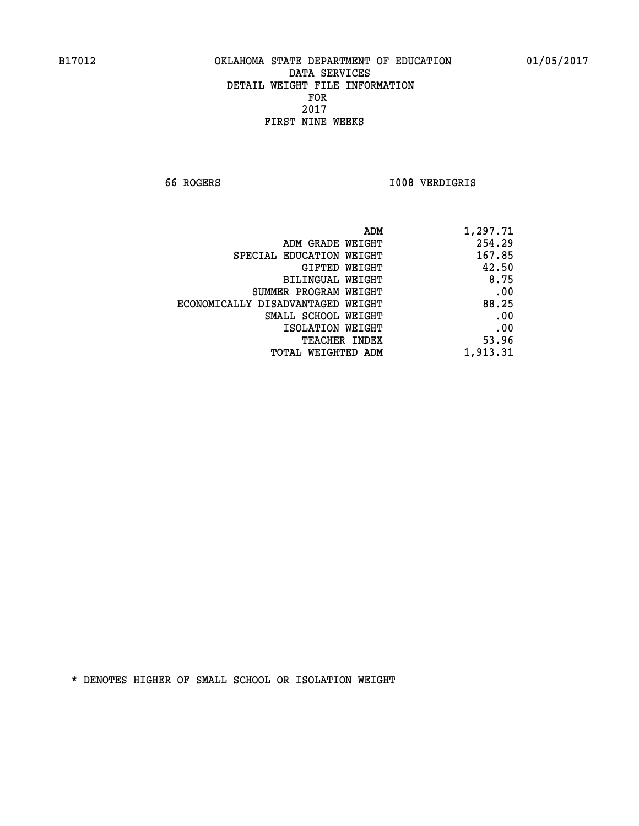**66 ROGERS I008 VERDIGRIS** 

| ADM                               | 1,297.71 |
|-----------------------------------|----------|
| ADM GRADE WEIGHT                  | 254.29   |
| SPECIAL EDUCATION WEIGHT          | 167.85   |
| GIFTED WEIGHT                     | 42.50    |
| BILINGUAL WEIGHT                  | 8.75     |
| SUMMER PROGRAM WEIGHT             | .00      |
| ECONOMICALLY DISADVANTAGED WEIGHT | 88.25    |
| SMALL SCHOOL WEIGHT               | .00      |
| ISOLATION WEIGHT                  | .00      |
| TEACHER INDEX                     | 53.96    |
| TOTAL WEIGHTED ADM                | 1,913.31 |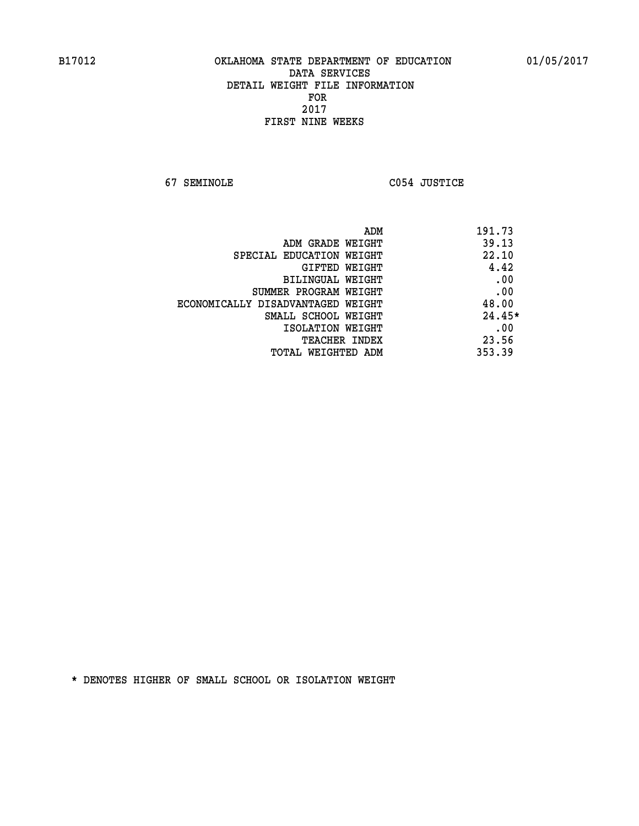**67 SEMINOLE C054 JUSTICE** 

| ADM                               | 191.73   |
|-----------------------------------|----------|
| ADM GRADE WEIGHT                  | 39.13    |
| SPECIAL EDUCATION WEIGHT          | 22.10    |
| GIFTED WEIGHT                     | 4.42     |
| BILINGUAL WEIGHT                  | .00      |
| SUMMER PROGRAM WEIGHT             | .00      |
| ECONOMICALLY DISADVANTAGED WEIGHT | 48.00    |
| SMALL SCHOOL WEIGHT               | $24.45*$ |
| ISOLATION WEIGHT                  | .00      |
| <b>TEACHER INDEX</b>              | 23.56    |
| TOTAL WEIGHTED ADM                | 353.39   |
|                                   |          |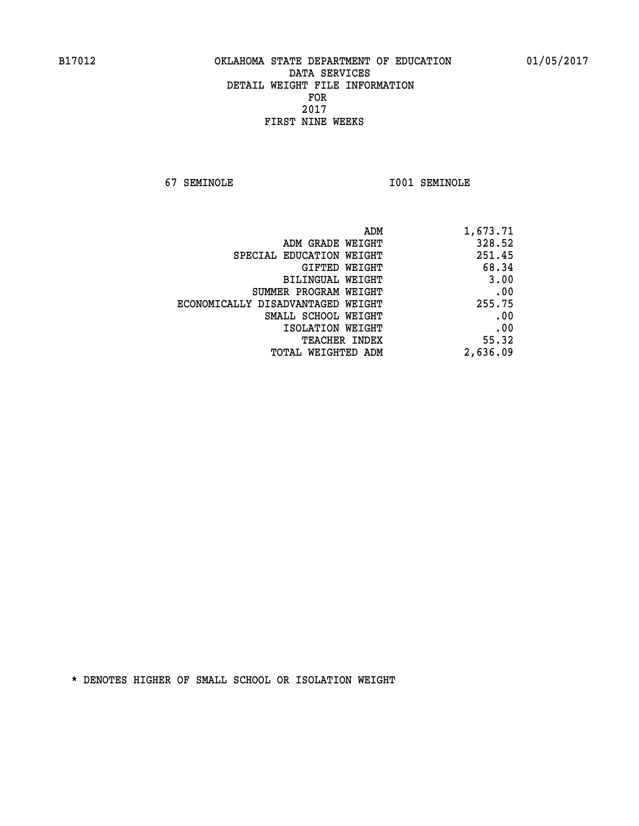**67 SEMINOLE I001 SEMINOLE** 

| 1,673.71 |
|----------|
| 328.52   |
| 251.45   |
| 68.34    |
| 3.00     |
| .00      |
| 255.75   |
| .00      |
| .00      |
| 55.32    |
| 2,636.09 |
|          |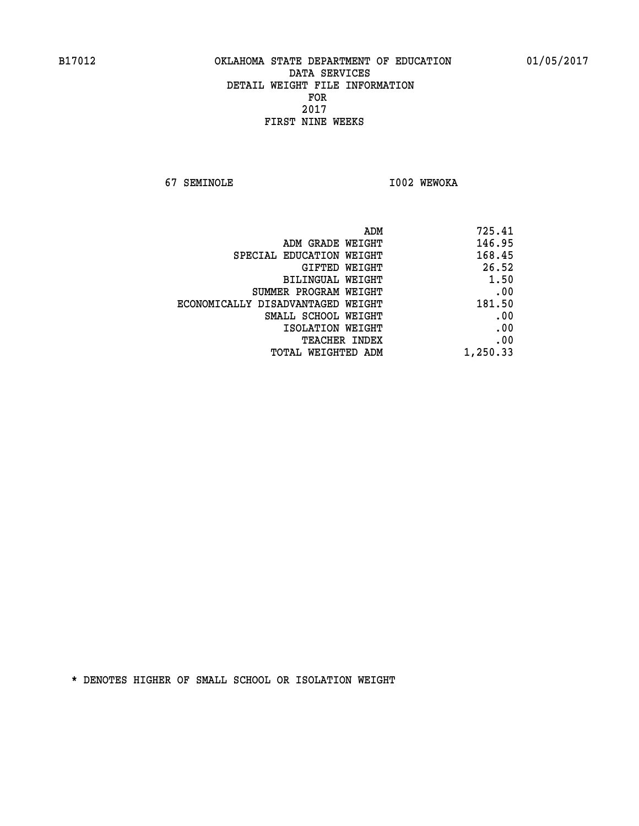**67 SEMINOLE I002 WEWOKA** 

| ADM<br>725.41                               |      |
|---------------------------------------------|------|
| 146.95<br>ADM GRADE WEIGHT                  |      |
| 168.45<br>SPECIAL EDUCATION WEIGHT          |      |
| 26.52<br>GIFTED WEIGHT                      |      |
| <b>BILINGUAL WEIGHT</b>                     | 1.50 |
| SUMMER PROGRAM WEIGHT                       | .00  |
| 181.50<br>ECONOMICALLY DISADVANTAGED WEIGHT |      |
| SMALL SCHOOL WEIGHT                         | .00  |
| ISOLATION WEIGHT                            | .00  |
| TEACHER INDEX                               | .00  |
| 1,250.33<br>TOTAL WEIGHTED ADM              |      |
|                                             |      |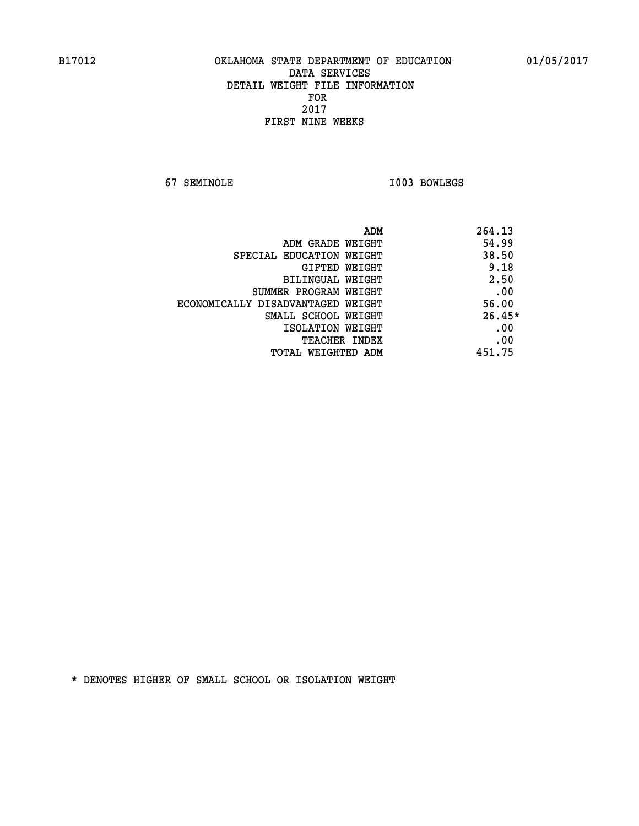**67 SEMINOLE I003 BOWLEGS** 

| ADM                               | 264.13   |
|-----------------------------------|----------|
| ADM GRADE WEIGHT                  | 54.99    |
| SPECIAL EDUCATION WEIGHT          | 38.50    |
| <b>GIFTED WEIGHT</b>              | 9.18     |
| BILINGUAL WEIGHT                  | 2.50     |
| SUMMER PROGRAM WEIGHT             | .00      |
| ECONOMICALLY DISADVANTAGED WEIGHT | 56.00    |
| SMALL SCHOOL WEIGHT               | $26.45*$ |
| ISOLATION WEIGHT                  | .00      |
| <b>TEACHER INDEX</b>              | .00      |
| TOTAL WEIGHTED ADM                | 451.75   |
|                                   |          |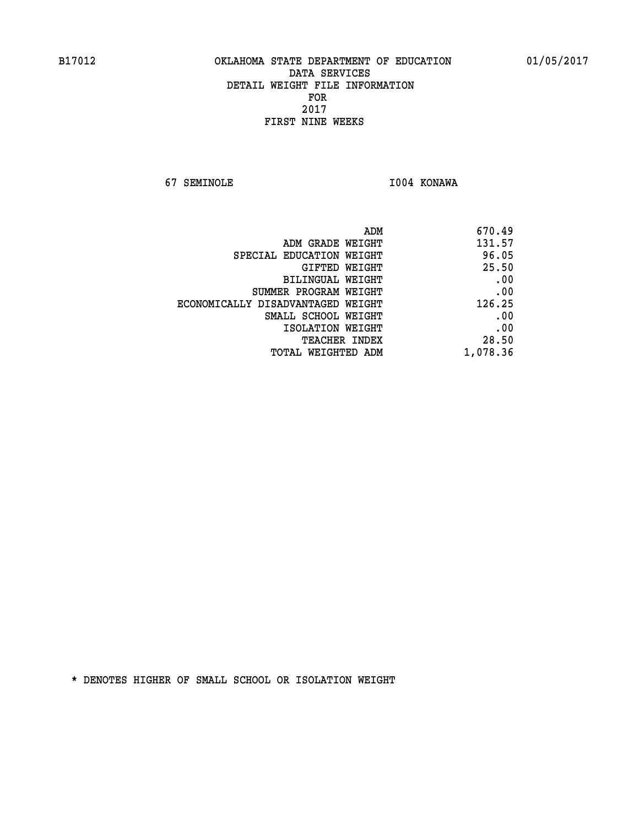**67 SEMINOLE I004 KONAWA** 

| 670.49   |
|----------|
| 131.57   |
| 96.05    |
| 25.50    |
| .00      |
| .00      |
| 126.25   |
| .00      |
| .00      |
| 28.50    |
| 1,078.36 |
|          |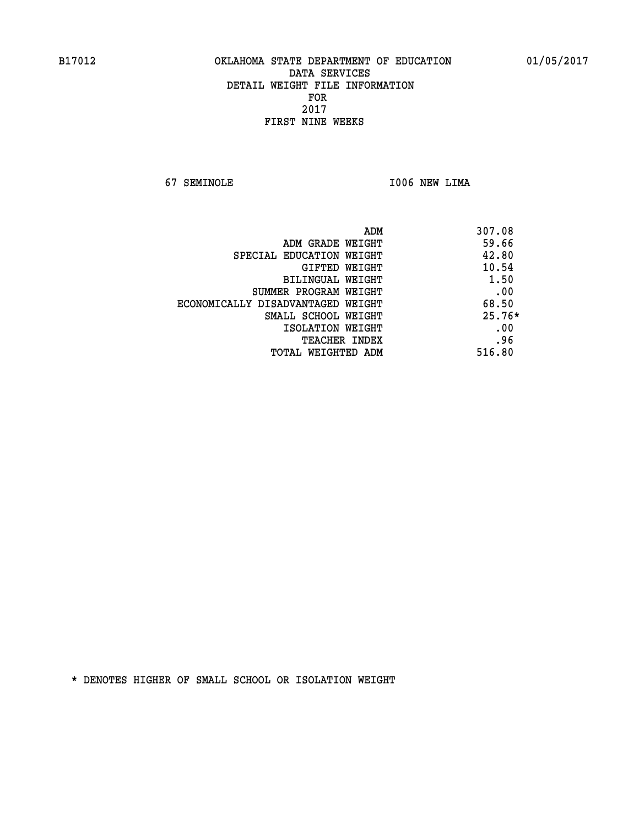**67 SEMINOLE I006 NEW LIMA** 

| ADM                               | 307.08   |
|-----------------------------------|----------|
| ADM GRADE WEIGHT                  | 59.66    |
| SPECIAL EDUCATION WEIGHT          | 42.80    |
| <b>GIFTED WEIGHT</b>              | 10.54    |
| BILINGUAL WEIGHT                  | 1.50     |
| SUMMER PROGRAM WEIGHT             | .00      |
| ECONOMICALLY DISADVANTAGED WEIGHT | 68.50    |
| SMALL SCHOOL WEIGHT               | $25.76*$ |
| ISOLATION WEIGHT                  | .00      |
| <b>TEACHER INDEX</b>              | .96      |
| TOTAL WEIGHTED ADM                | 516.80   |
|                                   |          |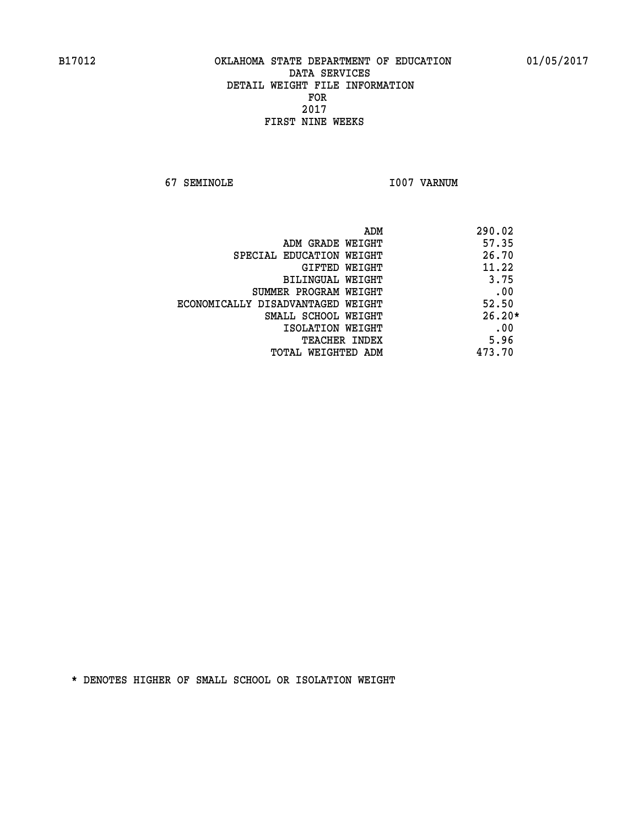**67 SEMINOLE I007 VARNUM** 

| ADM                               | 290.02   |
|-----------------------------------|----------|
| ADM GRADE WEIGHT                  | 57.35    |
| SPECIAL EDUCATION WEIGHT          | 26.70    |
| GIFTED WEIGHT                     | 11.22    |
| BILINGUAL WEIGHT                  | 3.75     |
| SUMMER PROGRAM WEIGHT             | .00      |
| ECONOMICALLY DISADVANTAGED WEIGHT | 52.50    |
| SMALL SCHOOL WEIGHT               | $26.20*$ |
| ISOLATION WEIGHT                  | .00      |
| <b>TEACHER INDEX</b>              | 5.96     |
| TOTAL WEIGHTED ADM                | 473.70   |
|                                   |          |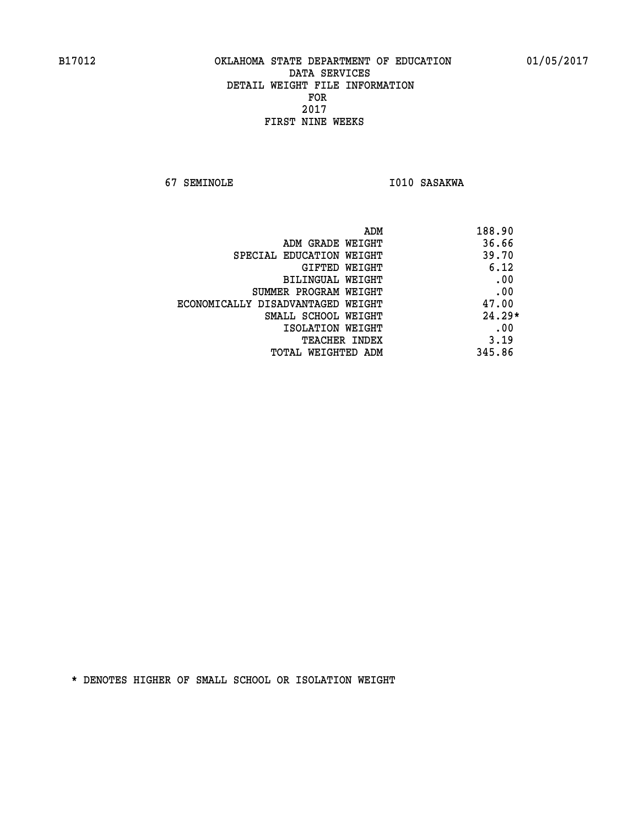**67 SEMINOLE 1010 SASAKWA** 

| ADM                               | 188.90   |
|-----------------------------------|----------|
| ADM GRADE WEIGHT                  | 36.66    |
| SPECIAL EDUCATION WEIGHT          | 39.70    |
| GIFTED WEIGHT                     | 6.12     |
| BILINGUAL WEIGHT                  | .00      |
| SUMMER PROGRAM WEIGHT             | .00      |
| ECONOMICALLY DISADVANTAGED WEIGHT | 47.00    |
| SMALL SCHOOL WEIGHT               | $24.29*$ |
| ISOLATION WEIGHT                  | .00      |
| <b>TEACHER INDEX</b>              | 3.19     |
| TOTAL WEIGHTED ADM                | 345.86   |
|                                   |          |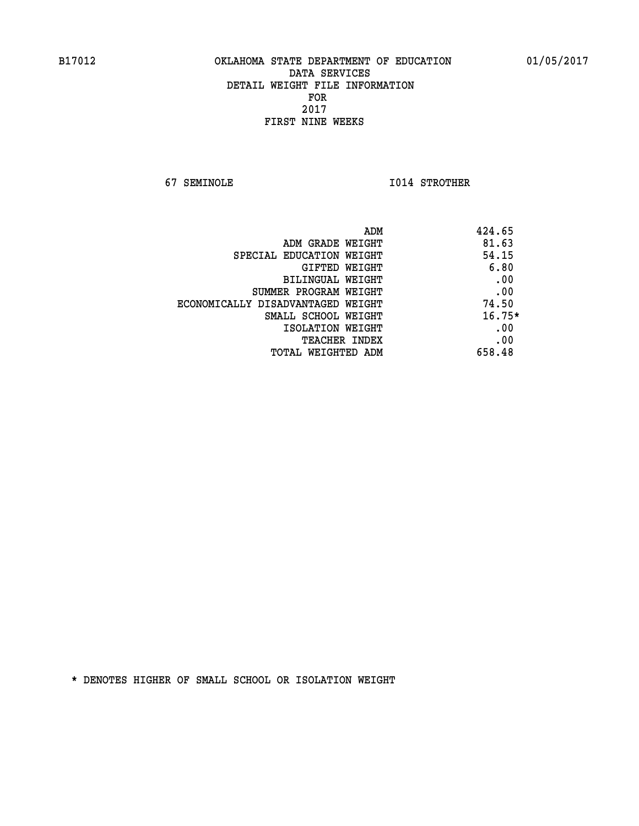**67 SEMINOLE I014 STROTHER** 

| ADM<br>424.65 |                                   |
|---------------|-----------------------------------|
| 81.63         | ADM GRADE WEIGHT                  |
| 54.15         | SPECIAL EDUCATION WEIGHT          |
| 6.80          | <b>GIFTED WEIGHT</b>              |
| .00           | BILINGUAL WEIGHT                  |
| .00           | SUMMER PROGRAM WEIGHT             |
| 74.50         | ECONOMICALLY DISADVANTAGED WEIGHT |
| $16.75*$      | SMALL SCHOOL WEIGHT               |
| .00           | ISOLATION WEIGHT                  |
| .00           | <b>TEACHER INDEX</b>              |
| 658.48        | TOTAL WEIGHTED ADM                |
|               |                                   |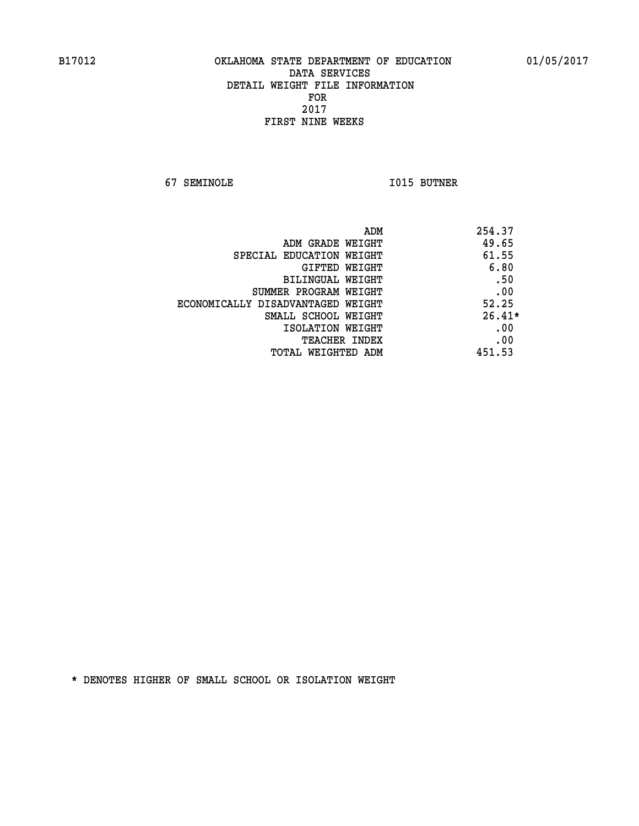**67 SEMINOLE I015 BUTNER** 

| ADM                               | 254.37   |
|-----------------------------------|----------|
| ADM GRADE WEIGHT                  | 49.65    |
| SPECIAL EDUCATION WEIGHT          | 61.55    |
| <b>GIFTED WEIGHT</b>              | 6.80     |
| BILINGUAL WEIGHT                  | .50      |
| SUMMER PROGRAM WEIGHT             | .00      |
| ECONOMICALLY DISADVANTAGED WEIGHT | 52.25    |
| SMALL SCHOOL WEIGHT               | $26.41*$ |
| ISOLATION WEIGHT                  | .00      |
| <b>TEACHER INDEX</b>              | .00      |
| TOTAL WEIGHTED ADM                | 451.53   |
|                                   |          |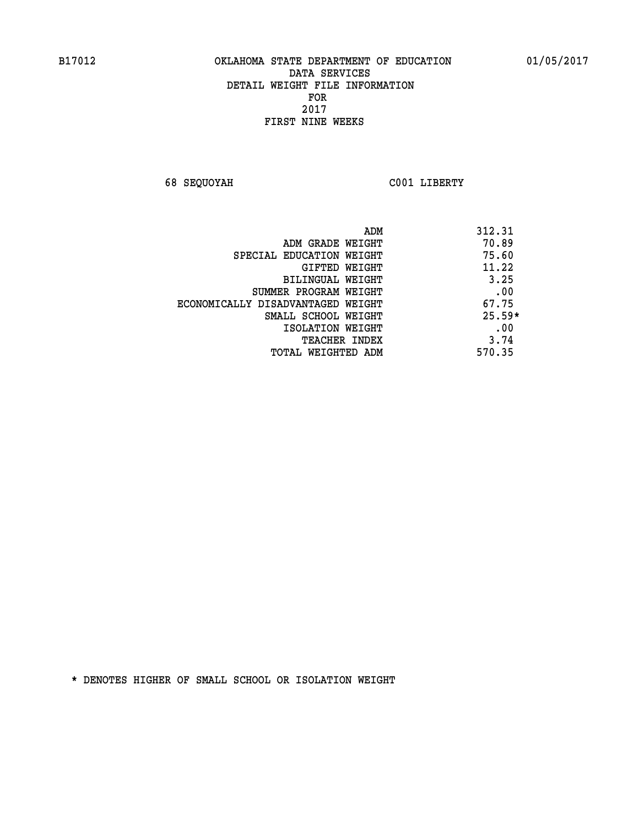**68 SEQUOYAH C001 LIBERTY** 

|                                   | 312.31<br>ADM |
|-----------------------------------|---------------|
| ADM GRADE WEIGHT                  | 70.89         |
| SPECIAL EDUCATION WEIGHT          | 75.60         |
| GIFTED WEIGHT                     | 11.22         |
| BILINGUAL WEIGHT                  | 3.25          |
| SUMMER PROGRAM WEIGHT             | .00           |
| ECONOMICALLY DISADVANTAGED WEIGHT | 67.75         |
| SMALL SCHOOL WEIGHT               | $25.59*$      |
| ISOLATION WEIGHT                  | .00           |
| <b>TEACHER INDEX</b>              | 3.74          |
| TOTAL WEIGHTED ADM                | 570.35        |
|                                   |               |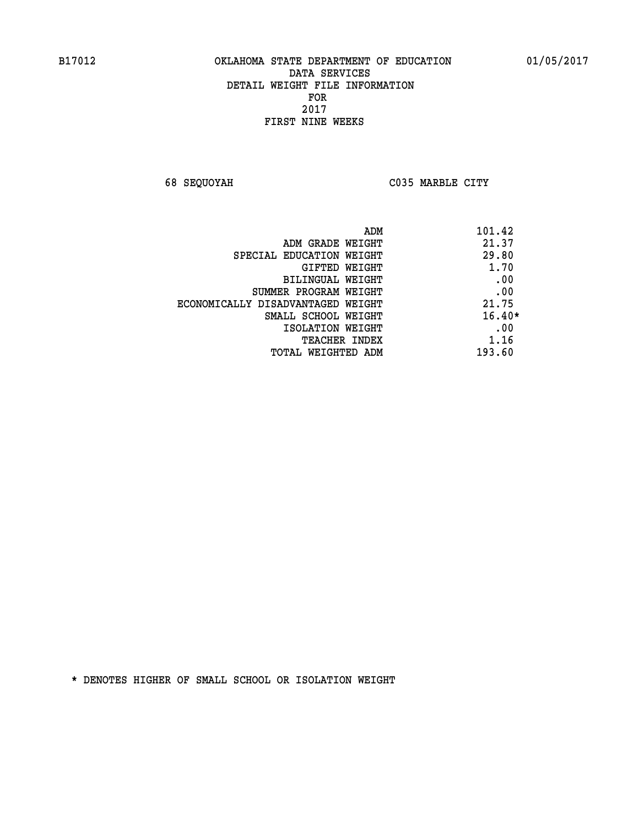**68 SEQUOYAH C035 MARBLE CITY** 

| 101.42<br>ADM                              |  |
|--------------------------------------------|--|
| 21.37<br>ADM GRADE WEIGHT                  |  |
| 29.80<br>SPECIAL EDUCATION WEIGHT          |  |
| 1.70<br>GIFTED WEIGHT                      |  |
| .00<br>BILINGUAL WEIGHT                    |  |
| .00<br>SUMMER PROGRAM WEIGHT               |  |
| 21.75<br>ECONOMICALLY DISADVANTAGED WEIGHT |  |
| $16.40*$<br>SMALL SCHOOL WEIGHT            |  |
| .00<br>ISOLATION WEIGHT                    |  |
| 1.16<br><b>TEACHER INDEX</b>               |  |
| 193.60<br>TOTAL WEIGHTED ADM               |  |
|                                            |  |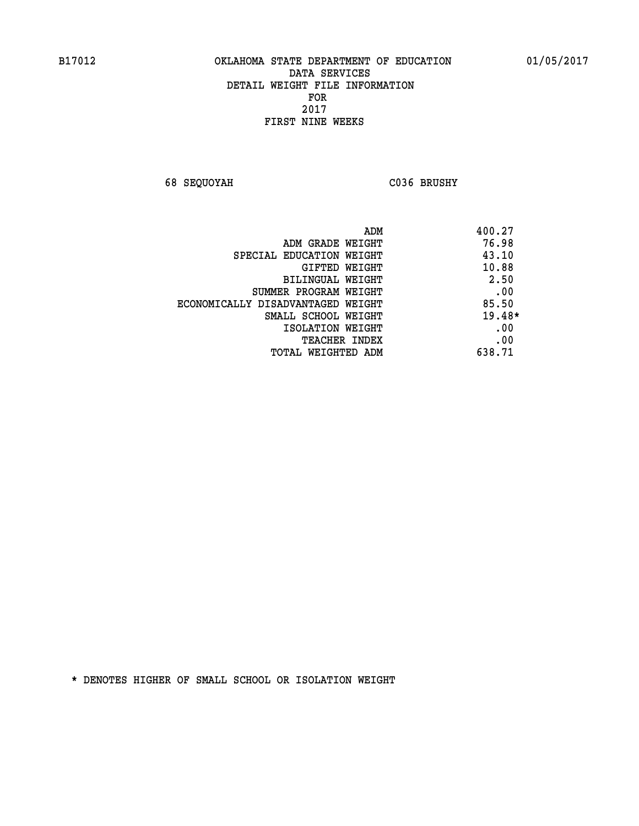**68 SEQUOYAH C036 BRUSHY** 

|                                   | 400.27<br>ADM |
|-----------------------------------|---------------|
| ADM GRADE WEIGHT                  | 76.98         |
| SPECIAL EDUCATION WEIGHT          | 43.10         |
| <b>GIFTED WEIGHT</b>              | 10.88         |
| BILINGUAL WEIGHT                  | 2.50          |
| SUMMER PROGRAM WEIGHT             | .00           |
| ECONOMICALLY DISADVANTAGED WEIGHT | 85.50         |
| SMALL SCHOOL WEIGHT               | $19.48*$      |
| ISOLATION WEIGHT                  | .00           |
| <b>TEACHER INDEX</b>              | .00           |
| TOTAL WEIGHTED ADM                | 638.71        |
|                                   |               |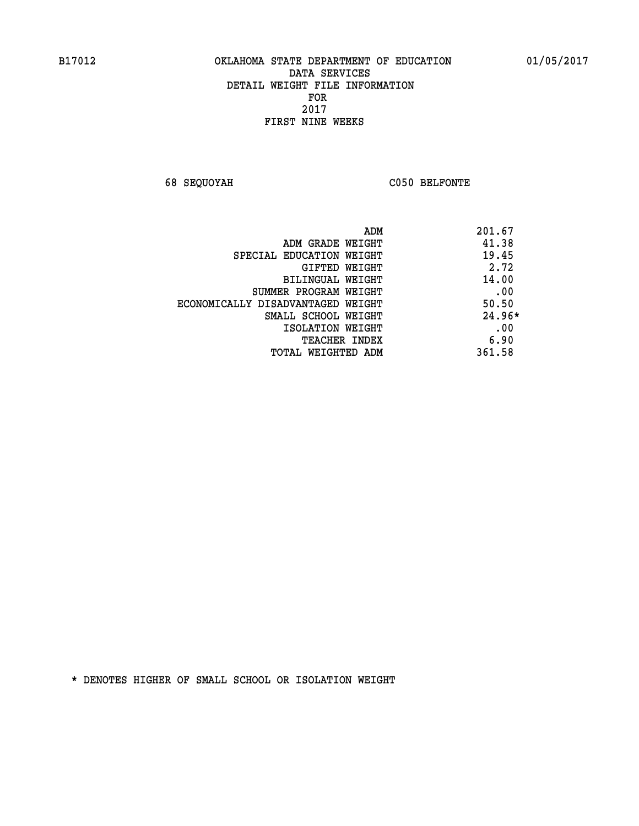**68 SEQUOYAH C050 BELFONTE** 

| ADM                               | 201.67   |
|-----------------------------------|----------|
| ADM GRADE WEIGHT                  | 41.38    |
| SPECIAL EDUCATION WEIGHT          | 19.45    |
| GIFTED WEIGHT                     | 2.72     |
| BILINGUAL WEIGHT                  | 14.00    |
| SUMMER PROGRAM WEIGHT             | .00      |
| ECONOMICALLY DISADVANTAGED WEIGHT | 50.50    |
| SMALL SCHOOL WEIGHT               | $24.96*$ |
| ISOLATION WEIGHT                  | .00      |
| <b>TEACHER INDEX</b>              | 6.90     |
| TOTAL WEIGHTED ADM                | 361.58   |
|                                   |          |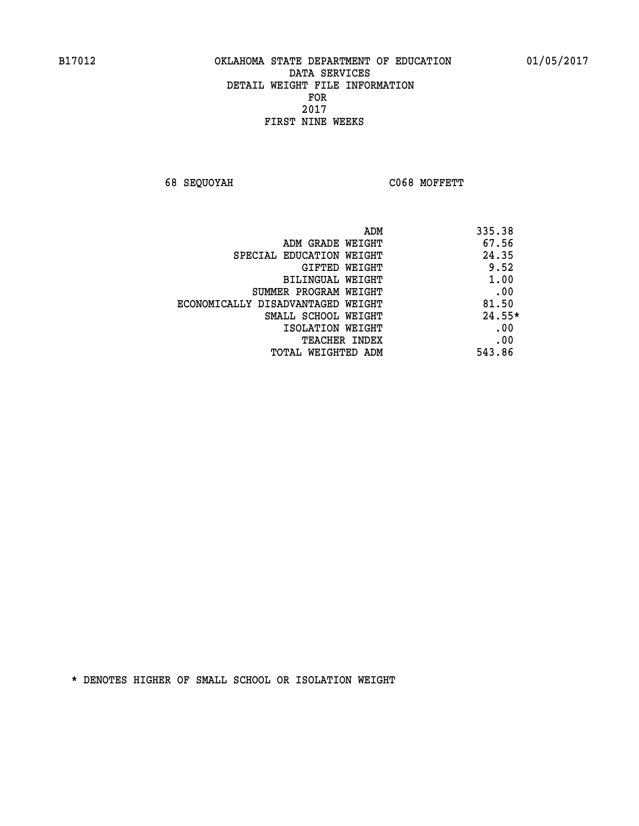**68 SEQUOYAH C068 MOFFETT** 

|                                   | 335.38<br>ADM |
|-----------------------------------|---------------|
| ADM GRADE WEIGHT                  | 67.56         |
| SPECIAL EDUCATION WEIGHT          | 24.35         |
| <b>GIFTED WEIGHT</b>              | 9.52          |
| BILINGUAL WEIGHT                  | 1.00          |
| SUMMER PROGRAM WEIGHT             | .00           |
| ECONOMICALLY DISADVANTAGED WEIGHT | 81.50         |
| SMALL SCHOOL WEIGHT               | $24.55*$      |
| ISOLATION WEIGHT                  | .00           |
| <b>TEACHER INDEX</b>              | .00           |
| TOTAL WEIGHTED ADM                | 543.86        |
|                                   |               |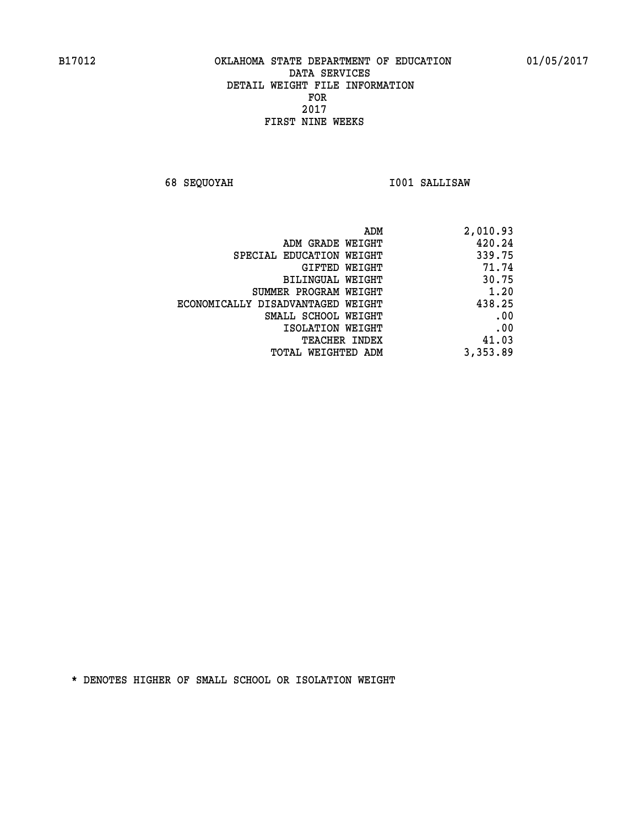**68 SEQUOYAH I001 SALLISAW** 

| ADM                               | 2,010.93 |
|-----------------------------------|----------|
| ADM GRADE WEIGHT                  | 420.24   |
| SPECIAL EDUCATION WEIGHT          | 339.75   |
| GIFTED WEIGHT                     | 71.74    |
| BILINGUAL WEIGHT                  | 30.75    |
| SUMMER PROGRAM WEIGHT             | 1.20     |
| ECONOMICALLY DISADVANTAGED WEIGHT | 438.25   |
| SMALL SCHOOL WEIGHT               | .00      |
| ISOLATION WEIGHT                  | .00      |
| <b>TEACHER INDEX</b>              | 41.03    |
| TOTAL WEIGHTED ADM                | 3,353.89 |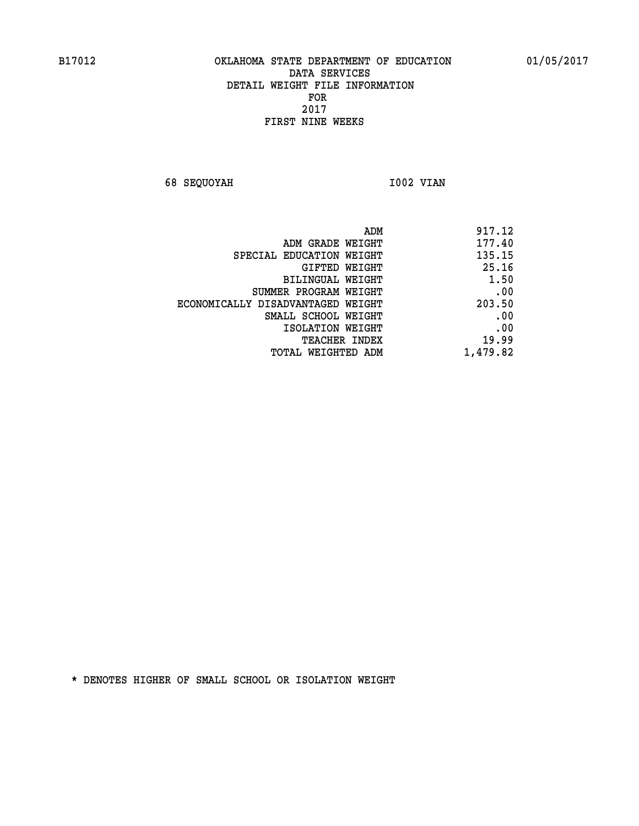**68 SEQUOYAH 1002 VIAN** 

| 917.12   |
|----------|
| 177.40   |
| 135.15   |
| 25.16    |
| 1.50     |
| .00      |
| 203.50   |
| .00      |
| .00      |
| 19.99    |
| 1,479.82 |
|          |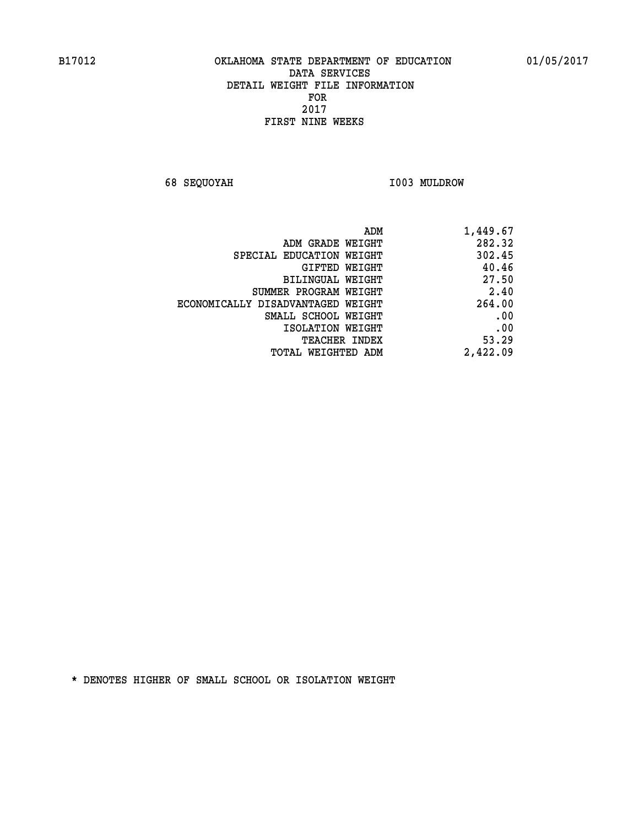**68 SEQUOYAH I003 MULDROW** 

| 1,449.67 |
|----------|
| 282.32   |
| 302.45   |
| 40.46    |
| 27.50    |
| 2.40     |
| 264.00   |
| .00      |
| .00      |
| 53.29    |
| 2,422.09 |
|          |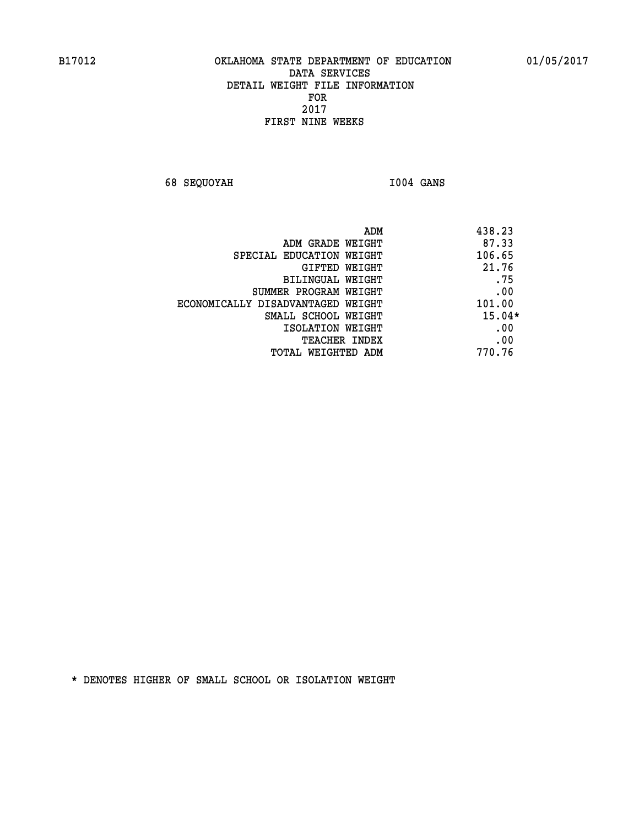**68 SEQUOYAH I004 GANS** 

|                                   | 438.23<br>ADM |
|-----------------------------------|---------------|
| ADM GRADE WEIGHT                  | 87.33         |
| SPECIAL EDUCATION WEIGHT          | 106.65        |
| GIFTED WEIGHT                     | 21.76         |
| BILINGUAL WEIGHT                  | .75           |
| SUMMER PROGRAM WEIGHT             | .00           |
| ECONOMICALLY DISADVANTAGED WEIGHT | 101.00        |
| SMALL SCHOOL WEIGHT               | $15.04*$      |
| ISOLATION WEIGHT                  | .00           |
| <b>TEACHER INDEX</b>              | .00           |
| TOTAL WEIGHTED ADM                | 770.76        |
|                                   |               |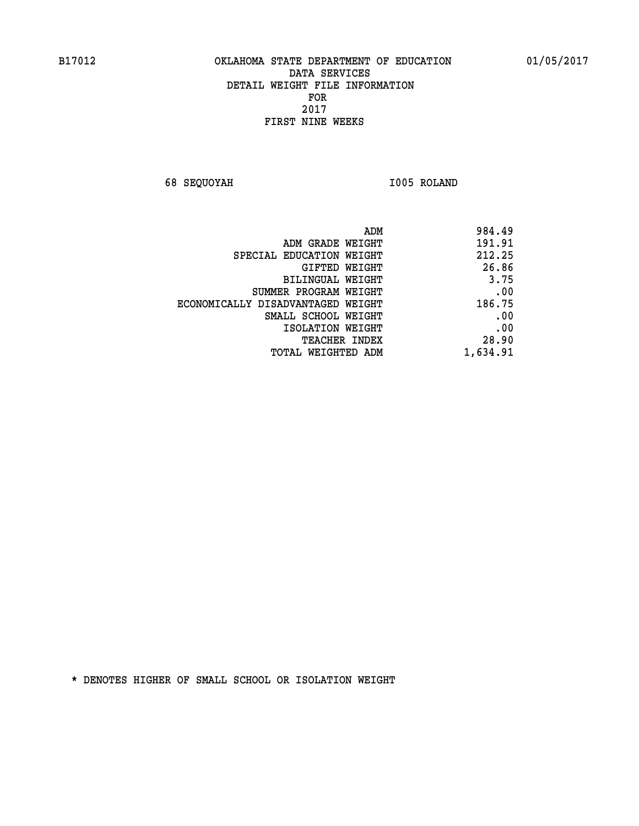**68 SEQUOYAH I005 ROLAND** 

| 984.49   |
|----------|
| 191.91   |
| 212.25   |
| 26.86    |
| 3.75     |
| .00      |
| 186.75   |
| .00      |
| .00      |
| 28.90    |
| 1,634.91 |
|          |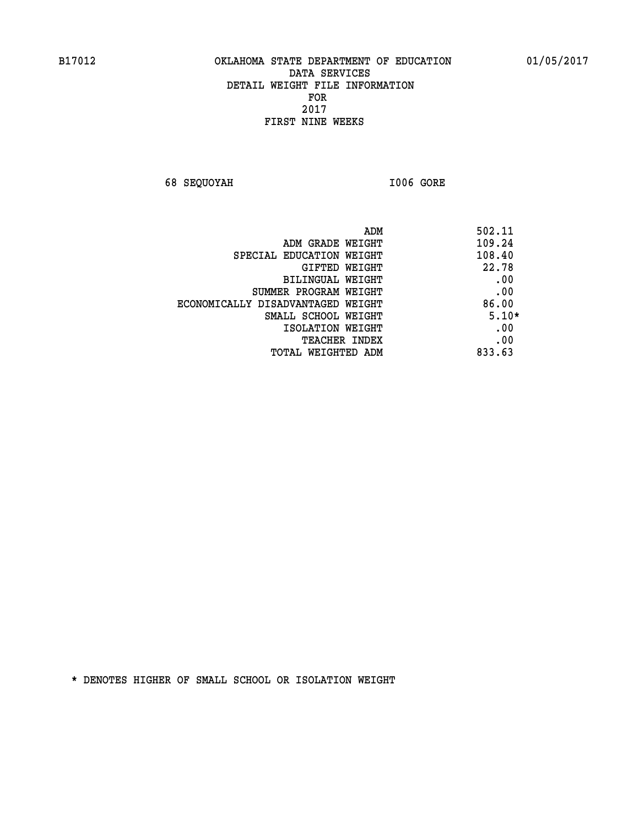**68 SEQUOYAH I006 GORE** 

|                                   | ADM<br>502.11 |
|-----------------------------------|---------------|
| ADM GRADE WEIGHT                  | 109.24        |
| SPECIAL EDUCATION WEIGHT          | 108.40        |
| GIFTED WEIGHT                     | 22.78         |
| BILINGUAL WEIGHT                  | .00           |
| SUMMER PROGRAM WEIGHT             | .00           |
| ECONOMICALLY DISADVANTAGED WEIGHT | 86.00         |
| SMALL SCHOOL WEIGHT               | $5.10*$       |
| ISOLATION WEIGHT                  | .00           |
| <b>TEACHER INDEX</b>              | .00           |
| TOTAL WEIGHTED ADM                | 833.63        |
|                                   |               |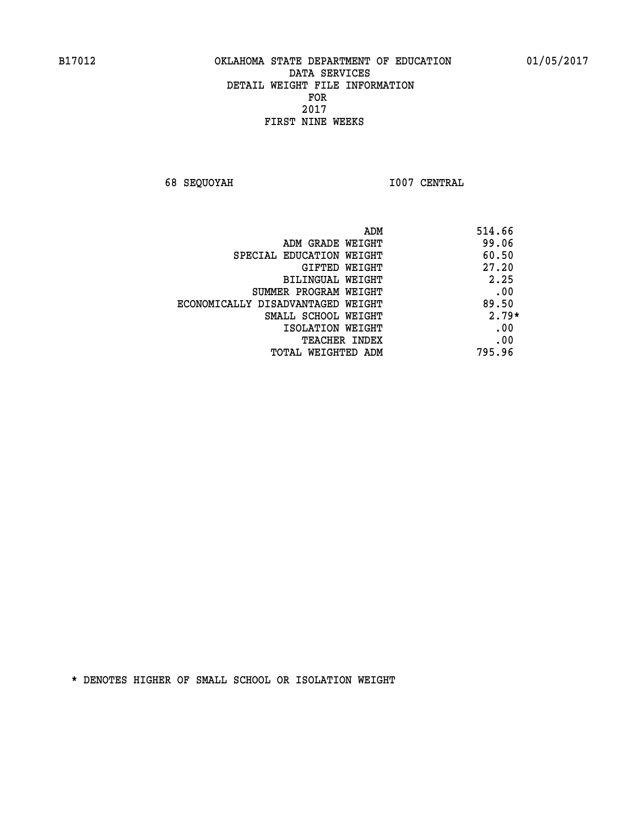**68 SEQUOYAH I007 CENTRAL** 

|                                   | 514.66<br>ADM |
|-----------------------------------|---------------|
| ADM GRADE WEIGHT                  | 99.06         |
| SPECIAL EDUCATION WEIGHT          | 60.50         |
| GIFTED WEIGHT                     | 27.20         |
| BILINGUAL WEIGHT                  | 2.25          |
| SUMMER PROGRAM WEIGHT             | .00           |
| ECONOMICALLY DISADVANTAGED WEIGHT | 89.50         |
| SMALL SCHOOL WEIGHT               | $2.79*$       |
| ISOLATION WEIGHT                  | .00           |
| <b>TEACHER INDEX</b>              | .00           |
| TOTAL WEIGHTED ADM                | 795.96        |
|                                   |               |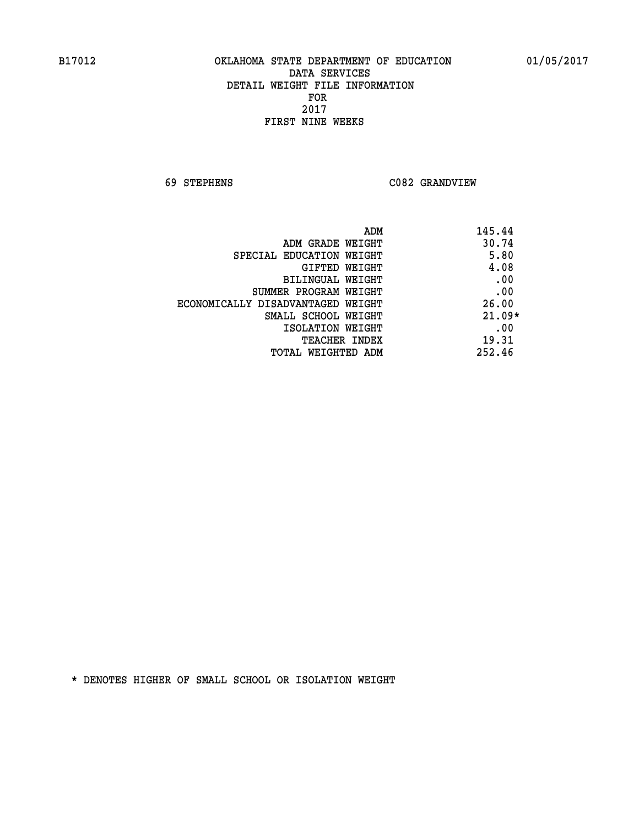**69 STEPHENS C082 GRANDVIEW** 

|                                   | 145.44<br>ADM |
|-----------------------------------|---------------|
| ADM GRADE WEIGHT                  | 30.74         |
| SPECIAL EDUCATION WEIGHT          | 5.80          |
| <b>GIFTED WEIGHT</b>              | 4.08          |
| BILINGUAL WEIGHT                  | .00           |
| SUMMER PROGRAM WEIGHT             | .00           |
| ECONOMICALLY DISADVANTAGED WEIGHT | 26.00         |
| SMALL SCHOOL WEIGHT               | $21.09*$      |
| ISOLATION WEIGHT                  | .00           |
| <b>TEACHER INDEX</b>              | 19.31         |
| TOTAL WEIGHTED ADM                | 252.46        |
|                                   |               |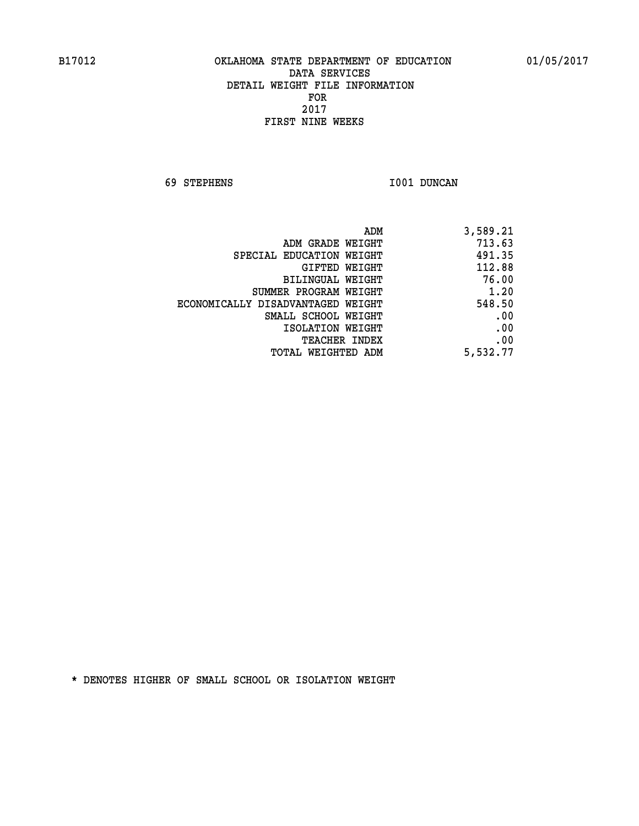**69 STEPHENS I001 DUNCAN** 

| 3,589.21 |
|----------|
| 713.63   |
| 491.35   |
| 112.88   |
| 76.00    |
| 1.20     |
| 548.50   |
| .00      |
| .00      |
| .00      |
| 5,532.77 |
|          |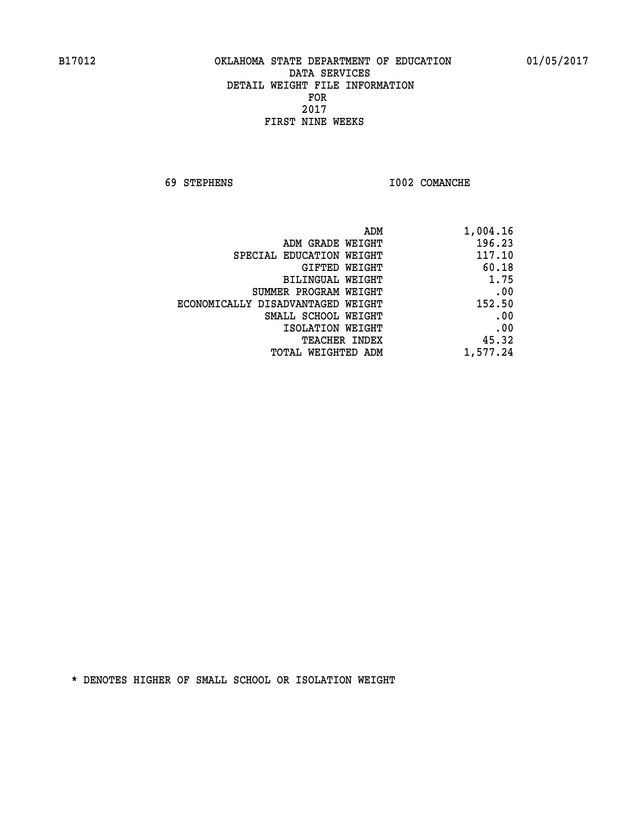**69 STEPHENS I002 COMANCHE** 

| 1,004.16 |
|----------|
| 196.23   |
| 117.10   |
| 60.18    |
| 1.75     |
| .00      |
| 152.50   |
| .00      |
| .00      |
| 45.32    |
| 1,577.24 |
|          |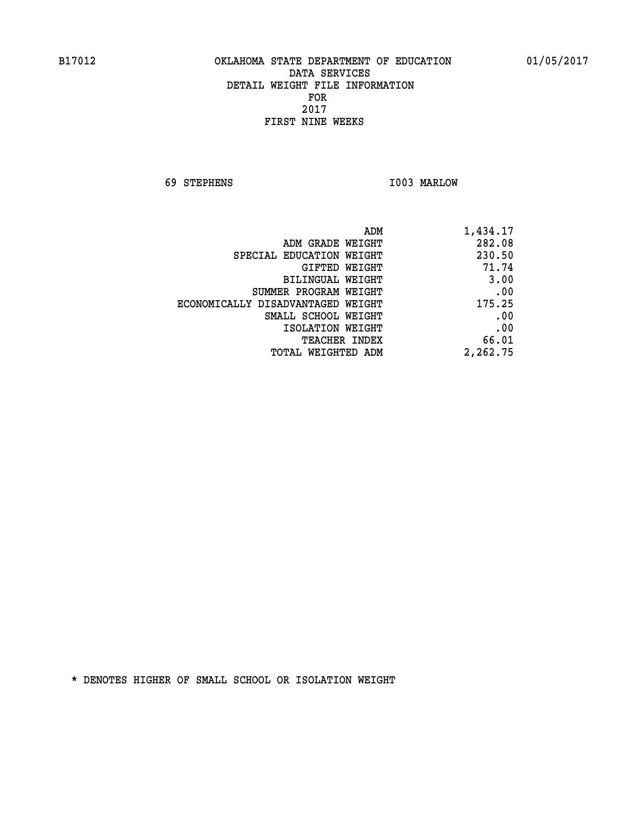**69 STEPHENS I003 MARLOW** 

| 1,434.17 |
|----------|
| 282.08   |
| 230.50   |
| 71.74    |
| 3.00     |
| .00      |
| 175.25   |
| .00      |
| .00      |
| 66.01    |
| 2,262.75 |
|          |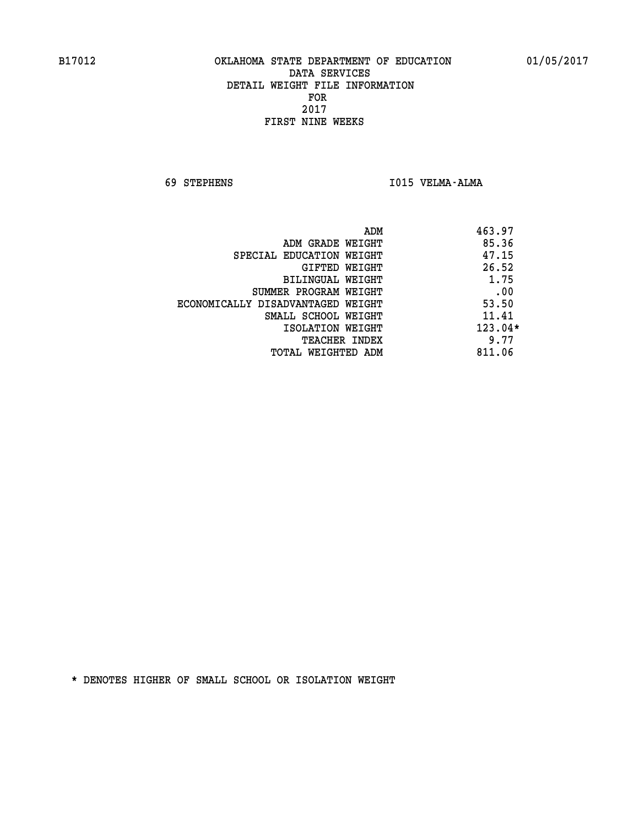**69 STEPHENS I015 VELMA-ALMA** 

| ADM                               | 463.97  |
|-----------------------------------|---------|
| ADM GRADE WEIGHT                  | 85.36   |
| SPECIAL EDUCATION WEIGHT          | 47.15   |
| GIFTED WEIGHT                     | 26.52   |
| BILINGUAL WEIGHT                  | 1.75    |
| SUMMER PROGRAM WEIGHT             | .00     |
| ECONOMICALLY DISADVANTAGED WEIGHT | 53.50   |
| SMALL SCHOOL WEIGHT               | 11.41   |
| ISOLATION WEIGHT                  | 123.04* |
| <b>TEACHER INDEX</b>              | 9.77    |
| TOTAL WEIGHTED ADM                | 811.06  |
|                                   |         |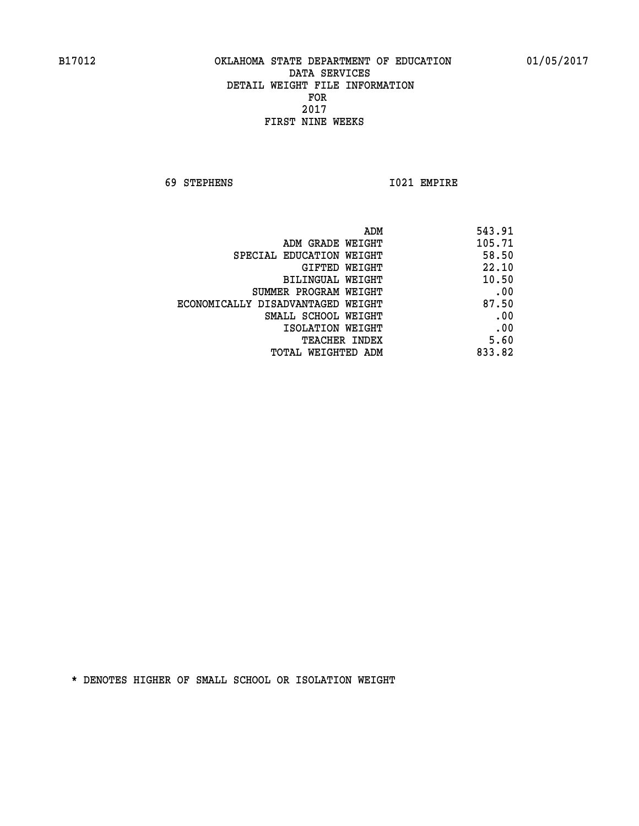**69 STEPHENS I021 EMPIRE** 

|                                   | ADM<br>543.91 |
|-----------------------------------|---------------|
| ADM GRADE WEIGHT                  | 105.71        |
| SPECIAL EDUCATION WEIGHT          | 58.50         |
| GIFTED WEIGHT                     | 22.10         |
| <b>BILINGUAL WEIGHT</b>           | 10.50         |
| SUMMER PROGRAM WEIGHT             | .00           |
| ECONOMICALLY DISADVANTAGED WEIGHT | 87.50         |
| SMALL SCHOOL WEIGHT               | .00           |
| ISOLATION WEIGHT                  | .00           |
| <b>TEACHER INDEX</b>              | 5.60          |
| TOTAL WEIGHTED ADM                | 833.82        |
|                                   |               |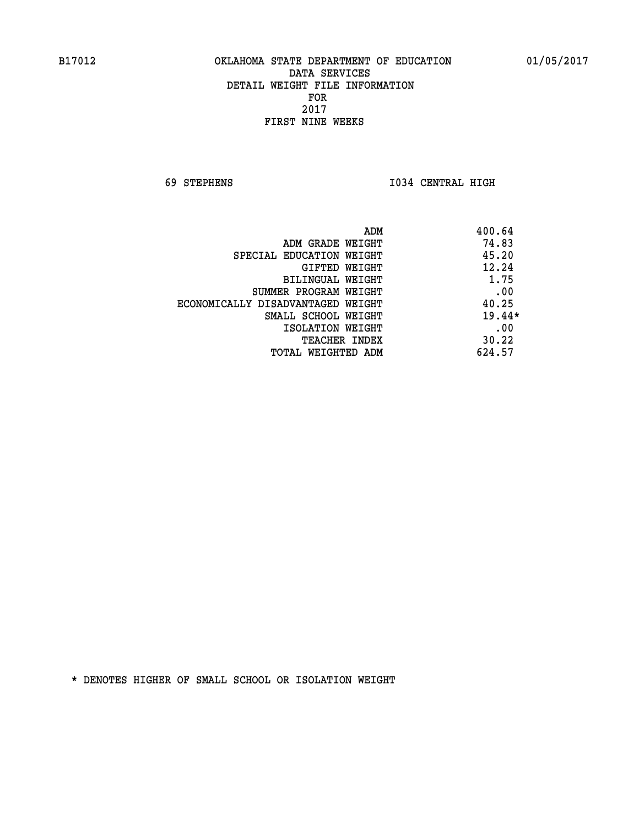**69 STEPHENS I034 CENTRAL HIGH** 

| ADM                               | 400.64   |
|-----------------------------------|----------|
| ADM GRADE WEIGHT                  | 74.83    |
| SPECIAL EDUCATION WEIGHT          | 45.20    |
| GIFTED WEIGHT                     | 12.24    |
| BILINGUAL WEIGHT                  | 1.75     |
| SUMMER PROGRAM WEIGHT             | .00      |
| ECONOMICALLY DISADVANTAGED WEIGHT | 40.25    |
| SMALL SCHOOL WEIGHT               | $19.44*$ |
| ISOLATION WEIGHT                  | .00      |
| <b>TEACHER INDEX</b>              | 30.22    |
| TOTAL WEIGHTED ADM                | 624.57   |
|                                   |          |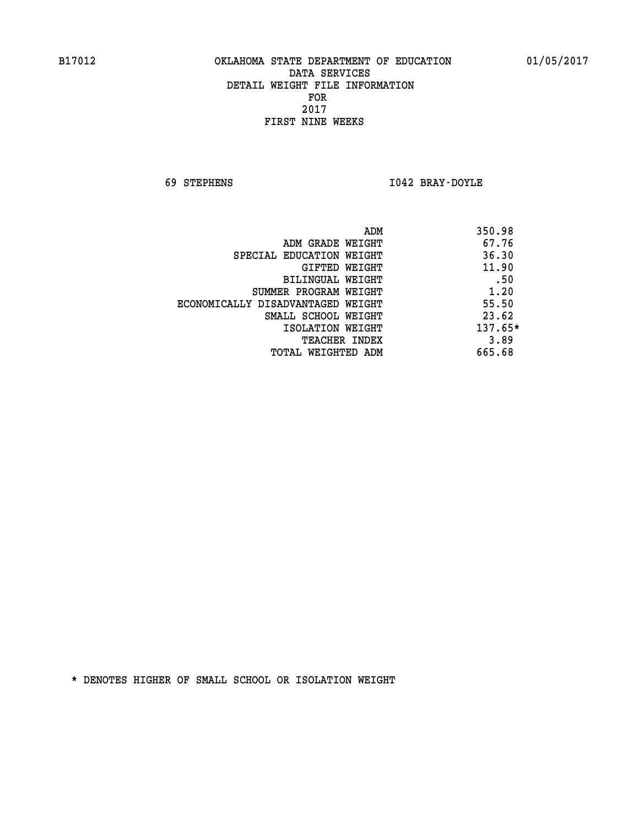**69 STEPHENS I042 BRAY-DOYLE** 

| ADM                               | 350.98    |
|-----------------------------------|-----------|
| ADM GRADE WEIGHT                  | 67.76     |
| SPECIAL EDUCATION WEIGHT          | 36.30     |
| GIFTED WEIGHT                     | 11.90     |
| BILINGUAL WEIGHT                  | .50       |
| SUMMER PROGRAM WEIGHT             | 1.20      |
| ECONOMICALLY DISADVANTAGED WEIGHT | 55.50     |
| SMALL SCHOOL WEIGHT               | 23.62     |
| ISOLATION WEIGHT                  | $137.65*$ |
| <b>TEACHER INDEX</b>              | 3.89      |
| TOTAL WEIGHTED ADM                | 665.68    |
|                                   |           |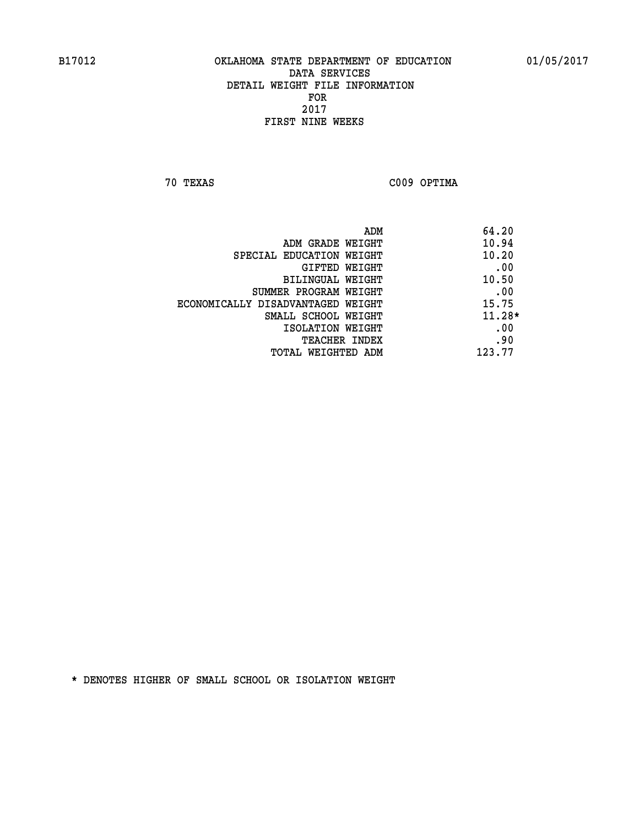**70 TEXAS C009 OPTIMA** 

|                                   | ADM | 64.20    |
|-----------------------------------|-----|----------|
| ADM GRADE WEIGHT                  |     | 10.94    |
| SPECIAL EDUCATION WEIGHT          |     | 10.20    |
| GIFTED WEIGHT                     |     | .00      |
| BILINGUAL WEIGHT                  |     | 10.50    |
| SUMMER PROGRAM WEIGHT             |     | .00      |
| ECONOMICALLY DISADVANTAGED WEIGHT |     | 15.75    |
| SMALL SCHOOL WEIGHT               |     | $11.28*$ |
| ISOLATION WEIGHT                  |     | .00      |
| <b>TEACHER INDEX</b>              |     | .90      |
| TOTAL WEIGHTED ADM                |     | 123.77   |
|                                   |     |          |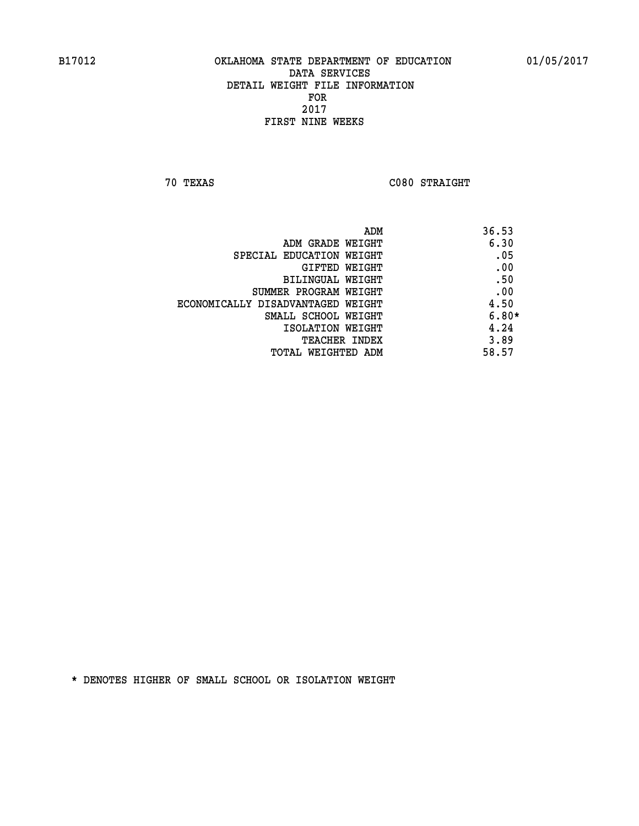**70 TEXAS C080 STRAIGHT** 

| ADM                               | 36.53   |
|-----------------------------------|---------|
| ADM GRADE WEIGHT                  | 6.30    |
| SPECIAL EDUCATION WEIGHT          | .05     |
| GIFTED WEIGHT                     | .00     |
| BILINGUAL WEIGHT                  | .50     |
| SUMMER PROGRAM WEIGHT             | .00     |
| ECONOMICALLY DISADVANTAGED WEIGHT | 4.50    |
| SMALL SCHOOL WEIGHT               | $6.80*$ |
| ISOLATION WEIGHT                  | 4.24    |
| <b>TEACHER INDEX</b>              | 3.89    |
| TOTAL WEIGHTED ADM                | 58.57   |
|                                   |         |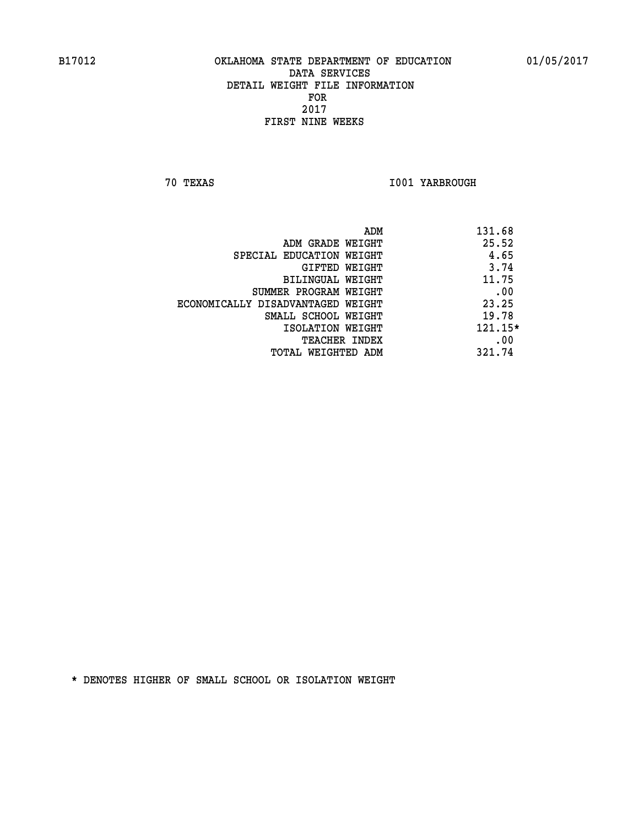**70 TEXAS I001 YARBROUGH** 

|                                   | ADM | 131.68  |
|-----------------------------------|-----|---------|
| ADM GRADE WEIGHT                  |     | 25.52   |
| SPECIAL EDUCATION WEIGHT          |     | 4.65    |
| GIFTED WEIGHT                     |     | 3.74    |
| BILINGUAL WEIGHT                  |     | 11.75   |
| SUMMER PROGRAM WEIGHT             |     | .00     |
| ECONOMICALLY DISADVANTAGED WEIGHT |     | 23.25   |
| SMALL SCHOOL WEIGHT               |     | 19.78   |
| ISOLATION WEIGHT                  |     | 121.15* |
| <b>TEACHER INDEX</b>              |     | .00     |
| TOTAL WEIGHTED ADM                |     | 321.74  |
|                                   |     |         |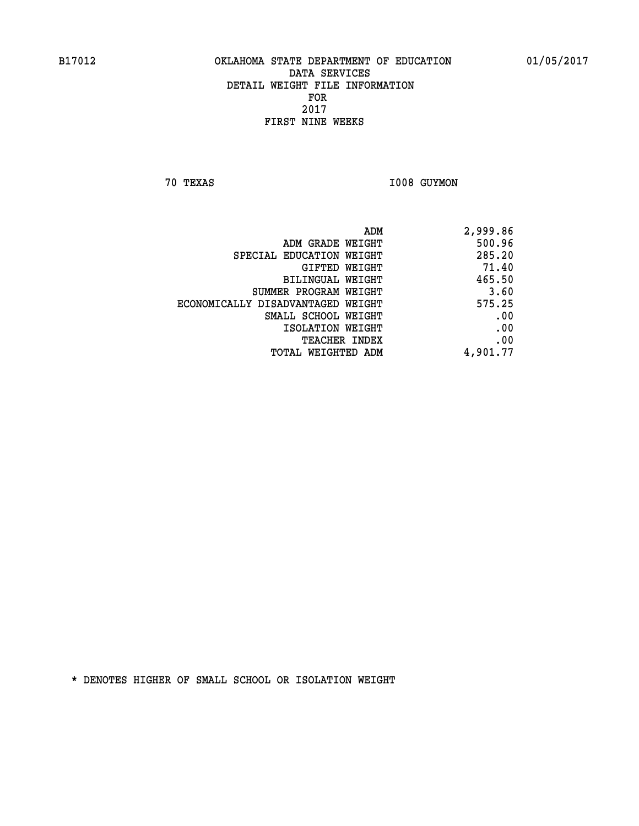**70 TEXAS 1008 GUYMON** 

| ADM                               | 2,999.86 |
|-----------------------------------|----------|
| ADM GRADE WEIGHT                  | 500.96   |
| SPECIAL EDUCATION WEIGHT          | 285.20   |
| GIFTED WEIGHT                     | 71.40    |
| BILINGUAL WEIGHT                  | 465.50   |
| SUMMER PROGRAM WEIGHT             | 3.60     |
| ECONOMICALLY DISADVANTAGED WEIGHT | 575.25   |
| SMALL SCHOOL WEIGHT               | .00      |
| ISOLATION WEIGHT                  | .00      |
| TEACHER INDEX                     | .00      |
| TOTAL WEIGHTED ADM                | 4,901.77 |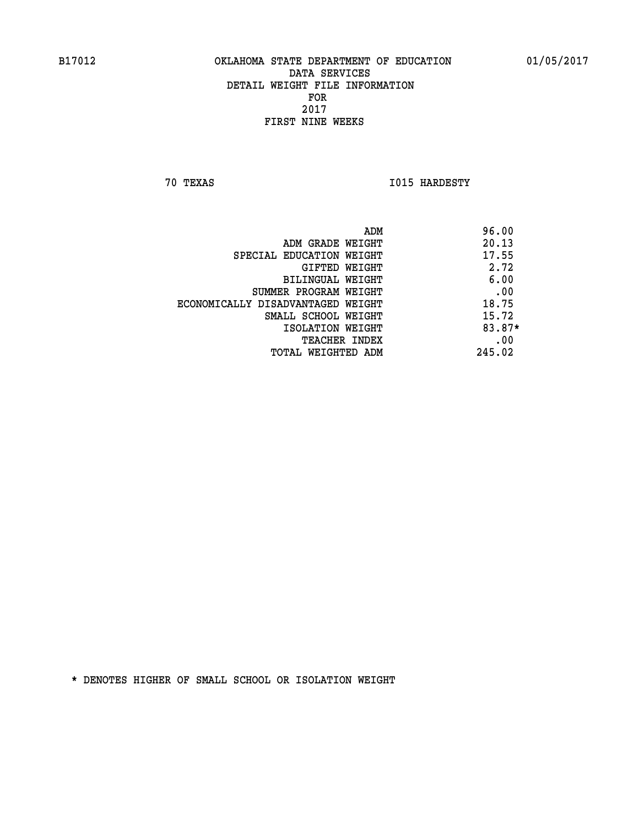**70 TEXAS I015 HARDESTY** 

|                                   | ADM | 96.00  |
|-----------------------------------|-----|--------|
| ADM GRADE WEIGHT                  |     | 20.13  |
| SPECIAL EDUCATION WEIGHT          |     | 17.55  |
| GIFTED WEIGHT                     |     | 2.72   |
| BILINGUAL WEIGHT                  |     | 6.00   |
| SUMMER PROGRAM WEIGHT             |     | .00    |
| ECONOMICALLY DISADVANTAGED WEIGHT |     | 18.75  |
| SMALL SCHOOL WEIGHT               |     | 15.72  |
| ISOLATION WEIGHT                  |     | 83.87* |
| <b>TEACHER INDEX</b>              |     | .00    |
| TOTAL WEIGHTED ADM                |     | 245.02 |
|                                   |     |        |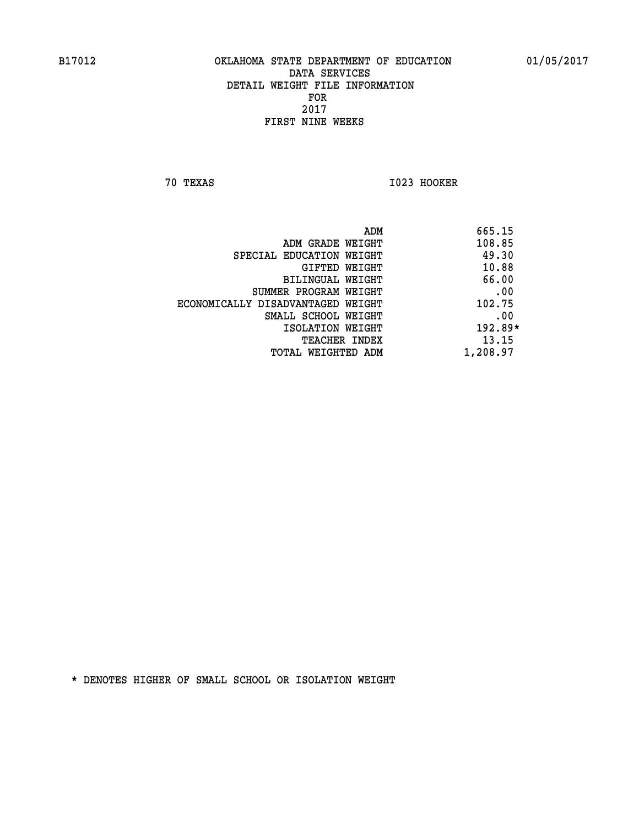**70 TEXAS I023 HOOKER** 

|                                   | 665.15<br>ADM |
|-----------------------------------|---------------|
| ADM GRADE WEIGHT                  | 108.85        |
| SPECIAL EDUCATION WEIGHT          | 49.30         |
| GIFTED WEIGHT                     | 10.88         |
| BILINGUAL WEIGHT                  | 66.00         |
| SUMMER PROGRAM WEIGHT             | .00           |
| ECONOMICALLY DISADVANTAGED WEIGHT | 102.75        |
| SMALL SCHOOL WEIGHT               | .00           |
| ISOLATION WEIGHT                  | 192.89*       |
| <b>TEACHER INDEX</b>              | 13.15         |
| TOTAL WEIGHTED ADM                | 1,208.97      |
|                                   |               |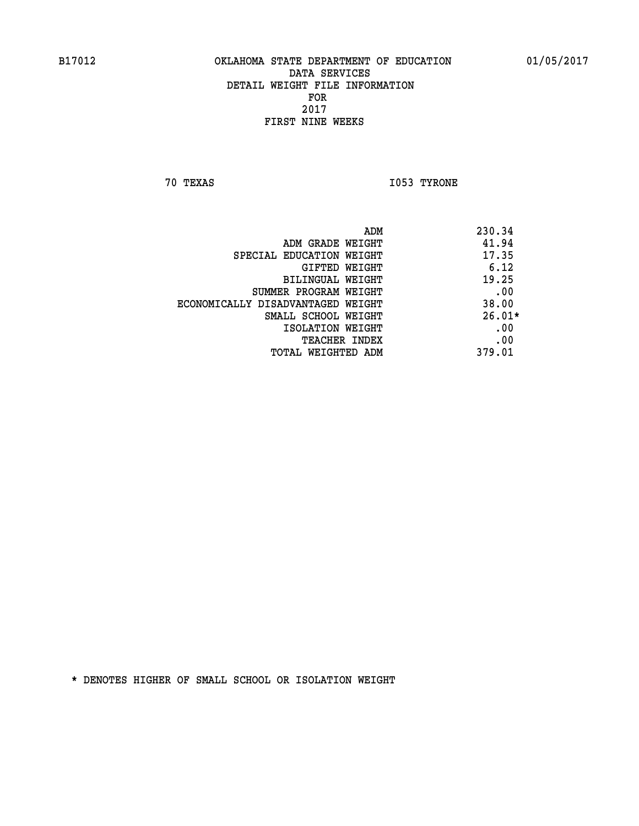**70 TEXAS I053 TYRONE** 

|                                   | 230.34<br>ADM |
|-----------------------------------|---------------|
| ADM GRADE WEIGHT                  | 41.94         |
| SPECIAL EDUCATION WEIGHT          | 17.35         |
| GIFTED WEIGHT                     | 6.12          |
| BILINGUAL WEIGHT                  | 19.25         |
| SUMMER PROGRAM WEIGHT             | .00           |
| ECONOMICALLY DISADVANTAGED WEIGHT | 38.00         |
| SMALL SCHOOL WEIGHT               | $26.01*$      |
| ISOLATION WEIGHT                  | .00           |
| <b>TEACHER INDEX</b>              | .00           |
| TOTAL WEIGHTED ADM                | 379.01        |
|                                   |               |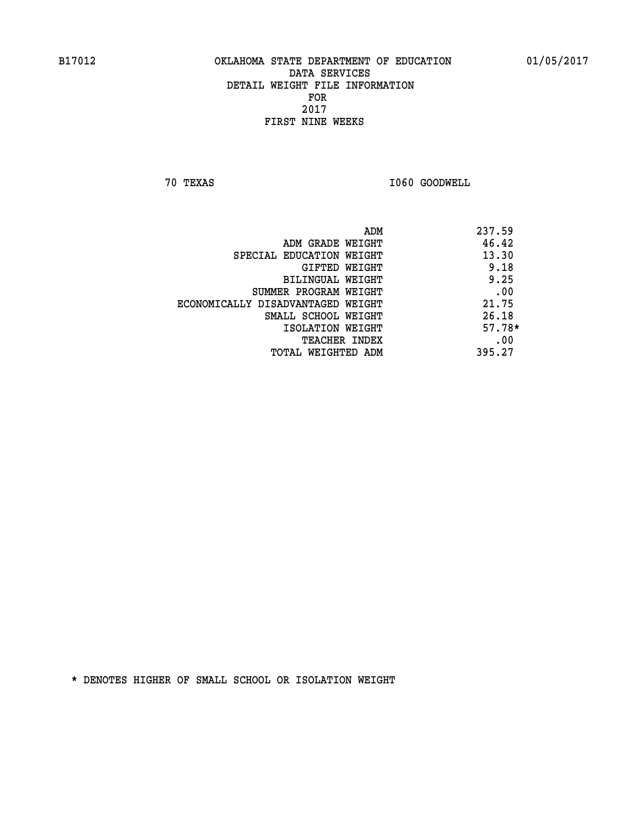**70 TEXAS I060 GOODWELL** 

|                                   | 237.59<br>ADM |
|-----------------------------------|---------------|
| ADM GRADE WEIGHT                  | 46.42         |
| SPECIAL EDUCATION WEIGHT          | 13.30         |
| GIFTED WEIGHT                     | 9.18          |
| BILINGUAL WEIGHT                  | 9.25          |
| SUMMER PROGRAM WEIGHT             | .00           |
| ECONOMICALLY DISADVANTAGED WEIGHT | 21.75         |
| SMALL SCHOOL WEIGHT               | 26.18         |
| ISOLATION WEIGHT                  | $57.78*$      |
| <b>TEACHER INDEX</b>              | .00           |
| TOTAL WEIGHTED ADM                | 395.27        |
|                                   |               |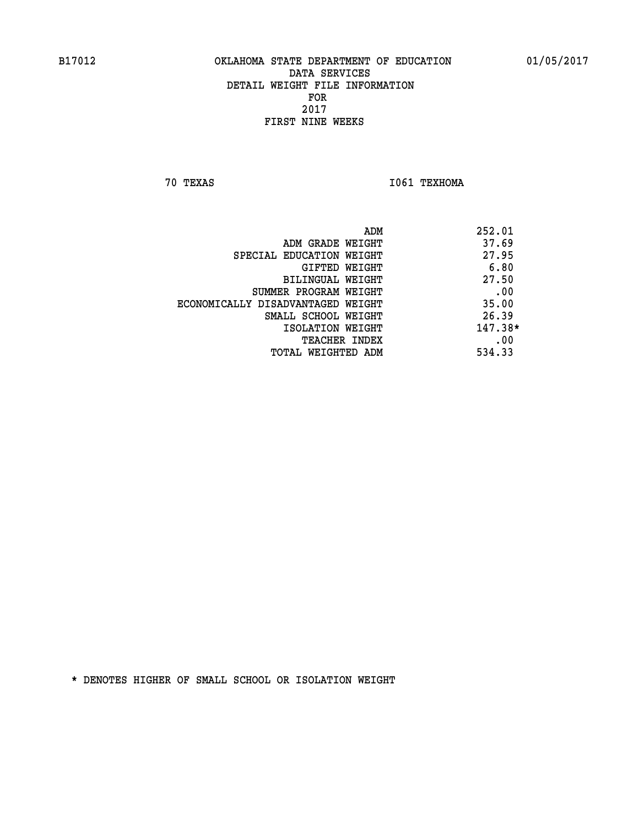**70 TEXAS I061 TEXHOMA** 

| ADM                               | 252.01    |
|-----------------------------------|-----------|
| ADM GRADE WEIGHT                  | 37.69     |
| SPECIAL EDUCATION WEIGHT          | 27.95     |
| GIFTED WEIGHT                     | 6.80      |
| BILINGUAL WEIGHT                  | 27.50     |
| SUMMER PROGRAM WEIGHT             | .00       |
| ECONOMICALLY DISADVANTAGED WEIGHT | 35.00     |
| SMALL SCHOOL WEIGHT               | 26.39     |
| ISOLATION WEIGHT                  | $147.38*$ |
| <b>TEACHER INDEX</b>              | .00       |
| TOTAL WEIGHTED ADM                | 534.33    |
|                                   |           |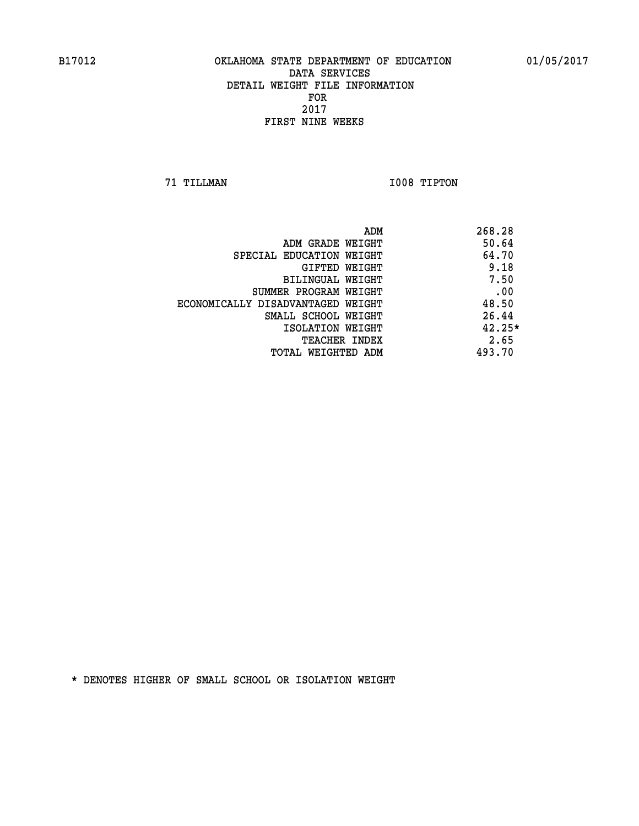**71 TILLMAN I008 TIPTON** 

|                                   | ADM<br>268.28 |          |
|-----------------------------------|---------------|----------|
| ADM GRADE WEIGHT                  |               | 50.64    |
| SPECIAL EDUCATION WEIGHT          |               | 64.70    |
| GIFTED WEIGHT                     |               | 9.18     |
| BILINGUAL WEIGHT                  |               | 7.50     |
| SUMMER PROGRAM WEIGHT             |               | .00      |
| ECONOMICALLY DISADVANTAGED WEIGHT |               | 48.50    |
| SMALL SCHOOL WEIGHT               |               | 26.44    |
| ISOLATION WEIGHT                  |               | $42.25*$ |
| <b>TEACHER INDEX</b>              |               | 2.65     |
| TOTAL WEIGHTED ADM                | 493.70        |          |
|                                   |               |          |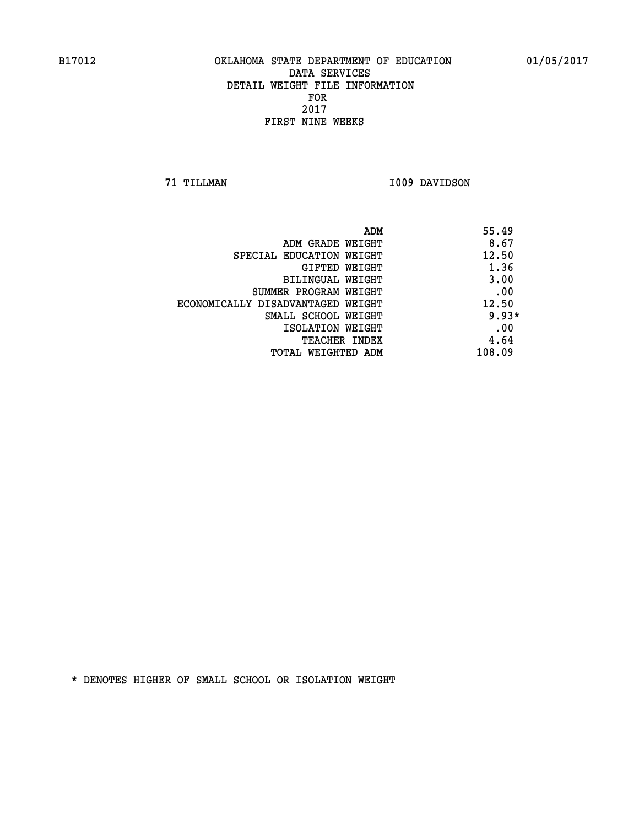**71 TILLMAN I009 DAVIDSON** 

| ADM                               | 55.49   |
|-----------------------------------|---------|
| ADM GRADE WEIGHT                  | 8.67    |
| SPECIAL EDUCATION WEIGHT          | 12.50   |
| <b>GIFTED WEIGHT</b>              | 1.36    |
| BILINGUAL WEIGHT                  | 3.00    |
| SUMMER PROGRAM WEIGHT             | .00     |
| ECONOMICALLY DISADVANTAGED WEIGHT | 12.50   |
| SMALL SCHOOL WEIGHT               | $9.93*$ |
| ISOLATION WEIGHT                  | .00     |
| <b>TEACHER INDEX</b>              | 4.64    |
| TOTAL WEIGHTED ADM                | 108.09  |
|                                   |         |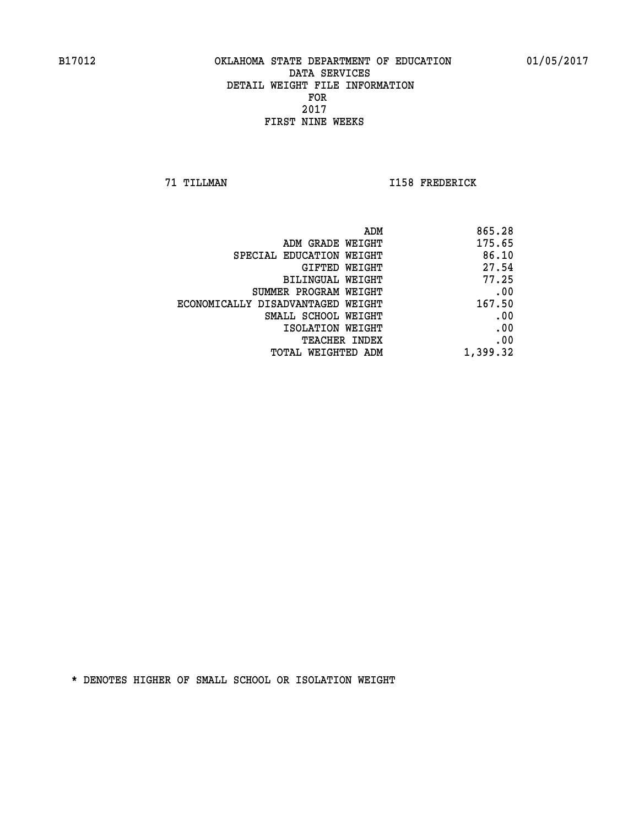**71 TILLMAN I158 FREDERICK** 

|                                   | ADM<br>865.28 |
|-----------------------------------|---------------|
| ADM GRADE WEIGHT                  | 175.65        |
| SPECIAL EDUCATION WEIGHT          | 86.10         |
| GIFTED WEIGHT                     | 27.54         |
| <b>BILINGUAL WEIGHT</b>           | 77.25         |
| SUMMER PROGRAM WEIGHT             | .00           |
| ECONOMICALLY DISADVANTAGED WEIGHT | 167.50        |
| SMALL SCHOOL WEIGHT               | .00           |
| ISOLATION WEIGHT                  | .00           |
| TEACHER INDEX                     | .00           |
| TOTAL WEIGHTED ADM                | 1,399.32      |
|                                   |               |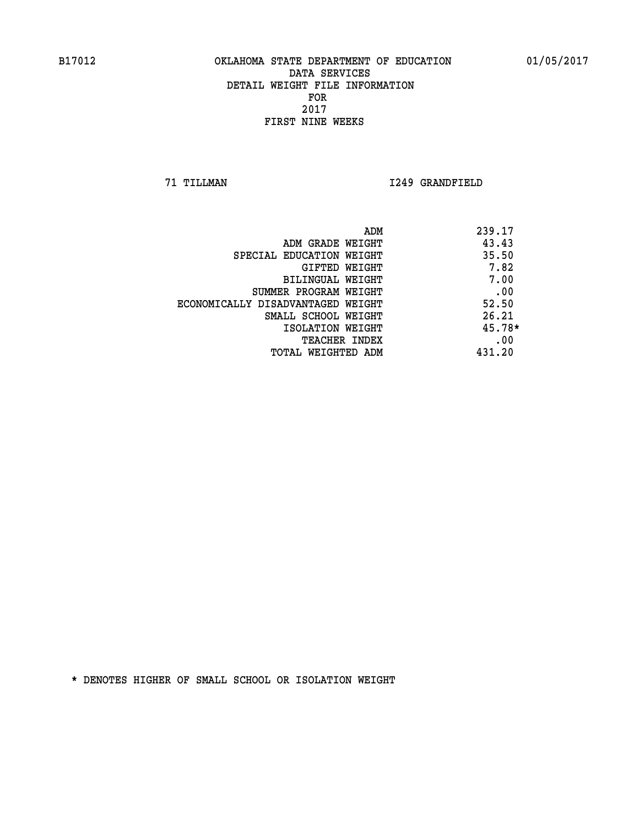**71 TILLMAN I249 GRANDFIELD** 

| ADM                               | 239.17   |
|-----------------------------------|----------|
| ADM GRADE WEIGHT                  | 43.43    |
| SPECIAL EDUCATION WEIGHT          | 35.50    |
| GIFTED WEIGHT                     | 7.82     |
| BILINGUAL WEIGHT                  | 7.00     |
| SUMMER PROGRAM WEIGHT             | .00      |
| ECONOMICALLY DISADVANTAGED WEIGHT | 52.50    |
| SMALL SCHOOL WEIGHT               | 26.21    |
| ISOLATION WEIGHT                  | $45.78*$ |
| <b>TEACHER INDEX</b>              | .00      |
| TOTAL WEIGHTED ADM                | 431.20   |
|                                   |          |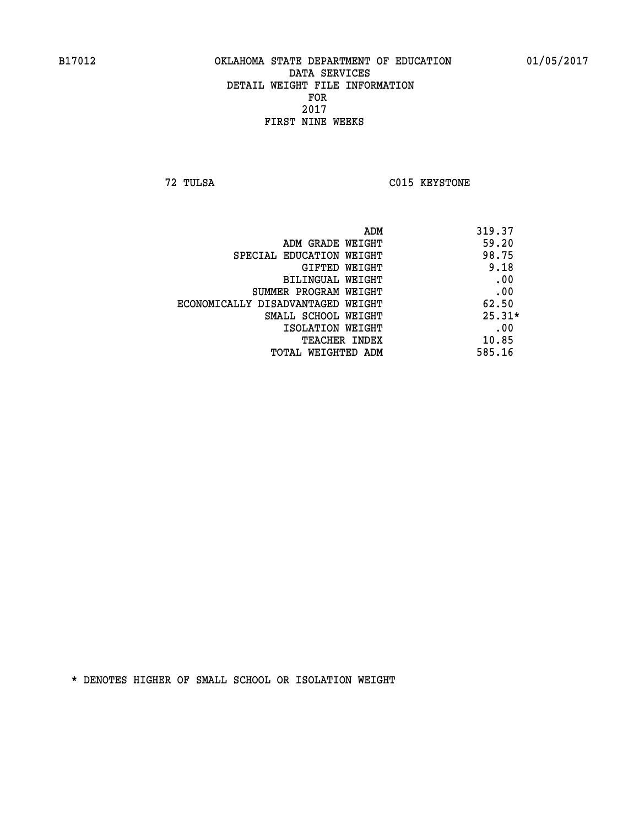**72 TULSA C015 KEYSTONE** 

| ADM                               | 319.37   |
|-----------------------------------|----------|
| ADM GRADE WEIGHT                  | 59.20    |
| SPECIAL EDUCATION WEIGHT          | 98.75    |
| GIFTED WEIGHT                     | 9.18     |
| BILINGUAL WEIGHT                  | .00      |
| SUMMER PROGRAM WEIGHT             | .00      |
| ECONOMICALLY DISADVANTAGED WEIGHT | 62.50    |
| SMALL SCHOOL WEIGHT               | $25.31*$ |
| ISOLATION WEIGHT                  | .00      |
| <b>TEACHER INDEX</b>              | 10.85    |
| TOTAL WEIGHTED ADM                | 585.16   |
|                                   |          |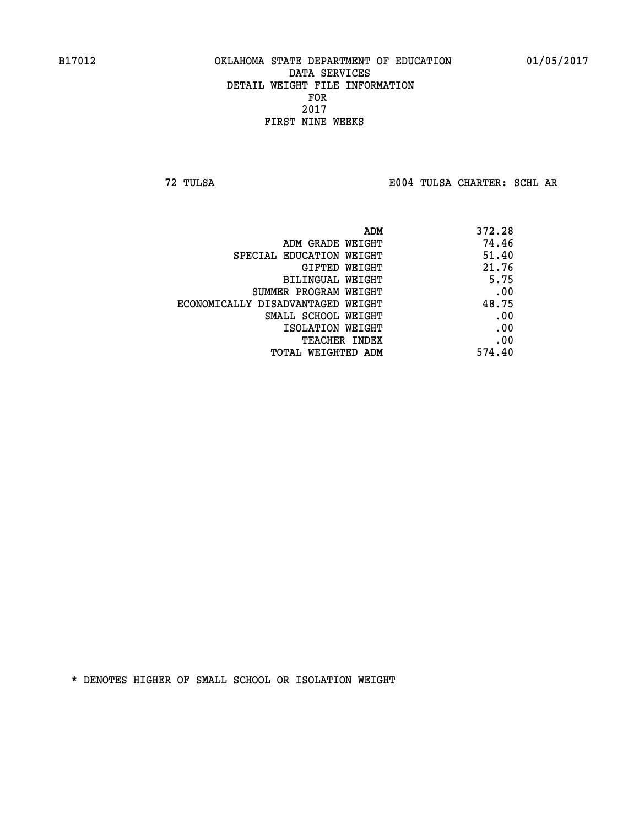**72 TULSA E004 TULSA CHARTER: SCHL AR**

|                                   | 372.28<br>ADM |  |
|-----------------------------------|---------------|--|
| ADM GRADE WEIGHT                  | 74.46         |  |
| SPECIAL EDUCATION WEIGHT          | 51.40         |  |
| GIFTED WEIGHT                     | 21.76         |  |
| BILINGUAL WEIGHT                  | 5.75          |  |
| SUMMER PROGRAM WEIGHT             | .00           |  |
| ECONOMICALLY DISADVANTAGED WEIGHT | 48.75         |  |
| SMALL SCHOOL WEIGHT               | .00           |  |
| ISOLATION WEIGHT                  | .00           |  |
| <b>TEACHER INDEX</b>              | .00           |  |
| TOTAL WEIGHTED ADM                | 574.40        |  |
|                                   |               |  |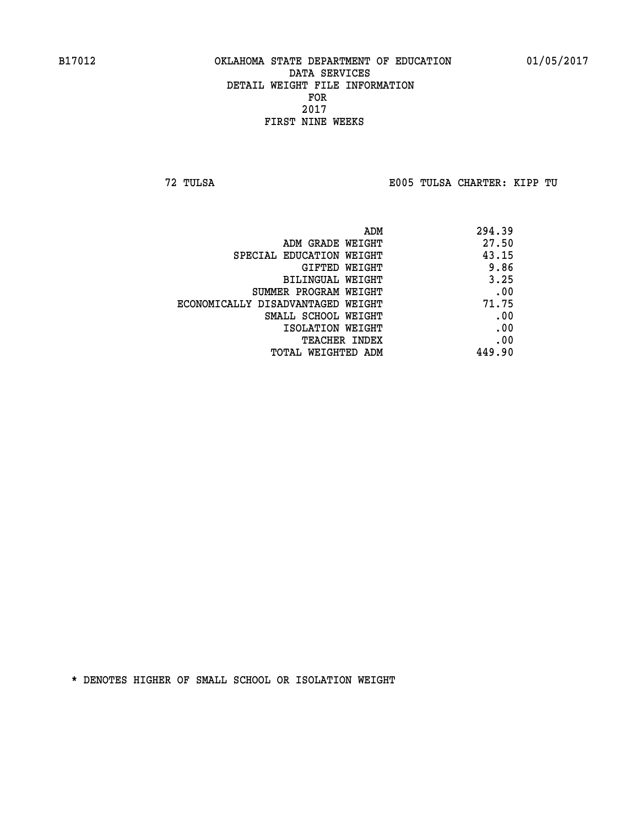**72 TULSA E005 TULSA CHARTER: KIPP TU**

|                                   | 294.39<br>ADM |  |
|-----------------------------------|---------------|--|
| ADM GRADE WEIGHT                  | 27.50         |  |
| SPECIAL EDUCATION WEIGHT          | 43.15         |  |
| GIFTED WEIGHT                     | 9.86          |  |
| BILINGUAL WEIGHT                  | 3.25          |  |
| SUMMER PROGRAM WEIGHT             | .00           |  |
| ECONOMICALLY DISADVANTAGED WEIGHT | 71.75         |  |
| SMALL SCHOOL WEIGHT               | .00           |  |
| ISOLATION WEIGHT                  | .00           |  |
| <b>TEACHER INDEX</b>              | .00           |  |
| TOTAL WEIGHTED ADM                | 449.90        |  |
|                                   |               |  |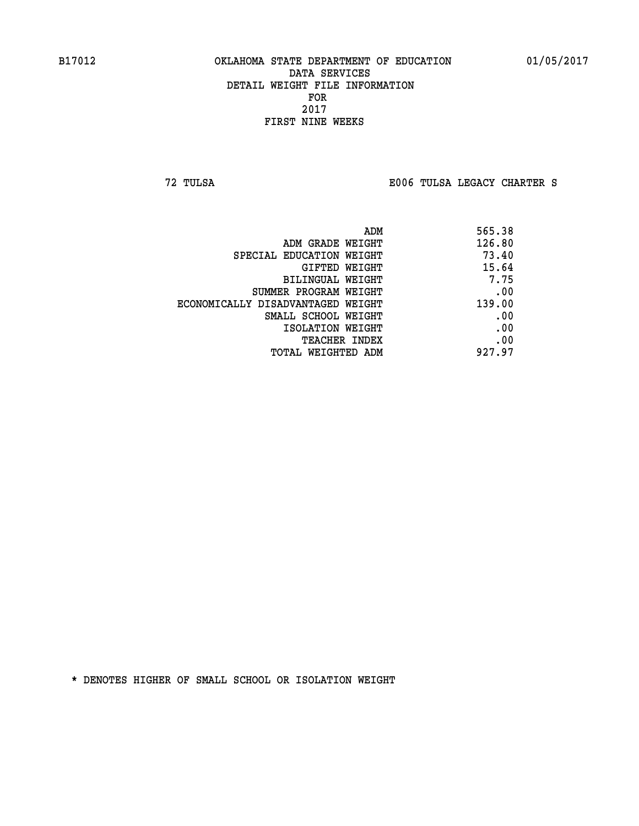**72 TULSA E006 TULSA LEGACY CHARTER S**

| ADM                               | 565.38 |
|-----------------------------------|--------|
| ADM GRADE WEIGHT                  | 126.80 |
| SPECIAL EDUCATION WEIGHT          | 73.40  |
| GIFTED WEIGHT                     | 15.64  |
| BILINGUAL WEIGHT                  | 7.75   |
| SUMMER PROGRAM WEIGHT             | .00    |
| ECONOMICALLY DISADVANTAGED WEIGHT | 139.00 |
| SMALL SCHOOL WEIGHT               | .00    |
| ISOLATION WEIGHT                  | .00    |
| <b>TEACHER INDEX</b>              | .00    |
| TOTAL WEIGHTED ADM                | 927.97 |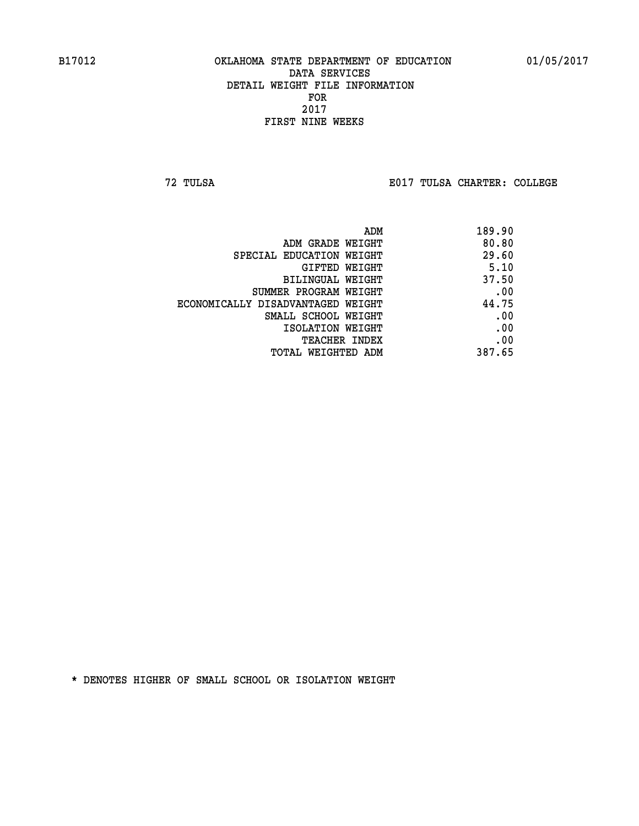**72 TULSA E017 TULSA CHARTER: COLLEGE**

|                                   | 189.90<br>ADM |
|-----------------------------------|---------------|
| ADM GRADE WEIGHT                  | 80.80         |
| SPECIAL EDUCATION WEIGHT          | 29.60         |
| GIFTED WEIGHT                     | 5.10          |
| BILINGUAL WEIGHT                  | 37.50         |
| SUMMER PROGRAM WEIGHT             | .00           |
| ECONOMICALLY DISADVANTAGED WEIGHT | 44.75         |
| SMALL SCHOOL WEIGHT               | .00           |
| ISOLATION WEIGHT                  | .00           |
| <b>TEACHER INDEX</b>              | .00           |
| TOTAL WEIGHTED ADM                | 387.65        |
|                                   |               |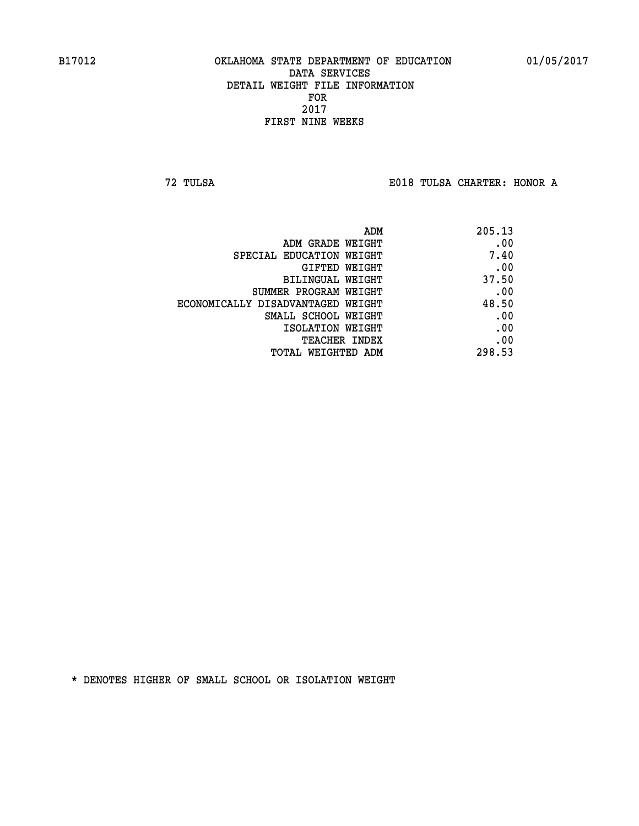**72 TULSA E018 TULSA CHARTER: HONOR A**

| ADM                               | 205.13 |
|-----------------------------------|--------|
| ADM GRADE WEIGHT                  | .00    |
| SPECIAL EDUCATION WEIGHT          | 7.40   |
| GIFTED WEIGHT                     | .00    |
| BILINGUAL WEIGHT                  | 37.50  |
| SUMMER PROGRAM WEIGHT             | .00    |
| ECONOMICALLY DISADVANTAGED WEIGHT | 48.50  |
| SMALL SCHOOL WEIGHT               | .00    |
| ISOLATION WEIGHT                  | .00    |
| TEACHER INDEX                     | .00    |
| TOTAL WEIGHTED ADM                | 298.53 |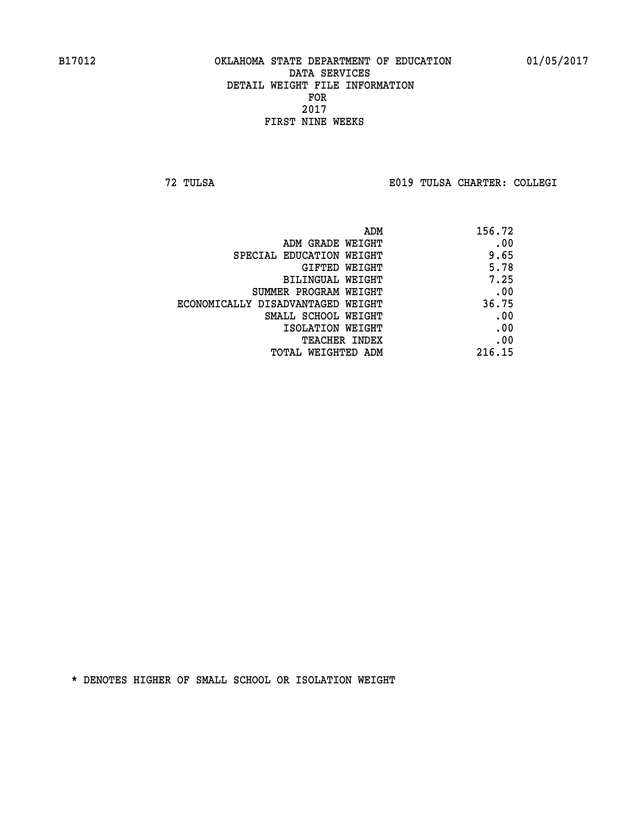**72 TULSA E019 TULSA CHARTER: COLLEGI**

| 156.72 |
|--------|
| .00    |
| 9.65   |
| 5.78   |
| 7.25   |
| .00    |
| 36.75  |
| .00    |
| .00    |
| .00    |
| 216.15 |
|        |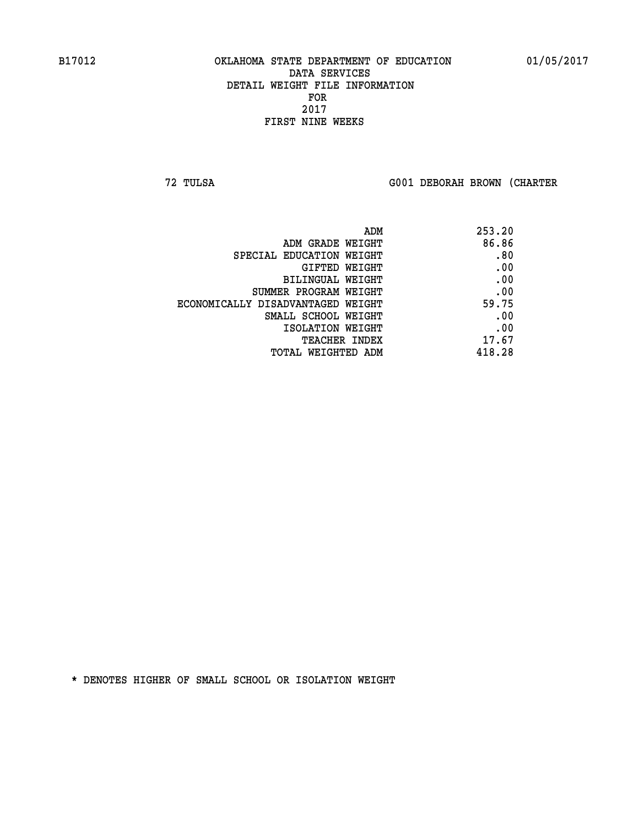**72 TULSA G001 DEBORAH BROWN (CHARTER**

| ADM                               | 253.20 |
|-----------------------------------|--------|
| ADM GRADE WEIGHT                  | 86.86  |
| SPECIAL EDUCATION WEIGHT          | .80    |
| GIFTED WEIGHT                     | .00    |
| BILINGUAL WEIGHT                  | .00    |
| SUMMER PROGRAM WEIGHT             | .00    |
| ECONOMICALLY DISADVANTAGED WEIGHT | 59.75  |
| SMALL SCHOOL WEIGHT               | .00    |
| ISOLATION WEIGHT                  | .00    |
| <b>TEACHER INDEX</b>              | 17.67  |
| TOTAL WEIGHTED ADM                | 418.28 |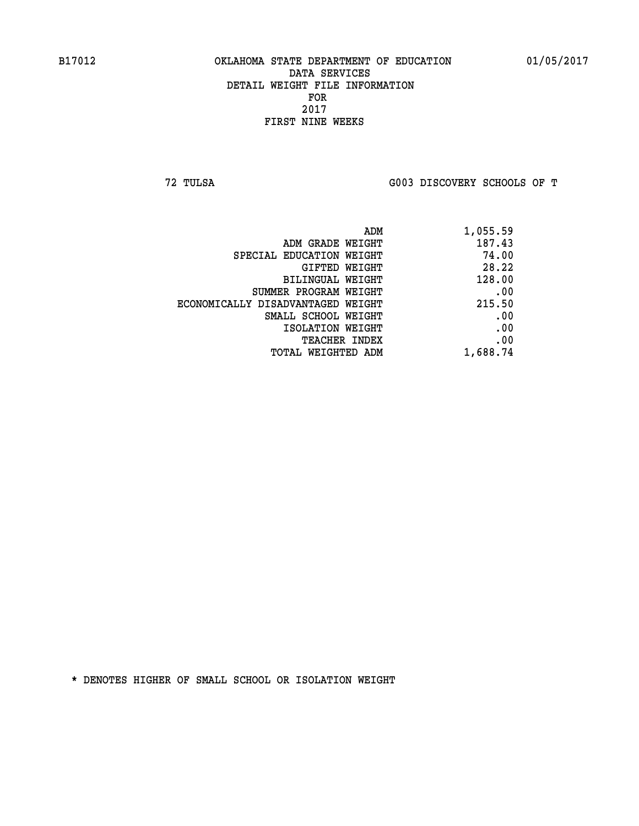**72 TULSA G003 DISCOVERY SCHOOLS OF T**

| ADM                               | 1,055.59 |
|-----------------------------------|----------|
| ADM GRADE WEIGHT                  | 187.43   |
| SPECIAL EDUCATION WEIGHT          | 74.00    |
| GIFTED WEIGHT                     | 28.22    |
| BILINGUAL WEIGHT                  | 128.00   |
| SUMMER PROGRAM WEIGHT             | .00      |
| ECONOMICALLY DISADVANTAGED WEIGHT | 215.50   |
| SMALL SCHOOL WEIGHT               | .00      |
| ISOLATION WEIGHT                  | .00      |
| <b>TEACHER INDEX</b>              | .00      |
| TOTAL WEIGHTED ADM                | 1,688.74 |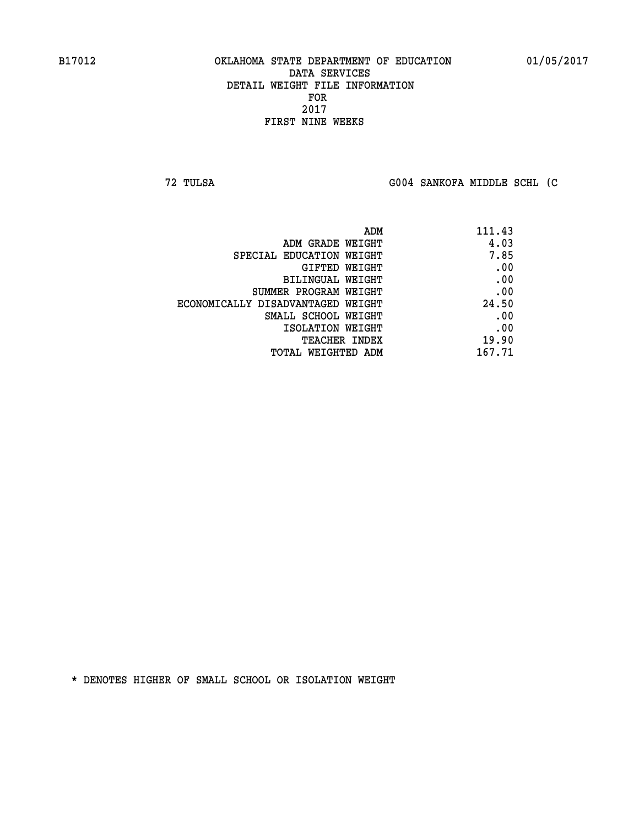**72 TULSA G004 SANKOFA MIDDLE SCHL (C**

| ADM                               | 111.43 |
|-----------------------------------|--------|
| ADM GRADE WEIGHT                  | 4.03   |
| SPECIAL EDUCATION WEIGHT          | 7.85   |
| GIFTED WEIGHT                     | .00    |
| BILINGUAL WEIGHT                  | .00    |
| SUMMER PROGRAM WEIGHT             | .00    |
| ECONOMICALLY DISADVANTAGED WEIGHT | 24.50  |
| SMALL SCHOOL WEIGHT               | .00    |
| ISOLATION WEIGHT                  | .00    |
| <b>TEACHER INDEX</b>              | 19.90  |
| TOTAL WEIGHTED ADM                | 167.71 |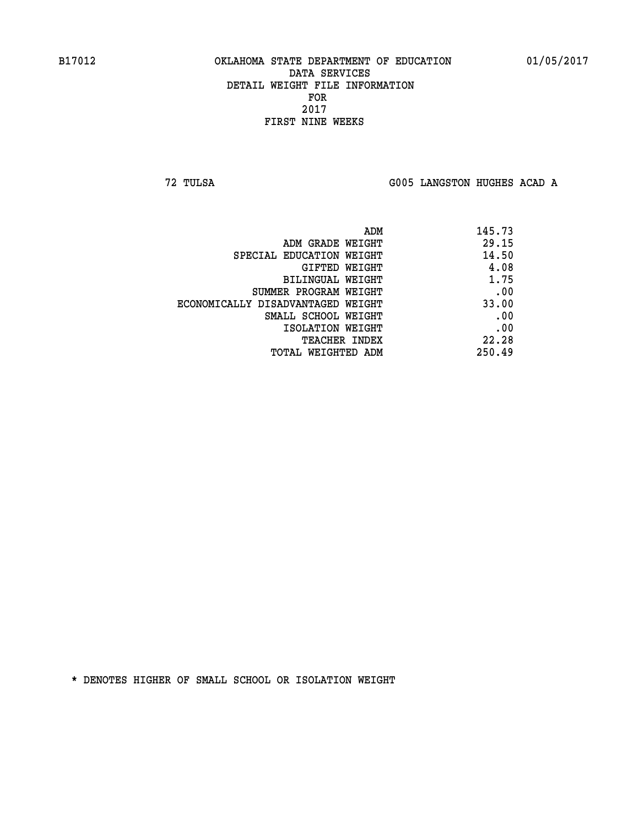**72 TULSA G005 LANGSTON HUGHES ACAD A**

| 145.73 |
|--------|
| 29.15  |
| 14.50  |
| 4.08   |
| 1.75   |
| .00    |
| 33.00  |
| .00    |
| .00    |
| 22.28  |
| 250.49 |
|        |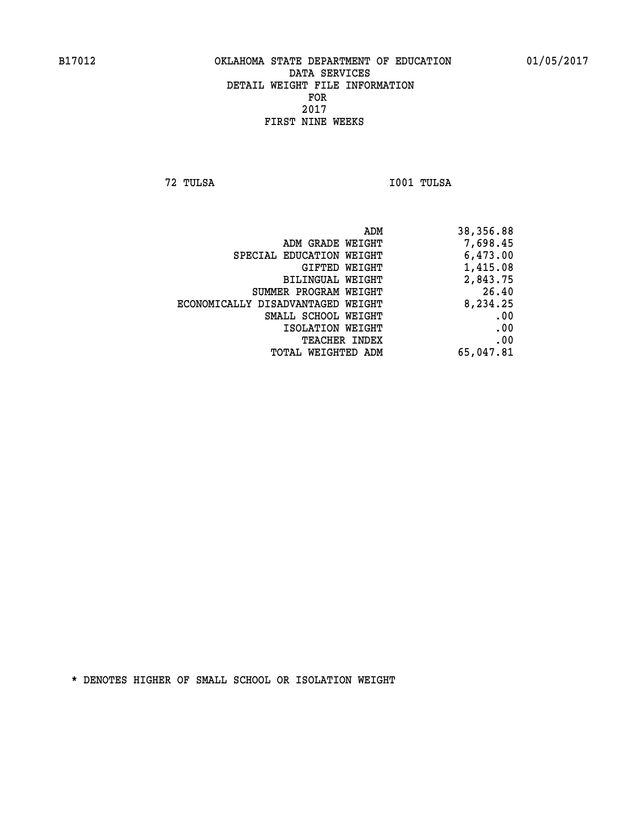**72 TULSA I001 TULSA** 

| 38,356.88 |
|-----------|
| 7,698.45  |
| 6,473.00  |
| 1,415.08  |
| 2,843.75  |
| 26.40     |
| 8,234.25  |
| .00       |
| .00       |
| .00       |
| 65,047.81 |
|           |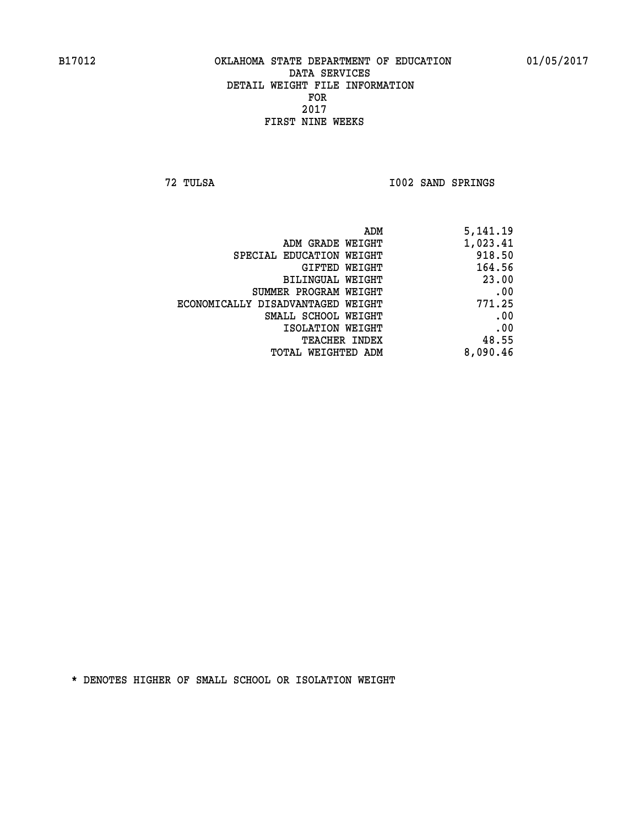**72 TULSA I002 SAND SPRINGS** 

| 5,141.19 |
|----------|
| 1,023.41 |
| 918.50   |
| 164.56   |
| 23.00    |
| .00      |
| 771.25   |
| .00      |
| .00      |
| 48.55    |
| 8,090.46 |
|          |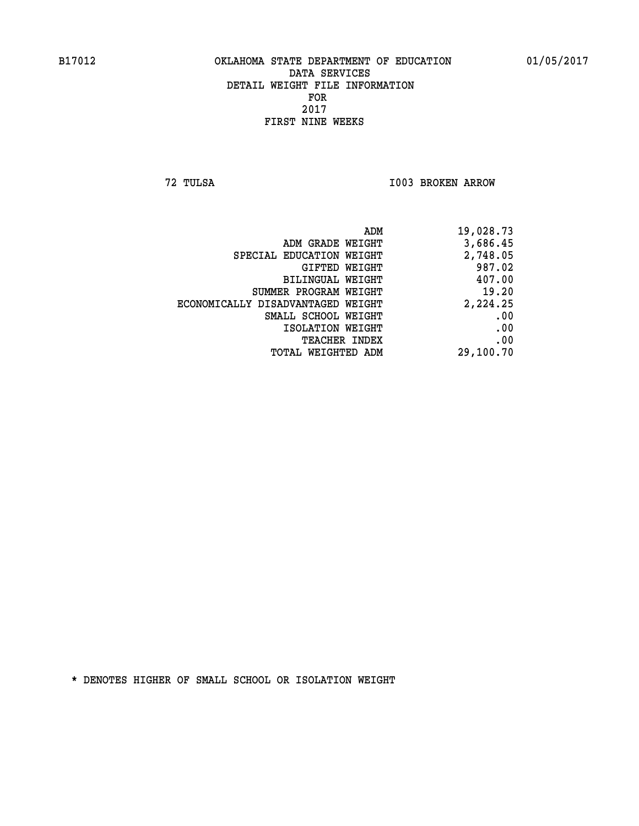**72 TULSA I003 BROKEN ARROW** 

| 19,028.73 | ADM                               |
|-----------|-----------------------------------|
| 3,686.45  | ADM GRADE WEIGHT                  |
| 2,748.05  | SPECIAL EDUCATION WEIGHT          |
| 987.02    | GIFTED WEIGHT                     |
| 407.00    | BILINGUAL WEIGHT                  |
| 19.20     | SUMMER PROGRAM WEIGHT             |
| 2,224.25  | ECONOMICALLY DISADVANTAGED WEIGHT |
| .00       | SMALL SCHOOL WEIGHT               |
| .00       | ISOLATION WEIGHT                  |
| .00       | <b>TEACHER INDEX</b>              |
| 29,100.70 | TOTAL WEIGHTED ADM                |
|           |                                   |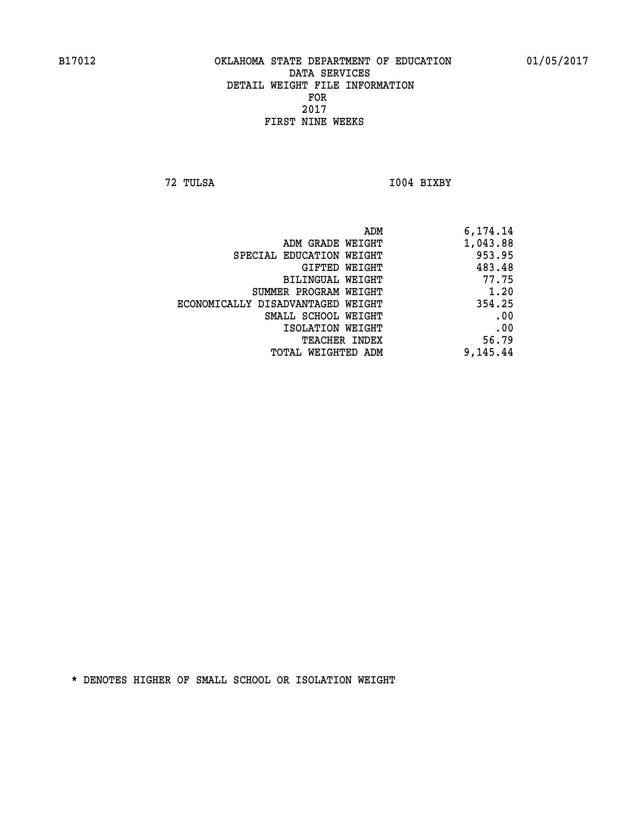**72 TULSA I004 BIXBY** 

| ADM                               | 6,174.14 |
|-----------------------------------|----------|
| ADM GRADE WEIGHT                  | 1,043.88 |
| SPECIAL EDUCATION WEIGHT          | 953.95   |
| GIFTED WEIGHT                     | 483.48   |
| BILINGUAL WEIGHT                  | 77.75    |
| SUMMER PROGRAM WEIGHT             | 1.20     |
| ECONOMICALLY DISADVANTAGED WEIGHT | 354.25   |
| SMALL SCHOOL WEIGHT               | .00      |
| ISOLATION WEIGHT                  | .00      |
| <b>TEACHER INDEX</b>              | 56.79    |
| TOTAL WEIGHTED ADM                | 9,145.44 |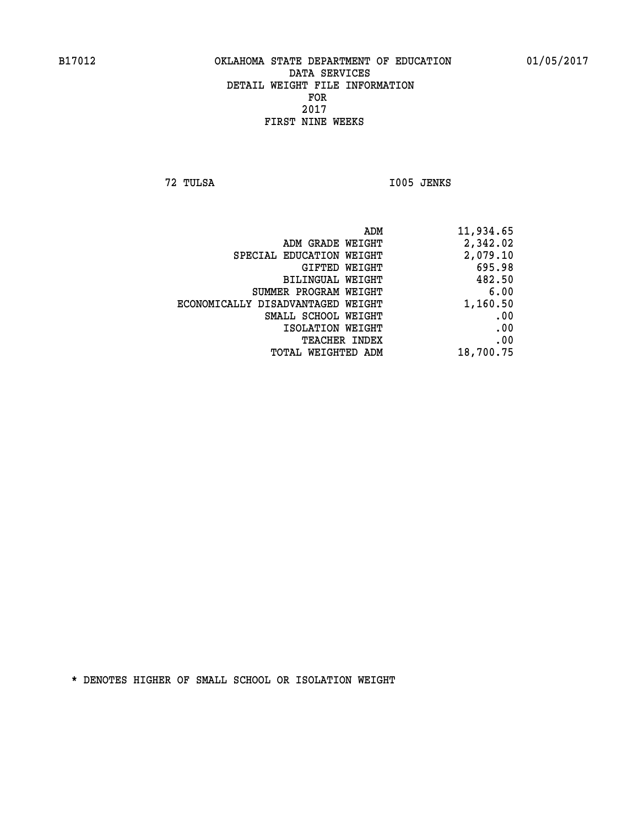**72 TULSA I005 JENKS** 

| 11,934.65 |
|-----------|
| 2,342.02  |
| 2,079.10  |
| 695.98    |
| 482.50    |
| 6.00      |
| 1,160.50  |
| .00       |
| .00       |
| .00       |
| 18,700.75 |
|           |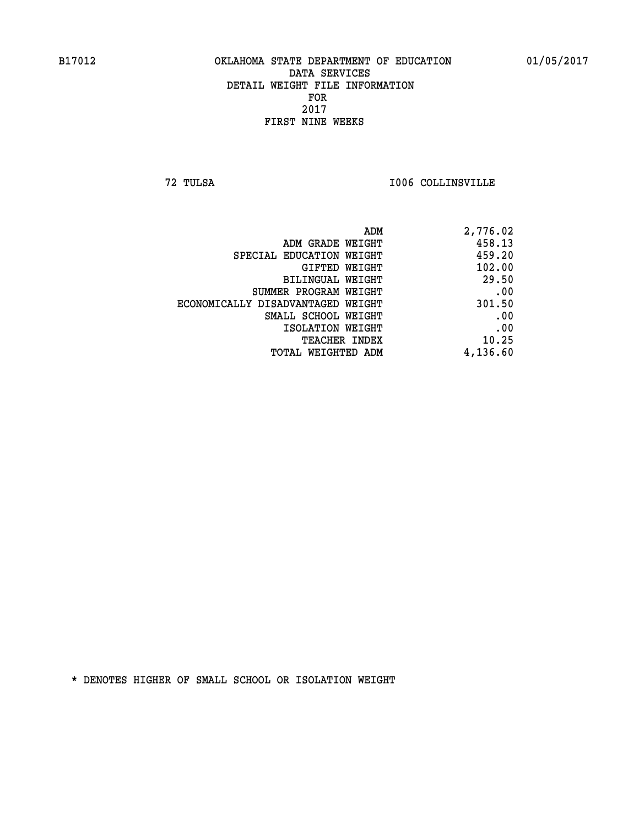**72 TULSA I006 COLLINSVILLE** 

| ADM                               | 2,776.02 |
|-----------------------------------|----------|
| ADM GRADE WEIGHT                  | 458.13   |
| SPECIAL EDUCATION WEIGHT          | 459.20   |
| GIFTED WEIGHT                     | 102.00   |
| BILINGUAL WEIGHT                  | 29.50    |
| SUMMER PROGRAM WEIGHT             | .00      |
| ECONOMICALLY DISADVANTAGED WEIGHT | 301.50   |
| SMALL SCHOOL WEIGHT               | .00      |
| ISOLATION WEIGHT                  | .00      |
| TEACHER INDEX                     | 10.25    |
| TOTAL WEIGHTED ADM                | 4,136.60 |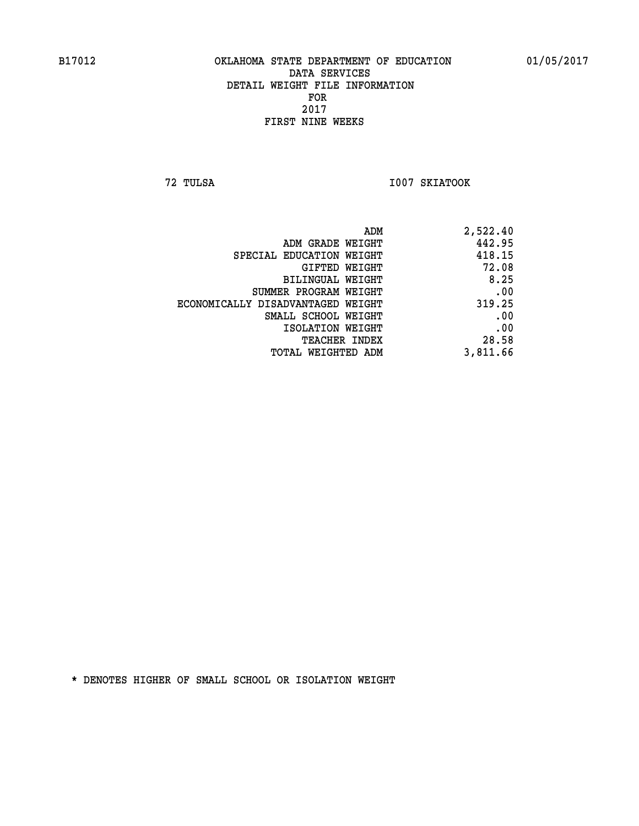**72 TULSA I007 SKIATOOK** 

| 2,522.40 |
|----------|
| 442.95   |
| 418.15   |
| 72.08    |
| 8.25     |
| .00      |
| 319.25   |
| .00      |
| .00      |
| 28.58    |
| 3,811.66 |
|          |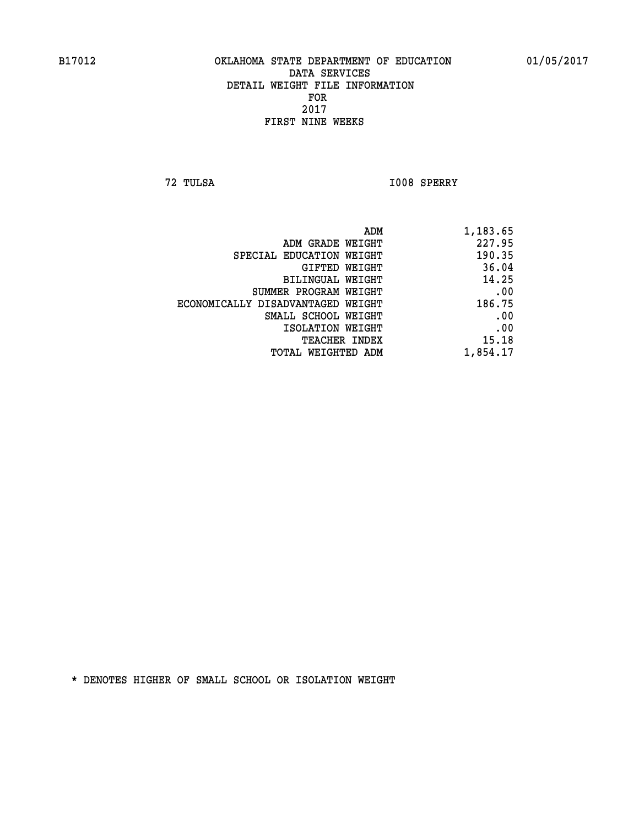**72 TULSA I008 SPERRY** 

|                                   | 1,183.65<br>ADM |
|-----------------------------------|-----------------|
| ADM GRADE WEIGHT                  | 227.95          |
| SPECIAL EDUCATION WEIGHT          | 190.35          |
| GIFTED WEIGHT                     | 36.04           |
| <b>BILINGUAL WEIGHT</b>           | 14.25           |
| SUMMER PROGRAM WEIGHT             | .00             |
| ECONOMICALLY DISADVANTAGED WEIGHT | 186.75          |
| SMALL SCHOOL WEIGHT               | .00             |
| ISOLATION WEIGHT                  | .00             |
| TEACHER INDEX                     | 15.18           |
| TOTAL WEIGHTED ADM                | 1,854.17        |
|                                   |                 |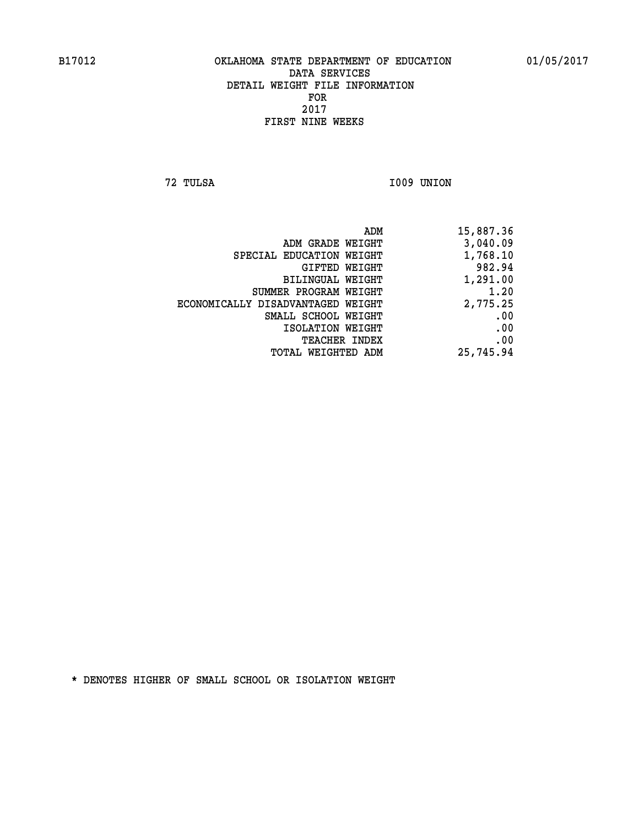**72 TULSA I009 UNION** 

| 15,887.36 |
|-----------|
| 3,040.09  |
| 1,768.10  |
| 982.94    |
| 1,291.00  |
| 1.20      |
| 2,775.25  |
| .00       |
| .00       |
| .00       |
| 25,745.94 |
|           |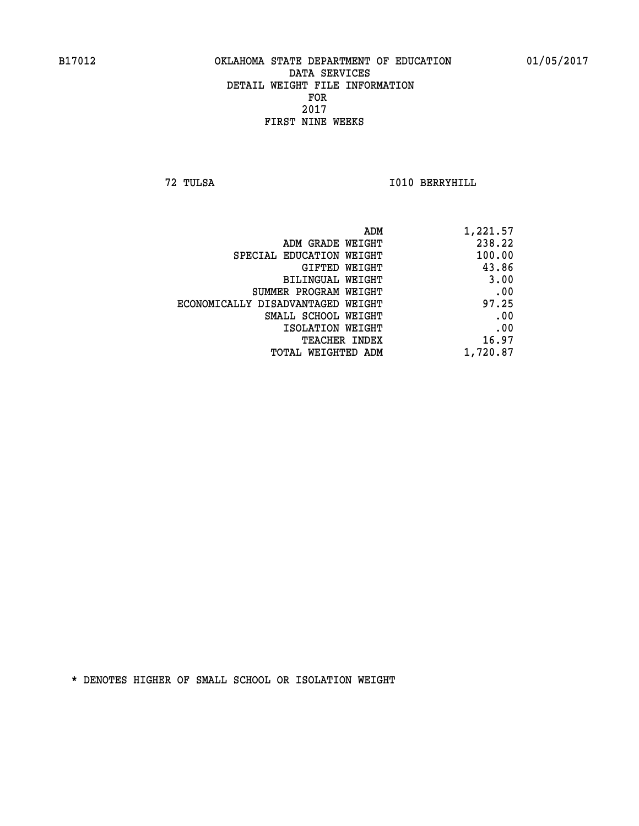**72 TULSA I010 BERRYHILL** 

| 1,221.57 |
|----------|
| 238.22   |
| 100.00   |
| 43.86    |
| 3.00     |
| .00      |
| 97.25    |
| .00      |
| .00      |
| 16.97    |
| 1,720.87 |
|          |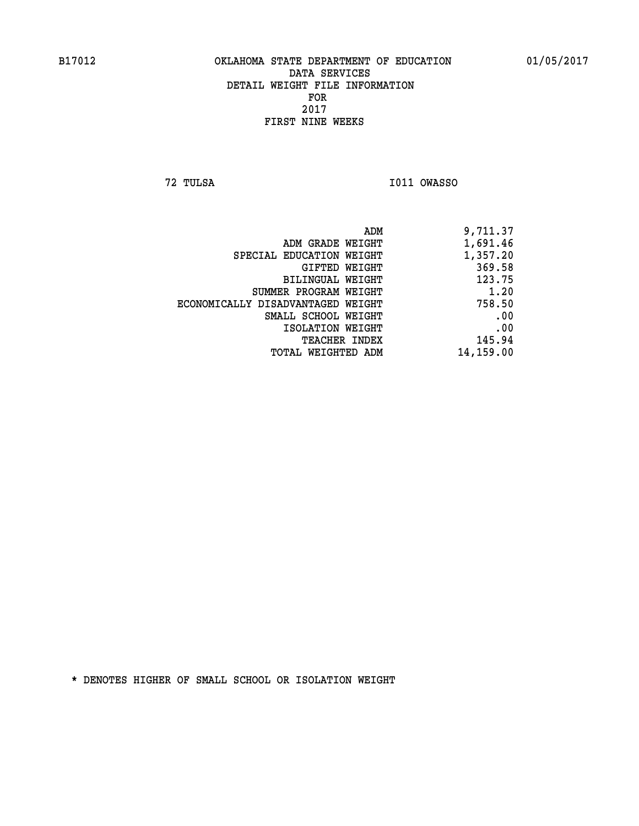**72 TULSA I011 OWASSO** 

| 9,711.37  |
|-----------|
| 1,691.46  |
| 1,357.20  |
| 369.58    |
| 123.75    |
| 1.20      |
| 758.50    |
| .00       |
| .00       |
| 145.94    |
| 14,159.00 |
|           |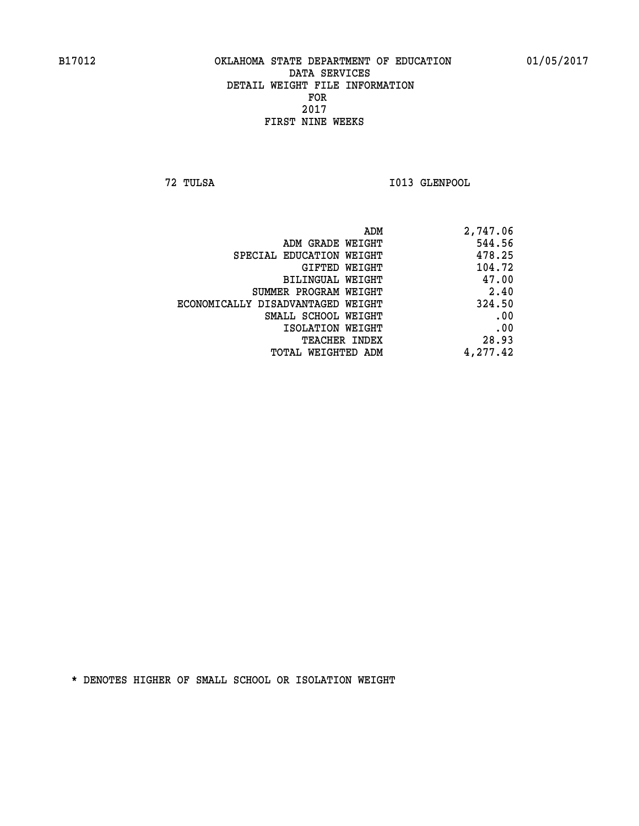**72 TULSA I013 GLENPOOL** 

| ADM                               | 2,747.06 |
|-----------------------------------|----------|
| ADM GRADE WEIGHT                  | 544.56   |
| SPECIAL EDUCATION WEIGHT          | 478.25   |
| GIFTED WEIGHT                     | 104.72   |
| BILINGUAL WEIGHT                  | 47.00    |
| SUMMER PROGRAM WEIGHT             | 2.40     |
| ECONOMICALLY DISADVANTAGED WEIGHT | 324.50   |
| SMALL SCHOOL WEIGHT               | .00      |
| ISOLATION WEIGHT                  | .00      |
| TEACHER INDEX                     | 28.93    |
| TOTAL WEIGHTED ADM                | 4,277.42 |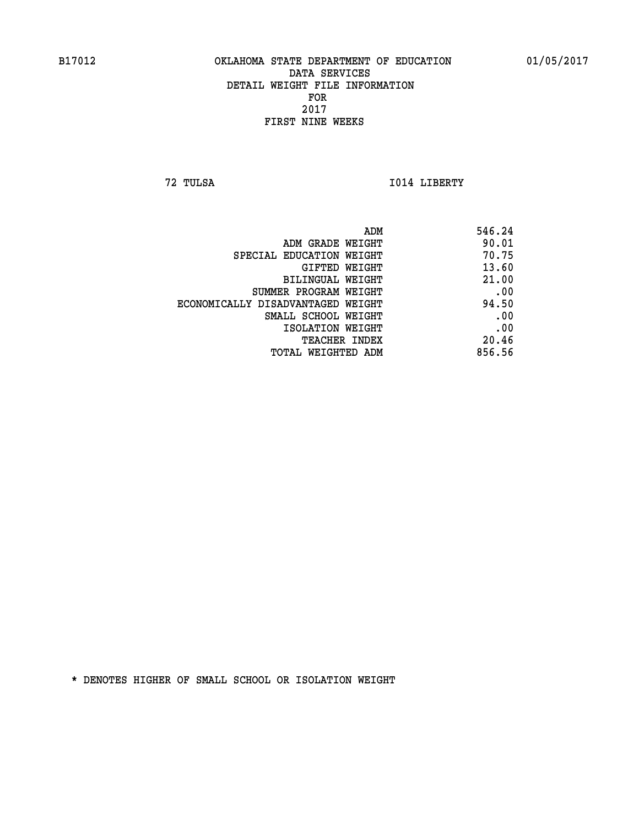**72 TULSA I014 LIBERTY** 

| 546.24 |
|--------|
| 90.01  |
| 70.75  |
| 13.60  |
| 21.00  |
| .00    |
| 94.50  |
| .00    |
| .00    |
| 20.46  |
| 856.56 |
|        |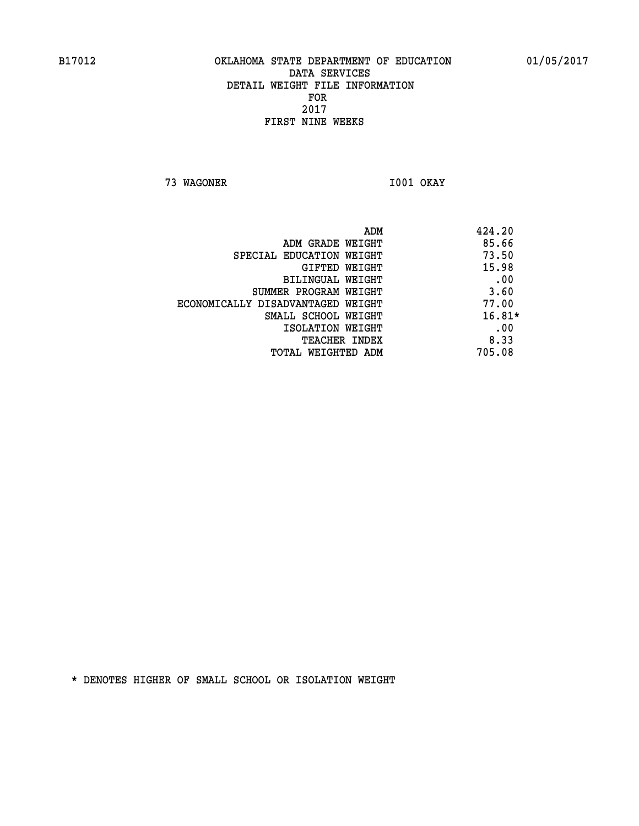**73 WAGONER I001 OKAY** 

| ADM                               | 424.20 |
|-----------------------------------|--------|
| ADM GRADE WEIGHT                  | 85.66  |
| SPECIAL EDUCATION WEIGHT          | 73.50  |
| <b>GIFTED WEIGHT</b>              | 15.98  |
| BILINGUAL WEIGHT                  | .00    |
| SUMMER PROGRAM WEIGHT             | 3.60   |
| ECONOMICALLY DISADVANTAGED WEIGHT | 77.00  |
| SMALL SCHOOL WEIGHT               | 16.81* |
| ISOLATION WEIGHT                  | .00    |
| <b>TEACHER INDEX</b>              | 8.33   |
| TOTAL WEIGHTED ADM                | 705.08 |
|                                   |        |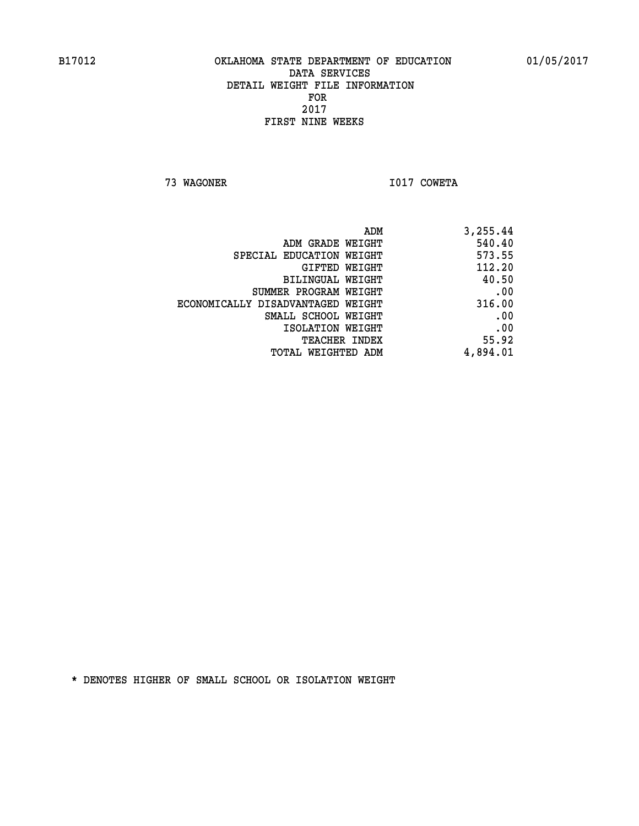**73 WAGONER I017 COWETA** 

| ADM                               | 3,255.44 |
|-----------------------------------|----------|
| ADM GRADE WEIGHT                  | 540.40   |
| SPECIAL EDUCATION WEIGHT          | 573.55   |
| GIFTED WEIGHT                     | 112.20   |
| BILINGUAL WEIGHT                  | 40.50    |
| SUMMER PROGRAM WEIGHT             | .00      |
| ECONOMICALLY DISADVANTAGED WEIGHT | 316.00   |
| SMALL SCHOOL WEIGHT               | .00      |
| ISOLATION WEIGHT                  | .00      |
| TEACHER INDEX                     | 55.92    |
| TOTAL WEIGHTED ADM                | 4,894.01 |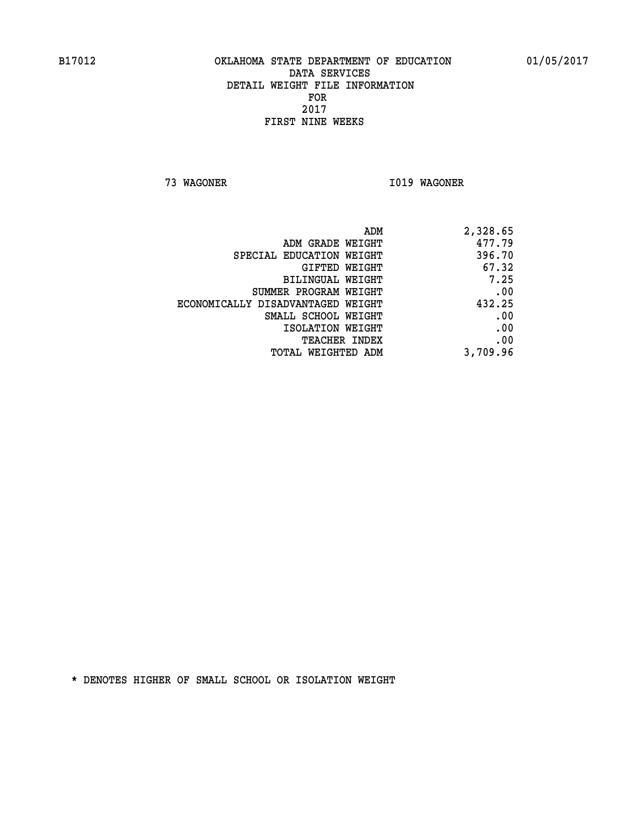**73 WAGONER I019 WAGONER** 

| ADM                               | 2,328.65 |
|-----------------------------------|----------|
| ADM GRADE WEIGHT                  | 477.79   |
| SPECIAL EDUCATION WEIGHT          | 396.70   |
| <b>GIFTED WEIGHT</b>              | 67.32    |
| BILINGUAL WEIGHT                  | 7.25     |
| SUMMER PROGRAM WEIGHT             | .00      |
| ECONOMICALLY DISADVANTAGED WEIGHT | 432.25   |
| SMALL SCHOOL WEIGHT               | .00      |
| ISOLATION WEIGHT                  | .00      |
| <b>TEACHER INDEX</b>              | .00      |
| TOTAL WEIGHTED ADM                | 3,709.96 |
|                                   |          |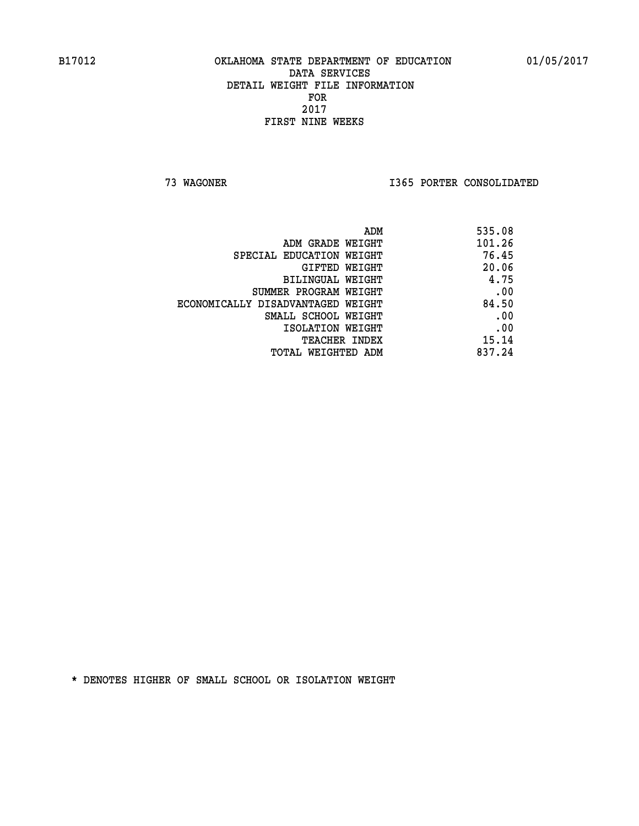**73 WAGONER I365 PORTER CONSOLIDATED** 

| ADM                               | 535.08 |
|-----------------------------------|--------|
| ADM GRADE WEIGHT                  | 101.26 |
| SPECIAL EDUCATION WEIGHT          | 76.45  |
| GIFTED WEIGHT                     | 20.06  |
| BILINGUAL WEIGHT                  | 4.75   |
| SUMMER PROGRAM WEIGHT             | .00    |
| ECONOMICALLY DISADVANTAGED WEIGHT | 84.50  |
| SMALL SCHOOL WEIGHT               | .00    |
| ISOLATION WEIGHT                  | .00    |
| <b>TEACHER INDEX</b>              | 15.14  |
| TOTAL WEIGHTED ADM                | 837.24 |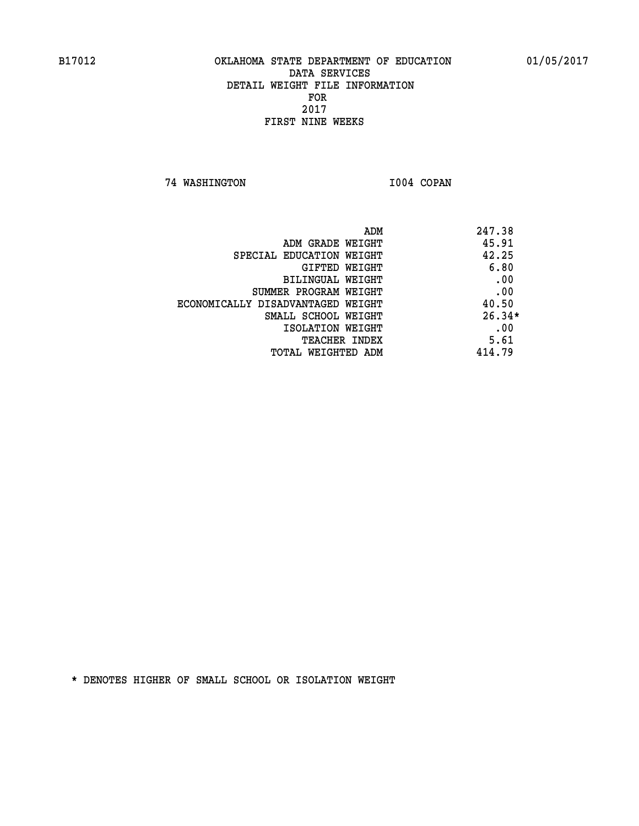**74 WASHINGTON I004 COPAN** 

| 247.38<br>ADM                              |  |
|--------------------------------------------|--|
| 45.91<br>ADM GRADE WEIGHT                  |  |
| 42.25<br>SPECIAL EDUCATION WEIGHT          |  |
| 6.80<br>GIFTED WEIGHT                      |  |
| .00<br>BILINGUAL WEIGHT                    |  |
| .00<br>SUMMER PROGRAM WEIGHT               |  |
| 40.50<br>ECONOMICALLY DISADVANTAGED WEIGHT |  |
| $26.34*$<br>SMALL SCHOOL WEIGHT            |  |
| .00<br>ISOLATION WEIGHT                    |  |
| 5.61<br><b>TEACHER INDEX</b>               |  |
| 414.79<br>TOTAL WEIGHTED ADM               |  |
|                                            |  |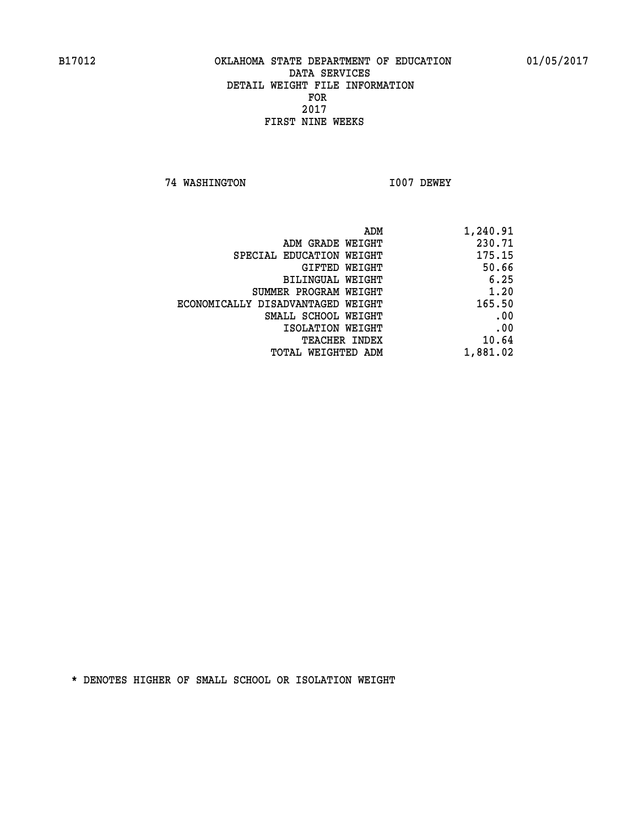**74 WASHINGTON I007 DEWEY** 

| 1,240.91 |
|----------|
| 230.71   |
| 175.15   |
| 50.66    |
| 6.25     |
| 1.20     |
| 165.50   |
| .00      |
| .00      |
| 10.64    |
| 1,881.02 |
|          |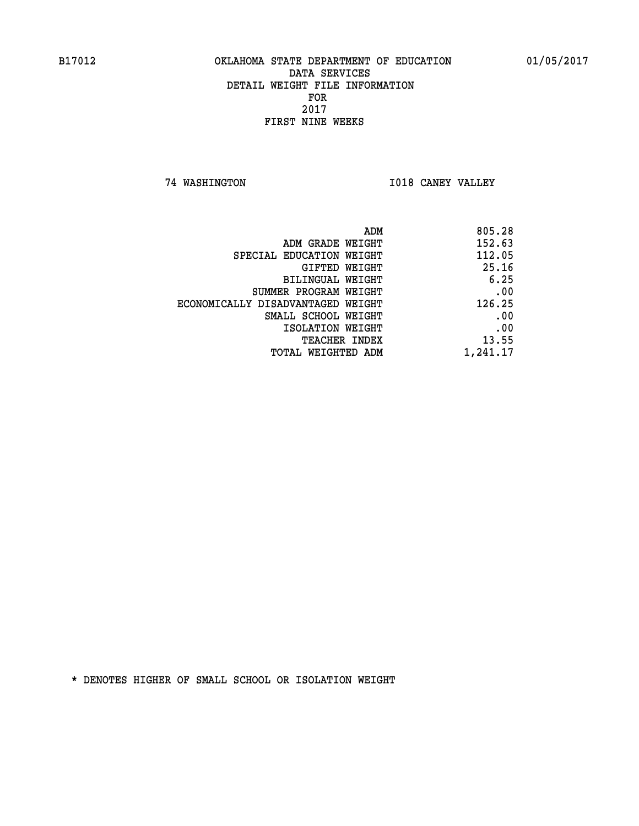**74 WASHINGTON I018 CANEY VALLEY** 

| 805.28   |
|----------|
| 152.63   |
| 112.05   |
| 25.16    |
| 6.25     |
| .00      |
| 126.25   |
| .00      |
| .00      |
| 13.55    |
| 1,241.17 |
|          |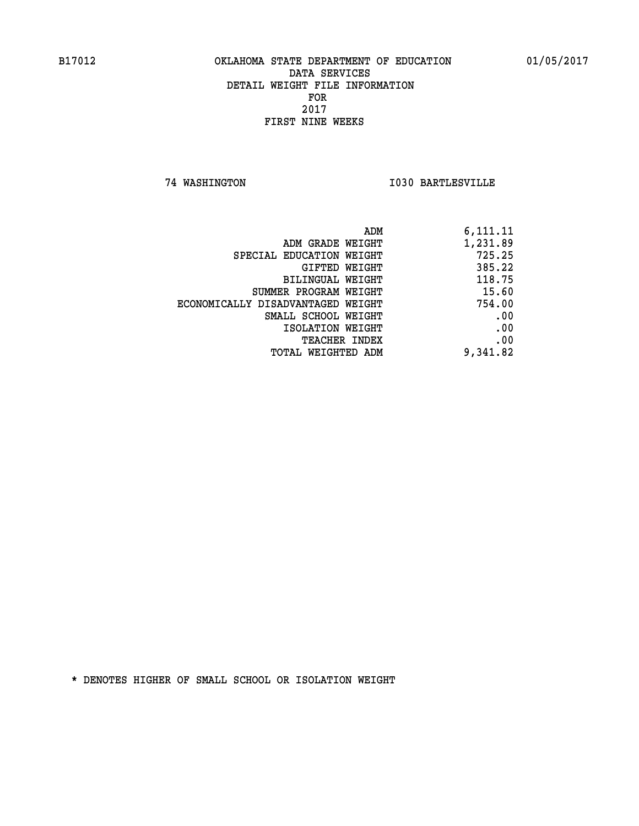**74 WASHINGTON I030 BARTLESVILLE** 

| ADM                               | 6,111.11 |
|-----------------------------------|----------|
| ADM GRADE WEIGHT                  | 1,231.89 |
| SPECIAL EDUCATION WEIGHT          | 725.25   |
| GIFTED WEIGHT                     | 385.22   |
| BILINGUAL WEIGHT                  | 118.75   |
| SUMMER PROGRAM WEIGHT             | 15.60    |
| ECONOMICALLY DISADVANTAGED WEIGHT | 754.00   |
| SMALL SCHOOL WEIGHT               | .00      |
| ISOLATION WEIGHT                  | .00      |
| <b>TEACHER INDEX</b>              | .00      |
| TOTAL WEIGHTED ADM                | 9,341.82 |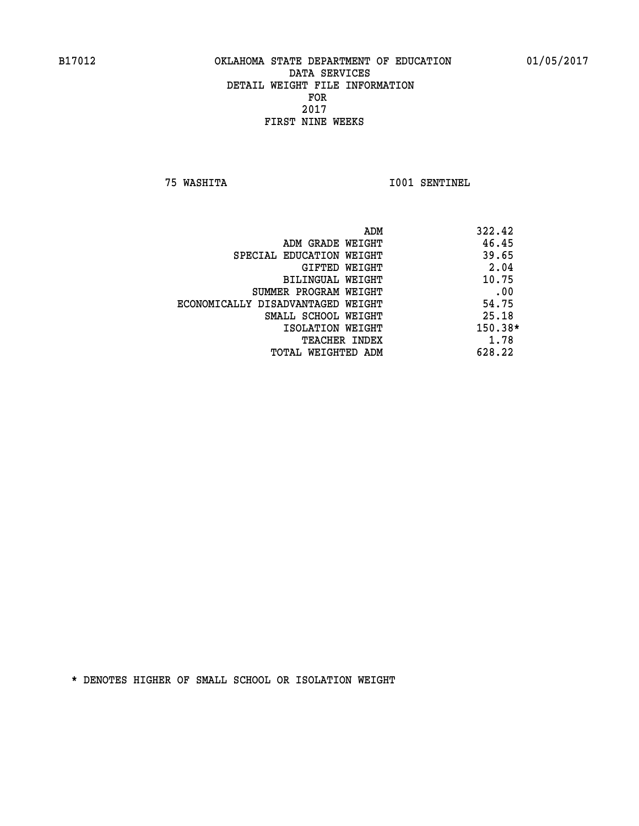**75 WASHITA I001 SENTINEL** 

|                                   | ADM | 322.42  |
|-----------------------------------|-----|---------|
| ADM GRADE WEIGHT                  |     | 46.45   |
| SPECIAL EDUCATION WEIGHT          |     | 39.65   |
| GIFTED WEIGHT                     |     | 2.04    |
| BILINGUAL WEIGHT                  |     | 10.75   |
| SUMMER PROGRAM WEIGHT             |     | .00     |
| ECONOMICALLY DISADVANTAGED WEIGHT |     | 54.75   |
| SMALL SCHOOL WEIGHT               |     | 25.18   |
| ISOLATION WEIGHT                  |     | 150.38* |
| <b>TEACHER INDEX</b>              |     | 1.78    |
| TOTAL WEIGHTED ADM                |     | 628.22  |
|                                   |     |         |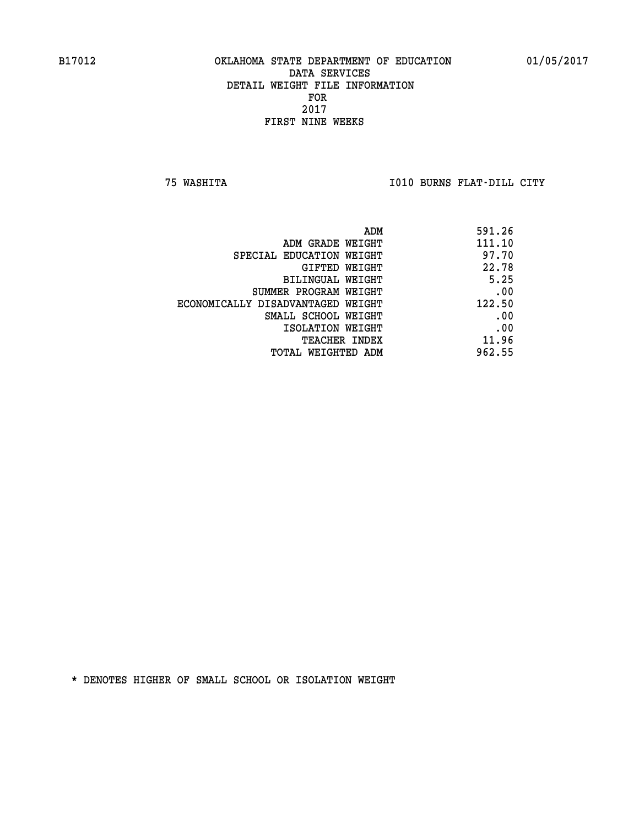**75 WASHITA I010 BURNS FLAT-DILL CITY** 

| ADM                               | 591.26 |
|-----------------------------------|--------|
| ADM GRADE WEIGHT                  | 111.10 |
| SPECIAL EDUCATION WEIGHT          | 97.70  |
| GIFTED WEIGHT                     | 22.78  |
| BILINGUAL WEIGHT                  | 5.25   |
| SUMMER PROGRAM WEIGHT             | .00    |
| ECONOMICALLY DISADVANTAGED WEIGHT | 122.50 |
| SMALL SCHOOL WEIGHT               | .00    |
| ISOLATION WEIGHT                  | .00    |
| <b>TEACHER INDEX</b>              | 11.96  |
| TOTAL WEIGHTED ADM                | 962.55 |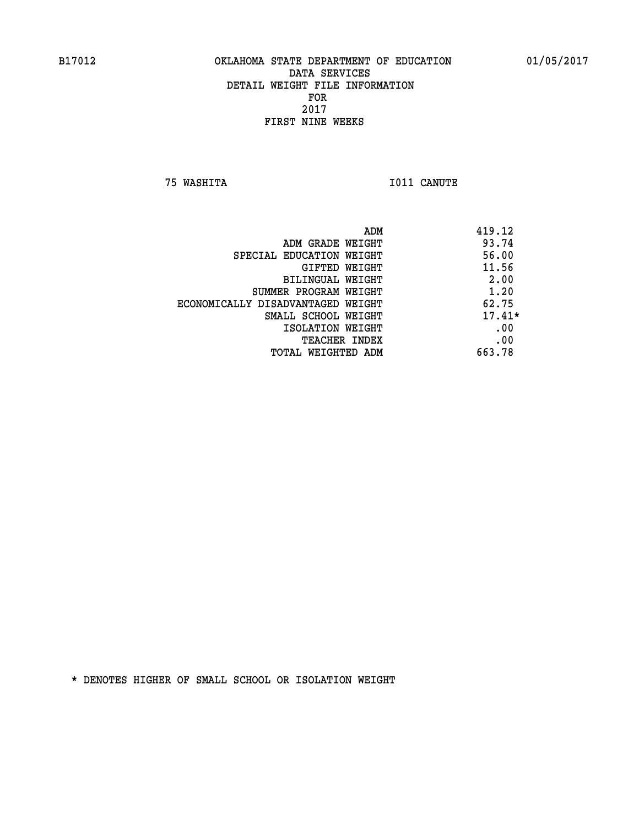**75 WASHITA I011 CANUTE** 

|                                   | ADM<br>419.12 |
|-----------------------------------|---------------|
| ADM GRADE WEIGHT                  | 93.74         |
| SPECIAL EDUCATION WEIGHT          | 56.00         |
| GIFTED WEIGHT                     | 11.56         |
| BILINGUAL WEIGHT                  | 2.00          |
| SUMMER PROGRAM WEIGHT             | 1.20          |
| ECONOMICALLY DISADVANTAGED WEIGHT | 62.75         |
| SMALL SCHOOL WEIGHT               | $17.41*$      |
| ISOLATION WEIGHT                  | .00           |
| <b>TEACHER INDEX</b>              | .00           |
| TOTAL WEIGHTED ADM                | 663.78        |
|                                   |               |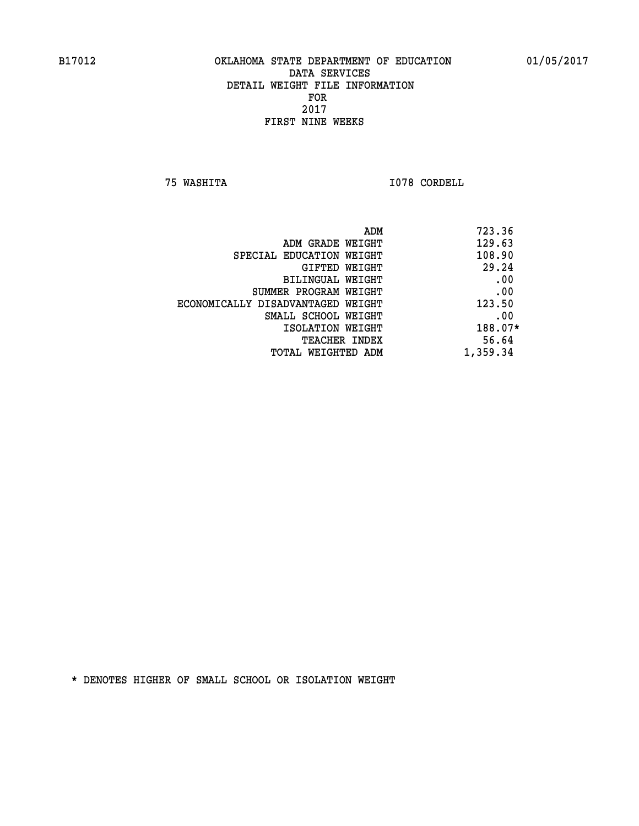**75 WASHITA I078 CORDELL** 

| 723.36<br>ADM |                                   |
|---------------|-----------------------------------|
| 129.63        | ADM GRADE WEIGHT                  |
| 108.90        | SPECIAL EDUCATION WEIGHT          |
| 29.24         | GIFTED WEIGHT                     |
| .00           | BILINGUAL WEIGHT                  |
| .00           | SUMMER PROGRAM WEIGHT             |
| 123.50        | ECONOMICALLY DISADVANTAGED WEIGHT |
| .00           | SMALL SCHOOL WEIGHT               |
| 188.07*       | ISOLATION WEIGHT                  |
| 56.64         | <b>TEACHER INDEX</b>              |
| 1,359.34      | TOTAL WEIGHTED ADM                |
|               |                                   |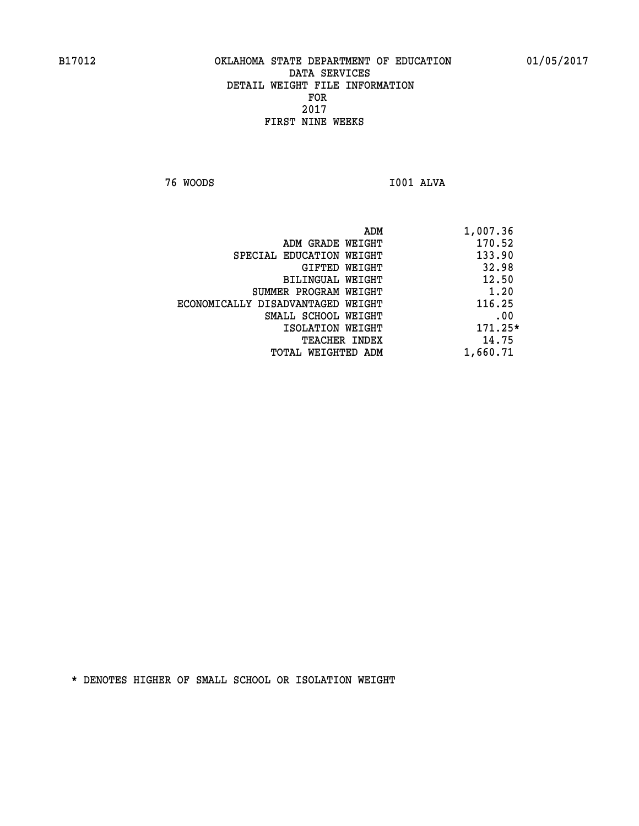**76 WOODS I001 ALVA** 

 **ADM 1,007.36 ADM GRADE WEIGHT 170.52 SPECIAL EDUCATION WEIGHT 133.90 GIFTED WEIGHT 32.98 BILINGUAL WEIGHT 12.50 SUMMER PROGRAM WEIGHT 1.20 ECONOMICALLY DISADVANTAGED WEIGHT 116.25 SMALL SCHOOL WEIGHT .00 ISOLATION WEIGHT 171.25\* TEACHER INDEX** 14.75  **TOTAL WEIGHTED ADM 1,660.71**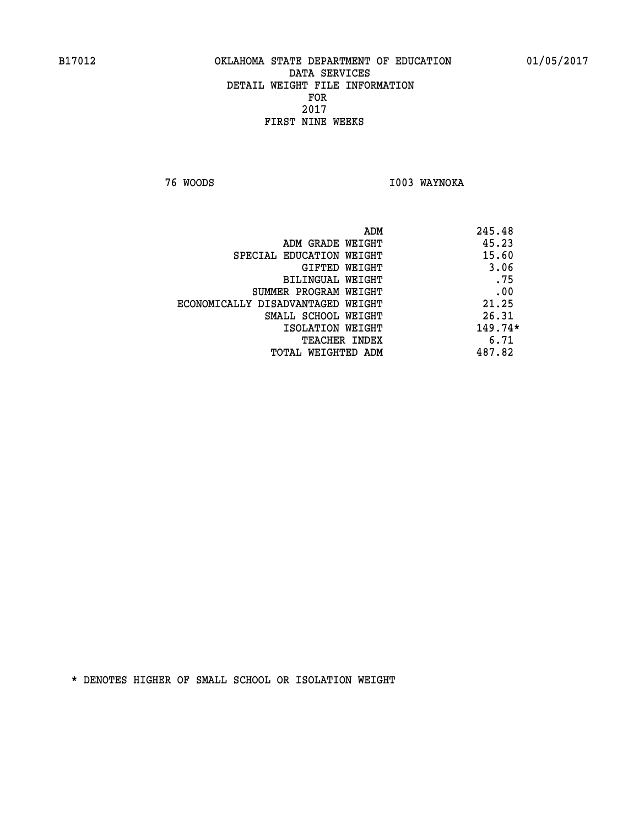**76 WOODS I003 WAYNOKA** 

|                                   | 245.48<br>ADM |  |
|-----------------------------------|---------------|--|
| ADM GRADE WEIGHT                  | 45.23         |  |
| SPECIAL EDUCATION WEIGHT          | 15.60         |  |
| GIFTED WEIGHT                     | 3.06          |  |
| BILINGUAL WEIGHT                  | .75           |  |
| SUMMER PROGRAM WEIGHT             | .00           |  |
| ECONOMICALLY DISADVANTAGED WEIGHT | 21.25         |  |
| SMALL SCHOOL WEIGHT               | 26.31         |  |
| ISOLATION WEIGHT                  | $149.74*$     |  |
| <b>TEACHER INDEX</b>              | 6.71          |  |
| TOTAL WEIGHTED ADM                | 487.82        |  |
|                                   |               |  |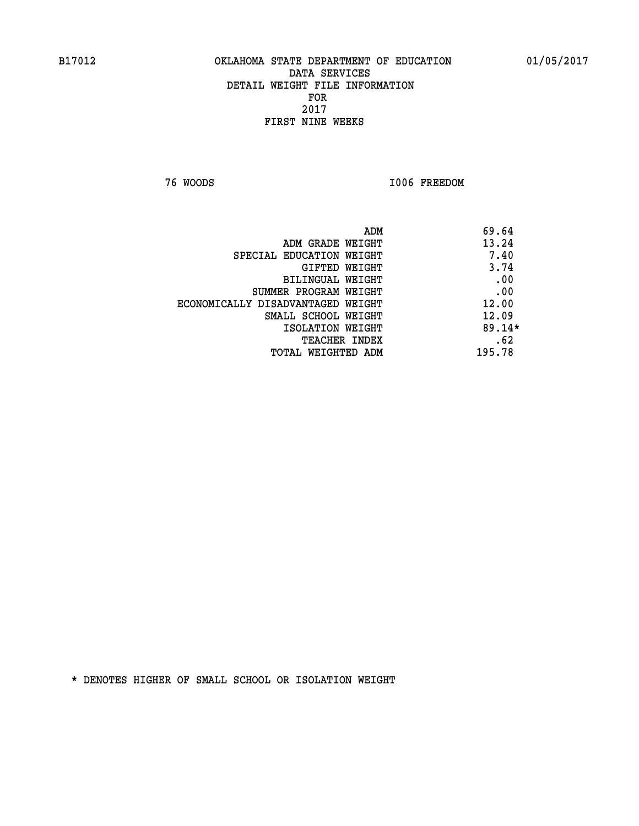**76 WOODS I006 FREEDOM** 

|                                   | ADM | 69.64    |
|-----------------------------------|-----|----------|
| ADM GRADE WEIGHT                  |     | 13.24    |
| SPECIAL EDUCATION WEIGHT          |     | 7.40     |
| GIFTED WEIGHT                     |     | 3.74     |
| BILINGUAL WEIGHT                  |     | .00      |
| SUMMER PROGRAM WEIGHT             |     | .00      |
| ECONOMICALLY DISADVANTAGED WEIGHT |     | 12.00    |
| SMALL SCHOOL WEIGHT               |     | 12.09    |
| ISOLATION WEIGHT                  |     | $89.14*$ |
| TEACHER INDEX                     |     | .62      |
| TOTAL WEIGHTED ADM                |     | 195.78   |
|                                   |     |          |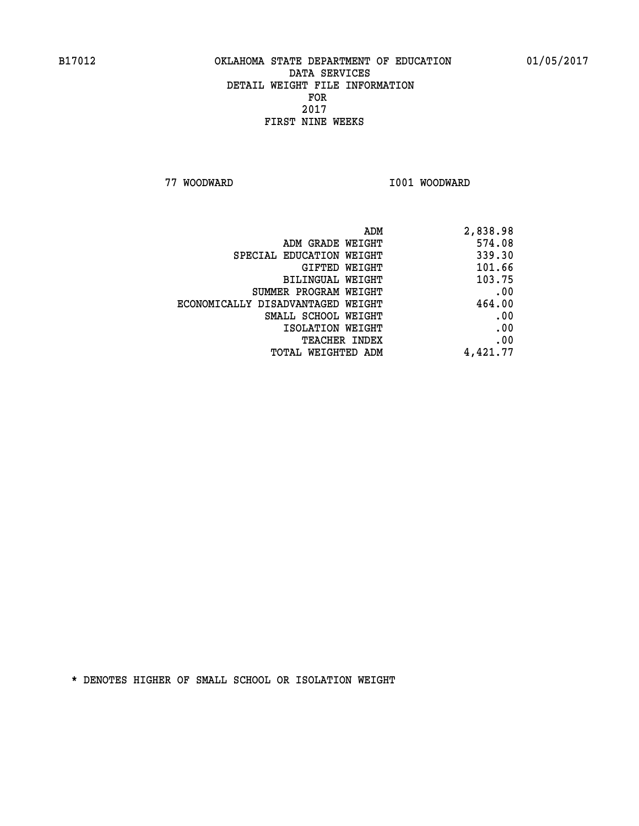**77 WOODWARD I001 WOODWARD** 

| ADM                               | 2,838.98 |
|-----------------------------------|----------|
| ADM GRADE WEIGHT                  | 574.08   |
| SPECIAL EDUCATION WEIGHT          | 339.30   |
| GIFTED WEIGHT                     | 101.66   |
| BILINGUAL WEIGHT                  | 103.75   |
| SUMMER PROGRAM WEIGHT             | .00      |
| ECONOMICALLY DISADVANTAGED WEIGHT | 464.00   |
| SMALL SCHOOL WEIGHT               | .00      |
| ISOLATION WEIGHT                  | .00      |
| TEACHER INDEX                     | .00      |
| TOTAL WEIGHTED ADM                | 4,421.77 |
|                                   |          |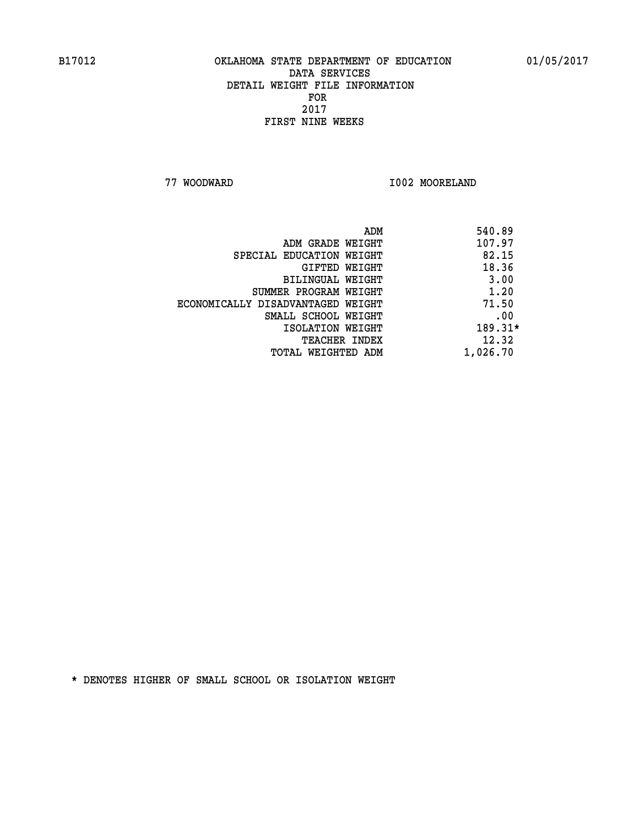**77 WOODWARD I002 MOORELAND** 

| 540.89   | ADM                               |
|----------|-----------------------------------|
| 107.97   | ADM GRADE WEIGHT                  |
| 82.15    | SPECIAL EDUCATION WEIGHT          |
| 18.36    | GIFTED WEIGHT                     |
| 3.00     | <b>BILINGUAL WEIGHT</b>           |
| 1.20     | SUMMER PROGRAM WEIGHT             |
| 71.50    | ECONOMICALLY DISADVANTAGED WEIGHT |
| .00      | SMALL SCHOOL WEIGHT               |
| 189.31*  | ISOLATION WEIGHT                  |
| 12.32    | <b>TEACHER INDEX</b>              |
| 1,026.70 | TOTAL WEIGHTED ADM                |
|          |                                   |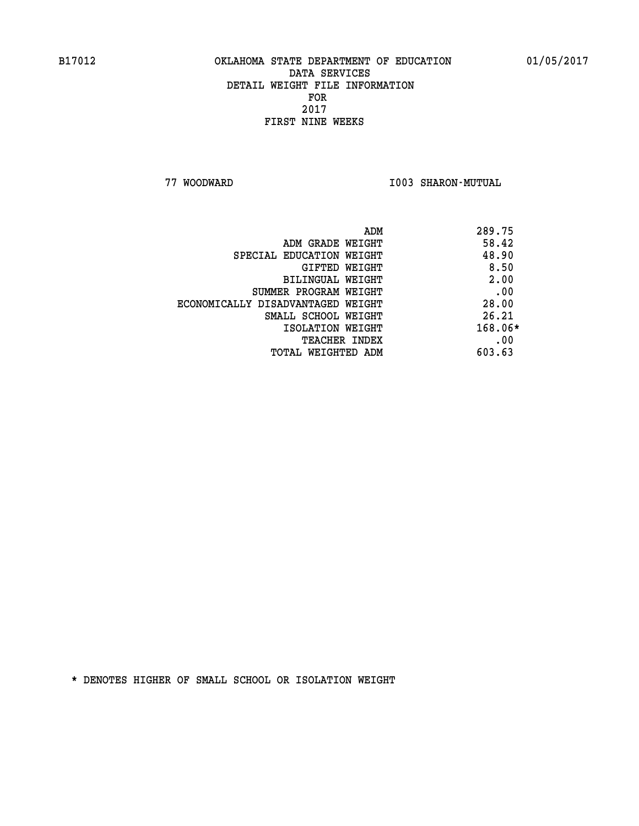**77 WOODWARD I003 SHARON-MUTUAL** 

| ADM                               | 289.75  |  |
|-----------------------------------|---------|--|
| ADM GRADE WEIGHT                  | 58.42   |  |
| SPECIAL EDUCATION WEIGHT          | 48.90   |  |
| GIFTED WEIGHT                     | 8.50    |  |
| BILINGUAL WEIGHT                  | 2.00    |  |
| SUMMER PROGRAM WEIGHT             | .00     |  |
| ECONOMICALLY DISADVANTAGED WEIGHT | 28.00   |  |
| SMALL SCHOOL WEIGHT               | 26.21   |  |
| ISOLATION WEIGHT                  | 168.06* |  |
| <b>TEACHER INDEX</b>              | .00     |  |
| TOTAL WEIGHTED ADM                | 603.63  |  |
|                                   |         |  |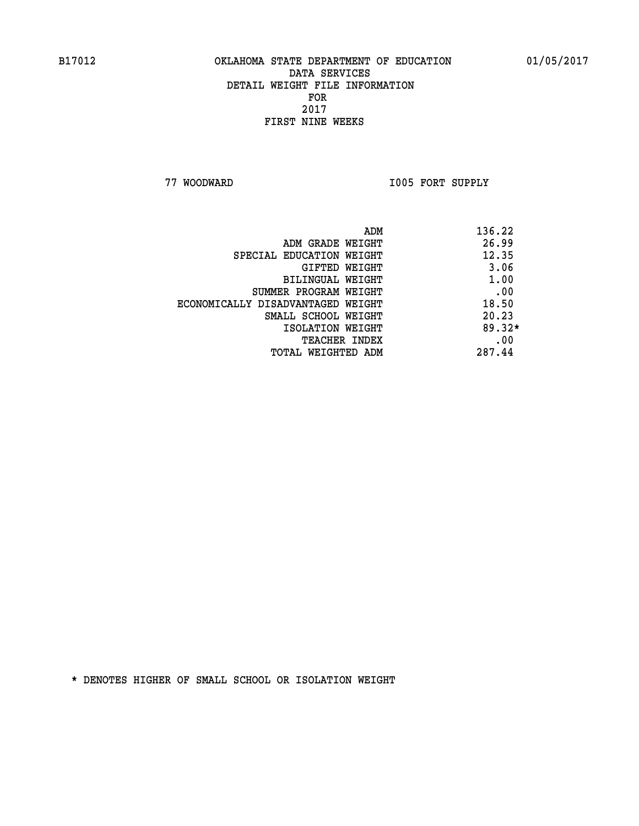**77 WOODWARD I005 FORT SUPPLY** 

|                                   | 136.22<br>ADM |
|-----------------------------------|---------------|
| ADM GRADE WEIGHT                  | 26.99         |
| SPECIAL EDUCATION WEIGHT          | 12.35         |
| GIFTED WEIGHT                     | 3.06          |
| BILINGUAL WEIGHT                  | 1.00          |
| SUMMER PROGRAM WEIGHT             | .00           |
| ECONOMICALLY DISADVANTAGED WEIGHT | 18.50         |
| SMALL SCHOOL WEIGHT               | 20.23         |
| ISOLATION WEIGHT                  | $89.32*$      |
| TEACHER INDEX                     | .00           |
| TOTAL WEIGHTED ADM                | 287.44        |
|                                   |               |